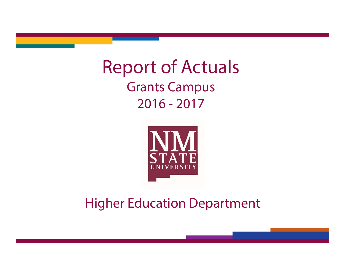# Report of Actuals Grants Campus 2016 - 2017



## Higher Education Department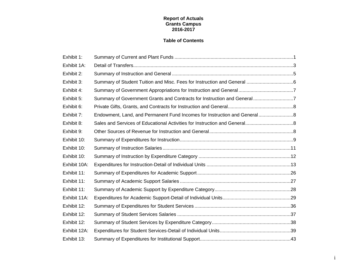### **Report of Actuals Grants Campus 2016-2017**

### **Table of Contents**

| Exhibit 1:   |                                                                           |  |
|--------------|---------------------------------------------------------------------------|--|
| Exhibit 1A:  |                                                                           |  |
| Exhibit 2:   |                                                                           |  |
| Exhibit 3:   |                                                                           |  |
| Exhibit 4:   |                                                                           |  |
| Exhibit 5:   | Summary of Government Grants and Contracts for Instruction and General7   |  |
| Exhibit 6:   |                                                                           |  |
| Exhibit 7:   | Endowment, Land, and Permanent Fund Incomes for Instruction and General 8 |  |
| Exhibit 8:   |                                                                           |  |
| Exhibit 9:   |                                                                           |  |
| Exhibit 10:  |                                                                           |  |
| Exhibit 10:  |                                                                           |  |
| Exhibit 10:  |                                                                           |  |
| Exhibit 10A: |                                                                           |  |
| Exhibit 11:  |                                                                           |  |
| Exhibit 11:  |                                                                           |  |
| Exhibit 11:  |                                                                           |  |
| Exhibit 11A: |                                                                           |  |
| Exhibit 12:  |                                                                           |  |
| Exhibit 12:  |                                                                           |  |
| Exhibit 12:  |                                                                           |  |
| Exhibit 12A: |                                                                           |  |
| Exhibit 13:  |                                                                           |  |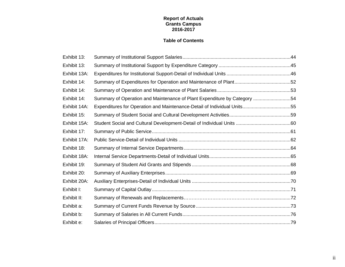### **Report of Actuals Grants Campus 2016-2017**

### **Table of Contents**

| Exhibit 13:  |                                                                          |  |
|--------------|--------------------------------------------------------------------------|--|
| Exhibit 13:  |                                                                          |  |
| Exhibit 13A: |                                                                          |  |
| Exhibit 14:  |                                                                          |  |
| Exhibit 14:  |                                                                          |  |
| Exhibit 14:  | Summary of Operation and Maintenance of Plant Expenditure by Category 54 |  |
| Exhibit 14A: | Expenditures for Operation and Maintenance-Detail of Individual Units55  |  |
| Exhibit 15:  |                                                                          |  |
| Exhibit 15A: |                                                                          |  |
| Exhibit 17:  |                                                                          |  |
| Exhibit 17A: |                                                                          |  |
| Exhibit 18:  |                                                                          |  |
| Exhibit 18A: |                                                                          |  |
| Exhibit 19:  |                                                                          |  |
| Exhibit 20:  |                                                                          |  |
| Exhibit 20A: |                                                                          |  |
| Exhibit I:   |                                                                          |  |
| Exhibit II:  |                                                                          |  |
| Exhibit a:   |                                                                          |  |
| Exhibit b:   |                                                                          |  |
| Exhibit e:   |                                                                          |  |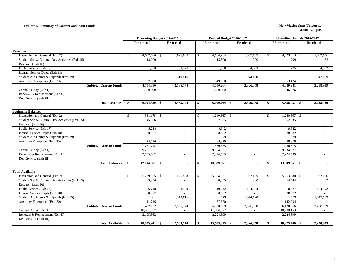#### **Exhibit 1. Summary of Current and Plant Funds New Mexico State University**

|                                                |                           | <b>Operating Budget 2016-2017</b> |               | Revised Budget 2016-2017    |                          |                               | <b>Unaudited Actuals 2016-2017</b> |  |  |
|------------------------------------------------|---------------------------|-----------------------------------|---------------|-----------------------------|--------------------------|-------------------------------|------------------------------------|--|--|
|                                                | Unrestricted              | Restricted                        |               | Unrestricted                | Restricted               | Unrestricted                  | Restricted                         |  |  |
|                                                |                           |                                   |               |                             |                          |                               |                                    |  |  |
| <b>Revenues</b>                                |                           |                                   |               |                             |                          |                               |                                    |  |  |
| Instruction and General (Exh 2)                | 4,697,880<br>£.           | 1,026,888<br><sup>\$</sup>        | $\mathcal{S}$ | 4,684,264<br>$\mathbb{S}$   | 1,067,105                | 4,623,613                     | 1,032,156<br>- \$                  |  |  |
| Student Soc & Cultural Dev Activities (Exh 15) | 18,000                    | $\overline{\phantom{a}}$          |               | 15,500                      | 200                      | 11,709                        | 82                                 |  |  |
| Research (Exh 16)                              |                           |                                   |               | in 1919.                    |                          |                               |                                    |  |  |
| Public Service (Exh 17)                        | 1,500                     | 188,470                           |               | 1,500                       | 184,633                  | 1,235                         | 164,592                            |  |  |
| Internal Service Depts (Exh 18)                | $\sim$                    |                                   |               | $\sim$                      |                          | $\sim$                        |                                    |  |  |
| Student Aid Grants & Stipends (Exh 19)         |                           | 1,319,816                         |               |                             | 1,074,120                | $\sim$                        | 1,042,109                          |  |  |
| Auxiliary Enterprises (Exh 20)                 | 37,000                    |                                   |               | 49,000                      |                          | 53,424                        |                                    |  |  |
| <b>Subtotal Current Funds</b>                  | 4,754,380                 | 2,535,174                         |               | 4,750,264                   | 2,326,058                | 4.689.981                     | 2,238,939                          |  |  |
| Capital Outlay (Exh I)                         | 1,250,000                 | $\overline{\phantom{a}}$          |               | 1,250,000                   |                          | 646,076                       |                                    |  |  |
| Renewal & Replacement (Exh II)                 |                           | $\sim$                            |               |                             | $\overline{\phantom{a}}$ |                               | $\overline{\phantom{a}}$           |  |  |
| Debt Service (Exh III)                         |                           | $\overline{a}$                    |               | $\sim$                      | $\overline{a}$           |                               | $\sim$                             |  |  |
| <b>Total Revenues</b>                          | 6,004,380<br>-S           | 2,535,174<br>-8                   | \$            | 6,000,264<br>- \$           | 2,326,058                | 5,336,057<br>÷.               | 2,238,939<br>- \$                  |  |  |
|                                                |                           |                                   |               |                             |                          |                               |                                    |  |  |
| <b>Beginning Balances</b>                      |                           |                                   |               |                             |                          |                               |                                    |  |  |
| Instruction and General (Exh 2)                | $\mathbf S$<br>581,175    | l s                               | $\mathbb{S}$  |                             | $\overline{\phantom{a}}$ | 1,240,367<br>$\mathbb{S}$     | $\mathcal{S}$                      |  |  |
| Student Soc & Cultural Dev Activities (Exh 15) | 45,956                    | $\overline{a}$                    |               | 52,835                      | $\sim$                   | 52,835                        | $\sim$                             |  |  |
| Research (Exh 16)                              |                           | $\sim$                            |               |                             | $\overline{\phantom{a}}$ |                               | $\overline{\phantom{a}}$           |  |  |
| Public Service (Exh 17)                        | 5,218                     | $\sim$                            |               | 9,342                       | $\sim$                   | 9,342                         | $\overline{a}$                     |  |  |
| Internal Service Depts (Exh 18)                | 30,677                    | $\overline{\phantom{a}}$          |               | 38,682                      | $\overline{\phantom{a}}$ | 38,682                        | $\overline{a}$                     |  |  |
| Student Aid Grants & Stipends (Exh 19)         |                           | $\sim$                            |               | 579                         | $\overline{\phantom{a}}$ | 579                           | $\sim$                             |  |  |
| <b>Auxiliary Enterprises (Exh 20)</b>          | 74,716                    | $\sim$                            |               | 88,870                      | $\sim$                   | 88,870                        | $\sim$                             |  |  |
| <b>Subtotal Current Funds</b>                  | 737,742                   | $\overline{\phantom{a}}$          |               | 1,430,675                   | $\overline{\phantom{a}}$ | 1,430,675                     | $\overline{\phantom{a}}$           |  |  |
| Capital Outlay (Exh I)                         | 9,251,557                 | $\sim$                            |               | 9,934,077                   | $\sim$                   | 9,934,077                     | $\overline{\phantom{a}}$           |  |  |
| Renewal & Replacement (Exh II)                 | 2,105,562                 | $\sim$                            |               | 2,224,599                   | $\sim$                   | 2,224,599                     | $\sim$                             |  |  |
| Debt Service (Exh III)                         |                           | $\sim$                            |               |                             | $\overline{\phantom{a}}$ |                               | $\sim$                             |  |  |
| <b>Total Balances</b>                          | 12,094,861<br>S.          | l \$                              | \$            |                             |                          | $13,589,351$ \$<br>\$         | $\blacksquare$                     |  |  |
|                                                |                           |                                   |               |                             |                          |                               |                                    |  |  |
| <b>Total Available</b>                         |                           |                                   |               |                             |                          |                               |                                    |  |  |
| Instruction and General (Exh 2)                | $\mathbb{S}$<br>5,279,055 | -S<br>1,026,888                   | $\mathbb{S}$  |                             | 1,067,105                | 5,863,980 \$<br><sup>\$</sup> | 1,032,156                          |  |  |
| Student Soc & Cultural Dev Activities (Exh 15) | 63,956                    |                                   |               | 68,335                      | 200                      | 64,544                        | 82                                 |  |  |
| Research (Exh 16)                              | $\sim$                    | $\sim$                            |               | $\mathcal{L}^{\mathcal{A}}$ | $\sim$                   | $\sim$                        | $\sim$                             |  |  |
| Public Service (Exh 17)                        | 6,718                     | 188,470                           |               | 10,842                      | 184,633                  | 10,577                        | 164,592                            |  |  |
| Internal Service Depts (Exh 18)                | 30,677                    |                                   |               | 38,682                      |                          | 38,682                        |                                    |  |  |
| Student Aid Grants & Stipends (Exh 19)         | $\sim$                    | 1,319,816                         |               | 579                         | 1,074,120                | 579                           | 1,042,109                          |  |  |
| Auxiliary Enterprises (Exh 20)                 | 111,716                   |                                   |               | 137,870                     |                          | 142,294                       |                                    |  |  |
| <b>Subtotal Current Funds</b>                  | 5,492,122                 | 2,535,174                         |               | 6,180,939                   | 2,326,058                | 6,120,656                     | 2,238,939                          |  |  |
| Capital Outlay (Exh I)                         | 10,501,557                | $\sim$                            |               | 11,184,077                  |                          | 10,580,153                    |                                    |  |  |
| Renewal & Replacement (Exh II)                 | 2,105,562                 | $\sim$                            |               | 2,224,599                   | $\sim$                   | 2,224,599                     | $\sim$                             |  |  |
| Debt Service (Exh III)                         |                           | $\sim$                            |               |                             |                          |                               |                                    |  |  |
| <b>Total Available</b>                         | 18,099,241<br>\$          | 2,535,174<br>-\$                  | -\$           | $19,589,615$ \$             | 2,326,058                | 18,925,408                    | 2,238,939<br>- \$                  |  |  |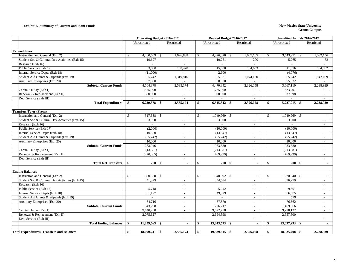#### **Exhibit 1. Summary of Current and Plant Funds New Mexico State University**

|                                                   | <b>Operating Budget 2016-2017</b> |              |               |                          |  |              | Revised Budget 2016-2017 |              |                          |               |                   | <b>Unaudited Actuals 2016-2017</b> |                          |  |
|---------------------------------------------------|-----------------------------------|--------------|---------------|--------------------------|--|--------------|--------------------------|--------------|--------------------------|---------------|-------------------|------------------------------------|--------------------------|--|
|                                                   |                                   | Unrestricted |               | Restricted               |  |              | Unrestricted             |              | Restricted               |               | Unrestricted      |                                    | Restricted               |  |
|                                                   |                                   |              |               |                          |  |              |                          |              |                          |               |                   |                                    |                          |  |
| <b>Expenditures</b>                               |                                   |              |               |                          |  |              |                          |              |                          |               |                   |                                    |                          |  |
| Instruction and General (Exh 2)                   | $\mathbb{S}$                      | 4,460,509    | $\mathbb{S}$  | 1,026,888                |  | $\mathbb{S}$ | 4,326,070                | \$           | 1,067,105                | $\mathbb{S}$  | 3,543,971         | -S                                 | 1,032,156                |  |
| Student Soc & Cultural Dev Activities (Exh 15)    |                                   | 19,627       |               |                          |  |              | 10,751                   |              | 200                      |               | 5,265             |                                    | 82                       |  |
| Research (Exh 16)                                 |                                   |              |               |                          |  |              | $\overline{a}$           |              |                          |               |                   |                                    |                          |  |
| Public Service (Exh 17)                           |                                   | 3,000        |               | 188,470                  |  |              | 15,600                   |              | 184,633                  |               | 11,076            |                                    | 164,592                  |  |
| Internal Service Depts (Exh 18)                   |                                   | (11,000)     |               |                          |  |              | 2,600                    |              |                          |               | (4,076)           |                                    |                          |  |
| Student Aid Grants & Stipends (Exh 19)            |                                   | 55,242       |               | 1,319,816                |  |              | 55,821                   |              | 1,074,120                |               | 55,242            |                                    | 1,042,109                |  |
| Auxiliary Enterprises (Exh 20)                    |                                   | 37,000       |               |                          |  |              | 60,000                   |              |                          |               | 55,632            |                                    |                          |  |
| <b>Subtotal Current Funds</b>                     |                                   | 4,564,378    |               | 2,535,174                |  |              | 4,470,842                |              | 2,326,058                |               | 3,667,110         |                                    | 2,238,939                |  |
| Capital Outlay (Exh I)                            |                                   | 1,375,000    |               | $\overline{\phantom{a}}$ |  |              | 1,775,000                |              | $\sim$                   |               | 1,523,707         |                                    |                          |  |
| Renewal & Replacement (Exh II)                    |                                   | 300,000      |               | $\sim$                   |  |              | 300,000                  |              | $\sim$                   |               | 37,098            |                                    |                          |  |
| Debt Service (Exh III)                            |                                   |              |               | $\sim$                   |  |              |                          |              | $\sim$                   |               |                   |                                    |                          |  |
| <b>Total Expenditures</b>                         | - \$                              | 6,239,378    | - \$          | 2,535,174                |  | - \$         | 6,545,842                | - \$         | 2,326,058                | -S            | 5,227,915         |                                    | 2,238,939                |  |
|                                                   |                                   |              |               |                          |  |              |                          |              |                          |               |                   |                                    |                          |  |
| <b>Transfers To or (From)</b>                     |                                   |              |               |                          |  |              |                          |              |                          |               |                   |                                    |                          |  |
| Instruction and General (Exh 2)                   | <sup>\$</sup>                     | 317,688 \$   |               |                          |  | $\mathbb{S}$ | $1,049,969$ \$           |              |                          | $\mathcal{S}$ | 1,049,969         | $\mathbf{s}$                       |                          |  |
| Student Soc & Cultural Dev Activities (Exh 15)    |                                   | 3,000        |               | $\sim$                   |  |              | 3,000                    |              | $\sim$                   |               | 3,000             |                                    | $\sim$                   |  |
| Research (Exh 16)                                 |                                   |              |               | $\sim$                   |  |              |                          |              | $\sim$                   |               |                   |                                    | $\sim$                   |  |
| Public Service (Exh 17)                           |                                   | (2,000)      |               | $\sim$                   |  |              | (10,000)                 |              | $\overline{\phantom{a}}$ |               | (10,000)          |                                    | $\overline{\phantom{a}}$ |  |
| Internal Service Depts (Exh 18)                   |                                   | 10,500       |               | $\sim$                   |  |              | (13, 847)                |              | $\sim$                   |               | (13, 847)         |                                    | $\sim$                   |  |
| Student Aid Grants & Stipends (Exh 19)            |                                   | (55, 242)    |               | $\sim$                   |  |              | (55, 242)                |              | $\sim$                   |               | (55,242)          |                                    | $\sim$                   |  |
| Auxiliary Enterprises (Exh 20)                    |                                   | 10,000       |               | $\sim$                   |  |              | 10,000                   |              | $\sim$                   |               | 10,000            |                                    | $\sim$                   |  |
| <b>Subtotal Current Funds</b>                     |                                   | 283,946      |               | $\sim$                   |  |              | 983,880                  |              | $\sim$                   |               | 983,880           |                                    | $\sim$                   |  |
| Capital Outlay (Exh I)                            |                                   | (13,681)     |               | $\overline{\phantom{a}}$ |  |              | (213, 681)               |              | $\sim$                   |               | (213, 681)        |                                    | $\sim$                   |  |
| Renewal & Replacement (Exh II)                    |                                   | (270,065)    |               | $\sim$                   |  |              | (769,999)                |              | $\sim$                   |               | (769,999)         |                                    | $\sim$                   |  |
| Debt Service (Exh III)                            |                                   |              |               | $\sim$                   |  |              |                          |              |                          |               |                   |                                    |                          |  |
| <b>Total Net Transfers</b>                        | -\$                               | $200 \t3$    |               | $\overline{\phantom{a}}$ |  | $\sim$       | $200 \, \text{S}$        |              | $\overline{a}$           | -\$           | $200 \, \text{S}$ |                                    | $\blacksquare$           |  |
|                                                   |                                   |              |               |                          |  |              |                          |              |                          |               |                   |                                    |                          |  |
| <b>Ending Balances</b>                            |                                   |              |               |                          |  |              |                          |              |                          |               |                   |                                    |                          |  |
| Instruction and General (Exh 2)                   | $\mathcal{S}$                     | 500,858      | <sup>\$</sup> |                          |  | $\mathbb{S}$ | 548,592                  | $\mathbb{S}$ |                          | \$            | 1,270,040         | <sup>\$</sup>                      |                          |  |
| Student Soc & Cultural Dev Activities (Exh 15)    |                                   | 41,329       |               | $\sim$                   |  |              | 54,584                   |              | $\sim$                   |               | 56,279            |                                    | $\sim$                   |  |
| Research (Exh 16)                                 |                                   |              |               | $\sim$                   |  |              | $\sim$                   |              | $\sim$                   |               | $\sim$            |                                    | $\sim$                   |  |
| Public Service (Exh 17)                           |                                   | 5,718        |               | $\sim$                   |  |              | 5.242                    |              | $\sim$                   |               | 9,501             |                                    | $\sim$                   |  |
| Internal Service Depts (Exh 18)                   |                                   | 31,177       |               | $\overline{\phantom{a}}$ |  |              | 49,929                   |              | $\overline{\phantom{a}}$ |               | 56,605            |                                    | $\sim$                   |  |
| Student Aid Grants & Stipends (Exh 19)            |                                   |              |               | $\sim$                   |  |              |                          |              |                          |               | 579               |                                    | $\sim$                   |  |
| Auxiliary Enterprises (Exh 20)                    |                                   | 64,716       |               | $\sim$                   |  |              | 67,870                   |              | $\sim$                   |               | 76,662            |                                    | $\sim$                   |  |
| <b>Subtotal Current Funds</b>                     |                                   | 643,798      |               | $\sim$                   |  |              | 726,217                  |              | $\sim$                   |               | 1,469,666         |                                    | $\sim$                   |  |
| Capital Outlay (Exh I)                            |                                   | 9,140,238    |               | $\sim$                   |  |              | 9,622,758                |              | $\sim$                   |               | 9,270,127         |                                    | $\sim$                   |  |
| Renewal & Replacement (Exh II)                    |                                   | 2,075,627    |               | $\overline{\phantom{a}}$ |  |              | 2,694,598                |              | $\sim$                   |               | 2,957,500         |                                    | $\sim$                   |  |
| Debt Service (Exh III)                            |                                   |              |               |                          |  |              |                          |              |                          |               |                   |                                    |                          |  |
| <b>Total Ending Balances</b>                      | \$                                | 11,859,663   | \$            | $\blacksquare$           |  | <b>S</b>     | $13,043,573$ \$          |              | $\sim$                   | -\$           | 13,697,293        | - \$                               | $\sim$                   |  |
|                                                   |                                   |              |               |                          |  |              |                          |              |                          |               |                   |                                    |                          |  |
| <b>Total Expenditures, Transfers and Balances</b> | \$                                | 18,099,241   | -\$           | 2,535,174                |  | \$           | $19,589,615$ \$          |              | 2,326,058                | \$            | 18,925,408        | - \$                               | 2,238,939                |  |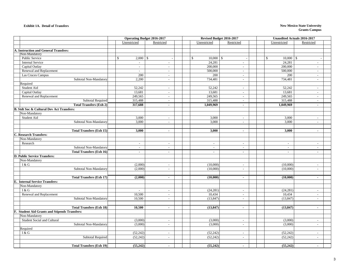#### **Exhibit 1A. Detail of Transfers**

#### **New Mexico State University Grants Campus**

|                                                      | <b>Operating Budget 2016-2017</b> |                          |              | Revised Budget 2016-2017 |                          | <b>Unaudited Actuals 2016-2017</b> |                          |                          |  |
|------------------------------------------------------|-----------------------------------|--------------------------|--------------|--------------------------|--------------------------|------------------------------------|--------------------------|--------------------------|--|
|                                                      | Unrestricted                      | Restricted               |              | Unrestricted             | Restricted               |                                    | Unrestricted             | Restricted               |  |
|                                                      |                                   |                          |              |                          |                          |                                    |                          |                          |  |
| A. Instruction and General Transfers:                |                                   |                          |              |                          |                          |                                    |                          |                          |  |
| Non-Mandatory                                        |                                   |                          |              |                          |                          |                                    |                          |                          |  |
| Public Service                                       | $\mathbf S$<br>$2,000$ \$         |                          | $\mathbb{S}$ | 10,000<br>$\mathbb{S}$   |                          | $\mathbb{S}$                       | $10,000$ \$              |                          |  |
| <b>Internal Service</b>                              | $\sim$                            | $\overline{\phantom{a}}$ |              | 24,281                   | $\overline{\phantom{a}}$ |                                    | 24,281                   | $\overline{\phantom{a}}$ |  |
| Capital Outlay                                       | $\sim$                            | $\sim$                   |              | 200,000                  | $\overline{\phantom{a}}$ |                                    | 200,000                  | $\overline{a}$           |  |
| Renewal and Replacement                              | $\mathcal{L}^{\mathcal{A}}$       | $\overline{\phantom{a}}$ |              | 500,000                  | $\overline{\phantom{a}}$ |                                    | 500,000                  | $\sim$                   |  |
| Las Cruces Campus                                    | 200                               | $\sim$                   |              | 200                      | $\sim$                   |                                    | 200                      | $\overline{a}$           |  |
| Subtotal Non-Mandatory                               | 2.200                             | $\sim$                   |              | 734,481                  | $\mathcal{L}$            |                                    | 734,481                  | $\sim$                   |  |
| Required                                             |                                   |                          |              |                          |                          |                                    |                          |                          |  |
| Student Aid                                          | 52,242                            | $\overline{\phantom{a}}$ |              | 52,242                   | $\sim$                   |                                    | 52,242                   | $\overline{a}$           |  |
| Capital Outlay                                       | 13,681                            | $\overline{\phantom{a}}$ |              | 13,681                   | $\sim$                   |                                    | 13,681                   | $\overline{a}$           |  |
| Renewal and Replacement                              | 249,565                           | $\sim$                   |              | 249,565                  | $\sim$                   |                                    | 249,565                  | $\overline{a}$           |  |
| Subtotal Required                                    | 315,488                           | $\overline{a}$           |              | 315,488                  | $\overline{\phantom{a}}$ |                                    | 315,488                  | $\overline{a}$           |  |
| <b>Total Transfers (Exh 2)</b>                       | 317,688                           | $\blacksquare$           |              | 1,049,969                | $\blacksquare$           |                                    | 1,049,969                | $\blacksquare$           |  |
| <b>B. Stdt Soc &amp; Cultural Dev Act Transfers:</b> |                                   |                          |              |                          |                          |                                    |                          |                          |  |
| Non-Mandatory                                        |                                   |                          |              |                          |                          |                                    |                          |                          |  |
| Student Aid                                          | 3,000                             | $\overline{\phantom{a}}$ |              | 3,000                    | $\sim$                   |                                    | 3,000                    | $\overline{\phantom{a}}$ |  |
| Subtotal Non-Mandatory                               | 3,000                             | $\overline{\phantom{a}}$ |              | 3,000                    | $\sim$                   |                                    | 3,000                    |                          |  |
|                                                      |                                   |                          |              |                          |                          |                                    |                          |                          |  |
| <b>Total Transfers (Exh 15)</b>                      | 3,000                             | $\blacksquare$           |              | 3,000                    | $\blacksquare$           |                                    | 3,000                    | $\blacksquare$           |  |
| <b>C. Research Transfers:</b>                        |                                   |                          |              |                          |                          |                                    |                          |                          |  |
| Non-Mandatory                                        |                                   |                          |              |                          |                          |                                    |                          |                          |  |
| Research                                             | $\sim$                            | $\sim$                   |              | $\sim$                   | $\sim$                   |                                    | $\overline{a}$           | $\overline{a}$           |  |
| Subtotal Non-Mandatory                               | $\sim$                            | $\sim$                   |              | $\sim$                   | $\overline{a}$           |                                    | $\overline{\phantom{a}}$ |                          |  |
| <b>Total Transfers (Exh 16)</b>                      | $\mathbf{r}$                      | $\sim$                   |              | $\sim$                   | $\mathbf{r}$             |                                    | $\sim$                   | $\overline{a}$           |  |
| <b>D. Public Service Transfers:</b>                  |                                   |                          |              |                          |                          |                                    |                          |                          |  |
| Non-Mandatory                                        |                                   |                          |              |                          |                          |                                    |                          |                          |  |
| I & G                                                | (2,000)                           | $\sim$                   |              | (10,000)                 | $\sim$                   |                                    | (10,000)                 |                          |  |
| Subtotal Non-Mandatory                               | (2,000)                           | $\sim$                   |              | (10,000)                 | $\sim$                   |                                    | (10,000)                 | $\overline{a}$           |  |
|                                                      |                                   |                          |              |                          |                          |                                    |                          |                          |  |
| <b>Total Transfers (Exh 17)</b>                      | (2,000)                           | $\sim$                   |              | (10,000)                 | $\sim$                   |                                    | (10,000)                 | $\sim$                   |  |
| E. Internal Service Transfers:                       |                                   |                          |              |                          |                          |                                    |                          |                          |  |
| Non-Mandatory                                        |                                   |                          |              |                          |                          |                                    |                          |                          |  |
| I & G                                                | $\sim$                            | $\sim$                   |              | (24, 281)                | $\sim$                   |                                    | (24, 281)                | $\overline{a}$           |  |
| Renewal and Replacement                              | 10,500                            | $\sim$                   |              | 10,434                   | $\sim$                   |                                    | 10,434                   | $\sim$                   |  |
| Subtotal Non-Mandatory                               | 10,500                            | $\overline{\phantom{a}}$ |              | (13, 847)                | $\sim$                   |                                    | (13, 847)                | $\overline{a}$           |  |
|                                                      |                                   |                          |              |                          |                          |                                    |                          |                          |  |
| <b>Total Transfers (Exh 18)</b>                      | 10,500                            | $\blacksquare$           |              | (13, 847)                | $\bullet$                |                                    | (13, 847)                | ä,                       |  |
| F. Student Aid Grants and Stipends Transfers:        |                                   |                          |              |                          |                          |                                    |                          |                          |  |
| Non-Mandatory                                        |                                   |                          |              |                          |                          |                                    |                          |                          |  |
| Student Social and Cultural                          | (3,000)                           | $\sim$                   |              | (3,000)                  | $\sim$                   |                                    | (3,000)                  | $\overline{a}$           |  |
| Subtotal Non-Mandatory                               | (3,000)                           | $\sim$                   |              | (3,000)                  | $\sim$                   |                                    | (3,000)                  | $\overline{a}$           |  |
| Required                                             |                                   |                          |              |                          |                          |                                    |                          |                          |  |
| I & G                                                | (52, 242)                         | $\sim$                   |              | (52, 242)                | $\sim$                   |                                    | (52, 242)                | $\overline{a}$           |  |
| <b>Subtotal Required</b>                             | (52, 242)                         | $\sim$                   |              | (52, 242)                | $\sim$                   |                                    | (52, 242)                | $\sim$                   |  |
|                                                      |                                   |                          |              |                          |                          |                                    |                          |                          |  |
| <b>Total Transfers (Exh 19)</b>                      | (55, 242)                         | $\sim$                   |              | (55, 242)                | $\sim$                   |                                    | (55,242)                 | $\sim$                   |  |
|                                                      |                                   |                          |              |                          |                          |                                    |                          |                          |  |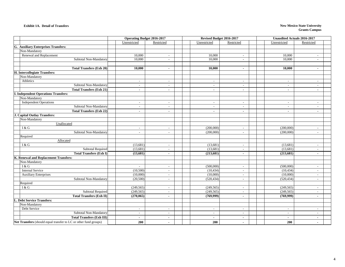#### **Exhibit 1A. Detail of Transfers**

#### **New Mexico State University Grants Campus**

|                                                                  | <b>Operating Budget 2016-2017</b> |                          |  | Revised Budget 2016-2017 |                          | Unaudited Actuals 2016-2017 |                          |  |
|------------------------------------------------------------------|-----------------------------------|--------------------------|--|--------------------------|--------------------------|-----------------------------|--------------------------|--|
|                                                                  | Unrestricted                      | Restricted               |  | Unrestricted             | Restricted               | Restricted<br>Unrestricted  |                          |  |
| G. Auxiliary Enterprises Transfers:                              |                                   |                          |  |                          |                          |                             |                          |  |
| Non-Mandatory                                                    |                                   |                          |  |                          |                          |                             |                          |  |
| Renewal and Replacement                                          | 10,000                            | $\sim$                   |  | 10,000                   | $\overline{\phantom{a}}$ | 10.000                      |                          |  |
| Subtotal Non-Mandatory                                           | 10,000                            | $\sim$                   |  | 10,000                   | $\sim$                   | 10,000                      | $\overline{\phantom{a}}$ |  |
|                                                                  |                                   |                          |  |                          |                          |                             |                          |  |
| <b>Total Transfers (Exh 20)</b>                                  | 10.000                            | $\blacksquare$           |  | 10,000                   | $\blacksquare$           | 10,000                      | $\overline{\phantom{a}}$ |  |
| H. Intercollegiate Transfers:                                    |                                   |                          |  |                          |                          |                             |                          |  |
| Non-Mandatory                                                    |                                   |                          |  |                          |                          |                             |                          |  |
| Athletics                                                        | $\overline{\phantom{a}}$          | $\overline{\phantom{a}}$ |  | $\overline{\phantom{a}}$ | $\sim$                   | $\sim$                      | $\overline{\phantom{a}}$ |  |
| Subtotal Non-Mandatory                                           | $\overline{a}$                    | $\overline{\phantom{a}}$ |  | $\sim$                   | $\overline{\phantom{a}}$ | $\sim$                      |                          |  |
| <b>Total Transfers (Exh 21)</b>                                  | $\blacksquare$                    | $\sim$                   |  | $\sim$                   | $\sim$                   | $\blacksquare$              | $\blacksquare$           |  |
| <b>I. Independent Operations Transfers:</b>                      |                                   |                          |  |                          |                          |                             |                          |  |
| Non-Mandatory                                                    |                                   |                          |  |                          |                          |                             |                          |  |
| Independent Operations                                           | $\overline{\phantom{a}}$          | $\sim$                   |  | $\sim$                   | $\sim$                   | $\sim$                      | $\overline{\phantom{a}}$ |  |
| Subtotal Non-Mandatory                                           | $\overline{a}$                    | $\overline{\phantom{a}}$ |  | $\sim$                   | $\overline{a}$           | $\sim$                      | $\overline{a}$           |  |
| <b>Total Transfers (Exh 22)</b>                                  | $\blacksquare$                    | $\overline{a}$           |  | $\blacksquare$           | $\blacksquare$           | $\blacksquare$              | $\blacksquare$           |  |
| <b>J. Capital Outlay Transfers:</b>                              |                                   |                          |  |                          |                          |                             |                          |  |
| Non-Mandatory                                                    |                                   |                          |  |                          |                          |                             |                          |  |
| Unallocated                                                      |                                   |                          |  |                          |                          |                             |                          |  |
| I & G                                                            | $\overline{\phantom{a}}$          | $\sim$                   |  | (200,000)                | $\sim$                   | (200,000)                   | $\sim$                   |  |
| Subtotal Non-Mandatory                                           | $\overline{\phantom{a}}$          | $\overline{\phantom{a}}$ |  | (200,000)                | $\sim$                   | (200,000)                   | $\overline{\phantom{a}}$ |  |
| Required                                                         |                                   |                          |  |                          |                          |                             |                          |  |
| Allocated                                                        |                                   |                          |  |                          |                          |                             |                          |  |
| I & G                                                            | (13,681)                          | $\overline{\phantom{a}}$ |  | (13,681)                 | $\overline{\phantom{a}}$ | (13,681)                    | $\overline{\phantom{a}}$ |  |
| <b>Subtotal Required</b>                                         | (13,681)                          | $\overline{\phantom{a}}$ |  | (13,681)                 | $\sim$                   | (13,681)                    |                          |  |
| <b>Total Transfers (Exh I)</b>                                   | (13,681)                          | $\sim$                   |  | (213,681)                | $\sim$                   | (213, 681)                  | $\blacksquare$           |  |
| K. Renewal and Replacement Transfers:                            |                                   |                          |  |                          |                          |                             |                          |  |
| Non-Mandatory                                                    |                                   |                          |  |                          |                          |                             |                          |  |
| I & G                                                            |                                   | $\overline{\phantom{a}}$ |  | (500,000)                | $\sim$                   | (500,000)                   | $\overline{a}$           |  |
| <b>Internal Service</b>                                          | (10,500)                          | $\sim$                   |  | (10, 434)                | $\sim$                   | (10, 434)                   | $\overline{\phantom{a}}$ |  |
| <b>Auxiliary Enterprises</b>                                     | (10,000)                          | $\sim$                   |  | (10,000)                 | $\sim$                   | (10,000)                    | $\overline{a}$           |  |
| Subtotal Non-Mandatory                                           | (20,500)                          | $\overline{\phantom{a}}$ |  | (520, 434)               | $\sim$                   | (520, 434)                  | $\overline{a}$           |  |
| Required                                                         |                                   |                          |  |                          |                          |                             |                          |  |
| I & G                                                            | (249, 565)                        | $\overline{a}$           |  | (249, 565)               | $\sim$                   | (249, 565)                  | $\overline{\phantom{a}}$ |  |
| <b>Subtotal Required</b>                                         | (249, 565)                        |                          |  | (249, 565)               | $\sim$                   | (249, 565)                  |                          |  |
| <b>Total Transfers (Exh II)</b>                                  | (270,065)                         | $\sim$                   |  | (769,999)                | $\sim$                   | (769,999)                   | $\sim$                   |  |
| L. Debt Service Transfers:                                       |                                   |                          |  |                          |                          |                             |                          |  |
| Non-Mandatory                                                    |                                   |                          |  |                          |                          |                             |                          |  |
| Debt Service                                                     | $\overline{\phantom{a}}$          | $\sim$                   |  | $\sim$                   | $\sim$                   | $\sim$                      | $\overline{a}$           |  |
| Subtotal Non-Mandatory                                           | $\overline{\phantom{a}}$          | $\overline{\phantom{a}}$ |  | $\sim$                   | $\sim$                   | $\overline{\phantom{a}}$    |                          |  |
| <b>Total Transfers (Exh III)</b>                                 | $\blacksquare$                    | $\blacksquare$           |  | $\blacksquare$           | $\sim$                   | $\blacksquare$              |                          |  |
| Net Transfers (should equal transfer to LC or other fund groups) | 200                               | $\blacksquare$           |  | 200                      | $\blacksquare$           | 200                         | $\blacksquare$           |  |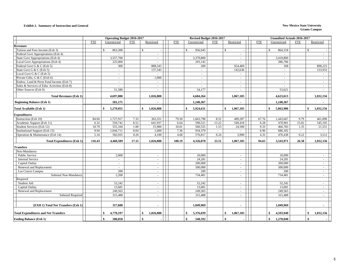#### **Exhibit 2. Summary of Instruction and General New Mexico State University**

|                                             | <b>Operating Budget 2016-2017</b> |                  |            |                  |              | Revised Budget 2016-2017 |                | <b>Unaudited Actuals 2016-2017</b> |              |                         |                |                 |
|---------------------------------------------|-----------------------------------|------------------|------------|------------------|--------------|--------------------------|----------------|------------------------------------|--------------|-------------------------|----------------|-----------------|
|                                             | <b>FTE</b>                        | Unrestricted     | <b>FTE</b> | Restricted       | <b>FTE</b>   | Unrestricted             | <b>FTE</b>     | Restricted                         | <b>FTE</b>   | Unrestricted            | <b>FTE</b>     | Restricted      |
| <b>Revenues</b>                             |                                   |                  |            |                  |              |                          |                |                                    |              |                         |                |                 |
| Tuition and Fees Income (Exh 3)             |                                   | 863,300          |            | $\mathbb{S}$     |              | 956,945                  |                | \$                                 |              | $\mathbb{S}$<br>864,318 |                | $\mathbb{S}$    |
| Federal Govt Appropriations (Exh 4)         |                                   | $\mathbf{r}$     |            | $\sim$           |              |                          |                | $\sim$                             |              |                         |                | $\sim$          |
| State Govt Appropriations (Exh 4)           |                                   | 3,557,700        |            | $\sim$           |              | 3,379,800                |                | $\sim$                             |              | 3,418,800               |                | $\sim$          |
| Local Govt Appropriations (Exh 4)           |                                   | 225,000          |            | $\sim$           |              | 293,142                  |                |                                    |              | 286,706                 |                |                 |
| Federal Govt G & C (Exh 5)                  |                                   | 300              |            | 888,543          |              | 200                      |                | 924,469                            |              | 168                     |                | 898,223         |
| State Govt G & C (Exh 5)                    |                                   | $\blacksquare$   |            | 137,345          |              | $\sim$                   |                | 142,636                            |              | $\sim$                  |                | 133,933         |
| Local Govt G & C (Exh 5)                    |                                   | $\sim$           |            | $\sim$           |              | $\sim$                   |                | $\sim$                             |              | $\sim$                  |                | $\sim$          |
| Private Gifts, G & C (Exh 6)                |                                   | $\sim$           |            | 1,000            |              | $\sim$                   |                | $\sim$                             |              | $\sim$                  |                | $\sim$          |
| Endow, Land & Perm Fund Income (Exh 7)      |                                   | $\equiv$         |            | $\omega_{\rm c}$ |              | $\omega$                 |                | $\sim$                             |              | $\sim$                  |                | $\sim$          |
| Sales & Services of Educ Activities (Exh 8) |                                   |                  |            | $\omega$         |              |                          |                | $\sim$                             |              |                         |                |                 |
| Other Sources (Exh 9)                       |                                   | 51,580           |            | $\sim$           |              | 54,177                   |                |                                    |              | 53,621                  |                |                 |
| <b>Total Revenues (Exh 1)</b>               |                                   | 4,697,880        |            | 1,026,888        |              | 4,684,264                |                | 1,067,105                          |              | 4,623,613               |                | 1,032,156       |
| <b>Beginning Balance (Exh 1)</b>            |                                   | 581,175          |            |                  |              | 1,240,367                |                |                                    |              | 1,240,367               |                |                 |
| <b>Total Available (Exh 1)</b>              |                                   | 5,279,055<br>\$  |            | \$<br>1,026,888  |              | 5,924,631<br>\$          |                | 1,067,105<br>\$                    |              | 5,863,980<br>\$         |                | \$<br>1,032,156 |
| <b>Expenditures</b>                         |                                   |                  |            |                  |              |                          |                |                                    |              |                         |                |                 |
| Instruction (Exh 10)                        | 84.04                             | 1,727,917        | 7.33       | 363,351          | 79.50        | 1,663,798                | 8.52           | 489,287                            | 67.76        | 1,443,667               | 9.79           | 461,898         |
| Academic Support (Exh 11)                   | 6.32                              | 550,742          | 8.52       | 641,937          | 6.64         | 590,521                  | 13.22          | 549,418                            | 6.28         | 470,901                 | 15.02          | 545,195         |
| Student Services (Exh 12)                   | 10.79                             | 555,104          | 1.00       | 15,900           | 10.01        | 560,555                  | 1.53           | 24,500                             | 9.33         | 466,783                 | 1.35           | 21,551          |
| Institutional Support (Exh 13)              | 9.94                              | 1,044,711        | 0.04       | 1,600            |              | 934,379                  |                |                                    |              | 686,182                 |                |                 |
| Operation & Maintenance (Exh 14)            | 5.34                              | 582,035          | 0.26       | 4,100            | 7.36<br>4.68 | 576,817                  | $\sim$<br>0.24 | $\sim$<br>3,900                    | 6.96<br>4.32 | 476,438                 | $\sim$<br>0.22 | $\sim$<br>3,512 |
|                                             |                                   |                  |            |                  |              |                          |                |                                    |              |                         |                |                 |
| <b>Total Expenditures (Exh 1)</b>           | 116.43                            | 4,460,509        | 17.15      | 1,026,888        | 108.19       | 4,326,070                | 23.51          | 1,067,105                          | 94.65        | 3,543,971               | 26.38          | 1,032,156       |
| <b>Transfers</b>                            |                                   |                  |            |                  |              |                          |                |                                    |              |                         |                |                 |
| Non-Mandatory                               |                                   |                  |            |                  |              |                          |                |                                    |              |                         |                |                 |
| <b>Public Service</b>                       |                                   | 2,000            |            | $\sim$           |              | 10.000                   |                | $\sim$                             |              | 10.000                  |                | $\sim$          |
| <b>Internal Service</b>                     |                                   | $\sim$           |            | $\sim$           |              | 24,281                   |                | $\sim$                             |              | 24,281                  |                | $\sim$          |
| Capital Outlay                              |                                   | $\sim$           |            | $\sim$           |              | 200,000                  |                | $\sim$                             |              | 200,000                 |                | $\sim$          |
| Renewal and Replacement                     |                                   | $\sim$           |            | $\sim$           |              | 500,000                  |                | $\sim$                             |              | 500,000                 |                | $\sim$          |
| Las Cruces Campus                           |                                   | 200              |            | $\sim$           |              | 200                      |                | $\sim$                             |              | 200                     |                | $\sim$          |
| Subtotal Non-Mandatory                      |                                   | 2,200            |            | $\sim$           |              | 734,481                  |                | $\sim$                             |              | 734,481                 |                | $\sim$          |
| Required                                    |                                   |                  |            |                  |              |                          |                |                                    |              |                         |                |                 |
| Student Aid                                 |                                   | 52,242           |            | $\sim$           |              | 52,242                   |                | $\sim$                             |              | 52,242                  |                | $\sim$          |
| Capital Outlay                              |                                   | 13,681           |            | $\sim$           |              | 13,681                   |                | $\sim$                             |              | 13,681                  |                | $\sim$          |
| Renewal and Replacement                     |                                   | 249,565          |            | $\sim$           |              | 249,565                  |                | $\sim$                             |              | 249,565                 |                | $\sim$          |
| <b>Subtotal Required</b>                    |                                   | 315,488          |            | $\sim$           |              | 315,488                  |                | $\sim$                             |              | 315,488                 |                | $\sim$          |
| (EXH 1) Total Net Transfers (Exh 1)         |                                   | 317,688          |            | $\blacksquare$   |              | 1,049,969                |                | $\sim$                             |              | 1,049,969               |                | $\sim$          |
| <b>Total Expenditures and Net Transfers</b> |                                   | 4,778,197<br>-\$ |            | \$<br>1,026,888  |              | 5,376,039<br>\$          |                | 1,067,105<br>\$                    |              | 4,593,940<br>\$         |                | \$<br>1,032,156 |
| <b>Ending Balance (Exh 1)</b>               |                                   | \$<br>500,858    |            | \$               |              | 548,592<br>-\$           |                | \$                                 |              | \$<br>1,270,040         |                | \$              |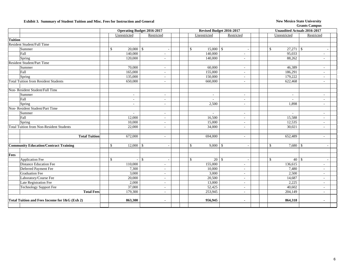### **Exhibit 3. Summary of Student Tuition and Misc. Fees for Instruction and General New Mexico State University**

|                |                                                 | <b>Operating Budget 2016-2017</b> |                          |                          |  |  | Revised Budget 2016-2017 |      |                          |                             | <b>Unaudited Actuals 2016-2017</b> |  |  |
|----------------|-------------------------------------------------|-----------------------------------|--------------------------|--------------------------|--|--|--------------------------|------|--------------------------|-----------------------------|------------------------------------|--|--|
|                |                                                 |                                   | Unrestricted             | Restricted               |  |  | Unrestricted             |      | Restricted               | Unrestricted                | Restricted                         |  |  |
| <b>Tuition</b> |                                                 |                                   |                          |                          |  |  |                          |      |                          |                             |                                    |  |  |
|                | Resident Student/Full Time                      |                                   |                          |                          |  |  |                          |      |                          |                             |                                    |  |  |
|                | Summer                                          |                                   | \$                       |                          |  |  | 15,000<br>$\mathbb{S}$   | -\$  |                          | $27,271$ \$<br>\$           |                                    |  |  |
|                | Fall                                            |                                   | 140,000                  | $\sim$                   |  |  | 140,000                  |      | $\sim$                   | 95,033                      | $\sim$                             |  |  |
|                | Spring                                          |                                   | 120,000                  | $\sim$                   |  |  | 140,000                  |      | $\sim$                   | 88,262                      | $\sim$                             |  |  |
|                | <b>Resident Student/Part Time</b>               |                                   |                          |                          |  |  |                          |      |                          |                             |                                    |  |  |
|                | Summer                                          |                                   | 70,000                   | $\sim$                   |  |  | 60,000                   |      | $\overline{\phantom{a}}$ | 46,389                      | $\sim$                             |  |  |
|                | Fall                                            |                                   | 165,000                  | $\sim$                   |  |  | 155,000                  |      | $\overline{\phantom{a}}$ | 186,291                     | $\sim$                             |  |  |
|                | Spring                                          |                                   | 135,000                  |                          |  |  | 150,000                  |      | ÷.                       | 179,222                     | $\sim$                             |  |  |
|                | <b>Total Tuition from Resident Students</b>     |                                   | 650,000                  | $\sim$                   |  |  | 660,000                  |      | $\overline{\phantom{a}}$ | 622,468                     | $\sim$                             |  |  |
|                | Non-Resident Student/Full Time                  |                                   |                          |                          |  |  |                          |      |                          |                             |                                    |  |  |
|                | Summer                                          |                                   | $\overline{\phantom{a}}$ |                          |  |  |                          |      | $\sim$                   | $\blacksquare$              | $\sim$                             |  |  |
|                | Fall                                            |                                   | ä,                       |                          |  |  |                          |      | $\bar{a}$                | $\sim$                      | $\sim$                             |  |  |
|                | Spring                                          |                                   | $\sim$                   | $\sim$                   |  |  | 2,500                    |      | $\sim$                   | 1,898                       | $\sim$                             |  |  |
|                | Non-Resident Student/Part Time                  |                                   |                          |                          |  |  |                          |      |                          |                             |                                    |  |  |
|                | Summer                                          |                                   | $\sim$                   | $\sim$                   |  |  | $\sim$                   |      | $\sim$                   | $\sim$                      | $\sim$                             |  |  |
|                | Fall                                            |                                   | 12,000                   | $\sim$                   |  |  | 16,500                   |      | $\sim$                   | 15,588                      | $\sim$                             |  |  |
|                | Spring                                          |                                   | 10,000                   |                          |  |  | 15,000                   |      |                          | 12,535                      | $\sim$                             |  |  |
|                | <b>Total Tuition from Non-Resident Students</b> |                                   | 22,000                   | $\sim$                   |  |  | 34,000                   |      | $\overline{\phantom{a}}$ | 30,021                      | $\sim$                             |  |  |
|                |                                                 |                                   |                          |                          |  |  |                          |      |                          |                             |                                    |  |  |
|                | <b>Total Tuition</b>                            |                                   | 672,000                  | $\sim$                   |  |  | 694,000                  |      | $\sim$                   | 652,489                     | $\sim$                             |  |  |
|                | <b>Community Education/Contract Training</b>    |                                   | \$<br>$12,000$ \$        |                          |  |  | $\mathcal{S}$<br>9,000   | - \$ |                          | $\mathcal{S}$<br>$7,680$ \$ |                                    |  |  |
| Fees           |                                                 |                                   |                          |                          |  |  |                          |      |                          |                             |                                    |  |  |
|                | <b>Application Fee</b>                          |                                   | \$                       | $\mathbb{S}$             |  |  | $\mathcal{S}$<br>20      | -\$  |                          | \$<br>40                    | $\mathcal{S}$                      |  |  |
|                | <b>Distance Education Fee</b>                   |                                   | 110,000                  |                          |  |  | 155,000                  |      | $\overline{\phantom{a}}$ | 136,615                     | $\sim$                             |  |  |
|                | Deferred Payment Fee                            |                                   | 7,300                    | $\sim$                   |  |  | 10,000                   |      | $\sim$                   | 7,480                       | $\sim$                             |  |  |
|                | <b>Graduation Fee</b>                           |                                   | 3,000                    | $\sim$                   |  |  | 3,000                    |      | $\sim$                   | 2,500                       | $\sim$                             |  |  |
|                | Laboratory/Course Fee                           |                                   | 20,000                   | $\sim$                   |  |  | 20,500                   |      | $\sim$                   | 14,687                      | $\sim$                             |  |  |
|                | Late Registration Fee                           |                                   | 2,000                    | $\sim$                   |  |  | 13,000                   |      | $\sim$                   | 2,225                       | $\sim$                             |  |  |
|                | <b>Technology Support Fee</b>                   |                                   | 37,000                   | $\sim$                   |  |  | 52,425                   |      | $\overline{\phantom{a}}$ | 40,602                      | $\sim$                             |  |  |
|                | <b>Total Fees</b>                               |                                   | 179,300                  | $\overline{\phantom{a}}$ |  |  | 253,945                  |      | $\overline{\phantom{a}}$ | 204,149                     | $\sim$                             |  |  |
|                | Total Tuition and Fees Income for I&G (Exh 2)   |                                   | 863,300                  |                          |  |  | 956,945                  |      |                          | 864,318                     |                                    |  |  |
|                |                                                 |                                   |                          |                          |  |  |                          |      |                          |                             |                                    |  |  |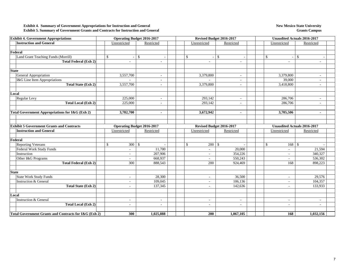#### **Exhibit 4. Summary of Government Appropriations for Instruction and General Exhibit 5. Summary of Government Grants and Contracts for Instruction and General**

#### **New Mexico State University Grants Campus**

| <b>Exhibit 4. Government Appropriations</b>           |                          | <b>Operating Budget 2016-2017</b> |  | Revised Budget 2016-2017 |               |                          | <b>Unaudited Actuals 2016-2017</b> |                          |                                    |  |
|-------------------------------------------------------|--------------------------|-----------------------------------|--|--------------------------|---------------|--------------------------|------------------------------------|--------------------------|------------------------------------|--|
| <b>Instruction and General</b>                        | Unrestricted             | Restricted                        |  | Unrestricted             |               | Restricted               | Unrestricted                       |                          | Restricted                         |  |
|                                                       |                          |                                   |  |                          |               |                          |                                    |                          |                                    |  |
| Federal                                               |                          |                                   |  |                          |               |                          |                                    |                          |                                    |  |
| Land Grant Teaching Funds (Morrill)                   | \$                       | $\mathcal{S}$                     |  | $\mathcal{S}$            | $\mathcal{S}$ |                          | $\mathbb{S}$                       |                          | $\mathbb{S}$                       |  |
| <b>Total Federal (Exh 2)</b>                          |                          | ÷.                                |  | $\sim$                   |               | $\sim$                   |                                    | $\bar{a}$                | ÷.                                 |  |
|                                                       |                          |                                   |  |                          |               |                          |                                    |                          |                                    |  |
| <b>State</b>                                          |                          |                                   |  |                          |               |                          |                                    |                          |                                    |  |
| General Appropriation                                 | 3,557,700                | $\sim$                            |  | 3,379,800                |               | $\sim$                   | 3,379,800                          |                          | $\overline{\phantom{a}}$           |  |
| I&G Line Item Appropriations                          |                          | $\overline{\phantom{a}}$          |  |                          |               | $\overline{\phantom{a}}$ |                                    | 39,000                   | $\overline{\phantom{a}}$           |  |
| <b>Total State (Exh 2)</b>                            | 3,557,700                | $\sim$                            |  | 3,379,800                |               | $\sim$                   | 3,418,800                          |                          | $\sim$                             |  |
|                                                       |                          |                                   |  |                          |               |                          |                                    |                          |                                    |  |
| Local                                                 |                          |                                   |  |                          |               |                          |                                    |                          |                                    |  |
| Regular Levy                                          | 225,000                  | $\sim$                            |  | 293,142                  |               | $\sim$                   |                                    | 286,706                  | $\sim$                             |  |
| <b>Total Local (Exh 2)</b>                            | 225,000                  |                                   |  | 293,142                  |               |                          |                                    | 286,706                  |                                    |  |
|                                                       |                          |                                   |  |                          |               |                          |                                    |                          |                                    |  |
| Total Government Appropriations for I&G (Exh 2)       | 3,782,700                | $\blacksquare$                    |  | 3,672,942                |               | $\blacksquare$           |                                    | 3,705,506                |                                    |  |
|                                                       |                          |                                   |  |                          |               |                          |                                    |                          |                                    |  |
|                                                       |                          |                                   |  |                          |               |                          |                                    |                          |                                    |  |
| <b>Exhibit 5 Government Grants and Contracts</b>      |                          | <b>Operating Budget 2016-2017</b> |  | Revised Budget 2016-2017 |               |                          |                                    |                          | <b>Unaudited Actuals 2016-2017</b> |  |
| <b>Instruction and General</b>                        | Unrestricted             | Restricted                        |  | Unrestricted             |               | Restricted               | Unrestricted                       |                          | Restricted                         |  |
| Federal                                               |                          |                                   |  |                          |               |                          |                                    |                          |                                    |  |
| <b>Reporting Veterans</b>                             | \$<br>300                | $\mathcal{S}$                     |  | $\mathcal{S}$<br>200     | $\mathcal{S}$ |                          | \$                                 | $168 \quad$ \$           |                                    |  |
| Federal Work Study Funds                              | $\sim$                   | 11,700                            |  | $\sim$                   |               | 20,000                   |                                    | ÷.                       | 21,594                             |  |
| Instruction                                           | $\sim$                   | 207,906                           |  | $\sim$                   |               | 354,226                  |                                    | $\sim$                   | 340,327                            |  |
| Other I&G Programs                                    | $\overline{\phantom{a}}$ | 668,937                           |  |                          |               | 550,243                  |                                    | $\overline{\phantom{a}}$ | 536,302                            |  |
| <b>Total Federal (Exh 2)</b>                          | 300                      | 888,543                           |  | 200                      |               | 924,469                  |                                    | 168                      | 898,223                            |  |
|                                                       |                          |                                   |  |                          |               |                          |                                    |                          |                                    |  |
| <b>State</b>                                          |                          |                                   |  |                          |               |                          |                                    |                          |                                    |  |
| <b>State Work Study Funds</b>                         | $\sim$                   | 28,300                            |  | $\sim$                   |               | 36,500                   |                                    | $\overline{\phantom{a}}$ | 29,576                             |  |
| <b>Instruction &amp; General</b>                      | $\overline{\phantom{a}}$ | 109,045                           |  | $\sim$                   |               | 106,136                  |                                    | $\blacksquare$           | 104,357                            |  |
| <b>Total State (Exh 2)</b>                            | $\overline{\phantom{a}}$ | 137,345                           |  | $\sim$                   |               | 142,636                  |                                    | $\overline{\phantom{a}}$ | 133,933                            |  |
|                                                       |                          |                                   |  |                          |               |                          |                                    |                          |                                    |  |
| Local                                                 |                          |                                   |  |                          |               |                          |                                    |                          |                                    |  |
| <b>Instruction &amp; General</b>                      | $\sim$                   | $\sim$                            |  | $\sim$                   |               | $\sim$                   |                                    | $\sim$                   | $\sim$                             |  |
| <b>Total Local (Exh 2)</b>                            | $\overline{\phantom{a}}$ | ÷.                                |  | $\overline{\phantom{a}}$ |               | $\sim$                   |                                    | $\sim$                   |                                    |  |
|                                                       |                          |                                   |  |                          |               |                          |                                    |                          |                                    |  |
| Total Government Grants and Contracts for I&G (Exh 2) | 300                      | 1,025,888                         |  | 200                      |               | 1,067,105                |                                    | 168                      | 1,032,156                          |  |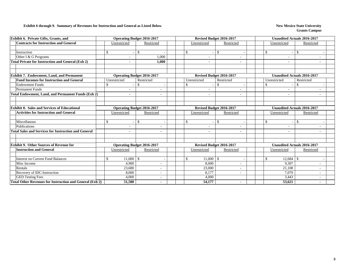#### **Exhibit 6 through 9. Summary of Revenues for Instruction and General as Listed Below New Mexico State University**

| Exhibit 6. Private Gifts, Grants, and                           |              | <b>Operating Budget 2016-2017</b> |               |                          |  | Revised Budget 2016-2017 |                          |                          |  |               | <b>Unaudited Actuals 2016-2017</b> |               |  |  |  |  |
|-----------------------------------------------------------------|--------------|-----------------------------------|---------------|--------------------------|--|--------------------------|--------------------------|--------------------------|--|---------------|------------------------------------|---------------|--|--|--|--|
| <b>Contracts for Instruction and General</b>                    |              | Unrestricted                      | Restricted    |                          |  |                          | Unrestricted             | Restricted               |  |               | Unrestricted                       | Restricted    |  |  |  |  |
|                                                                 |              |                                   |               |                          |  |                          |                          |                          |  |               |                                    |               |  |  |  |  |
| Instruction                                                     | \$           | $\sim$                            | <sup>\$</sup> |                          |  |                          | <sup>\$</sup>            | $\mathbb{S}$             |  |               |                                    | <sup>\$</sup> |  |  |  |  |
| Other I & G Programs                                            |              |                                   |               | 1.000                    |  |                          |                          |                          |  |               |                                    |               |  |  |  |  |
| <b>Total Private for Instruction and General (Exh 2)</b>        |              | -                                 |               | 1,000                    |  |                          | $\blacksquare$           | $\blacksquare$           |  |               | $\blacksquare$                     |               |  |  |  |  |
|                                                                 |              |                                   |               |                          |  |                          |                          |                          |  |               |                                    |               |  |  |  |  |
|                                                                 |              |                                   |               |                          |  |                          |                          |                          |  |               |                                    |               |  |  |  |  |
| <b>Exhibit 7. Endowment, Land, and Permanent</b>                |              | <b>Operating Budget 2016-2017</b> |               |                          |  |                          |                          | Revised Budget 2016-2017 |  |               | <b>Unaudited Actuals 2016-2017</b> |               |  |  |  |  |
| <b>Fund Incomes for Instruction and General</b>                 |              | Unrestricted                      | Restricted    |                          |  |                          | Unrestricted             | Restricted               |  |               | Unrestricted                       | Restricted    |  |  |  |  |
| <b>Endowment Funds</b>                                          | \$           | $\overline{\phantom{a}}$          | $\mathbb{S}$  |                          |  |                          | $\mathbb{S}$             | \$                       |  | <sup>\$</sup> |                                    | <sup>\$</sup> |  |  |  |  |
| <b>Permanent Funds</b>                                          |              |                                   |               |                          |  |                          |                          |                          |  |               |                                    |               |  |  |  |  |
| <b>Total Endowment, Land, and Permanent Funds (Exh 2)</b>       |              | ۰                                 |               |                          |  |                          | $\overline{\phantom{a}}$ | ۰.                       |  |               | $\blacksquare$                     |               |  |  |  |  |
|                                                                 |              |                                   |               |                          |  |                          |                          |                          |  |               |                                    |               |  |  |  |  |
|                                                                 |              |                                   |               |                          |  |                          |                          |                          |  |               |                                    |               |  |  |  |  |
| <b>Exhibit 8. Sales and Services of Educational</b>             |              | <b>Operating Budget 2016-2017</b> |               |                          |  |                          |                          | Revised Budget 2016-2017 |  |               | <b>Unaudited Actuals 2016-2017</b> |               |  |  |  |  |
| <b>Activities for Instruction and General</b>                   |              | Unrestricted                      |               | Restricted               |  |                          | Unrestricted             | Restricted               |  |               | Unrestricted                       | Restricted    |  |  |  |  |
|                                                                 |              |                                   |               |                          |  |                          |                          |                          |  |               |                                    |               |  |  |  |  |
| Miscellanous                                                    | $\mathbb{S}$ | $\overline{\phantom{a}}$          | -\$           |                          |  |                          | $\mathbb{S}$             | $\mathbb{S}$             |  |               |                                    | $\mathbf S$   |  |  |  |  |
| Publications                                                    |              |                                   |               |                          |  |                          |                          |                          |  |               |                                    |               |  |  |  |  |
| <b>Total Sales and Services for Instruction and General</b>     |              |                                   |               |                          |  |                          |                          |                          |  |               |                                    |               |  |  |  |  |
|                                                                 |              |                                   |               |                          |  |                          |                          |                          |  |               |                                    |               |  |  |  |  |
|                                                                 |              |                                   |               |                          |  |                          |                          |                          |  |               |                                    |               |  |  |  |  |
| <b>Exhibit 9. Other Sources of Revenue for</b>                  |              | <b>Operating Budget 2016-2017</b> |               |                          |  |                          |                          | Revised Budget 2016-2017 |  |               | <b>Unaudited Actuals 2016-2017</b> |               |  |  |  |  |
| <b>Instruction and General</b>                                  |              | Unrestricted                      | Restricted    |                          |  |                          | Unrestricted             | Restricted               |  |               | Unrestricted                       | Restricted    |  |  |  |  |
|                                                                 |              |                                   |               |                          |  |                          |                          |                          |  |               |                                    |               |  |  |  |  |
| <b>Interest on Current Fund Balances</b>                        | \$           | 11,000                            | -S            |                          |  |                          | 11,000<br>\$             | $\mathbb{S}$             |  |               | 12,684                             | <sup>\$</sup> |  |  |  |  |
| Misc Income                                                     |              | 4.900                             |               | $\overline{\phantom{a}}$ |  |                          | 8.000                    | $\overline{\phantom{a}}$ |  |               | 9.307                              |               |  |  |  |  |
| Rentals                                                         |              | 23,680                            |               |                          |  |                          | 23,000                   | ٠                        |  |               | 21,108                             |               |  |  |  |  |
| Recovery of IDC-Instruction                                     |              | 8,000                             |               |                          |  |                          | 8,177                    |                          |  |               | 7,079                              |               |  |  |  |  |
| <b>GED Testing Fees</b>                                         |              | 4,000                             |               |                          |  |                          | 4,000                    |                          |  |               | 3,443                              |               |  |  |  |  |
| <b>Total Other Revenues for Instruction and General (Exh 2)</b> |              | 51.580                            |               |                          |  |                          | 54,177                   |                          |  |               | 53.621                             |               |  |  |  |  |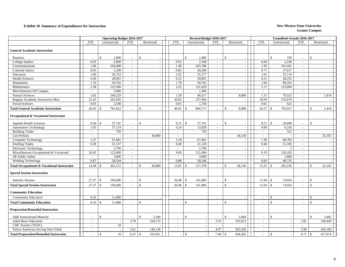### **Exhibit 10. Summary of Expenditures for Instruction New Mexico State University**

|                                                        |                             | Operating Budget 2016-2017 |                             |               |                          | Revised Budget 2016-2017 |                          |        |                          | <b>Unaudited Actuals 2016-2017</b> |                          |                                |                          |               |                          |
|--------------------------------------------------------|-----------------------------|----------------------------|-----------------------------|---------------|--------------------------|--------------------------|--------------------------|--------|--------------------------|------------------------------------|--------------------------|--------------------------------|--------------------------|---------------|--------------------------|
|                                                        | <b>FTE</b>                  | Unrestricted               | <b>FTE</b>                  | Restricted    |                          | <b>FTE</b>               | Unrestricted             |        | <b>FTE</b>               | Restricted                         | <b>FTE</b>               | Unrestricted                   | <b>FTE</b>               |               | Restricted               |
| <b>General Academic Instruction</b>                    |                             |                            |                             |               |                          |                          |                          |        |                          |                                    |                          |                                |                          |               |                          |
| <b>Business</b>                                        | $\sim$                      | $\mathbf{\$}$<br>1,800     | $\overline{\phantom{a}}$    | $\mathcal{S}$ |                          |                          | $\mathcal{S}$            | 1,800  | $\sim$                   | $\mathbf{\$}$                      |                          | $\mathbf{\$}$<br>109           | $\overline{\phantom{a}}$ | $\mathcal{S}$ |                          |
| <b>College Studies</b>                                 | 0.03                        | 2,000                      | $\overline{\phantom{a}}$    |               |                          | 0.03                     |                          | 2,548  | $\sim$                   |                                    | 0.04                     | 2,258                          | $\overline{\phantom{a}}$ |               |                          |
| Communications                                         | 1.96                        | 104,488                    | $\mathcal{L}_{\mathcal{A}}$ |               |                          | 1.98                     | 103,788                  |        | $\sim$                   |                                    | 1.95                     | 101,441                        | $\sim$                   |               |                          |
| Criminal Justice                                       | 0.03                        | 2,200                      | $\mathcal{L}_{\mathcal{A}}$ |               |                          | 0.83                     | 44,200                   |        | $\sim$                   |                                    | 0.71                     | 37,617                         | $\sim$                   |               |                          |
| Education                                              | 1.09                        | 56,752                     | $\blacksquare$              |               | $\overline{\phantom{a}}$ | 1.01                     | 55,177                   |        | $\sim$                   | $\overline{\phantom{a}}$           | 1.01                     | 55,110                         | $\sim$                   |               | $\overline{a}$           |
| <b>Health Sciences</b>                                 | 0.49                        | 28,941                     | $\sim$                      |               |                          | 0.51                     | 29,891                   |        | $\sim$                   | $\overline{a}$                     | 0.51                     | 28,235                         | $\sim$                   |               | $\overline{\phantom{a}}$ |
| Humanities                                             | 1.76                        | 94,762                     | $\sim$                      |               | $\overline{\phantom{a}}$ | 1.78                     | 94,762                   |        | $\sim$                   | $\overline{a}$                     | 1.66                     | 89,353                         | $\sim$                   |               | $\overline{\phantom{a}}$ |
| Mathematics                                            | 2.38                        | 123,500                    | $\sim$                      |               |                          | 2.25                     | 121,020                  |        | $\sim$                   |                                    | 2.17                     | 115,094                        | $\sim$                   |               |                          |
| Miscellaneous Off Campus                               | $\mathbb{L}^{\mathbb{N}}$   | 3,000                      | $\sim$                      |               |                          | $\sim$                   |                          | 1,500  | $\sim$                   |                                    | $\sim$                   |                                | $\sim$                   |               |                          |
| <b>Natural Sciences</b>                                | 1.82                        | 100,229                    | $\sim$                      |               |                          | 1.59                     | 90,317                   |        | $\sim$                   | 8,889                              | 1.37                     | 79,525                         | $\sim$                   |               | 2,418                    |
| Regular Academic Instruction Misc.                     | 32.43                       | 261,650                    | $\sim$                      |               |                          | 36.02                    | 257,964                  |        | $\sim$                   |                                    | 34.94                    | 235,670                        | $\sim$                   |               |                          |
| Social Sciences                                        | 0.03                        | 2,500                      | $\sim$                      |               |                          | 0.01                     |                          | 1,750  | $\sim$                   |                                    | 0.01                     | 625                            | $\sim$                   |               |                          |
| <b>Total General Academic Instruction</b>              | 42.02                       | 781,822<br>$\mathcal{S}$   | $\sim$                      | $\mathbf{\$}$ |                          | 46.01                    | 804,717<br>$\mathcal{S}$ |        |                          | $\mathcal{S}$<br>8,889             | 44.37                    | $\mathbf{\hat{S}}$<br>745,037  | $\sim$                   | $\mathcal{S}$ | 2,418                    |
| <b>Occupational &amp; Vocational Instruction</b>       |                             |                            |                             |               |                          |                          |                          |        |                          |                                    |                          |                                |                          |               |                          |
| <b>Applied Health Sciences</b>                         | 0.50                        | $\mathcal{S}$<br>27,741    | $\sim$                      | \$            |                          | 0.51                     | <sup>\$</sup><br>27,741  |        | $\overline{\phantom{a}}$ | $\mathcal{S}$                      | 0.51                     | $\mathbb{S}$<br>26,690         | $\overline{\phantom{a}}$ | \$            |                          |
| <b>Automotive Technology</b>                           | 1.05                        | 57,119                     | $\sim$                      |               |                          | 0.24                     | 13,850                   |        | $\sim$                   | $\overline{a}$                     | 0.06                     | 6,316                          | $\sim$                   |               |                          |
| <b>Building Trades</b>                                 | $\sim$                      | 750                        | $\mathcal{L}_{\mathcal{A}}$ |               |                          | $\sim$                   |                          | 750    | $\mathbb{L}^+$           |                                    | $\sim$                   | 552                            | $\sim$                   |               |                          |
| Carl Perkins                                           | $\mathcal{L}_{\mathcal{A}}$ |                            | $\sim$                      |               | $\frac{30,000}{ }$       | $\sim$                   |                          |        | $\sim$                   | 28,136                             | $\sim$                   |                                | $\sim$                   |               | 25,192                   |
| <b>Computer Technology</b>                             | 1.27                        | 67,681                     | $\sim$                      |               |                          | 1.29                     | 67,681                   |        | $\sim$                   |                                    | 1.36                     | 68,783                         | $\sim$                   |               |                          |
| <b>Drafting Trades</b>                                 | 0.38                        | 21,137                     | $\sim$                      |               |                          | 0.40                     | 21,128                   |        | $\sim$                   |                                    | 0.40                     | 21,105                         | $\sim$                   |               |                          |
| <b>Electronic Technology</b>                           | $\sim$                      | 2,700                      | $\mathcal{L}_{\mathcal{A}}$ |               |                          | $\sim$                   |                          | 2,700  | $\sim$                   |                                    | $\sim$                   | 2                              | $\sim$                   |               |                          |
| Miscellaneous Occupational & Vocational                | 10.42                       | 123,600                    | $\mathbb{Z}^2$              |               | $\overline{\phantom{a}}$ | 9.69                     | 121,984                  |        | $\sim$                   |                                    | 9.19                     | 120, 185                       | $\mathcal{L}$            |               |                          |
| <b>OE Public Safety</b>                                | $\blacksquare$              | 3,000                      | $\overline{\phantom{a}}$    |               |                          |                          |                          | 3,000  | $\sim$                   |                                    | $\blacksquare$           | 2,868                          | $\blacksquare$           |               |                          |
| <b>Welding Technology</b>                              | 0.87                        | 58,544                     | $\sim$                      |               |                          | 0.88                     | 58,544                   |        | $\sim$                   |                                    | 0.83                     | 48,735                         | $\sim$                   |               |                          |
| <b>Total Occupational &amp; Vocational Instruction</b> | 14.49                       | 362,272<br>\$              | $\sim$                      | $\mathbf{s}$  | 30,000                   | 13.01                    | 317,378<br>$\mathbf{\$}$ |        |                          | 28,136<br>$\mathcal{S}$            | 12.35                    | 295,236<br>$\mathbb{S}$        | $\sim$                   | \$            | 25,192                   |
| <b>Special Session Instruction</b>                     |                             |                            |                             |               |                          |                          |                          |        |                          |                                    |                          |                                |                          |               |                          |
| <b>Summer Session</b>                                  | 27.37                       | $\mathbb{S}$<br>196,000    | $\sim$                      | $\mathbf{s}$  | L,                       | 20.48                    | $\mathbb{S}$<br>141,000  |        |                          | $\mathbf{\$}$                      | 11.04                    | $\mathbf{\hat{S}}$<br>74,924   | $\overline{\phantom{a}}$ | $\mathcal{S}$ |                          |
| <b>Total Special Session Instruction</b>               | 27.37                       | $\mathcal{S}$<br>196,000   | $\sim$                      | $\mathcal{S}$ |                          | 20.48                    | \$<br>141,000            |        | $\sim$                   | $\mathbf{\hat{S}}$                 | 11.04                    | $\mathbf{\hat{S}}$<br>74,924   | $\sim$                   | $\mathbf{s}$  |                          |
| <b>Community Education</b>                             |                             |                            |                             |               |                          |                          |                          |        |                          |                                    |                          |                                |                          |               |                          |
| <b>Community Education</b>                             | 0.16                        | 11,000                     | $\overline{\phantom{a}}$    |               |                          | $\sim$                   |                          | $\sim$ | $\overline{\phantom{a}}$ |                                    | $\overline{\phantom{a}}$ | \$<br>$\overline{\phantom{a}}$ | $\overline{\phantom{a}}$ | \$            |                          |
| <b>Total Community Education</b>                       | 0.16                        | 11,000<br>\$               | $\mathcal{L}_{\mathcal{A}}$ | $\mathbf{\$}$ |                          |                          | $\mathbf{\$}$            |        |                          | $\mathcal{S}$                      | $\mathbf{r}$             | $\mathbf{\hat{S}}$             | $\sim$                   | $\mathbf{s}$  |                          |
| <b>Preparation/Remedial Instruction</b>                |                             |                            |                             |               |                          |                          |                          |        |                          |                                    |                          |                                |                          |               |                          |
| <b>ABE</b> Instructional Material                      | $\overline{\phantom{a}}$    | \$                         | $\sim$                      | $\mathcal{S}$ | 3,100                    |                          | $\mathcal{S}$            |        |                          | 5,000<br>$\mathbf{\hat{S}}$        | $\sim$                   | $\mathbb{S}$                   | $\sim$                   | $\mathbf{s}$  | 3,465                    |
| <b>Adult Basic Education</b>                           |                             |                            | 3.70                        |               | 164,715                  | $\sim$                   |                          |        | 3.33                     | 165,813                            | $\sim$                   | $\sim$                         | 2.81                     |               | 149,449                  |
| CHE Teacher (TEDC)                                     | $\sim$                      | 10                         | $\sim$                      |               |                          | $\sim$                   |                          |        | $\sim$                   |                                    | $\sim$                   |                                | $\sim$                   |               |                          |
| Native American Serving Non-Tribal                     | $\sim$                      |                            | 2.61                        |               | 149,136                  | $\sim$                   |                          |        | 4.07                     | 263,549                            | $\sim$                   | $\overline{\phantom{a}}$       | 5.90                     |               | 264,160                  |
| <b>Total Preparation/Remedial Instruction</b>          |                             | 10<br>\$.                  | 6.31                        | -S            | 316,951                  |                          | $\mathbf{\$}$            |        | 7.40                     | 434,362<br>-\$                     | $\sim$                   | $\mathcal{S}$                  | 8.71                     | -S            | 417.074                  |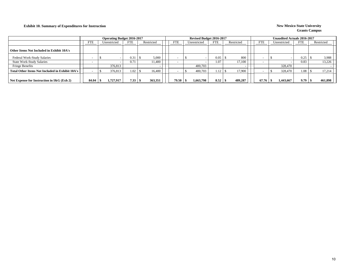### **Exhibit 10. Summary of Expenditures for Instruction New Mexico State University**

|                                                 |            | <b>Operating Budget 2016-2017</b> |            |            |            |              | Revised Budget 2016-2017 |            |            |  |            |              | <b>Unaudited Actuals 2016-2017</b> |  |            |
|-------------------------------------------------|------------|-----------------------------------|------------|------------|------------|--------------|--------------------------|------------|------------|--|------------|--------------|------------------------------------|--|------------|
|                                                 | <b>FTE</b> | Unrestricted                      | <b>FTE</b> | Restricted | <b>FTE</b> | Unrestricted |                          | <b>FTE</b> | Restricted |  | <b>FTE</b> | Unrestricted | <b>FTE</b>                         |  | Restricted |
| Other Items Not Included in Exhibit 10A's       |            |                                   |            |            |            |              |                          |            |            |  |            |              |                                    |  |            |
| Federal Work-Study Salaries                     |            |                                   | 0.31       | 5,000      |            |              |                          | 0.05       | 800        |  |            |              | 0.25                               |  | 3,988      |
| <b>State Work-Study Salaries</b>                |            |                                   | 0.71       | 11.400     |            |              |                          | 1.07       | 17.100     |  |            |              | 0.83                               |  | 13,226     |
| Fringe Benefits                                 |            | 376,813                           |            |            |            |              | 400,703                  |            |            |  |            | 328,470      |                                    |  |            |
| Total Other Items Not Included in Exhibit 10A's |            | 376,813                           | 1.02       | 16.400     |            |              | 400,703                  | 1.12       | 17.900     |  |            | 328,470      | 1.08                               |  | 17,214     |
|                                                 |            |                                   |            |            |            |              |                          |            |            |  |            |              |                                    |  |            |
| Net Expense for Instruction in $I\&G$ (Exh 2)   | 84.04      | 1,727,917                         | 7.33       | 363,351    | 79.50      |              | 1,663,798                | 8.52       | 489.287    |  | 67.76      | 1,443,667    | 9.79                               |  | 461,898    |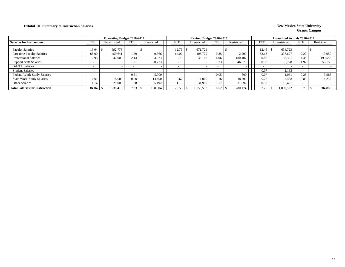### **Exhibit 10. Summary of Instruction Salaries** New Mexico State University

|                                       |                          | <b>Operating Budget 2016-2017</b> |            |            |            | Revised Budget 2016-2017 |            |            |                          | <b>Unaudited Actuals 2016-2017</b> |                          |            |
|---------------------------------------|--------------------------|-----------------------------------|------------|------------|------------|--------------------------|------------|------------|--------------------------|------------------------------------|--------------------------|------------|
| <b>Salaries for Instruction</b>       | <b>FTE</b>               | Unrestricted                      | <b>FTE</b> | Restricted | <b>FTE</b> | Unrestricted             | <b>FTE</b> | Restricted | <b>FTE</b>               | Unrestricted                       | <b>FTE</b>               | Restricted |
| <b>Faculty Salaries</b>               | 13.04                    | 692.778                           |            |            | 12.79      | 671,721                  |            |            | 12.46                    | 654.723                            | $\overline{\phantom{a}}$ |            |
| Part-time Faculty Salaries            | 68.00                    | 459.641                           | .39        | 9,366      | 64.07      | 406,729                  | 0.35       | 2,200      | 53.18                    | 337,627                            | 2.20                     | 13,950     |
| <b>Professional Salaries</b>          | 0.95                     | 42,000                            | 2.14       | 94,073     | 0.79       | 35,167                   | 4.06       | 180,407    | 0.82                     | 36,391                             | 4.48                     | 199,555    |
| <b>Support Staff Salaries</b>         |                          |                                   | 1.4        | 30,773     |            |                          | 1.73       | 46,575     | 0.32                     | 8,728                              | 1.97                     | 53,158     |
| GA/TA Salaries                        | $\overline{\phantom{0}}$ |                                   |            |            |            |                          |            |            | $\overline{\phantom{0}}$ |                                    | $\overline{\phantom{0}}$ |            |
| <b>Student Salaries</b>               | $\overline{\phantom{0}}$ |                                   |            |            |            |                          |            |            | 0.07                     | 1,133                              | $\overline{\phantom{0}}$ |            |
| Federal Work-Study Salaries           | $\overline{\phantom{0}}$ |                                   | 0.31       | 5,000      |            |                          | 0.05       | 800        | 0.07                     | 1.061                              | 0.25                     | 3,988      |
| <b>State Work-Study Salaries</b>      | 0.91                     | 15.000                            | 0.90       | 14.400     | 0.67       | 11,000                   | 1.16       | 18.500     | 0.27                     | 4,438                              | 0.89                     | 14,232     |
| Other Salaries                        | l.14                     | 29,000                            | 1.38       | 35,192     | 1.18       | 31,980                   | 1.17       | 31,692     | 0.57                     | 15,421                             | -                        |            |
| <b>Total Salaries for Instruction</b> | 84.04                    | 1.238.419                         | 7.33       | 188,804    | 79.50      | 1.156.597                | 8.52       | 280,174    | 67.76                    | 1.059.522                          | 9.79                     | 284,883    |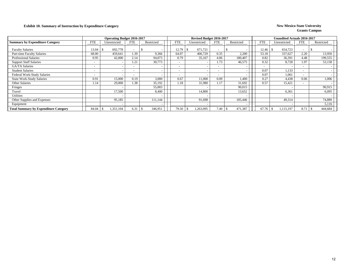### **Exhibit 10. Summary of Instruction by Expenditure Category New Mexico State University**

|                                              |            | <b>Operating Budget 2016-2017</b> |            |            |            |              | Revised Budget 2016-2017 |                          |            |                          | <b>Unaudited Actuals 2016-2017</b> |                          |                 |
|----------------------------------------------|------------|-----------------------------------|------------|------------|------------|--------------|--------------------------|--------------------------|------------|--------------------------|------------------------------------|--------------------------|-----------------|
| <b>Summary by Expenditure Category</b>       | <b>FTE</b> | Unrestricted                      | <b>FTE</b> | Restricted | <b>FTE</b> | Unrestricted |                          | <b>FTE</b>               | Restricted | <b>FTE</b>               | Unrestricted                       | <b>FTE</b>               | Restricted      |
| <b>Faculty Salaries</b>                      | 13.04      | 692,778                           |            |            | 12.79      |              | 671,721                  |                          |            | 12.46                    | 654,723                            |                          |                 |
| Part-time Faculty Salaries                   | 68.00      | 459,641                           | 1.39       | 9,366      | 64.07      |              | 406,729                  | 0.35                     | 2,200      | 53.18                    | 337.627                            | 2.20                     | 13,950          |
| <b>Professional Salaries</b>                 | 0.95       | 42,000                            | 2.14       | 94,073     | 0.79       |              | 35,167                   | 4.06                     | 180,407    | 0.82                     | 36,391                             | 4.48                     | 199,555         |
| <b>Support Staff Salaries</b>                |            |                                   | 1.21       | 30,773     |            |              |                          | 1.73                     | 46,575     | 0.32                     | 8,728                              | 1.97                     | 53,158          |
| <b>GA/TA Salaries</b>                        |            |                                   |            |            |            |              |                          | $\sim$                   |            | $\overline{\phantom{0}}$ |                                    |                          |                 |
| <b>Student Salaries</b>                      |            |                                   |            |            |            |              |                          | $\overline{\phantom{a}}$ |            | 0.07                     | 1,133                              | $\overline{\phantom{0}}$ |                 |
| Federal Work-Study Salaries                  |            |                                   |            |            |            |              |                          | $\sim$                   |            | 0.07                     | 1.061                              | $\overline{\phantom{0}}$ |                 |
| <b>State Work-Study Salaries</b>             | 0.91       | 15,000                            | 0.19       | 3,000      | 0.67       |              | 11,000                   | 0.09                     | 1.400      | 0.27                     | 4,438                              | 0.06                     | 1,006           |
| Other Salaries                               | 1.14       | 29,000                            | 1.38       | 35,192     | 1.18       |              | 31,980                   | 1.17                     | 31,692     | 0.57                     | 15,421                             | $\overline{\phantom{0}}$ |                 |
| Fringes                                      |            |                                   |            | 55,003     |            |              |                          |                          | 90,015     |                          |                                    |                          | 90,915          |
| Travel                                       |            | 17,500                            |            | 8,400      |            |              | 14,800                   |                          | 13,652     |                          | 6,361                              |                          | 6,095           |
| <b>Utilities</b>                             |            |                                   |            |            |            |              |                          |                          |            |                          |                                    |                          |                 |
| Other Supplies and Expenses                  |            | 95,185                            |            | 111,144    |            |              | 91,698                   |                          | 105,446    |                          | 49,314                             |                          | 74,889          |
| Equipment                                    |            |                                   |            |            |            |              |                          |                          |            |                          |                                    |                          | 5,116           |
| <b>Total Summary by Expenditure Category</b> | 84.04      | 1,351,104                         | 6.31       | 346,951    | 79.50      |              | 1,263,095                | 7.40                     | 471,387    | 67.76                    | 1,115,197                          | 8.71                     | 444,684<br>- 75 |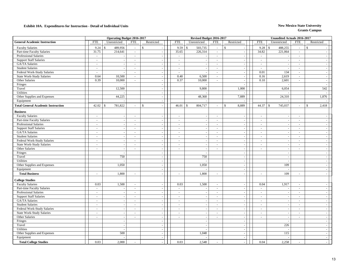|                                           | <b>Operating Budget 2016-2017</b> |                               |               |                          |  |            |              | Revised Budget 2016-2017 |                     |               |                          |            | <b>Unaudited Actuals 2016-2017</b> |                |                             |
|-------------------------------------------|-----------------------------------|-------------------------------|---------------|--------------------------|--|------------|--------------|--------------------------|---------------------|---------------|--------------------------|------------|------------------------------------|----------------|-----------------------------|
| <b>General Academic Instruction</b>       | <b>FTE</b>                        | Unrestricted                  | <b>FTE</b>    | Restricted               |  | <b>FTE</b> |              | Unrestricted             | <b>FTE</b>          |               | Restricted               | <b>FTE</b> | Unrestricted                       | <b>FTE</b>     | Restricted                  |
| <b>Faculty Salaries</b>                   | 9.24                              | 489,956<br>\$                 | $\sim$        | $\mathbf S$              |  | 9.59       | $\mathbb{S}$ | 503,735                  | $\sim$              | $\mathcal{S}$ |                          | 9.28       | 488,255<br>$\mathcal{S}$           | $\omega$       | $\mathbb{S}$                |
| Part-time Faculty Salaries                | 31.75                             | 214,641                       | $\Delta \phi$ |                          |  | 35.65      |              | 226,314                  | $\mathcal{L}^{\pm}$ |               | $\sim$                   | 34.82      | 221,064                            | $\sim$         |                             |
| Professional Salaries                     | $\omega_{\rm c}$                  |                               | $\sim$        | $\sim$                   |  | $\sim$     |              |                          | $\sim$              |               | $\sim$                   | $\sim$     |                                    | $\sim$         | $\sim$                      |
| <b>Support Staff Salaries</b>             | $\omega$                          |                               | $\sim$        | $\sim$                   |  | $\sim$     |              | $\sim$                   | $\omega$            |               | $\overline{\phantom{a}}$ | $\sim$     | $\overline{\phantom{a}}$           | $\omega$       | $\sim$                      |
| GA/TA Salaries                            | $\omega$                          |                               | $\sim$        | $\omega$                 |  | $\sim$     |              |                          | $\sim$              |               |                          | $\sim$     |                                    | $\sim$         | $\sim$                      |
| <b>Student Salaries</b>                   | $\omega$                          | $\overline{\phantom{a}}$      | $\sim$        | $\omega$                 |  | $\sim$     |              | $\sim$                   | $\sim$              |               | $\sim$                   | $\sim$     | $\overline{\phantom{a}}$           | $\sim$         | $\omega$                    |
| Federal Work-Study Salaries               | $\omega$                          | $\sim$                        | $\sim$        | $\sim$                   |  | $\sim$     |              | $\sim$                   | $\sim$              |               | $\sim$                   | 0.01       | 134                                | $\sim$         | $\overline{\phantom{a}}$    |
| <b>State Work-Study Salaries</b>          | 0.64                              | 10,500                        | $\sim$        | $\sim$                   |  | 0.40       |              | 6,500                    | $\sim$              |               | $\sim$                   | 0.16       | 2,619                              | $\sim$         | $\sim$                      |
| Other Salaries                            | 0.39                              | 10,000                        | $\sim$        | $\sim$                   |  | 0.37       |              | 10,000                   | $\omega$            |               | $\overline{\phantom{a}}$ | 0.10       | 2,601                              | $\sim$         | $\sim$                      |
| Fringes                                   |                                   |                               |               | $\sim$                   |  |            |              |                          |                     |               |                          |            |                                    |                | $\sim$                      |
| Travel                                    |                                   | 12,500                        |               | $\sim$                   |  |            |              | 9,800                    |                     |               | 1,000                    |            | 6,054                              |                | 542                         |
| Utilities                                 |                                   |                               |               |                          |  |            |              |                          |                     |               |                          |            |                                    |                |                             |
| Other Supplies and Expenses               |                                   | 44,225                        |               | $\overline{\phantom{a}}$ |  |            |              | 48,368                   |                     |               | 7,889                    |            | 24,310                             |                | 1,876                       |
| Equipment                                 |                                   |                               |               | $\overline{\phantom{a}}$ |  |            |              |                          |                     |               |                          |            |                                    |                |                             |
| <b>Total General Academic Instruction</b> | 42.02                             | 781,822<br>$\mathbf{\hat{s}}$ |               | $\mathbb{S}$             |  | 46.01      | $\mathbb{S}$ | 804,717                  | $\sim$              | $\mathbf S$   | 8,889                    | 44.37      | $\mathcal{S}$<br>745,037           | $\sim$         | $\mathbb{S}$<br>2,418       |
| <b>Business</b>                           |                                   |                               |               |                          |  |            |              |                          |                     |               |                          |            |                                    |                |                             |
| <b>Faculty Salaries</b>                   | $\sim$                            |                               | $\sim$        | $\sim$                   |  | $\sim$     |              | $\sim$                   | $\sim$              |               | $\overline{\phantom{a}}$ | $\sim$     | $\overline{\phantom{a}}$           | $\sim$         |                             |
| Part-time Faculty Salaries                | $\omega$                          | $\sim$                        | $\sim$        | $\mathcal{L}$            |  | $\omega$   |              | $\sim$                   | $\sim$              |               | $\sim$                   | $\sim$     |                                    | $\sim$         |                             |
| Professional Salaries                     | $\sim$                            | $\sim$                        | $\sim$        | $\sim$                   |  | $\sim$     |              | $\sim$                   | $\sim$              |               | $\sim$                   | $\sim$     | $\overline{\phantom{a}}$           | $\sim$         | $\sim$                      |
| <b>Support Staff Salaries</b>             | $\sim$                            | $\sim$                        | $\sim$        | $\sim$                   |  | $\sim$     |              |                          | $\sim$              |               | $\sim$                   | $\sim$     | $\overline{\phantom{a}}$           | $\sim$         | $\sim$                      |
| GA/TA Salaries                            | $\sim$                            |                               | $\sim$        | $\sim$                   |  | $\sim$     |              |                          | $\sim$              |               | $\overline{\phantom{a}}$ | $\sim$     |                                    | $\sim$         | $\sim$                      |
| <b>Student Salaries</b>                   | $\sim$                            | $\sim$                        | $\sim$        | $\omega$                 |  | $\omega$   |              |                          | $\sim$              |               | $\sim$                   | $\sim$     | ÷,                                 | $\blacksquare$ | $\omega$                    |
| Federal Work-Study Salaries               | $\sim$                            | $\sim$                        | $\sim$        | $\sim$                   |  | $\sim$     |              | $\sim$                   | $\sim$              |               | $\blacksquare$           | $\sim$     | ÷.                                 | $\sim$         | $\sim$                      |
| <b>State Work-Study Salaries</b>          | $\sim$                            | $\sim$                        | $\sim$        | $\sim$                   |  | $\sim$     |              | $\sim$                   | $\sim$              |               | $\sim$                   | $\sim$     | $\sim$                             | $\sim$         | $\omega$                    |
| Other Salaries                            | $\sim$                            | $\overline{a}$                | $\sim$        | $\sim$                   |  | $\sim$     |              | $\sim$                   | $\sim$              |               | $\sim$                   | $\sim$     | $\sim$                             | $\sim$         | $\omega$                    |
| Fringes                                   |                                   |                               |               | $\sim$                   |  |            |              |                          |                     |               | $\sim$                   |            | $\overline{\phantom{a}}$           |                | $\mathbb{Z}$                |
| Travel                                    |                                   | 750                           |               | $\sim$                   |  |            |              | 750                      |                     |               | $\blacksquare$           |            | $\sim$                             |                | $\blacksquare$              |
| <b>Utilities</b>                          |                                   |                               |               | $\overline{\phantom{a}}$ |  |            |              |                          |                     |               | $\sim$                   |            |                                    |                | $\sim$                      |
| Other Supplies and Expenses               |                                   | 1,050                         |               | $\sim$                   |  |            |              | 1,050                    |                     |               | $\sim$                   |            | 109                                |                | $\sim$                      |
| Equipment                                 |                                   |                               |               | $\sim$                   |  |            |              |                          |                     |               | $\sim$                   |            |                                    |                | $\sim$                      |
| <b>Total Business</b>                     | $\sim$                            | 1,800                         | $\sim$        | $\sim$                   |  | $\sim$     |              | 1,800                    | $\sim$              |               | $\overline{\phantom{a}}$ |            | 109                                | $\sim$         | $\sim$                      |
| <b>College Studies</b>                    |                                   |                               |               |                          |  |            |              |                          |                     |               |                          |            |                                    |                |                             |
| <b>Faculty Salaries</b>                   | 0.03                              | 1,500                         | $\sim$        | $\sim$                   |  | 0.03       |              | 1,500                    | $\sim$              |               |                          | 0.04       | 1,917                              | $\sim$         | $\sim$                      |
| Part-time Faculty Salaries                | $\sim$                            |                               | $\sim$        | $\sim$                   |  | $\sim$     |              | $\overline{\phantom{a}}$ | $\sim$              |               | ÷.                       | $\sim$     |                                    | $\sim$         | $\sim$                      |
| Professional Salaries                     | $\omega$                          | $\overline{\phantom{a}}$      | $\sim$        | $\mathcal{L}$            |  | $\omega$   |              |                          | $\sim$              |               | $\sim$                   | $\sim$     |                                    | $\sim$         | $\sim$                      |
| <b>Support Staff Salaries</b>             | $\omega$                          | $\sim$                        | $\sim$        | $\sim$                   |  | $\omega$   |              |                          | $\omega$            |               | $\overline{\phantom{a}}$ | $\sim$     | $\overline{a}$                     | $\sim$         | $\sim$                      |
| GA/TA Salaries                            | $\sim$                            | $\sim$                        | $\sim$        | $\sim$                   |  | $\sim$     |              | $\sim$                   | $\sim$              |               | $\sim$                   | $\sim$     | ÷,                                 | $\sim$         | $\sim$                      |
| <b>Student Salaries</b>                   | $\sim$                            | $\sim$                        | $\sim$        | $\sim$                   |  | $\sim$     |              | $\sim$                   | $\sim$              |               | $\sim$                   | $\sim$     | $\sim$                             | $\sim$         | $\sim$                      |
| Federal Work-Study Salaries               | $\sim$                            | $\sim$                        | $\sim$        | $\sim$                   |  | $\sim$     |              |                          | $\sim$              |               | $\overline{\phantom{a}}$ | $\sim$     | $\overline{\phantom{a}}$           | $\sim$         | $\sim$                      |
| <b>State Work-Study Salaries</b>          | $\omega$                          | $\sim$                        | $\sim$        | $\sim$                   |  | $\sim$     |              | $\blacksquare$           | $\sim$              |               | $\sim$                   | $\sim$     | $\sim$                             | $\sim$         | $\mathcal{L}_{\mathcal{A}}$ |
| Other Salaries                            | $\sim$                            | $\sim$                        | $\sim$        | $\sim$                   |  | $\sim$     |              | $\sim$                   | $\sim$              |               | $\sim$                   | $\sim$     | $\sim$                             | $\sim$         | $\sim$                      |
| Fringes                                   |                                   | $\sim$                        |               | $\sim$                   |  |            |              | $\overline{\phantom{a}}$ |                     |               | $\overline{\phantom{a}}$ |            |                                    |                | $\sim$                      |
| Travel                                    |                                   |                               |               |                          |  |            |              |                          |                     |               |                          |            | 226                                |                | $\sim$                      |
| Utilities                                 |                                   | $\sim$                        |               | $\sim$                   |  |            |              |                          |                     |               | $\bar{z}$                |            |                                    |                | $\sim$                      |
| Other Supplies and Expenses               |                                   | 500                           |               | $\sim$                   |  |            |              | 1,048                    |                     |               | $\overline{\phantom{a}}$ |            | 115                                |                | $\blacksquare$              |
| Equipment                                 |                                   |                               |               | $\sim$                   |  |            |              |                          |                     |               | $\sim$                   |            |                                    |                | $\sim$                      |
| <b>Total College Studies</b>              | 0.03                              | 2,000                         |               |                          |  | 0.03       |              | 2,548                    |                     |               |                          | 0.04       | 2,258                              |                |                             |
|                                           |                                   |                               |               |                          |  |            |              |                          |                     |               |                          |            |                                    |                |                             |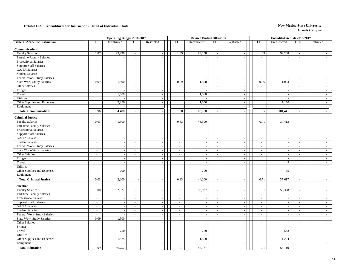| <b>General Academic Instruction</b><br><b>FTE</b><br>Unrestricted<br>FTE<br>Restricted<br><b>FTE</b><br>Unrestricted<br><b>FTE</b><br>Restricted<br><b>FTE</b><br>Unrestricted<br>FTE<br>Restricted<br>Communications<br>1.87<br>99,238<br>99,238<br><b>Faculty Salaries</b><br>1.89<br>1.89<br>99,238<br>$\sim$<br>$\sim$<br>$\sim$<br>$\sim$<br>Part-time Faculty Salaries<br>$\omega$<br>$\omega$<br>$\sim$<br>$\sim$<br>$\sim$<br>$\sim$<br>$\sim$<br>$\blacksquare$<br>Professional Salaries<br>$\omega$<br>$\sim$<br>$\omega$<br>$\sim$<br>$\sim$<br>$\mathbb{Z}^2$<br>$\sim$<br>$\sim$<br>$\sim$<br><b>Support Staff Salaries</b><br>$\sim$<br>$\sim$<br>$\sim$<br>$\sim$<br>$\overline{\phantom{a}}$<br>$\sim$<br>$\sim$<br>$\sim$<br>$\overline{\phantom{a}}$<br>GA/TA Salaries<br>$\omega$<br>$\sim$<br>$\sim$<br>$\sim$<br>$\sim$<br>$\sim$<br>$\sim$<br>$\sim$<br>$\sim$<br>$\sim$<br>$\overline{\phantom{a}}$<br>÷.<br><b>Student Salaries</b><br>$\omega$<br>$\omega$<br>$\sim$<br>$\sim$<br>$\sim$<br>$\omega$<br>$\sim$<br>$\sim$<br>$\overline{a}$<br>$\sim$<br>Federal Work-Study Salaries<br>$\sim$<br>$\sim$<br>$\sim$<br>$\sim$<br>$\sim$<br>$\sim$<br>$\sim$<br>$\sim$<br>$\sim$<br>$\sim$<br>÷.<br>1,500<br><b>State Work-Study Salaries</b><br>0.09<br>1,500<br>0.09<br>0.06<br>1,033<br>$\sim$<br>$\sim$<br>$\sim$<br>$\overline{a}$<br>$\sim$<br>$\overline{\phantom{a}}$<br>Other Salaries<br>÷.<br>$\mathcal{L}$<br>$\omega$<br>$\sim$<br>$\sim$<br>$\sim$<br>$\sim$<br>$\sim$<br>$\overline{\phantom{a}}$<br>÷,<br>$\sim$<br>Fringes<br>$\sim$<br>÷,<br>÷.<br>1,500<br>1,500<br>Travel<br>$\sim$<br>÷.<br>$\sim$<br>Utilities<br>$\sim$<br>$\sim$<br>÷.<br>Other Supplies and Expenses<br>2,250<br>1,550<br>1,170<br>$\sim$<br>$\sim$<br>Equipment<br>÷.<br>$\sim$<br>1.96<br>104,488<br>1.98<br>103,788<br>1.95<br>101,441<br><b>Total Communications</b><br>$\sim$<br>$\sim$<br>$\sim$<br>$\sim$<br><b>Criminal Justice</b><br><b>Faculty Salaries</b><br>0.03<br>1,500<br>0.83<br>43,500<br>0.71<br>37,413<br>$\omega$<br>$\omega$<br>$\omega$<br>$\overline{\phantom{a}}$<br>Part-time Faculty Salaries<br>$\mathbf{r}$<br>$\sim$<br>$\sim$<br>$\sim$<br>$\sim$<br>$\sim$<br>$\sim$<br>$\sim$<br>$\sim$<br>÷.<br>Professional Salaries<br>$\sim$<br>$\sim$<br>$\sim$<br>$\sim$<br>$\sim$<br>$\sim$<br>$\sim$<br>$\sim$<br>$\overline{a}$<br>$\sim$<br>$\overline{\phantom{a}}$<br>$\sim$<br><b>Support Staff Salaries</b><br>$\sim$<br>$\sim$<br>$\sim$<br>$\sim$<br>$\sim$<br>$\sim$<br>$\sim$<br>$\sim$<br>GA/TA Salaries<br>$\sim$<br>$\sim$<br>$\sim$<br>$\sim$<br>$\sim$<br>$\sim$<br>$\sim$<br>$\sim$<br>$\blacksquare$<br>$\sim$<br>$\sim$<br>$\sim$<br><b>Student Salaries</b><br>$\blacksquare$<br>$\sim$<br>$\sim$<br>$\sim$<br>$\sim$<br>$\sim$<br>$\sim$<br>$\sim$<br>÷,<br>$\sim$<br>$\sim$<br>٠.<br>Federal Work-Study Salaries<br>$\omega$<br>$\sim$<br>$\mathcal{L}_{\mathcal{A}}$<br>$\sim$<br>$\sim$<br>$\sim$<br>$\sim$<br>÷,<br>$\sim$<br>÷.<br>$\overline{\phantom{a}}$<br>٠.<br><b>State Work-Study Salaries</b><br>$\omega$<br>$\omega$<br>$\omega$<br>$\sim$<br>$\sim$<br>$\mathcal{L}$<br>$\sim$<br>$\sim$<br>$\overline{\phantom{a}}$<br>Other Salaries<br>$\mathbf{r}$<br>$\omega$<br>$\sim$<br>$\sim$<br>$\sim$<br>$\sim$<br>$\sim$<br>$\sim$<br>$\sim$<br>$\sim$<br>$\sim$<br>$\overline{\phantom{a}}$<br>Fringes<br>$\sim$<br>$\sim$<br>$\sim$<br>$\overline{\phantom{a}}$<br><b>.</b><br>149<br>Travel<br>$\sim$<br>$\sim$<br>$\sim$<br>$\sim$<br>Utilities<br>$\sim$<br>$\sim$<br>$\sim$<br>$\sim$<br>$\sim$<br>700<br>Other Supplies and Expenses<br>700<br>55<br>$\sim$<br>$\sim$<br>$\sim$<br>Equipment<br>$\blacksquare$<br>÷.<br>2,200<br>44,200<br>37,617<br><b>Total Criminal Justice</b><br>0.03<br>0.83<br>0.71<br>$\overline{\phantom{a}}$<br>$\overline{\phantom{a}}$<br>$\sim$<br>$\sim$<br>Education<br>52,927<br>52,927<br>53,338<br><b>Faculty Salaries</b><br>1.00<br>1.01<br>1.01<br>$\sim$<br>$\sim$<br>$\sim$<br>$\sim$<br>Part-time Faculty Salaries<br>$\equiv$<br>$\sim$<br>$\sim$<br>$\sim$<br>$\sim$<br>$\sim$<br>$\sim$<br>$\sim$<br>Professional Salaries<br>$\sim$<br>$\sim$<br>$\sim$<br>$\sim$<br>$\sim$<br>$\sim$<br>$\sim$<br>$\sim$<br>$\sim$<br>$\overline{a}$<br>$\sim$<br>$\sim$<br><b>Support Staff Salaries</b><br>$\sim$<br>$\sim$<br>$\sim$<br>$\sim$<br>$\sim$<br>$\sim$<br>$\sim$<br>$\sim$<br>$\sim$<br>۰.<br>GA/TA Salaries<br>$\omega$<br>$\sim$<br>$\sim$<br>$\sim$<br>$\sim$<br>$\equiv$<br>$\sim$<br>$\overline{\phantom{a}}$<br>$\sim$<br><b>Student Salaries</b><br>$\omega_{\rm c}$<br>$\mathcal{L}$<br>$\omega$<br>$\omega$<br>$\sim$<br>$\sim$<br>$\omega$<br>$\sim$<br>÷,<br>$\sim$<br>Federal Work-Study Salaries<br>$\omega$<br>$\sim$<br>$\sim$<br>$\sim$<br>$\sim$<br>$\sim$<br>$\sim$<br>$\sim$<br>$\overline{a}$<br>$\overline{\phantom{a}}$<br>$\sim$<br>$\sim$<br>0.09<br>1,500<br><b>State Work-Study Salaries</b><br>$\sim$<br>$\sim$<br>$\sim$<br>$\sim$<br>$\sim$<br>$\sim$<br>$\sim$<br>$\sim$<br>Other Salaries<br>$\omega_{\rm c}$<br>$\sim$<br>$\sim$<br>$\sim$<br>$\sim$<br>$\sim$<br>$\sim$<br>$\sim$<br>$\sim$<br>$\sim$<br>$\overline{\phantom{a}}$<br>$\overline{\phantom{a}}$<br>Fringes<br>$\sim$<br>$\sim$<br>$\sim$<br>$\sim$<br>$\sim$<br>750<br>750<br>Travel<br>568<br>$\sim$<br>$\sim$<br>$\overline{\phantom{a}}$<br>Utilities<br>$\overline{\phantom{a}}$<br>1,575<br>Other Supplies and Expenses<br>1,500<br>1,204<br>$\sim$<br>÷,<br>$\sim$<br>Equipment<br>$\sim$<br>$\sim$<br>$\sim$<br>56,752<br>55,177<br><b>Total Education</b><br>1.09<br>1.01<br>1.01<br>55,110 | <b>Operating Budget 2016-2017</b> |  |  |  | Revised Budget 2016-2017 |  | <b>Unaudited Actuals 2016-2017</b> |  |
|-------------------------------------------------------------------------------------------------------------------------------------------------------------------------------------------------------------------------------------------------------------------------------------------------------------------------------------------------------------------------------------------------------------------------------------------------------------------------------------------------------------------------------------------------------------------------------------------------------------------------------------------------------------------------------------------------------------------------------------------------------------------------------------------------------------------------------------------------------------------------------------------------------------------------------------------------------------------------------------------------------------------------------------------------------------------------------------------------------------------------------------------------------------------------------------------------------------------------------------------------------------------------------------------------------------------------------------------------------------------------------------------------------------------------------------------------------------------------------------------------------------------------------------------------------------------------------------------------------------------------------------------------------------------------------------------------------------------------------------------------------------------------------------------------------------------------------------------------------------------------------------------------------------------------------------------------------------------------------------------------------------------------------------------------------------------------------------------------------------------------------------------------------------------------------------------------------------------------------------------------------------------------------------------------------------------------------------------------------------------------------------------------------------------------------------------------------------------------------------------------------------------------------------------------------------------------------------------------------------------------------------------------------------------------------------------------------------------------------------------------------------------------------------------------------------------------------------------------------------------------------------------------------------------------------------------------------------------------------------------------------------------------------------------------------------------------------------------------------------------------------------------------------------------------------------------------------------------------------------------------------------------------------------------------------------------------------------------------------------------------------------------------------------------------------------------------------------------------------------------------------------------------------------------------------------------------------------------------------------------------------------------------------------------------------------------------------------------------------------------------------------------------------------------------------------------------------------------------------------------------------------------------------------------------------------------------------------------------------------------------------------------------------------------------------------------------------------------------------------------------------------------------------------------------------------------------------------------------------------------------------------------------------------------------------------------------------------------------------------------------------------------------------------------------------------------------------------------------------------------------------------------------------------------------------------------------------------------------------------------------------------------------------------------------------------------------------------------------------------------------------------------------------------------------------------------------------------------------------------------------------------------------------------------------------------------------------------------------------------------------------------------------------------------------------------------------------------------------------------------------------------------------------------------------------------------------------------------------------------------------------------------------------------------------------------------------------------------------------------------------------------------------------------------------------------------------------------------------------------------------------------------------------------------------------------------------------------------------------------------------------|-----------------------------------|--|--|--|--------------------------|--|------------------------------------|--|
|                                                                                                                                                                                                                                                                                                                                                                                                                                                                                                                                                                                                                                                                                                                                                                                                                                                                                                                                                                                                                                                                                                                                                                                                                                                                                                                                                                                                                                                                                                                                                                                                                                                                                                                                                                                                                                                                                                                                                                                                                                                                                                                                                                                                                                                                                                                                                                                                                                                                                                                                                                                                                                                                                                                                                                                                                                                                                                                                                                                                                                                                                                                                                                                                                                                                                                                                                                                                                                                                                                                                                                                                                                                                                                                                                                                                                                                                                                                                                                                                                                                                                                                                                                                                                                                                                                                                                                                                                                                                                                                                                                                                                                                                                                                                                                                                                                                                                                                                                                                                                                                                                                                                                                                                                                                                                                                                                                                                                                                                                                                                                                                                                               |                                   |  |  |  |                          |  |                                    |  |
|                                                                                                                                                                                                                                                                                                                                                                                                                                                                                                                                                                                                                                                                                                                                                                                                                                                                                                                                                                                                                                                                                                                                                                                                                                                                                                                                                                                                                                                                                                                                                                                                                                                                                                                                                                                                                                                                                                                                                                                                                                                                                                                                                                                                                                                                                                                                                                                                                                                                                                                                                                                                                                                                                                                                                                                                                                                                                                                                                                                                                                                                                                                                                                                                                                                                                                                                                                                                                                                                                                                                                                                                                                                                                                                                                                                                                                                                                                                                                                                                                                                                                                                                                                                                                                                                                                                                                                                                                                                                                                                                                                                                                                                                                                                                                                                                                                                                                                                                                                                                                                                                                                                                                                                                                                                                                                                                                                                                                                                                                                                                                                                                                               |                                   |  |  |  |                          |  |                                    |  |
|                                                                                                                                                                                                                                                                                                                                                                                                                                                                                                                                                                                                                                                                                                                                                                                                                                                                                                                                                                                                                                                                                                                                                                                                                                                                                                                                                                                                                                                                                                                                                                                                                                                                                                                                                                                                                                                                                                                                                                                                                                                                                                                                                                                                                                                                                                                                                                                                                                                                                                                                                                                                                                                                                                                                                                                                                                                                                                                                                                                                                                                                                                                                                                                                                                                                                                                                                                                                                                                                                                                                                                                                                                                                                                                                                                                                                                                                                                                                                                                                                                                                                                                                                                                                                                                                                                                                                                                                                                                                                                                                                                                                                                                                                                                                                                                                                                                                                                                                                                                                                                                                                                                                                                                                                                                                                                                                                                                                                                                                                                                                                                                                                               |                                   |  |  |  |                          |  |                                    |  |
|                                                                                                                                                                                                                                                                                                                                                                                                                                                                                                                                                                                                                                                                                                                                                                                                                                                                                                                                                                                                                                                                                                                                                                                                                                                                                                                                                                                                                                                                                                                                                                                                                                                                                                                                                                                                                                                                                                                                                                                                                                                                                                                                                                                                                                                                                                                                                                                                                                                                                                                                                                                                                                                                                                                                                                                                                                                                                                                                                                                                                                                                                                                                                                                                                                                                                                                                                                                                                                                                                                                                                                                                                                                                                                                                                                                                                                                                                                                                                                                                                                                                                                                                                                                                                                                                                                                                                                                                                                                                                                                                                                                                                                                                                                                                                                                                                                                                                                                                                                                                                                                                                                                                                                                                                                                                                                                                                                                                                                                                                                                                                                                                                               |                                   |  |  |  |                          |  |                                    |  |
|                                                                                                                                                                                                                                                                                                                                                                                                                                                                                                                                                                                                                                                                                                                                                                                                                                                                                                                                                                                                                                                                                                                                                                                                                                                                                                                                                                                                                                                                                                                                                                                                                                                                                                                                                                                                                                                                                                                                                                                                                                                                                                                                                                                                                                                                                                                                                                                                                                                                                                                                                                                                                                                                                                                                                                                                                                                                                                                                                                                                                                                                                                                                                                                                                                                                                                                                                                                                                                                                                                                                                                                                                                                                                                                                                                                                                                                                                                                                                                                                                                                                                                                                                                                                                                                                                                                                                                                                                                                                                                                                                                                                                                                                                                                                                                                                                                                                                                                                                                                                                                                                                                                                                                                                                                                                                                                                                                                                                                                                                                                                                                                                                               |                                   |  |  |  |                          |  |                                    |  |
|                                                                                                                                                                                                                                                                                                                                                                                                                                                                                                                                                                                                                                                                                                                                                                                                                                                                                                                                                                                                                                                                                                                                                                                                                                                                                                                                                                                                                                                                                                                                                                                                                                                                                                                                                                                                                                                                                                                                                                                                                                                                                                                                                                                                                                                                                                                                                                                                                                                                                                                                                                                                                                                                                                                                                                                                                                                                                                                                                                                                                                                                                                                                                                                                                                                                                                                                                                                                                                                                                                                                                                                                                                                                                                                                                                                                                                                                                                                                                                                                                                                                                                                                                                                                                                                                                                                                                                                                                                                                                                                                                                                                                                                                                                                                                                                                                                                                                                                                                                                                                                                                                                                                                                                                                                                                                                                                                                                                                                                                                                                                                                                                                               |                                   |  |  |  |                          |  |                                    |  |
|                                                                                                                                                                                                                                                                                                                                                                                                                                                                                                                                                                                                                                                                                                                                                                                                                                                                                                                                                                                                                                                                                                                                                                                                                                                                                                                                                                                                                                                                                                                                                                                                                                                                                                                                                                                                                                                                                                                                                                                                                                                                                                                                                                                                                                                                                                                                                                                                                                                                                                                                                                                                                                                                                                                                                                                                                                                                                                                                                                                                                                                                                                                                                                                                                                                                                                                                                                                                                                                                                                                                                                                                                                                                                                                                                                                                                                                                                                                                                                                                                                                                                                                                                                                                                                                                                                                                                                                                                                                                                                                                                                                                                                                                                                                                                                                                                                                                                                                                                                                                                                                                                                                                                                                                                                                                                                                                                                                                                                                                                                                                                                                                                               |                                   |  |  |  |                          |  |                                    |  |
|                                                                                                                                                                                                                                                                                                                                                                                                                                                                                                                                                                                                                                                                                                                                                                                                                                                                                                                                                                                                                                                                                                                                                                                                                                                                                                                                                                                                                                                                                                                                                                                                                                                                                                                                                                                                                                                                                                                                                                                                                                                                                                                                                                                                                                                                                                                                                                                                                                                                                                                                                                                                                                                                                                                                                                                                                                                                                                                                                                                                                                                                                                                                                                                                                                                                                                                                                                                                                                                                                                                                                                                                                                                                                                                                                                                                                                                                                                                                                                                                                                                                                                                                                                                                                                                                                                                                                                                                                                                                                                                                                                                                                                                                                                                                                                                                                                                                                                                                                                                                                                                                                                                                                                                                                                                                                                                                                                                                                                                                                                                                                                                                                               |                                   |  |  |  |                          |  |                                    |  |
|                                                                                                                                                                                                                                                                                                                                                                                                                                                                                                                                                                                                                                                                                                                                                                                                                                                                                                                                                                                                                                                                                                                                                                                                                                                                                                                                                                                                                                                                                                                                                                                                                                                                                                                                                                                                                                                                                                                                                                                                                                                                                                                                                                                                                                                                                                                                                                                                                                                                                                                                                                                                                                                                                                                                                                                                                                                                                                                                                                                                                                                                                                                                                                                                                                                                                                                                                                                                                                                                                                                                                                                                                                                                                                                                                                                                                                                                                                                                                                                                                                                                                                                                                                                                                                                                                                                                                                                                                                                                                                                                                                                                                                                                                                                                                                                                                                                                                                                                                                                                                                                                                                                                                                                                                                                                                                                                                                                                                                                                                                                                                                                                                               |                                   |  |  |  |                          |  |                                    |  |
|                                                                                                                                                                                                                                                                                                                                                                                                                                                                                                                                                                                                                                                                                                                                                                                                                                                                                                                                                                                                                                                                                                                                                                                                                                                                                                                                                                                                                                                                                                                                                                                                                                                                                                                                                                                                                                                                                                                                                                                                                                                                                                                                                                                                                                                                                                                                                                                                                                                                                                                                                                                                                                                                                                                                                                                                                                                                                                                                                                                                                                                                                                                                                                                                                                                                                                                                                                                                                                                                                                                                                                                                                                                                                                                                                                                                                                                                                                                                                                                                                                                                                                                                                                                                                                                                                                                                                                                                                                                                                                                                                                                                                                                                                                                                                                                                                                                                                                                                                                                                                                                                                                                                                                                                                                                                                                                                                                                                                                                                                                                                                                                                                               |                                   |  |  |  |                          |  |                                    |  |
|                                                                                                                                                                                                                                                                                                                                                                                                                                                                                                                                                                                                                                                                                                                                                                                                                                                                                                                                                                                                                                                                                                                                                                                                                                                                                                                                                                                                                                                                                                                                                                                                                                                                                                                                                                                                                                                                                                                                                                                                                                                                                                                                                                                                                                                                                                                                                                                                                                                                                                                                                                                                                                                                                                                                                                                                                                                                                                                                                                                                                                                                                                                                                                                                                                                                                                                                                                                                                                                                                                                                                                                                                                                                                                                                                                                                                                                                                                                                                                                                                                                                                                                                                                                                                                                                                                                                                                                                                                                                                                                                                                                                                                                                                                                                                                                                                                                                                                                                                                                                                                                                                                                                                                                                                                                                                                                                                                                                                                                                                                                                                                                                                               |                                   |  |  |  |                          |  |                                    |  |
|                                                                                                                                                                                                                                                                                                                                                                                                                                                                                                                                                                                                                                                                                                                                                                                                                                                                                                                                                                                                                                                                                                                                                                                                                                                                                                                                                                                                                                                                                                                                                                                                                                                                                                                                                                                                                                                                                                                                                                                                                                                                                                                                                                                                                                                                                                                                                                                                                                                                                                                                                                                                                                                                                                                                                                                                                                                                                                                                                                                                                                                                                                                                                                                                                                                                                                                                                                                                                                                                                                                                                                                                                                                                                                                                                                                                                                                                                                                                                                                                                                                                                                                                                                                                                                                                                                                                                                                                                                                                                                                                                                                                                                                                                                                                                                                                                                                                                                                                                                                                                                                                                                                                                                                                                                                                                                                                                                                                                                                                                                                                                                                                                               |                                   |  |  |  |                          |  |                                    |  |
|                                                                                                                                                                                                                                                                                                                                                                                                                                                                                                                                                                                                                                                                                                                                                                                                                                                                                                                                                                                                                                                                                                                                                                                                                                                                                                                                                                                                                                                                                                                                                                                                                                                                                                                                                                                                                                                                                                                                                                                                                                                                                                                                                                                                                                                                                                                                                                                                                                                                                                                                                                                                                                                                                                                                                                                                                                                                                                                                                                                                                                                                                                                                                                                                                                                                                                                                                                                                                                                                                                                                                                                                                                                                                                                                                                                                                                                                                                                                                                                                                                                                                                                                                                                                                                                                                                                                                                                                                                                                                                                                                                                                                                                                                                                                                                                                                                                                                                                                                                                                                                                                                                                                                                                                                                                                                                                                                                                                                                                                                                                                                                                                                               |                                   |  |  |  |                          |  |                                    |  |
|                                                                                                                                                                                                                                                                                                                                                                                                                                                                                                                                                                                                                                                                                                                                                                                                                                                                                                                                                                                                                                                                                                                                                                                                                                                                                                                                                                                                                                                                                                                                                                                                                                                                                                                                                                                                                                                                                                                                                                                                                                                                                                                                                                                                                                                                                                                                                                                                                                                                                                                                                                                                                                                                                                                                                                                                                                                                                                                                                                                                                                                                                                                                                                                                                                                                                                                                                                                                                                                                                                                                                                                                                                                                                                                                                                                                                                                                                                                                                                                                                                                                                                                                                                                                                                                                                                                                                                                                                                                                                                                                                                                                                                                                                                                                                                                                                                                                                                                                                                                                                                                                                                                                                                                                                                                                                                                                                                                                                                                                                                                                                                                                                               |                                   |  |  |  |                          |  |                                    |  |
|                                                                                                                                                                                                                                                                                                                                                                                                                                                                                                                                                                                                                                                                                                                                                                                                                                                                                                                                                                                                                                                                                                                                                                                                                                                                                                                                                                                                                                                                                                                                                                                                                                                                                                                                                                                                                                                                                                                                                                                                                                                                                                                                                                                                                                                                                                                                                                                                                                                                                                                                                                                                                                                                                                                                                                                                                                                                                                                                                                                                                                                                                                                                                                                                                                                                                                                                                                                                                                                                                                                                                                                                                                                                                                                                                                                                                                                                                                                                                                                                                                                                                                                                                                                                                                                                                                                                                                                                                                                                                                                                                                                                                                                                                                                                                                                                                                                                                                                                                                                                                                                                                                                                                                                                                                                                                                                                                                                                                                                                                                                                                                                                                               |                                   |  |  |  |                          |  |                                    |  |
|                                                                                                                                                                                                                                                                                                                                                                                                                                                                                                                                                                                                                                                                                                                                                                                                                                                                                                                                                                                                                                                                                                                                                                                                                                                                                                                                                                                                                                                                                                                                                                                                                                                                                                                                                                                                                                                                                                                                                                                                                                                                                                                                                                                                                                                                                                                                                                                                                                                                                                                                                                                                                                                                                                                                                                                                                                                                                                                                                                                                                                                                                                                                                                                                                                                                                                                                                                                                                                                                                                                                                                                                                                                                                                                                                                                                                                                                                                                                                                                                                                                                                                                                                                                                                                                                                                                                                                                                                                                                                                                                                                                                                                                                                                                                                                                                                                                                                                                                                                                                                                                                                                                                                                                                                                                                                                                                                                                                                                                                                                                                                                                                                               |                                   |  |  |  |                          |  |                                    |  |
|                                                                                                                                                                                                                                                                                                                                                                                                                                                                                                                                                                                                                                                                                                                                                                                                                                                                                                                                                                                                                                                                                                                                                                                                                                                                                                                                                                                                                                                                                                                                                                                                                                                                                                                                                                                                                                                                                                                                                                                                                                                                                                                                                                                                                                                                                                                                                                                                                                                                                                                                                                                                                                                                                                                                                                                                                                                                                                                                                                                                                                                                                                                                                                                                                                                                                                                                                                                                                                                                                                                                                                                                                                                                                                                                                                                                                                                                                                                                                                                                                                                                                                                                                                                                                                                                                                                                                                                                                                                                                                                                                                                                                                                                                                                                                                                                                                                                                                                                                                                                                                                                                                                                                                                                                                                                                                                                                                                                                                                                                                                                                                                                                               |                                   |  |  |  |                          |  |                                    |  |
|                                                                                                                                                                                                                                                                                                                                                                                                                                                                                                                                                                                                                                                                                                                                                                                                                                                                                                                                                                                                                                                                                                                                                                                                                                                                                                                                                                                                                                                                                                                                                                                                                                                                                                                                                                                                                                                                                                                                                                                                                                                                                                                                                                                                                                                                                                                                                                                                                                                                                                                                                                                                                                                                                                                                                                                                                                                                                                                                                                                                                                                                                                                                                                                                                                                                                                                                                                                                                                                                                                                                                                                                                                                                                                                                                                                                                                                                                                                                                                                                                                                                                                                                                                                                                                                                                                                                                                                                                                                                                                                                                                                                                                                                                                                                                                                                                                                                                                                                                                                                                                                                                                                                                                                                                                                                                                                                                                                                                                                                                                                                                                                                                               |                                   |  |  |  |                          |  |                                    |  |
|                                                                                                                                                                                                                                                                                                                                                                                                                                                                                                                                                                                                                                                                                                                                                                                                                                                                                                                                                                                                                                                                                                                                                                                                                                                                                                                                                                                                                                                                                                                                                                                                                                                                                                                                                                                                                                                                                                                                                                                                                                                                                                                                                                                                                                                                                                                                                                                                                                                                                                                                                                                                                                                                                                                                                                                                                                                                                                                                                                                                                                                                                                                                                                                                                                                                                                                                                                                                                                                                                                                                                                                                                                                                                                                                                                                                                                                                                                                                                                                                                                                                                                                                                                                                                                                                                                                                                                                                                                                                                                                                                                                                                                                                                                                                                                                                                                                                                                                                                                                                                                                                                                                                                                                                                                                                                                                                                                                                                                                                                                                                                                                                                               |                                   |  |  |  |                          |  |                                    |  |
|                                                                                                                                                                                                                                                                                                                                                                                                                                                                                                                                                                                                                                                                                                                                                                                                                                                                                                                                                                                                                                                                                                                                                                                                                                                                                                                                                                                                                                                                                                                                                                                                                                                                                                                                                                                                                                                                                                                                                                                                                                                                                                                                                                                                                                                                                                                                                                                                                                                                                                                                                                                                                                                                                                                                                                                                                                                                                                                                                                                                                                                                                                                                                                                                                                                                                                                                                                                                                                                                                                                                                                                                                                                                                                                                                                                                                                                                                                                                                                                                                                                                                                                                                                                                                                                                                                                                                                                                                                                                                                                                                                                                                                                                                                                                                                                                                                                                                                                                                                                                                                                                                                                                                                                                                                                                                                                                                                                                                                                                                                                                                                                                                               |                                   |  |  |  |                          |  |                                    |  |
|                                                                                                                                                                                                                                                                                                                                                                                                                                                                                                                                                                                                                                                                                                                                                                                                                                                                                                                                                                                                                                                                                                                                                                                                                                                                                                                                                                                                                                                                                                                                                                                                                                                                                                                                                                                                                                                                                                                                                                                                                                                                                                                                                                                                                                                                                                                                                                                                                                                                                                                                                                                                                                                                                                                                                                                                                                                                                                                                                                                                                                                                                                                                                                                                                                                                                                                                                                                                                                                                                                                                                                                                                                                                                                                                                                                                                                                                                                                                                                                                                                                                                                                                                                                                                                                                                                                                                                                                                                                                                                                                                                                                                                                                                                                                                                                                                                                                                                                                                                                                                                                                                                                                                                                                                                                                                                                                                                                                                                                                                                                                                                                                                               |                                   |  |  |  |                          |  |                                    |  |
|                                                                                                                                                                                                                                                                                                                                                                                                                                                                                                                                                                                                                                                                                                                                                                                                                                                                                                                                                                                                                                                                                                                                                                                                                                                                                                                                                                                                                                                                                                                                                                                                                                                                                                                                                                                                                                                                                                                                                                                                                                                                                                                                                                                                                                                                                                                                                                                                                                                                                                                                                                                                                                                                                                                                                                                                                                                                                                                                                                                                                                                                                                                                                                                                                                                                                                                                                                                                                                                                                                                                                                                                                                                                                                                                                                                                                                                                                                                                                                                                                                                                                                                                                                                                                                                                                                                                                                                                                                                                                                                                                                                                                                                                                                                                                                                                                                                                                                                                                                                                                                                                                                                                                                                                                                                                                                                                                                                                                                                                                                                                                                                                                               |                                   |  |  |  |                          |  |                                    |  |
|                                                                                                                                                                                                                                                                                                                                                                                                                                                                                                                                                                                                                                                                                                                                                                                                                                                                                                                                                                                                                                                                                                                                                                                                                                                                                                                                                                                                                                                                                                                                                                                                                                                                                                                                                                                                                                                                                                                                                                                                                                                                                                                                                                                                                                                                                                                                                                                                                                                                                                                                                                                                                                                                                                                                                                                                                                                                                                                                                                                                                                                                                                                                                                                                                                                                                                                                                                                                                                                                                                                                                                                                                                                                                                                                                                                                                                                                                                                                                                                                                                                                                                                                                                                                                                                                                                                                                                                                                                                                                                                                                                                                                                                                                                                                                                                                                                                                                                                                                                                                                                                                                                                                                                                                                                                                                                                                                                                                                                                                                                                                                                                                                               |                                   |  |  |  |                          |  |                                    |  |
|                                                                                                                                                                                                                                                                                                                                                                                                                                                                                                                                                                                                                                                                                                                                                                                                                                                                                                                                                                                                                                                                                                                                                                                                                                                                                                                                                                                                                                                                                                                                                                                                                                                                                                                                                                                                                                                                                                                                                                                                                                                                                                                                                                                                                                                                                                                                                                                                                                                                                                                                                                                                                                                                                                                                                                                                                                                                                                                                                                                                                                                                                                                                                                                                                                                                                                                                                                                                                                                                                                                                                                                                                                                                                                                                                                                                                                                                                                                                                                                                                                                                                                                                                                                                                                                                                                                                                                                                                                                                                                                                                                                                                                                                                                                                                                                                                                                                                                                                                                                                                                                                                                                                                                                                                                                                                                                                                                                                                                                                                                                                                                                                                               |                                   |  |  |  |                          |  |                                    |  |
|                                                                                                                                                                                                                                                                                                                                                                                                                                                                                                                                                                                                                                                                                                                                                                                                                                                                                                                                                                                                                                                                                                                                                                                                                                                                                                                                                                                                                                                                                                                                                                                                                                                                                                                                                                                                                                                                                                                                                                                                                                                                                                                                                                                                                                                                                                                                                                                                                                                                                                                                                                                                                                                                                                                                                                                                                                                                                                                                                                                                                                                                                                                                                                                                                                                                                                                                                                                                                                                                                                                                                                                                                                                                                                                                                                                                                                                                                                                                                                                                                                                                                                                                                                                                                                                                                                                                                                                                                                                                                                                                                                                                                                                                                                                                                                                                                                                                                                                                                                                                                                                                                                                                                                                                                                                                                                                                                                                                                                                                                                                                                                                                                               |                                   |  |  |  |                          |  |                                    |  |
|                                                                                                                                                                                                                                                                                                                                                                                                                                                                                                                                                                                                                                                                                                                                                                                                                                                                                                                                                                                                                                                                                                                                                                                                                                                                                                                                                                                                                                                                                                                                                                                                                                                                                                                                                                                                                                                                                                                                                                                                                                                                                                                                                                                                                                                                                                                                                                                                                                                                                                                                                                                                                                                                                                                                                                                                                                                                                                                                                                                                                                                                                                                                                                                                                                                                                                                                                                                                                                                                                                                                                                                                                                                                                                                                                                                                                                                                                                                                                                                                                                                                                                                                                                                                                                                                                                                                                                                                                                                                                                                                                                                                                                                                                                                                                                                                                                                                                                                                                                                                                                                                                                                                                                                                                                                                                                                                                                                                                                                                                                                                                                                                                               |                                   |  |  |  |                          |  |                                    |  |
|                                                                                                                                                                                                                                                                                                                                                                                                                                                                                                                                                                                                                                                                                                                                                                                                                                                                                                                                                                                                                                                                                                                                                                                                                                                                                                                                                                                                                                                                                                                                                                                                                                                                                                                                                                                                                                                                                                                                                                                                                                                                                                                                                                                                                                                                                                                                                                                                                                                                                                                                                                                                                                                                                                                                                                                                                                                                                                                                                                                                                                                                                                                                                                                                                                                                                                                                                                                                                                                                                                                                                                                                                                                                                                                                                                                                                                                                                                                                                                                                                                                                                                                                                                                                                                                                                                                                                                                                                                                                                                                                                                                                                                                                                                                                                                                                                                                                                                                                                                                                                                                                                                                                                                                                                                                                                                                                                                                                                                                                                                                                                                                                                               |                                   |  |  |  |                          |  |                                    |  |
|                                                                                                                                                                                                                                                                                                                                                                                                                                                                                                                                                                                                                                                                                                                                                                                                                                                                                                                                                                                                                                                                                                                                                                                                                                                                                                                                                                                                                                                                                                                                                                                                                                                                                                                                                                                                                                                                                                                                                                                                                                                                                                                                                                                                                                                                                                                                                                                                                                                                                                                                                                                                                                                                                                                                                                                                                                                                                                                                                                                                                                                                                                                                                                                                                                                                                                                                                                                                                                                                                                                                                                                                                                                                                                                                                                                                                                                                                                                                                                                                                                                                                                                                                                                                                                                                                                                                                                                                                                                                                                                                                                                                                                                                                                                                                                                                                                                                                                                                                                                                                                                                                                                                                                                                                                                                                                                                                                                                                                                                                                                                                                                                                               |                                   |  |  |  |                          |  |                                    |  |
|                                                                                                                                                                                                                                                                                                                                                                                                                                                                                                                                                                                                                                                                                                                                                                                                                                                                                                                                                                                                                                                                                                                                                                                                                                                                                                                                                                                                                                                                                                                                                                                                                                                                                                                                                                                                                                                                                                                                                                                                                                                                                                                                                                                                                                                                                                                                                                                                                                                                                                                                                                                                                                                                                                                                                                                                                                                                                                                                                                                                                                                                                                                                                                                                                                                                                                                                                                                                                                                                                                                                                                                                                                                                                                                                                                                                                                                                                                                                                                                                                                                                                                                                                                                                                                                                                                                                                                                                                                                                                                                                                                                                                                                                                                                                                                                                                                                                                                                                                                                                                                                                                                                                                                                                                                                                                                                                                                                                                                                                                                                                                                                                                               |                                   |  |  |  |                          |  |                                    |  |
|                                                                                                                                                                                                                                                                                                                                                                                                                                                                                                                                                                                                                                                                                                                                                                                                                                                                                                                                                                                                                                                                                                                                                                                                                                                                                                                                                                                                                                                                                                                                                                                                                                                                                                                                                                                                                                                                                                                                                                                                                                                                                                                                                                                                                                                                                                                                                                                                                                                                                                                                                                                                                                                                                                                                                                                                                                                                                                                                                                                                                                                                                                                                                                                                                                                                                                                                                                                                                                                                                                                                                                                                                                                                                                                                                                                                                                                                                                                                                                                                                                                                                                                                                                                                                                                                                                                                                                                                                                                                                                                                                                                                                                                                                                                                                                                                                                                                                                                                                                                                                                                                                                                                                                                                                                                                                                                                                                                                                                                                                                                                                                                                                               |                                   |  |  |  |                          |  |                                    |  |
|                                                                                                                                                                                                                                                                                                                                                                                                                                                                                                                                                                                                                                                                                                                                                                                                                                                                                                                                                                                                                                                                                                                                                                                                                                                                                                                                                                                                                                                                                                                                                                                                                                                                                                                                                                                                                                                                                                                                                                                                                                                                                                                                                                                                                                                                                                                                                                                                                                                                                                                                                                                                                                                                                                                                                                                                                                                                                                                                                                                                                                                                                                                                                                                                                                                                                                                                                                                                                                                                                                                                                                                                                                                                                                                                                                                                                                                                                                                                                                                                                                                                                                                                                                                                                                                                                                                                                                                                                                                                                                                                                                                                                                                                                                                                                                                                                                                                                                                                                                                                                                                                                                                                                                                                                                                                                                                                                                                                                                                                                                                                                                                                                               |                                   |  |  |  |                          |  |                                    |  |
|                                                                                                                                                                                                                                                                                                                                                                                                                                                                                                                                                                                                                                                                                                                                                                                                                                                                                                                                                                                                                                                                                                                                                                                                                                                                                                                                                                                                                                                                                                                                                                                                                                                                                                                                                                                                                                                                                                                                                                                                                                                                                                                                                                                                                                                                                                                                                                                                                                                                                                                                                                                                                                                                                                                                                                                                                                                                                                                                                                                                                                                                                                                                                                                                                                                                                                                                                                                                                                                                                                                                                                                                                                                                                                                                                                                                                                                                                                                                                                                                                                                                                                                                                                                                                                                                                                                                                                                                                                                                                                                                                                                                                                                                                                                                                                                                                                                                                                                                                                                                                                                                                                                                                                                                                                                                                                                                                                                                                                                                                                                                                                                                                               |                                   |  |  |  |                          |  |                                    |  |
|                                                                                                                                                                                                                                                                                                                                                                                                                                                                                                                                                                                                                                                                                                                                                                                                                                                                                                                                                                                                                                                                                                                                                                                                                                                                                                                                                                                                                                                                                                                                                                                                                                                                                                                                                                                                                                                                                                                                                                                                                                                                                                                                                                                                                                                                                                                                                                                                                                                                                                                                                                                                                                                                                                                                                                                                                                                                                                                                                                                                                                                                                                                                                                                                                                                                                                                                                                                                                                                                                                                                                                                                                                                                                                                                                                                                                                                                                                                                                                                                                                                                                                                                                                                                                                                                                                                                                                                                                                                                                                                                                                                                                                                                                                                                                                                                                                                                                                                                                                                                                                                                                                                                                                                                                                                                                                                                                                                                                                                                                                                                                                                                                               |                                   |  |  |  |                          |  |                                    |  |
|                                                                                                                                                                                                                                                                                                                                                                                                                                                                                                                                                                                                                                                                                                                                                                                                                                                                                                                                                                                                                                                                                                                                                                                                                                                                                                                                                                                                                                                                                                                                                                                                                                                                                                                                                                                                                                                                                                                                                                                                                                                                                                                                                                                                                                                                                                                                                                                                                                                                                                                                                                                                                                                                                                                                                                                                                                                                                                                                                                                                                                                                                                                                                                                                                                                                                                                                                                                                                                                                                                                                                                                                                                                                                                                                                                                                                                                                                                                                                                                                                                                                                                                                                                                                                                                                                                                                                                                                                                                                                                                                                                                                                                                                                                                                                                                                                                                                                                                                                                                                                                                                                                                                                                                                                                                                                                                                                                                                                                                                                                                                                                                                                               |                                   |  |  |  |                          |  |                                    |  |
|                                                                                                                                                                                                                                                                                                                                                                                                                                                                                                                                                                                                                                                                                                                                                                                                                                                                                                                                                                                                                                                                                                                                                                                                                                                                                                                                                                                                                                                                                                                                                                                                                                                                                                                                                                                                                                                                                                                                                                                                                                                                                                                                                                                                                                                                                                                                                                                                                                                                                                                                                                                                                                                                                                                                                                                                                                                                                                                                                                                                                                                                                                                                                                                                                                                                                                                                                                                                                                                                                                                                                                                                                                                                                                                                                                                                                                                                                                                                                                                                                                                                                                                                                                                                                                                                                                                                                                                                                                                                                                                                                                                                                                                                                                                                                                                                                                                                                                                                                                                                                                                                                                                                                                                                                                                                                                                                                                                                                                                                                                                                                                                                                               |                                   |  |  |  |                          |  |                                    |  |
|                                                                                                                                                                                                                                                                                                                                                                                                                                                                                                                                                                                                                                                                                                                                                                                                                                                                                                                                                                                                                                                                                                                                                                                                                                                                                                                                                                                                                                                                                                                                                                                                                                                                                                                                                                                                                                                                                                                                                                                                                                                                                                                                                                                                                                                                                                                                                                                                                                                                                                                                                                                                                                                                                                                                                                                                                                                                                                                                                                                                                                                                                                                                                                                                                                                                                                                                                                                                                                                                                                                                                                                                                                                                                                                                                                                                                                                                                                                                                                                                                                                                                                                                                                                                                                                                                                                                                                                                                                                                                                                                                                                                                                                                                                                                                                                                                                                                                                                                                                                                                                                                                                                                                                                                                                                                                                                                                                                                                                                                                                                                                                                                                               |                                   |  |  |  |                          |  |                                    |  |
|                                                                                                                                                                                                                                                                                                                                                                                                                                                                                                                                                                                                                                                                                                                                                                                                                                                                                                                                                                                                                                                                                                                                                                                                                                                                                                                                                                                                                                                                                                                                                                                                                                                                                                                                                                                                                                                                                                                                                                                                                                                                                                                                                                                                                                                                                                                                                                                                                                                                                                                                                                                                                                                                                                                                                                                                                                                                                                                                                                                                                                                                                                                                                                                                                                                                                                                                                                                                                                                                                                                                                                                                                                                                                                                                                                                                                                                                                                                                                                                                                                                                                                                                                                                                                                                                                                                                                                                                                                                                                                                                                                                                                                                                                                                                                                                                                                                                                                                                                                                                                                                                                                                                                                                                                                                                                                                                                                                                                                                                                                                                                                                                                               |                                   |  |  |  |                          |  |                                    |  |
|                                                                                                                                                                                                                                                                                                                                                                                                                                                                                                                                                                                                                                                                                                                                                                                                                                                                                                                                                                                                                                                                                                                                                                                                                                                                                                                                                                                                                                                                                                                                                                                                                                                                                                                                                                                                                                                                                                                                                                                                                                                                                                                                                                                                                                                                                                                                                                                                                                                                                                                                                                                                                                                                                                                                                                                                                                                                                                                                                                                                                                                                                                                                                                                                                                                                                                                                                                                                                                                                                                                                                                                                                                                                                                                                                                                                                                                                                                                                                                                                                                                                                                                                                                                                                                                                                                                                                                                                                                                                                                                                                                                                                                                                                                                                                                                                                                                                                                                                                                                                                                                                                                                                                                                                                                                                                                                                                                                                                                                                                                                                                                                                                               |                                   |  |  |  |                          |  |                                    |  |
|                                                                                                                                                                                                                                                                                                                                                                                                                                                                                                                                                                                                                                                                                                                                                                                                                                                                                                                                                                                                                                                                                                                                                                                                                                                                                                                                                                                                                                                                                                                                                                                                                                                                                                                                                                                                                                                                                                                                                                                                                                                                                                                                                                                                                                                                                                                                                                                                                                                                                                                                                                                                                                                                                                                                                                                                                                                                                                                                                                                                                                                                                                                                                                                                                                                                                                                                                                                                                                                                                                                                                                                                                                                                                                                                                                                                                                                                                                                                                                                                                                                                                                                                                                                                                                                                                                                                                                                                                                                                                                                                                                                                                                                                                                                                                                                                                                                                                                                                                                                                                                                                                                                                                                                                                                                                                                                                                                                                                                                                                                                                                                                                                               |                                   |  |  |  |                          |  |                                    |  |
|                                                                                                                                                                                                                                                                                                                                                                                                                                                                                                                                                                                                                                                                                                                                                                                                                                                                                                                                                                                                                                                                                                                                                                                                                                                                                                                                                                                                                                                                                                                                                                                                                                                                                                                                                                                                                                                                                                                                                                                                                                                                                                                                                                                                                                                                                                                                                                                                                                                                                                                                                                                                                                                                                                                                                                                                                                                                                                                                                                                                                                                                                                                                                                                                                                                                                                                                                                                                                                                                                                                                                                                                                                                                                                                                                                                                                                                                                                                                                                                                                                                                                                                                                                                                                                                                                                                                                                                                                                                                                                                                                                                                                                                                                                                                                                                                                                                                                                                                                                                                                                                                                                                                                                                                                                                                                                                                                                                                                                                                                                                                                                                                                               |                                   |  |  |  |                          |  |                                    |  |
|                                                                                                                                                                                                                                                                                                                                                                                                                                                                                                                                                                                                                                                                                                                                                                                                                                                                                                                                                                                                                                                                                                                                                                                                                                                                                                                                                                                                                                                                                                                                                                                                                                                                                                                                                                                                                                                                                                                                                                                                                                                                                                                                                                                                                                                                                                                                                                                                                                                                                                                                                                                                                                                                                                                                                                                                                                                                                                                                                                                                                                                                                                                                                                                                                                                                                                                                                                                                                                                                                                                                                                                                                                                                                                                                                                                                                                                                                                                                                                                                                                                                                                                                                                                                                                                                                                                                                                                                                                                                                                                                                                                                                                                                                                                                                                                                                                                                                                                                                                                                                                                                                                                                                                                                                                                                                                                                                                                                                                                                                                                                                                                                                               |                                   |  |  |  |                          |  |                                    |  |
|                                                                                                                                                                                                                                                                                                                                                                                                                                                                                                                                                                                                                                                                                                                                                                                                                                                                                                                                                                                                                                                                                                                                                                                                                                                                                                                                                                                                                                                                                                                                                                                                                                                                                                                                                                                                                                                                                                                                                                                                                                                                                                                                                                                                                                                                                                                                                                                                                                                                                                                                                                                                                                                                                                                                                                                                                                                                                                                                                                                                                                                                                                                                                                                                                                                                                                                                                                                                                                                                                                                                                                                                                                                                                                                                                                                                                                                                                                                                                                                                                                                                                                                                                                                                                                                                                                                                                                                                                                                                                                                                                                                                                                                                                                                                                                                                                                                                                                                                                                                                                                                                                                                                                                                                                                                                                                                                                                                                                                                                                                                                                                                                                               |                                   |  |  |  |                          |  |                                    |  |
|                                                                                                                                                                                                                                                                                                                                                                                                                                                                                                                                                                                                                                                                                                                                                                                                                                                                                                                                                                                                                                                                                                                                                                                                                                                                                                                                                                                                                                                                                                                                                                                                                                                                                                                                                                                                                                                                                                                                                                                                                                                                                                                                                                                                                                                                                                                                                                                                                                                                                                                                                                                                                                                                                                                                                                                                                                                                                                                                                                                                                                                                                                                                                                                                                                                                                                                                                                                                                                                                                                                                                                                                                                                                                                                                                                                                                                                                                                                                                                                                                                                                                                                                                                                                                                                                                                                                                                                                                                                                                                                                                                                                                                                                                                                                                                                                                                                                                                                                                                                                                                                                                                                                                                                                                                                                                                                                                                                                                                                                                                                                                                                                                               |                                   |  |  |  |                          |  |                                    |  |
|                                                                                                                                                                                                                                                                                                                                                                                                                                                                                                                                                                                                                                                                                                                                                                                                                                                                                                                                                                                                                                                                                                                                                                                                                                                                                                                                                                                                                                                                                                                                                                                                                                                                                                                                                                                                                                                                                                                                                                                                                                                                                                                                                                                                                                                                                                                                                                                                                                                                                                                                                                                                                                                                                                                                                                                                                                                                                                                                                                                                                                                                                                                                                                                                                                                                                                                                                                                                                                                                                                                                                                                                                                                                                                                                                                                                                                                                                                                                                                                                                                                                                                                                                                                                                                                                                                                                                                                                                                                                                                                                                                                                                                                                                                                                                                                                                                                                                                                                                                                                                                                                                                                                                                                                                                                                                                                                                                                                                                                                                                                                                                                                                               |                                   |  |  |  |                          |  |                                    |  |
|                                                                                                                                                                                                                                                                                                                                                                                                                                                                                                                                                                                                                                                                                                                                                                                                                                                                                                                                                                                                                                                                                                                                                                                                                                                                                                                                                                                                                                                                                                                                                                                                                                                                                                                                                                                                                                                                                                                                                                                                                                                                                                                                                                                                                                                                                                                                                                                                                                                                                                                                                                                                                                                                                                                                                                                                                                                                                                                                                                                                                                                                                                                                                                                                                                                                                                                                                                                                                                                                                                                                                                                                                                                                                                                                                                                                                                                                                                                                                                                                                                                                                                                                                                                                                                                                                                                                                                                                                                                                                                                                                                                                                                                                                                                                                                                                                                                                                                                                                                                                                                                                                                                                                                                                                                                                                                                                                                                                                                                                                                                                                                                                                               |                                   |  |  |  |                          |  |                                    |  |
|                                                                                                                                                                                                                                                                                                                                                                                                                                                                                                                                                                                                                                                                                                                                                                                                                                                                                                                                                                                                                                                                                                                                                                                                                                                                                                                                                                                                                                                                                                                                                                                                                                                                                                                                                                                                                                                                                                                                                                                                                                                                                                                                                                                                                                                                                                                                                                                                                                                                                                                                                                                                                                                                                                                                                                                                                                                                                                                                                                                                                                                                                                                                                                                                                                                                                                                                                                                                                                                                                                                                                                                                                                                                                                                                                                                                                                                                                                                                                                                                                                                                                                                                                                                                                                                                                                                                                                                                                                                                                                                                                                                                                                                                                                                                                                                                                                                                                                                                                                                                                                                                                                                                                                                                                                                                                                                                                                                                                                                                                                                                                                                                                               |                                   |  |  |  |                          |  |                                    |  |
|                                                                                                                                                                                                                                                                                                                                                                                                                                                                                                                                                                                                                                                                                                                                                                                                                                                                                                                                                                                                                                                                                                                                                                                                                                                                                                                                                                                                                                                                                                                                                                                                                                                                                                                                                                                                                                                                                                                                                                                                                                                                                                                                                                                                                                                                                                                                                                                                                                                                                                                                                                                                                                                                                                                                                                                                                                                                                                                                                                                                                                                                                                                                                                                                                                                                                                                                                                                                                                                                                                                                                                                                                                                                                                                                                                                                                                                                                                                                                                                                                                                                                                                                                                                                                                                                                                                                                                                                                                                                                                                                                                                                                                                                                                                                                                                                                                                                                                                                                                                                                                                                                                                                                                                                                                                                                                                                                                                                                                                                                                                                                                                                                               |                                   |  |  |  |                          |  |                                    |  |
|                                                                                                                                                                                                                                                                                                                                                                                                                                                                                                                                                                                                                                                                                                                                                                                                                                                                                                                                                                                                                                                                                                                                                                                                                                                                                                                                                                                                                                                                                                                                                                                                                                                                                                                                                                                                                                                                                                                                                                                                                                                                                                                                                                                                                                                                                                                                                                                                                                                                                                                                                                                                                                                                                                                                                                                                                                                                                                                                                                                                                                                                                                                                                                                                                                                                                                                                                                                                                                                                                                                                                                                                                                                                                                                                                                                                                                                                                                                                                                                                                                                                                                                                                                                                                                                                                                                                                                                                                                                                                                                                                                                                                                                                                                                                                                                                                                                                                                                                                                                                                                                                                                                                                                                                                                                                                                                                                                                                                                                                                                                                                                                                                               |                                   |  |  |  |                          |  |                                    |  |
|                                                                                                                                                                                                                                                                                                                                                                                                                                                                                                                                                                                                                                                                                                                                                                                                                                                                                                                                                                                                                                                                                                                                                                                                                                                                                                                                                                                                                                                                                                                                                                                                                                                                                                                                                                                                                                                                                                                                                                                                                                                                                                                                                                                                                                                                                                                                                                                                                                                                                                                                                                                                                                                                                                                                                                                                                                                                                                                                                                                                                                                                                                                                                                                                                                                                                                                                                                                                                                                                                                                                                                                                                                                                                                                                                                                                                                                                                                                                                                                                                                                                                                                                                                                                                                                                                                                                                                                                                                                                                                                                                                                                                                                                                                                                                                                                                                                                                                                                                                                                                                                                                                                                                                                                                                                                                                                                                                                                                                                                                                                                                                                                                               |                                   |  |  |  |                          |  |                                    |  |
|                                                                                                                                                                                                                                                                                                                                                                                                                                                                                                                                                                                                                                                                                                                                                                                                                                                                                                                                                                                                                                                                                                                                                                                                                                                                                                                                                                                                                                                                                                                                                                                                                                                                                                                                                                                                                                                                                                                                                                                                                                                                                                                                                                                                                                                                                                                                                                                                                                                                                                                                                                                                                                                                                                                                                                                                                                                                                                                                                                                                                                                                                                                                                                                                                                                                                                                                                                                                                                                                                                                                                                                                                                                                                                                                                                                                                                                                                                                                                                                                                                                                                                                                                                                                                                                                                                                                                                                                                                                                                                                                                                                                                                                                                                                                                                                                                                                                                                                                                                                                                                                                                                                                                                                                                                                                                                                                                                                                                                                                                                                                                                                                                               |                                   |  |  |  |                          |  |                                    |  |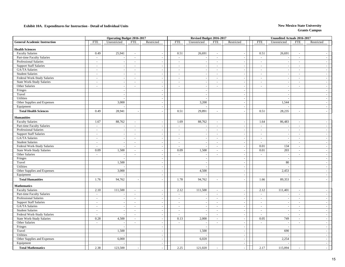|                                     |                  | <b>Operating Budget 2016-2017</b> |                |                          |                | Revised Budget 2016-2017 |            |                          |            | <b>Unaudited Actuals 2016-2017</b> |                |                          |
|-------------------------------------|------------------|-----------------------------------|----------------|--------------------------|----------------|--------------------------|------------|--------------------------|------------|------------------------------------|----------------|--------------------------|
| <b>General Academic Instruction</b> | <b>FTE</b>       | Unrestricted                      | FTE            | Restricted               | <b>FTE</b>     | Unrestricted             | <b>FTE</b> | Restricted               | <b>FTE</b> | Unrestricted                       | <b>FTE</b>     | Restricted               |
| <b>Health Sciences</b>              |                  |                                   |                |                          |                |                          |            |                          |            |                                    |                |                          |
| <b>Faculty Salaries</b>             | 0.49             | 25,941                            | $\sim$         |                          | 0.51           | 26,691                   | $\sim$     | $\sim$                   | 0.51       | 26,691                             | $\sim$         |                          |
| Part-time Faculty Salaries          | $\omega$         | $\sim$                            | $\sim$         |                          | $\omega$       |                          | $\sim$     | $\blacksquare$           | $\sim$     |                                    | $\sim$         |                          |
| Professional Salaries               | $\omega$         | $\sim$                            | $\sim$         |                          | $\sim$         |                          | $\omega$   | $\sim$                   | $\sim$     |                                    | $\mathbb{Z}^2$ |                          |
| <b>Support Staff Salaries</b>       | $\mathbf{r}$     | $\sim$                            | $\sim$         | $\sim$                   | $\sim$         |                          | $\sim$     | $\sim$                   | $\sim$     | $\sim$                             | $\sim$         |                          |
| GA/TA Salaries                      | $\sim$           | $\sim$                            | $\sim$         | $\sim$                   | $\omega$       | $\overline{a}$           | $\omega$   | $\sim$                   | $\omega$   | $\sim$                             | $\sim$         | $\sim$                   |
| <b>Student Salaries</b>             | $\omega$         | $\sim$                            | $\blacksquare$ | $\overline{a}$           | $\blacksquare$ |                          | $\sim$     | $\sim$                   | $\sim$     |                                    | $\sim$         |                          |
| Federal Work-Study Salaries         | $\sim$           | $\sim$                            | $\sim$         | $\sim$                   | $\sim$         | $\sim$                   | $\sim$     | $\sim$                   | $\sim$     | $\sim$                             | $\sim$         | ÷.                       |
| <b>State Work-Study Salaries</b>    | $\omega$         | $\sim$                            | $\sim$         | $\sim$                   | $\sim$         |                          | $\sim$     | $\sim$                   | $\sim$     | ٠.                                 | $\sim$         | $\overline{\phantom{a}}$ |
| Other Salaries                      | $\omega$         | $\sim$                            | $\sim$         | ÷,                       | $\Box$         | $\blacksquare$           | $\sim$     | $\sim$                   | $\sim$     | $\sim$                             | $\sim$         | $\sim$                   |
| Fringes                             |                  | $\sim$                            |                | $\overline{a}$           |                | $\sim$                   |            | $\sim$                   |            |                                    |                | $\overline{\phantom{a}}$ |
| Travel                              |                  | $\sim$                            |                | $\sim$                   |                | $\overline{a}$           |            | $\sim$                   |            | $\overline{a}$                     |                | <b>.</b>                 |
| <b>Utilities</b>                    |                  | $\sim$                            |                | $\sim$                   |                | $\overline{a}$           |            | $\sim$                   |            |                                    |                | $\sim$                   |
| Other Supplies and Expenses         |                  | 3,000                             |                | $\overline{\phantom{a}}$ |                | 3,200                    |            | $\sim$                   |            | 1,544                              |                |                          |
| Equipment                           |                  |                                   |                | $\sim$                   |                |                          |            | $\sim$                   |            |                                    |                | $\overline{\phantom{a}}$ |
|                                     |                  |                                   |                |                          |                |                          |            |                          |            |                                    |                |                          |
| <b>Total Health Sciences</b>        | 0.49             | 28,941                            |                |                          | 0.51           | 29,891                   | $\sim$     | $\mathbf{r}$             | 0.51       | 28,235                             | $\sim$         |                          |
| <b>Humanities</b>                   |                  |                                   |                |                          |                |                          |            |                          |            |                                    |                |                          |
| <b>Faculty Salaries</b>             | 1.67             | 88,762                            | $\omega$       |                          | 1.69           | 88,762                   | $\sim$     |                          | 1.64       | 86,483                             | $\omega$       |                          |
| Part-time Faculty Salaries          | $\omega$         |                                   | $\sim$         | $\overline{\phantom{a}}$ | $\omega$       |                          | $\sim$     | $\sim$                   | $\sim$     |                                    | $\sim$         | $\sim$                   |
| Professional Salaries               | $\sim$           | $\sim$                            | $\sim$         | $\sim$                   | $\sim$         | $\sim$                   | $\sim$     | $\sim$                   | $\sim$     | $\overline{a}$                     | $\sim$         | $\overline{\phantom{a}}$ |
| <b>Support Staff Salaries</b>       | $\blacksquare$   | $\sim$                            | $\sim$         | $\sim$                   | $\sim$         |                          | $\sim$     | $\sim$                   | $\sim$     |                                    | $\sim$         | $\overline{\phantom{a}}$ |
| GA/TA Salaries                      | $\sim$           | $\sim$                            | $\sim$         | $\sim$                   | $\sim$         | $\sim$                   | $\sim$     | $\sim$                   | $\sim$     | $\sim$                             | $\sim$         | $\overline{\phantom{a}}$ |
| <b>Student Salaries</b>             | $\sim$           | $\sim$                            | $\sim$         | $\sim$                   | $\sim$         | $\overline{a}$           | $\sim$     | $\sim$                   | $\sim$     | ٠.                                 | $\sim$         | <b>.</b>                 |
| Federal Work-Study Salaries         | $\blacksquare$   | $\sim$                            | $\sim$         | ÷,                       | $\sim$         | $\sim$                   | $\sim$     | $\sim$                   | 0.01       | 134                                | $\sim$         | $\sim$                   |
| <b>State Work-Study Salaries</b>    | 0.09             | 1,500                             | $\omega$       |                          | 0.09           | 1,500                    | $\omega$   | $\sim$                   | 0.01       | 203                                | $\omega$       |                          |
| Other Salaries                      | $\sim$           | $\sim$                            | $\sim$         | $\sim$                   | $\sim$         |                          | $\sim$     | $\sim$                   | $\sim$     | ÷.                                 | $\sim$         | $\sim$                   |
| Fringes                             |                  | $\sim$                            |                | ÷,                       |                | $\sim$                   |            | $\sim$                   |            |                                    |                | ÷.                       |
| Travel                              |                  | 1,500                             |                | $\sim$                   |                |                          |            | $\sim$                   |            | 80                                 |                | $\overline{\phantom{a}}$ |
| Utilities                           |                  |                                   |                | $\sim$                   |                | $\overline{a}$           |            | $\sim$                   |            |                                    |                | $\sim$                   |
| Other Supplies and Expenses         |                  | 3,000                             |                | $\overline{\phantom{a}}$ |                | 4,500                    |            | $\sim$                   |            | 2,453                              |                | <b>.</b>                 |
| Equipment                           |                  |                                   |                |                          |                |                          |            | $\overline{\phantom{a}}$ |            |                                    |                | $\sim$                   |
| <b>Total Humanities</b>             | 1.76             | 94,762                            |                |                          | 1.78           | 94,762                   | $\sim$     | $\sim$                   | 1.66       | 89,353                             | $\sim$         | $\overline{\phantom{a}}$ |
| <b>Mathematics</b>                  |                  |                                   |                |                          |                |                          |            |                          |            |                                    |                |                          |
| <b>Faculty Salaries</b>             | 2.10             | 111,500                           | $\sim$         | $\overline{\phantom{a}}$ | 2.12           | 111,500                  | $\sim$     | $\sim$                   | 2.12       | 111,401                            | $\sim$         | <b>.</b>                 |
| Part-time Faculty Salaries          | $\sim$           | $\sim$                            | $\sim$         | ÷.                       | $\sim$         |                          | $\sim$     | $\sim$                   | $\sim$     |                                    | $\sim$         |                          |
| Professional Salaries               | $\omega_{\rm c}$ | $\sim$                            | $\sim$         | ÷,                       | $\sim$         | $\sim$                   | $\sim$     | $\sim$                   | $\sim$     | ÷,                                 | $\omega$       |                          |
| <b>Support Staff Salaries</b>       | $\sim$           | $\sim$                            | $\sim$         | ÷,                       | $\sim$         |                          | $\sim$     | $\sim$                   | $\sim$     | $\overline{a}$                     | $\sim$         | $\sim$                   |
| GA/TA Salaries                      | $\sim$           | $\sim$                            | $\sim$         | $\sim$                   | $\sim$         | $\sim$                   | $\sim$     | $\sim$                   | $\sim$     | $\sim$                             | $\sim$         | $\sim$                   |
| <b>Student Salaries</b>             | $\omega$         | $\sim$                            | $\sim$         |                          | $\omega$       |                          | $\sim$     | $\sim$                   | $\sim$     |                                    | $\mathcal{L}$  | $\overline{\phantom{a}}$ |
| Federal Work-Study Salaries         | $\mathbf{r}$     | $\sim$                            | $\sim$         | $\overline{a}$           | $\sim$         | $\sim$                   | $\sim$     | $\sim$                   | $\sim$     |                                    | $\sim$         | $\overline{\phantom{a}}$ |
| State Work-Study Salaries           | 0.28             | 4,500                             | $\sim$         | $\sim$                   | 0.13           | 2,000                    | $\sim$     | $\sim$                   | 0.05       | 749                                | $\sim$         | $\overline{\phantom{a}}$ |
| Other Salaries                      | $\sim$           |                                   | $\sim$         | $\sim$                   | $\sim$         |                          | $\sim$     | $\overline{\phantom{a}}$ | $\sim$     |                                    | $\sim$         |                          |
| Fringes                             |                  | $\sim$                            |                | $\sim$                   |                | $\sim$                   |            | $\sim$                   |            |                                    |                | $\sim$                   |
| Travel                              |                  | 1,500                             |                | ÷,                       |                | 1,500                    |            | $\sim$                   |            | 690                                |                | $\sim$                   |
| Utilities                           |                  |                                   |                | $\overline{\phantom{a}}$ |                |                          |            | $\sim$                   |            |                                    |                | $\sim$                   |
| Other Supplies and Expenses         |                  | 6,000                             |                |                          |                | 6,020                    |            | ÷,                       |            | 2,254                              |                | $\sim$                   |
| Equipment                           |                  |                                   |                | $\sim$                   |                |                          |            | $\omega$                 |            |                                    |                | $\sim$                   |
| <b>Total Mathematics</b>            | 2.38             | 123,500                           |                |                          | 2.25           | 121,020                  |            |                          | 2.17       | 115,094                            |                |                          |
|                                     |                  |                                   |                |                          |                |                          |            |                          |            |                                    |                |                          |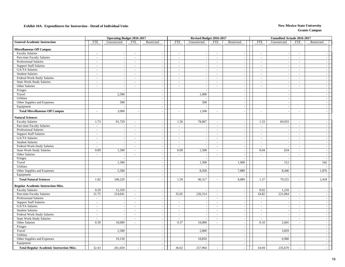|                                                 |                | <b>Operating Budget 2016-2017</b> |                          |                          |                | Revised Budget 2016-2017 |          |                          |                | <b>Unaudited Actuals 2016-2017</b> |                |                          |
|-------------------------------------------------|----------------|-----------------------------------|--------------------------|--------------------------|----------------|--------------------------|----------|--------------------------|----------------|------------------------------------|----------------|--------------------------|
| <b>General Academic Instruction</b>             | <b>FTE</b>     | Unrestricted                      | FTE                      | Restricted               | <b>FTE</b>     | Unrestricted             | FTE      | Restricted               | <b>FTE</b>     | Unrestricted                       | <b>FTE</b>     | Restricted               |
| <b>Miscellaneous Off Campus</b>                 |                |                                   |                          |                          |                |                          |          |                          |                |                                    |                |                          |
| <b>Faculty Salaries</b>                         | $\sim$         | $\sim$                            | $\sim$                   |                          | $\sim$         |                          | $\sim$   | $\overline{\phantom{a}}$ | $\sim$         | . —                                | $\sim$         |                          |
| Part-time Faculty Salaries                      | $\omega$       | $\sim$                            | $\mathbb{Z}$             | $\sim$                   | $\omega$       | $\sim$                   | $\sim$   | $\overline{\phantom{a}}$ | $\sim$         | $\overline{\phantom{a}}$           | $\sim$         | $\omega$                 |
| Professional Salaries                           | $\blacksquare$ |                                   | $\overline{\phantom{a}}$ |                          | $\blacksquare$ |                          | $\sim$   |                          | $\sim$         |                                    | $\sim$         | $\overline{\phantom{a}}$ |
| <b>Support Staff Salaries</b>                   | $\omega$       | $\sim$                            | $\blacksquare$           |                          | $\omega$       |                          | $\sim$   | $\overline{\phantom{a}}$ | $\sim$         | $\overline{\phantom{a}}$           | $\sim$         | $\sim$                   |
| GA/TA Salaries                                  | $\omega$       | $\sim$                            | $\sim$                   |                          | $\sim$         |                          | $\sim$   | $\overline{\phantom{a}}$ | $\sim$         |                                    | $\sim$         | $\sim$                   |
| <b>Student Salaries</b>                         | $\sim$         | $\sim$                            | $\sim$                   | $\overline{a}$           | $\sim$         |                          | $\sim$   | $\sim$                   | $\sim$         |                                    | $\sim$         | $\sim$                   |
| Federal Work-Study Salaries                     | $\sim$         | $\sim$                            | $\sim$                   | $\overline{a}$           | $\sim$         | $\sim$                   | $\sim$   | $\sim$                   | $\sim$         | $\overline{\phantom{a}}$           | $\sim$         | $\sim$                   |
| State Work-Study Salaries                       | $\sim$         | $\sim$                            | $\sim$                   | ÷.                       | $\sim$         | ÷.                       | $\sim$   | $\sim$                   | $\sim$         | $\sim$                             | $\sim$         | $\omega$                 |
| Other Salaries                                  | $\mathbf{r}$   | $\sim$                            | $\sim$                   | $\overline{a}$           | ÷.             | $\sim$                   | $\sim$   | $\sim$                   | $\overline{a}$ | $\overline{\phantom{a}}$           | $\sim$         | $\mathbb{Z}$             |
| Fringes                                         |                |                                   |                          |                          |                |                          |          |                          |                |                                    |                | $\overline{\phantom{a}}$ |
| Travel                                          |                | 2,500                             |                          | $\overline{a}$           |                | 1,000                    |          | $\sim$                   |                |                                    |                | $\sim$                   |
| Utilities                                       |                | $\sim$                            |                          | $\overline{a}$           |                |                          |          | $\sim$                   |                | $\sim$                             |                | $\sim$                   |
| Other Supplies and Expenses                     |                | 500                               |                          | $\overline{a}$           |                | 500                      |          | $\overline{\phantom{a}}$ |                |                                    |                | $\sim$                   |
| Equipment                                       |                |                                   |                          | $\overline{\phantom{a}}$ |                |                          |          | $\sim$                   |                | ÷,                                 |                | $\sim$                   |
| <b>Total Miscellaneous Off Campus</b>           | $\sim$         | 3,000                             |                          |                          | $\sim$         | 1,500                    | $\sim$   |                          | $\sim$         |                                    | $\overline{a}$ | $\sim$                   |
| <b>Natural Sciences</b>                         |                |                                   |                          |                          |                |                          |          |                          |                |                                    |                |                          |
| <b>Faculty Salaries</b>                         | 1.73           | 91,729                            | $\sim$                   |                          | 1.50           | 78,867                   | $\sim$   |                          | 1.33           | 69,933                             | $\omega$       |                          |
| Part-time Faculty Salaries                      | $\omega$       |                                   | $\mathbf{r}$             |                          | $\blacksquare$ |                          | $\omega$ | $\bar{z}$                | $\sim$         |                                    | $\sim$         | $\sim$                   |
| Professional Salaries                           | $\sim$         | $\sim$                            | $\sim$                   | $\overline{a}$           | $\sim$         | ÷.                       | $\sim$   | $\sim$                   | $\sim$         | $\sim$                             | $\sim$         | $\overline{a}$           |
| <b>Support Staff Salaries</b>                   | $\sim$         | $\sim$                            | $\sim$                   | ÷.                       | $\sim$         |                          | $\sim$   | $\sim$                   | $\sim$         | $\overline{\phantom{a}}$           | $\sim$         | $\sim$                   |
| GA/TA Salaries                                  | $\sim$         | $\sim$                            | $\sim$                   | $\overline{\phantom{a}}$ | $\sim$         |                          | $\sim$   | $\sim$                   | $\sim$         | $\sim$                             | $\sim$         | $\sim$                   |
| <b>Student Salaries</b>                         | $\sim$         | $\sim$                            | $\sim$                   | $\sim$                   | $\sim$         | $\sim$                   | $\sim$   | $\sim$                   | $\sim$         | ٠.                                 | $\sim$         | $\omega$                 |
| Federal Work-Study Salaries                     | $\omega$       | $\sim$                            | $\sim$                   | ÷,                       | $\sim$         | $\sim$                   | $\sim$   | $\sim$                   | $\sim$         |                                    | $\sim$         | $\sim$                   |
| State Work-Study Salaries                       | 0.09           | 1,500                             | $\sim$                   |                          | 0.09           | 1,500                    | $\sim$   |                          | 0.04           | 634                                | $\sim$         | $\sim$                   |
| Other Salaries                                  | $\omega$       |                                   | $\overline{a}$           | ÷,                       | $\mathbf{r}$   |                          | $\omega$ | $\bar{z}$                | $\sim$         |                                    | $\omega$       | $\sim$                   |
| Fringes                                         |                | $\sim$                            |                          | ÷.                       |                |                          |          |                          |                |                                    |                | <b>Simple</b>            |
| Travel                                          |                | 1,500                             |                          | ÷,                       |                | 1,500                    |          | 1,000                    |                | 512                                |                | 542                      |
| Utilities                                       |                | $\sim$                            |                          | $\omega$                 |                |                          |          |                          |                |                                    |                |                          |
| Other Supplies and Expenses                     |                | 5,500                             |                          | ÷.                       |                | 8,450                    |          | 7,889                    |                | 8,446                              |                | 1,876                    |
| Equipment                                       |                |                                   |                          |                          |                |                          |          |                          |                |                                    |                |                          |
| <b>Total Natural Sciences</b>                   | 1.82           | 100,229                           |                          |                          | 1.59           | 90,317                   | $\sim$   | 8,889                    | 1.37           | 79,525                             | $\blacksquare$ | 2,418                    |
| <b>Regular Academic Instruction Misc.</b>       |                |                                   |                          |                          |                |                          |          |                          |                |                                    |                |                          |
| <b>Faculty Salaries</b>                         | 0.29           | 15,359                            | $\sim$                   | ÷.                       | $\sim$         |                          | $\sim$   | $\overline{\phantom{a}}$ | 0.02           | 1,216                              | $\sim$         | $\sim$                   |
| Part-time Faculty Salaries                      | 31.75          | 214,641                           | $\sim$                   | $\overline{\phantom{a}}$ | 35.65          | 226,314                  | $\sim$   | $\sim$                   | 34.82          | 221,064                            | $\sim$         | $\sim$                   |
| Professional Salaries                           | $\omega$       | $\sim$                            | $\sim$                   | ÷,                       | $\sim$         |                          | $\sim$   | $\overline{\phantom{a}}$ | $\sim$         |                                    | $\sim$         | $\sim$                   |
| <b>Support Staff Salaries</b>                   | $\sim$         | $\sim$                            | $\sim$                   | $\sim$                   | $\sim$         | $\overline{a}$           | $\sim$   | $\sim$                   | $\sim$         | $\overline{\phantom{a}}$           | $\sim$         | $\omega$                 |
| GA/TA Salaries                                  | $\sim$         | $\sim$                            | $\sim$                   | $\sim$                   | $\sim$         | $\overline{\phantom{a}}$ | $\sim$   | $\sim$                   | $\sim$         | $\sim$                             | $\sim$         | $\sim$                   |
| <b>Student Salaries</b>                         | $\omega$       |                                   | $\sim$                   |                          | $\Box$         |                          | $\sim$   | $\overline{\phantom{a}}$ | $\sim$         |                                    | $\omega$       | $\sim$                   |
| Federal Work-Study Salaries                     | $\omega$       | $\omega$                          | $\sim$                   | $\overline{a}$           | $\omega$       |                          | $\sim$   | $\mathbb{Z}$             | $\sim$         |                                    | $\sim$         | $\sim$                   |
| <b>State Work-Study Salaries</b>                | $\omega$       | $\sim$                            | $\sim$                   | $\overline{a}$           | $\sim$         |                          | $\sim$   | $\sim$                   | $\sim$         |                                    | $\sim$         | $\sim$                   |
| Other Salaries                                  | 0.39           | 10,000                            | $\sim$                   | $\overline{a}$           | 0.37           | 10,000                   | $\sim$   | $\overline{\phantom{a}}$ | 0.10           | 2,601                              | $\sim$         | $\sim$                   |
| Fringes                                         |                | $\sim$                            |                          | $\sim$                   |                |                          |          | $\sim$                   |                |                                    |                | $\sim$                   |
| Travel                                          |                | 2,500                             |                          | $\sim$                   |                | 2,800                    |          | $\sim$                   |                | 3,829                              |                | $\overline{\phantom{a}}$ |
| <b>Utilities</b>                                |                |                                   |                          | $\overline{\phantom{a}}$ |                |                          |          | $\sim$                   |                |                                    |                | $\sim$                   |
| Other Supplies and Expenses                     |                | 19,150                            |                          |                          |                | 18,850                   |          | $\overline{\phantom{a}}$ |                | 6,960                              |                | $\sim$                   |
| Equipment                                       |                |                                   |                          | $\sim$                   |                |                          |          | $\sim$                   |                |                                    |                | $\omega$                 |
| <b>Total Regular Academic Instruction Misc.</b> | 32.43          | 261,650                           |                          |                          | 36.02          | 257,964                  |          |                          | 34.94          | 235,670                            |                |                          |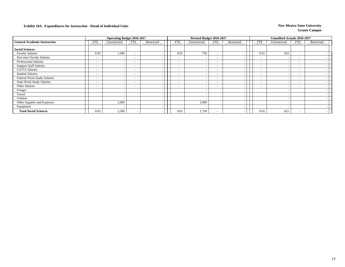|                                     |                          | <b>Operating Budget 2016-2017</b> |                          |            |                          | Revised Budget 2016-2017 |                          |                          |                          | <b>Unaudited Actuals 2016-2017</b> |                          |            |
|-------------------------------------|--------------------------|-----------------------------------|--------------------------|------------|--------------------------|--------------------------|--------------------------|--------------------------|--------------------------|------------------------------------|--------------------------|------------|
| <b>General Academic Instruction</b> | <b>FTE</b>               | Unrestricted                      | FTE                      | Restricted | <b>FTE</b>               | Unrestricted             | <b>FTE</b>               | Restricted               | <b>FTE</b>               | Unrestricted                       | FTE                      | Restricted |
| <b>Social Sciences</b>              |                          |                                   |                          |            |                          |                          |                          |                          |                          |                                    |                          |            |
| <b>Faculty Salaries</b>             | 0.03                     | 1,500                             |                          |            | 0.01                     | 750                      | $\overline{\phantom{a}}$ |                          | 0.01                     | 625                                | $\overline{\phantom{0}}$ |            |
| Part-time Faculty Salaries          | $\sim$                   | $\overline{\phantom{0}}$          | $\overline{\phantom{a}}$ |            | $\overline{\phantom{0}}$ |                          | $\overline{\phantom{a}}$ | $\overline{\phantom{a}}$ | $\overline{\phantom{a}}$ |                                    | $\overline{\phantom{0}}$ |            |
| <b>Professional Salaries</b>        | $\sim$                   | $\overline{\phantom{a}}$          | $\overline{\phantom{a}}$ |            | $\overline{\phantom{a}}$ |                          | $\overline{\phantom{a}}$ | $\overline{\phantom{a}}$ | $\overline{\phantom{a}}$ |                                    | $\sim$                   |            |
| <b>Support Staff Salaries</b>       | $\sim$                   | $\overline{\phantom{a}}$          | $\sim$                   |            | $\overline{\phantom{a}}$ |                          | $\overline{\phantom{a}}$ | $\overline{\phantom{a}}$ | $\overline{\phantom{a}}$ |                                    | $\overline{a}$           |            |
| GA/TA Salaries                      | $\sim$                   | $\overline{\phantom{0}}$          | $\overline{\phantom{0}}$ |            | $\overline{\phantom{a}}$ |                          | $\overline{\phantom{a}}$ | $\overline{\phantom{a}}$ | $\overline{\phantom{a}}$ |                                    | $\overline{\phantom{0}}$ |            |
| <b>Student Salaries</b>             | $\sim$                   | $\overline{\phantom{a}}$          | $\sim$                   |            | $\overline{\phantom{a}}$ |                          | $\sim$                   | $\overline{\phantom{a}}$ | $\overline{\phantom{a}}$ |                                    | $\overline{a}$           |            |
| Federal Work-Study Salaries         | $\sim$                   | $\overline{\phantom{a}}$          | $\overline{\phantom{a}}$ |            | $\overline{\phantom{a}}$ |                          | $\overline{\phantom{a}}$ | $\overline{\phantom{a}}$ | $\overline{\phantom{a}}$ |                                    | $\sim$                   |            |
| <b>State Work-Study Salaries</b>    | $\overline{\phantom{0}}$ | $\overline{\phantom{a}}$          | $\overline{\phantom{0}}$ |            | $\overline{\phantom{a}}$ |                          | $\overline{\phantom{a}}$ | <b>.</b>                 | $\overline{\phantom{a}}$ |                                    | $\overline{\phantom{0}}$ |            |
| Other Salaries                      | $\overline{\phantom{0}}$ | $\overline{\phantom{0}}$          | $\overline{\phantom{a}}$ |            | $\overline{\phantom{0}}$ |                          | $\overline{\phantom{a}}$ | $\overline{\phantom{a}}$ | $\overline{\phantom{0}}$ |                                    | $\overline{\phantom{0}}$ |            |
| Fringes                             |                          | $\overline{\phantom{0}}$          |                          |            |                          |                          |                          | $\overline{\phantom{a}}$ |                          |                                    |                          |            |
| Travel                              |                          | $\overline{\phantom{0}}$          |                          |            |                          |                          |                          | $\overline{\phantom{a}}$ |                          |                                    |                          |            |
| Utilities                           |                          |                                   |                          |            |                          |                          |                          | $\overline{\phantom{a}}$ |                          |                                    |                          |            |
| Other Supplies and Expenses         |                          | 1,000                             |                          |            |                          | 1,000                    |                          | $\overline{\phantom{a}}$ |                          |                                    |                          |            |
| Equipment                           |                          | $\overline{\phantom{a}}$          |                          |            |                          | $\overline{\phantom{a}}$ |                          | $\overline{\phantom{a}}$ |                          |                                    |                          |            |
| <b>Total Social Sciences</b>        | 0.03                     | 2,500                             |                          |            | 0.01                     | 1,750                    | $\overline{\phantom{a}}$ |                          | 0.01                     | 625                                | $\sim$                   |            |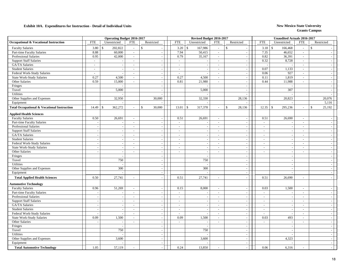|                                                        |                          | <b>Operating Budget 2016-2017</b> |                             |                          |                          | Revised Budget 2016-2017 |                             |                             |                          | <b>Unaudited Actuals 2016-2017</b> |                          |                              |
|--------------------------------------------------------|--------------------------|-----------------------------------|-----------------------------|--------------------------|--------------------------|--------------------------|-----------------------------|-----------------------------|--------------------------|------------------------------------|--------------------------|------------------------------|
| <b>Occupational &amp; Vocational Instruction</b>       | <b>FTE</b>               | Unrestricted                      | <b>FTE</b>                  | Restricted               | <b>FTE</b>               | Unrestricted             | <b>FTE</b>                  | Restricted                  | <b>FTE</b>               | Unrestricted                       | <b>FTE</b>               | Restricted                   |
| <b>Faculty Salaries</b>                                | 3.80                     | 202,822<br>$\mathcal{S}$          | $\sim$                      | $\mathcal{S}$            | 3.20                     | \$<br>167,986            | $\sim$                      | \$                          | 3.18                     | 166,468<br>-S                      | $\sim$                   | $\mathbb{S}$                 |
| Part-time Faculty Salaries                             | 8.88                     | 60,000                            | $\mathbb{Z}^2$              |                          | 7.94                     | 50,415                   | $\mathbb{Z}^2$              | $\overline{a}$              | 7.35                     | 46.652                             | $\sim$                   |                              |
| Professional Salaries                                  | 0.95                     | 42,000                            | $\mathcal{L}_{\mathcal{A}}$ | $\sim$                   | 0.79                     | 35,167                   | $\mathcal{L}_{\mathcal{A}}$ | $\overline{\phantom{a}}$    | 0.82                     | 36,391                             | $\mathbb{L}$             | $\sim$                       |
| <b>Support Staff Salaries</b>                          | $\sim$                   |                                   | $\sim$                      | $\sim$                   | $\sim$                   |                          | $\sim$                      | $\overline{\phantom{a}}$    | 0.32                     | 8,728                              | $\sim$                   | $\sim$                       |
| GA/TA Salaries                                         | $\sim$                   |                                   | $\sim$                      | $\overline{\phantom{a}}$ | $\sim$                   |                          | $\sim$                      | $\sim$                      | $\overline{a}$           |                                    | $\overline{a}$           | $\sim$ 1                     |
| <b>Student Salaries</b>                                | $\sim$                   |                                   | $\sim$                      | $\overline{a}$           | $\sim$                   | $\overline{a}$           | $\sim$                      | $\sim$                      | 0.07                     | 1,133                              | $\sim$                   | $\sim$ 1                     |
| Federal Work-Study Salaries                            | $\overline{\phantom{a}}$ |                                   | $\overline{\phantom{a}}$    | $\sim$                   | $\overline{\phantom{a}}$ |                          | $\sim$                      | $\overline{\phantom{a}}$    | 0.06                     | 927                                | $\sim$                   | $\sim$                       |
| <b>State Work-Study Salaries</b>                       | 0.27                     | 4,500                             | $\sim$                      | $\sim$                   | 0.27                     | 4,500                    | $\sim$                      | $\overline{\phantom{a}}$    | 0.11                     | 1,819                              | $\sim$                   | $\sim$                       |
| Other Salaries                                         | 0.59                     | 15,000                            | $\sim$                      | $\sim$                   | 0.81                     | 21,980                   | $\sim$                      | $\mathcal{L}_{\mathcal{A}}$ | 0.44                     | 11,988                             | $\sim$                   | $\sim$                       |
| Fringes                                                |                          |                                   |                             | $\overline{a}$           |                          |                          |                             | $\sim$                      |                          | $\sim$                             |                          | $-1$                         |
| Travel                                                 |                          | 5,000                             |                             |                          |                          | 5,000                    |                             | $\sim$                      |                          | 307                                |                          | $-$                          |
| Utilities                                              |                          |                                   |                             |                          |                          |                          |                             | $\overline{\phantom{a}}$    |                          |                                    |                          | $\sim$                       |
| Other Supplies and Expenses                            |                          | 32,950                            |                             | 30,000                   |                          | 32,330                   |                             | 28,136                      |                          | 20,823                             |                          | 20,076                       |
| Equipment                                              |                          |                                   |                             |                          |                          |                          |                             |                             |                          |                                    |                          | 5,116                        |
| <b>Total Occupational &amp; Vocational Instruction</b> | 14.49                    | 362,272<br>$\mathcal{S}$          | $\sim$                      | 30,000<br>$\mathbb{S}$   | 13.01                    | 317,378<br>\$            | $\sim$                      | $\mathbb{S}$<br>28,136      | $12.35$ \$               | 295,236                            | $\sim$                   | $\mathbf{\hat{S}}$<br>25,192 |
| <b>Applied Health Sciences</b>                         |                          |                                   |                             |                          |                          |                          |                             |                             |                          |                                    |                          |                              |
| <b>Faculty Salaries</b>                                | 0.50                     | 26,691                            | $\overline{\phantom{a}}$    | J.                       | 0.51                     | 26,691                   | $\sim$                      | $\overline{a}$              | 0.51                     | 26,690                             | $\sim$                   | $\sim$                       |
| Part-time Faculty Salaries                             |                          |                                   | $\sim$                      |                          | $\overline{a}$           |                          | $\sim$                      | $\overline{\phantom{a}}$    | $\overline{a}$           |                                    | $\sim$                   | $\sim$                       |
| Professional Salaries                                  | $\sim$                   |                                   | $\sim$                      |                          | $\sim$                   | $\sim$                   | $\sim$                      | $\overline{\phantom{a}}$    | $\overline{\phantom{a}}$ | $\overline{a}$                     | $\sim$                   | $\sim$                       |
| <b>Support Staff Salaries</b>                          | $\sim$                   | $\sim$                            | $\sim$                      | $\sim$                   | $\sim$                   | $\overline{\phantom{a}}$ | $\sim$                      | $\sim$                      | $\sim$                   | $\overline{\phantom{a}}$           | $\sim$                   | $\sim$ 1                     |
| GA/TA Salaries                                         | $\sim$                   |                                   | $\sim$                      |                          | $\sim$                   | $\sim$                   | $\sim$                      | $\sim$                      | $\sim$                   | $\sim$                             | $\sim$                   | $\sim$ 1                     |
| <b>Student Salaries</b>                                | $\sim$                   | $\overline{\phantom{a}}$          | $\sim$                      | $\overline{a}$           | $\mathcal{L}$            |                          | $\sim$                      | $\overline{\phantom{a}}$    | $\sim$                   |                                    | $\sim$                   | $\sim$                       |
| Federal Work-Study Salaries                            | $\sim$                   | $\sim$                            | $\overline{\phantom{a}}$    | $\overline{\phantom{a}}$ | $\sim$                   | $\sim$                   | $\sim$                      | $\overline{\phantom{a}}$    | $\overline{\phantom{a}}$ | $\sim$                             | $\overline{\phantom{a}}$ | $\sim$                       |
| <b>State Work-Study Salaries</b>                       | $\sim$                   | $\sim$                            | $\overline{\phantom{a}}$    | $\sim$                   | $\sim$                   | $\sim$                   | $\sim$                      | $\sim$                      | $\sim$                   | $\overline{\phantom{a}}$           | $\overline{\phantom{a}}$ | $=$                          |
| <b>Other Salaries</b>                                  | $\overline{a}$           | $\overline{\phantom{a}}$          | $\sim$                      | $\sim$                   | $\sim$                   | $\sim$                   | $\sim$                      | $\overline{\phantom{a}}$    | $\sim$                   | $\sim$                             | $\overline{a}$           | $\sim$                       |
| Fringes                                                |                          |                                   |                             |                          |                          |                          |                             | $\overline{\phantom{a}}$    |                          |                                    |                          | $\sim$                       |
| Travel                                                 |                          | 750                               |                             |                          |                          | 750                      |                             | $\overline{\phantom{a}}$    |                          | $\overline{\phantom{a}}$           |                          | $\sim$                       |
| <b>Utilities</b>                                       |                          |                                   |                             |                          |                          |                          |                             | $\overline{\phantom{a}}$    |                          |                                    |                          | $\sim$                       |
| Other Supplies and Expenses                            |                          | 300                               |                             | $\sim$                   |                          | 300                      |                             | $\blacksquare$              |                          | $\overline{\phantom{a}}$           |                          | $\sim$                       |
| Equipment                                              |                          |                                   |                             | $\overline{\phantom{a}}$ |                          |                          |                             | $\sim$                      |                          |                                    |                          | $\sim$                       |
| <b>Total Applied Health Sciences</b>                   | 0.50                     | 27,741                            | $\sim$                      |                          | 0.51                     | 27,741                   | $\sim$                      | $\sim$                      | 0.51                     | 26,690                             | $\overline{a}$           | $\sim$                       |
| <b>Automotive Technology</b>                           |                          |                                   |                             |                          |                          |                          |                             |                             |                          |                                    |                          |                              |
| <b>Faculty Salaries</b>                                | 0.96                     | 51,269                            | $\sim$                      | $\overline{\phantom{a}}$ | 0.15                     | 8,000                    | $\sim$                      | $\overline{a}$              | 0.03                     | 1,500                              | $\sim$                   | $\sim$                       |
| Part-time Faculty Salaries                             | $\overline{\phantom{a}}$ |                                   | $\sim$                      | $\overline{a}$           | $\sim$                   |                          | $\sim$                      | $\overline{\phantom{a}}$    | $\sim$                   | $\overline{\phantom{a}}$           | $\sim$                   | $\sim$ 1                     |
| <b>Professional Salaries</b>                           | $\overline{\phantom{a}}$ |                                   | $\overline{\phantom{a}}$    |                          | $\overline{\phantom{a}}$ |                          | $\sim$                      | $\overline{\phantom{a}}$    | $\sim$                   |                                    | $\sim$                   | $\sim$                       |
| <b>Support Staff Salaries</b>                          | $\sim$                   |                                   | $\sim$                      | $\overline{\phantom{a}}$ | $\sim$                   |                          | $\sim$                      | $\overline{\phantom{a}}$    | $\overline{\phantom{a}}$ | $\sim$                             | $\sim$                   | $\sim$                       |
| GA/TA Salaries                                         | $\sim$                   | $\sim$                            | $\sim$                      | $\sim$                   | $\sim$                   | $\overline{\phantom{a}}$ | $\sim$                      | $\sim$                      | $\sim$                   | $\overline{\phantom{a}}$           | $\sim$                   | $\sim$                       |
| <b>Student Salaries</b>                                | $\sim$                   | $\overline{\phantom{a}}$          | $\sim$                      | $\overline{\phantom{a}}$ | $\sim$                   | $\overline{\phantom{a}}$ | $\sim$                      | $\sim$                      | $\sim$                   | $\sim$                             | $\sim$                   | $\sim$                       |
| Federal Work-Study Salaries                            | $\sim$                   |                                   | $\overline{\phantom{a}}$    | $\sim$                   | $\sim$                   |                          | $\sim$                      | $\sim$                      | $\sim$                   |                                    | $\sim$                   | $\sim$                       |
| <b>State Work-Study Salaries</b>                       | 0.09                     | 1,500                             | $\mathcal{L}_{\mathcal{A}}$ | $\sim$                   | 0.09                     | 1,500                    | $\sim$                      | $\mathcal{L}_{\mathcal{A}}$ | 0.03                     | 493                                | $\sim$                   | $\sim$                       |
| Other Salaries                                         |                          |                                   | $\overline{\phantom{a}}$    |                          | $\sim$                   |                          | $\sim$                      | $\overline{\phantom{a}}$    | $\overline{a}$           | $\overline{\phantom{a}}$           | $\blacksquare$           | $\sim$                       |
| Fringes                                                |                          | $\overline{\phantom{a}}$          |                             | $\sim$                   |                          | $\sim$                   |                             | $\overline{\phantom{a}}$    |                          | $\sim$                             |                          | $\sim$                       |
| Travel                                                 |                          | 750                               |                             | $\sim$                   |                          | 750                      |                             | $\overline{\phantom{a}}$    |                          |                                    |                          | $\sim$                       |
| Utilities                                              |                          |                                   |                             | $\overline{\phantom{a}}$ |                          |                          |                             | $\overline{\phantom{a}}$    |                          |                                    |                          | $\sim$                       |
| Other Supplies and Expenses                            |                          | 3,600                             |                             | $\sim$                   |                          | 3,600                    |                             | $\overline{a}$              |                          | 4,323                              |                          | $\sim$                       |
| Equipment                                              |                          |                                   |                             | $\overline{a}$           |                          |                          |                             | $\overline{\phantom{a}}$    |                          |                                    |                          | $\sim$                       |
| <b>Total Automotive Technology</b>                     | 1.05                     | 57,119                            |                             |                          | 0.24                     | 13,850                   |                             |                             | 0.06                     | 6,316                              |                          |                              |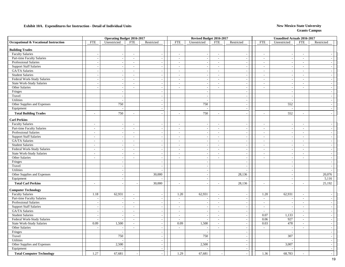|                                       | <b>Operating Budget 2016-2017</b> |                          |                          |                             | Revised Budget 2016-2017 |                          |                             |                          | Unaudited Actuals 2016-2017 |                          |                          |                          |
|---------------------------------------|-----------------------------------|--------------------------|--------------------------|-----------------------------|--------------------------|--------------------------|-----------------------------|--------------------------|-----------------------------|--------------------------|--------------------------|--------------------------|
| Occupational & Vocational Instruction | <b>FTE</b>                        | Unrestricted             | <b>FTE</b>               | Restricted                  | <b>FTE</b>               | Unrestricted             | <b>FTE</b>                  | Restricted               | <b>FTE</b>                  | Unrestricted             | <b>FTE</b>               | Restricted               |
| <b>Building Trades</b>                |                                   |                          |                          |                             |                          |                          |                             |                          |                             |                          |                          |                          |
| <b>Faculty Salaries</b>               | $\sim$                            |                          | $\overline{\phantom{a}}$ | $\sim$                      | $\sim$                   |                          | $\sim$                      | $\sim$                   | $\sim$                      | $\overline{\phantom{a}}$ | $\sim$                   |                          |
| Part-time Faculty Salaries            | $\blacksquare$                    | $\overline{\phantom{a}}$ | $\sim$                   | $\sim$                      | $\sim$                   | $\sim$                   | $\sim$                      | $\blacksquare$           | $\sim$                      | $\sim$                   | $\sim$                   | $\sim$                   |
| Professional Salaries                 | $\sim$                            |                          | $\overline{\phantom{a}}$ | $\sim$                      | $\sim$                   |                          | $\sim$                      | $\overline{\phantom{a}}$ | $\sim$                      |                          | $\bar{a}$                | $\sim$                   |
| <b>Support Staff Salaries</b>         | $\sim$                            | $\overline{\phantom{a}}$ | $\blacksquare$           | $\blacksquare$              | $\overline{\phantom{a}}$ |                          | $\sim$                      | $\overline{\phantom{a}}$ | $\frac{1}{2}$               | $\sim$                   | $\bar{a}$                | $\sim$                   |
| GA/TA Salaries                        | $\sim$                            |                          | $\overline{\phantom{a}}$ | $\mathcal{L}$               | $\sim$                   |                          | $\mathbb{Z}^2$              | $\sim$                   | $\mathbf{r}$                | $\sim$                   | $\mathbf{r}$             | $\sim$                   |
| <b>Student Salaries</b>               | $\sim$                            | $\overline{\phantom{a}}$ | $\blacksquare$           | $\sim$                      | $\sim$                   |                          | $\sim$                      | $\blacksquare$           | $\sim$                      | $\overline{\phantom{a}}$ | $\sim$                   | $\sim$                   |
| Federal Work-Study Salaries           | $\overline{\phantom{a}}$          | $\overline{\phantom{a}}$ | $\blacksquare$           | $\sim$                      | $\sim$                   | $\overline{\phantom{a}}$ | $\sim$                      | $\overline{\phantom{a}}$ | $\blacksquare$              | $\overline{\phantom{a}}$ | $\sim$                   | $\sim$                   |
| <b>State Work-Study Salaries</b>      | $\sim$                            | $\overline{\phantom{a}}$ | $\sim$                   | $\overline{\phantom{a}}$    | $\sim$                   |                          | $\overline{a}$              | $\sim$                   | $\sim$                      | $\overline{\phantom{a}}$ | $\overline{\phantom{a}}$ | $\sim$                   |
| Other Salaries                        | $\sim$                            | $\overline{\phantom{a}}$ | $\overline{\phantom{a}}$ | $\sim$                      | $\sim$                   | $\sim$                   | $\sim$                      | $\sim$                   | $\sim$                      | $\overline{\phantom{a}}$ | $\overline{a}$           | $\sim$                   |
| Fringes                               |                                   | $\overline{\phantom{a}}$ |                          | $\blacksquare$              |                          | $\overline{\phantom{a}}$ |                             | $\blacksquare$           |                             | $\sim$                   |                          | $\sim$                   |
| Travel                                |                                   | $\overline{\phantom{a}}$ |                          | $\sim$                      |                          | $\overline{\phantom{a}}$ |                             | $\sim$                   |                             | $\overline{\phantom{a}}$ |                          | $\sim$                   |
| Utilities                             |                                   | $\overline{a}$           |                          | $\mathcal{L}$               |                          | $\sim$                   |                             | $\sim$                   |                             | $\sim$                   |                          | $\overline{\phantom{a}}$ |
| Other Supplies and Expenses           |                                   | 750                      |                          | $\sim$                      |                          | 750                      |                             | $\overline{\phantom{a}}$ |                             | 552                      |                          | $\sim$                   |
| Equipment                             |                                   |                          |                          | $\sim$                      |                          | $\overline{\phantom{a}}$ |                             | $\sim$                   |                             |                          |                          | $\sim$                   |
| <b>Total Building Trades</b>          | $\sim$                            | 750                      | $\sim$                   |                             | $\overline{a}$           | 750                      | $\sim$                      | $\sim$                   | $\overline{a}$              | 552                      | $\overline{a}$           | $\overline{\phantom{a}}$ |
| <b>Carl Perkins</b>                   |                                   |                          |                          |                             |                          |                          |                             |                          |                             |                          |                          |                          |
| <b>Faculty Salaries</b>               | $\overline{\phantom{a}}$          |                          | $\blacksquare$           | $\overline{\phantom{a}}$    | $\sim$                   |                          | $\sim$                      |                          | $\overline{a}$              |                          | $\overline{\phantom{a}}$ | $\overline{\phantom{a}}$ |
| Part-time Faculty Salaries            | $\sim$                            | $\overline{\phantom{a}}$ | $\sim$                   | $\overline{\phantom{a}}$    | $\sim$                   | $\overline{\phantom{a}}$ | $\sim$                      | $\overline{\phantom{a}}$ | $\sim$                      | $\sim$                   | $\overline{a}$           | $\sim$                   |
| <b>Professional Salaries</b>          | $\sim$                            |                          | $\sim$                   | $\sim$                      | $\mathcal{L}$            |                          | $\mathcal{L}$               | $\sim$                   | $\mathbf{r}$                | $\overline{\phantom{a}}$ | $\mathbf{r}$             | $\sim$                   |
| <b>Support Staff Salaries</b>         | $\overline{\phantom{a}}$          | $\overline{\phantom{a}}$ | $\overline{\phantom{a}}$ | $\sim$                      | $\sim$                   |                          | $\sim$                      | $\blacksquare$           | $\sim$                      | $\overline{\phantom{a}}$ | $\sim$                   | $\sim$                   |
| GA/TA Salaries                        | $\sim$                            | $\overline{\phantom{a}}$ | $\sim$                   | $\sim$                      | $\sim$                   | $\sim$                   | $\sim$                      | $\blacksquare$           | $\sim$                      | $\sim$                   | $\overline{\phantom{a}}$ | $\sim$                   |
| <b>Student Salaries</b>               | $\sim$                            | $\sim$                   | $\sim$                   | $\overline{\phantom{a}}$    | $\sim$                   | $\overline{\phantom{a}}$ | $\sim$                      | $\sim$                   | $\overline{\phantom{a}}$    | $\overline{\phantom{a}}$ | $\overline{a}$           | $\sim$                   |
| Federal Work-Study Salaries           | $\sim$                            |                          | $\sim$                   | $\sim$                      | $\sim$                   |                          | $\sim$                      | $\blacksquare$           | $\overline{\phantom{a}}$    | $\overline{\phantom{a}}$ | $\bar{a}$                | $\sim$                   |
| <b>State Work-Study Salaries</b>      | $\sim$                            | ÷,                       | $\sim$                   | $\mathcal{L}_{\mathcal{A}}$ | $\sim$                   |                          | $\sim$                      | $\blacksquare$           | $\bar{\phantom{a}}$         | $\sim$                   | $\overline{a}$           | $\sim$                   |
| Other Salaries                        | $\sim$                            | $\overline{a}$           | $\sim$                   | $\sim$                      | $\sim$                   | $\sim$                   | $\sim$                      | $\overline{\phantom{a}}$ | $\sim$                      | $\overline{\phantom{a}}$ | $\sim$                   | $\sim$                   |
| Fringes                               |                                   | $\overline{\phantom{a}}$ |                          | $\sim$                      |                          | $\overline{\phantom{a}}$ |                             | $\overline{\phantom{a}}$ |                             | $\overline{\phantom{a}}$ |                          | $\sim$                   |
| Travel                                |                                   | $\overline{\phantom{a}}$ |                          | $\blacksquare$              |                          |                          |                             | $\overline{\phantom{a}}$ |                             |                          |                          | $\overline{\phantom{a}}$ |
| Utilities                             |                                   | $\sim$                   |                          | $\overline{\phantom{a}}$    |                          | $\sim$                   |                             | $\overline{\phantom{a}}$ |                             | $\sim$                   |                          | $\sim$                   |
| Other Supplies and Expenses           |                                   | $\overline{a}$           |                          | 30,000                      |                          | $\sim$                   |                             | 28,136                   |                             | $\overline{\phantom{a}}$ |                          | 20,076                   |
| Equipment                             |                                   |                          |                          |                             |                          | $\sim$                   |                             |                          |                             |                          |                          | 5,116                    |
| <b>Total Carl Perkins</b>             |                                   |                          |                          | 30,000                      | $\sim$                   |                          | $\sim$                      | 28,136                   | $\overline{a}$              |                          | $\overline{a}$           | 25,192                   |
| <b>Computer Technology</b>            |                                   |                          |                          |                             |                          |                          |                             |                          |                             |                          |                          |                          |
| <b>Faculty Salaries</b>               | 1.18                              | 62,931                   | $\sim$                   | $\sim$                      | 1.20                     | 62,931                   | $\sim$                      | $\mathbf{r}$             | 1.20                        | 62,931                   | $\sim$                   | $\sim$                   |
| Part-time Faculty Salaries            | $\overline{\phantom{a}}$          |                          | $\overline{\phantom{a}}$ | $\sim$                      | $\sim$                   |                          | $\sim$                      | $\overline{\phantom{a}}$ | $\overline{\phantom{a}}$    |                          | $\overline{a}$           | $\overline{\phantom{a}}$ |
| <b>Professional Salaries</b>          | $\blacksquare$                    | $\sim$                   | $\sim$                   | $\sim$                      | $\sim$                   | $\sim$                   | $\sim$                      | $\overline{\phantom{a}}$ | $\overline{\phantom{a}}$    | $\overline{\phantom{a}}$ | $\sim$                   | $\sim$                   |
| <b>Support Staff Salaries</b>         | $\sim$                            |                          | $\sim$                   | $\sim$                      | $\overline{\phantom{a}}$ |                          | $\sim$                      | $\sim$                   | $\sim$                      | $\overline{\phantom{a}}$ | $\bar{a}$                | $\sim$                   |
| GA/TA Salaries                        | $\overline{\phantom{a}}$          |                          | $\overline{\phantom{a}}$ | $\overline{\phantom{a}}$    | $\overline{\phantom{a}}$ |                          | $\sim$                      | $\overline{\phantom{a}}$ | $\overline{a}$              |                          | $\overline{a}$           | $\sim$                   |
| <b>Student Salaries</b>               | $\sim$                            |                          | $\overline{\phantom{a}}$ | $\blacksquare$              | $\sim$                   |                          | $\mathcal{L}_{\mathcal{A}}$ | $\blacksquare$           | 0.07                        | 1,133                    | $\blacksquare$           | $\sim$                   |
| Federal Work-Study Salaries           | $\sim$                            |                          | $\sim$                   | $\sim$                      | $\sim$                   | ÷,                       | $\mathbb{Z}^2$              | $\mathbb{L}$             | 0.06                        | 927                      | $\mathbf{r}$             | $\sim$                   |
| <b>State Work-Study Salaries</b>      | 0.09                              | 1,500                    | $\sim$                   | $\sim$                      | 0.09                     | 1,500                    | $\mathcal{L}_{\mathcal{A}}$ | $\blacksquare$           | 0.03                        | 478                      | $\sim$                   | $\sim$                   |
| Other Salaries                        | $\overline{\phantom{a}}$          |                          | $\sim$                   | $\sim$                      | $\sim$                   |                          | $\sim$                      | $\sim$                   | $\sim$                      | $\overline{\phantom{a}}$ | $\bar{a}$                | $\sim$                   |
| Fringes                               |                                   |                          |                          | $\sim$                      |                          | $\overline{\phantom{a}}$ |                             | $\blacksquare$           |                             | $\sim$                   |                          | $\sim$                   |
| Travel                                |                                   | 750                      |                          | $\sim$                      |                          | 750                      |                             | $\sim$                   |                             | 307                      |                          | $\sim$                   |
| Utilities                             |                                   |                          |                          | $\overline{\phantom{a}}$    |                          |                          |                             | $\overline{\phantom{a}}$ |                             |                          |                          | $\sim$                   |
| Other Supplies and Expenses           |                                   | 2,500                    |                          | $\sim$                      |                          | 2,500                    |                             | $\sim$                   |                             | 3,007                    |                          | $\sim$                   |
| Equipment                             |                                   |                          |                          | $\sim$                      |                          |                          |                             | $\blacksquare$           |                             |                          |                          | $\sim$                   |
| <b>Total Computer Technology</b>      | 1.27                              | 67,681                   |                          |                             | 1.29                     | 67,681                   |                             |                          | 1.36                        | 68,783                   | $\overline{a}$           |                          |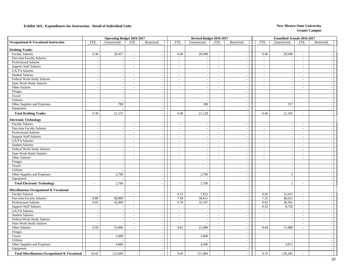|                                                          |                          | <b>Operating Budget 2016-2017</b> |                          |                          |                          | Revised Budget 2016-2017 |                          |                          |                          | Unaudited Actuals 2016-2017 |                          |                          |
|----------------------------------------------------------|--------------------------|-----------------------------------|--------------------------|--------------------------|--------------------------|--------------------------|--------------------------|--------------------------|--------------------------|-----------------------------|--------------------------|--------------------------|
| Occupational & Vocational Instruction                    | <b>FTE</b>               | Unrestricted                      | <b>FTE</b>               | Restricted               | <b>FTE</b>               | Unrestricted             | <b>FTE</b>               | Restricted               | <b>FTE</b>               | Unrestricted                | <b>FTE</b>               | Restricted               |
| <b>Drafting Trades</b>                                   |                          |                                   |                          |                          |                          |                          |                          |                          |                          |                             |                          |                          |
| <b>Faculty Salaries</b>                                  | 0.38                     | 20,437                            | $\sim$                   | $\overline{\phantom{a}}$ | 0.40                     | 20,948                   | $\sim$                   | $\overline{a}$           | 0.40                     | 20,948                      | $\sim$                   | $\overline{\phantom{a}}$ |
| Part-time Faculty Salaries                               | $\sim$                   |                                   | $\sim$                   | $\sim$                   | $\sim$                   | $\overline{\phantom{a}}$ | $\sim$                   | $\overline{\phantom{a}}$ | $\overline{\phantom{a}}$ |                             | $\bar{a}$                | $\sim$                   |
| Professional Salaries                                    | $\sim$                   |                                   | $\overline{\phantom{a}}$ |                          | $\overline{\phantom{a}}$ |                          | $\overline{\phantom{a}}$ | $\overline{\phantom{a}}$ | $\overline{a}$           |                             | $\overline{a}$           | $\sim$                   |
| <b>Support Staff Salaries</b>                            | $\blacksquare$           | $\overline{\phantom{a}}$          | $\sim$                   | $\sim$                   | $\sim$                   | $\overline{a}$           | $\sim$                   | $\bar{\phantom{a}}$      | $\overline{a}$           | $\overline{a}$              | $\overline{a}$           | $\sim$                   |
| GA/TA Salaries                                           | $\sim$                   |                                   | $\sim$                   | $\overline{a}$           | $\mathcal{L}$            | $\sim$                   | $\sim$                   | $\sim$                   | $\overline{\phantom{a}}$ | $\overline{\phantom{a}}$    | $\sim$                   | $\sim$                   |
| <b>Student Salaries</b>                                  | $\sim$                   |                                   | $\sim$                   |                          | $\sim$                   |                          | $\sim$                   | $\sim$                   | $\sim$                   |                             | $\overline{\phantom{a}}$ | $\overline{\phantom{a}}$ |
| Federal Work-Study Salaries                              | $\sim$                   | $\overline{\phantom{a}}$          | $\sim$                   | $\sim$                   | $\overline{\phantom{a}}$ | $\sim$                   | $\sim$                   | $\overline{\phantom{a}}$ | $\overline{\phantom{a}}$ | $\sim$                      | $\overline{\phantom{a}}$ | $\overline{a}$           |
| State Work-Study Salaries                                | $\sim$                   |                                   | $\sim$                   |                          | $\overline{\phantom{a}}$ | $\overline{\phantom{a}}$ | $\sim$                   | $\sim$                   | $\overline{\phantom{a}}$ | $\overline{\phantom{a}}$    | $\blacksquare$           | $\sim$                   |
| Other Salaries                                           | $\overline{\phantom{a}}$ |                                   | $\overline{\phantom{a}}$ | $\sim$                   | $\overline{a}$           | $\sim$                   | $\sim$                   | $\overline{\phantom{a}}$ | $\overline{a}$           | $\sim$                      | $\overline{a}$           | $\sim$                   |
| Fringes                                                  |                          | $\overline{\phantom{a}}$          |                          | $\sim$                   |                          | $\overline{\phantom{a}}$ |                          | $\overline{\phantom{a}}$ |                          | $\sim$                      |                          | $\sim$                   |
| Travel                                                   |                          | $\overline{\phantom{a}}$          |                          | $\overline{a}$           |                          | $\overline{\phantom{a}}$ |                          | $\overline{\phantom{a}}$ |                          | $\overline{\phantom{a}}$    |                          | $\sim$                   |
| Utilities                                                |                          |                                   |                          | $\overline{a}$           |                          | $\sim$                   |                          | $\sim$                   |                          |                             |                          | $\overline{\phantom{a}}$ |
| Other Supplies and Expenses                              |                          | 700                               |                          | $\sim$                   |                          | 180                      |                          | $\sim$                   |                          | 157                         |                          | $\overline{a}$           |
| Equipment                                                |                          |                                   |                          | $\overline{\phantom{a}}$ |                          |                          |                          | $\sim$                   |                          |                             |                          | $\sim$                   |
| <b>Total Drafting Trades</b>                             | 0.38                     | 21,137                            |                          |                          | 0.40                     | 21,128                   | $\sim$                   |                          | 0.40                     | 21,105                      | $\overline{a}$           | $\overline{\phantom{a}}$ |
| <b>Electronic Technology</b>                             |                          |                                   |                          |                          |                          |                          |                          |                          |                          |                             |                          |                          |
| <b>Faculty Salaries</b>                                  |                          |                                   | $\overline{\phantom{a}}$ |                          | $\overline{a}$           |                          | $\sim$                   | $\overline{\phantom{a}}$ | $\overline{a}$           |                             | $\overline{a}$           |                          |
| Part-time Faculty Salaries                               | $\sim$                   | $\overline{\phantom{a}}$          | $\sim$                   | $\sim$                   | $\overline{\phantom{a}}$ | $\sim$                   | $\sim$                   | $\mathbb{L}$             | $\sim$                   | $\sim$                      | $\overline{a}$           | $\sim$                   |
| <b>Professional Salaries</b>                             | $\sim$                   |                                   | $\sim$                   | $\overline{\phantom{a}}$ | $\sim$                   | $\sim$                   | $\sim$                   | $\sim$                   | $\overline{\phantom{a}}$ | $\sim$                      | $\sim$                   | $\sim$                   |
| <b>Support Staff Salaries</b>                            | $\sim$                   | $\sim$                            | $\sim$                   | $\sim$                   | $\overline{\phantom{a}}$ | $\sim$                   | $\sim$                   | $\overline{\phantom{a}}$ | $\sim$                   | $\sim$                      | $\blacksquare$           | $\sim$                   |
| GA/TA Salaries                                           | $\overline{\phantom{a}}$ | $\sim$                            | $\sim$                   | $\overline{\phantom{a}}$ | $\sim$                   | $\sim$                   | $\sim$                   | $\blacksquare$           | $\sim$                   | $\overline{\phantom{a}}$    | $\sim$                   | $\sim$                   |
| <b>Student Salaries</b>                                  | $\sim$                   | $\overline{\phantom{a}}$          | $\sim$                   | $\sim$                   | $\overline{a}$           | $\overline{\phantom{a}}$ | $\sim$                   | $\sim$                   | $\overline{\phantom{a}}$ | $\sim$                      | $\overline{a}$           | $\sim$                   |
| Federal Work-Study Salaries                              | $\blacksquare$           |                                   | $\overline{\phantom{a}}$ | $\sim$                   | $\overline{\phantom{a}}$ |                          | $\sim$                   | $\overline{\phantom{a}}$ | $\overline{\phantom{a}}$ | $\sim$                      | $\overline{a}$           | $\sim$                   |
| <b>State Work-Study Salaries</b>                         | $\sim$                   |                                   | $\sim$                   | $\overline{\phantom{a}}$ | $\sim$                   | $\sim$                   | $\sim$                   | $\overline{\phantom{a}}$ | $\overline{\phantom{a}}$ |                             | $\overline{a}$           | $\sim$                   |
| Other Salaries                                           | $\overline{a}$           | $\sim$                            | $\sim$                   | $\overline{\phantom{a}}$ | $\sim$                   | $\sim$                   | $\sim$                   | $\overline{\phantom{a}}$ | $\sim$                   | $\overline{\phantom{a}}$    | $\sim$                   | $\sim$                   |
| Fringes                                                  |                          |                                   |                          | $\overline{a}$           |                          | $\overline{a}$           |                          | $\sim$                   |                          | $\overline{a}$              |                          | $\sim$                   |
| Travel                                                   |                          |                                   |                          |                          |                          |                          |                          |                          |                          |                             |                          | $\sim$                   |
| <b>Utilities</b>                                         |                          | $\overline{\phantom{a}}$          |                          | $\overline{\phantom{a}}$ |                          | $\sim$                   |                          | $\sim$                   |                          | $\overline{\phantom{a}}$    |                          | $\sim$                   |
| Other Supplies and Expenses                              |                          | 2,700                             |                          | $\sim$                   |                          | 2,700                    |                          | $\sim$                   |                          | $\mathbf{2}$                |                          | $\sim$                   |
| Equipment                                                |                          |                                   |                          |                          |                          |                          |                          | $\overline{\phantom{a}}$ |                          |                             |                          | $\sim$                   |
| <b>Total Electronic Technology</b>                       |                          | 2,700                             |                          |                          | $\overline{\phantom{a}}$ | 2,700                    | $\overline{\phantom{a}}$ | $\overline{a}$           | Ĭ.                       | $\overline{2}$              |                          | $\sim$                   |
| Miscellaneous Occupational & Vocational                  |                          |                                   |                          |                          |                          |                          |                          |                          |                          |                             |                          |                          |
| <b>Faculty Salaries</b>                                  | $\sim$                   |                                   | $\sim$                   | $\sim$                   | 0.15                     | 7,922                    | $\sim$                   | $\sim$                   | 0.26                     | 13,415                      | $\sim$                   | $\sim$                   |
| Part-time Faculty Salaries                               | 8.88                     | 60,000                            | $\sim$                   | $\sim$                   | 7.94                     | 50,415                   | $\sim$                   | $\sim$                   | 7.35                     | 46,652                      | $\bar{a}$                | $\sim$                   |
| Professional Salaries                                    | 0.95                     | 42,000                            | $\sim$                   | $\overline{\phantom{a}}$ | 0.79                     | 35,167                   | $\sim$                   | $\blacksquare$           | 0.82                     | 36,391                      | $\overline{\phantom{a}}$ | $\sim$                   |
| <b>Support Staff Salaries</b>                            | $\overline{a}$           |                                   | $\sim$                   | $\overline{\phantom{a}}$ | $\sim$                   | $\overline{\phantom{a}}$ | $\sim$                   | $\blacksquare$           | 0.32                     | 8,728                       | $\blacksquare$           | $\sim$                   |
| GA/TA Salaries                                           | $\sim$                   |                                   | $\sim$                   | $\overline{\phantom{a}}$ | $\overline{\phantom{a}}$ | $\overline{\phantom{a}}$ | $\sim$                   | $\overline{\phantom{a}}$ | $\blacksquare$           |                             | $\sim$                   | $\sim$                   |
| <b>Student Salaries</b>                                  | $\sim$                   |                                   | $\sim$                   |                          | $\overline{\phantom{a}}$ |                          | $\sim$                   | $\bar{\phantom{a}}$      | $\overline{a}$           |                             | $\overline{a}$           | $\sim$                   |
| Federal Work-Study Salaries                              | $\sim$                   |                                   | $\sim$                   | $\sim$                   | $\sim$                   | $\overline{\phantom{a}}$ | $\sim$                   | $\sim$                   | $\sim$                   | $\sim$                      | $\sim$                   | $\sim$                   |
| <b>State Work-Study Salaries</b>                         | $\sim$                   |                                   | $\sim$                   | $\sim$                   | $\sim$                   | $\overline{\phantom{a}}$ | $\sim$                   | $\sim$                   | $\sim$                   |                             | $\sim$                   | $\sim$                   |
| Other Salaries                                           | 0.59                     | 15,000                            | $\sim$                   | $\overline{\phantom{a}}$ | 0.81                     | 21,980                   | $\sim$                   | $\overline{\phantom{a}}$ | 0.44                     | 11,988                      | $\overline{\phantom{a}}$ | $\sim$                   |
| Fringes                                                  |                          |                                   |                          | $\sim$                   |                          | $\overline{\phantom{a}}$ |                          | $\overline{\phantom{a}}$ |                          | $\sim$                      |                          | $\sim$                   |
| Travel                                                   |                          | 2,000                             |                          | $\overline{\phantom{a}}$ |                          | 2,000                    |                          | $\sim$                   |                          |                             |                          | $\sim$                   |
| Utilities                                                |                          |                                   |                          |                          |                          |                          |                          | $\overline{\phantom{a}}$ |                          |                             |                          | $\sim$                   |
| Other Supplies and Expenses                              |                          | 4,600                             |                          | $\overline{\phantom{a}}$ |                          | 4,500                    |                          | $\sim$                   |                          | 3,011                       |                          | $\sim$                   |
| Equipment                                                |                          |                                   |                          | $\sim$                   |                          |                          |                          | $\sim$                   |                          |                             |                          | $\sim$                   |
| <b>Total Miscellaneous Occupational &amp; Vocational</b> | 10.42                    | 123,600                           |                          |                          | 9.69                     | 121,984                  |                          |                          | 9.19                     | 120,185                     |                          |                          |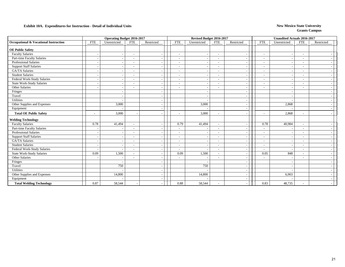|                                       |                          | <b>Operating Budget 2016-2017</b> |                          |            |                          | Revised Budget 2016-2017 |                          |                          |                          | <b>Unaudited Actuals 2016-2017</b> |                          |            |
|---------------------------------------|--------------------------|-----------------------------------|--------------------------|------------|--------------------------|--------------------------|--------------------------|--------------------------|--------------------------|------------------------------------|--------------------------|------------|
| Occupational & Vocational Instruction | <b>FTE</b>               | Unrestricted                      | <b>FTE</b>               | Restricted | <b>FTE</b>               | Unrestricted             | <b>FTE</b>               | Restricted               | <b>FTE</b>               | Unrestricted                       | <b>FTE</b>               | Restricted |
| <b>OE Public Safety</b>               |                          |                                   |                          |            |                          |                          |                          |                          |                          |                                    |                          |            |
| <b>Faculty Salaries</b>               | $\overline{\phantom{a}}$ |                                   | $\overline{\phantom{a}}$ |            | $\overline{\phantom{a}}$ | $\overline{\phantom{a}}$ | $\sim$                   | $\overline{\phantom{a}}$ | $\overline{\phantom{a}}$ |                                    | $\overline{\phantom{a}}$ |            |
| Part-time Faculty Salaries            | $\sim$                   |                                   | $\overline{\phantom{a}}$ |            | $\overline{\phantom{a}}$ | $\overline{\phantom{a}}$ | $\sim$                   | $\overline{\phantom{a}}$ | $\overline{\phantom{a}}$ |                                    | $\overline{\phantom{a}}$ |            |
| <b>Professional Salaries</b>          | - -                      |                                   |                          |            | $\overline{\phantom{a}}$ |                          | $\overline{\phantom{a}}$ | $\overline{\phantom{a}}$ | $\sim$                   |                                    | $\sim$                   |            |
| <b>Support Staff Salaries</b>         |                          |                                   |                          |            | $\overline{\phantom{a}}$ |                          | $\overline{\phantom{a}}$ |                          | $\sim$                   |                                    | $\overline{\phantom{a}}$ |            |
| GA/TA Salaries                        |                          |                                   |                          |            |                          |                          | $\sim$                   |                          |                          |                                    |                          |            |
| <b>Student Salaries</b>               |                          |                                   |                          |            | ۰                        |                          | $\overline{\phantom{a}}$ |                          | $\overline{\phantom{a}}$ |                                    | $\overline{\phantom{a}}$ |            |
| Federal Work-Study Salaries           | <b>.</b>                 |                                   | $\overline{\phantom{a}}$ |            | $\sim$                   |                          | $\sim$                   | $\overline{\phantom{a}}$ | $\overline{\phantom{a}}$ |                                    | $\sim$                   |            |
| <b>State Work-Study Salaries</b>      | $\overline{\phantom{a}}$ |                                   |                          |            | ٠                        |                          | $\sim$                   | $\overline{\phantom{a}}$ | $\overline{\phantom{a}}$ |                                    | $\blacksquare$           |            |
| Other Salaries                        |                          |                                   |                          |            | ۰                        |                          | $\overline{\phantom{a}}$ | $\overline{\phantom{a}}$ |                          |                                    | $\overline{\phantom{0}}$ |            |
| Fringes                               |                          |                                   |                          |            |                          |                          |                          | $\overline{\phantom{a}}$ |                          |                                    |                          |            |
| Travel                                |                          |                                   |                          |            |                          |                          |                          | $\overline{\phantom{a}}$ |                          |                                    |                          |            |
| Utilities                             |                          |                                   |                          |            |                          |                          |                          |                          |                          |                                    |                          |            |
| Other Supplies and Expenses           |                          | 3,000                             |                          |            |                          | 3,000                    |                          |                          |                          | 2,868                              |                          |            |
| Equipment                             |                          |                                   |                          |            |                          |                          |                          | $\overline{\phantom{a}}$ |                          |                                    |                          |            |
| <b>Total OE Public Safety</b>         |                          | 3,000                             |                          |            | $\overline{\phantom{a}}$ | 3,000                    | $\overline{\phantom{a}}$ |                          |                          | 2,868                              |                          |            |
| <b>Welding Technology</b>             |                          |                                   |                          |            |                          |                          |                          |                          |                          |                                    |                          |            |
| <b>Faculty Salaries</b>               | 0.78                     | 41,494                            | $\sim$                   |            | 0.79                     | 41,494                   | $\sim$                   | $\overline{\phantom{a}}$ | 0.78                     | 40,984                             | $\overline{\phantom{a}}$ |            |
| Part-time Faculty Salaries            | $\overline{\phantom{a}}$ |                                   |                          |            | $\overline{\phantom{a}}$ |                          | $\overline{\phantom{a}}$ |                          | $\overline{a}$           |                                    | $\overline{\phantom{a}}$ |            |
| Professional Salaries                 | $\overline{\phantom{a}}$ |                                   |                          |            | $\overline{\phantom{a}}$ |                          | $\sim$                   | $\overline{\phantom{a}}$ | $\overline{a}$           |                                    | $\overline{\phantom{a}}$ |            |
| <b>Support Staff Salaries</b>         | $\overline{\phantom{a}}$ |                                   |                          |            | $\overline{\phantom{a}}$ | $\overline{\phantom{a}}$ | $\sim$                   | $\overline{\phantom{a}}$ | $\overline{\phantom{a}}$ |                                    | $\overline{\phantom{a}}$ |            |
| GA/TA Salaries                        | $\overline{\phantom{a}}$ |                                   |                          |            | $\overline{\phantom{a}}$ |                          | $\overline{\phantom{a}}$ | $\overline{\phantom{a}}$ | ٠                        |                                    | $\overline{\phantom{a}}$ |            |
| <b>Student Salaries</b>               |                          |                                   |                          |            | $\overline{\phantom{a}}$ |                          | $\overline{\phantom{a}}$ | $\overline{\phantom{a}}$ | $\overline{\phantom{a}}$ |                                    | $\overline{\phantom{a}}$ |            |
| Federal Work-Study Salaries           |                          |                                   |                          |            | $\overline{\phantom{a}}$ |                          | $\overline{\phantom{a}}$ | $\overline{\phantom{a}}$ | $\overline{a}$           |                                    | $\sim$                   |            |
| <b>State Work-Study Salaries</b>      | 0.09                     | 1,500                             |                          |            | 0.09                     | 1,500                    | $\sim$                   | $\overline{\phantom{a}}$ | 0.05                     | 848                                | $\sim$                   |            |
| Other Salaries                        |                          |                                   |                          |            |                          |                          | $\overline{\phantom{a}}$ | $\overline{\phantom{a}}$ |                          |                                    | $\overline{\phantom{a}}$ |            |
| Fringes                               |                          |                                   |                          |            |                          |                          |                          | $\overline{\phantom{a}}$ |                          |                                    |                          |            |
| Travel                                |                          | 750                               |                          |            |                          | 750                      |                          | $\overline{\phantom{a}}$ |                          |                                    |                          |            |
| Utilities                             |                          |                                   |                          |            |                          |                          |                          | $\overline{\phantom{a}}$ |                          |                                    |                          |            |
| Other Supplies and Expenses           |                          | 14,800                            |                          |            |                          | 14,800                   |                          |                          |                          | 6,903                              |                          |            |
| Equipment                             |                          |                                   |                          |            |                          |                          |                          |                          |                          |                                    |                          |            |
| <b>Total Welding Technology</b>       | 0.87                     | 58,544                            |                          |            | 0.88                     | 58,544                   | $\overline{\phantom{a}}$ |                          | 0.83                     | 48,735                             | $\sim$                   |            |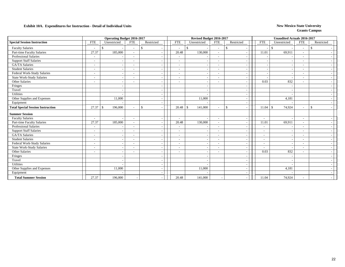|                                          |                          | <b>Operating Budget 2016-2017</b> |                          |               |                          |       | Revised Budget 2016-2017       |                          |                    |                          |                          | <b>Unaudited Actuals 2016-2017</b> |                          |               |  |
|------------------------------------------|--------------------------|-----------------------------------|--------------------------|---------------|--------------------------|-------|--------------------------------|--------------------------|--------------------|--------------------------|--------------------------|------------------------------------|--------------------------|---------------|--|
| <b>Special Session Instruction</b>       | <b>FTE</b>               | Unrestricted                      | <b>FTE</b>               | Restricted    | <b>FTE</b>               |       | Unrestricted                   | <b>FTE</b>               | Restricted         |                          | <b>FTE</b>               | Unrestricted                       | <b>FTE</b>               | Restricted    |  |
| <b>Faculty Salaries</b>                  |                          | $\mathbf{\hat{S}}$                | $\overline{\phantom{a}}$ | <sup>\$</sup> | $\overline{\phantom{a}}$ |       | $\mathbb{S}$<br>$\overline{a}$ | $\sim$                   | $\mathbf{\hat{S}}$ |                          |                          | $\mathcal{S}$                      | $\sim$                   | \$            |  |
| Part-time Faculty Salaries               | 27.37                    | 185,000                           | $\overline{\phantom{a}}$ |               | 20.48                    |       | 130,000                        | $\overline{\phantom{a}}$ |                    | $\overline{\phantom{a}}$ | 11.01                    | 69,911                             | $\overline{\phantom{a}}$ |               |  |
| <b>Professional Salaries</b>             | $\overline{\phantom{a}}$ |                                   | $\overline{\phantom{a}}$ |               | $\overline{\phantom{a}}$ |       |                                | $\overline{\phantom{a}}$ |                    | $\overline{\phantom{a}}$ |                          |                                    | $\overline{\phantom{a}}$ |               |  |
| <b>Support Staff Salaries</b>            |                          |                                   |                          |               |                          |       |                                | $\overline{\phantom{a}}$ |                    | $\blacksquare$           |                          |                                    |                          |               |  |
| GA/TA Salaries                           | $\overline{\phantom{a}}$ |                                   |                          |               |                          |       |                                | $\overline{\phantom{a}}$ |                    | $\overline{\phantom{a}}$ |                          |                                    | $\overline{\phantom{a}}$ |               |  |
| <b>Student Salaries</b>                  |                          |                                   | $\overline{\phantom{a}}$ |               |                          |       |                                | $\overline{\phantom{a}}$ |                    | $\overline{\phantom{a}}$ |                          |                                    |                          |               |  |
| Federal Work-Study Salaries              | $\overline{\phantom{a}}$ |                                   | $\overline{\phantom{a}}$ |               |                          |       |                                | $\overline{\phantom{a}}$ |                    | $\tilde{\phantom{a}}$    |                          |                                    | $\overline{\phantom{a}}$ |               |  |
| <b>State Work-Study Salaries</b>         |                          |                                   |                          |               |                          |       |                                |                          |                    |                          |                          |                                    |                          |               |  |
| Other Salaries                           |                          |                                   |                          |               |                          |       |                                |                          |                    |                          | 0.03                     | 832                                | $\blacksquare$           |               |  |
| Fringes                                  |                          |                                   |                          |               |                          |       |                                |                          |                    | $\overline{\phantom{a}}$ |                          |                                    |                          |               |  |
| Travel                                   |                          |                                   |                          |               |                          |       |                                |                          |                    | $\blacksquare$           |                          |                                    |                          |               |  |
| <b>Utilities</b>                         |                          |                                   |                          |               |                          |       |                                |                          |                    | $\blacksquare$           |                          |                                    |                          |               |  |
| Other Supplies and Expenses              |                          | 11,000                            |                          |               |                          |       | 11,000                         |                          |                    | $\overline{\phantom{a}}$ |                          | 4,181                              |                          |               |  |
| Equipment                                |                          |                                   |                          |               |                          |       |                                |                          |                    |                          |                          |                                    |                          |               |  |
| <b>Total Special Session Instruction</b> | 27.37                    | 196,000<br>-\$                    |                          | \$            |                          | 20.48 | 141,000<br>$\mathbf{s}$        | $\overline{\phantom{a}}$ | $\mathbf{\hat{S}}$ | $\overline{\phantom{a}}$ | 11.04                    | 74,924<br><sup>\$</sup>            | $\sim$                   | $\mathcal{S}$ |  |
| <b>Summer Session</b>                    |                          |                                   |                          |               |                          |       |                                |                          |                    |                          |                          |                                    |                          |               |  |
| <b>Faculty Salaries</b>                  |                          |                                   | $\overline{\phantom{a}}$ |               |                          |       | $\overline{\phantom{a}}$       | $\overline{\phantom{a}}$ |                    |                          | $\overline{\phantom{a}}$ |                                    | $\overline{\phantom{a}}$ |               |  |
| Part-time Faculty Salaries               | 27.37                    | 185,000                           | $\overline{\phantom{a}}$ |               | 20.48                    |       | 130,000                        | $\overline{\phantom{a}}$ |                    | $\overline{\phantom{a}}$ | 11.01                    | 69,911                             | $\overline{\phantom{a}}$ |               |  |
| <b>Professional Salaries</b>             | $\overline{\phantom{a}}$ |                                   | $\overline{\phantom{a}}$ |               | $\overline{\phantom{a}}$ |       |                                | $\overline{\phantom{0}}$ |                    | $\tilde{\phantom{a}}$    | $\overline{\phantom{a}}$ |                                    | $\overline{\phantom{a}}$ |               |  |
| <b>Support Staff Salaries</b>            |                          |                                   |                          |               |                          |       |                                |                          |                    | $\sim$                   | $\overline{\phantom{a}}$ |                                    |                          |               |  |
| GA/TA Salaries                           |                          |                                   |                          |               |                          |       |                                | $\overline{\phantom{a}}$ |                    | $\sim$                   | $\sim$                   |                                    |                          |               |  |
| <b>Student Salaries</b>                  | $-$                      |                                   | $\overline{\phantom{a}}$ |               |                          |       |                                | $\sim$                   |                    | $\sim$                   | $\overline{\phantom{a}}$ |                                    | $\overline{\phantom{a}}$ |               |  |
| Federal Work-Study Salaries              |                          |                                   |                          |               |                          |       |                                |                          |                    |                          | $\overline{\phantom{a}}$ |                                    |                          |               |  |
| <b>State Work-Study Salaries</b>         |                          |                                   | $\overline{\phantom{a}}$ |               |                          |       |                                | $\overline{\phantom{0}}$ |                    |                          | $\overline{a}$           |                                    |                          |               |  |
| Other Salaries                           | $\overline{\phantom{0}}$ |                                   | $\overline{\phantom{a}}$ |               |                          |       | $\overline{\phantom{a}}$       | $\overline{\phantom{a}}$ |                    | $\overline{\phantom{a}}$ | 0.03                     | 832                                | $\overline{\phantom{a}}$ |               |  |
| Fringes                                  |                          |                                   |                          |               |                          |       |                                |                          |                    | $\tilde{\phantom{a}}$    |                          |                                    |                          |               |  |
| Travel                                   |                          |                                   |                          |               |                          |       |                                |                          |                    |                          |                          |                                    |                          |               |  |
| <b>Utilities</b>                         |                          |                                   |                          |               |                          |       |                                |                          |                    | $\tilde{\phantom{a}}$    |                          |                                    |                          |               |  |
| Other Supplies and Expenses              |                          | 11,000                            |                          |               |                          |       | 11,000                         |                          |                    | $\blacksquare$           |                          | 4,181                              |                          |               |  |
| Equipment                                |                          |                                   |                          |               |                          |       |                                |                          |                    |                          |                          |                                    |                          |               |  |
| <b>Total Summer Session</b>              | 27.37                    | 196,000                           |                          |               | 20.48                    |       | 141,000                        |                          |                    |                          | 11.04                    | 74,924                             |                          |               |  |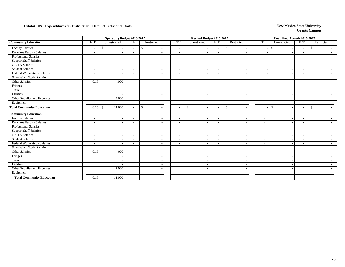|                                  |                          | <b>Operating Budget 2016-2017</b> |                          |               |                          |               | Revised Budget 2016-2017                             |               |                          |                          | <b>Unaudited Actuals 2016-2017</b> |                          |               |
|----------------------------------|--------------------------|-----------------------------------|--------------------------|---------------|--------------------------|---------------|------------------------------------------------------|---------------|--------------------------|--------------------------|------------------------------------|--------------------------|---------------|
| <b>Community Education</b>       | <b>FTE</b>               | Unrestricted                      | <b>FTE</b>               | Restricted    | <b>FTE</b>               | Unrestricted  | <b>FTE</b>                                           | Restricted    |                          | <b>FTE</b>               | Unrestricted                       | <b>FTE</b>               | Restricted    |
| <b>Faculty Salaries</b>          |                          | <sup>\$</sup>                     | $\overline{\phantom{a}}$ | <sup>\$</sup> | $\overline{\phantom{a}}$ | $\frac{1}{2}$ | $\overline{\phantom{a}}$<br>$\overline{\phantom{a}}$ | $\mathbf{\$}$ | $\overline{\phantom{a}}$ |                          | $\mathbf{\hat{S}}$                 | $\overline{\phantom{a}}$ | \$            |
| Part-time Faculty Salaries       |                          |                                   |                          |               |                          |               | $\overline{\phantom{0}}$                             |               |                          |                          |                                    |                          |               |
| Professional Salaries            | $\overline{\phantom{a}}$ |                                   | $\overline{\phantom{a}}$ |               | $\overline{\phantom{a}}$ |               | $\sim$                                               |               | $\overline{\phantom{a}}$ |                          |                                    | $\overline{\phantom{a}}$ |               |
| <b>Support Staff Salaries</b>    |                          |                                   |                          |               |                          |               | $\overline{\phantom{a}}$                             |               | $\tilde{\phantom{a}}$    |                          |                                    |                          |               |
| <b>GA/TA Salaries</b>            | $\overline{\phantom{0}}$ |                                   | $\overline{\phantom{a}}$ |               |                          |               | $\sim$                                               |               | $\overline{\phantom{a}}$ |                          |                                    | $\overline{\phantom{a}}$ |               |
| <b>Student Salaries</b>          | $\overline{\phantom{a}}$ |                                   | $\overline{\phantom{a}}$ |               |                          |               | $\sim$                                               |               | ٠                        |                          |                                    | $\overline{\phantom{a}}$ |               |
| Federal Work-Study Salaries      | $\overline{\phantom{0}}$ |                                   | $\overline{\phantom{a}}$ |               | $\overline{\phantom{a}}$ |               | $\sim$                                               |               | $\tilde{\phantom{a}}$    |                          |                                    | $\overline{\phantom{a}}$ |               |
| State Work-Study Salaries        |                          |                                   | $\overline{\phantom{a}}$ |               |                          |               |                                                      |               |                          |                          |                                    |                          |               |
| Other Salaries                   | 0.16                     | 4,000                             |                          |               |                          |               | $\overline{\phantom{a}}$<br>$\overline{\phantom{a}}$ |               | $\overline{a}$           |                          |                                    |                          |               |
| Fringes                          |                          |                                   |                          |               |                          |               |                                                      |               | $\blacksquare$           |                          |                                    |                          |               |
| Travel                           |                          |                                   |                          |               |                          |               |                                                      |               | $\sim$                   |                          |                                    |                          |               |
| Utilities                        |                          |                                   |                          |               |                          |               |                                                      |               | $\overline{\phantom{a}}$ |                          |                                    |                          |               |
| Other Supplies and Expenses      |                          | 7,000                             |                          |               |                          |               |                                                      |               | $\tilde{\phantom{a}}$    |                          |                                    |                          |               |
| Equipment                        |                          |                                   |                          |               |                          |               |                                                      |               |                          |                          |                                    |                          |               |
| <b>Total Community Education</b> | 0.16                     | 11,000<br>$\mathcal{S}$           | $\overline{\phantom{a}}$ | \$            |                          | $\mathbb{S}$  | $\overline{\phantom{a}}$<br>$\overline{\phantom{a}}$ | \$            |                          |                          | $\mathbb{S}$                       | $\overline{\phantom{a}}$ | $\mathcal{S}$ |
| <b>Community Education</b>       |                          |                                   |                          |               |                          |               |                                                      |               |                          |                          |                                    |                          |               |
| <b>Faculty Salaries</b>          | $\sim$                   |                                   | $\overline{\phantom{a}}$ |               | $\overline{\phantom{a}}$ |               | $\overline{\phantom{a}}$<br>$\sim$                   |               | $\overline{\phantom{a}}$ | $\overline{\phantom{a}}$ |                                    | $\overline{\phantom{a}}$ |               |
| Part-time Faculty Salaries       | $\overline{\phantom{a}}$ |                                   | $\overline{\phantom{a}}$ |               | $\overline{\phantom{a}}$ |               | $\overline{\phantom{a}}$<br>$\sim$                   |               | $\overline{\phantom{a}}$ | $\overline{\phantom{a}}$ |                                    | $\overline{\phantom{a}}$ |               |
| Professional Salaries            |                          |                                   |                          |               | $\overline{\phantom{a}}$ |               | $\overline{\phantom{0}}$                             |               | $\overline{\phantom{a}}$ | $\overline{\phantom{a}}$ |                                    | $\overline{\phantom{a}}$ |               |
| <b>Support Staff Salaries</b>    | $\overline{\phantom{0}}$ |                                   | $\overline{\phantom{a}}$ |               |                          |               | $\sim$                                               |               | $\sim$                   | $\sim$                   |                                    | $\overline{\phantom{a}}$ |               |
| GA/TA Salaries                   | $\overline{\phantom{a}}$ |                                   | $\overline{\phantom{a}}$ |               |                          |               | $\overline{\phantom{a}}$                             |               | $\overline{\phantom{a}}$ | $\overline{\phantom{a}}$ |                                    | $\overline{\phantom{a}}$ |               |
| <b>Student Salaries</b>          | $\overline{\phantom{0}}$ |                                   | $\overline{\phantom{a}}$ |               |                          |               | $\sim$                                               |               | $\overline{\phantom{a}}$ | $\overline{\phantom{a}}$ |                                    | $\overline{\phantom{a}}$ |               |
| Federal Work-Study Salaries      | $\sim$                   |                                   | $\overline{\phantom{a}}$ |               |                          |               | $\overline{\phantom{a}}$<br>$\overline{\phantom{a}}$ |               | $\tilde{\phantom{a}}$    | $\overline{\phantom{a}}$ |                                    |                          |               |
| <b>State Work-Study Salaries</b> |                          |                                   | $\overline{\phantom{a}}$ |               |                          |               | $\overline{\phantom{a}}$                             |               | $\overline{\phantom{a}}$ | $\overline{\phantom{a}}$ |                                    |                          |               |
| Other Salaries                   | 0.16                     | 4,000                             |                          |               |                          |               | $\overline{\phantom{a}}$<br>$\overline{\phantom{a}}$ |               | $\overline{\phantom{a}}$ | $\overline{\phantom{a}}$ |                                    | $\overline{\phantom{0}}$ |               |
| Fringes                          |                          |                                   |                          |               |                          |               |                                                      |               | $\tilde{\phantom{a}}$    |                          |                                    |                          |               |
| Travel                           |                          |                                   |                          |               |                          |               |                                                      |               | $\tilde{\phantom{a}}$    |                          |                                    |                          |               |
| Utilities                        |                          |                                   |                          |               |                          |               |                                                      |               | $\overline{\phantom{a}}$ |                          |                                    |                          |               |
| Other Supplies and Expenses      |                          | 7,000                             |                          |               |                          |               |                                                      |               |                          |                          |                                    |                          |               |
| Equipment                        |                          |                                   |                          |               |                          |               |                                                      |               |                          |                          |                                    |                          |               |
| <b>Total Community Education</b> | 0.16                     | 11,000                            | $\overline{\phantom{a}}$ |               | $\overline{\phantom{a}}$ |               |                                                      |               |                          |                          |                                    | $\overline{\phantom{a}}$ |               |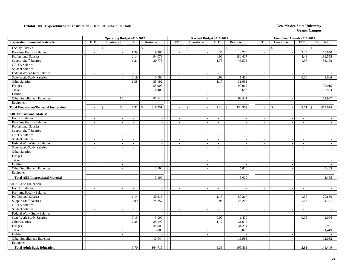|                                               |                          | <b>Operating Budget 2016-2017</b> |                          |                          |                          | Revised Budget 2016-2017 |            |                               |                          | <b>Unaudited Actuals 2016-2017</b> |                          |                          |
|-----------------------------------------------|--------------------------|-----------------------------------|--------------------------|--------------------------|--------------------------|--------------------------|------------|-------------------------------|--------------------------|------------------------------------|--------------------------|--------------------------|
| <b>Preparation/Remedial Instruction</b>       | <b>FTE</b>               | Unrestricted                      | <b>FTE</b>               | Restricted               | <b>FTE</b>               | Unrestricted             | <b>FTE</b> | Restricted                    | <b>FTE</b>               | Unrestricted                       | <b>FTE</b>               | Restricted               |
| <b>Faculty Salaries</b>                       |                          | $\mathbf{\hat{s}}$                | $\sim$                   | $\mathcal{S}$            | $\sim$                   | \$                       | $\sim$     | $\mathbb{S}$                  | $\overline{a}$           | \$                                 | $\sim$                   | <sup>\$</sup>            |
| Part-time Faculty Salaries                    | $\sim$                   | $\overline{a}$                    | 1.39                     | 9,366                    | $\sim$                   | $\sim$                   | 0.35       | 2,200                         | $\overline{a}$           | $\sim$                             | 2.20                     | 13,950                   |
| Professional Salaries                         | $\sim$                   |                                   | 2.14                     | 94,073                   | $\sim$                   |                          | 4.06       | 180,407                       | $\sim$                   | $\overline{\phantom{a}}$           | 4.48                     | 199,555                  |
| <b>Support Staff Salaries</b>                 | $\overline{\phantom{a}}$ |                                   | 1.21                     | 30,773                   | $\sim$                   |                          | 1.73       | 46,575                        | $\sim$                   | $\sim$                             | 1.97                     | 53,158                   |
| GA/TA Salaries                                | $\overline{\phantom{a}}$ |                                   | $\sim$                   | $\overline{\phantom{a}}$ | $\overline{\phantom{a}}$ |                          | $\sim$     | $\overline{a}$                | $\overline{\phantom{a}}$ | $\overline{\phantom{a}}$           | $\sim$                   | $\sim$                   |
| <b>Student Salaries</b>                       | $\overline{\phantom{a}}$ | $\overline{\phantom{a}}$          | $\sim$                   | $\overline{\phantom{a}}$ | $\overline{\phantom{a}}$ | $\sim$                   | $\sim$     | $\overline{\phantom{a}}$      | $\overline{\phantom{a}}$ | $\overline{a}$                     | $\sim$                   | $\sim$                   |
| Federal Work-Study Salaries                   | $\sim$                   | $\overline{\phantom{a}}$          | $\sim$                   | $\overline{a}$           | $\sim$                   | $\overline{a}$           | $\sim$     | $\overline{\phantom{a}}$      | $\sim$                   | $\overline{\phantom{a}}$           | $\overline{\phantom{a}}$ |                          |
| <b>State Work-Study Salaries</b>              | $\overline{\phantom{a}}$ | $\sim$                            | 0.19                     | 3,000                    | $\sim$                   | $\sim$                   | 0.09       | 1,400                         | $\overline{\phantom{a}}$ | $\overline{\phantom{a}}$           | 0.06                     | 1,006                    |
| Other Salaries                                | $\sim$                   | $\overline{\phantom{a}}$          | 1.38                     | 35,192                   | $\sim$                   | $\overline{\phantom{a}}$ | 1.17       | 31,692                        | $\overline{a}$           | $\overline{\phantom{a}}$           | $\overline{\phantom{a}}$ |                          |
| Fringes                                       |                          |                                   |                          | 55,003                   |                          | $\overline{\phantom{a}}$ |            | 90,015                        |                          | $\overline{\phantom{a}}$           |                          | 90,915                   |
| Travel                                        |                          | $\overline{\phantom{a}}$          |                          | 8,400                    |                          | $\overline{\phantom{a}}$ |            | 12,652                        |                          |                                    |                          | 5,553                    |
| Utilities                                     |                          | $\sim$                            |                          |                          |                          | $\overline{\phantom{a}}$ |            |                               |                          | $\sim$                             |                          |                          |
| Other Supplies and Expenses                   |                          | 10                                |                          | 81,144                   |                          | $\overline{\phantom{a}}$ |            | 69,421                        |                          | $\overline{\phantom{a}}$           |                          | 52,937                   |
| Equipment                                     |                          |                                   |                          |                          |                          | $\sim$                   |            |                               |                          | $\overline{a}$                     |                          |                          |
| <b>Total Preparation/Remedial Instruction</b> |                          | 10<br>$\mathcal{S}$               | 6.31                     | 316,951<br><sup>\$</sup> | $\sim$                   | $\mathbb{S}$<br>$\sim$   | 7.40       | 434,362<br>$\mathbf{\hat{S}}$ | $\overline{a}$           | $\mathbb{S}$                       | 8.71                     | 417,074<br>$\mathcal{S}$ |
| <b>ABE Instructional Material</b>             |                          |                                   |                          |                          |                          |                          |            |                               |                          |                                    |                          |                          |
| <b>Faculty Salaries</b>                       | $\sim$                   | $\sim$                            | $\sim$                   | $\sim$                   | $\sim$                   | $\sim$                   | $\sim$     | $\sim$                        | $\overline{\phantom{a}}$ | $\overline{\phantom{a}}$           | $\sim$                   | $\sim$                   |
| Part-time Faculty Salaries                    | $\sim$                   |                                   | $\sim$                   | $\sim$                   | $\sim$                   |                          | $\sim$     | $\overline{\phantom{a}}$      | $\overline{a}$           | $\overline{\phantom{a}}$           | $\overline{a}$           | $\sim$                   |
| <b>Professional Salaries</b>                  | $\sim$                   | $\overline{a}$                    | $\overline{\phantom{a}}$ | $\sim$                   | $\sim$                   |                          | $\sim$     | $\sim$                        | $\overline{\phantom{a}}$ |                                    | $\overline{\phantom{a}}$ | $-$                      |
| <b>Support Staff Salaries</b>                 | $\overline{\phantom{a}}$ | $\overline{\phantom{a}}$          | $\overline{\phantom{a}}$ | $\sim$                   | $\overline{\phantom{a}}$ |                          | $\sim$     | $\overline{\phantom{a}}$      | $\overline{a}$           |                                    | $\overline{\phantom{a}}$ | $=$                      |
| GA/TA Salaries                                | $\sim$                   |                                   | $\overline{\phantom{a}}$ | $\sim$                   | $\sim$                   | $\sim$                   | $\sim$     | $\sim$                        | $\overline{\phantom{a}}$ | $\sim$                             | $\overline{\phantom{a}}$ | $\sim$                   |
| <b>Student Salaries</b>                       | $\sim$                   |                                   | $\sim$                   | $\sim$                   | $\sim$                   |                          | $\sim$     | $\sim$                        | $\sim$                   | $\overline{\phantom{a}}$           | $\sim$                   | $\sim$ 1                 |
| Federal Work-Study Salaries                   | $\sim$                   |                                   | $\overline{\phantom{a}}$ | $\sim$                   | $\sim$                   | $\overline{\phantom{a}}$ | $\sim$     | $\overline{\phantom{a}}$      | $\overline{a}$           | $\overline{\phantom{a}}$           | $\sim$                   | $\sim$                   |
| <b>State Work-Study Salaries</b>              | $\sim$                   |                                   | $\overline{\phantom{a}}$ |                          | $\sim$                   |                          | $\sim$     | $\overline{\phantom{a}}$      | $\overline{\phantom{a}}$ |                                    | $\sim$                   | $\sim$                   |
| Other Salaries                                | $\sim$                   | $\sim$                            | $\sim$                   | $\overline{a}$           | $\overline{a}$           | $\sim$                   | $\sim$     | $\blacksquare$                | $\overline{a}$           | $\sim$                             | $\overline{a}$           | $\sim$                   |
| Fringes                                       |                          |                                   |                          | $\sim$                   |                          | $\sim$                   |            | $\sim$                        |                          | $\overline{\phantom{a}}$           |                          | $\sim$                   |
| Travel                                        |                          | $\overline{\phantom{a}}$          |                          | $\sim$                   |                          | $\overline{\phantom{a}}$ |            | $\overline{\phantom{a}}$      |                          | $\overline{\phantom{a}}$           |                          | $\sim$                   |
| Utilities                                     |                          | $\sim$                            |                          | $\overline{a}$           |                          | $\overline{a}$           |            | $\overline{a}$                |                          | $\sim$                             |                          |                          |
| Other Supplies and Expenses                   |                          |                                   |                          | 3,100                    |                          | $\sim$                   |            | 5,000                         |                          | $\overline{\phantom{a}}$           |                          | 3,465                    |
| Equipment                                     |                          | $\overline{\phantom{a}}$          |                          |                          |                          | $\sim$                   |            |                               |                          | $\sim$                             |                          |                          |
| <b>Total ABE Instructional Material</b>       |                          |                                   |                          | 3,100                    |                          |                          |            | 5,000                         | $\overline{a}$           |                                    | $\overline{a}$           | 3,465                    |
| <b>Adult Basic Education</b>                  |                          |                                   |                          |                          |                          |                          |            |                               |                          |                                    |                          |                          |
| <b>Faculty Salaries</b>                       | $\sim$                   |                                   | $\sim$                   | $\overline{\phantom{a}}$ | $\sim$                   |                          | $\sim$     | $\sim$                        | $\overline{\phantom{a}}$ |                                    | $\sim$                   |                          |
| Part-time Faculty Salaries                    | $\overline{\phantom{a}}$ | $\sim$                            | $\sim$                   | $\overline{\phantom{a}}$ | $\sim$                   | $\sim$                   | $\sim$     | $\sim$                        | $\sim$                   | $\sim$                             | $\sim$                   | $\sim$                   |
| Professional Salaries                         | $\sim$                   | $\overline{\phantom{a}}$          | 1.14                     | 50,216                   | $\sim$                   | $\overline{\phantom{a}}$ | 1.13       | 50,217                        | $\sim$                   | $\sim$                             | 1.59                     | 70,830                   |
| <b>Support Staff Salaries</b>                 | $\sim$                   | $\overline{\phantom{a}}$          | 0.99                     | 25,257                   | $\sim$                   | $\sim$                   | 0.94       | 25,267                        | $\sim$                   | $\sim$                             | 1.16                     | 31,171                   |
| GA/TA Salaries                                | $\overline{\phantom{a}}$ |                                   | $\overline{\phantom{a}}$ | $\overline{\phantom{a}}$ | $\overline{\phantom{a}}$ |                          | $\sim$     | $\overline{a}$                | $\overline{\phantom{a}}$ |                                    | $\sim$                   |                          |
| <b>Student Salaries</b>                       | $\sim$                   |                                   | $\overline{\phantom{a}}$ | $\overline{\phantom{a}}$ | $\frac{1}{2}$            |                          | $\sim$     | $\overline{\phantom{a}}$      | $\overline{a}$           | $\sim$                             | $\overline{\phantom{a}}$ | $\overline{\phantom{a}}$ |
| Federal Work-Study Salaries                   | $\sim$                   |                                   | $\sim$                   |                          | $\sim$                   |                          | $\sim$     |                               | $\overline{a}$           | $\sim$                             | $\sim$                   |                          |
| <b>State Work-Study Salaries</b>              | $\sim$                   | $\overline{\phantom{a}}$          | 0.19                     | 3,000                    | $\sim$                   | $\overline{\phantom{a}}$ | 0.09       | 1,400                         | $\blacksquare$           | $\sim$                             | 0.06                     | 1,006                    |
| <b>Other Salaries</b>                         | $\sim$                   | $\overline{a}$                    | 1.38                     | 35,192                   | $\sim$                   | $\overline{a}$           | 1.17       | 31,692                        | $\overline{a}$           | $\overline{\phantom{a}}$           | $\sim$                   |                          |
| Fringes                                       |                          |                                   |                          | 35,006                   |                          | $\overline{a}$           |            | 34,254                        |                          | $\overline{\phantom{a}}$           |                          | 32,961                   |
| Travel                                        |                          |                                   |                          | 3,000                    |                          |                          |            | 3,000                         |                          | $\overline{\phantom{a}}$           |                          | 1,449                    |
| Utilities                                     |                          |                                   |                          |                          |                          |                          |            |                               |                          |                                    |                          |                          |
| Other Supplies and Expenses                   |                          |                                   |                          | 13,044                   |                          |                          |            | 19,983                        |                          |                                    |                          | 12,032                   |
| Equipment                                     |                          | $\overline{\phantom{a}}$          |                          |                          |                          | $\sim$                   |            |                               |                          |                                    |                          |                          |
| <b>Total Adult Basic Education</b>            |                          |                                   | 3.70                     | 164,715                  |                          |                          | 3.33       | 165,813                       |                          |                                    | 2.81                     | 149,449                  |
|                                               |                          |                                   |                          |                          |                          |                          |            |                               |                          |                                    |                          |                          |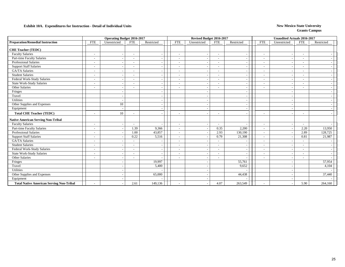|                                                 |                          | <b>Operating Budget 2016-2017</b> |                          |            |                          | Revised Budget 2016-2017 |                          |                          |                          | <b>Unaudited Actuals 2016-2017</b> |                          |            |
|-------------------------------------------------|--------------------------|-----------------------------------|--------------------------|------------|--------------------------|--------------------------|--------------------------|--------------------------|--------------------------|------------------------------------|--------------------------|------------|
| <b>Preparation/Remedial Instruction</b>         | <b>FTE</b>               | Unrestricted                      | <b>FTE</b>               | Restricted | <b>FTE</b>               | Unrestricted             | <b>FTE</b>               | Restricted               | <b>FTE</b>               | Unrestricted                       | <b>FTE</b>               | Restricted |
| <b>CHE Teacher (TEDC)</b>                       |                          |                                   |                          |            |                          |                          |                          |                          |                          |                                    |                          |            |
| <b>Faculty Salaries</b>                         | $\overline{\phantom{a}}$ |                                   | $\overline{\phantom{a}}$ |            | $\overline{\phantom{a}}$ | $\overline{\phantom{a}}$ | $\sim$                   | $\overline{\phantom{a}}$ | $\overline{\phantom{a}}$ |                                    | $\overline{\phantom{a}}$ |            |
| Part-time Faculty Salaries                      |                          |                                   |                          |            | $\overline{\phantom{a}}$ | $\overline{\phantom{a}}$ | $\overline{\phantom{a}}$ | $\overline{\phantom{a}}$ | $\blacksquare$           |                                    | $\overline{\phantom{a}}$ |            |
| <b>Professional Salaries</b>                    |                          |                                   |                          |            | $\overline{\phantom{0}}$ |                          | $\overline{\phantom{a}}$ | $\overline{\phantom{a}}$ |                          |                                    | $\qquad \qquad -$        |            |
| <b>Support Staff Salaries</b>                   |                          |                                   |                          |            | $\sim$                   |                          | $\sim$                   | <u>.</u>                 | $\sim$                   |                                    | $\overline{\phantom{a}}$ |            |
| <b>GA/TA Salaries</b>                           | $\overline{\phantom{a}}$ |                                   | $\overline{\phantom{0}}$ |            | $\sim$                   |                          | $\overline{\phantom{a}}$ | $\overline{\phantom{a}}$ | $\overline{\phantom{a}}$ |                                    | $\sim$                   |            |
| <b>Student Salaries</b>                         | $\overline{\phantom{a}}$ |                                   |                          |            |                          |                          | $\sim$                   |                          | $\overline{\phantom{a}}$ |                                    | $\overline{\phantom{a}}$ |            |
| Federal Work-Study Salaries                     | $\overline{\phantom{a}}$ |                                   | $\overline{\phantom{0}}$ |            | $\sim$                   |                          | $\overline{\phantom{a}}$ | $\overline{\phantom{a}}$ | $\overline{\phantom{a}}$ |                                    | $\overline{\phantom{a}}$ |            |
| <b>State Work-Study Salaries</b>                | $\overline{\phantom{a}}$ |                                   | $\overline{\phantom{a}}$ |            | $\overline{\phantom{a}}$ |                          | $\overline{\phantom{a}}$ | $\overline{\phantom{a}}$ | $\tilde{\phantom{a}}$    |                                    | $\overline{\phantom{a}}$ |            |
| Other Salaries                                  |                          |                                   | ۰.                       |            | $\overline{\phantom{a}}$ |                          | $\overline{\phantom{a}}$ | $\overline{\phantom{a}}$ |                          |                                    |                          |            |
| Fringes                                         |                          |                                   |                          |            |                          |                          |                          |                          |                          |                                    |                          |            |
| Travel                                          |                          |                                   |                          |            |                          |                          |                          |                          |                          |                                    |                          |            |
| <b>Utilities</b>                                |                          |                                   |                          |            |                          |                          |                          |                          |                          |                                    |                          |            |
| Other Supplies and Expenses                     |                          | 10                                |                          |            |                          |                          |                          |                          |                          |                                    |                          |            |
| Equipment                                       |                          |                                   |                          |            |                          |                          |                          |                          |                          |                                    |                          |            |
| <b>Total CHE Teacher (TEDC)</b>                 |                          | 10                                |                          |            | $\overline{\phantom{a}}$ |                          | $\overline{\phantom{a}}$ |                          |                          |                                    | $\overline{\phantom{a}}$ |            |
| <b>Native American Serving Non-Tribal</b>       |                          |                                   |                          |            |                          |                          |                          |                          |                          |                                    |                          |            |
| <b>Faculty Salaries</b>                         |                          |                                   |                          |            | $\overline{\phantom{a}}$ |                          | $\overline{\phantom{a}}$ |                          | $\overline{\phantom{a}}$ |                                    | $\overline{\phantom{a}}$ |            |
| Part-time Faculty Salaries                      | $\overline{\phantom{a}}$ |                                   | 1.39                     | 9,366      | $\sim$                   |                          | 0.35                     | 2,200                    | $\overline{\phantom{a}}$ |                                    | 2.20                     | 13,950     |
| <b>Professional Salaries</b>                    | $\overline{\phantom{a}}$ |                                   | 1.00                     | 43,857     | $\overline{\phantom{a}}$ |                          | 2.93                     | 130,190                  | $\overline{\phantom{a}}$ |                                    | 2.89                     | 128,725    |
| <b>Support Staff Salaries</b>                   | $\overline{\phantom{a}}$ |                                   | 0.22                     | 5,516      | $\overline{\phantom{a}}$ |                          | 0.79                     | 21,308                   | $\overline{\phantom{a}}$ |                                    | 0.81                     | 21,987     |
| <b>GA/TA Salaries</b>                           | $\overline{\phantom{a}}$ |                                   |                          |            | $\overline{\phantom{a}}$ |                          | $\sim$                   |                          | $\blacksquare$           |                                    | $\overline{\phantom{a}}$ |            |
| <b>Student Salaries</b>                         |                          |                                   |                          |            | ۰                        |                          | $\overline{\phantom{a}}$ |                          | $\overline{a}$           |                                    | $\overline{\phantom{a}}$ |            |
| Federal Work-Study Salaries                     |                          |                                   |                          |            | ۰                        |                          | $\overline{\phantom{0}}$ | $\overline{\phantom{a}}$ | ٠                        |                                    | $\overline{\phantom{a}}$ |            |
| <b>State Work-Study Salaries</b>                |                          |                                   |                          |            | $\overline{\phantom{a}}$ |                          | $\sim$                   |                          | $\sim$                   |                                    | $\sim$                   |            |
| Other Salaries                                  |                          |                                   |                          |            |                          |                          |                          |                          | $\sim$                   |                                    | $\blacksquare$           |            |
| Fringes                                         |                          |                                   |                          | 19,997     |                          |                          |                          | 55,761                   |                          |                                    |                          | 57,954     |
| Travel                                          |                          |                                   |                          | 5,400      |                          | <b>.</b>                 |                          | 9,652                    |                          |                                    |                          | 4,104      |
| Utilities                                       |                          |                                   |                          |            |                          | $\sim$                   |                          |                          |                          |                                    |                          |            |
| Other Supplies and Expenses                     |                          |                                   |                          | 65,000     |                          |                          |                          | 44,438                   |                          |                                    |                          | 37,440     |
| Equipment                                       |                          |                                   |                          |            |                          |                          |                          |                          |                          |                                    |                          |            |
| <b>Total Native American Serving Non-Tribal</b> |                          |                                   | 2.61                     | 149,136    | $\sim$                   |                          | 4.07                     | 263,549                  |                          |                                    | 5.90                     | 264,160    |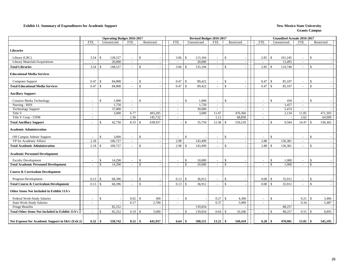#### **Exhibit 11. Summary of Expenditures for Academic Support** New Mexico State University

|                                                  |                          |                    |         | <b>Operating Budget 2016-2017</b> |                    |                          |                          |                    | Revised Budget 2016-2017 |                          |                    |                |                          |                    | <b>Unaudited Actuals 2016-2017</b> |                          |                    |            |
|--------------------------------------------------|--------------------------|--------------------|---------|-----------------------------------|--------------------|--------------------------|--------------------------|--------------------|--------------------------|--------------------------|--------------------|----------------|--------------------------|--------------------|------------------------------------|--------------------------|--------------------|------------|
|                                                  | <b>FTE</b>               | Unrestricted       |         | <b>FTE</b>                        |                    | Restricted               | <b>FTE</b>               |                    | Unrestricted             | <b>FTE</b>               |                    | Restricted     | <b>FTE</b>               |                    | Unrestricted                       | <b>FTE</b>               |                    | Restricted |
| <b>Libraries</b>                                 |                          |                    |         |                                   |                    |                          |                          |                    |                          |                          |                    |                |                          |                    |                                    |                          |                    |            |
| Library (LRC)                                    | 3.54                     | $\mathbf{\$}$      | 128,527 | $\sim$                            | $\mathcal{S}$      |                          | 3.06                     | <sup>\$</sup>      | 115,104                  |                          | $\mathbf{s}$       |                | 2.85                     | $\mathcal{S}$      | 101,245                            | $\overline{\phantom{a}}$ | $\mathbf{\hat{S}}$ |            |
| Library Materials/Acquisitions                   | $\sim$                   |                    | 20,000  | $\sim$                            |                    | $\overline{\phantom{a}}$ | $\overline{\phantom{a}}$ |                    | 20,000                   | $\sim$                   |                    | $\blacksquare$ | $\sim$                   |                    | 13,495                             | $\sim$                   |                    |            |
| <b>Total Libraries</b>                           | 3.54                     | \$                 | 148,527 | $\overline{\phantom{a}}$          | $\mathbb{S}$       |                          | 3.06                     | <sup>\$</sup>      | 135,104                  | $\overline{\phantom{a}}$ | \$                 | $\sim$         | 2.85                     | $\mathcal{S}$      | 114,740                            | $\sim$                   | $\mathbf{\hat{S}}$ |            |
| <b>Educational Media Services</b>                |                          |                    |         |                                   |                    |                          |                          |                    |                          |                          |                    |                |                          |                    |                                    |                          |                    |            |
| Computer Support                                 | 0.47                     | $\mathbb{S}$       | 84,800  | $\overline{\phantom{a}}$          | $\mathcal{S}$      |                          | 0.47                     | $\mathcal{S}$      | 89,422                   |                          | $\mathcal{S}$      |                | 0.47                     | $\mathcal{S}$      | 85,107                             | $\overline{\phantom{a}}$ | \$                 |            |
| <b>Total Educational Media Services</b>          | 0.47                     | $\mathcal{S}$      | 84,800  | $\sim$                            | $\mathcal{S}$      |                          | 0.47                     | $\mathbf{\hat{s}}$ | 89,422                   |                          | $\mathbf{s}$       |                | 0.47                     | $\mathcal{S}$      | 85,107                             | $\overline{\phantom{a}}$ | $\mathbf{s}$       |            |
| <b>Ancillary Support</b>                         |                          |                    |         |                                   |                    |                          |                          |                    |                          |                          |                    |                |                          |                    |                                    |                          |                    |            |
| Creative Media Technology                        | $\overline{\phantom{a}}$ | <sup>\$</sup>      | 1,000   | $\overline{\phantom{a}}$          | $\mathcal{S}$      |                          |                          | $\mathbf{\hat{S}}$ | 1,000                    |                          | $\mathcal{S}$      |                | $\overline{\phantom{a}}$ | \$                 | 439                                | $\sim$                   | $\mathbf{\hat{S}}$ |            |
| Nursing - BSN                                    | $\sim$                   |                    | 1.750   | $\sim$                            |                    |                          | $\sim$                   |                    | 1,750                    | $\sim$                   |                    | $\sim$         | $\sim$                   |                    | 1,457                              | $\sim$                   |                    |            |
| <b>Technology Support</b>                        | $\overline{\phantom{a}}$ |                    | 37,000  | $\sim$                            |                    |                          | $\sim$                   |                    | 30,000                   | $\sim$                   |                    |                | $\sim$                   |                    | 5,474                              | $\sim$                   |                    |            |
| Title V                                          | $\sim$                   |                    | 3,000   | 6.77                              |                    | 493,205                  | $\overline{\phantom{a}}$ |                    | 3,000                    | 11.47                    |                    | 470,360        | $\sim$                   |                    | 2,134                              | 11.85                    |                    | 471,393    |
| Title V Coop - UNM                               | $\overline{\phantom{a}}$ |                    |         | 1.56                              |                    | 145,732                  | $\sim$                   |                    |                          | 1.11                     |                    | 68,858         | $\sim$                   |                    |                                    | 2.62                     |                    | 64,909     |
| <b>Total Ancillary Support</b>                   | $\sim$                   | $\mathcal{S}$      | 42,750  | 8.33                              | <sup>\$</sup>      | 638,937                  |                          | <sup>\$</sup>      | 35,750                   | 12.58                    | -\$                | 539,218        | $\overline{\phantom{a}}$ | $\mathbf{\$}$      | 9,504                              | 14.47                    | -S                 | 536,302    |
| <b>Academic Administration</b>                   |                          |                    |         |                                   |                    |                          |                          |                    |                          |                          |                    |                |                          |                    |                                    |                          |                    |            |
| Off Campus Admin/ Support                        | $\sim$                   | \$                 | 3,000   | $\sim$                            | $\mathcal{S}$      |                          |                          | $\mathcal{S}$      |                          |                          | \$                 |                | $\overline{\phantom{a}}$ | $\mathbf{\$}$      |                                    | $\overline{\phantom{a}}$ | \$                 |            |
| VP for Academic Affairs                          | 2.18                     |                    | 106,727 | $\sim$                            |                    |                          | 2.98                     |                    | 143,499                  |                          |                    |                | 2.88                     |                    | 136,381                            |                          |                    |            |
| <b>Total Academic Administration</b>             | 2.18                     | $\mathcal{S}$      | 109,727 | $\sim$                            | $\mathcal{S}$      |                          | 2.98                     | $\mathcal{S}$      | 143,499                  |                          | $\mathbf{\hat{s}}$ |                | 2.88                     | $\mathbf{\hat{s}}$ | 136,381                            | $\sim$                   | $\mathcal{S}$      |            |
| <b>Academic Personnel Development</b>            |                          |                    |         |                                   |                    |                          |                          |                    |                          |                          |                    |                |                          |                    |                                    |                          |                    |            |
| <b>Faculty Development</b>                       | $\sim$                   | \$                 | 14,290  | $\sim$                            | $\mathcal{S}$      |                          | $\sim$                   | $\mathbb{S}$       | 10,000                   |                          | $\mathbb{S}$       |                | $\overline{\phantom{a}}$ | \$                 | 1,000                              | $\sim$                   | -S                 |            |
| <b>Total Academic Personnel Development</b>      | $\sim$                   | $\mathbf{\hat{S}}$ | 14,290  | $\sim$                            | $\mathbf{\hat{S}}$ |                          |                          | $\mathbf{\hat{S}}$ | 10,000                   | $\sim$                   | $\mathcal{S}$      |                | $\sim$                   | $\mathcal{S}$      | 1.000                              | $\overline{a}$           | $\mathcal{S}$      |            |
| <b>Course &amp; Curriculum Development</b>       |                          |                    |         |                                   |                    |                          |                          |                    |                          |                          |                    |                |                          |                    |                                    |                          |                    |            |
| Program Development                              | 0.13                     | $\mathcal{S}$      | 68,396  | $\overline{\phantom{a}}$          | $\mathcal{S}$      |                          | 0.13                     | $\mathbb{S}$       | 36,912                   |                          | \$                 |                | $0.08\,$                 | $\mathcal{S}$      | 35,912                             | $\overline{\phantom{a}}$ | $\mathbf{\hat{S}}$ |            |
| <b>Total Course &amp; Curriculum Development</b> | 0.13                     | \$                 | 68,396  |                                   | $\mathbf{\hat{S}}$ |                          | 0.13                     | $\mathbf{\hat{S}}$ | 36,912                   |                          | $\mathbf{\hat{S}}$ |                | 0.08                     | $\mathcal{S}$      | 35,912                             | $\overline{a}$           | $\mathbf{\hat{S}}$ |            |
| <b>Other Items Not Included in Exhibit 11A's</b> |                          |                    |         |                                   |                    |                          |                          |                    |                          |                          |                    |                |                          |                    |                                    |                          |                    |            |
| Federal Work-Study Salaries                      | $\overline{\phantom{a}}$ | \$                 |         | $0.02\,$                          | $\mathcal{S}$      | 300                      | $\sim$                   | $\mathbb{S}$       |                          | 0.27                     | $\mathbf{s}$       | 4,300          | $\overline{\phantom{a}}$ | \$                 |                                    | 0.21                     | $\mathbf{s}$       | 3,406      |
| <b>State Work-Study Salaries</b>                 | $\sim$                   |                    |         | 0.17                              |                    | 2,700                    | $\sim$                   |                    |                          | 0.37                     |                    | 5,900          | $\sim$                   |                    |                                    | 0.34                     |                    | 5,487      |
| Fringe Benefits                                  |                          |                    | 82,252  |                                   |                    |                          |                          |                    | 139,834                  |                          |                    |                |                          |                    | 88,257                             |                          |                    |            |
| Total Other Items Not Included in Exhibit 11A's  |                          | \$                 | 82,252  | 0.19                              | $\mathcal{S}$      | 3,000                    |                          | $\mathcal{L}$      | 139,834                  | 0.64                     | -8                 | 10,200         | $\sim$                   | $\mathcal{S}$      | 88,257                             | 0.55                     | $\mathcal{S}$      | 8,893      |
| Net Expense for Academic Support in I&G (Exh 2)  | 6.32                     | \$                 | 550,742 | 8.52                              | $\mathbf{s}$       | 641,937                  | 6.64                     | \$                 | 590,521                  | 13.22                    | \$                 | 549,418        | 6.28                     | -\$                | 470,901                            | 15.02                    | $\mathbf{s}$       | 545,195    |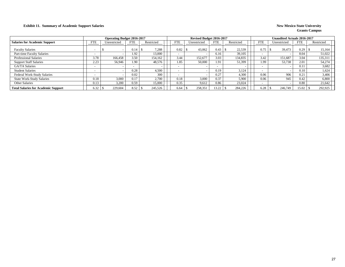#### **Exhibit 11. Summary of Academic Support Salaries New Mexico State University New Mexico State University**

|                                            |                          | <b>Operating Budget 2016-2017</b> |            |            |            | Revised Budget 2016-2017 |            |            |                          | <b>Unaudited Actuals 2016-2017</b> |            |            |
|--------------------------------------------|--------------------------|-----------------------------------|------------|------------|------------|--------------------------|------------|------------|--------------------------|------------------------------------|------------|------------|
| <b>Salaries for Academic Support</b>       | FTE                      | Unrestricted                      | <b>FTE</b> | Restricted | <b>FTE</b> | Jnrestricted             | <b>FTE</b> | Restricted | FTE                      | Unrestricted                       | <b>FTE</b> | Restricted |
| <b>Faculty Salaries</b>                    |                          |                                   | 0.14       | 7,288      | 0.82       | 43,062                   | 0.43       | 22,539     | 0.75                     | 39.473                             | 0.29       | 15,164     |
| Part-time Faculty Salaries                 | $\overline{\phantom{0}}$ |                                   | 1.92       | 13,000     |            |                          | 6.16       | 39,105     | $\overline{\phantom{0}}$ |                                    | 8.04       | 51,022     |
| <b>Professional Salaries</b>               | 3.78                     | 166.458                           | 3.50       | 154.162    | 3.44       | 152,677                  | 3.03       | 134,835    | 3.42                     | 151,687                            | 3.04       | 135,311    |
| <b>Support Staff Salaries</b>              | 2.23                     | 56.946                            | 1.90       | 48,576     | 1.85       | 50,000                   | 1.91       | 51,399     | 1.99                     | 53,738                             | 2.01       | 54,274     |
| GA/TA Salaries                             |                          |                                   |            |            |            |                          |            |            | $\overline{\phantom{0}}$ |                                    | 0.11       | 3,682      |
| <b>Student Salaries</b>                    |                          |                                   | 0.28       | 4.500      |            |                          | 0.19       | 3.124      | $\overline{\phantom{0}}$ |                                    | 0.10       | 1.624      |
| Federal Work-Study Salaries                |                          |                                   | 0.02       | 300        |            |                          | 0.27       | 4.300      | 0.06                     | 906                                | 0.21       | 3,406      |
| <b>State Work-Study Salaries</b>           | 0.18                     | 3.000                             | 0.17       | 2,700      | 0.18       | 3,000                    | 0.37       | 5,900      | 0.06                     | 945                                | 0.42       | 6,800      |
| Other Salaries                             | 0.13                     | 3,200                             | 0.59       | 15,000     | 0.35       | 9,612                    | 0.86       | 23,024     | $\overline{\phantom{0}}$ |                                    | 0.80       | 21,642     |
| <b>Total Salaries for Academic Support</b> | 6.32                     | 229,604                           | 8.52       | 245,526    |            | 258,351                  | 13.22      | 284,226    | 6.28                     | 246,749                            | 15.02      | 292,925    |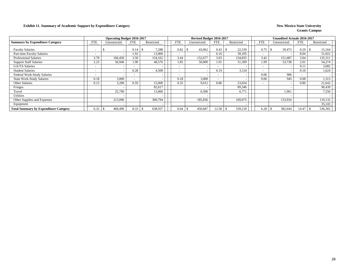#### **Exhibit 11. Summary of Academic Support by Expenditure Category New Mexico State University**

|                                              |                          | <b>Operating Budget 2016-2017</b> |                          |            |                          | Revised Budget 2016-2017 |                          |                          |                          | <b>Unaudited Actuals 2016-2017</b> |            |            |
|----------------------------------------------|--------------------------|-----------------------------------|--------------------------|------------|--------------------------|--------------------------|--------------------------|--------------------------|--------------------------|------------------------------------|------------|------------|
| <b>Summary by Expenditure Category</b>       | <b>FTE</b>               | Unrestricted                      | <b>FTE</b>               | Restricted | <b>FTE</b>               | Unrestricted             | <b>FTE</b>               | Restricted               | <b>FTE</b>               | Unrestricted                       | <b>FTE</b> | Restricted |
| <b>Faculty Salaries</b>                      |                          | $\overline{\phantom{a}}$          | $0.14 \pm \$$            | 7,288      | 0.82                     | 43,062                   | 0.43                     | 22,539                   | 0.75                     | 39,473<br>-8                       | 0.29       | 15,164     |
| <b>Part-time Faculty Salaries</b>            | $\overline{\phantom{0}}$ | $\overline{\phantom{0}}$          | .92                      | 13,000     |                          |                          | 6.16                     | 39,105                   | $\overline{\phantom{0}}$ |                                    | 8.04       | 51,022     |
| <b>Professional Salaries</b>                 | 3.78                     | 166,458                           | 3.50                     | 154,162    | 3.44                     | 152,677                  | 3.03                     | 134,835                  | 3.42                     | 151,687                            | 3.04       | 135,311    |
| <b>Support Staff Salaries</b>                | 2.23                     | 56,946                            | 1.90                     | 48,576     | 1.85                     | 50,000                   | 1.91                     | 51,399                   | 1.99                     | 53,738                             | 2.01       | 54,274     |
| <b>GA/TA Salaries</b>                        | $\sim$                   |                                   | $\overline{\phantom{0}}$ |            | $\overline{\phantom{0}}$ |                          | $\sim$                   |                          | $\overline{\phantom{0}}$ |                                    | 0.11       | 3,682      |
| <b>Student Salaries</b>                      | $\sim$                   | $\overline{\phantom{a}}$          | 0.28                     | 4,500      | $\overline{\phantom{0}}$ |                          | 0.19                     | 3,124                    | $\overline{\phantom{0}}$ |                                    | 0.10       | 1,624      |
| Federal Work-Study Salaries                  | $\sim$                   |                                   | $\overline{\phantom{0}}$ |            |                          |                          | $\overline{\phantom{0}}$ | $\overline{\phantom{0}}$ | 0.06                     | 906                                | $\sim$     |            |
| <b>State Work-Study Salaries</b>             | 0.18                     | 3,000                             | $\overline{\phantom{0}}$ |            | 0.18                     | 3,000                    | $\sim$                   |                          | 0.06                     | 945                                | 0.08       | 1,313      |
| Other Salaries                               | 0.13                     | 3,200                             | 0.59                     | 15,000     | 0.35                     | 9,612                    | 0.86                     | 23,024                   | $\overline{\phantom{0}}$ |                                    | 0.80       | 21,642     |
| Fringes                                      |                          |                                   |                          | 82,617     |                          |                          |                          | 89,346                   |                          |                                    |            | 90,439     |
| Travel                                       |                          | 25,790                            |                          | 13,000     |                          | 6,500                    |                          | 6,771                    |                          | 1,961                              |            | 7,556      |
| <b>Utilities</b>                             |                          |                                   |                          |            |                          |                          |                          |                          |                          |                                    |            |            |
| Other Supplies and Expenses                  |                          | 213,096                           |                          | 300,794    |                          | 185,836                  |                          | 169,075                  |                          | 133,934                            |            | 119,132    |
| Equipment                                    |                          | $\overline{\phantom{a}}$          |                          |            |                          |                          |                          |                          |                          |                                    |            | 35,143     |
| <b>Total Summary by Expenditure Category</b> | 6.32                     | 468,490                           | 8.33                     | 638,937    | 6.64                     | 450,687                  | 12.58                    | 539,218                  | 6.28                     | 382,644                            | 14.47      | 536,302    |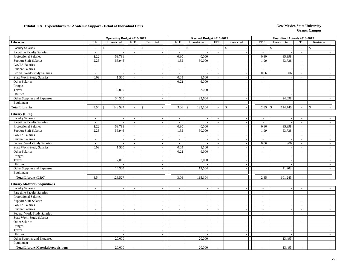|                                                            |                             | <b>Operating Budget 2016-2017</b> |                          |                    |                          |               | Revised Budget 2016-2017           |                                       |                             |                          |                    | <b>Unaudited Actuals 2016-2017</b> |                          |                          |  |
|------------------------------------------------------------|-----------------------------|-----------------------------------|--------------------------|--------------------|--------------------------|---------------|------------------------------------|---------------------------------------|-----------------------------|--------------------------|--------------------|------------------------------------|--------------------------|--------------------------|--|
| <b>Libraries</b>                                           | ${\rm FTE}$                 | Unrestricted                      | <b>FTE</b>               | Restricted         | <b>FTE</b>               |               | Unrestricted                       | <b>FTE</b>                            | Restricted                  | <b>FTE</b>               |                    | Unrestricted                       | <b>FTE</b>               | Restricted               |  |
| <b>Faculty Salaries</b>                                    | $\sim$                      | $\mathbf S$                       | $\sim$                   | $\mathbf{\hat{S}}$ | $\sim$                   | $\mathsf{\$}$ |                                    | $\sim$                                | $\mathbf{s}$                | $\overline{\phantom{a}}$ | $\mathcal{S}$      |                                    | $\sim$                   | $\mathbb{S}$             |  |
| Part-time Faculty Salaries                                 | $\omega$                    | $\overline{a}$                    | $\mathbb{Z}^2$           | $\sim$             | $\sim$                   |               | $\overline{\phantom{a}}$           | $\mathcal{L}$                         | $\bar{\phantom{a}}$         | $\sim$                   |                    |                                    | $\mathcal{L}$            |                          |  |
| Professional Salaries                                      | 1.22                        | 53,781                            | $\sim$                   | $\sim$             | 0.90                     |               | 40,000                             | $\mathcal{L}_{\mathcal{A}}$           | $\sim$                      | 0.80                     |                    | 35,398                             | $\sim$                   |                          |  |
| <b>Support Staff Salaries</b>                              | 2.23                        | 56,946                            | $\sim$                   | $\sim$             | 1.85                     |               | 50,000                             | $\mathcal{L}_{\mathcal{A}}$           | $\sim$                      | 1.99                     |                    | 53,738                             | $\sim$                   |                          |  |
| <b>GA/TA Salaries</b>                                      | $\omega$                    |                                   | $\sim$                   | $\sim$             | $\sim$                   |               |                                    | $\mathcal{L}_{\mathcal{A}}$           | $\sim$                      | $\sim$                   |                    |                                    | $\sim$                   | $\sim$                   |  |
| <b>Student Salaries</b>                                    | $\sim$                      | $\sim$                            | $\sim$                   | $\sim$             | $\sim$                   |               | $\sim$                             | $\mathcal{L}_{\mathcal{A}}$           | $\sim$                      | $\sim$                   |                    | $\sim$                             | $\sim$                   | $\sim$                   |  |
| Federal Work-Study Salaries                                | $\sim$                      | $\sim$                            | $\sim$                   | $\sim$             | $\sim$                   |               |                                    | $\mathcal{L}_{\mathcal{A}}$           | $\sim$                      | 0.06                     |                    | 906                                | $\sim$                   | $\sim$                   |  |
| <b>State Work-Study Salaries</b>                           | 0.09                        | 1,500                             | $\sim$                   | $\sim$             | 0.09                     |               | 1,500                              | $\sim$                                | $\overline{\phantom{a}}$    | $\sim$                   |                    | $\sim$                             | $\sim$                   | $\sim$                   |  |
| Other Salaries                                             | $\sim$                      | $\sim$                            | $\sim$                   | $\sim$             | 0.22                     |               | 6,000                              | $\sim$                                | $\sim$                      | $\sim$                   |                    | $\overline{\phantom{a}}$           | $\overline{\phantom{a}}$ | $\overline{\phantom{a}}$ |  |
| Fringes                                                    |                             | $\sim$                            |                          | $\sim$             |                          |               |                                    |                                       | $\mathcal{L}$               |                          |                    | $\sim$                             |                          | $\sim$                   |  |
| Travel                                                     |                             | 2,000                             |                          | $\sim$             |                          |               | 2,000                              |                                       | $\overline{\phantom{a}}$    |                          |                    | $\overline{\phantom{a}}$           |                          |                          |  |
| Utilities                                                  |                             |                                   |                          |                    |                          |               |                                    |                                       | $\overline{\phantom{a}}$    |                          |                    |                                    |                          |                          |  |
| Other Supplies and Expenses                                |                             | 34,300                            |                          | $\sim$             |                          |               | 35,604                             |                                       | $\sim$                      |                          |                    | 24,698                             |                          | $\overline{\phantom{a}}$ |  |
| Equipment                                                  |                             |                                   |                          | $\sim$             |                          |               |                                    |                                       | $\blacksquare$              |                          |                    |                                    |                          | $\overline{\phantom{a}}$ |  |
| <b>Total Libraries</b>                                     | 3.54                        | 148,527<br><sup>\$</sup>          | $\sim$                   | $\mathcal{S}$      | 3.06                     | $\mathbb{S}$  | 135,104                            | $\sim$                                | $\mathbf{s}$<br>$\sim$      | 2.85                     | $\mathbf{\hat{s}}$ | 114,740                            | $\overline{\phantom{a}}$ | $\mathbf{\hat{S}}$       |  |
| Library (LRC)                                              |                             |                                   |                          |                    |                          |               |                                    |                                       |                             |                          |                    |                                    |                          |                          |  |
| <b>Faculty Salaries</b>                                    | $\sim$                      | $\sim$                            | $\sim$                   | $\sim$             |                          |               |                                    | $\sim$                                |                             | $\sim$                   |                    | $\overline{\phantom{a}}$           | $\sim$                   | $\overline{\phantom{a}}$ |  |
|                                                            | $\sim$                      | $\overline{a}$                    | $\sim$                   |                    | $\sim$<br>$\sim$         |               | $\overline{\phantom{a}}$           | $\sim$                                | $\overline{\phantom{a}}$    | $\sim$                   |                    | $\sim$                             | $\sim$                   | $\sim$                   |  |
| Part-time Faculty Salaries<br><b>Professional Salaries</b> | 1.22                        | 53,781                            |                          | $\sim$             | 0.90                     |               | $\overline{\phantom{a}}$<br>40,000 |                                       | $\sim$<br>$\sim$            | 0.80                     |                    | 35,398                             |                          | $\overline{a}$           |  |
|                                                            |                             |                                   | $\sim$<br>$\sim$         | $\sim$<br>$\sim$   |                          |               |                                    | $\mathcal{L}_{\mathcal{A}}$<br>$\sim$ |                             |                          |                    |                                    | $\sim$                   | $\sim$                   |  |
| <b>Support Staff Salaries</b>                              | 2.23                        | 56,946                            |                          |                    | 1.85                     |               | 50,000                             |                                       | $\sim$                      | 1.99                     |                    | 53,738                             | $\sim$                   |                          |  |
| GA/TA Salaries                                             | $\mathcal{L}_{\mathcal{A}}$ | $\sim$                            | $\sim$                   | $\sim$             | $\sim$                   |               | $\overline{\phantom{a}}$           | $\overline{\phantom{a}}$              | $\overline{\phantom{a}}$    | $\sim$                   |                    | $\sim$                             | $\sim$                   | $\sim$                   |  |
| <b>Student Salaries</b>                                    | $\sim$                      | $\overline{\phantom{a}}$          | $\sim$                   | $\sim$             | $\sim$                   |               |                                    | $\sim$                                | $\blacksquare$              | $\overline{\phantom{a}}$ |                    | $\sim$                             | $\sim$                   | $\sim$                   |  |
| Federal Work-Study Salaries                                | $\sim$                      | $\overline{\phantom{a}}$          | $\sim$                   | $\sim$             | $\sim$                   |               | $\sim$                             | $\sim$                                | $\mathcal{L}_{\mathcal{A}}$ | 0.06                     |                    | 906                                | $\sim$                   | $\sim$                   |  |
| <b>State Work-Study Salaries</b>                           | 0.09                        | 1,500                             | $\sim$                   | $\sim$             | 0.09                     |               | 1,500                              | $\sim$                                | $\sim$                      | $\overline{\phantom{a}}$ |                    | $\overline{\phantom{a}}$           | $\sim$                   | $\overline{\phantom{a}}$ |  |
| Other Salaries                                             | $\sim$                      | $\sim$                            | $\sim$                   | $\sim$             | 0.22                     |               | 6,000                              | $\sim$                                | $\mathcal{L}_{\mathcal{A}}$ | $\sim$                   |                    | $\overline{\phantom{a}}$           | $\sim$                   | $\overline{\phantom{a}}$ |  |
| Fringes                                                    |                             |                                   |                          |                    |                          |               |                                    |                                       | $\overline{\phantom{a}}$    |                          |                    | $\overline{\phantom{a}}$           |                          |                          |  |
| Travel                                                     |                             | 2,000                             |                          |                    |                          |               | 2,000                              |                                       | $\overline{\phantom{a}}$    |                          |                    | $\sim$                             |                          |                          |  |
| Utilities                                                  |                             |                                   |                          | $\sim$             |                          |               |                                    |                                       | $\sim$                      |                          |                    |                                    |                          | $\overline{\phantom{a}}$ |  |
| Other Supplies and Expenses                                |                             | 14,300                            |                          | $\sim$             |                          |               | 15,604                             |                                       | $\overline{\phantom{a}}$    |                          |                    | 11,203                             |                          | $\overline{\phantom{a}}$ |  |
| Equipment                                                  |                             |                                   |                          | $\sim$             |                          |               |                                    |                                       | $\sim$                      |                          |                    |                                    |                          | $\sim$                   |  |
| <b>Total Library (LRC)</b>                                 | 3.54                        | 128,527                           | $\sim$                   |                    | 3.06                     |               | 115,104                            | $\overline{\phantom{a}}$              | $\sim$                      | 2.85                     |                    | 101,245                            | $\sim$                   |                          |  |
| <b>Library Materials/Acquisitions</b>                      |                             |                                   |                          |                    |                          |               |                                    |                                       |                             |                          |                    |                                    |                          |                          |  |
| <b>Faculty Salaries</b>                                    | $\overline{a}$              | $\sim$                            | $\sim$                   | $\sim$             | $\sim$                   |               |                                    | $\sim$                                | $\overline{a}$              | $\sim$                   |                    | $\overline{a}$                     | $\sim$                   | $\sim$                   |  |
| Part-time Faculty Salaries                                 | $\sim$                      | $\overline{\phantom{a}}$          | $\overline{\phantom{a}}$ | $\sim$             | $\sim$                   |               | $\overline{\phantom{a}}$           | $\sim$                                | $\overline{\phantom{a}}$    | $\overline{\phantom{a}}$ |                    | $\sim$                             | $\sim$                   | $\overline{\phantom{a}}$ |  |
| <b>Professional Salaries</b>                               | $\overline{\phantom{a}}$    | $\overline{\phantom{a}}$          | $\sim$                   | $\sim$             | $\sim$                   |               |                                    | $\sim$                                | $\sim$                      | $\overline{\phantom{a}}$ |                    | $\sim$                             | $\sim$                   |                          |  |
| <b>Support Staff Salaries</b>                              | $\sim$                      | $\sim$                            | $\sim$                   | $\sim$             | $\sim$                   |               | $\sim$                             | $\sim$                                | $\mathcal{L}$               | $\sim$                   |                    | $\sim$                             | $\sim$                   | $\sim$                   |  |
| GA/TA Salaries                                             | $\sim$                      | $\sim$                            | $\sim$                   | $\sim$             | $\sim$                   |               | $\overline{\phantom{a}}$           | $\sim$                                | $\sim$                      | $\overline{a}$           |                    | $\sim$                             | $\sim$                   | $\sim$                   |  |
| <b>Student Salaries</b>                                    | $\sim$                      | $\sim$                            | $\sim$                   | $\sim$             | $\sim$                   |               | $\overline{\phantom{a}}$           | $\sim$                                | $\overline{\phantom{a}}$    | $\overline{\phantom{a}}$ |                    | $\overline{\phantom{a}}$           | $\sim$                   | $\sim$                   |  |
| Federal Work-Study Salaries                                | $\overline{\phantom{a}}$    | $\sim$                            | $\sim$                   | $\sim$             | $\sim$                   |               | $\overline{\phantom{a}}$           | $\sim$                                | $\sim$                      | $\overline{\phantom{a}}$ |                    | $\sim$                             | $\sim$                   | $\overline{\phantom{a}}$ |  |
| State Work-Study Salaries                                  | $\overline{\phantom{a}}$    | $\sim$                            | $\sim$                   | $\sim$             | $\overline{\phantom{a}}$ |               | $\sim$                             | $\sim$                                | $\overline{\phantom{a}}$    | $\sim$                   |                    | $\sim$                             | $\mathcal{L}$            | $\sim$                   |  |
| Other Salaries                                             | $\overline{\phantom{a}}$    | $\sim$                            | $\sim$                   | $\sim$             | $\sim$                   |               | $\overline{\phantom{a}}$           | $\sim$                                | $\overline{\phantom{a}}$    | $\sim$                   |                    | $\overline{\phantom{a}}$           | $\sim$                   |                          |  |
| Fringes                                                    |                             | $\blacksquare$                    |                          | $\sim$             |                          |               | $\overline{\phantom{a}}$           |                                       | $\blacksquare$              |                          |                    | $\sim$                             |                          | $\sim$                   |  |
| Travel                                                     |                             | $\sim$                            |                          | $\sim$             |                          |               | $\sim$                             |                                       | $\sim$                      |                          |                    | $\sim$                             |                          | $\sim$                   |  |
| Utilities                                                  |                             | $\overline{a}$                    |                          | $\sim$             |                          |               |                                    |                                       | $\sim$                      |                          |                    |                                    |                          | $\sim$                   |  |
| Other Supplies and Expenses                                |                             | 20,000                            |                          | $\sim$             |                          |               | 20,000                             |                                       | $\sim$                      |                          |                    | 13,495                             |                          | $\sim$                   |  |
| Equipment                                                  |                             |                                   |                          | $\sim$             |                          |               |                                    |                                       | $\sim$                      |                          |                    |                                    |                          | $\sim$                   |  |
| <b>Total Library Materials/Acquisitions</b>                |                             | 20,000                            |                          |                    |                          |               | 20,000                             |                                       |                             |                          |                    | 13,495                             |                          |                          |  |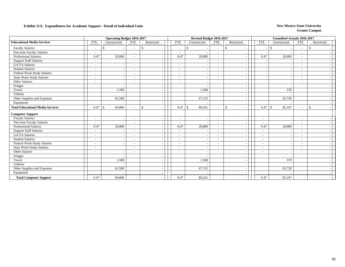|                                         |                          | <b>Operating Budget 2016-2017</b> |                          |               |                          | Revised Budget 2016-2017 |                          |                          |                          | <b>Unaudited Actuals 2016-2017</b> |                          |               |
|-----------------------------------------|--------------------------|-----------------------------------|--------------------------|---------------|--------------------------|--------------------------|--------------------------|--------------------------|--------------------------|------------------------------------|--------------------------|---------------|
| <b>Educational Media Services</b>       | <b>FTE</b>               | Unrestricted                      | <b>FTE</b>               | Restricted    | <b>FTE</b>               | Unrestricted             | <b>FTE</b>               | Restricted               | <b>FTE</b>               | Unrestricted                       | <b>FTE</b>               | Restricted    |
| <b>Faculty Salaries</b>                 | $\overline{\phantom{a}}$ | £.                                | $\overline{\phantom{a}}$ | <sup>\$</sup> | $\sim$                   | \$                       | $\overline{\phantom{a}}$ | $\mathbb{S}$             |                          | $\mathbb{S}$                       | $\sim$                   | -S            |
| Part-time Faculty Salaries              |                          |                                   | $\sim$                   |               | $\sim$                   |                          | $\overline{\phantom{a}}$ |                          |                          |                                    | $\overline{\phantom{a}}$ |               |
| Professional Salaries                   | 0.47                     | 20,800                            | $\overline{\phantom{a}}$ |               | 0.47                     | 20,800                   | $\sim$                   |                          | 0.47                     | 20,800                             | $\overline{\phantom{a}}$ |               |
| <b>Support Staff Salaries</b>           | $\overline{\phantom{a}}$ |                                   | $\overline{\phantom{a}}$ |               | $\sim$                   |                          | $\overline{\phantom{a}}$ | $\overline{\phantom{a}}$ |                          |                                    | $\overline{\phantom{a}}$ |               |
| <b>GA/TA Salaries</b>                   |                          | $\sim$                            |                          |               | $\sim$                   |                          | $\overline{\phantom{a}}$ |                          |                          |                                    | $\overline{\phantom{a}}$ |               |
| <b>Student Salaries</b>                 | $\overline{\phantom{a}}$ |                                   | $\blacksquare$           |               | $\blacksquare$           |                          | $\overline{\phantom{a}}$ |                          |                          |                                    | $\overline{\phantom{a}}$ |               |
| Federal Work-Study Salaries             | $\overline{\phantom{a}}$ | $\overline{\phantom{a}}$          | $\overline{\phantom{a}}$ |               | $\overline{\phantom{a}}$ |                          | $\overline{\phantom{0}}$ | $\overline{\phantom{a}}$ |                          |                                    | $\overline{\phantom{a}}$ |               |
| State Work-Study Salaries               | $\overline{\phantom{a}}$ | $\overline{\phantom{a}}$          | $\overline{\phantom{a}}$ |               | $\tilde{\phantom{a}}$    |                          | $\overline{\phantom{a}}$ | $\overline{\phantom{a}}$ |                          |                                    |                          |               |
| Other Salaries                          | $\overline{\phantom{a}}$ | $\overline{\phantom{a}}$          |                          |               |                          |                          |                          | $\overline{\phantom{a}}$ |                          |                                    |                          |               |
| Fringes                                 |                          | $\overline{\phantom{a}}$          |                          |               |                          |                          |                          | $\overline{\phantom{a}}$ |                          |                                    |                          |               |
| Travel                                  |                          | 1,500                             |                          |               |                          | 1,500                    |                          | $\overline{\phantom{a}}$ |                          | 579                                |                          |               |
| Utilities                               |                          |                                   |                          |               |                          |                          |                          | ۰.                       |                          |                                    |                          |               |
| Other Supplies and Expenses             |                          | 62,500                            |                          |               |                          | 67,122                   |                          | $\overline{a}$           |                          | 63,728                             |                          |               |
| Equipment                               |                          |                                   |                          |               |                          |                          |                          | $\overline{\phantom{a}}$ |                          |                                    |                          |               |
| <b>Total Educational Media Services</b> | 0.47                     | 84,800<br>-S                      | ۰                        | \$            | 0.47                     | $\mathbf{s}$<br>89,422   | $\sim$                   | $\mathbb{S}$             | 0.47                     | 85,107<br>- \$                     | $\sim$                   | $\mathcal{S}$ |
| <b>Computer Support</b>                 |                          |                                   |                          |               |                          |                          |                          |                          |                          |                                    |                          |               |
| <b>Faculty Salaries</b>                 | $\overline{\phantom{a}}$ | $\overline{\phantom{a}}$          | $\sim$                   |               | $\overline{\phantom{a}}$ |                          |                          |                          | $\overline{\phantom{a}}$ |                                    |                          |               |
| Part-time Faculty Salaries              | $\overline{\phantom{a}}$ |                                   | $\overline{\phantom{a}}$ |               | $\overline{\phantom{a}}$ |                          | $\overline{\phantom{a}}$ |                          | $\overline{\phantom{a}}$ |                                    | $\overline{\phantom{a}}$ |               |
| <b>Professional Salaries</b>            | 0.47                     | 20,800                            | $\sim$                   |               | 0.47                     | 20,800                   | $\sim$                   | $\overline{\phantom{a}}$ | 0.47                     | 20,800                             | $\overline{\phantom{a}}$ |               |
| <b>Support Staff Salaries</b>           |                          | $\sim$                            |                          |               | $\overline{\phantom{a}}$ |                          | $\overline{\phantom{a}}$ | ÷.                       | $\overline{\phantom{a}}$ |                                    | $\overline{\phantom{a}}$ |               |
| <b>GA/TA Salaries</b>                   | $\overline{\phantom{a}}$ |                                   | $\blacksquare$           |               | $\blacksquare$           |                          | $\overline{\phantom{a}}$ | $\overline{\phantom{a}}$ | $\overline{\phantom{a}}$ |                                    | $\overline{\phantom{a}}$ |               |
| <b>Student Salaries</b>                 | $\overline{\phantom{a}}$ | $\overline{\phantom{a}}$          | $\overline{\phantom{a}}$ |               | $\blacksquare$           |                          | $\overline{\phantom{a}}$ | $\overline{\phantom{a}}$ | $\sim$                   |                                    | $\overline{\phantom{a}}$ |               |
| Federal Work-Study Salaries             | $\overline{\phantom{a}}$ | $\sim$                            | $\blacksquare$           |               | $\blacksquare$           |                          | $\overline{\phantom{a}}$ |                          | $\overline{\phantom{a}}$ |                                    | $\overline{\phantom{a}}$ |               |
| <b>State Work-Study Salaries</b>        | $\overline{\phantom{a}}$ |                                   | $\overline{\phantom{a}}$ |               | $\blacksquare$           |                          | $\overline{\phantom{0}}$ |                          | $\overline{\phantom{a}}$ |                                    | $\overline{\phantom{a}}$ |               |
| Other Salaries                          | $\overline{\phantom{a}}$ | $\overline{\phantom{a}}$          | $\overline{\phantom{a}}$ |               | $\overline{\phantom{a}}$ | $\overline{\phantom{a}}$ | $\sim$                   | $\overline{\phantom{a}}$ | $\overline{\phantom{a}}$ | . .                                | $\overline{\phantom{a}}$ |               |
| Fringes                                 |                          |                                   |                          |               |                          |                          |                          | $\overline{\phantom{a}}$ |                          |                                    |                          |               |
| Travel                                  |                          | 1,500                             |                          |               |                          | 1,500                    |                          | $\overline{\phantom{a}}$ |                          | 579                                |                          |               |
| Utilities                               |                          |                                   |                          |               |                          |                          |                          | $\overline{\phantom{a}}$ |                          |                                    |                          |               |
| Other Supplies and Expenses             |                          | 62,500                            |                          |               |                          | 67,122                   |                          | $\overline{\phantom{a}}$ |                          | 63,728                             |                          |               |
| Equipment                               |                          |                                   |                          |               |                          |                          |                          |                          |                          |                                    |                          |               |
| <b>Total Computer Support</b>           | 0.47                     | 84,800                            |                          |               | 0.47                     | 89,422                   |                          |                          | 0.47                     | 85,107                             |                          |               |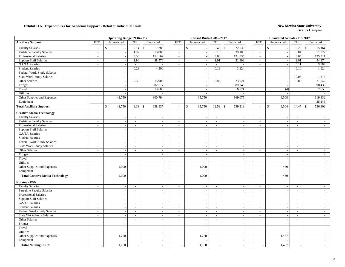|                                        |                          | <b>Operating Budget 2016-2017</b> |                          |                               |                          | Revised Budget 2016-2017 |                             |                               |                          | <b>Unaudited Actuals 2016-2017</b> |                |                          |  |
|----------------------------------------|--------------------------|-----------------------------------|--------------------------|-------------------------------|--------------------------|--------------------------|-----------------------------|-------------------------------|--------------------------|------------------------------------|----------------|--------------------------|--|
| <b>Ancillary Support</b>               | <b>FTE</b>               | Unrestricted                      | <b>FTE</b>               | Restricted                    | <b>FTE</b>               | Unrestricted             | <b>FTE</b>                  | Restricted                    | <b>FTE</b>               | Unrestricted                       | <b>FTE</b>     | Restricted               |  |
| <b>Faculty Salaries</b>                | $\sim$                   | $\mathbb{S}$                      | 0.14                     | $\mathbf S$<br>7,288          | $\overline{a}$           | $\mathbb{S}$             |                             | 22,539                        | $\overline{\phantom{a}}$ | $\mathbf S$                        | 0.29           | $\mathbb{S}$<br>15,164   |  |
| Part-time Faculty Salaries             | $\sim$                   | $\sim$                            | 1.92                     | 13,000                        | $\sim$                   | $\sim$                   | 6.16                        | 39,105                        | $\blacksquare$           | $\overline{\phantom{a}}$           | 8.04           | 51,022                   |  |
| <b>Professional Salaries</b>           |                          | $\mathbb{Z}^2$                    | 3.50                     | 154,162                       | $\sim$                   | $\sim$                   | 3.03                        | 134,835                       | $\sim$                   | $\overline{\phantom{a}}$           | 3.04           | 135,311                  |  |
| <b>Support Staff Salaries</b>          | $\sim$                   | $\omega$                          | 1.90                     | 48,576                        | $\blacksquare$           | $\blacksquare$           | 1.91                        | 51,399                        | $\sim$                   | $\sim$                             | 2.01           | 54,274                   |  |
| GA/TA Salaries                         | $\sim$                   | $\sim$                            | $\sim$                   | $\overline{\phantom{a}}$      | $\sim$                   | $\sim$                   | $\sim$                      | $\blacksquare$                | $\sim$                   | $\sim$                             | 0.11           | 3,682                    |  |
| <b>Student Salaries</b>                | $\sim$                   | $\mathbb{Z}^2$                    | 0.28                     | 4,500                         | $\sim$                   | $\sim$                   | 0.19                        | 3,124                         | $\sim$                   | $\overline{\phantom{a}}$           | 0.10           | 1,624                    |  |
| Federal Work-Study Salaries            | $\sim$                   | $\sim$                            | $\overline{\phantom{a}}$ |                               | $\sim$                   | $\sim$                   | $\sim$                      | $\sim$                        | $\sim$                   | . —                                |                |                          |  |
| <b>State Work-Study Salaries</b>       | $\sim$                   | $\blacksquare$                    |                          |                               | $\sim$                   | $\sim$                   | $\overline{a}$              | $\sim$                        | $\sim$                   | $\overline{\phantom{a}}$           | 0.08           | 1,313                    |  |
| Other Salaries                         | $\overline{\phantom{a}}$ | $\blacksquare$                    | 0.59                     | 15,000                        | $\sim$                   | $\overline{\phantom{a}}$ | 0.86                        | 23,024                        | $\sim$                   | $\sim$                             | 0.80           | 21,642                   |  |
| Fringes                                |                          | $\overline{\phantom{a}}$          |                          | 82,617                        |                          | $\overline{\phantom{a}}$ |                             | 89,346                        |                          |                                    |                | 90,439                   |  |
| Travel                                 |                          | $\sim$                            |                          | 13,000                        |                          | $\overline{a}$           |                             | 6,771                         |                          | (4)                                |                | 7,556                    |  |
| Utilities                              |                          | $\sim$                            |                          |                               |                          | $\overline{a}$           |                             |                               |                          |                                    |                |                          |  |
| Other Supplies and Expenses            |                          | 42,750                            |                          | 300,794                       |                          | 35,750                   |                             | 169,075                       |                          | 9,508                              |                | 119,132                  |  |
| Equipment                              |                          |                                   |                          |                               |                          |                          |                             |                               |                          |                                    |                | 35,143                   |  |
| <b>Total Ancillary Support</b>         |                          | 42,750<br>$\mathbb{S}$            | 8.33                     | 638,937<br>$\mathbf{\hat{S}}$ | $\sim$                   | $\mathbb{S}$<br>35,750   | 12.58                       | 539,218<br>$\mathbf{\hat{S}}$ | $\sim$                   | $\mathbf S$<br>9,504               | 14.47          | $\mathsf{\$}$<br>536,302 |  |
| <b>Creative Media Technology</b>       |                          |                                   |                          |                               |                          |                          |                             |                               |                          |                                    |                |                          |  |
| <b>Faculty Salaries</b>                | $\sim$                   | $\omega$                          | $\mathcal{L}$            | $\sim$                        | $\sim$                   | $\sim$                   | $\sim$                      | $\sim$                        | $\sim$                   | $\overline{\phantom{a}}$           | $\omega$       | $\sim$                   |  |
| Part-time Faculty Salaries             | $\sim$                   | $\sim$                            | $\overline{a}$           | $\sim$                        | $\sim$                   | $\sim$                   | $\blacksquare$              | $\sim$                        | $\sim$                   | $\overline{\phantom{a}}$           | $\sim$         |                          |  |
| Professional Salaries                  | $\sim$                   | $\blacksquare$                    | $\blacksquare$           | $\sim$                        | $\sim$                   | $\sim$                   | $\sim$                      | $\sim$                        | $\sim$                   | $\overline{\phantom{a}}$           | $\sim$         | $\sim$                   |  |
| <b>Support Staff Salaries</b>          | $\overline{\phantom{a}}$ | $\sim$                            | ÷,                       | $\bar{a}$                     | $\sim$                   |                          | $\blacksquare$              | $\sim$                        | $\sim$                   | $\overline{\phantom{a}}$           | $\blacksquare$ | $\sim$                   |  |
| GA/TA Salaries                         | $\sim$                   | $\sim$                            | ÷,                       | $\sim$                        | $\sim$                   | $\tilde{\phantom{a}}$    | $\sim$                      | $\sim$                        | $\sim$                   | $\overline{\phantom{a}}$           | $\sim$         | $\sim$                   |  |
| <b>Student Salaries</b>                | $\sim$                   | $\sim$                            | $\sim$                   | $\sim$                        | $\sim$                   | $\tilde{\phantom{a}}$    | $\sim$                      | $\sim$                        | $\sim$                   | $\overline{\phantom{a}}$           | $\sim$         | $\sim$                   |  |
| Federal Work-Study Salaries            | $\sim$                   | $\sim$                            | $\sim$                   | $\mathcal{L}_{\mathcal{A}}$   | $\sim$                   | $\sim$                   | $\sim$                      | $\sim$                        | $\sim$                   | $\overline{\phantom{a}}$           | $\sim$         | $\sim$                   |  |
| State Work-Study Salaries              | $\overline{\phantom{a}}$ | $\blacksquare$                    | $\overline{\phantom{a}}$ | $\sim$                        | $\overline{\phantom{a}}$ | $\sim$                   | $\sim$                      | $\sim$                        | $\sim$                   | $\sim$                             | $\blacksquare$ | $\sim$                   |  |
| Other Salaries                         | $\sim$                   | $\mathcal{L}_{\mathcal{A}}$       | $\blacksquare$           | $\sim$                        | $\overline{\phantom{a}}$ | $\overline{\phantom{a}}$ | $\blacksquare$              | $\sim$                        | $\overline{\phantom{a}}$ | $\sim$                             | $\blacksquare$ | $\sim$                   |  |
| Fringes                                |                          | $\blacksquare$                    |                          | ÷.                            |                          | $\overline{\phantom{a}}$ |                             | $\sim$                        |                          | ÷.                                 |                | $\overline{\phantom{a}}$ |  |
| Travel                                 |                          | $\overline{\phantom{a}}$          |                          |                               |                          | $\overline{\phantom{a}}$ |                             | $\sim$                        |                          | ÷,                                 |                | $\overline{\phantom{a}}$ |  |
| <b>Utilities</b>                       |                          | $\sim$                            |                          | $\sim$                        |                          | L.                       |                             | $\sim$                        |                          |                                    |                | $\sim$                   |  |
| Other Supplies and Expenses            |                          | 1,000                             |                          | $\sim$                        |                          | 1,000                    |                             | $\omega$                      |                          | 439                                |                | $\sim$                   |  |
| Equipment                              |                          | $\overline{\phantom{a}}$          |                          | $\sim$                        |                          |                          |                             | $\omega$                      |                          |                                    |                | $\sim$                   |  |
| <b>Total Creative Media Technology</b> | $\overline{a}$           | 1,000                             | $\overline{a}$           | $\overline{a}$                | ÷.                       | 1,000                    |                             | $\sim$                        |                          | 439                                |                | $\sim$                   |  |
| <b>Nursing - BSN</b>                   |                          |                                   |                          |                               |                          |                          |                             |                               |                          |                                    |                |                          |  |
| <b>Faculty Salaries</b>                | $\sim$                   | $\sim$                            | $\overline{a}$           |                               | $\sim$                   | $\sim$                   | $\blacksquare$              | $\overline{\phantom{a}}$      | $\sim$                   |                                    | $\blacksquare$ | $\sim$                   |  |
| Part-time Faculty Salaries             | $\sim$                   | $\omega$                          | $\mathcal{L}$            | $\sim$                        | $\sim$                   | $\sim$                   | $\sim$                      | $\sim$                        | $\sim$                   | $\overline{\phantom{a}}$           | $\sim$         | $\sim$                   |  |
| Professional Salaries                  | $\sim$                   | $\sim$                            | $\overline{a}$           | $\sim$                        | $\sim$                   | $\sim$                   | $\sim$                      | $\sim$                        | $\sim$                   | $\overline{\phantom{a}}$           | $\sim$         | $\sim$                   |  |
| <b>Support Staff Salaries</b>          | $\sim$                   | $\omega$                          | $\sim$                   | $\sim$                        | $\sim$                   | $\overline{a}$           | $\omega$                    | $\sim$                        | $\sim$                   | $\overline{a}$                     | $\omega$       | $\overline{a}$           |  |
| GA/TA Salaries                         |                          | $\sim$                            | $\overline{a}$           | $\sim$                        | $\sim$                   |                          | $\sim$                      | $\sim$                        | $\sim$                   |                                    | $\sim$         | $\overline{\phantom{a}}$ |  |
| <b>Student Salaries</b>                | $\sim$                   | $\sim$                            | $\overline{\phantom{a}}$ | $\overline{\phantom{a}}$      | $\sim$                   | $\overline{\phantom{a}}$ | $\mathcal{L}_{\mathcal{A}}$ | $\omega$                      | $\sim$                   | $\overline{\phantom{a}}$           | $\blacksquare$ | $\sim$                   |  |
| Federal Work-Study Salaries            | $\sim$                   | $\sim$                            | ÷,                       | $\sim$                        | $\sim$                   | $\sim$                   | $\sim$                      | $\sim$                        | $\sim$                   | $\overline{\phantom{a}}$           | $\blacksquare$ | $\sim$                   |  |
| <b>State Work-Study Salaries</b>       | $\sim$                   | $\sim$                            | $\sim$                   | $\sim$                        | $\sim$                   | $\overline{\phantom{a}}$ | $\sim$                      | $\sim$                        | $\sim$                   | $\overline{\phantom{a}}$           | $\sim$         | $\sim$                   |  |
| Other Salaries                         | $\sim$                   | $\sim$                            | $\sim$                   | $\sim$                        | $\sim$                   | $\overline{a}$           | $\sim$                      | $\sim$                        | $\sim$                   | $\overline{\phantom{a}}$           | $\sim$         | $\sim$                   |  |
| Fringes                                |                          | $\blacksquare$                    |                          | $\sim$                        |                          | $\blacksquare$           |                             | $\sim$                        |                          | $\sim$                             |                | $\sim$                   |  |
| Travel                                 |                          | $\sim$                            |                          | $\sim$                        |                          | ÷,                       |                             | $\sim$                        |                          |                                    |                | $\sim$                   |  |
| Utilities                              |                          | $\sim$                            |                          | $\sim$                        |                          | J.                       |                             | $\sim$                        |                          |                                    |                | $\sim$                   |  |
| Other Supplies and Expenses            |                          | 1,750                             |                          | $\overline{\phantom{a}}$      |                          | 1,750                    |                             | $\sim$                        |                          | 1,457                              |                | $\sim$                   |  |
| Equipment                              |                          |                                   |                          | $\sim$                        |                          |                          |                             | $\overline{\phantom{a}}$      |                          |                                    |                | $\sim$                   |  |
| <b>Total Nursing - BSN</b>             |                          | 1,750                             |                          |                               |                          | 1,750                    |                             |                               |                          | 1,457                              |                | $\overline{a}$           |  |
|                                        |                          |                                   |                          |                               |                          |                          |                             |                               |                          |                                    |                |                          |  |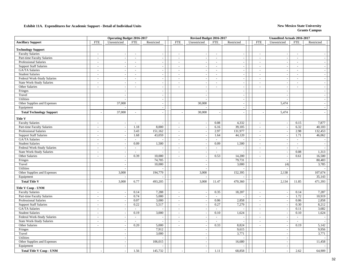|                                  |                | <b>Operating Budget 2016-2017</b> |                             |                          |                          | Revised Budget 2016-2017 |                          |                |                          | <b>Unaudited Actuals 2016-2017</b> |                             |                          |
|----------------------------------|----------------|-----------------------------------|-----------------------------|--------------------------|--------------------------|--------------------------|--------------------------|----------------|--------------------------|------------------------------------|-----------------------------|--------------------------|
| <b>Ancillary Support</b>         | <b>FTE</b>     | Unrestricted                      | <b>FTE</b>                  | Restricted               | <b>FTE</b>               | Unrestricted             | <b>FTE</b>               | Restricted     | <b>FTE</b>               | Unrestricted                       | FTE                         | Restricted               |
| <b>Technology Support</b>        |                |                                   |                             |                          |                          |                          |                          |                |                          |                                    |                             |                          |
| <b>Faculty Salaries</b>          | $\sim$         | $\overline{\phantom{a}}$          | $\mathcal{L}_{\mathcal{A}}$ | $\overline{\phantom{a}}$ | $\sim$                   |                          | $\mathcal{L}$            | $\sim$         | $\blacksquare$           |                                    | $\mathcal{L}_{\mathcal{A}}$ |                          |
| Part-time Faculty Salaries       | $\sim$         | $\sim$                            | $\blacksquare$              | $\overline{a}$           |                          | $\overline{\phantom{a}}$ | $\overline{\phantom{a}}$ | $\sim$         | $\blacksquare$           | $\sim$                             | $\sim$                      | $\sim$                   |
| Professional Salaries            | $\sim$         | $\sim$                            | $\sim$                      | $\sim$                   | $\sim$                   | $\overline{\phantom{a}}$ | $\overline{a}$           | $\omega$       | $\sim$                   | ÷.                                 | $\mathcal{L}$               | $\sim$                   |
| <b>Support Staff Salaries</b>    | $\sim$         | $\sim$                            | $\sim$                      | $\sim$                   | $\sim$                   |                          | $\mathcal{L}$            | $\sim$         | $\sim$                   |                                    | $\sim$                      | $\sim$                   |
| GA/TA Salaries                   | $\sim$         | $\sim$                            | $\sim$                      | $\overline{\phantom{a}}$ | $\sim$                   | $\tilde{\phantom{a}}$    | $\omega$                 | $\sim$         | $\sim$                   | ÷.                                 | $\sim$                      | $\sim$                   |
| <b>Student Salaries</b>          | $\sim$         | $\blacksquare$                    | $\blacksquare$              | $\overline{\phantom{a}}$ | $\sim$                   | $\overline{\phantom{a}}$ | $\blacksquare$           | $\sim$         | $\blacksquare$           | ÷,                                 | $\blacksquare$              | $\sim$                   |
| Federal Work-Study Salaries      | $\sim$         | $\sim$                            | $\sim$                      | $\sim$                   | $\sim$                   | $\sim$                   | $\sim$                   | $\sim$         | $\sim$                   | ÷.                                 | $\sim$                      | $\sim$                   |
| State Work-Study Salaries        | $\sim$         | $\blacksquare$                    | $\blacksquare$              | $\sim$                   | $\overline{\phantom{a}}$ |                          | $\blacksquare$           | $\sim$         | $\blacksquare$           |                                    | $\sim$                      | $\sim$                   |
| Other Salaries                   | $\sim$         | $\sim$                            | $\sim$                      | $\sim$                   |                          | $\overline{\phantom{a}}$ | $\overline{\phantom{a}}$ | $\omega$       | $\overline{\phantom{a}}$ | ÷.                                 | $\overline{a}$              | $\sim$                   |
| Fringes                          |                | $\sim$                            |                             | $\sim$                   |                          | $\sim$                   |                          | $\sim$         |                          | ÷.                                 |                             | $\sim$                   |
| Travel                           |                | $\sim$                            |                             | $\sim$                   |                          | L.                       |                          | $\sim$         |                          | $\overline{\phantom{a}}$           |                             | $\overline{a}$           |
| Utilities                        |                | $\overline{\phantom{a}}$          |                             | $\sim$                   |                          | $\overline{\phantom{a}}$ |                          | $\sim$         |                          |                                    |                             | $\overline{\phantom{a}}$ |
| Other Supplies and Expenses      |                | 37,000                            |                             | $\sim$                   |                          | 30,000                   |                          | $\sim$         |                          | 5,474                              |                             | $\sim$                   |
| Equipment                        |                |                                   |                             | $\sim$                   |                          |                          |                          | $\sim$         |                          |                                    |                             | $\overline{\phantom{a}}$ |
|                                  |                |                                   |                             |                          |                          |                          |                          |                |                          |                                    |                             |                          |
| <b>Total Technology Support</b>  |                | 37,000                            | $\overline{a}$              |                          |                          | 30,000                   |                          |                |                          | 5,474                              |                             |                          |
| Title V                          |                |                                   |                             |                          |                          |                          |                          |                |                          |                                    |                             |                          |
| <b>Faculty Salaries</b>          | $\sim$         | $\blacksquare$                    | $\blacksquare$              |                          | $\sim$                   |                          | 0.08                     | 4,332          | $\blacksquare$           |                                    | 0.15                        | 7,877                    |
| Part-time Faculty Salaries       | $\sim$         | $\overline{\phantom{a}}$          | 1.18                        | 8,000                    | $\sim$                   | $\sim$                   | 6.16                     | 39,105         | $\sim$                   | ÷.                                 | 6.32                        | 40,103                   |
| Professional Salaries            | $\sim$         | $\overline{\phantom{a}}$          | 3.43                        | 151,162                  | $\omega$                 | $\overline{\phantom{a}}$ | 2.97                     | 131,977        | $\sim$                   | ÷.                                 | 2.98                        | 132,453                  |
| <b>Support Staff Salaries</b>    | $\sim$         | $\sim$                            | 1.68                        | 43,059                   | $\sim$                   | L.                       | 1.64                     | 44,120         | $\sim$                   | ÷.                                 | 1.71                        | 46,062                   |
| GA/TA Salaries                   | $\sim$         | $\sim$                            | $\sim$                      |                          | $\sim$                   | $\overline{\phantom{a}}$ | $\sim$                   |                | $\sim$                   | $\sim$                             | $\sim$                      |                          |
| <b>Student Salaries</b>          | $\sim$         | $\sim$                            | 0.09                        | 1,500                    | $\sim$                   | L.                       | 0.09                     | 1,500          | $\sim$                   |                                    | $\sim$                      |                          |
| Federal Work-Study Salaries      | $\blacksquare$ | $\blacksquare$                    | $\blacksquare$              |                          | $\blacksquare$           | $\overline{\phantom{a}}$ | $\blacksquare$           |                | $\blacksquare$           |                                    | $\sim$                      |                          |
| State Work-Study Salaries        | $\sim$         | $\sim$                            | $\overline{a}$              |                          | $\overline{a}$           |                          | $\overline{a}$           |                | $\omega$                 | ÷.                                 | 0.08                        | 1,313                    |
| Other Salaries                   | $\sim$         | $\omega$                          | 0.39                        | 10,000                   | $\sim$                   | $\overline{\phantom{a}}$ | 0.53                     | 14,200         | $\omega$                 | ÷.                                 | 0.61                        | 16,500                   |
| Fringes                          |                | $\blacksquare$                    |                             | 74,705                   |                          | $\overline{\phantom{a}}$ |                          | 79,731         |                          |                                    |                             | 80,483                   |
| Travel                           |                | $\overline{\phantom{a}}$          |                             | 10,000                   |                          | $\overline{\phantom{a}}$ |                          | 3,000          |                          | (4)                                |                             | 3,785                    |
| Utilities                        |                | $\sim$                            |                             |                          |                          | $\sim$                   |                          |                |                          |                                    |                             |                          |
| Other Supplies and Expenses      |                | 3,000                             |                             | 194,779                  |                          | 3,000                    |                          | 152,395        |                          | 2,138                              |                             | 107,674                  |
| Equipment                        |                |                                   |                             |                          |                          |                          |                          |                |                          |                                    |                             | 35,143                   |
| <b>Total Title V</b>             |                | 3,000                             | 6.77                        | 493,205                  |                          | 3,000                    | 11.47                    | 470,360        |                          | 2,134                              | 11.85                       | 471,393                  |
| Title V Coop - UNM               |                |                                   |                             |                          |                          |                          |                          |                |                          |                                    |                             |                          |
| <b>Faculty Salaries</b>          | $\sim$         | $\sim$                            | 0.14                        | 7,288                    | $\omega$                 | $\sim$                   | 0.35                     | 18,207         | $\sim$                   | $\sim$                             | 0.14                        | 7,287                    |
| Part-time Faculty Salaries       | $\sim$         | $\blacksquare$                    | 0.74                        | 5,000                    | $\blacksquare$           |                          | $\blacksquare$           | $\blacksquare$ | $\sim$                   |                                    | 1.72                        | 10,919                   |
| Professional Salaries            | $\sim$         | $\mathbb{Z}^2$                    | 0.07                        | 3,000                    | $\omega$                 | $\overline{\phantom{a}}$ | 0.06                     | 2,858          | $\blacksquare$           | $\sim$                             | 0.06                        | 2,858                    |
| <b>Support Staff Salaries</b>    | $\sim$         | $\sim$                            | 0.22                        | 5,517                    | $\sim$                   | $\overline{\phantom{a}}$ | 0.27                     | 7,279          | $\sim$                   | ÷.                                 | 0.30                        | 8,212                    |
| GA/TA Salaries                   | $\sim$         | $\blacksquare$                    |                             |                          | $\sim$                   |                          |                          |                | $\blacksquare$           |                                    | 0.11                        | 3,682                    |
| <b>Student Salaries</b>          | $\sim$         | $\overline{\phantom{a}}$          | 0.19                        | 3,000                    | $\mathcal{L}$            | $\sim$                   | 0.10                     | 1,624          | $\omega$                 | $\overline{\phantom{a}}$           | 0.10                        | 1,624                    |
| Federal Work-Study Salaries      | $\sim$         | $\overline{\phantom{a}}$          | $\sim$                      |                          | $\sim$                   | $\sim$                   | $\sim$                   |                | $\sim$                   |                                    | $\sim$                      |                          |
| <b>State Work-Study Salaries</b> | $\sim$         | $\sim$                            | $\overline{a}$              |                          | $\sim$                   | $\overline{a}$           | $\overline{a}$           | ÷.             | $\omega$                 | $\overline{a}$                     | $\sim$                      |                          |
| Other Salaries                   | $\sim$         | $\sim$                            | 0.20                        | 5,000                    | $\sim$                   | $\tilde{\phantom{a}}$    | 0.33                     | 8,824          | $\sim$                   | ÷,                                 | 0.19                        | 5,142                    |
| Fringes                          |                | $\sim$                            |                             | 7,912                    |                          | $\overline{\phantom{a}}$ |                          | 9,615          |                          | $\overline{\phantom{a}}$           |                             | 9,956                    |
| Travel                           |                | $\sim$                            |                             | 3,000                    |                          | $\overline{\phantom{a}}$ |                          | 3,771          |                          |                                    |                             | 3,771                    |
| Utilities                        |                | $\blacksquare$                    |                             |                          |                          | ÷,                       |                          |                |                          |                                    |                             |                          |
| Other Supplies and Expenses      |                | $\sim$                            |                             | 106,015                  |                          | L.                       |                          | 16,680         |                          | ÷.                                 |                             | 11,458                   |
| Equipment                        |                | $\mathbb{Z}^2$                    |                             |                          |                          | $\overline{a}$           |                          |                |                          |                                    |                             |                          |
| <b>Total Title V Coop - UNM</b>  |                | $\sim$                            | 1.56                        | 145,732                  |                          | L.                       | 1.11                     | 68,858         |                          |                                    | 2.62                        | 64,909                   |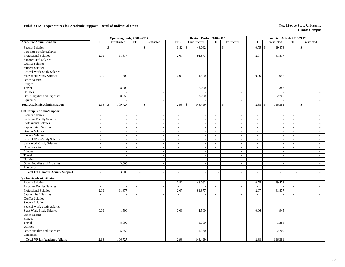|                                        |                     | <b>Operating Budget 2016-2017</b> |                |                          |            | Revised Budget 2016-2017 |                |                         |                | <b>Unaudited Actuals 2016-2017</b> |                |                |
|----------------------------------------|---------------------|-----------------------------------|----------------|--------------------------|------------|--------------------------|----------------|-------------------------|----------------|------------------------------------|----------------|----------------|
| <b>Academic Administration</b>         | <b>FTE</b>          | Unrestricted                      | <b>FTE</b>     | Restricted               | <b>FTE</b> | Unrestricted             | <b>FTE</b>     | Restricted              | <b>FTE</b>     | Unrestricted                       | <b>FTE</b>     | Restricted     |
| <b>Faculty Salaries</b>                | $\overline{a}$      | \$                                | $\sim$         | $\mathbb S$              | 0.82       | $\mathbb{S}$<br>43,062   | $\sim$         | $\mathcal{S}$<br>$\sim$ | 0.75           | $\mathbb{S}$<br>39,473             | $\overline{a}$ | \$             |
| Part-time Faculty Salaries             | $\sim$              | $\sim$                            | $\sim$         |                          | $\sim$     |                          | $\omega$       | $\sim$                  |                |                                    | $\sim$         | $\sim$         |
| Professional Salaries                  | 2.09                | 91,877                            | $\omega$       | $\bar{a}$                | 2.07       | 91,877                   | $\omega$       | $\sim$                  | 2.07           | 91,877                             | $\sim$         | $\sim$         |
| <b>Support Staff Salaries</b>          | $\sim$              |                                   | $\sim$         | $\sim$                   | $\sim$     |                          | $\blacksquare$ | $\sim$                  |                |                                    | $\sim$         | $\sim$         |
| GA/TA Salaries                         | $\sim$              |                                   | $\sim$         | ä,                       | $\sim$     |                          | $\sim$         | $\sim$                  | $\sim$         |                                    | $\sim$         | $\sim$         |
| <b>Student Salaries</b>                | $\omega$            |                                   | $\blacksquare$ | ÷,                       | $\sim$     | $\sim$                   | $\sim$         | $\sim$                  | ÷,             | $\overline{\phantom{a}}$           | $\omega$       | $\sim$         |
| Federal Work-Study Salaries            | $\bar{\phantom{a}}$ | $\sim$                            | $\omega$       | $\bar{a}$                | $\sim$     |                          | $\omega$       | $\sim$                  | ÷,             |                                    | $\sim$         | $\omega$       |
| <b>State Work-Study Salaries</b>       | 0.09                | 1,500                             | $\sim$         | $\overline{\phantom{a}}$ | 0.09       | 1,500                    | $\sim$         | $\sim$                  | 0.06           | 945                                | $\sim$         | $\omega$       |
| Other Salaries                         | $\sim$              | $\overline{a}$                    | $\sim$         | $\overline{a}$           | $\sim$     | $\overline{a}$           | $\sim$         | $\sim$                  |                | $\overline{\phantom{a}}$           | $\sim$         | $\omega$       |
| Fringes                                |                     | $\overline{a}$                    |                | $\sim$                   |            | $\overline{a}$           |                | $\sim$                  |                |                                    |                | $\sim$         |
| Travel                                 |                     | 8,000                             |                | ÷,                       |            | 3,000                    |                | $\sim$                  |                | 1,386                              |                | $\sim$         |
| <b>Utilities</b>                       |                     |                                   |                | ÷,                       |            |                          |                | $\sim$                  |                |                                    |                | $\sim$         |
| Other Supplies and Expenses            |                     | 8,350                             |                |                          |            | 4,060                    |                | $\sim$                  |                | 2,700                              |                | $\sim$         |
| Equipment                              |                     |                                   |                | $\sim$                   |            |                          |                | $\sim$                  |                |                                    |                | $\sim$         |
| <b>Total Academic Administration</b>   | 2.18                | 109,727<br>$\mathcal{S}$          | ÷.             | $\mathbb{S}$             | 2.98       | 143,499<br>$\mathbb{S}$  | ÷.             | \$<br>$\sim$            | 2.88           | 136,381<br>$\mathcal{S}$           | $\overline{a}$ | \$<br>$\sim$   |
| <b>Off Campus Admin/Support</b>        |                     |                                   |                |                          |            |                          |                |                         |                |                                    |                |                |
| <b>Faculty Salaries</b>                | $\sim$              | $\sim$                            | $\sim$         | $\sim$                   | $\sim$     | $\sim$                   | $\blacksquare$ | $\sim$                  | $\omega$       | $\overline{\phantom{a}}$           | $\sim$         | $\sim$         |
| Part-time Faculty Salaries             | $\sim$              | $\sim$                            | $\sim$         | $\sim$                   | $\sim$     | $\sim$                   | $\sim$         | $\sim$                  | $\sim$         | $\sim$                             | $\sim$         | $\sim$         |
| Professional Salaries                  | $\sim$              | $\sim$                            | $\sim$         | $\sim$                   | $\sim$     | ÷.                       | $\sim$         | $\sim$                  | $\sim$         |                                    | $\sim$         | $\sim$         |
| <b>Support Staff Salaries</b>          | $\sim$              | $\sim$                            | $\sim$         | $\sim$                   | $\sim$     | $\sim$                   | $\blacksquare$ | $\sim$                  | $\sim$         | $\overline{\phantom{a}}$           | $\sim$         | $\sim$         |
| GA/TA Salaries                         | $\sim$              | $\sim$                            | $\sim$         | $\sim$                   | $\sim$     | $\sim$                   | $\sim$         | $\sim$                  | $\blacksquare$ | $\overline{\phantom{a}}$           | $\omega$       | $\sim$         |
| <b>Student Salaries</b>                | $\sim$              | $\sim$                            | $\sim$         | $\bar{a}$                | $\sim$     |                          | $\sim$         | $\sim$                  | $\sim$         | $\sim$                             | $\sim$         | $\sim$         |
| Federal Work-Study Salaries            | $\sim$              | $\sim$                            | $\sim$         | $\sim$                   | $\sim$     | $\sim$                   | $\sim$         | $\sim$                  | $\omega$       | $\sim$                             | $\sim$         | $\omega$       |
| <b>State Work-Study Salaries</b>       | $\sim$              | $\sim$                            | $\sim$         | $\sim$                   | $\sim$     | $\sim$                   | $\sim$         | $\sim$                  | $\sim$         | $\sim$                             | $\sim$         | $\omega$       |
| Other Salaries                         | $\sim$              | $\omega$                          | $\sim$         | $\sim$                   | $\sim$     | $\sim$                   | $\sim$         | $\sim$                  | $\sim$         | ٠.                                 | $\sim$         | $\blacksquare$ |
| Fringes                                |                     | $\overline{\phantom{a}}$          |                | $\sim$                   |            | $\sim$                   |                | $\sim$                  |                | ٠.                                 |                | $\sim$         |
| Travel                                 |                     | $\sim$                            |                | $\sim$                   |            | $\blacksquare$           |                | $\sim$                  |                | $\overline{\phantom{a}}$           |                | $\sim$         |
| <b>Utilities</b>                       |                     | $\sim$                            |                | $\overline{a}$           |            | ÷,                       |                | $\sim$                  |                |                                    |                | $\sim$         |
| Other Supplies and Expenses            |                     | 3,000                             |                | ÷,                       |            | $\sim$                   |                | $\sim$                  |                | L,                                 |                | $\sim$         |
| Equipment                              |                     |                                   |                | $\mathcal{L}$            |            | $\bar{\phantom{a}}$      |                | $\sim$                  |                | $\overline{\phantom{a}}$           |                | $\sim$         |
| <b>Total Off Campus Admin/ Support</b> | ÷.                  | 3,000                             |                |                          | $\sim$     | $\sim$                   |                | $\sim$                  | ÷.             | $\overline{a}$                     |                | $\sim$         |
| <b>VP</b> for Academic Affairs         |                     |                                   |                |                          |            |                          |                |                         |                |                                    |                |                |
| <b>Faculty Salaries</b>                | $\blacksquare$      | $\sim$                            | $\blacksquare$ | $\overline{a}$           | 0.82       | 43,062                   | $\sim$         | $\sim$                  | 0.75           | 39,473                             | $\sim$         | $\sim$         |
| Part-time Faculty Salaries             | $\sim$              | $\sim$                            | $\sim$         | $\sim$                   | $\sim$     |                          | $\overline{a}$ | $\sim$                  | $\sim$         |                                    | $\overline{a}$ | $\sim$         |
| <b>Professional Salaries</b>           | 2.09                | 91,877                            | $\sim$         | $\sim$                   | 2.07       | 91,877                   | $\omega$       | $\sim$                  | 2.07           | 91,877                             | $\sim$         | $\sim$         |
| <b>Support Staff Salaries</b>          | $\sim$              | $\sim$                            | $\sim$         | $\sim$                   | $\sim$     |                          | $\sim$         | $\sim$                  | $\sim$         |                                    | $\sim$         | $\sim$         |
| GA/TA Salaries                         | $\sim$              | $\sim$                            | $\sim$         | ÷,                       | $\sim$     |                          | L,             | $\sim$                  | $\blacksquare$ |                                    | $\sim$         | $\sim$         |
| <b>Student Salaries</b>                | $\blacksquare$      | $\sim$                            | $\omega$       | ÷,                       | $\omega$   | $\overline{\phantom{a}}$ | $\sim$         | $\sim$                  | $\omega$       | $\sim$                             | $\sim$         | $\sim$         |
| Federal Work-Study Salaries            | $\sim$              | $\overline{\phantom{a}}$          | $\blacksquare$ | ÷,                       | $\sim$     | $\sim$                   | $\sim$         | $\sim$                  | $\sim$         |                                    | $\sim$         | $\omega$       |
| <b>State Work-Study Salaries</b>       | 0.09                | 1,500                             | $\sim$         | $\sim$                   | 0.09       | 1,500                    | $\sim$         | $\sim$                  | 0.06           | 945                                | $\sim$         | $\sim$         |
| Other Salaries                         | $\sim$              | $\overline{a}$                    | $\sim$         | ÷.                       | $\sim$     |                          | $\sim$         | $\sim$                  | $\sim$         |                                    | $\sim$         | $\sim$         |
| Fringes                                |                     | $\overline{a}$                    |                | $\sim$                   |            |                          |                | $\sim$                  |                |                                    |                | $\sim$         |
| Travel                                 |                     | 8,000                             |                |                          |            | 3,000                    |                | $\sim$                  |                | 1,386                              |                | $\sim$         |
| <b>Utilities</b>                       |                     |                                   |                | $\sim$                   |            |                          |                | $\sim$                  |                |                                    |                | $\sim$         |
| Other Supplies and Expenses            |                     | 5,350                             |                | $\sim$                   |            | 4,060                    |                | $\sim$                  |                | 2,700                              |                | $\sim$         |
| Equipment                              |                     |                                   |                | $\blacksquare$           |            |                          |                | $\sim$                  |                |                                    |                | $\sim$         |
| <b>Total VP for Academic Affairs</b>   | 2.18                | 106,727                           |                |                          | 2.98       | 143,499                  |                |                         | 2.88           | 136,381                            |                | $\overline{a}$ |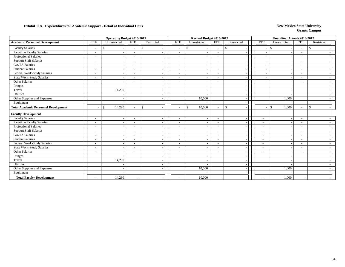### **Exhibit 11A. Expenditures for Academic Support - Detail of Individual Units** New Mexico State University New Mexico State University

|                                             |                          | <b>Operating Budget 2016-2017</b> |                          |                    |                          | Revised Budget 2016-2017 |                          |                                          |                          | <b>Unaudited Actuals 2016-2017</b> |                          |               |
|---------------------------------------------|--------------------------|-----------------------------------|--------------------------|--------------------|--------------------------|--------------------------|--------------------------|------------------------------------------|--------------------------|------------------------------------|--------------------------|---------------|
| <b>Academic Personnel Development</b>       | <b>FTE</b>               | Unrestricted                      | <b>FTE</b>               | Restricted         | <b>FTE</b>               | Unrestricted             | <b>FTE</b>               | Restricted                               | <b>FTE</b>               | Unrestricted                       | <b>FTE</b>               | Restricted    |
| <b>Faculty Salaries</b>                     | $\overline{\phantom{a}}$ | -\$<br>$\overline{\phantom{a}}$   | $\overline{\phantom{a}}$ | $\mathbf{\hat{S}}$ | $\overline{\phantom{a}}$ | \$.                      | $\sim$                   | $\mathbb{S}$<br>$\overline{\phantom{a}}$ |                          | <sup>\$</sup>                      | $\sim$                   | $\mathcal{S}$ |
| Part-time Faculty Salaries                  | $\sim$                   |                                   | $\sim$                   |                    |                          |                          |                          |                                          |                          |                                    |                          |               |
| Professional Salaries                       | $\overline{\phantom{a}}$ |                                   | $\overline{\phantom{a}}$ |                    | $\blacksquare$           |                          | $\overline{\phantom{a}}$ | $\overline{\phantom{a}}$                 |                          |                                    | $\overline{\phantom{a}}$ |               |
| <b>Support Staff Salaries</b>               | $\overline{\phantom{a}}$ | $\overline{\phantom{a}}$          | $\overline{\phantom{a}}$ |                    | $\overline{\phantom{a}}$ | $\overline{\phantom{a}}$ | $\overline{\phantom{a}}$ | $\overline{\phantom{a}}$                 |                          |                                    | $\overline{\phantom{a}}$ |               |
| <b>GA/TA Salaries</b>                       | $\sim$                   |                                   |                          |                    | $\sim$                   |                          | $\sim$                   |                                          |                          |                                    |                          |               |
| <b>Student Salaries</b>                     | $\overline{\phantom{a}}$ |                                   | ۰                        |                    |                          |                          | $\overline{\phantom{a}}$ | $\overline{\phantom{a}}$                 |                          |                                    |                          |               |
| Federal Work-Study Salaries                 | $\overline{\phantom{a}}$ | $\overline{\phantom{a}}$          | $\overline{\phantom{a}}$ |                    | $\overline{\phantom{a}}$ |                          | $\overline{\phantom{a}}$ | $\overline{\phantom{a}}$                 |                          |                                    | $\overline{\phantom{0}}$ |               |
| State Work-Study Salaries                   | $\overline{\phantom{a}}$ | $\overline{a}$                    | ۰                        |                    | $\tilde{\phantom{a}}$    |                          | $\overline{\phantom{0}}$ | $\overline{\phantom{a}}$                 |                          |                                    |                          |               |
| Other Salaries                              | $\overline{\phantom{a}}$ | $\overline{\phantom{a}}$          | $\overline{\phantom{a}}$ |                    |                          |                          |                          | $\overline{\phantom{a}}$                 |                          |                                    |                          |               |
| Fringes                                     |                          | $\sim$                            |                          |                    |                          |                          |                          | $\overline{\phantom{a}}$                 |                          |                                    |                          |               |
| Travel                                      |                          | 14,290                            |                          |                    |                          |                          |                          | $\overline{\phantom{a}}$                 |                          |                                    |                          |               |
| Utilities                                   |                          |                                   |                          |                    |                          |                          |                          | $\overline{\phantom{a}}$                 |                          |                                    |                          |               |
| Other Supplies and Expenses                 |                          | $\overline{\phantom{a}}$          |                          |                    |                          | 10,000                   |                          | $\overline{\phantom{a}}$                 |                          | 1,000                              |                          |               |
| Equipment                                   |                          | $\overline{\phantom{a}}$          |                          |                    |                          |                          |                          | $\overline{\phantom{a}}$                 |                          |                                    |                          |               |
| <b>Total Academic Personnel Development</b> |                          | 14,290<br><sup>\$</sup>           | $\overline{\phantom{a}}$ | <sup>\$</sup>      | $\overline{\phantom{a}}$ | \$<br>10,000             | $\sim$                   | $\mathbb{S}$<br>$\overline{\phantom{a}}$ |                          | 1,000<br>$\mathcal{S}$             | $\overline{\phantom{a}}$ | $\mathcal{S}$ |
| <b>Faculty Development</b>                  |                          |                                   |                          |                    |                          |                          |                          |                                          |                          |                                    |                          |               |
| <b>Faculty Salaries</b>                     | $\sim$                   | $\overline{a}$                    | $\overline{\phantom{a}}$ |                    |                          |                          | $\sim$                   | $\overline{\phantom{a}}$                 | $\overline{\phantom{a}}$ |                                    |                          |               |
| Part-time Faculty Salaries                  | $\overline{\phantom{a}}$ | $\overline{\phantom{a}}$          | $\overline{\phantom{a}}$ |                    | $\overline{\phantom{a}}$ |                          | $\overline{\phantom{a}}$ | $\overline{\phantom{a}}$                 | $\overline{\phantom{a}}$ |                                    |                          |               |
| <b>Professional Salaries</b>                | $\overline{\phantom{a}}$ | $\overline{\phantom{a}}$          | $\overline{\phantom{a}}$ |                    | $\overline{\phantom{0}}$ |                          | $\overline{\phantom{a}}$ | $\overline{\phantom{a}}$                 | $\overline{\phantom{a}}$ |                                    | $\overline{\phantom{a}}$ |               |
| <b>Support Staff Salaries</b>               | $\sim$                   | $\overline{\phantom{a}}$          | $\overline{a}$           |                    | $\sim$                   |                          | $\sim$                   | $\overline{\phantom{a}}$                 | $\overline{\phantom{a}}$ |                                    | $\overline{\phantom{a}}$ |               |
| <b>GA/TA Salaries</b>                       | $\overline{\phantom{a}}$ |                                   | $\overline{\phantom{a}}$ |                    | $\blacksquare$           |                          | $\overline{\phantom{a}}$ | $\overline{\phantom{a}}$                 | $\overline{\phantom{a}}$ |                                    | $\overline{\phantom{a}}$ |               |
| <b>Student Salaries</b>                     | $\overline{\phantom{a}}$ | $\sim$                            | $\overline{\phantom{a}}$ |                    | $\overline{\phantom{a}}$ |                          | $\sim$                   | $\overline{\phantom{a}}$                 | $\sim$                   |                                    | $\overline{\phantom{a}}$ |               |
| Federal Work-Study Salaries                 | $\overline{\phantom{a}}$ | $\sim$                            | $\overline{\phantom{a}}$ |                    | $\blacksquare$           |                          | $\overline{\phantom{a}}$ | $\overline{\phantom{a}}$                 | $\overline{\phantom{a}}$ |                                    |                          |               |
| <b>State Work-Study Salaries</b>            | $\overline{\phantom{a}}$ | $\overline{\phantom{a}}$          | $\overline{\phantom{a}}$ |                    | $\blacksquare$           |                          | $\overline{\phantom{a}}$ | $\overline{\phantom{a}}$                 | $\sim$                   |                                    | $\overline{\phantom{a}}$ |               |
| Other Salaries                              | $\overline{\phantom{a}}$ | $\overline{\phantom{a}}$          | $\overline{\phantom{a}}$ |                    | $\overline{\phantom{a}}$ | <b>.</b>                 | $\overline{\phantom{a}}$ | $\overline{\phantom{a}}$                 | $\overline{\phantom{a}}$ |                                    | $\overline{\phantom{a}}$ |               |
| Fringes                                     |                          |                                   |                          |                    |                          |                          |                          | $\overline{\phantom{a}}$                 |                          |                                    |                          |               |
| Travel                                      |                          | 14,290                            |                          |                    |                          |                          |                          | $\overline{\phantom{a}}$                 |                          |                                    |                          |               |
| Utilities                                   |                          |                                   |                          |                    |                          |                          |                          | $\overline{\phantom{a}}$                 |                          |                                    |                          |               |
| Other Supplies and Expenses                 |                          | $\overline{\phantom{a}}$          |                          |                    |                          | 10,000                   |                          | $\overline{\phantom{a}}$                 |                          | 1,000                              |                          |               |
| Equipment                                   |                          |                                   |                          |                    |                          |                          |                          |                                          |                          |                                    |                          |               |
| <b>Total Faculty Development</b>            |                          | 14,290                            |                          |                    | $\overline{\phantom{a}}$ | 10,000                   |                          |                                          |                          | 1,000                              |                          |               |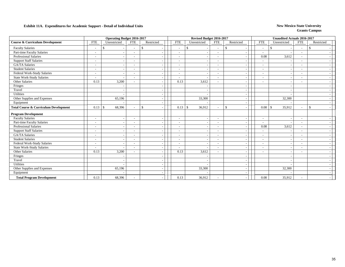### **Exhibit 11A. Expenditures for Academic Support - Detail of Individual Units** New Mexico State University New Mexico State University

|                                                  |                          | <b>Operating Budget 2016-2017</b> |                          |               |                          | Revised Budget 2016-2017 |                          |                                          |                          |      | <b>Unaudited Actuals 2016-2017</b> |                          |               |
|--------------------------------------------------|--------------------------|-----------------------------------|--------------------------|---------------|--------------------------|--------------------------|--------------------------|------------------------------------------|--------------------------|------|------------------------------------|--------------------------|---------------|
| <b>Course &amp; Curriculum Development</b>       | <b>FTE</b>               | Unrestricted                      | <b>FTE</b>               | Restricted    | <b>FTE</b>               | Unrestricted             | <b>FTE</b>               | Restricted                               | <b>FTE</b>               |      | Unrestricted                       | <b>FTE</b>               | Restricted    |
| <b>Faculty Salaries</b>                          | $\overline{\phantom{a}}$ | -\$                               | $\overline{\phantom{a}}$ | $\mathcal{S}$ | $\overline{\phantom{a}}$ | \$.                      | $\sim$                   | $\mathbb{S}$                             | $\overline{\phantom{a}}$ |      | <sup>\$</sup>                      | $\overline{\phantom{a}}$ | -\$           |
| Part-time Faculty Salaries                       | $\sim$                   |                                   | $\sim$                   |               |                          |                          |                          |                                          |                          |      |                                    |                          |               |
| Professional Salaries                            | $\overline{\phantom{a}}$ |                                   | $\overline{\phantom{a}}$ |               | $\blacksquare$           |                          | $\overline{\phantom{a}}$ | $\overline{\phantom{a}}$                 |                          | 0.08 | 3,612                              | $\overline{\phantom{0}}$ |               |
| <b>Support Staff Salaries</b>                    | $\overline{\phantom{a}}$ | $\overline{\phantom{a}}$          | $\overline{\phantom{a}}$ |               | $\overline{\phantom{a}}$ | $\overline{\phantom{a}}$ | $\overline{\phantom{a}}$ | $\overline{\phantom{a}}$                 | $\overline{\phantom{a}}$ |      |                                    | $\overline{\phantom{a}}$ |               |
| <b>GA/TA Salaries</b>                            | $\sim$                   |                                   |                          |               |                          |                          | $\overline{\phantom{a}}$ |                                          | $\sim$                   |      |                                    |                          |               |
| <b>Student Salaries</b>                          | $\overline{\phantom{a}}$ |                                   | ۰                        |               |                          |                          | $\overline{\phantom{a}}$ | $\overline{\phantom{a}}$                 | $\sim$                   |      |                                    |                          |               |
| Federal Work-Study Salaries                      | $\overline{\phantom{a}}$ | $\overline{\phantom{a}}$          | ۰                        |               | $\overline{\phantom{a}}$ |                          | $\overline{\phantom{a}}$ | $\overline{\phantom{a}}$                 | $\overline{\phantom{a}}$ |      |                                    | $\overline{\phantom{0}}$ |               |
| State Work-Study Salaries                        | $\overline{\phantom{a}}$ | $\overline{\phantom{a}}$          | ۰                        |               | $\overline{\phantom{a}}$ |                          | $\overline{\phantom{a}}$ | $\overline{\phantom{a}}$                 | $\blacksquare$           |      |                                    |                          |               |
| Other Salaries                                   | 0.13                     | 3,200                             |                          |               | 0.13                     | 3,612                    | $\overline{\phantom{a}}$ | $\overline{\phantom{a}}$                 | $\overline{\phantom{a}}$ |      |                                    |                          |               |
| Fringes                                          |                          |                                   |                          |               |                          |                          |                          | $\overline{\phantom{a}}$                 |                          |      |                                    |                          |               |
| Travel                                           |                          | $\overline{\phantom{a}}$          |                          |               |                          |                          |                          | $\overline{\phantom{a}}$                 |                          |      |                                    |                          |               |
| Utilities                                        |                          |                                   |                          |               |                          |                          |                          | $\overline{\phantom{a}}$                 |                          |      |                                    |                          |               |
| Other Supplies and Expenses                      |                          | 65,196                            |                          |               |                          | 33,300                   |                          | $\overline{\phantom{a}}$                 |                          |      | 32,300                             |                          |               |
| Equipment                                        |                          |                                   |                          |               |                          |                          |                          | $\overline{\phantom{a}}$                 |                          |      |                                    |                          |               |
| <b>Total Course &amp; Curriculum Development</b> |                          | 68,396                            | $\overline{\phantom{a}}$ | <sup>\$</sup> | 0.13                     | $\mathbb{S}$<br>36,912   | $\sim$                   | $\mathbb{S}$<br>$\overline{\phantom{a}}$ |                          |      | 35,912                             | $\sim$                   | $\mathcal{S}$ |
| <b>Program Development</b>                       |                          |                                   |                          |               |                          |                          |                          |                                          |                          |      |                                    |                          |               |
| <b>Faculty Salaries</b>                          | $\sim$                   | $\overline{a}$                    | $\overline{a}$           |               |                          |                          | $\sim$                   | $\overline{\phantom{a}}$                 | $\overline{\phantom{a}}$ |      |                                    |                          |               |
| Part-time Faculty Salaries                       | $\overline{\phantom{a}}$ | $\overline{\phantom{a}}$          | $\overline{\phantom{a}}$ |               | $\overline{\phantom{a}}$ |                          | $\overline{\phantom{a}}$ | $\overline{\phantom{a}}$                 | $\overline{\phantom{a}}$ |      |                                    | $\overline{\phantom{a}}$ |               |
| <b>Professional Salaries</b>                     | $\overline{\phantom{a}}$ | $\overline{\phantom{a}}$          | $\overline{\phantom{a}}$ |               | $\overline{\phantom{0}}$ |                          | $\overline{\phantom{a}}$ | $\overline{\phantom{a}}$                 |                          | 0.08 | 3,612                              | $\overline{\phantom{a}}$ |               |
| <b>Support Staff Salaries</b>                    | $\sim$                   | $\overline{\phantom{a}}$          | $\overline{a}$           |               | $\sim$                   |                          | $\overline{\phantom{a}}$ | $\overline{\phantom{a}}$                 | $\sim$                   |      |                                    |                          |               |
| <b>GA/TA Salaries</b>                            | $\overline{\phantom{a}}$ |                                   | $\overline{\phantom{a}}$ |               | $\blacksquare$           |                          | $\overline{\phantom{a}}$ | $\overline{\phantom{a}}$                 | $\overline{\phantom{a}}$ |      |                                    | $\overline{\phantom{a}}$ |               |
| <b>Student Salaries</b>                          | $\overline{\phantom{a}}$ | $\overline{\phantom{a}}$          | $\overline{\phantom{a}}$ |               | $\blacksquare$           |                          | $\sim$                   | $\overline{\phantom{a}}$                 | $\sim$                   |      |                                    | $\overline{\phantom{a}}$ |               |
| Federal Work-Study Salaries                      | $\overline{\phantom{a}}$ | $\sim$                            | $\overline{\phantom{a}}$ |               | $\blacksquare$           |                          | $\overline{\phantom{a}}$ | $\overline{\phantom{a}}$                 | $\sim$                   |      |                                    |                          |               |
| <b>State Work-Study Salaries</b>                 | $\overline{\phantom{a}}$ |                                   | $\overline{\phantom{a}}$ |               |                          |                          | $\overline{\phantom{a}}$ | $\overline{\phantom{a}}$                 | $\sim$                   |      |                                    | $\overline{\phantom{a}}$ |               |
| Other Salaries                                   | 0.13                     | 3,200                             | ۰                        |               | 0.13                     | 3,612                    | $\sim$                   | $\overline{\phantom{a}}$                 | $\overline{\phantom{a}}$ |      |                                    | $\overline{\phantom{a}}$ |               |
| Fringes                                          |                          |                                   |                          |               |                          |                          |                          | $\overline{\phantom{a}}$                 |                          |      |                                    |                          |               |
| Travel                                           |                          |                                   |                          |               |                          |                          |                          | $\overline{\phantom{a}}$                 |                          |      |                                    |                          |               |
| Utilities                                        |                          |                                   |                          |               |                          |                          |                          | $\overline{\phantom{a}}$                 |                          |      |                                    |                          |               |
| Other Supplies and Expenses                      |                          | 65,196                            |                          |               |                          | 33,300                   |                          | $\overline{\phantom{a}}$                 |                          |      | 32,300                             |                          |               |
| Equipment                                        |                          |                                   |                          |               |                          |                          |                          |                                          |                          |      |                                    |                          |               |
| <b>Total Program Development</b>                 | 0.13                     | 68,396                            |                          |               | 0.13                     | 36,912                   |                          |                                          |                          | 0.08 | 35,912                             |                          |               |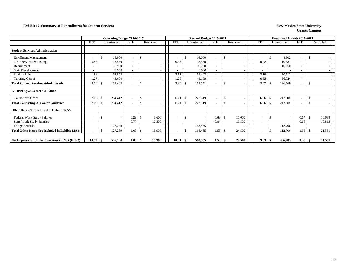#### **Exhibit 12. Summary of Expenditures for Student Services New Mexico State University New Mexico State University**

|                                                        |                          | <b>Operating Budget 2016-2017</b> |                          |               |        |                          |     | Revised Budget 2016-2017 |                          |     |            |                          |     | <b>Unaudited Actuals 2016-2017</b> |                          |     |            |
|--------------------------------------------------------|--------------------------|-----------------------------------|--------------------------|---------------|--------|--------------------------|-----|--------------------------|--------------------------|-----|------------|--------------------------|-----|------------------------------------|--------------------------|-----|------------|
|                                                        | <b>FTE</b>               | Unrestricted                      | FTE                      | Restricted    |        | <b>FTE</b>               |     | Unrestricted             | <b>FTE</b>               |     | Restricted | <b>FTE</b>               |     | Unrestricted                       | <b>FTE</b>               |     | Restricted |
| <b>Student Services Administration</b>                 |                          |                                   |                          |               |        |                          |     |                          |                          |     |            |                          |     |                                    |                          |     |            |
| <b>Enrollment Management</b>                           |                          | 16,000<br>£.                      | $\sim$                   | <sup>\$</sup> |        | $\overline{\phantom{a}}$ |     | 16,000                   | $\blacksquare$           | S.  |            | $\overline{\phantom{a}}$ | \$  | 8,502                              | $\blacksquare$           |     |            |
| GED Services & Testing                                 | 0.45                     | 13,550                            | $\overline{\phantom{a}}$ |               |        | 0.43                     |     | 13,550                   | $\overline{\phantom{a}}$ |     |            | 0.22                     |     | 10,681                             | $\overline{\phantom{a}}$ |     |            |
| Recruitment                                            | $\overline{\phantom{a}}$ | 10,900                            | $\overline{\phantom{a}}$ |               |        |                          |     | 10,900                   | $\overline{\phantom{a}}$ |     |            | $\overline{\phantom{a}}$ |     | 10,550                             | $\overline{\phantom{a}}$ |     |            |
| <b>Staff Development</b>                               |                          | 6,500                             | $\overline{\phantom{a}}$ |               |        |                          |     | 6,500                    | $\overline{\phantom{a}}$ |     |            | $\overline{\phantom{a}}$ |     |                                    | $\overline{\phantom{a}}$ |     |            |
| Student Labs                                           | 1.98                     | 67,853                            | $\overline{\phantom{a}}$ |               |        | 2.11                     |     | 69,462                   | $\overline{\phantom{a}}$ |     |            | 2.10                     |     | 70,112                             | $\blacksquare$           |     |            |
| <b>Tutoring Center</b>                                 | 1.27                     | 48,600                            | $\overline{\phantom{a}}$ |               |        | 1.26                     |     | 48,159                   |                          |     |            | 0.95                     |     | 36,724                             | $\blacksquare$           |     |            |
| <b>Total Student Services Administration</b>           | 3.70                     | 163,403<br>-8                     | $\overline{\phantom{a}}$ | <sup>\$</sup> |        | 3.80                     | \$. | 164,571                  | $\overline{\phantom{a}}$ | £.  |            | 3.27                     |     | 136,569                            | $\overline{\phantom{a}}$ | -S  |            |
| <b>Counseling &amp; Career Guidance</b>                |                          |                                   |                          |               |        |                          |     |                          |                          |     |            |                          |     |                                    |                          |     |            |
| Counselor's Office                                     | 7.09                     | 264,412<br><sup>\$</sup>          | $\overline{\phantom{a}}$ | $\mathcal{S}$ |        | 6.21                     | S.  | 227,519                  |                          | \$. |            | 6.06                     | \$  | 217,508                            | $\blacksquare$           | S.  |            |
| <b>Total Counseling &amp; Career Guidance</b>          | 7.09                     | 264,412<br>-8                     | $\overline{\phantom{a}}$ | \$.           |        | 6.21                     | £.  | 227,519                  |                          | \$. |            | 6.06                     | \$. | 217,508                            |                          | £.  |            |
| Other Items Not Included in Exhibit 12A's              |                          |                                   |                          |               |        |                          |     |                          |                          |     |            |                          |     |                                    |                          |     |            |
| Federal Work-Study Salaries                            |                          | <sup>\$</sup>                     | 0.23                     | -S            | 3,600  | $\overline{\phantom{a}}$ | \$. |                          | 0.69                     | \$  | 11,000     | $\overline{\phantom{a}}$ | \$  |                                    | 0.67                     | \$  | 10,688     |
| <b>State Work-Study Salaries</b>                       |                          |                                   | 0.77                     |               | 12,300 |                          |     |                          | 0.84                     |     | 13,500     | ۰                        |     |                                    | 0.68                     |     | 10,863     |
| Fringe Benefits                                        |                          | 127,289                           |                          |               |        |                          |     | 168,465                  |                          |     |            |                          |     | 112,706                            |                          |     |            |
| <b>Total Other Items Not Included in Exhibit 12A's</b> | $\overline{\phantom{0}}$ | 127,289<br>$\mathcal{S}$          | 1.00                     | - \$          | 15,900 | $\overline{\phantom{a}}$ |     | 168,465                  | 1.53                     | \$. | 24,500     | $\overline{\phantom{a}}$ |     | 112,706                            | 1.35                     | -\$ | 21,551     |
| Net Expense for Student Services in I&G (Exh 2)        | 10.79                    | 555,104<br>- \$                   | 1.00                     | - 55          | 15,900 | $10.01 \, \text{S}$      |     | 560,555                  | $1.53$ \$                |     | 24,500     | 9.33                     | -8  | 466,783                            | 1.35                     | -\$ | 21,551     |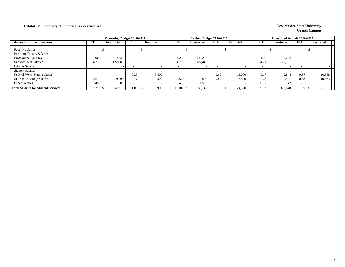### **Exhibit 12. Summary of Student Services Salaries New Mexico State University New Mexico State University**

|                                            |            | <b>Operating Budget 2016-2017</b> |                          |            |                          | Revised Budget 2016-2017 |            |            |                          | <b>Unaudited Actuals 2016-2017</b> |            |            |
|--------------------------------------------|------------|-----------------------------------|--------------------------|------------|--------------------------|--------------------------|------------|------------|--------------------------|------------------------------------|------------|------------|
| <b>Salaries for Student Services</b>       | <b>FTE</b> | Unrestricted                      | <b>FTE</b>               | Restricted | <b>FTE</b>               | Unrestricted             | <b>FTE</b> | Restricted | <b>FTE</b>               | Unrestricted                       | <b>FTE</b> | Restricted |
| <b>Faculty Salaries</b>                    | -          |                                   | $\overline{\phantom{a}}$ |            |                          | $\sim$                   |            |            | $\sim$                   |                                    | <b>-</b>   |            |
| Part-time Faculty Salaries                 |            |                                   | $\overline{\phantom{a}}$ |            | $\overline{\phantom{0}}$ |                          |            |            | $\overline{\phantom{0}}$ |                                    |            |            |
| <b>Professional Salaries</b>               | 5.00       | 219,732                           |                          |            | 4.28                     | 190,200                  |            |            | 4.16                     | 185,052                            |            |            |
| <b>Support Staff Salaries</b>              | 4.77       | 122.083                           |                          |            | 4.73                     | 127.442                  |            |            | 4.71                     | 127,331                            |            |            |
| GA/TA Salaries                             |            |                                   | $\overline{\phantom{0}}$ |            |                          |                          |            |            | $\overline{\phantom{0}}$ |                                    |            |            |
| <b>Student Salaries</b>                    |            |                                   | $\overline{\phantom{0}}$ |            |                          |                          |            |            | $\overline{\phantom{0}}$ |                                    |            |            |
| Federal Work-Study Salaries                |            |                                   | 0.23                     | 3,600      |                          |                          | 0.69       | 11.000     | 0.17                     | 2.844                              | 0.67       | 10,688     |
| <b>State Work-Study Salaries</b>           | 0.57       | 9,000                             | 0.77                     | 12,300     | 0.57                     | 9,000                    | 0.84       | 13.500     | 0.28                     | 4,471                              | 0.68       | 10,863     |
| <b>Other Salaries</b>                      | 0.45       | .1,500                            |                          |            | 0.43                     | 11,500                   |            |            | 0.01                     | 342                                |            |            |
| <b>Total Salaries for Student Services</b> | 10.79      | 362,315                           | $1.00 \square$           | 15,900     | 0.01                     | 338,142                  | 1.53       | 24,500     | 9.33                     | 320,040                            | 1.35       | 21,551     |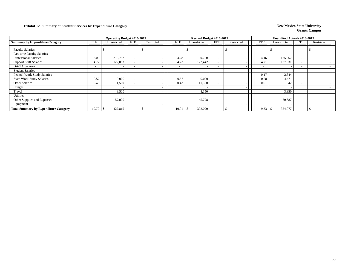### **Exhibit 12. Summary of Student Services by Expenditure Category New Mexico State University**

|                                              |                          | <b>Operating Budget 2016-2017</b> |                          |            |                          | Revised Budget 2016-2017 |                          |                          |                          | <b>Unaudited Actuals 2016-2017</b> |                          |            |
|----------------------------------------------|--------------------------|-----------------------------------|--------------------------|------------|--------------------------|--------------------------|--------------------------|--------------------------|--------------------------|------------------------------------|--------------------------|------------|
| <b>Summary by Expenditure Category</b>       | <b>FTE</b>               | Unrestricted                      | <b>FTE</b>               | Restricted | <b>FTE</b>               | Unrestricted             | FTE                      | Restricted               | <b>FTE</b>               | Unrestricted                       | FTE                      | Restricted |
| <b>Faculty Salaries</b>                      | $\overline{\phantom{a}}$ | $\overline{\phantom{0}}$          |                          |            |                          |                          | $\overline{\phantom{0}}$ |                          | $\overline{\phantom{a}}$ |                                    | $\overline{\phantom{0}}$ |            |
| Part-time Faculty Salaries                   | $\sim$                   |                                   |                          |            |                          |                          | $\overline{\phantom{0}}$ |                          | $\overline{\phantom{0}}$ |                                    |                          |            |
| <b>Professional Salaries</b>                 | 5.00                     | 219,732                           |                          |            | 4.28                     | 190,200                  | $\overline{\phantom{a}}$ |                          | 4.16                     | 185,052                            | $\overline{\phantom{0}}$ |            |
| <b>Support Staff Salaries</b>                | 4.77                     | 122,083                           |                          |            | 4.73                     | 127,442                  | $\overline{\phantom{a}}$ |                          | 4.7                      | 127,331                            | $\overline{\phantom{0}}$ |            |
| <b>GA/TA Salaries</b>                        | $\overline{\phantom{0}}$ |                                   |                          |            |                          |                          | $\overline{\phantom{a}}$ |                          | $\overline{\phantom{a}}$ |                                    |                          |            |
| <b>Student Salaries</b>                      | $\sim$                   | $\overline{\phantom{a}}$          | $\overline{\phantom{0}}$ |            | $\overline{\phantom{0}}$ |                          | $\overline{\phantom{a}}$ |                          | $\overline{\phantom{a}}$ |                                    | $\sim$                   |            |
| Federal Work-Study Salaries                  | $\sim$                   | $\overline{\phantom{0}}$          | $\overline{\phantom{0}}$ |            | <b>.</b>                 |                          | $\overline{\phantom{a}}$ |                          | 0.17                     | 2,844                              | $\overline{\phantom{0}}$ |            |
| <b>State Work-Study Salaries</b>             | 0.57                     | 9,000                             |                          |            | 0.57                     | 9,000                    | $\overline{\phantom{a}}$ |                          | 0.28                     | 4,471                              | $\overline{\phantom{0}}$ |            |
| Other Salaries                               | 0.45                     | 11,500                            |                          |            | 0.43                     | 11,500                   | $\overline{\phantom{a}}$ |                          | 0.01                     | 342                                |                          |            |
| Fringes                                      |                          | $\overline{\phantom{a}}$          |                          |            |                          |                          |                          |                          |                          |                                    |                          |            |
| Travel                                       |                          | 8,500                             |                          |            |                          | 8,150                    |                          | $\overline{\phantom{a}}$ |                          | 3,350                              |                          |            |
| Utilities                                    |                          | $\overline{\phantom{0}}$          |                          |            |                          |                          |                          |                          |                          |                                    |                          |            |
| Other Supplies and Expenses                  |                          | 57,000                            |                          |            |                          | 45,798                   |                          |                          |                          | 30,687                             |                          |            |
| Equipment                                    |                          | $\overline{\phantom{a}}$          |                          |            |                          |                          |                          |                          |                          |                                    |                          |            |
| <b>Total Summary by Expenditure Category</b> | 10.79                    | 427,815                           |                          |            | 10.01                    | 392,090<br>ъ             | $\overline{\phantom{0}}$ |                          | 9.33                     | 354,077                            | $\overline{\phantom{0}}$ |            |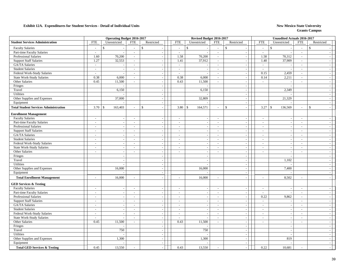#### **Exhibit 12A. Expenditures for Student Services - Detail of Individual Units New Mexico State University**

|                                              |                             | <b>Operating Budget 2016-2017</b> |                             |                          |                          | Revised Budget 2016-2017 |                          |                             |                          | <b>Unaudited Actuals 2016-2017</b> |                          |                          |
|----------------------------------------------|-----------------------------|-----------------------------------|-----------------------------|--------------------------|--------------------------|--------------------------|--------------------------|-----------------------------|--------------------------|------------------------------------|--------------------------|--------------------------|
| <b>Student Services Administration</b>       | ${\rm FTE}$                 | Unrestricted                      | <b>FTE</b>                  | Restricted               | <b>FTE</b>               | Unrestricted             | <b>FTE</b>               | Restricted                  | <b>FTE</b>               | Unrestricted                       | <b>FTE</b>               | Restricted               |
| <b>Faculty Salaries</b>                      | $\sim$                      | $\mathbf S$                       | $\sim$                      | $\mathcal{S}$            | $\mathsf{\$}$<br>$\sim$  |                          | $\sim$                   | $\mathbf S$                 | $\overline{\phantom{a}}$ | $\mathbf{\hat{S}}$                 | $\sim$                   | $\mathbf{s}$             |
| Part-time Faculty Salaries                   | $\sim$                      | $\sim$                            | $\sim$                      | $\sim$                   | $\sim$                   |                          | $\mathbb{Z}^2$           | $\mathcal{L}$               | $\sim$                   | $\overline{\phantom{a}}$           | $\mathcal{L}$            |                          |
| Professional Salaries                        | 1.60                        | 70,200                            | $\sim$                      | $\sim$                   | 1.58                     | 70,200                   | $\sim$                   | $\mathbf{r}$                | 1.58                     | 70,312                             | $\sim$                   |                          |
| <b>Support Staff Salaries</b>                | 1.27                        | 32,553                            | $\sim$                      | $\sim$                   | 1.41                     | 37,912                   | $\sim$                   | $\sim$                      | 1.40                     | 37,909                             | $\sim$                   |                          |
| <b>GA/TA Salaries</b>                        | $\mathbb{Z}^2$              |                                   | $\sim$                      | $\sim$                   | $\sim$                   |                          | $\sim$                   | $\sim$                      | $\sim$                   |                                    | $\sim$                   |                          |
| <b>Student Salaries</b>                      | $\sim$                      | $\sim$                            | $\sim$                      | $\sim$                   | $\sim$                   | $\overline{\phantom{a}}$ | $\sim$                   | $\mathcal{L}_{\mathcal{A}}$ | $\sim$                   |                                    | $\sim$                   |                          |
| Federal Work-Study Salaries                  | $\mathcal{L}_{\mathcal{A}}$ | $\sim$                            | $\sim$                      | $\sim$                   | $\sim$                   |                          | $\sim$                   | $\mathbf{r}$                | 0.15                     | 2,459                              | $\overline{\phantom{a}}$ | $\overline{\phantom{a}}$ |
| <b>State Work-Study Salaries</b>             | 0.38                        | 6,000                             | $\sim$                      | $\sim$                   | 0.38                     | 6,000                    | $\sim$                   | $\sim$                      | 0.14                     | 2,211                              | $\sim$                   | $\overline{a}$           |
| Other Salaries                               | 0.45                        | 11,500                            | $\sim$                      | $\sim$                   | 0.43                     | 11,500                   | $\sim$                   | $\sim$                      | $\sim$                   | $\overline{\phantom{a}}$           | $\sim$                   | $\overline{\phantom{a}}$ |
| Fringes                                      |                             | $\sim$                            |                             | $\sim$                   |                          |                          |                          | $\sim$                      |                          | $\overline{a}$                     |                          | $\overline{\phantom{a}}$ |
| Travel                                       |                             | 6,150                             |                             | $\sim$                   |                          | 6,150                    |                          | $\sim$                      |                          | 2,349                              |                          | $\overline{\phantom{a}}$ |
| Utilities                                    |                             |                                   |                             |                          |                          |                          |                          | $\overline{\phantom{a}}$    |                          |                                    |                          |                          |
| Other Supplies and Expenses                  |                             | 37,000                            |                             | $\sim$                   |                          | 32,809                   |                          | $\bar{\phantom{a}}$         |                          | 21,329                             |                          |                          |
| Equipment                                    |                             |                                   |                             | $\sim$                   |                          |                          |                          | $\blacksquare$              |                          |                                    |                          | $\overline{\phantom{a}}$ |
| <b>Total Student Services Administration</b> |                             | 163,403                           | $\overline{a}$              | \$                       | 3.80<br>$\mathbb{S}$     | 164,571                  | $\sim$                   | $\mathbf S$<br>$\sim$       | 3.27                     | $\mathcal{S}$<br>136,569           | $\sim$                   | $\mathbf S$              |
| <b>Enrollment Management</b>                 |                             |                                   |                             |                          |                          |                          |                          |                             |                          |                                    |                          |                          |
| <b>Faculty Salaries</b>                      | $\sim$                      | $\overline{\phantom{a}}$          | $\overline{\phantom{a}}$    | $\overline{\phantom{a}}$ | $\overline{\phantom{a}}$ |                          | $\sim$                   | $\overline{\phantom{a}}$    | $\sim$                   | $\sim$                             | $\overline{\phantom{a}}$ |                          |
| Part-time Faculty Salaries                   | $\sim$                      | $\mathcal{L}_{\mathcal{A}}$       | $\sim$                      | $\sim$                   | $\sim$                   |                          | $\sim$                   | $\overline{\phantom{a}}$    | $\sim$                   | $\overline{\phantom{a}}$           | $\sim$                   |                          |
| <b>Professional Salaries</b>                 | $\mathcal{L}_{\mathcal{A}}$ | $\sim$                            | $\sim$                      | $\sim$                   | $\sim$                   | $\overline{\phantom{a}}$ | $\sim$                   | $\overline{\phantom{a}}$    | $\sim$                   | $\sim$                             | $\sim$                   | $\overline{\phantom{a}}$ |
| <b>Support Staff Salaries</b>                | $\sim$                      | $\sim$                            | $\sim$                      | $\sim$                   | $\sim$                   |                          | $\sim$                   | $\mathcal{L}_{\mathcal{A}}$ | $\overline{\phantom{a}}$ | $\overline{\phantom{a}}$           | $\sim$                   | $\overline{\phantom{a}}$ |
| GA/TA Salaries                               | $\overline{\phantom{a}}$    | $\sim$                            | $\overline{\phantom{a}}$    | $\overline{\phantom{a}}$ | $\overline{\phantom{a}}$ |                          | $\overline{\phantom{a}}$ | $\overline{\phantom{a}}$    | $\overline{\phantom{a}}$ | $\overline{\phantom{a}}$           | $\overline{\phantom{a}}$ | $\overline{\phantom{a}}$ |
| <b>Student Salaries</b>                      | $\sim$                      | $\sim$                            | $\sim$                      | $\sim$                   | $\overline{\phantom{a}}$ | $\overline{\phantom{a}}$ | $\sim$                   | $\mathcal{L}_{\mathcal{A}}$ | $\sim$                   | $\overline{\phantom{a}}$           | $\overline{\phantom{a}}$ | $\overline{\phantom{a}}$ |
| Federal Work-Study Salaries                  | $\sim$                      | $\mathcal{L}_{\mathcal{A}}$       | $\mathcal{L}_{\mathcal{A}}$ | $\sim$                   | $\sim$                   | $\overline{\phantom{a}}$ | $\sim$                   | $\mathbb{Z}^2$              | $\sim$                   | $\sim$                             | $\sim$                   | $\overline{\phantom{a}}$ |
| State Work-Study Salaries                    | $\sim$                      | $\sim$                            | $\sim$                      | $\sim$                   | $\sim$                   | $\overline{\phantom{a}}$ | $\overline{\phantom{a}}$ | $\sim$                      | $\sim$                   | $\overline{\phantom{a}}$           | $\overline{a}$           | $\overline{\phantom{a}}$ |
| Other Salaries                               | $\sim$                      | $\sim$                            | $\sim$                      | $\sim$                   | $\sim$                   | $\overline{a}$           | $\sim$                   | $\overline{\phantom{a}}$    | $\sim$                   | $\sim$                             | $\overline{\phantom{a}}$ | $\overline{a}$           |
| Fringes                                      |                             | $\sim$                            |                             |                          |                          |                          |                          | $\overline{\phantom{a}}$    |                          |                                    |                          | $\overline{a}$           |
| Travel                                       |                             | $\sim$                            |                             | $\sim$                   |                          |                          |                          | $\blacksquare$              |                          | 1,102                              |                          | $\overline{\phantom{a}}$ |
| Utilities                                    |                             | $\overline{a}$                    |                             | $\mathbb{L}$             |                          |                          |                          | $\overline{\phantom{a}}$    |                          |                                    |                          |                          |
| Other Supplies and Expenses                  |                             | 16,000                            |                             | $\sim$                   |                          | 16,000                   |                          | $\overline{\phantom{a}}$    |                          | 7,400                              |                          | $\overline{\phantom{a}}$ |
| Equipment                                    |                             |                                   |                             | $\sim$                   |                          |                          |                          | $\sim$                      |                          |                                    |                          | $\overline{\phantom{a}}$ |
| <b>Total Enrollment Management</b>           | $\overline{a}$              | 16,000                            | $\sim$                      | $\sim$                   | $\overline{a}$           | 16,000                   | $\sim$                   | $\overline{\phantom{a}}$    | $\overline{a}$           | 8,502                              | $\sim$                   |                          |
| <b>GED Services &amp; Testing</b>            |                             |                                   |                             |                          |                          |                          |                          |                             |                          |                                    |                          |                          |
| <b>Faculty Salaries</b>                      | $\overline{a}$              | $\mathcal{L}_{\mathcal{A}}$       | $\sim$                      | $\sim$                   | $\sim$                   |                          | $\sim$                   | $\mathbf{r}$                | $\overline{a}$           | $\overline{\phantom{a}}$           | $\sim$                   |                          |
| Part-time Faculty Salaries                   | $\sim$                      | $\sim$                            | $\sim$                      | $\overline{\phantom{a}}$ | $\overline{\phantom{a}}$ | $\overline{a}$           | $\sim$                   | $\sim$                      | $\overline{\phantom{a}}$ |                                    | $\sim$                   | $\overline{\phantom{a}}$ |
| <b>Professional Salaries</b>                 | $\overline{\phantom{a}}$    | $\sim$                            | $\sim$                      | $\sim$                   | $\sim$                   |                          | $\sim$                   | $\blacksquare$              | 0.22                     | 9,862                              | $\sim$                   |                          |
| <b>Support Staff Salaries</b>                | $\mathcal{L}_{\mathcal{A}}$ | $\sim$                            | $\sim$                      | $\sim$                   | $\sim$                   |                          | $\sim$                   | $\sim$                      | $\sim$                   | $\sim$                             | $\sim$                   | $\sim$                   |
| GA/TA Salaries                               | $\sim$                      | $\overline{a}$                    | $\overline{\phantom{a}}$    | $\sim$                   | $\sim$                   | $\overline{\phantom{a}}$ | $\sim$                   | $\mathcal{L}_{\mathcal{A}}$ | $\overline{\phantom{a}}$ | $\sim$                             | $\sim$                   | $\overline{\phantom{a}}$ |
| <b>Student Salaries</b>                      | $\sim$                      | $\sim$                            | $\sim$                      | $\sim$                   | $\sim$                   | $\overline{a}$           | $\sim$                   | $\blacksquare$              | $\sim$                   | $\overline{\phantom{a}}$           | $\sim$                   | $\sim$                   |
| Federal Work-Study Salaries                  | $\sim$                      | $\sim$                            | $\sim$                      | $\overline{\phantom{a}}$ | $\mathcal{L}$            | $\overline{\phantom{a}}$ | $\sim$                   | $\sim$                      | $\overline{\phantom{a}}$ | $\sim$                             | $\sim$                   | $\overline{a}$           |
| State Work-Study Salaries                    | $\overline{\phantom{a}}$    | $\sim$                            | $\sim$                      | $\sim$                   | $\mathcal{L}$            | $\overline{\phantom{a}}$ | $\sim$                   | $\mathcal{L}_{\mathcal{A}}$ | $\sim$                   | $\overline{\phantom{a}}$           | $\mathbb{L}^+$           | $\overline{\phantom{a}}$ |
| Other Salaries                               | 0.45                        | 11,500                            | $\sim$                      | $\sim$                   | 0.43                     | 11,500                   | $\sim$                   | $\overline{\phantom{a}}$    | $\sim$                   | $\overline{\phantom{a}}$           | $\sim$                   | $\overline{\phantom{a}}$ |
| Fringes                                      |                             |                                   |                             | $\sim$                   |                          |                          |                          | $\overline{\phantom{a}}$    |                          | $\overline{\phantom{a}}$           |                          |                          |
| Travel                                       |                             | 750                               |                             | $\sim$                   |                          | 750                      |                          | $\mathcal{L}$               |                          | $\overline{\phantom{a}}$           |                          | $\sim$                   |
| <b>Utilities</b>                             |                             |                                   |                             | $\sim$                   |                          |                          |                          | $\mathcal{L}$               |                          | $\sim$                             |                          |                          |
| Other Supplies and Expenses                  |                             | 1,300                             |                             | $\sim$                   |                          | 1,300                    |                          | $\overline{a}$              |                          | 819                                |                          |                          |
| Equipment                                    |                             |                                   |                             | $\sim$                   |                          |                          |                          | $\mathcal{L}$               |                          |                                    |                          |                          |
| <b>Total GED Services &amp; Testing</b>      | 0.45                        | 13,550                            |                             |                          | 0.43                     | 13,550                   |                          |                             | 0.22                     | 10,681                             |                          |                          |
|                                              |                             |                                   |                             |                          |                          |                          |                          |                             |                          |                                    |                          |                          |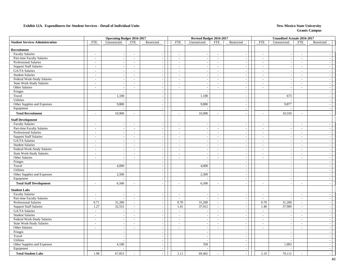#### **Exhibit 12A. Expenditures for Student Services - Detail of Individual Units New Mexico State University**

|                                        |                             | <b>Operating Budget 2016-2017</b> |                          |                          |                          | Revised Budget 2016-2017 |                          |                             |                          | Unaudited Actuals 2016-2017 |                             |                          |  |
|----------------------------------------|-----------------------------|-----------------------------------|--------------------------|--------------------------|--------------------------|--------------------------|--------------------------|-----------------------------|--------------------------|-----------------------------|-----------------------------|--------------------------|--|
| <b>Student Services Administration</b> | <b>FTE</b>                  | Unrestricted                      | <b>FTE</b>               | Restricted               | <b>FTE</b>               | Unrestricted             | <b>FTE</b>               | Restricted                  | <b>FTE</b>               | Unrestricted                | <b>FTE</b>                  | Restricted               |  |
| Recruitment                            |                             |                                   |                          |                          |                          |                          |                          |                             |                          |                             |                             |                          |  |
| <b>Faculty Salaries</b>                | $\sim$                      | $\sim$                            | $\sim$                   | $\overline{\phantom{a}}$ | $\sim$                   | $\overline{\phantom{a}}$ | $\sim$                   | $\sim$                      | $\sim$                   | $\overline{\phantom{a}}$    | $\sim$                      |                          |  |
| Part-time Faculty Salaries             | $\sim$                      | $\sim$                            | $\sim$                   | $\sim$                   | $\overline{\phantom{a}}$ | $\sim$                   | $\sim$                   | $\mathcal{L}_{\mathcal{A}}$ | $\sim$                   | $\overline{\phantom{a}}$    | $\sim$                      |                          |  |
| Professional Salaries                  | $\sim$                      | $\overline{\phantom{a}}$          | $\overline{\phantom{a}}$ | $\overline{\phantom{a}}$ | $\overline{\phantom{a}}$ |                          | $\sim$                   | $\blacksquare$              | $\overline{\phantom{a}}$ |                             | $\overline{\phantom{a}}$    |                          |  |
| <b>Support Staff Salaries</b>          | $\mathcal{L}_{\mathcal{A}}$ | $\overline{\phantom{a}}$          | $\overline{\phantom{a}}$ | $\overline{\phantom{a}}$ | $\blacksquare$           |                          | $\overline{\phantom{a}}$ | $\blacksquare$              | $\frac{1}{2}$            | $\overline{\phantom{a}}$    | $\sim$                      |                          |  |
| <b>GA/TA</b> Salaries                  | $\sim$                      | $\sim$                            | $\sim$                   | $\sim$                   | $\sim$                   |                          | $\sim$                   | $\sim$                      | $\overline{a}$           | $\overline{\phantom{a}}$    | $\sim$                      |                          |  |
| <b>Student Salaries</b>                | $\overline{\phantom{a}}$    | $\overline{a}$                    | $\sim$                   | $\sim$                   | $\sim$                   | $\overline{\phantom{a}}$ | $\sim$                   | $\mathbb{Z}^2$              | $\sim$                   | $\overline{\phantom{a}}$    | $\sim$                      |                          |  |
| Federal Work-Study Salaries            | $\mathcal{L}_{\mathcal{A}}$ | $\sim$                            | $\sim$                   | $\overline{\phantom{a}}$ | $\sim$                   |                          | $\sim$                   | $\mathcal{L}_{\mathcal{A}}$ | $\sim$                   | $\sim$                      | $\sim$                      |                          |  |
| State Work-Study Salaries              | $\sim$                      | $\overline{\phantom{a}}$          | $\overline{\phantom{a}}$ | $\sim$                   | $\overline{\phantom{a}}$ | $\overline{\phantom{a}}$ | $\sim$                   | $\sim$                      | $\sim$                   | $\overline{\phantom{a}}$    | $\overline{a}$              | $\overline{\phantom{a}}$ |  |
| Other Salaries                         | $\mathcal{L}$               | $\mathcal{L}_{\mathcal{A}}$       | $\mathbb{Z}^2$           | $\overline{\phantom{a}}$ | $\sim$                   | $\sim$                   | $\sim$                   | $\mathbb{L}$                | $\sim$                   | $\overline{\phantom{a}}$    | $\overline{\phantom{a}}$    | $\overline{\phantom{a}}$ |  |
| Fringes                                |                             |                                   |                          | $\sim$                   |                          |                          |                          | $\sim$                      |                          |                             |                             |                          |  |
| Travel                                 |                             | 1,100                             |                          | $\overline{\phantom{a}}$ |                          | 1,100                    |                          | $\overline{\phantom{a}}$    |                          | 673                         |                             | $\sim$                   |  |
| Utilities                              |                             |                                   |                          | $\sim$                   |                          |                          |                          | $\sim$                      |                          |                             |                             | $\sim$                   |  |
| Other Supplies and Expenses            |                             | 9,800                             |                          | $\overline{\phantom{a}}$ |                          | 9,800                    |                          | $\mathcal{L}_{\mathcal{A}}$ |                          | 9,877                       |                             |                          |  |
| Equipment                              |                             |                                   |                          | $\sim$                   |                          |                          |                          | $\mathbb{L}$                |                          |                             |                             | $\sim$                   |  |
| <b>Total Recruitment</b>               | $\overline{a}$              | 10,900                            | $\sim$                   | $\sim$                   | $\overline{a}$           | 10,900                   | $\sim$                   | $\sim$                      | $\overline{a}$           | 10,550                      | $\overline{a}$              |                          |  |
| <b>Staff Development</b>               |                             |                                   |                          |                          |                          |                          |                          |                             |                          |                             |                             |                          |  |
| <b>Faculty Salaries</b>                | $\mathcal{L}$               | $\sim$                            | $\sim$                   | $\sim$                   | $\sim$                   |                          | $\sim$                   | $\sim$                      | $\overline{\phantom{a}}$ |                             | $\sim$                      |                          |  |
| Part-time Faculty Salaries             | $\overline{\phantom{a}}$    | $\overline{\phantom{a}}$          | $\blacksquare$           | $\sim$                   | $\overline{\phantom{a}}$ | $\overline{\phantom{a}}$ | $\overline{\phantom{a}}$ | $\overline{\phantom{a}}$    | $\overline{\phantom{a}}$ | $\overline{\phantom{a}}$    | $\sim$                      | $\sim$                   |  |
| Professional Salaries                  | $\mathcal{L}_{\mathcal{A}}$ | $\overline{\phantom{a}}$          | $\sim$                   | $\sim$                   | $\sim$                   |                          | $\sim$                   | $\overline{\phantom{a}}$    | $\overline{\phantom{a}}$ | $\overline{a}$              | $\sim$                      | $\sim$                   |  |
| <b>Support Staff Salaries</b>          | $\overline{\phantom{a}}$    | $\sim$                            | $\mathcal{L}$            | $\sim$                   | $\mathbf{r}$             | $\overline{\phantom{a}}$ | $\sim$                   | $\mathbb{Z}^2$              | $\sim$                   | $\sim$                      | $\sim$                      |                          |  |
| GA/TA Salaries                         | $\overline{\phantom{a}}$    | $\overline{\phantom{a}}$          | $\overline{\phantom{a}}$ | $\overline{\phantom{a}}$ | $\blacksquare$           | $\overline{\phantom{a}}$ | $\sim$                   | $\mathcal{L}$               | $\blacksquare$           | $\overline{\phantom{a}}$    | $\mathcal{L}_{\mathcal{A}}$ | $\sim$                   |  |
| <b>Student Salaries</b>                | $\overline{\phantom{a}}$    | $\overline{\phantom{a}}$          | $\sim$                   | $\overline{\phantom{a}}$ | $\sim$                   | $\overline{\phantom{a}}$ | $\sim$                   | $\mathbb{L}$                | $\sim$                   | $\sim$                      | $\sim$                      | $\sim$                   |  |
| Federal Work-Study Salaries            | $\sim$                      | $\sim$                            | $\mathcal{L}$            | $\overline{\phantom{a}}$ | $\sim$                   | $\overline{a}$           | $\sim$                   | $\mathcal{L}$               | $\sim$                   | $\overline{\phantom{a}}$    | $\sim$                      | $\overline{\phantom{a}}$ |  |
| <b>State Work-Study Salaries</b>       | $\sim$                      | $\overline{\phantom{a}}$          | $\blacksquare$           |                          | $\sim$                   |                          | $\sim$                   | $\overline{\phantom{a}}$    | $\blacksquare$           |                             | $\overline{\phantom{a}}$    |                          |  |
| Other Salaries                         | $\overline{\phantom{a}}$    | $\overline{\phantom{a}}$          | $\sim$                   | $\sim$                   | $\sim$                   | $\overline{a}$           | $\sim$                   | $\blacksquare$              | $\overline{\phantom{a}}$ | $\overline{\phantom{a}}$    | $\sim$                      | $\sim$                   |  |
| Fringes                                |                             | $\overline{a}$                    |                          | $\sim$                   |                          |                          |                          | $\sim$                      |                          | $\overline{a}$              |                             |                          |  |
| Travel                                 |                             | 4,000                             |                          | $\sim$                   |                          | 4,000                    |                          | $\mathcal{L}$               |                          | $\overline{\phantom{a}}$    |                             |                          |  |
| Utilities                              |                             | $\overline{\phantom{a}}$          |                          | $\sim$                   |                          |                          |                          | $\sim$                      |                          | $\sim$                      |                             | $\sim$                   |  |
| Other Supplies and Expenses            |                             | 2,500                             |                          | $\sim$                   |                          | 2,500                    |                          | $\sim$                      |                          | $\overline{\phantom{a}}$    |                             | $\overline{\phantom{a}}$ |  |
| Equipment                              |                             |                                   |                          | $\overline{\phantom{a}}$ |                          |                          |                          | $\mathcal{L}_{\mathcal{A}}$ |                          | $\overline{\phantom{a}}$    |                             | $\overline{\phantom{a}}$ |  |
| <b>Total Staff Development</b>         | $\overline{a}$              | 6,500                             | $\overline{a}$           | $\overline{\phantom{a}}$ | $\overline{a}$           | 6,500                    | $\overline{\phantom{a}}$ | $\sim$                      | $\overline{a}$           |                             |                             |                          |  |
| <b>Student Labs</b>                    |                             |                                   |                          |                          |                          |                          |                          |                             |                          |                             |                             |                          |  |
| <b>Faculty Salaries</b>                | $\sim$                      | $\sim$                            | $\sim$                   | $\sim$                   | $\sim$                   |                          | $\sim$                   | $\mathcal{L}_{\mathcal{A}}$ | $\sim$                   |                             | $\sim$                      |                          |  |
| Part-time Faculty Salaries             | $\sim$                      | $\overline{a}$                    | $\sim$                   | $\sim$                   | $\sim$                   | $\sim$                   | $\sim$                   | $\sim$                      | $\sim$                   |                             | $\sim$                      |                          |  |
| <b>Professional Salaries</b>           | 0.71                        | 31,200                            | $\sim$                   | $\overline{\phantom{a}}$ | 0.70                     | 31,200                   | $\sim$                   | $\mathcal{L}_{\mathcal{A}}$ | 0.70                     | 31,200                      | $\sim$                      |                          |  |
| <b>Support Staff Salaries</b>          | 1.27                        | 32,553                            | $\overline{\phantom{a}}$ | $\sim$                   | 1.41                     | 37,912                   | $\sim$                   | $\mathbb{L}$                | 1.40                     | 37,909                      | $\sim$                      | $\sim$                   |  |
| GA/TA Salaries                         | $\sim$                      | $\overline{\phantom{a}}$          | $\sim$                   | $\overline{\phantom{a}}$ | $\sim$                   | $\overline{a}$           | $\sim$                   | $\overline{\phantom{a}}$    | $\overline{\phantom{a}}$ | $\overline{\phantom{a}}$    | $\sim$                      | $\sim$                   |  |
| <b>Student Salaries</b>                | $\sim$                      | $\overline{\phantom{a}}$          | $\overline{\phantom{a}}$ |                          | $\overline{\phantom{a}}$ |                          | $\sim$                   | $\mathcal{L}$               | $\overline{a}$           |                             | $\sim$                      |                          |  |
| Federal Work-Study Salaries            | $\mathcal{L}$               | $\overline{\phantom{a}}$          | $\sim$                   | $\sim$                   | $\sim$                   | $\sim$                   | $\sim$                   | $\mathcal{L}$               | $\overline{a}$           | $\sim$                      | $\sim$                      | $\sim$                   |  |
| State Work-Study Salaries              | $\sim$                      | $\sim$                            | $\sim$                   | $\sim$                   | $\sim$                   | $\overline{\phantom{a}}$ | $\sim$                   | $\sim$                      | $\sim$                   | $\sim$                      | $\sim$                      | $\sim$                   |  |
| Other Salaries                         | $\sim$                      | $\overline{\phantom{a}}$          | $\sim$                   | $\overline{\phantom{a}}$ | $\sim$                   | $\sim$                   | $\sim$                   | $\sim$                      | $\sim$                   | $\sim$                      | $\overline{\phantom{a}}$    | $\sim$                   |  |
| Fringes                                |                             | $\sim$                            |                          | $\sim$                   |                          | $\overline{a}$           |                          | $\mathcal{L}$               |                          | $\overline{\phantom{a}}$    |                             | $\overline{\phantom{a}}$ |  |
| Travel                                 |                             | $\overline{\phantom{a}}$          |                          | $\sim$                   |                          | $\overline{\phantom{a}}$ |                          | $\mathbb{L}$                |                          | $\sim$                      |                             | $\sim$                   |  |
| Utilities                              |                             | $\sim$                            |                          | $\overline{\phantom{a}}$ |                          | $\sim$                   |                          | $\overline{\phantom{a}}$    |                          |                             |                             | $\sim$                   |  |
| Other Supplies and Expenses            |                             | 4,100                             |                          | $\sim$                   |                          | 350                      |                          | $\blacksquare$              |                          | 1,003                       |                             |                          |  |
| Equipment                              |                             |                                   |                          | $\sim$                   |                          |                          |                          | $\sim$                      |                          |                             |                             | $\sim$                   |  |
| <b>Total Student Labs</b>              | 1.98                        | 67,853                            |                          |                          | 2.11                     | 69,462                   |                          | $\sim$                      | 2.10                     | 70,112                      |                             |                          |  |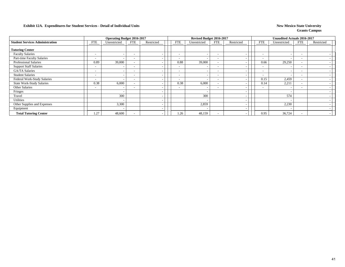### **Exhibit 12A. Expenditures for Student Services - Detail of Individual Units** New Mexico State University New Mexico State University

|                                        |                          | <b>Operating Budget 2016-2017</b> |                          |            |                          | Revised Budget 2016-2017 |                          |                          |                          | <b>Unaudited Actuals 2016-2017</b> |                          |            |
|----------------------------------------|--------------------------|-----------------------------------|--------------------------|------------|--------------------------|--------------------------|--------------------------|--------------------------|--------------------------|------------------------------------|--------------------------|------------|
| <b>Student Services Administration</b> | FTE                      | Unrestricted                      | <b>FTE</b>               | Restricted | <b>FTE</b>               | Unrestricted             | <b>FTE</b>               | Restricted               | <b>FTE</b>               | Unrestricted                       | FTE                      | Restricted |
| <b>Tutoring Center</b>                 |                          |                                   |                          |            |                          |                          |                          |                          |                          |                                    |                          |            |
| <b>Faculty Salaries</b>                | $\overline{\phantom{0}}$ | $\overline{\phantom{a}}$          | $\overline{\phantom{a}}$ |            | $\overline{\phantom{a}}$ |                          | $\overline{\phantom{a}}$ |                          | $\overline{\phantom{a}}$ |                                    | $\overline{\phantom{0}}$ |            |
| Part-time Faculty Salaries             | $\sim$                   | $\overline{\phantom{0}}$          | $\overline{\phantom{0}}$ |            | $\overline{\phantom{0}}$ |                          | $\overline{\phantom{0}}$ |                          | $\overline{\phantom{0}}$ |                                    | $\overline{\phantom{0}}$ |            |
| <b>Professional Salaries</b>           | 0.89                     | 39,000                            |                          |            | 0.88                     | 39,000                   | $\overline{\phantom{a}}$ |                          | 0.66                     | 29,250                             |                          |            |
| <b>Support Staff Salaries</b>          | $\sim$                   | $\overline{\phantom{0}}$          | $\overline{\phantom{0}}$ |            |                          |                          | $\overline{\phantom{0}}$ |                          | $\overline{\phantom{0}}$ |                                    | $\overline{\phantom{0}}$ |            |
| <b>GA/TA Salaries</b>                  | $\sim$                   | $\overline{\phantom{0}}$          | $\overline{\phantom{0}}$ |            | $\overline{\phantom{0}}$ |                          | $\overline{\phantom{0}}$ |                          | $\overline{\phantom{a}}$ |                                    |                          |            |
| <b>Student Salaries</b>                | $\overline{\phantom{a}}$ | $\overline{\phantom{a}}$          | $\overline{\phantom{a}}$ |            | $\overline{\phantom{a}}$ |                          | $\sim$                   | $\overline{\phantom{a}}$ | $\overline{\phantom{a}}$ | $\overline{\phantom{a}}$           | $\overline{\phantom{0}}$ |            |
| Federal Work-Study Salaries            | $\sim$                   | $\overline{\phantom{a}}$          | $\overline{\phantom{a}}$ |            | $\overline{\phantom{0}}$ |                          | $\overline{\phantom{a}}$ | $\overline{\phantom{a}}$ | 0.15                     | 2,459                              | $\overline{\phantom{0}}$ |            |
| <b>State Work-Study Salaries</b>       | 0.38                     | 6,000                             | $\overline{\phantom{0}}$ |            | 0.38                     | 6,000                    | $\overline{\phantom{a}}$ |                          | 0.14                     | 2,21                               | $\overline{\phantom{0}}$ |            |
| <b>Other Salaries</b>                  | $\overline{\phantom{0}}$ | $\overline{\phantom{a}}$          | $\overline{\phantom{a}}$ |            | $\overline{\phantom{a}}$ |                          | $\overline{\phantom{a}}$ |                          | $\overline{\phantom{a}}$ | $\overline{\phantom{0}}$           | $\overline{\phantom{0}}$ |            |
| Fringes                                |                          | $\overline{\phantom{a}}$          |                          |            |                          |                          |                          | $\overline{\phantom{a}}$ |                          |                                    |                          |            |
| Travel                                 |                          | 300                               |                          |            |                          | 300                      |                          |                          |                          | 574                                |                          |            |
| Utilities                              |                          | $\overline{\phantom{a}}$          |                          |            |                          |                          |                          |                          |                          |                                    |                          |            |
| Other Supplies and Expenses            |                          | 3,300                             |                          |            |                          | 2,859                    |                          | $\overline{\phantom{a}}$ |                          | 2,230                              |                          |            |
| Equipment                              |                          | $\overline{\phantom{a}}$          |                          |            |                          |                          |                          | $\overline{\phantom{a}}$ |                          |                                    |                          |            |
| <b>Total Tutoring Center</b>           | 1.27                     | 48,600                            |                          |            | 1.26                     | 48,159                   | $\overline{\phantom{0}}$ |                          | 0.95                     | 36,724                             |                          |            |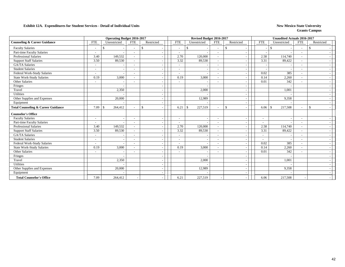#### **Exhibit 12A. Expenditures for Student Services - Detail of Individual Units New Mexico State University**

|                                               |                          | Operating Budget 2016-2017 |                          |               |                          | Revised Budget 2016-2017 |                          |                                          |                          | <b>Unaudited Actuals 2016-2017</b> |                          |              |  |
|-----------------------------------------------|--------------------------|----------------------------|--------------------------|---------------|--------------------------|--------------------------|--------------------------|------------------------------------------|--------------------------|------------------------------------|--------------------------|--------------|--|
| <b>Counseling &amp; Career Guidance</b>       | <b>FTE</b>               | Unrestricted               | <b>FTE</b>               | Restricted    | <b>FTE</b>               | Unrestricted             | <b>FTE</b>               | Restricted                               | <b>FTE</b>               | Unrestricted                       | <b>FTE</b>               | Restricted   |  |
| <b>Faculty Salaries</b>                       | $\overline{\phantom{a}}$ | S.                         |                          | -\$           | $\overline{\phantom{a}}$ | \$.                      |                          | £.                                       |                          | -S                                 | $\overline{\phantom{a}}$ | \$           |  |
| Part-time Faculty Salaries                    | $\tilde{\phantom{a}}$    |                            |                          |               | $\overline{\phantom{a}}$ |                          | $\overline{\phantom{a}}$ |                                          |                          |                                    |                          |              |  |
| <b>Professional Salaries</b>                  | 3.40                     | 149,532                    |                          |               | 2.70                     | 120,000                  |                          |                                          | 2.58                     | 114,740                            | $\overline{\phantom{a}}$ |              |  |
| <b>Support Staff Salaries</b>                 | 3.50                     | 89,530                     |                          |               | 3.32                     | 89,530                   | $\sim$                   |                                          | 3.31                     | 89,422                             | $\overline{\phantom{a}}$ |              |  |
| <b>GA/TA Salaries</b>                         | $\sim$                   |                            |                          |               | $\overline{\phantom{a}}$ |                          | $\overline{\phantom{0}}$ | $\overline{\phantom{a}}$                 |                          |                                    | $\overline{\phantom{a}}$ |              |  |
| <b>Student Salaries</b>                       |                          |                            |                          |               | ۰                        |                          |                          |                                          |                          |                                    |                          |              |  |
| Federal Work-Study Salaries                   | $\blacksquare$           |                            |                          |               | $\sim$                   |                          | $\overline{\phantom{a}}$ |                                          | 0.02                     | 385                                | $\sim$                   |              |  |
| State Work-Study Salaries                     | 0.19                     | 3,000                      |                          |               | 0.19                     | 3,000                    | $\sim$                   |                                          | 0.14                     | 2,260                              | $\sim$                   |              |  |
| Other Salaries                                |                          |                            |                          |               | $\overline{\phantom{a}}$ |                          |                          |                                          | 0.01                     | 342                                |                          |              |  |
| Fringes                                       |                          |                            |                          |               |                          |                          |                          |                                          |                          |                                    |                          |              |  |
| Travel                                        |                          | 2,350                      |                          |               |                          | 2,000                    |                          | $\overline{\phantom{a}}$                 |                          | 1,001                              |                          |              |  |
| Utilities                                     |                          |                            |                          |               |                          |                          |                          |                                          |                          |                                    |                          |              |  |
| Other Supplies and Expenses                   |                          | 20,000                     |                          |               |                          | 12,989                   |                          |                                          |                          | 9,358                              |                          |              |  |
| Equipment                                     |                          |                            |                          |               |                          |                          |                          | $\overline{\phantom{a}}$                 |                          |                                    |                          |              |  |
| <b>Total Counseling &amp; Career Guidance</b> | 7.09                     | 264,412<br><b>S</b>        |                          | <sup>\$</sup> | 6.21                     | $\mathbb{S}$<br>227,519  | $\sim$                   | $\mathbb{S}$<br>$\overline{\phantom{a}}$ | 6.06                     | 217,508<br>l \$                    | $\sim$                   | $\mathbb{S}$ |  |
| <b>Counselor's Office</b>                     |                          |                            |                          |               |                          |                          |                          |                                          |                          |                                    |                          |              |  |
| <b>Faculty Salaries</b>                       | $\overline{\phantom{a}}$ | $\blacksquare$             | $\overline{\phantom{0}}$ |               | $\overline{\phantom{a}}$ |                          | $\overline{\phantom{a}}$ | $\overline{\phantom{a}}$                 | $\blacksquare$           |                                    | $\overline{\phantom{a}}$ |              |  |
| Part-time Faculty Salaries                    |                          |                            |                          |               | $\overline{\phantom{0}}$ |                          | $\overline{\phantom{a}}$ | $\overline{\phantom{a}}$                 | $\overline{\phantom{a}}$ |                                    | $\overline{\phantom{a}}$ |              |  |
| <b>Professional Salaries</b>                  | 3.40                     | 149,532                    |                          |               | 2.70                     | 120,000                  | $\sim$                   | $\overline{\phantom{a}}$                 | 2.58                     | 114,740                            | $\overline{\phantom{a}}$ |              |  |
| <b>Support Staff Salaries</b>                 | 3.50                     | 89,530                     |                          |               | 3.32                     | 89,530                   | $\sim$                   |                                          | 3.31                     | 89,422                             | $\overline{\phantom{a}}$ |              |  |
| <b>GA/TA Salaries</b>                         | $\overline{a}$           |                            |                          |               | $\overline{a}$           |                          |                          |                                          | $\sim$                   |                                    |                          |              |  |
| <b>Student Salaries</b>                       | $\overline{\phantom{a}}$ | $\overline{\phantom{a}}$   |                          |               | $\overline{\phantom{a}}$ |                          | $\overline{\phantom{a}}$ | $\overline{\phantom{a}}$                 | $\overline{\phantom{a}}$ |                                    | $\overline{\phantom{a}}$ |              |  |
| Federal Work-Study Salaries                   | $\overline{\phantom{a}}$ |                            |                          |               | $\overline{\phantom{a}}$ |                          |                          |                                          | 0.02                     | 385                                | $\overline{\phantom{a}}$ |              |  |
| <b>State Work-Study Salaries</b>              | 0.19                     | 3,000                      |                          |               | 0.19                     | 3,000                    |                          |                                          | 0.14                     | 2,260                              |                          |              |  |
| Other Salaries                                | $\sim$                   |                            |                          |               | $\overline{\phantom{a}}$ |                          | $\overline{\phantom{0}}$ | $\overline{\phantom{a}}$                 | 0.01                     | 342                                | $\sim$                   |              |  |
| Fringes                                       |                          |                            |                          |               |                          |                          |                          |                                          |                          |                                    |                          |              |  |
| Travel                                        |                          | 2,350                      |                          |               |                          | 2,000                    |                          |                                          |                          | 1,001                              |                          |              |  |
| Utilities                                     |                          |                            |                          |               |                          |                          |                          | $\overline{\phantom{a}}$                 |                          |                                    |                          |              |  |
| Other Supplies and Expenses                   |                          | 20,000                     |                          |               |                          | 12,989                   |                          | $\overline{\phantom{a}}$                 |                          | 9,358                              |                          |              |  |
| Equipment                                     |                          |                            |                          |               |                          |                          |                          |                                          |                          |                                    |                          |              |  |
| <b>Total Counselor's Office</b>               | 7.09                     | 264,412                    |                          |               | 6.21                     | 227,519                  |                          |                                          | 6.06                     | 217,508                            |                          |              |  |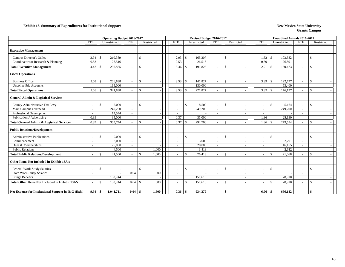### **Exhibit 13. Summary of Expenditures for Institutional Support** New Mexico State University

|                                                        |                          | <b>Operating Budget 2016-2017</b> |                          |                             |                          |               | Revised Budget 2016-2017 |                          |                    |            |                          |                    | <b>Unaudited Actuals 2016-2017</b> |                          |               |            |
|--------------------------------------------------------|--------------------------|-----------------------------------|--------------------------|-----------------------------|--------------------------|---------------|--------------------------|--------------------------|--------------------|------------|--------------------------|--------------------|------------------------------------|--------------------------|---------------|------------|
|                                                        | <b>FTE</b>               | Unrestricted                      | <b>FTE</b>               | Restricted                  | <b>FTE</b>               |               | Unrestricted             | <b>FTE</b>               |                    | Restricted | <b>FTE</b>               |                    | Unrestricted                       | <b>FTE</b>               |               | Restricted |
| <b>Executive Management</b>                            |                          |                                   |                          |                             |                          |               |                          |                          |                    |            |                          |                    |                                    |                          |               |            |
| Campus Director's Office                               | 3.94                     | 210.369<br>$\mathbf{\$}$          | $\sim$                   | $\mathbf{s}$                | 2.93                     | $\mathbf{\$}$ | 165,307                  | $\sim$                   | $\mathbf{\hat{S}}$ |            | 1.62                     | $\mathcal{S}$      | 103,582                            | $\overline{\phantom{a}}$ | $\mathcal{S}$ |            |
| Coordinator for Research & Planning                    | 0.53                     | 26,516                            | $\sim$                   |                             | 0.53                     |               | 26,516                   | $\sim$                   |                    |            | 0.59                     |                    | 26,891                             | $\overline{\phantom{a}}$ |               |            |
| <b>Total Executive Management</b>                      | 4.47                     | <sup>\$</sup><br>236,885          |                          | $\mathbf{s}$                | 3.46                     | -\$           | 191,823                  |                          | <sup>\$</sup>      |            | 2.21                     | $\mathbf{\hat{S}}$ | 130,473                            | $\overline{a}$           | $\mathbf{s}$  |            |
| <b>Fiscal Operations</b>                               |                          |                                   |                          |                             |                          |               |                          |                          |                    |            |                          |                    |                                    |                          |               |            |
| <b>Business Office</b>                                 | 5.08                     | 206,838<br><sup>\$</sup>          | $\sim$                   | \$                          | 3.53                     | $\mathbf{\$}$ | 141,827                  | $\overline{\phantom{a}}$ | $\mathbb{S}$       |            | 3.39                     | $\mathcal{S}$      | 122,777                            | $\overline{\phantom{a}}$ | -\$           |            |
| <b>Uncollectible Accounts</b>                          |                          | 115,000                           | $\sim$                   |                             |                          |               | 130,000                  |                          |                    |            |                          |                    | 53,400                             | $\overline{\phantom{a}}$ |               |            |
| <b>Total Fiscal Operations</b>                         | 5.08                     | 321,838<br>-\$                    | $\overline{\phantom{a}}$ | $\mathcal{S}$               | 3.53                     | -\$           | 271,827                  | $\overline{\phantom{a}}$ | $\mathbb{S}$       |            | 3.39                     | <sup>\$</sup>      | 176,177                            | $\overline{\phantom{a}}$ | $\mathbb{S}$  |            |
| <b>General Admin &amp; Logistical Services</b>         |                          |                                   |                          |                             |                          |               |                          |                          |                    |            |                          |                    |                                    |                          |               |            |
| County Administrative Tax Levy                         | $\sim$                   | 7,000<br><sup>\$</sup>            | $\sim$                   | \$                          | $\overline{\phantom{0}}$ | $\mathcal{S}$ | 8,500                    | $\sim$                   | $\mathbb{S}$       |            | $\sim$                   | $\mathbf{\hat{S}}$ | 5,164                              | $\sim$                   | \$            |            |
| Main Campus Overhead                                   | $\sim$                   | 249,200                           | $\sim$                   |                             |                          |               | 249,200                  | $\sim$                   |                    |            | $\sim$                   |                    | 249,200                            | $\sim$                   |               |            |
| Professional Development                               | $\sim$                   | 14,544                            | $\sim$                   |                             |                          |               |                          | $\sim$                   |                    |            | $\sim$                   |                    |                                    | $\overline{\phantom{a}}$ |               |            |
| Publications/ Advertising                              | 0.39                     | 35,000                            | $\overline{\phantom{a}}$ |                             | 0.37                     |               | 35,000                   |                          |                    |            | 1.36                     |                    | 25,190                             | $\overline{\phantom{a}}$ |               |            |
| <b>Total General Admin &amp; Logistical Services</b>   | 0.39                     | 305,744<br>-\$                    | $\sim$                   | $\mathcal{S}$               | 0.37                     | -\$           | 292,700                  | $\overline{\phantom{a}}$ | -\$                |            | 1.36                     | -\$                | 279,554                            | $\overline{\phantom{a}}$ | $\mathbf{s}$  |            |
| <b>Public Relations/Development</b>                    |                          |                                   |                          |                             |                          |               |                          |                          |                    |            |                          |                    |                                    |                          |               |            |
| <b>Administrative Publications</b>                     | $\overline{\phantom{a}}$ | <sup>\$</sup><br>9,000            | $\sim$                   | \$                          | $\overline{\phantom{a}}$ | $\mathcal{S}$ |                          | $\sim$                   | $\mathbf{\hat{S}}$ |            | $\sim$                   | $\mathcal{S}$      |                                    | $\overline{\phantom{a}}$ | $\mathbb{S}$  |            |
| Commencement                                           | $\overline{\phantom{a}}$ | 3,000                             | $\sim$                   |                             |                          |               | 3,000                    | $\sim$                   |                    |            | $\sim$                   |                    | 2,291                              | $\overline{a}$           |               |            |
| Dues & Memberships                                     | $\sim$                   | 25,000                            | $\sim$                   |                             |                          |               | 20,000                   | $\sim$                   |                    |            | $\sim$                   |                    | 16,165                             | $\overline{\phantom{a}}$ |               |            |
| <b>Public Relations</b>                                | $\overline{\phantom{a}}$ | 4,500                             | $\sim$                   | 1,000                       |                          |               | 3,413                    | $\overline{\phantom{a}}$ |                    |            | $\overline{\phantom{a}}$ |                    | 2,612                              | $\overline{\phantom{a}}$ |               |            |
| <b>Total Public Relations/Development</b>              |                          | 41,500<br>$\mathcal{S}$           | $\overline{\phantom{a}}$ | $\mathbf{\hat{S}}$<br>1,000 |                          | $\mathbf{\$}$ | 26,413                   | $\overline{\phantom{0}}$ | $\mathcal{S}$      |            |                          | \$                 | 21,068                             | $\sim$                   | $\mathcal{S}$ |            |
| Other Items Not Included in Exhibit 13A's              |                          |                                   |                          |                             |                          |               |                          |                          |                    |            |                          |                    |                                    |                          |               |            |
| Federal Work-Study Salaries                            | $\sim$                   | -\$                               | $\overline{\phantom{0}}$ | $\mathbf{s}$                | $\overline{\phantom{a}}$ | $\mathbf{\$}$ |                          | $\overline{\phantom{0}}$ | $\mathbf{\hat{S}}$ |            | $\sim$                   | $\mathcal{S}$      |                                    | $\overline{\phantom{a}}$ | -S            |            |
| <b>State Work-Study Salaries</b>                       | $\overline{\phantom{0}}$ |                                   | 0.04                     | 600                         |                          |               |                          |                          |                    |            | $\overline{\phantom{a}}$ |                    |                                    |                          |               |            |
| Fringe Benefits                                        |                          | 138,744                           |                          |                             |                          |               | 151,616                  |                          |                    |            |                          |                    | 78,910                             |                          |               |            |
| <b>Total Other Items Not Included in Exhibit 13A's</b> | $\sim$                   | 138,744<br>$\mathcal{S}$          | 0.04                     | 600<br>$\mathbf{\hat{s}}$   |                          | $\mathbf{\$}$ | 151,616                  |                          | -\$                |            |                          | $\mathcal{S}$      | 78,910                             | $\overline{\phantom{a}}$ | $\mathbf{s}$  |            |
| Net Expense for Institutional Support in I&G (Exh)     | 9.94                     | 1,044,711<br>\$                   | 0.04                     | $\vert$ \$<br>1,600         | 7.36                     | \$            | 934,379                  |                          | -\$                |            | 6.96                     | -\$                | 686,182                            | $\sim$                   | -\$           |            |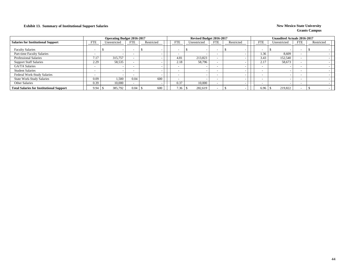### **Exhibit 13. Summary of Institutional Support Salaries New Mexico State University**

|                                                 |            | <b>Operating Budget 2016-2017</b> |      |            |            | Revised Budget 2016-2017 |            |            |                          | <b>Unaudited Actuals 2016-2017</b> |            |            |
|-------------------------------------------------|------------|-----------------------------------|------|------------|------------|--------------------------|------------|------------|--------------------------|------------------------------------|------------|------------|
| <b>Salaries for Institutional Support</b>       | <b>FTE</b> | Unrestricted                      | FTE  | Restricted | <b>FTE</b> | Unrestricted             | <b>FTE</b> | Restricted | FTE                      | Unrestricted                       | <b>FTE</b> | Restricted |
| <b>Faculty Salaries</b>                         |            |                                   |      |            |            |                          |            |            |                          |                                    |            |            |
| Part-time Faculty Salaries                      |            |                                   |      |            |            |                          |            |            | 1.36                     | 8,609                              |            |            |
| <b>Professional Salaries</b>                    | 7.17       | 315,757                           |      |            | 4.81       | 213,823                  |            |            | 3.43                     | 152,540                            |            |            |
| <b>Support Staff Salaries</b>                   | 2.29       | 58,535                            |      |            | 2.18       | 58,796                   |            |            | 2.17                     | 58,673                             |            |            |
| <b>GA/TA Salaries</b>                           |            |                                   |      |            |            |                          |            |            | $\overline{\phantom{0}}$ |                                    |            |            |
| <b>Student Salaries</b>                         |            |                                   |      |            |            |                          |            |            | $\overline{\phantom{a}}$ |                                    |            |            |
| Federal Work-Study Salaries                     |            |                                   |      |            |            |                          |            |            | $\overline{\phantom{a}}$ |                                    |            |            |
| <b>State Work-Study Salaries</b>                | 0.09       | 1,500                             | 0.04 | 600        |            |                          |            |            | $\overline{\phantom{a}}$ |                                    |            |            |
| Other Salaries                                  | 0.39       | 10.000                            |      |            | 0.37       | 10,000                   |            |            | $\overline{\phantom{0}}$ |                                    |            |            |
| <b>Total Salaries for Institutional Support</b> | 9.94       | 385,792                           | 0.04 | 600        | 7.36       | 282,619                  |            |            | 6.96                     | 219,822                            |            |            |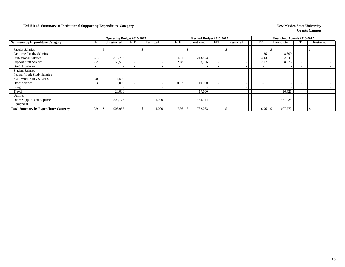### **Exhibit 13. Summary of Institutional Support by Expenditure Category New Mexico State University New Mexico State University**

|                                              |                          | <b>Operating Budget 2016-2017</b> |                          |            |            | Revised Budget 2016-2017 |                          |                          |                          | <b>Unaudited Actuals 2016-2017</b> |                          |            |
|----------------------------------------------|--------------------------|-----------------------------------|--------------------------|------------|------------|--------------------------|--------------------------|--------------------------|--------------------------|------------------------------------|--------------------------|------------|
| <b>Summary by Expenditure Category</b>       | <b>FTE</b>               | Unrestricted                      | <b>FTE</b>               | Restricted | <b>FTE</b> | Unrestricted             | FTE                      | Restricted               | <b>FTE</b>               | Unrestricted                       | <b>FTE</b>               | Restricted |
| <b>Faculty Salaries</b>                      |                          | $\overline{\phantom{0}}$          | $\overline{\phantom{0}}$ |            |            |                          |                          |                          | $\overline{\phantom{0}}$ |                                    | $\overline{\phantom{0}}$ |            |
| Part-time Faculty Salaries                   | $\sim$                   | $\overline{\phantom{0}}$          |                          |            |            |                          | $\overline{\phantom{0}}$ |                          | 1.36                     | 8,609                              |                          |            |
| Professional Salaries                        | 7.17                     | 315,757                           |                          |            | 4.81       | 213,823                  | $\overline{\phantom{a}}$ |                          | 3.43                     | 152,540                            | $\overline{\phantom{0}}$ |            |
| <b>Support Staff Salaries</b>                | 2.29                     | 58,535                            |                          |            | 2.18       | 58,796                   | $\overline{\phantom{a}}$ |                          | 2.17                     | 58,673                             | $\sim$                   |            |
| <b>GA/TA Salaries</b>                        | $\overline{\phantom{0}}$ |                                   |                          |            |            |                          | $\overline{\phantom{0}}$ |                          | $\overline{\phantom{a}}$ |                                    |                          |            |
| <b>Student Salaries</b>                      | $\sim$                   | $\overline{\phantom{0}}$          | $\overline{\phantom{0}}$ |            | -          |                          | $\sim$                   |                          | $\overline{\phantom{a}}$ |                                    | $\sim$                   |            |
| Federal Work-Study Salaries                  | $\overline{\phantom{0}}$ | $\overline{\phantom{0}}$          | $\overline{\phantom{0}}$ |            | <b>.</b>   |                          | $\overline{\phantom{0}}$ |                          | $\overline{\phantom{a}}$ |                                    | $\sim$                   |            |
| <b>State Work-Study Salaries</b>             | 0.09                     | 1,500                             |                          |            | -          |                          | $\overline{\phantom{a}}$ |                          | $\overline{\phantom{a}}$ |                                    | $\sim$                   |            |
| Other Salaries                               | 0.39                     | 10,000                            |                          |            | 0.37       | 10,000                   | $\overline{\phantom{a}}$ |                          | $\overline{\phantom{a}}$ |                                    | $\overline{\phantom{a}}$ |            |
| Fringes                                      |                          | $\overline{\phantom{a}}$          |                          |            |            |                          |                          | $\overline{\phantom{a}}$ |                          |                                    |                          |            |
| Travel                                       |                          | 20,000                            |                          |            |            | 17,000                   |                          | $\overline{\phantom{0}}$ |                          | 16,426                             |                          |            |
| Utilities                                    |                          | -                                 |                          |            |            |                          |                          |                          |                          |                                    |                          |            |
| Other Supplies and Expenses                  |                          | 500,175                           |                          | 1,000      |            | 483,144                  |                          |                          |                          | 371,024                            |                          |            |
| Equipment                                    |                          |                                   |                          |            |            |                          |                          |                          |                          |                                    |                          |            |
| <b>Total Summary by Expenditure Category</b> | 9.94                     | 905,967                           |                          | 1,000      | 7.36       | 782,763<br>\$            |                          |                          | 6.96                     | 607,272<br>. ა                     |                          |            |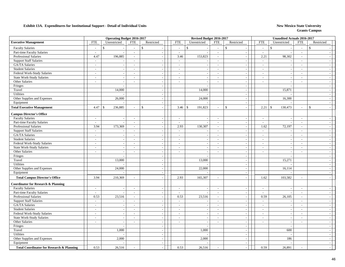|                                                      |                             | <b>Operating Budget 2016-2017</b> |                          |                    |                          | Revised Budget 2016-2017 |                          |                             |                          | <b>Unaudited Actuals 2016-2017</b> |                          |                          |  |
|------------------------------------------------------|-----------------------------|-----------------------------------|--------------------------|--------------------|--------------------------|--------------------------|--------------------------|-----------------------------|--------------------------|------------------------------------|--------------------------|--------------------------|--|
| <b>Executive Management</b>                          | <b>FTE</b>                  | Unrestricted                      | <b>FTE</b>               | Restricted         | <b>FTE</b>               | Unrestricted             | <b>FTE</b>               | Restricted                  | <b>FTE</b>               | Unrestricted                       | <b>FTE</b>               | Restricted               |  |
| <b>Faculty Salaries</b>                              | $\sim$                      | $\mathbf{\hat{S}}$                | $\sim$                   | $\mathbf{\hat{S}}$ | $\mathsf{\$}$<br>$\sim$  |                          | $\sim$                   | $\mathbb{S}$                | $\overline{\phantom{a}}$ | $\mathbf{\hat{S}}$                 | $\sim$                   | $\mathbf{\hat{s}}$       |  |
| Part-time Faculty Salaries                           | $\overline{a}$              | $\overline{a}$                    | $\mathbb{Z}^2$           | $\sim$             | $\mathcal{L}$            |                          | $\mathcal{L}$            | $\sim$                      | $\sim$                   |                                    | $\sim$                   |                          |  |
| <b>Professional Salaries</b>                         | 4.47                        | 196,885                           | $\sim$                   | $\sim$             | 3.46                     | 153,823                  | $\sim$                   | $\sim$                      | 2.21                     | 98,302                             | $\sim$                   |                          |  |
| <b>Support Staff Salaries</b>                        | $\sim$                      |                                   | $\sim$                   | $\sim$             | $\sim$                   |                          | $\sim$                   | $\sim$                      | $\sim$                   |                                    | $\sim$                   |                          |  |
| GA/TA Salaries                                       | $\overline{\phantom{a}}$    | $\overline{\phantom{a}}$          | $\sim$                   | $\sim$             | $\sim$                   |                          | $\sim$                   | $\sim$                      | $\sim$                   | $\overline{\phantom{a}}$           | $\sim$                   |                          |  |
| <b>Student Salaries</b>                              | $\mathcal{L}_{\mathcal{A}}$ | $\sim$                            | $\overline{\phantom{a}}$ | $\sim$             | $\sim$                   |                          | $\sim$                   | $\blacksquare$              | $\sim$                   |                                    | $\sim$                   |                          |  |
| Federal Work-Study Salaries                          | $\sim$                      | $\sim$                            | $\overline{\phantom{a}}$ | $\sim$             | $\overline{\phantom{a}}$ |                          | $\sim$                   | $\sim$                      | $\sim$                   |                                    | $\sim$                   |                          |  |
| State Work-Study Salaries                            | $\sim$                      | $\overline{\phantom{a}}$          | $\sim$                   | $\sim$             | $\sim$                   | $\overline{\phantom{a}}$ | $\sim$                   | $\mathbb{Z}^2$              | $\sim$                   | $\sim$                             | $\sim$                   | $\overline{\phantom{a}}$ |  |
| Other Salaries                                       | $\overline{\phantom{a}}$    | $\overline{\phantom{a}}$          | $\sim$                   | $\sim$             | $\sim$                   | $\overline{\phantom{a}}$ | $\sim$                   | $\sim$                      | $\overline{\phantom{a}}$ | $\overline{a}$                     | $\sim$                   |                          |  |
| Fringes                                              |                             | $\overline{\phantom{a}}$          |                          | $\sim$             |                          | $\overline{\phantom{a}}$ |                          | $\sim$                      |                          | $\overline{\phantom{a}}$           |                          | $\sim$                   |  |
| Travel                                               |                             | 14,000                            |                          | $\sim$             |                          | 14,000                   |                          | $\sim$                      |                          | 15,871                             |                          |                          |  |
| Utilities                                            |                             |                                   |                          | $\sim$             |                          |                          |                          | $\sim$                      |                          |                                    |                          |                          |  |
| Other Supplies and Expenses                          |                             | 26,000                            |                          |                    |                          | 24,000                   |                          | $\overline{\phantom{a}}$    |                          | 16,300                             |                          |                          |  |
| Equipment                                            |                             |                                   |                          | $\sim$             |                          |                          |                          | $\overline{\phantom{a}}$    |                          |                                    |                          |                          |  |
| <b>Total Executive Management</b>                    | 4.47                        | 236,885<br>$\mathbf{\hat{S}}$     |                          | $\mathfrak{S}$     | $\mathcal{S}$<br>3.46    | 191,823                  | $\sim$                   | $\mathbb{S}$<br>$\sim$      | 2.21                     | $\mathcal{S}$<br>130,473           | $\sim$                   | \$                       |  |
| <b>Campus Director's Office</b>                      |                             |                                   |                          |                    |                          |                          |                          |                             |                          |                                    |                          |                          |  |
| <b>Faculty Salaries</b>                              | $\mathcal{L}$               | $\sim$                            | $\overline{\phantom{a}}$ | $\sim$             | $\overline{\phantom{a}}$ |                          | $\sim$                   | $\overline{\phantom{a}}$    | $\sim$                   |                                    | $\sim$                   |                          |  |
| Part-time Faculty Salaries                           | $\sim$                      | $\overline{\phantom{a}}$          | $\sim$                   | $\sim$             | $\sim$                   |                          | $\sim$                   | $\blacksquare$              | $\sim$                   |                                    | $\sim$                   |                          |  |
| Professional Salaries                                | 3.94                        | 173,369                           | $\sim$                   | $\sim$             | 2.93                     | 130,307                  | $\sim$                   | $\sim$                      | 1.62                     | 72,197                             | $\sim$                   |                          |  |
| <b>Support Staff Salaries</b>                        | $\mathcal{L}$               |                                   | $\sim$                   | $\sim$             | $\sim$                   |                          | $\sim$                   | $\sim$                      | $\sim$                   |                                    | $\sim$                   |                          |  |
| GA/TA Salaries                                       | $\overline{\phantom{a}}$    | $\overline{\phantom{a}}$          | $\sim$                   | $\sim$             | $\sim$                   |                          | $\sim$                   | $\sim$                      | $\sim$                   | $\sim$                             | $\sim$                   |                          |  |
| <b>Student Salaries</b>                              | $\sim$                      | $\overline{\phantom{a}}$          | $\sim$                   | $\sim$             | $\sim$                   |                          | $\overline{\phantom{a}}$ | $\sim$                      | $\sim$                   |                                    | $\overline{\phantom{a}}$ |                          |  |
| Federal Work-Study Salaries                          | $\sim$                      | $\sim$                            | $\sim$                   | $\sim$             | $\sim$                   | $\sim$                   | $\sim$                   | $\sim$                      | $\sim$                   | $\overline{\phantom{a}}$           | $\overline{\phantom{a}}$ | $\sim$                   |  |
| State Work-Study Salaries                            | $\sim$                      | $\overline{\phantom{a}}$          | $\sim$                   | $\sim$             | $\sim$                   |                          | $\sim$                   | $\sim$                      | $\overline{\phantom{a}}$ | $\overline{\phantom{a}}$           | $\sim$                   | $\overline{\phantom{a}}$ |  |
| Other Salaries                                       | $\overline{a}$              | $\sim$                            | $\sim$                   | $\sim$             | $\sim$                   | $\sim$                   | $\sim$                   | $\mathbb{Z}^2$              | $\overline{\phantom{a}}$ | $\sim$                             | $\sim$                   | $\sim$                   |  |
| Fringes                                              |                             |                                   |                          | $\sim$             |                          |                          |                          | $\sim$                      |                          |                                    |                          |                          |  |
| Travel                                               |                             | 13,000                            |                          | $\sim$             |                          | 13,000                   |                          | $\overline{\phantom{a}}$    |                          | 15,271                             |                          |                          |  |
| <b>Utilities</b>                                     |                             |                                   |                          |                    |                          |                          |                          | $\sim$                      |                          |                                    |                          |                          |  |
| Other Supplies and Expenses                          |                             | 24,000                            |                          | $\sim$             |                          | 22,000                   |                          | $\sim$                      |                          | 16,114                             |                          |                          |  |
| Equipment                                            |                             |                                   |                          | $\sim$             |                          |                          |                          | $\mathcal{L}_{\mathcal{A}}$ |                          |                                    |                          |                          |  |
| <b>Total Campus Director's Office</b>                | 3.94                        | 210,369                           | $\sim$                   | $\sim$             | 2.93                     | 165,307                  | $\sim$                   | $\sim$                      | 1.62                     | 103,582                            | $\sim$                   |                          |  |
|                                                      |                             |                                   |                          |                    |                          |                          |                          |                             |                          |                                    |                          |                          |  |
| <b>Coordinator for Research &amp; Planning</b>       |                             |                                   |                          |                    |                          |                          |                          |                             |                          |                                    |                          |                          |  |
| <b>Faculty Salaries</b>                              | $\sim$                      | $\overline{\phantom{a}}$          | $\sim$                   | $\sim$             | $\sim$                   |                          | $\sim$                   | $\sim$                      | $\sim$                   |                                    | $\sim$                   |                          |  |
| Part-time Faculty Salaries                           | $\sim$                      | $\overline{\phantom{a}}$          | $\sim$                   | $\sim$             | $\sim$                   |                          | $\sim$                   | $\sim$                      | $\sim$                   |                                    | $\sim$                   |                          |  |
| Professional Salaries                                | 0.53                        | 23,516                            | $\sim$                   | $\sim$             | 0.53                     | 23,516                   | $\sim$                   | $\mathcal{L}$               | 0.59                     | 26,105                             | $\sim$                   |                          |  |
| <b>Support Staff Salaries</b>                        | $\omega$                    |                                   | $\sim$                   | $\sim$             | $\sim$                   |                          | $\sim$                   | $\overline{\phantom{a}}$    | $\sim$                   |                                    | $\sim$                   |                          |  |
| GA/TA Salaries                                       | $\overline{\phantom{a}}$    | $\sim$                            | $\overline{\phantom{a}}$ | $\sim$             | $\overline{\phantom{a}}$ |                          | $\sim$                   | $\overline{\phantom{a}}$    | $\overline{\phantom{a}}$ |                                    | $\sim$                   | $\sim$                   |  |
| <b>Student Salaries</b>                              | $\sim$                      | $\sim$                            | $\sim$                   | $\sim$             | $\sim$                   | $\sim$                   | $\sim$                   | $\mathcal{L}_{\mathcal{A}}$ | $\sim$                   | $\sim$                             | $\overline{\phantom{a}}$ | $\sim$                   |  |
| Federal Work-Study Salaries                          | $\sim$                      | $\overline{\phantom{a}}$          | $\sim$                   | $\sim$             | $\sim$                   | $\overline{\phantom{a}}$ | $\sim$                   | $\mathcal{L}_{\mathcal{A}}$ | $\sim$                   | $\overline{\phantom{a}}$           | $\sim$                   | $\overline{\phantom{a}}$ |  |
| State Work-Study Salaries                            | $\sim$                      | $\sim$                            | $\sim$                   | $\sim$             | $\sim$                   | $\overline{\phantom{a}}$ | $\sim$                   | $\mathcal{L}_{\mathcal{A}}$ | $\overline{\phantom{a}}$ | $\sim$                             | $\sim$                   | $\overline{\phantom{a}}$ |  |
| Other Salaries                                       | $\overline{\phantom{a}}$    | $\overline{\phantom{a}}$          | $\sim$                   | $\sim$             | $\sim$                   | $\overline{\phantom{a}}$ | $\overline{\phantom{a}}$ | $\blacksquare$              | $\sim$                   | $\overline{\phantom{a}}$           | $\sim$                   |                          |  |
| Fringes                                              |                             |                                   |                          | $\sim$             |                          |                          |                          | $\overline{\phantom{a}}$    |                          | $\overline{\phantom{a}}$           |                          |                          |  |
| Travel                                               |                             | 1,000                             |                          | $\sim$             |                          | 1,000                    |                          | $\sim$                      |                          | 600                                |                          |                          |  |
| Utilities                                            |                             |                                   |                          | $\sim$             |                          |                          |                          | $\blacksquare$              |                          |                                    |                          |                          |  |
| Other Supplies and Expenses                          |                             | 2,000                             |                          | $\sim$             |                          | 2,000                    |                          | $\sim$                      |                          | 186                                |                          |                          |  |
| Equipment                                            |                             |                                   |                          | $\sim$             |                          |                          |                          | $\sim$                      |                          |                                    |                          |                          |  |
| <b>Total Coordinator for Research &amp; Planning</b> | 0.53                        | 26,516                            |                          |                    | 0.53                     | 26,516                   |                          | $\overline{a}$              | 0.59                     | 26,891                             |                          |                          |  |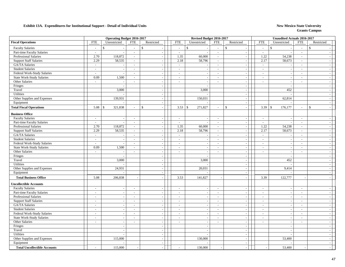|                                     |                          | <b>Operating Budget 2016-2017</b> |                             |                          |                             | Revised Budget 2016-2017 |                             |                                          |                                                | <b>Unaudited Actuals 2016-2017</b> |                          |                          |  |
|-------------------------------------|--------------------------|-----------------------------------|-----------------------------|--------------------------|-----------------------------|--------------------------|-----------------------------|------------------------------------------|------------------------------------------------|------------------------------------|--------------------------|--------------------------|--|
| <b>Fiscal Operations</b>            | ${\rm FTE}$              | Unrestricted                      | <b>FTE</b>                  | Restricted               | <b>FTE</b>                  | Unrestricted             | <b>FTE</b>                  | Restricted                               | <b>FTE</b>                                     | Unrestricted                       | <b>FTE</b>               | Restricted               |  |
| <b>Faculty Salaries</b>             | $\sim$                   | $\mathbf{\hat{S}}$                | $\sim$                      | $\mathcal{S}$            | $\sim$                      | $\mathbb{S}$             | $\sim$                      | $\mathbf{s}$                             | $\mathbf{\hat{S}}$<br>$\overline{\phantom{a}}$ |                                    | $\sim$                   | $\mathbf{\hat{s}}$       |  |
| Part-time Faculty Salaries          | $\sim$                   |                                   | $\mathbb{Z}^2$              | $\overline{a}$           | $\sim$                      | $\overline{a}$           | $\sim$                      | $\bar{\phantom{a}}$                      | $\sim$                                         |                                    | $\mathcal{L}$            |                          |  |
| Professional Salaries               | 2.70                     | 118,872                           | $\sim$                      | $\sim$                   | 1.35                        | 60,000                   | $\mathcal{L}$               | $\overline{\phantom{a}}$                 | 1.22                                           | 54,238                             | $\sim$                   |                          |  |
| <b>Support Staff Salaries</b>       | 2.29                     | 58,535                            | $\sim$                      |                          | 2.18                        | 58,796                   | $\sim$                      | $\sim$                                   | 2.17                                           | 58,673                             | $\sim$                   |                          |  |
| GA/TA Salaries                      | $\omega$                 |                                   | $\sim$                      | $\sim$                   | $\sim$                      |                          | $\mathcal{L}_{\mathcal{A}}$ | $\blacksquare$                           | $\sim$                                         |                                    | $\sim$                   |                          |  |
| <b>Student Salaries</b>             | $\sim$                   | $\sim$                            | $\sim$                      | $\sim$                   | $\sim$                      | $\sim$                   | $\mathcal{L}_{\mathcal{A}}$ | $\blacksquare$                           | $\overline{\phantom{a}}$                       | $\sim$                             | $\sim$                   |                          |  |
| Federal Work-Study Salaries         | $\sim$                   |                                   | $\sim$                      | $\sim$                   | $\overline{\phantom{a}}$    |                          | $\sim$                      | $\mathcal{L}$                            | $\sim$                                         |                                    | $\sim$                   |                          |  |
| <b>State Work-Study Salaries</b>    | 0.09                     | 1,500                             | $\sim$                      | $\sim$                   | $\sim$                      | $\overline{\phantom{a}}$ | $\sim$                      | $\omega$                                 | $\sim$                                         | $\sim$                             | $\sim$                   | $\overline{\phantom{a}}$ |  |
| Other Salaries                      | $\sim$                   | $\overline{\phantom{a}}$          | $\sim$                      | $\sim$                   | $\overline{\phantom{a}}$    | $\overline{\phantom{a}}$ | $\sim$                      | $\sim$                                   | $\overline{\phantom{a}}$                       | $\overline{\phantom{a}}$           | $\overline{\phantom{a}}$ |                          |  |
| Fringes                             |                          | $\overline{\phantom{a}}$          |                             | $\overline{\phantom{a}}$ |                             | $\overline{\phantom{a}}$ |                             | $\sim$                                   |                                                | $\sim$                             |                          | $\sim$                   |  |
| Travel                              |                          | 3,000                             |                             | $\sim$                   |                             | 3,000                    |                             | $\blacksquare$                           |                                                | 452                                |                          |                          |  |
| Utilities                           |                          |                                   |                             | $\sim$                   |                             |                          |                             | $\overline{\phantom{a}}$                 |                                                |                                    |                          |                          |  |
| Other Supplies and Expenses         |                          | 139,931                           |                             | $\sim$                   |                             | 150,031                  |                             | $\overline{\phantom{a}}$                 |                                                | 62,814                             |                          |                          |  |
| Equipment                           |                          |                                   |                             |                          |                             |                          |                             | $\overline{\phantom{a}}$                 |                                                |                                    |                          |                          |  |
| <b>Total Fiscal Operations</b>      | 5.08                     | 321,838<br>$\mathcal{S}$          | $\overline{a}$              | $\mathcal{S}$            | 3.53                        | $\mathbb{S}$<br>271,827  | $\sim$                      | $\mathbb{S}$<br>$\overline{\phantom{a}}$ | 3.39<br>$\mathcal{S}$                          | 176,177                            | $\sim$                   | $\mathbb{S}$             |  |
| <b>Business Office</b>              |                          |                                   |                             |                          |                             |                          |                             |                                          |                                                |                                    |                          |                          |  |
| <b>Faculty Salaries</b>             | $\omega$                 | $\sim$                            | $\sim$                      | $\sim$                   | $\sim$                      | $\sim$                   | $\sim$                      | $\sim$                                   | $\sim$                                         |                                    | $\sim$                   |                          |  |
| Part-time Faculty Salaries          | $\sim$                   |                                   | $\sim$                      |                          | $\sim$                      | $\overline{\phantom{a}}$ | $\sim$                      | $\overline{\phantom{a}}$                 | $\sim$                                         |                                    | $\sim$                   |                          |  |
| <b>Professional Salaries</b>        | 2.70                     | 118,872                           | $\sim$                      | $\sim$                   | 1.35                        | 60,000                   | $\mathbb{Z}^2$              | $\overline{\phantom{a}}$                 | 1.22                                           | 54,238                             | $\sim$                   |                          |  |
| <b>Support Staff Salaries</b>       | 2.29                     | 58,535                            | $\mathcal{L}_{\mathcal{A}}$ |                          | 2.18                        | 58,796                   | $\sim$                      | $\blacksquare$                           | 2.17                                           | 58,673                             | $\sim$                   |                          |  |
| GA/TA Salaries                      | $\sim$                   | $\sim$                            | $\sim$                      | $\overline{\phantom{a}}$ | $\sim$                      | $\overline{\phantom{a}}$ | $\sim$                      | $\blacksquare$                           | $\sim$                                         |                                    | $\sim$                   |                          |  |
| <b>Student Salaries</b>             | $\sim$                   |                                   | $\sim$                      | $\sim$                   | $\sim$                      |                          | $\sim$                      | $\sim$                                   | $\sim$                                         |                                    | $\sim$                   |                          |  |
| Federal Work-Study Salaries         | $\overline{\phantom{a}}$ |                                   | $\sim$                      | $\overline{\phantom{a}}$ | $\sim$                      | $\sim$                   | $\sim$                      | $\mathcal{L}_{\mathcal{A}}$              | $\overline{\phantom{a}}$                       | $\sim$                             | $\sim$                   | $\overline{\phantom{a}}$ |  |
| <b>State Work-Study Salaries</b>    | 0.09                     | 1,500                             | $\sim$                      | $\overline{\phantom{a}}$ | $\sim$                      | $\overline{\phantom{a}}$ | $\sim$                      | $\sim$                                   | $\overline{\phantom{a}}$                       | $\overline{\phantom{a}}$           | $\sim$                   | $\overline{\phantom{a}}$ |  |
| Other Salaries                      | $\sim$                   | $\sim$                            | $\sim$                      | $\sim$                   | $\sim$                      | $\overline{\phantom{a}}$ | $\sim$                      | $\mathcal{L}_{\mathcal{A}}$              | $\sim$                                         | $\sim$                             | $\sim$                   | $\sim$                   |  |
| Fringes                             |                          |                                   |                             |                          |                             |                          |                             | $\sim$                                   |                                                |                                    |                          |                          |  |
| Travel                              |                          | 3,000                             |                             | $\overline{\phantom{a}}$ |                             | 3,000                    |                             | $\overline{\phantom{a}}$                 |                                                | 452                                |                          |                          |  |
| Utilities                           |                          |                                   |                             |                          |                             |                          |                             | $\overline{\phantom{a}}$                 |                                                |                                    |                          |                          |  |
| Other Supplies and Expenses         |                          | 24,931                            |                             | $\sim$                   |                             | 20,031                   |                             | $\blacksquare$                           |                                                | 9,414                              |                          |                          |  |
| Equipment                           |                          |                                   |                             | $\sim$                   |                             |                          |                             | $\sim$                                   |                                                |                                    |                          | $\overline{\phantom{a}}$ |  |
| <b>Total Business Office</b>        | 5.08                     | 206,838                           | $\sim$                      |                          | 3.53                        | 141,827                  | $\overline{\phantom{a}}$    | $\sim$                                   | 3.39                                           | 122,777                            |                          |                          |  |
| <b>Uncollectible Accounts</b>       |                          |                                   |                             |                          |                             |                          |                             |                                          |                                                |                                    |                          |                          |  |
| <b>Faculty Salaries</b>             | $\sim$                   | $\overline{a}$                    | $\sim$                      |                          | $\sim$                      |                          | $\sim$                      | $\sim$                                   | $\sim$                                         | $\overline{\phantom{a}}$           | $\sim$                   |                          |  |
| Part-time Faculty Salaries          | $\sim$                   | $\sim$                            | $\mathcal{L}_{\mathcal{A}}$ | $\overline{\phantom{a}}$ | $\sim$                      | $\overline{\phantom{a}}$ | $\sim$                      | $\sim$                                   | $\sim$                                         | $\overline{\phantom{a}}$           | $\sim$                   |                          |  |
| Professional Salaries               | $\sim$                   | $\sim$                            | $\sim$                      |                          | $\overline{a}$              |                          | $\sim$                      | $\mathcal{L}_{\mathcal{A}}$              | $\sim$                                         | $\overline{\phantom{a}}$           | $\sim$                   |                          |  |
| <b>Support Staff Salaries</b>       | $\sim$                   | $\sim$                            | $\sim$                      | $\overline{\phantom{a}}$ | $\mathcal{L}_{\mathcal{A}}$ | $\overline{\phantom{a}}$ | $\mathbb{Z}^2$              | $\sim$                                   | $\overline{\phantom{a}}$                       | $\overline{\phantom{a}}$           | $\sim$                   |                          |  |
| GA/TA Salaries                      | $\sim$                   | $\sim$                            | $\overline{\phantom{a}}$    | $\sim$                   | $\sim$                      |                          | $\sim$                      | $\overline{\phantom{a}}$                 | $\overline{\phantom{a}}$                       | $\overline{\phantom{a}}$           | $\sim$                   | $\sim$                   |  |
| <b>Student Salaries</b>             | $\sim$                   | $\overline{\phantom{a}}$          | $\overline{\phantom{a}}$    | $\sim$                   | $\overline{\phantom{a}}$    | $\sim$                   | $\sim$                      | $\mathcal{L}_{\mathcal{A}}$              | $\overline{\phantom{a}}$                       | $\sim$                             | $\overline{\phantom{a}}$ | $\overline{\phantom{a}}$ |  |
| Federal Work-Study Salaries         | $\sim$                   | $\sim$                            | $\sim$                      | $\sim$                   | $\overline{\phantom{a}}$    | $\overline{\phantom{a}}$ | $\sim$                      | $\sim$                                   | $\sim$                                         | $\overline{\phantom{a}}$           | $\sim$                   |                          |  |
| State Work-Study Salaries           | $\sim$                   | $\overline{\phantom{a}}$          | $\sim$                      | $\sim$                   | $\mathbb{L}$                | $\overline{\phantom{a}}$ | $\sim$                      | $\blacksquare$                           | $\sim$                                         | $\overline{\phantom{a}}$           | $\sim$                   | $\overline{\phantom{0}}$ |  |
| Other Salaries                      | $\sim$                   | $\overline{\phantom{a}}$          | $\overline{\phantom{a}}$    | $\sim$                   | $\sim$                      | $\overline{\phantom{a}}$ | $\sim$                      | $\mathcal{L}_{\mathcal{A}}$              | $\overline{\phantom{a}}$                       | $\overline{\phantom{a}}$           | $\overline{\phantom{a}}$ |                          |  |
| Fringes                             |                          | $\overline{\phantom{a}}$          |                             | $\overline{\phantom{a}}$ |                             | $\overline{\phantom{a}}$ |                             | $\overline{\phantom{a}}$                 |                                                | $\overline{\phantom{a}}$           |                          |                          |  |
| Travel                              |                          |                                   |                             |                          |                             |                          |                             | $\overline{\phantom{a}}$                 |                                                |                                    |                          |                          |  |
| Utilities                           |                          |                                   |                             | $\sim$                   |                             | $\overline{\phantom{a}}$ |                             | $\blacksquare$                           |                                                |                                    |                          |                          |  |
| Other Supplies and Expenses         |                          | 115,000                           |                             | $\sim$                   |                             | 130,000                  |                             | $\sim$                                   |                                                | 53,400                             |                          |                          |  |
| Equipment                           |                          |                                   |                             | $\sim$                   |                             |                          |                             | $\sim$                                   |                                                |                                    |                          |                          |  |
|                                     |                          |                                   |                             |                          |                             |                          |                             |                                          |                                                |                                    |                          |                          |  |
| <b>Total Uncollectible Accounts</b> | $\sim$                   | 115,000                           |                             |                          | $\overline{a}$              | 130,000                  |                             | $\overline{\phantom{a}}$                 |                                                | 53,400                             |                          |                          |  |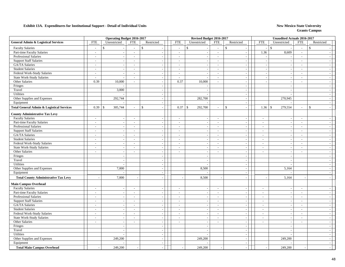|                                                      |                             | <b>Operating Budget 2016-2017</b> |                          |                          |                          | Revised Budget 2016-2017 |                          |                              |                          | <b>Unaudited Actuals 2016-2017</b> |                          |                          |
|------------------------------------------------------|-----------------------------|-----------------------------------|--------------------------|--------------------------|--------------------------|--------------------------|--------------------------|------------------------------|--------------------------|------------------------------------|--------------------------|--------------------------|
| <b>General Admin &amp; Logistical Services</b>       | <b>FTE</b>                  | Unrestricted                      | <b>FTE</b>               | Restricted               | <b>FTE</b>               | Unrestricted             | <b>FTE</b>               | Restricted                   | <b>FTE</b>               | Unrestricted                       | <b>FTE</b>               | Restricted               |
| <b>Faculty Salaries</b>                              | $\overline{a}$              | $\mathbb{S}$                      | $\sim$                   | $\mathcal{S}$            | $\overline{\phantom{a}}$ | \$                       | $\sim$                   | $\mathbb{S}$                 | $\mathcal{S}$<br>$\sim$  |                                    | $\sim$                   | $\mathbb{S}$             |
| Part-time Faculty Salaries                           | $\sim$                      | $\sim$                            | $\sim$                   | $\sim$                   | $\sim$                   | $\overline{\phantom{a}}$ | $\sim$                   | $\mathcal{L}$                | 1.36                     | 8,609                              | $\sim$                   |                          |
| Professional Salaries                                | $\overline{\phantom{a}}$    | $\overline{\phantom{a}}$          | $\sim$                   | $\sim$                   | $\sim$                   |                          | $\sim$                   | $\sim$                       |                          |                                    | $\sim$                   |                          |
| <b>Support Staff Salaries</b>                        | $\sim$                      | $\sim$                            | $\sim$                   | $\sim$                   | $\sim$                   |                          | $\sim$                   | $\mathcal{L}$                | $\overline{a}$           | $\overline{\phantom{a}}$           | $\sim$                   |                          |
| GA/TA Salaries                                       | $\sim$                      | $\sim$                            | $\sim$                   | $\sim$                   | $\sim$                   |                          | $\sim$                   | $\sim$                       | ÷.                       | $\overline{\phantom{a}}$           | $\sim$                   |                          |
| <b>Student Salaries</b>                              | $\overline{\phantom{a}}$    | $\sim$                            | $\overline{\phantom{a}}$ | $\sim$                   | $\overline{\phantom{a}}$ | $\overline{a}$           | $\sim$                   | $\mathcal{L}_{\mathcal{A}}$  | $\overline{\phantom{a}}$ | $\overline{\phantom{a}}$           | $\sim$                   | $\overline{\phantom{a}}$ |
| Federal Work-Study Salaries                          | $\sim$                      | $\overline{\phantom{a}}$          | $\sim$                   | $\sim$                   | $\sim$                   | $\overline{\phantom{a}}$ | $\sim$                   | $\mathcal{L}_{\mathcal{A}}$  | $\sim$                   | $\overline{\phantom{a}}$           | $\sim$                   | $\sim$                   |
| <b>State Work-Study Salaries</b>                     | $\sim$                      | $\overline{\phantom{a}}$          | $\sim$                   | $\sim$                   | $\sim$                   | $\overline{\phantom{a}}$ | $\sim$                   | $\mathcal{L}_{\mathcal{A}}$  | $\overline{\phantom{a}}$ | $\sim$                             | $\sim$                   | $\overline{\phantom{a}}$ |
| Other Salaries                                       | 0.39                        | 10,000                            | $\sim$                   | $\sim$                   | 0.37                     | 10,000                   | $\overline{\phantom{a}}$ | $\sim$                       |                          | $\overline{\phantom{a}}$           | $\overline{\phantom{a}}$ |                          |
| Fringes                                              |                             |                                   |                          | $\sim$                   |                          |                          |                          | $\sim$                       |                          | $\overline{\phantom{a}}$           |                          | $\overline{\phantom{a}}$ |
| Travel                                               |                             | 3,000                             |                          | $\sim$                   |                          |                          |                          | $\blacksquare$               |                          |                                    |                          |                          |
| <b>Utilities</b>                                     |                             |                                   |                          | $\sim$                   |                          |                          |                          | $\sim$                       |                          |                                    |                          |                          |
| Other Supplies and Expenses                          |                             | 292,744                           |                          | $\mathbb{Z}^2$           |                          | 282,700                  |                          | $\mathcal{L}$                |                          | 270,945                            |                          |                          |
| Equipment                                            |                             |                                   |                          | $\sim$                   |                          |                          |                          | $\sim$                       |                          |                                    |                          |                          |
| <b>Total General Admin &amp; Logistical Services</b> | 0.39                        | 305,744<br>$\mathbb{S}$           | $\overline{\phantom{a}}$ | $\mathcal{S}$<br>$\sim$  | 0.37                     | $\mathsf{\$}$<br>292,700 | $\sim$                   | $\mathbf{\hat{S}}$<br>$\sim$ | $1.36$ \$                | 279,554                            | $\overline{a}$           | $\mathbf{s}$             |
| <b>County Administrative Tax Levy</b>                |                             |                                   |                          |                          |                          |                          |                          |                              |                          |                                    |                          |                          |
| <b>Faculty Salaries</b>                              | $\mathcal{L}_{\mathcal{A}}$ | $\sim$                            | $\sim$                   | $\sim$                   | $\sim$                   | $\overline{a}$           | $\sim$                   | $\sim$                       | $\sim$                   | $\overline{\phantom{a}}$           | $\sim$                   |                          |
| Part-time Faculty Salaries                           | $\sim$                      | $\sim$                            | $\sim$                   | $\sim$                   | $\overline{a}$           | $\overline{\phantom{a}}$ | $\sim$                   | $\mathcal{L}$                | $\overline{a}$           | $\overline{\phantom{a}}$           | $\sim$                   |                          |
| Professional Salaries                                | $\mathcal{L}$               | $\sim$                            | $\sim$                   | $\sim$                   | $\sim$                   | $\overline{\phantom{a}}$ | $\sim$                   | $\sim$                       | $\sim$                   | $\overline{\phantom{a}}$           | $\overline{\phantom{a}}$ |                          |
| <b>Support Staff Salaries</b>                        | $\sim$                      | $\sim$                            | $\sim$                   | $\sim$                   | $\sim$                   |                          | $\sim$                   | $\mathcal{L}_{\mathcal{A}}$  | $\sim$                   | $\overline{\phantom{a}}$           | $\sim$                   |                          |
| GA/TA Salaries                                       | $\overline{\phantom{a}}$    | $\sim$                            | $\sim$                   | $\sim$                   | $\sim$                   | $\sim$                   | $\sim$                   | $\sim$                       | $\sim$                   | $\overline{\phantom{a}}$           | $\sim$                   | $\sim$                   |
| <b>Student Salaries</b>                              | $\sim$                      | $\sim$                            | $\sim$                   | $\sim$                   | $\sim$                   |                          | $\sim$                   | $\mathcal{L}_{\mathcal{A}}$  | $\sim$                   | $\sim$                             | $\sim$                   | $\sim$                   |
| Federal Work-Study Salaries                          | $\sim$                      | $\sim$                            | $\sim$                   | $\sim$                   | $\sim$                   | $\overline{\phantom{a}}$ | $\sim$                   | $\sim$                       | $\sim$                   | $\overline{\phantom{a}}$           | $\sim$                   | $\sim$                   |
| <b>State Work-Study Salaries</b>                     | $\overline{a}$              | $\overline{\phantom{a}}$          | $\sim$                   | $\sim$                   | $\sim$                   |                          | $\overline{\phantom{a}}$ | $\mathcal{L}$                | $\sim$                   | $\overline{\phantom{a}}$           | $\overline{\phantom{a}}$ | $\overline{\phantom{a}}$ |
| Other Salaries                                       | $\overline{\phantom{a}}$    | $\sim$                            | $\sim$                   | $\sim$                   | $\sim$                   | $\overline{a}$           | $\sim$                   | $\mathbb{L}^+$               | $\sim$                   | $\overline{\phantom{a}}$           | $\overline{\phantom{a}}$ | $\overline{\phantom{a}}$ |
| Fringes                                              |                             | $\sim$                            |                          |                          |                          |                          |                          | $\blacksquare$               |                          |                                    |                          |                          |
| Travel                                               |                             | $\overline{\phantom{a}}$          |                          | $\sim$                   |                          | $\overline{a}$           |                          | $\blacksquare$               |                          |                                    |                          |                          |
| <b>Utilities</b>                                     |                             | $\overline{a}$                    |                          | $\sim$                   |                          |                          |                          | $\mathcal{L}$                |                          |                                    |                          |                          |
| Other Supplies and Expenses                          |                             | 7,000                             |                          | $\sim$                   |                          | 8,500                    |                          | $\mathcal{L}_{\mathcal{A}}$  |                          | 5,164                              |                          |                          |
| Equipment                                            |                             | $\sim$                            |                          | $\sim$                   |                          |                          |                          | $\sim$                       |                          |                                    |                          |                          |
| <b>Total County Administrative Tax Levy</b>          |                             | 7,000                             |                          | $\sim$                   |                          | 8,500                    |                          | $\sim$                       |                          | 5,164                              |                          |                          |
| <b>Main Campus Overhead</b>                          |                             |                                   |                          |                          |                          |                          |                          |                              |                          |                                    |                          |                          |
| <b>Faculty Salaries</b>                              | $\sim$                      | $\sim$                            | $\sim$                   | $\sim$                   | $\sim$                   |                          | $\sim$                   | $\sim$                       | $\overline{a}$           | $\overline{\phantom{a}}$           | $\sim$                   |                          |
| Part-time Faculty Salaries                           | $\sim$                      | $\sim$                            | $\sim$                   | $\sim$                   | $\sim$                   | $\overline{\phantom{a}}$ | $\sim$                   | $\sim$                       | $\sim$                   | $\overline{\phantom{a}}$           | $\sim$                   |                          |
| Professional Salaries                                | $\sim$                      | $\sim$                            | $\sim$                   | $\sim$                   | $\sim$                   |                          | $\sim$                   | $\sim$                       | $\sim$                   | $\overline{\phantom{a}}$           | $\sim$                   |                          |
| <b>Support Staff Salaries</b>                        | $\sim$                      | $\overline{\phantom{a}}$          | $\overline{\phantom{a}}$ | $\sim$                   | $\overline{\phantom{a}}$ |                          | $\sim$                   | $\sim$                       | $\overline{\phantom{a}}$ | $\overline{\phantom{a}}$           | $\sim$                   |                          |
| GA/TA Salaries                                       | $\sim$                      | $\sim$                            | $\overline{\phantom{a}}$ | $\sim$                   | $\overline{\phantom{a}}$ |                          | $\sim$                   | $\sim$                       | $\overline{\phantom{a}}$ | $\overline{\phantom{a}}$           | $\overline{\phantom{a}}$ |                          |
| <b>Student Salaries</b>                              | $\mathcal{L}_{\mathcal{A}}$ | $\sim$                            | $\overline{\phantom{a}}$ | $\sim$                   | $\sim$                   | $\overline{\phantom{a}}$ | $\sim$                   | $\sim$                       | $\sim$                   | $\overline{\phantom{a}}$           | $\overline{\phantom{a}}$ | $\sim$                   |
| Federal Work-Study Salaries                          | $\overline{a}$              | $\sim$                            | $\overline{\phantom{0}}$ | $\sim$                   | $\sim$                   | $\overline{\phantom{a}}$ | $\overline{\phantom{a}}$ | $\mathcal{L}$                | $\sim$                   | $\overline{\phantom{a}}$           | $\overline{\phantom{a}}$ |                          |
| <b>State Work-Study Salaries</b>                     | $\sim$                      | $\sim$                            | $\sim$                   | $\sim$                   | $\sim$                   | $\overline{\phantom{a}}$ | $\sim$                   | $\mathcal{L}_{\mathcal{A}}$  | $\sim$                   | $\sim$                             | $\sim$                   | $\overline{\phantom{a}}$ |
| Other Salaries                                       | $\overline{\phantom{a}}$    | $\overline{\phantom{a}}$          | $\sim$                   | $\sim$                   | $\sim$                   | $\overline{\phantom{a}}$ | $\overline{\phantom{a}}$ | $\blacksquare$               | $\sim$                   | $\overline{\phantom{a}}$           | $\overline{\phantom{a}}$ |                          |
| Fringes                                              |                             | $\sim$                            |                          | $\sim$                   |                          | $\overline{a}$           |                          | $\blacksquare$               |                          | $\overline{\phantom{a}}$           |                          |                          |
| Travel                                               |                             | $\sim$                            |                          | $\sim$                   |                          |                          |                          | $\mathcal{L}$                |                          |                                    |                          |                          |
| Utilities                                            |                             | $\sim$                            |                          | $\overline{\phantom{a}}$ |                          |                          |                          | $\overline{\phantom{a}}$     |                          |                                    |                          |                          |
| Other Supplies and Expenses                          |                             | 249,200                           |                          | $\sim$                   |                          | 249,200                  |                          | $\sim$                       |                          | 249,200                            |                          |                          |
| Equipment                                            |                             |                                   |                          | $\sim$                   |                          |                          |                          | $\sim$                       |                          |                                    |                          |                          |
| <b>Total Main Campus Overhead</b>                    |                             | 249,200                           |                          | $\sim$                   |                          | 249,200                  |                          |                              |                          | 249,200                            |                          |                          |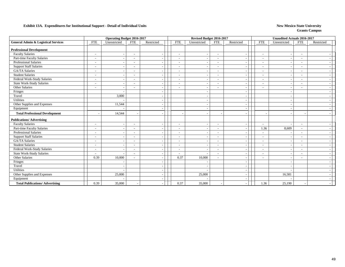|                                                |                          | <b>Operating Budget 2016-2017</b> |                          |                          |                          | Revised Budget 2016-2017 |                          |                          |                          | <b>Unaudited Actuals 2016-2017</b> |                          |            |
|------------------------------------------------|--------------------------|-----------------------------------|--------------------------|--------------------------|--------------------------|--------------------------|--------------------------|--------------------------|--------------------------|------------------------------------|--------------------------|------------|
| <b>General Admin &amp; Logistical Services</b> | <b>FTE</b>               | Unrestricted                      | <b>FTE</b>               | Restricted               | <b>FTE</b>               | Unrestricted             | <b>FTE</b>               | Restricted               | <b>FTE</b>               | Unrestricted                       | <b>FTE</b>               | Restricted |
| <b>Professional Development</b>                |                          |                                   |                          |                          |                          |                          |                          |                          |                          |                                    |                          |            |
| <b>Faculty Salaries</b>                        | $\sim$                   | $\overline{\phantom{a}}$          | $\overline{\phantom{a}}$ |                          | $\overline{\phantom{a}}$ | $\overline{\phantom{a}}$ | $\sim$                   | $\overline{\phantom{a}}$ | $\overline{\phantom{a}}$ |                                    | $\overline{\phantom{a}}$ |            |
| Part-time Faculty Salaries                     | $\overline{\phantom{0}}$ | $\sim$                            | $\blacksquare$           | $\overline{\phantom{a}}$ | $\overline{\phantom{a}}$ | . .                      | $\overline{\phantom{a}}$ | $\overline{\phantom{a}}$ | $\overline{\phantom{a}}$ |                                    | $\overline{\phantom{0}}$ |            |
| Professional Salaries                          | $\overline{\phantom{0}}$ | $\sim$                            | $\blacksquare$           |                          | $\overline{\phantom{a}}$ | $\overline{\phantom{a}}$ | $\overline{\phantom{a}}$ | $\overline{\phantom{a}}$ | $\overline{\phantom{a}}$ |                                    | $\overline{\phantom{a}}$ |            |
| <b>Support Staff Salaries</b>                  |                          | $\sim$                            | $\sim$                   |                          | $\overline{\phantom{a}}$ |                          | $\overline{\phantom{a}}$ | $\overline{\phantom{a}}$ | $\overline{\phantom{a}}$ |                                    |                          |            |
| <b>GA/TA Salaries</b>                          |                          |                                   |                          |                          |                          |                          | ٠                        |                          | $\sim$                   |                                    |                          |            |
| <b>Student Salaries</b>                        | $\overline{\phantom{a}}$ |                                   | $\blacksquare$           |                          | $\overline{\phantom{a}}$ |                          | $\overline{\phantom{a}}$ | $\overline{\phantom{a}}$ | $\sim$                   |                                    | $\overline{\phantom{a}}$ |            |
| Federal Work-Study Salaries                    |                          |                                   |                          |                          |                          |                          | $\overline{\phantom{a}}$ | $\overline{\phantom{a}}$ | $\overline{\phantom{a}}$ |                                    |                          |            |
| State Work-Study Salaries                      | $\overline{\phantom{a}}$ | $\overline{a}$                    | $\sim$                   |                          | $\overline{\phantom{a}}$ |                          | $\overline{\phantom{a}}$ | $\overline{\phantom{a}}$ | $\overline{\phantom{a}}$ |                                    | $\overline{\phantom{a}}$ |            |
| Other Salaries                                 | $\overline{\phantom{a}}$ | $\blacksquare$                    | $\overline{\phantom{a}}$ |                          | $\overline{\phantom{a}}$ |                          | $\overline{\phantom{a}}$ | $\overline{\phantom{a}}$ | $\overline{\phantom{a}}$ |                                    | $\overline{\phantom{0}}$ |            |
| Fringes                                        |                          | $\overline{\phantom{a}}$          |                          |                          |                          |                          |                          | $\overline{\phantom{a}}$ |                          |                                    |                          |            |
| Travel                                         |                          | 3,000                             |                          |                          |                          |                          |                          | $\overline{\phantom{a}}$ |                          |                                    |                          |            |
| Utilities                                      |                          |                                   |                          |                          |                          |                          |                          | $\overline{\phantom{a}}$ |                          |                                    |                          |            |
| Other Supplies and Expenses                    |                          | 11,544                            |                          |                          |                          |                          |                          | $\overline{\phantom{a}}$ |                          |                                    |                          |            |
| Equipment                                      |                          |                                   |                          |                          |                          |                          |                          | $\overline{\phantom{a}}$ |                          |                                    |                          |            |
| <b>Total Professional Development</b>          |                          | 14,544                            |                          |                          |                          |                          |                          |                          |                          |                                    |                          |            |
| <b>Publications/Advertising</b>                |                          |                                   |                          |                          |                          |                          |                          |                          |                          |                                    |                          |            |
| <b>Faculty Salaries</b>                        | $\overline{\phantom{a}}$ | $\overline{a}$                    | $\overline{\phantom{a}}$ |                          | $\sim$                   |                          | $\overline{\phantom{a}}$ | $\overline{\phantom{a}}$ | $\overline{\phantom{a}}$ |                                    |                          |            |
| Part-time Faculty Salaries                     | $\overline{\phantom{a}}$ | $\overline{a}$                    | $\overline{a}$           |                          | $\overline{\phantom{a}}$ |                          | $\sim$                   | $\overline{\phantom{a}}$ | 1.36                     | 8,609                              | $\sim$                   |            |
| <b>Professional Salaries</b>                   | $\sim$                   | $\overline{\phantom{a}}$          | $\overline{\phantom{a}}$ |                          | $\overline{\phantom{a}}$ |                          | $\sim$                   | $\overline{\phantom{a}}$ | $\overline{\phantom{a}}$ |                                    | $\sim$                   |            |
| <b>Support Staff Salaries</b>                  | $\overline{\phantom{a}}$ | $\overline{\phantom{a}}$          | $\overline{\phantom{a}}$ |                          | $\overline{\phantom{a}}$ | $\overline{\phantom{a}}$ | $\overline{\phantom{a}}$ | $\overline{\phantom{a}}$ | $\overline{\phantom{a}}$ | $\overline{\phantom{a}}$           | $\overline{\phantom{a}}$ |            |
| GA/TA Salaries                                 | $\overline{\phantom{0}}$ | $\overline{\phantom{a}}$          | $\blacksquare$           |                          | $\overline{\phantom{a}}$ | $\overline{\phantom{a}}$ | $\overline{\phantom{a}}$ | $\overline{\phantom{a}}$ | $\overline{\phantom{a}}$ |                                    | $\overline{\phantom{a}}$ |            |
| <b>Student Salaries</b>                        | $\sim$                   | $\sim$                            | $\sim$                   |                          | $\overline{\phantom{a}}$ |                          | $\overline{\phantom{a}}$ | $\overline{\phantom{a}}$ | $\sim$                   |                                    | $\overline{\phantom{a}}$ |            |
| Federal Work-Study Salaries                    | $\sim$                   | $\overline{\phantom{a}}$          | $\sim$                   |                          | $\overline{\phantom{a}}$ |                          | $\overline{\phantom{a}}$ | $\overline{\phantom{a}}$ | $\overline{\phantom{a}}$ |                                    | $\overline{\phantom{a}}$ |            |
| State Work-Study Salaries                      | $\sim$                   |                                   | $\sim$                   |                          | $\overline{\phantom{a}}$ |                          | $\sim$                   | $\sim$                   | $\overline{\phantom{a}}$ |                                    | $\overline{\phantom{a}}$ |            |
| Other Salaries                                 | 0.39                     | 10,000                            | $\sim$                   |                          | 0.37                     | 10,000                   | $\sim$                   | $\overline{\phantom{a}}$ | $\overline{\phantom{a}}$ |                                    |                          |            |
| Fringes                                        |                          |                                   |                          |                          |                          |                          |                          | $\overline{\phantom{a}}$ |                          |                                    |                          |            |
| Travel                                         |                          | $\sim$                            |                          | $\overline{\phantom{a}}$ |                          |                          |                          | $\overline{\phantom{a}}$ |                          |                                    |                          |            |
| Utilities                                      |                          | $\overline{a}$                    |                          | $\overline{\phantom{a}}$ |                          |                          |                          | $\overline{\phantom{a}}$ |                          |                                    |                          |            |
| Other Supplies and Expenses                    |                          | 25,000                            |                          |                          |                          | 25,000                   |                          |                          |                          | 16,581                             |                          |            |
| Equipment                                      |                          |                                   |                          |                          |                          |                          |                          |                          |                          |                                    |                          |            |
| <b>Total Publications/ Advertising</b>         | 0.39                     | 35,000                            |                          |                          | 0.37                     | 35,000                   |                          |                          | 1.36                     | 25,190                             |                          |            |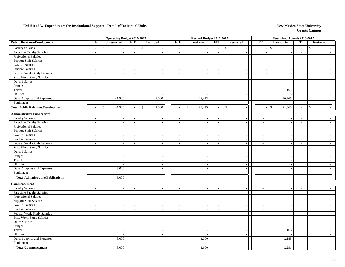| <b>Public Relations/Development</b><br><b>FTE</b><br><b>FTE</b><br><b>FTE</b><br>Unrestricted<br><b>FTE</b><br>Restricted<br><b>FTE</b><br>Unrestricted<br>Restricted<br>Unrestricted<br><b>FTE</b><br>Restricted<br><b>Faculty Salaries</b><br>\$<br>\$<br>\$<br>$\mathbb{S}$<br>$\mathbf{s}$<br>\$<br>$\sim$<br>$\overline{\phantom{a}}$<br>$\sim$<br>$\sim$<br>$\sim$<br>$\overline{\phantom{a}}$<br>Part-time Faculty Salaries<br>$\sim$<br>$\sim$<br>$\sim$<br>$\sim$<br>$\sim$<br>$\sim$<br>$\sim$<br>$\sim$<br>$\sim$<br>$\sim$<br>$\overline{\phantom{a}}$<br>$\overline{a}$<br>Professional Salaries<br>$\overline{\phantom{a}}$<br>$\sim$<br>$\sim$<br>$\overline{\phantom{a}}$<br>$\sim$<br>$\sim$<br>$\sim$<br>$\overline{\phantom{a}}$<br>$\sim$<br><b>Support Staff Salaries</b><br>$\sim$<br>$\sim$<br>$\sim$<br>$\sim$<br>$\sim$<br>$\sim$<br>$\sim$<br>$\sim$<br>$\overline{a}$<br>$\sim$<br>GA/TA Salaries<br>$\sim$<br>$\sim$<br>$\sim$<br>$\overline{\phantom{a}}$<br>$\sim$<br>$\overline{\phantom{a}}$<br>$\sim$<br>$\overline{\phantom{a}}$<br>$\overline{\phantom{a}}$<br>$\overline{\phantom{a}}$<br><b>Student Salaries</b><br>$\sim$<br>$\sim$<br>$\sim$<br>$\overline{\phantom{a}}$<br>$\sim$<br>$\overline{\phantom{a}}$<br>$\sim$<br>$\overline{\phantom{a}}$<br>$\overline{\phantom{a}}$<br>$=$<br>$\overline{\phantom{a}}$<br>$\sim$<br>Federal Work-Study Salaries<br>$\mathcal{L}$<br>$\sim$ 1<br>$\sim$<br>$\overline{\phantom{a}}$<br>$\sim$<br>$\sim$<br>$\sim$<br>$\sim$<br>$\sim$<br>$\overline{\phantom{a}}$<br>$\overline{\phantom{a}}$<br>$\overline{\phantom{a}}$<br><b>State Work-Study Salaries</b><br>$\sim$<br>$\sim$<br>$\sim$<br>$\sim$<br>$-1$<br>$\sim$<br>$\overline{a}$<br>$\sim$<br>$\sim$<br>$\overline{a}$<br>$\sim$<br>$\sim$<br>Other Salaries<br>$\sim$<br>$\overline{\phantom{a}}$<br>$\sim$<br>$\sim$ 1<br>$\sim$<br>$\overline{\phantom{a}}$<br>$\overline{\phantom{a}}$<br>$\overline{\phantom{a}}$<br>$\overline{\phantom{a}}$<br>$\overline{\phantom{a}}$<br>$\overline{\phantom{a}}$<br>Fringes<br>$\overline{\phantom{a}}$<br>$\sim$<br>$\sim$<br>$\sim$<br>$\overline{\phantom{a}}$<br>$\sim$<br>Travel<br>103<br>$\sim$<br>$\sim$<br>$\sim$<br>$\overline{\phantom{a}}$<br>$\overline{\phantom{a}}$<br><b>Utilities</b><br>$\sim$<br>$\sim$<br>$\sim$<br>Other Supplies and Expenses<br>41,500<br>1,000<br>26,413<br>20,965<br>$\sim$<br>$\sim$<br>Equipment<br>$\overline{\phantom{a}}$<br>$\sim$<br><b>Total Public Relations/Development</b><br>\$<br>41,500<br>$\mathbb{S}$<br>1,000<br>\$<br>26,413<br>\$<br>$\mathbf{\hat{S}}$<br>21,068<br>$\mathbf S$<br>$\sim$<br>$\sim$<br>$\sim$<br>$\overline{\phantom{a}}$<br>$\overline{a}$<br>$\sim$<br><b>Administrative Publications</b><br><b>Faculty Salaries</b><br>$\sim$<br>$\sim$<br>$\sim$<br>$\sim$<br>$\sim$<br>$\sim$<br>$\overline{\phantom{a}}$<br>$\sim$<br>$\sim$<br>$\sim$<br>$\overline{a}$<br>$\sim$<br>Part-time Faculty Salaries<br>$\sim$<br>$\sim$<br>$\sim$<br>$\sim$<br>$\sim$<br>$\sim$<br>$\sim$<br>$\overline{a}$<br>$\sim$<br>$\sim$<br>$\overline{\phantom{a}}$<br>$\sim$<br>Professional Salaries<br>$\sim$<br>$\sim$<br>$\sim$<br>$\sim$<br>$\sim$<br>$\sim$<br>$\sim$<br>$\sim$<br>$\sim$<br>$\sim$<br><b>Support Staff Salaries</b><br>$\sim$<br>$\sim$<br>$\sim$<br>$\overline{\phantom{a}}$<br>$\sim$<br>$\overline{\phantom{a}}$<br>$\sim$<br>$\overline{\phantom{a}}$<br>$\sim$<br>$\overline{\phantom{a}}$<br>GA/TA Salaries<br>$\sim$<br>$\sim$<br>$\sim$<br>$\sim$<br>$\sim$<br>$\overline{\phantom{a}}$<br>$\sim$<br>$\overline{\phantom{a}}$<br>$\overline{\phantom{a}}$<br>$=$<br>$\overline{\phantom{a}}$<br>$\sim$<br><b>Student Salaries</b><br>$\sim$<br>$\sim$ 1<br>$\sim$<br>$\overline{\phantom{a}}$<br>$\sim$<br>$\overline{\phantom{a}}$<br>$\sim$<br>$\sim$<br>$\sim$<br>$\overline{\phantom{a}}$<br>$\overline{\phantom{a}}$<br>$\sim$<br>Federal Work-Study Salaries<br>$\mathcal{L}$<br>$-1$<br>$\sim$<br>$\sim$<br>$\sim$<br>$\sim$<br>$\sim$<br>$\sim$<br>$\overline{\phantom{a}}$<br>$\sim$<br>$\overline{\phantom{a}}$<br>$\overline{\phantom{a}}$<br><b>State Work-Study Salaries</b><br>$\sim$<br>$\sim$<br>$\sim$<br>$\overline{\phantom{a}}$<br>$\sim$<br>$\sim$<br>$\overline{\phantom{a}}$<br>$\overline{\phantom{a}}$<br>$\overline{\phantom{a}}$<br>$\overline{\phantom{a}}$<br>$\overline{\phantom{a}}$<br>Other Salaries<br>$\sim$<br>$\sim$<br>$\sim$<br>$\sim$<br>$\sim$<br>$\sim$<br>$\sim$<br>$\overline{a}$<br>$\overline{\phantom{a}}$<br>$\sim$<br>$\sim$<br>$\overline{\phantom{a}}$<br>Fringes<br>$\sim$<br>$\sim$<br>$\overline{\phantom{a}}$<br>$\overline{\phantom{a}}$<br>Travel<br>$\sim$<br>$\sim$<br>$\sim$<br>$\overline{\phantom{a}}$<br>$\overline{a}$<br>$\sim$<br><b>Utilities</b><br>$\mathcal{L}$<br>$\sim$<br>$\overline{a}$<br>$\sim$<br>Other Supplies and Expenses<br>9,000<br>$\sim$<br>$\overline{\phantom{a}}$<br>$\sim$<br>$\overline{\phantom{a}}$<br>$\overline{\phantom{a}}$<br>Equipment<br>$\sim$<br>$\sim$<br>$\sim$<br>$\overline{\phantom{a}}$<br>$\overline{\phantom{a}}$<br>9,000<br><b>Total Administrative Publications</b><br>$\sim$<br>$\overline{a}$<br>$\sim$<br>$\sim$<br>$\overline{\phantom{a}}$<br>$\sim$<br>$\overline{\phantom{a}}$<br>$\overline{\phantom{a}}$<br>÷,<br>$\overline{\phantom{a}}$<br>Commencement<br><b>Faculty Salaries</b><br>$\sim$<br>$\sim$<br>$\sim$<br>$\overline{a}$<br>$\sim$<br>$\overline{\phantom{a}}$<br>$\sim$<br>$\sim$<br>$\sim$<br>$\sim$<br>$\overline{\phantom{a}}$<br>$\overline{\phantom{a}}$<br>Part-time Faculty Salaries<br>$\sim$<br>$\sim$<br>$\sim$<br>$\sim$<br>$\sim$<br>$\sim$<br>$\sim$<br>$\sim$<br>$\sim$<br>$\sim$<br>$\overline{\phantom{a}}$<br>Professional Salaries<br>$\sim$<br>$\overline{\phantom{a}}$<br>$\sim$<br>$\sim$<br>$\sim$<br>$\sim$<br>$\overline{\phantom{a}}$<br>$\sim$<br>$\sim$<br>$\overline{\phantom{a}}$<br><b>Support Staff Salaries</b><br>$\sim$<br>$\sim$<br>$\sim$<br>$\sim$<br>$-1$<br>$\overline{\phantom{a}}$<br>$\overline{\phantom{a}}$<br>$\overline{\phantom{a}}$<br>$\sim$<br>$\overline{\phantom{a}}$<br>GA/TA Salaries<br>$\sim$<br>$\sim$ 1<br>$\sim$<br>$\overline{\phantom{a}}$<br>$\sim$<br>$\overline{\phantom{a}}$<br>$\overline{\phantom{a}}$<br>$\sim$<br>$\sim$<br>$\overline{\phantom{a}}$<br>$\overline{\phantom{a}}$<br>$\overline{a}$<br><b>Student Salaries</b><br>$\mathcal{L}$<br>$\mathbb{Z}^2$<br>$\sim$<br>$\sim$<br>$\sim$<br>$-1$<br>$\sim$<br>$\sim$<br>$\overline{\phantom{a}}$<br>$\sim$<br>$\overline{\phantom{a}}$<br>$\overline{\phantom{a}}$<br>Federal Work-Study Salaries<br>$\sim$<br>$\sim$<br>$\sim$<br>$\overline{\phantom{a}}$<br>$\overline{\phantom{a}}$<br>$\overline{\phantom{a}}$<br>$\overline{\phantom{a}}$<br>$\overline{\phantom{a}}$<br>$\overline{\phantom{a}}$<br>$\overline{\phantom{a}}$<br>$\overline{\phantom{a}}$<br>$\overline{\phantom{a}}$<br><b>State Work-Study Salaries</b><br>$\sim$<br>$\blacksquare$<br>$\overline{\phantom{a}}$<br>$-1$<br>$\sim$<br>$\overline{\phantom{a}}$<br>$\sim$<br>$\sim$<br>$\sim$<br>$\overline{\phantom{a}}$<br>$\overline{a}$<br>$\overline{\phantom{a}}$<br>Other Salaries<br>$\overline{\phantom{a}}$<br>$\sim$<br>$\sim$<br>$\sim$<br>$\overline{\phantom{a}}$<br>$\sim$<br>$\overline{\phantom{a}}$<br>$\sim$<br>$\sim$<br>$\overline{a}$<br>$\overline{\phantom{a}}$<br>$\overline{\phantom{a}}$<br>Fringes<br>$\sim$<br>$\sim$<br>$\overline{\phantom{a}}$<br>$\overline{\phantom{a}}$<br>$\overline{a}$<br>Travel<br>103<br>$\sim$<br>$\sim$<br>$\sim$<br>$\sim$<br>Utilities<br>$\overline{a}$<br>$\overline{\phantom{a}}$<br>$\sim$<br>$\sim$<br>Other Supplies and Expenses<br>3,000<br>3,000<br>2,188<br>$\overline{\phantom{a}}$<br>$\sim$<br>$\sim$<br>Equipment<br>$\sim$<br>$\sim$<br>$\sim$ |                           | <b>Operating Budget 2016-2017</b> |  | Revised Budget 2016-2017 |        | Unaudited Actuals 2016-2017 |  |
|-------------------------------------------------------------------------------------------------------------------------------------------------------------------------------------------------------------------------------------------------------------------------------------------------------------------------------------------------------------------------------------------------------------------------------------------------------------------------------------------------------------------------------------------------------------------------------------------------------------------------------------------------------------------------------------------------------------------------------------------------------------------------------------------------------------------------------------------------------------------------------------------------------------------------------------------------------------------------------------------------------------------------------------------------------------------------------------------------------------------------------------------------------------------------------------------------------------------------------------------------------------------------------------------------------------------------------------------------------------------------------------------------------------------------------------------------------------------------------------------------------------------------------------------------------------------------------------------------------------------------------------------------------------------------------------------------------------------------------------------------------------------------------------------------------------------------------------------------------------------------------------------------------------------------------------------------------------------------------------------------------------------------------------------------------------------------------------------------------------------------------------------------------------------------------------------------------------------------------------------------------------------------------------------------------------------------------------------------------------------------------------------------------------------------------------------------------------------------------------------------------------------------------------------------------------------------------------------------------------------------------------------------------------------------------------------------------------------------------------------------------------------------------------------------------------------------------------------------------------------------------------------------------------------------------------------------------------------------------------------------------------------------------------------------------------------------------------------------------------------------------------------------------------------------------------------------------------------------------------------------------------------------------------------------------------------------------------------------------------------------------------------------------------------------------------------------------------------------------------------------------------------------------------------------------------------------------------------------------------------------------------------------------------------------------------------------------------------------------------------------------------------------------------------------------------------------------------------------------------------------------------------------------------------------------------------------------------------------------------------------------------------------------------------------------------------------------------------------------------------------------------------------------------------------------------------------------------------------------------------------------------------------------------------------------------------------------------------------------------------------------------------------------------------------------------------------------------------------------------------------------------------------------------------------------------------------------------------------------------------------------------------------------------------------------------------------------------------------------------------------------------------------------------------------------------------------------------------------------------------------------------------------------------------------------------------------------------------------------------------------------------------------------------------------------------------------------------------------------------------------------------------------------------------------------------------------------------------------------------------------------------------------------------------------------------------------------------------------------------------------------------------------------------------------------------------------------------------------------------------------------------------------------------------------------------------------------------------------------------------------------------------------------------------------------------------------------------------------------------------------------------------------------------------------------------------------------------------------------------------------------------------------------------------------------------------------------------------------------------------------------------------------------------------------------------------------------------------------------------------------------------------------------------------------------------------------------------------------------------------------------------------------------------------------------------------------------------------------------------------------------------------------------------------------------------------------------------------------------------------------------------------------------------------------------------------------------------------------------------------------------------------------------------------------------------------------------------------------------------------------------------------------------------------------------------------------------------------------------------------------------------------------------------------------------------------------------------------------------------------------------------------------------------------------------------------------------------------------------------------------------------------------------------------------------------------------------------------------------------------------------------------------------------------------------------------------------------------------------------------------------------------------------------------------------------------------------------------------------------------------------------------------------------------------------------------------------------------------------------------------------------------------------------------------------------------------------------------------------------------------------------------------------------------------------------------------------------------------|---------------------------|-----------------------------------|--|--------------------------|--------|-----------------------------|--|
|                                                                                                                                                                                                                                                                                                                                                                                                                                                                                                                                                                                                                                                                                                                                                                                                                                                                                                                                                                                                                                                                                                                                                                                                                                                                                                                                                                                                                                                                                                                                                                                                                                                                                                                                                                                                                                                                                                                                                                                                                                                                                                                                                                                                                                                                                                                                                                                                                                                                                                                                                                                                                                                                                                                                                                                                                                                                                                                                                                                                                                                                                                                                                                                                                                                                                                                                                                                                                                                                                                                                                                                                                                                                                                                                                                                                                                                                                                                                                                                                                                                                                                                                                                                                                                                                                                                                                                                                                                                                                                                                                                                                                                                                                                                                                                                                                                                                                                                                                                                                                                                                                                                                                                                                                                                                                                                                                                                                                                                                                                                                                                                                                                                                                                                                                                                                                                                                                                                                                                                                                                                                                                                                                                                                                                                                                                                                                                                                                                                                                                                                                                                                                                                                                                                                                                                                                                                                                                                                                                                                                                                                                                                                                                                                                                                                                                                                                                                                                                                                                                                                                                                                                                                                                                                                                                                                                                                 |                           |                                   |  |                          |        |                             |  |
|                                                                                                                                                                                                                                                                                                                                                                                                                                                                                                                                                                                                                                                                                                                                                                                                                                                                                                                                                                                                                                                                                                                                                                                                                                                                                                                                                                                                                                                                                                                                                                                                                                                                                                                                                                                                                                                                                                                                                                                                                                                                                                                                                                                                                                                                                                                                                                                                                                                                                                                                                                                                                                                                                                                                                                                                                                                                                                                                                                                                                                                                                                                                                                                                                                                                                                                                                                                                                                                                                                                                                                                                                                                                                                                                                                                                                                                                                                                                                                                                                                                                                                                                                                                                                                                                                                                                                                                                                                                                                                                                                                                                                                                                                                                                                                                                                                                                                                                                                                                                                                                                                                                                                                                                                                                                                                                                                                                                                                                                                                                                                                                                                                                                                                                                                                                                                                                                                                                                                                                                                                                                                                                                                                                                                                                                                                                                                                                                                                                                                                                                                                                                                                                                                                                                                                                                                                                                                                                                                                                                                                                                                                                                                                                                                                                                                                                                                                                                                                                                                                                                                                                                                                                                                                                                                                                                                                                 |                           |                                   |  |                          |        |                             |  |
|                                                                                                                                                                                                                                                                                                                                                                                                                                                                                                                                                                                                                                                                                                                                                                                                                                                                                                                                                                                                                                                                                                                                                                                                                                                                                                                                                                                                                                                                                                                                                                                                                                                                                                                                                                                                                                                                                                                                                                                                                                                                                                                                                                                                                                                                                                                                                                                                                                                                                                                                                                                                                                                                                                                                                                                                                                                                                                                                                                                                                                                                                                                                                                                                                                                                                                                                                                                                                                                                                                                                                                                                                                                                                                                                                                                                                                                                                                                                                                                                                                                                                                                                                                                                                                                                                                                                                                                                                                                                                                                                                                                                                                                                                                                                                                                                                                                                                                                                                                                                                                                                                                                                                                                                                                                                                                                                                                                                                                                                                                                                                                                                                                                                                                                                                                                                                                                                                                                                                                                                                                                                                                                                                                                                                                                                                                                                                                                                                                                                                                                                                                                                                                                                                                                                                                                                                                                                                                                                                                                                                                                                                                                                                                                                                                                                                                                                                                                                                                                                                                                                                                                                                                                                                                                                                                                                                                                 |                           |                                   |  |                          |        |                             |  |
|                                                                                                                                                                                                                                                                                                                                                                                                                                                                                                                                                                                                                                                                                                                                                                                                                                                                                                                                                                                                                                                                                                                                                                                                                                                                                                                                                                                                                                                                                                                                                                                                                                                                                                                                                                                                                                                                                                                                                                                                                                                                                                                                                                                                                                                                                                                                                                                                                                                                                                                                                                                                                                                                                                                                                                                                                                                                                                                                                                                                                                                                                                                                                                                                                                                                                                                                                                                                                                                                                                                                                                                                                                                                                                                                                                                                                                                                                                                                                                                                                                                                                                                                                                                                                                                                                                                                                                                                                                                                                                                                                                                                                                                                                                                                                                                                                                                                                                                                                                                                                                                                                                                                                                                                                                                                                                                                                                                                                                                                                                                                                                                                                                                                                                                                                                                                                                                                                                                                                                                                                                                                                                                                                                                                                                                                                                                                                                                                                                                                                                                                                                                                                                                                                                                                                                                                                                                                                                                                                                                                                                                                                                                                                                                                                                                                                                                                                                                                                                                                                                                                                                                                                                                                                                                                                                                                                                                 |                           |                                   |  |                          |        |                             |  |
|                                                                                                                                                                                                                                                                                                                                                                                                                                                                                                                                                                                                                                                                                                                                                                                                                                                                                                                                                                                                                                                                                                                                                                                                                                                                                                                                                                                                                                                                                                                                                                                                                                                                                                                                                                                                                                                                                                                                                                                                                                                                                                                                                                                                                                                                                                                                                                                                                                                                                                                                                                                                                                                                                                                                                                                                                                                                                                                                                                                                                                                                                                                                                                                                                                                                                                                                                                                                                                                                                                                                                                                                                                                                                                                                                                                                                                                                                                                                                                                                                                                                                                                                                                                                                                                                                                                                                                                                                                                                                                                                                                                                                                                                                                                                                                                                                                                                                                                                                                                                                                                                                                                                                                                                                                                                                                                                                                                                                                                                                                                                                                                                                                                                                                                                                                                                                                                                                                                                                                                                                                                                                                                                                                                                                                                                                                                                                                                                                                                                                                                                                                                                                                                                                                                                                                                                                                                                                                                                                                                                                                                                                                                                                                                                                                                                                                                                                                                                                                                                                                                                                                                                                                                                                                                                                                                                                                                 |                           |                                   |  |                          |        |                             |  |
|                                                                                                                                                                                                                                                                                                                                                                                                                                                                                                                                                                                                                                                                                                                                                                                                                                                                                                                                                                                                                                                                                                                                                                                                                                                                                                                                                                                                                                                                                                                                                                                                                                                                                                                                                                                                                                                                                                                                                                                                                                                                                                                                                                                                                                                                                                                                                                                                                                                                                                                                                                                                                                                                                                                                                                                                                                                                                                                                                                                                                                                                                                                                                                                                                                                                                                                                                                                                                                                                                                                                                                                                                                                                                                                                                                                                                                                                                                                                                                                                                                                                                                                                                                                                                                                                                                                                                                                                                                                                                                                                                                                                                                                                                                                                                                                                                                                                                                                                                                                                                                                                                                                                                                                                                                                                                                                                                                                                                                                                                                                                                                                                                                                                                                                                                                                                                                                                                                                                                                                                                                                                                                                                                                                                                                                                                                                                                                                                                                                                                                                                                                                                                                                                                                                                                                                                                                                                                                                                                                                                                                                                                                                                                                                                                                                                                                                                                                                                                                                                                                                                                                                                                                                                                                                                                                                                                                                 |                           |                                   |  |                          |        |                             |  |
|                                                                                                                                                                                                                                                                                                                                                                                                                                                                                                                                                                                                                                                                                                                                                                                                                                                                                                                                                                                                                                                                                                                                                                                                                                                                                                                                                                                                                                                                                                                                                                                                                                                                                                                                                                                                                                                                                                                                                                                                                                                                                                                                                                                                                                                                                                                                                                                                                                                                                                                                                                                                                                                                                                                                                                                                                                                                                                                                                                                                                                                                                                                                                                                                                                                                                                                                                                                                                                                                                                                                                                                                                                                                                                                                                                                                                                                                                                                                                                                                                                                                                                                                                                                                                                                                                                                                                                                                                                                                                                                                                                                                                                                                                                                                                                                                                                                                                                                                                                                                                                                                                                                                                                                                                                                                                                                                                                                                                                                                                                                                                                                                                                                                                                                                                                                                                                                                                                                                                                                                                                                                                                                                                                                                                                                                                                                                                                                                                                                                                                                                                                                                                                                                                                                                                                                                                                                                                                                                                                                                                                                                                                                                                                                                                                                                                                                                                                                                                                                                                                                                                                                                                                                                                                                                                                                                                                                 |                           |                                   |  |                          |        |                             |  |
|                                                                                                                                                                                                                                                                                                                                                                                                                                                                                                                                                                                                                                                                                                                                                                                                                                                                                                                                                                                                                                                                                                                                                                                                                                                                                                                                                                                                                                                                                                                                                                                                                                                                                                                                                                                                                                                                                                                                                                                                                                                                                                                                                                                                                                                                                                                                                                                                                                                                                                                                                                                                                                                                                                                                                                                                                                                                                                                                                                                                                                                                                                                                                                                                                                                                                                                                                                                                                                                                                                                                                                                                                                                                                                                                                                                                                                                                                                                                                                                                                                                                                                                                                                                                                                                                                                                                                                                                                                                                                                                                                                                                                                                                                                                                                                                                                                                                                                                                                                                                                                                                                                                                                                                                                                                                                                                                                                                                                                                                                                                                                                                                                                                                                                                                                                                                                                                                                                                                                                                                                                                                                                                                                                                                                                                                                                                                                                                                                                                                                                                                                                                                                                                                                                                                                                                                                                                                                                                                                                                                                                                                                                                                                                                                                                                                                                                                                                                                                                                                                                                                                                                                                                                                                                                                                                                                                                                 |                           |                                   |  |                          |        |                             |  |
|                                                                                                                                                                                                                                                                                                                                                                                                                                                                                                                                                                                                                                                                                                                                                                                                                                                                                                                                                                                                                                                                                                                                                                                                                                                                                                                                                                                                                                                                                                                                                                                                                                                                                                                                                                                                                                                                                                                                                                                                                                                                                                                                                                                                                                                                                                                                                                                                                                                                                                                                                                                                                                                                                                                                                                                                                                                                                                                                                                                                                                                                                                                                                                                                                                                                                                                                                                                                                                                                                                                                                                                                                                                                                                                                                                                                                                                                                                                                                                                                                                                                                                                                                                                                                                                                                                                                                                                                                                                                                                                                                                                                                                                                                                                                                                                                                                                                                                                                                                                                                                                                                                                                                                                                                                                                                                                                                                                                                                                                                                                                                                                                                                                                                                                                                                                                                                                                                                                                                                                                                                                                                                                                                                                                                                                                                                                                                                                                                                                                                                                                                                                                                                                                                                                                                                                                                                                                                                                                                                                                                                                                                                                                                                                                                                                                                                                                                                                                                                                                                                                                                                                                                                                                                                                                                                                                                                                 |                           |                                   |  |                          |        |                             |  |
|                                                                                                                                                                                                                                                                                                                                                                                                                                                                                                                                                                                                                                                                                                                                                                                                                                                                                                                                                                                                                                                                                                                                                                                                                                                                                                                                                                                                                                                                                                                                                                                                                                                                                                                                                                                                                                                                                                                                                                                                                                                                                                                                                                                                                                                                                                                                                                                                                                                                                                                                                                                                                                                                                                                                                                                                                                                                                                                                                                                                                                                                                                                                                                                                                                                                                                                                                                                                                                                                                                                                                                                                                                                                                                                                                                                                                                                                                                                                                                                                                                                                                                                                                                                                                                                                                                                                                                                                                                                                                                                                                                                                                                                                                                                                                                                                                                                                                                                                                                                                                                                                                                                                                                                                                                                                                                                                                                                                                                                                                                                                                                                                                                                                                                                                                                                                                                                                                                                                                                                                                                                                                                                                                                                                                                                                                                                                                                                                                                                                                                                                                                                                                                                                                                                                                                                                                                                                                                                                                                                                                                                                                                                                                                                                                                                                                                                                                                                                                                                                                                                                                                                                                                                                                                                                                                                                                                                 |                           |                                   |  |                          |        |                             |  |
|                                                                                                                                                                                                                                                                                                                                                                                                                                                                                                                                                                                                                                                                                                                                                                                                                                                                                                                                                                                                                                                                                                                                                                                                                                                                                                                                                                                                                                                                                                                                                                                                                                                                                                                                                                                                                                                                                                                                                                                                                                                                                                                                                                                                                                                                                                                                                                                                                                                                                                                                                                                                                                                                                                                                                                                                                                                                                                                                                                                                                                                                                                                                                                                                                                                                                                                                                                                                                                                                                                                                                                                                                                                                                                                                                                                                                                                                                                                                                                                                                                                                                                                                                                                                                                                                                                                                                                                                                                                                                                                                                                                                                                                                                                                                                                                                                                                                                                                                                                                                                                                                                                                                                                                                                                                                                                                                                                                                                                                                                                                                                                                                                                                                                                                                                                                                                                                                                                                                                                                                                                                                                                                                                                                                                                                                                                                                                                                                                                                                                                                                                                                                                                                                                                                                                                                                                                                                                                                                                                                                                                                                                                                                                                                                                                                                                                                                                                                                                                                                                                                                                                                                                                                                                                                                                                                                                                                 |                           |                                   |  |                          |        |                             |  |
|                                                                                                                                                                                                                                                                                                                                                                                                                                                                                                                                                                                                                                                                                                                                                                                                                                                                                                                                                                                                                                                                                                                                                                                                                                                                                                                                                                                                                                                                                                                                                                                                                                                                                                                                                                                                                                                                                                                                                                                                                                                                                                                                                                                                                                                                                                                                                                                                                                                                                                                                                                                                                                                                                                                                                                                                                                                                                                                                                                                                                                                                                                                                                                                                                                                                                                                                                                                                                                                                                                                                                                                                                                                                                                                                                                                                                                                                                                                                                                                                                                                                                                                                                                                                                                                                                                                                                                                                                                                                                                                                                                                                                                                                                                                                                                                                                                                                                                                                                                                                                                                                                                                                                                                                                                                                                                                                                                                                                                                                                                                                                                                                                                                                                                                                                                                                                                                                                                                                                                                                                                                                                                                                                                                                                                                                                                                                                                                                                                                                                                                                                                                                                                                                                                                                                                                                                                                                                                                                                                                                                                                                                                                                                                                                                                                                                                                                                                                                                                                                                                                                                                                                                                                                                                                                                                                                                                                 |                           |                                   |  |                          |        |                             |  |
|                                                                                                                                                                                                                                                                                                                                                                                                                                                                                                                                                                                                                                                                                                                                                                                                                                                                                                                                                                                                                                                                                                                                                                                                                                                                                                                                                                                                                                                                                                                                                                                                                                                                                                                                                                                                                                                                                                                                                                                                                                                                                                                                                                                                                                                                                                                                                                                                                                                                                                                                                                                                                                                                                                                                                                                                                                                                                                                                                                                                                                                                                                                                                                                                                                                                                                                                                                                                                                                                                                                                                                                                                                                                                                                                                                                                                                                                                                                                                                                                                                                                                                                                                                                                                                                                                                                                                                                                                                                                                                                                                                                                                                                                                                                                                                                                                                                                                                                                                                                                                                                                                                                                                                                                                                                                                                                                                                                                                                                                                                                                                                                                                                                                                                                                                                                                                                                                                                                                                                                                                                                                                                                                                                                                                                                                                                                                                                                                                                                                                                                                                                                                                                                                                                                                                                                                                                                                                                                                                                                                                                                                                                                                                                                                                                                                                                                                                                                                                                                                                                                                                                                                                                                                                                                                                                                                                                                 |                           |                                   |  |                          |        |                             |  |
|                                                                                                                                                                                                                                                                                                                                                                                                                                                                                                                                                                                                                                                                                                                                                                                                                                                                                                                                                                                                                                                                                                                                                                                                                                                                                                                                                                                                                                                                                                                                                                                                                                                                                                                                                                                                                                                                                                                                                                                                                                                                                                                                                                                                                                                                                                                                                                                                                                                                                                                                                                                                                                                                                                                                                                                                                                                                                                                                                                                                                                                                                                                                                                                                                                                                                                                                                                                                                                                                                                                                                                                                                                                                                                                                                                                                                                                                                                                                                                                                                                                                                                                                                                                                                                                                                                                                                                                                                                                                                                                                                                                                                                                                                                                                                                                                                                                                                                                                                                                                                                                                                                                                                                                                                                                                                                                                                                                                                                                                                                                                                                                                                                                                                                                                                                                                                                                                                                                                                                                                                                                                                                                                                                                                                                                                                                                                                                                                                                                                                                                                                                                                                                                                                                                                                                                                                                                                                                                                                                                                                                                                                                                                                                                                                                                                                                                                                                                                                                                                                                                                                                                                                                                                                                                                                                                                                                                 |                           |                                   |  |                          |        |                             |  |
|                                                                                                                                                                                                                                                                                                                                                                                                                                                                                                                                                                                                                                                                                                                                                                                                                                                                                                                                                                                                                                                                                                                                                                                                                                                                                                                                                                                                                                                                                                                                                                                                                                                                                                                                                                                                                                                                                                                                                                                                                                                                                                                                                                                                                                                                                                                                                                                                                                                                                                                                                                                                                                                                                                                                                                                                                                                                                                                                                                                                                                                                                                                                                                                                                                                                                                                                                                                                                                                                                                                                                                                                                                                                                                                                                                                                                                                                                                                                                                                                                                                                                                                                                                                                                                                                                                                                                                                                                                                                                                                                                                                                                                                                                                                                                                                                                                                                                                                                                                                                                                                                                                                                                                                                                                                                                                                                                                                                                                                                                                                                                                                                                                                                                                                                                                                                                                                                                                                                                                                                                                                                                                                                                                                                                                                                                                                                                                                                                                                                                                                                                                                                                                                                                                                                                                                                                                                                                                                                                                                                                                                                                                                                                                                                                                                                                                                                                                                                                                                                                                                                                                                                                                                                                                                                                                                                                                                 |                           |                                   |  |                          |        |                             |  |
|                                                                                                                                                                                                                                                                                                                                                                                                                                                                                                                                                                                                                                                                                                                                                                                                                                                                                                                                                                                                                                                                                                                                                                                                                                                                                                                                                                                                                                                                                                                                                                                                                                                                                                                                                                                                                                                                                                                                                                                                                                                                                                                                                                                                                                                                                                                                                                                                                                                                                                                                                                                                                                                                                                                                                                                                                                                                                                                                                                                                                                                                                                                                                                                                                                                                                                                                                                                                                                                                                                                                                                                                                                                                                                                                                                                                                                                                                                                                                                                                                                                                                                                                                                                                                                                                                                                                                                                                                                                                                                                                                                                                                                                                                                                                                                                                                                                                                                                                                                                                                                                                                                                                                                                                                                                                                                                                                                                                                                                                                                                                                                                                                                                                                                                                                                                                                                                                                                                                                                                                                                                                                                                                                                                                                                                                                                                                                                                                                                                                                                                                                                                                                                                                                                                                                                                                                                                                                                                                                                                                                                                                                                                                                                                                                                                                                                                                                                                                                                                                                                                                                                                                                                                                                                                                                                                                                                                 |                           |                                   |  |                          |        |                             |  |
|                                                                                                                                                                                                                                                                                                                                                                                                                                                                                                                                                                                                                                                                                                                                                                                                                                                                                                                                                                                                                                                                                                                                                                                                                                                                                                                                                                                                                                                                                                                                                                                                                                                                                                                                                                                                                                                                                                                                                                                                                                                                                                                                                                                                                                                                                                                                                                                                                                                                                                                                                                                                                                                                                                                                                                                                                                                                                                                                                                                                                                                                                                                                                                                                                                                                                                                                                                                                                                                                                                                                                                                                                                                                                                                                                                                                                                                                                                                                                                                                                                                                                                                                                                                                                                                                                                                                                                                                                                                                                                                                                                                                                                                                                                                                                                                                                                                                                                                                                                                                                                                                                                                                                                                                                                                                                                                                                                                                                                                                                                                                                                                                                                                                                                                                                                                                                                                                                                                                                                                                                                                                                                                                                                                                                                                                                                                                                                                                                                                                                                                                                                                                                                                                                                                                                                                                                                                                                                                                                                                                                                                                                                                                                                                                                                                                                                                                                                                                                                                                                                                                                                                                                                                                                                                                                                                                                                                 |                           |                                   |  |                          |        |                             |  |
|                                                                                                                                                                                                                                                                                                                                                                                                                                                                                                                                                                                                                                                                                                                                                                                                                                                                                                                                                                                                                                                                                                                                                                                                                                                                                                                                                                                                                                                                                                                                                                                                                                                                                                                                                                                                                                                                                                                                                                                                                                                                                                                                                                                                                                                                                                                                                                                                                                                                                                                                                                                                                                                                                                                                                                                                                                                                                                                                                                                                                                                                                                                                                                                                                                                                                                                                                                                                                                                                                                                                                                                                                                                                                                                                                                                                                                                                                                                                                                                                                                                                                                                                                                                                                                                                                                                                                                                                                                                                                                                                                                                                                                                                                                                                                                                                                                                                                                                                                                                                                                                                                                                                                                                                                                                                                                                                                                                                                                                                                                                                                                                                                                                                                                                                                                                                                                                                                                                                                                                                                                                                                                                                                                                                                                                                                                                                                                                                                                                                                                                                                                                                                                                                                                                                                                                                                                                                                                                                                                                                                                                                                                                                                                                                                                                                                                                                                                                                                                                                                                                                                                                                                                                                                                                                                                                                                                                 |                           |                                   |  |                          |        |                             |  |
|                                                                                                                                                                                                                                                                                                                                                                                                                                                                                                                                                                                                                                                                                                                                                                                                                                                                                                                                                                                                                                                                                                                                                                                                                                                                                                                                                                                                                                                                                                                                                                                                                                                                                                                                                                                                                                                                                                                                                                                                                                                                                                                                                                                                                                                                                                                                                                                                                                                                                                                                                                                                                                                                                                                                                                                                                                                                                                                                                                                                                                                                                                                                                                                                                                                                                                                                                                                                                                                                                                                                                                                                                                                                                                                                                                                                                                                                                                                                                                                                                                                                                                                                                                                                                                                                                                                                                                                                                                                                                                                                                                                                                                                                                                                                                                                                                                                                                                                                                                                                                                                                                                                                                                                                                                                                                                                                                                                                                                                                                                                                                                                                                                                                                                                                                                                                                                                                                                                                                                                                                                                                                                                                                                                                                                                                                                                                                                                                                                                                                                                                                                                                                                                                                                                                                                                                                                                                                                                                                                                                                                                                                                                                                                                                                                                                                                                                                                                                                                                                                                                                                                                                                                                                                                                                                                                                                                                 |                           |                                   |  |                          |        |                             |  |
|                                                                                                                                                                                                                                                                                                                                                                                                                                                                                                                                                                                                                                                                                                                                                                                                                                                                                                                                                                                                                                                                                                                                                                                                                                                                                                                                                                                                                                                                                                                                                                                                                                                                                                                                                                                                                                                                                                                                                                                                                                                                                                                                                                                                                                                                                                                                                                                                                                                                                                                                                                                                                                                                                                                                                                                                                                                                                                                                                                                                                                                                                                                                                                                                                                                                                                                                                                                                                                                                                                                                                                                                                                                                                                                                                                                                                                                                                                                                                                                                                                                                                                                                                                                                                                                                                                                                                                                                                                                                                                                                                                                                                                                                                                                                                                                                                                                                                                                                                                                                                                                                                                                                                                                                                                                                                                                                                                                                                                                                                                                                                                                                                                                                                                                                                                                                                                                                                                                                                                                                                                                                                                                                                                                                                                                                                                                                                                                                                                                                                                                                                                                                                                                                                                                                                                                                                                                                                                                                                                                                                                                                                                                                                                                                                                                                                                                                                                                                                                                                                                                                                                                                                                                                                                                                                                                                                                                 |                           |                                   |  |                          |        |                             |  |
|                                                                                                                                                                                                                                                                                                                                                                                                                                                                                                                                                                                                                                                                                                                                                                                                                                                                                                                                                                                                                                                                                                                                                                                                                                                                                                                                                                                                                                                                                                                                                                                                                                                                                                                                                                                                                                                                                                                                                                                                                                                                                                                                                                                                                                                                                                                                                                                                                                                                                                                                                                                                                                                                                                                                                                                                                                                                                                                                                                                                                                                                                                                                                                                                                                                                                                                                                                                                                                                                                                                                                                                                                                                                                                                                                                                                                                                                                                                                                                                                                                                                                                                                                                                                                                                                                                                                                                                                                                                                                                                                                                                                                                                                                                                                                                                                                                                                                                                                                                                                                                                                                                                                                                                                                                                                                                                                                                                                                                                                                                                                                                                                                                                                                                                                                                                                                                                                                                                                                                                                                                                                                                                                                                                                                                                                                                                                                                                                                                                                                                                                                                                                                                                                                                                                                                                                                                                                                                                                                                                                                                                                                                                                                                                                                                                                                                                                                                                                                                                                                                                                                                                                                                                                                                                                                                                                                                                 |                           |                                   |  |                          |        |                             |  |
|                                                                                                                                                                                                                                                                                                                                                                                                                                                                                                                                                                                                                                                                                                                                                                                                                                                                                                                                                                                                                                                                                                                                                                                                                                                                                                                                                                                                                                                                                                                                                                                                                                                                                                                                                                                                                                                                                                                                                                                                                                                                                                                                                                                                                                                                                                                                                                                                                                                                                                                                                                                                                                                                                                                                                                                                                                                                                                                                                                                                                                                                                                                                                                                                                                                                                                                                                                                                                                                                                                                                                                                                                                                                                                                                                                                                                                                                                                                                                                                                                                                                                                                                                                                                                                                                                                                                                                                                                                                                                                                                                                                                                                                                                                                                                                                                                                                                                                                                                                                                                                                                                                                                                                                                                                                                                                                                                                                                                                                                                                                                                                                                                                                                                                                                                                                                                                                                                                                                                                                                                                                                                                                                                                                                                                                                                                                                                                                                                                                                                                                                                                                                                                                                                                                                                                                                                                                                                                                                                                                                                                                                                                                                                                                                                                                                                                                                                                                                                                                                                                                                                                                                                                                                                                                                                                                                                                                 |                           |                                   |  |                          |        |                             |  |
|                                                                                                                                                                                                                                                                                                                                                                                                                                                                                                                                                                                                                                                                                                                                                                                                                                                                                                                                                                                                                                                                                                                                                                                                                                                                                                                                                                                                                                                                                                                                                                                                                                                                                                                                                                                                                                                                                                                                                                                                                                                                                                                                                                                                                                                                                                                                                                                                                                                                                                                                                                                                                                                                                                                                                                                                                                                                                                                                                                                                                                                                                                                                                                                                                                                                                                                                                                                                                                                                                                                                                                                                                                                                                                                                                                                                                                                                                                                                                                                                                                                                                                                                                                                                                                                                                                                                                                                                                                                                                                                                                                                                                                                                                                                                                                                                                                                                                                                                                                                                                                                                                                                                                                                                                                                                                                                                                                                                                                                                                                                                                                                                                                                                                                                                                                                                                                                                                                                                                                                                                                                                                                                                                                                                                                                                                                                                                                                                                                                                                                                                                                                                                                                                                                                                                                                                                                                                                                                                                                                                                                                                                                                                                                                                                                                                                                                                                                                                                                                                                                                                                                                                                                                                                                                                                                                                                                                 |                           |                                   |  |                          |        |                             |  |
|                                                                                                                                                                                                                                                                                                                                                                                                                                                                                                                                                                                                                                                                                                                                                                                                                                                                                                                                                                                                                                                                                                                                                                                                                                                                                                                                                                                                                                                                                                                                                                                                                                                                                                                                                                                                                                                                                                                                                                                                                                                                                                                                                                                                                                                                                                                                                                                                                                                                                                                                                                                                                                                                                                                                                                                                                                                                                                                                                                                                                                                                                                                                                                                                                                                                                                                                                                                                                                                                                                                                                                                                                                                                                                                                                                                                                                                                                                                                                                                                                                                                                                                                                                                                                                                                                                                                                                                                                                                                                                                                                                                                                                                                                                                                                                                                                                                                                                                                                                                                                                                                                                                                                                                                                                                                                                                                                                                                                                                                                                                                                                                                                                                                                                                                                                                                                                                                                                                                                                                                                                                                                                                                                                                                                                                                                                                                                                                                                                                                                                                                                                                                                                                                                                                                                                                                                                                                                                                                                                                                                                                                                                                                                                                                                                                                                                                                                                                                                                                                                                                                                                                                                                                                                                                                                                                                                                                 |                           |                                   |  |                          |        |                             |  |
|                                                                                                                                                                                                                                                                                                                                                                                                                                                                                                                                                                                                                                                                                                                                                                                                                                                                                                                                                                                                                                                                                                                                                                                                                                                                                                                                                                                                                                                                                                                                                                                                                                                                                                                                                                                                                                                                                                                                                                                                                                                                                                                                                                                                                                                                                                                                                                                                                                                                                                                                                                                                                                                                                                                                                                                                                                                                                                                                                                                                                                                                                                                                                                                                                                                                                                                                                                                                                                                                                                                                                                                                                                                                                                                                                                                                                                                                                                                                                                                                                                                                                                                                                                                                                                                                                                                                                                                                                                                                                                                                                                                                                                                                                                                                                                                                                                                                                                                                                                                                                                                                                                                                                                                                                                                                                                                                                                                                                                                                                                                                                                                                                                                                                                                                                                                                                                                                                                                                                                                                                                                                                                                                                                                                                                                                                                                                                                                                                                                                                                                                                                                                                                                                                                                                                                                                                                                                                                                                                                                                                                                                                                                                                                                                                                                                                                                                                                                                                                                                                                                                                                                                                                                                                                                                                                                                                                                 |                           |                                   |  |                          |        |                             |  |
|                                                                                                                                                                                                                                                                                                                                                                                                                                                                                                                                                                                                                                                                                                                                                                                                                                                                                                                                                                                                                                                                                                                                                                                                                                                                                                                                                                                                                                                                                                                                                                                                                                                                                                                                                                                                                                                                                                                                                                                                                                                                                                                                                                                                                                                                                                                                                                                                                                                                                                                                                                                                                                                                                                                                                                                                                                                                                                                                                                                                                                                                                                                                                                                                                                                                                                                                                                                                                                                                                                                                                                                                                                                                                                                                                                                                                                                                                                                                                                                                                                                                                                                                                                                                                                                                                                                                                                                                                                                                                                                                                                                                                                                                                                                                                                                                                                                                                                                                                                                                                                                                                                                                                                                                                                                                                                                                                                                                                                                                                                                                                                                                                                                                                                                                                                                                                                                                                                                                                                                                                                                                                                                                                                                                                                                                                                                                                                                                                                                                                                                                                                                                                                                                                                                                                                                                                                                                                                                                                                                                                                                                                                                                                                                                                                                                                                                                                                                                                                                                                                                                                                                                                                                                                                                                                                                                                                                 |                           |                                   |  |                          |        |                             |  |
|                                                                                                                                                                                                                                                                                                                                                                                                                                                                                                                                                                                                                                                                                                                                                                                                                                                                                                                                                                                                                                                                                                                                                                                                                                                                                                                                                                                                                                                                                                                                                                                                                                                                                                                                                                                                                                                                                                                                                                                                                                                                                                                                                                                                                                                                                                                                                                                                                                                                                                                                                                                                                                                                                                                                                                                                                                                                                                                                                                                                                                                                                                                                                                                                                                                                                                                                                                                                                                                                                                                                                                                                                                                                                                                                                                                                                                                                                                                                                                                                                                                                                                                                                                                                                                                                                                                                                                                                                                                                                                                                                                                                                                                                                                                                                                                                                                                                                                                                                                                                                                                                                                                                                                                                                                                                                                                                                                                                                                                                                                                                                                                                                                                                                                                                                                                                                                                                                                                                                                                                                                                                                                                                                                                                                                                                                                                                                                                                                                                                                                                                                                                                                                                                                                                                                                                                                                                                                                                                                                                                                                                                                                                                                                                                                                                                                                                                                                                                                                                                                                                                                                                                                                                                                                                                                                                                                                                 |                           |                                   |  |                          |        |                             |  |
|                                                                                                                                                                                                                                                                                                                                                                                                                                                                                                                                                                                                                                                                                                                                                                                                                                                                                                                                                                                                                                                                                                                                                                                                                                                                                                                                                                                                                                                                                                                                                                                                                                                                                                                                                                                                                                                                                                                                                                                                                                                                                                                                                                                                                                                                                                                                                                                                                                                                                                                                                                                                                                                                                                                                                                                                                                                                                                                                                                                                                                                                                                                                                                                                                                                                                                                                                                                                                                                                                                                                                                                                                                                                                                                                                                                                                                                                                                                                                                                                                                                                                                                                                                                                                                                                                                                                                                                                                                                                                                                                                                                                                                                                                                                                                                                                                                                                                                                                                                                                                                                                                                                                                                                                                                                                                                                                                                                                                                                                                                                                                                                                                                                                                                                                                                                                                                                                                                                                                                                                                                                                                                                                                                                                                                                                                                                                                                                                                                                                                                                                                                                                                                                                                                                                                                                                                                                                                                                                                                                                                                                                                                                                                                                                                                                                                                                                                                                                                                                                                                                                                                                                                                                                                                                                                                                                                                                 |                           |                                   |  |                          |        |                             |  |
|                                                                                                                                                                                                                                                                                                                                                                                                                                                                                                                                                                                                                                                                                                                                                                                                                                                                                                                                                                                                                                                                                                                                                                                                                                                                                                                                                                                                                                                                                                                                                                                                                                                                                                                                                                                                                                                                                                                                                                                                                                                                                                                                                                                                                                                                                                                                                                                                                                                                                                                                                                                                                                                                                                                                                                                                                                                                                                                                                                                                                                                                                                                                                                                                                                                                                                                                                                                                                                                                                                                                                                                                                                                                                                                                                                                                                                                                                                                                                                                                                                                                                                                                                                                                                                                                                                                                                                                                                                                                                                                                                                                                                                                                                                                                                                                                                                                                                                                                                                                                                                                                                                                                                                                                                                                                                                                                                                                                                                                                                                                                                                                                                                                                                                                                                                                                                                                                                                                                                                                                                                                                                                                                                                                                                                                                                                                                                                                                                                                                                                                                                                                                                                                                                                                                                                                                                                                                                                                                                                                                                                                                                                                                                                                                                                                                                                                                                                                                                                                                                                                                                                                                                                                                                                                                                                                                                                                 |                           |                                   |  |                          |        |                             |  |
|                                                                                                                                                                                                                                                                                                                                                                                                                                                                                                                                                                                                                                                                                                                                                                                                                                                                                                                                                                                                                                                                                                                                                                                                                                                                                                                                                                                                                                                                                                                                                                                                                                                                                                                                                                                                                                                                                                                                                                                                                                                                                                                                                                                                                                                                                                                                                                                                                                                                                                                                                                                                                                                                                                                                                                                                                                                                                                                                                                                                                                                                                                                                                                                                                                                                                                                                                                                                                                                                                                                                                                                                                                                                                                                                                                                                                                                                                                                                                                                                                                                                                                                                                                                                                                                                                                                                                                                                                                                                                                                                                                                                                                                                                                                                                                                                                                                                                                                                                                                                                                                                                                                                                                                                                                                                                                                                                                                                                                                                                                                                                                                                                                                                                                                                                                                                                                                                                                                                                                                                                                                                                                                                                                                                                                                                                                                                                                                                                                                                                                                                                                                                                                                                                                                                                                                                                                                                                                                                                                                                                                                                                                                                                                                                                                                                                                                                                                                                                                                                                                                                                                                                                                                                                                                                                                                                                                                 |                           |                                   |  |                          |        |                             |  |
|                                                                                                                                                                                                                                                                                                                                                                                                                                                                                                                                                                                                                                                                                                                                                                                                                                                                                                                                                                                                                                                                                                                                                                                                                                                                                                                                                                                                                                                                                                                                                                                                                                                                                                                                                                                                                                                                                                                                                                                                                                                                                                                                                                                                                                                                                                                                                                                                                                                                                                                                                                                                                                                                                                                                                                                                                                                                                                                                                                                                                                                                                                                                                                                                                                                                                                                                                                                                                                                                                                                                                                                                                                                                                                                                                                                                                                                                                                                                                                                                                                                                                                                                                                                                                                                                                                                                                                                                                                                                                                                                                                                                                                                                                                                                                                                                                                                                                                                                                                                                                                                                                                                                                                                                                                                                                                                                                                                                                                                                                                                                                                                                                                                                                                                                                                                                                                                                                                                                                                                                                                                                                                                                                                                                                                                                                                                                                                                                                                                                                                                                                                                                                                                                                                                                                                                                                                                                                                                                                                                                                                                                                                                                                                                                                                                                                                                                                                                                                                                                                                                                                                                                                                                                                                                                                                                                                                                 |                           |                                   |  |                          |        |                             |  |
|                                                                                                                                                                                                                                                                                                                                                                                                                                                                                                                                                                                                                                                                                                                                                                                                                                                                                                                                                                                                                                                                                                                                                                                                                                                                                                                                                                                                                                                                                                                                                                                                                                                                                                                                                                                                                                                                                                                                                                                                                                                                                                                                                                                                                                                                                                                                                                                                                                                                                                                                                                                                                                                                                                                                                                                                                                                                                                                                                                                                                                                                                                                                                                                                                                                                                                                                                                                                                                                                                                                                                                                                                                                                                                                                                                                                                                                                                                                                                                                                                                                                                                                                                                                                                                                                                                                                                                                                                                                                                                                                                                                                                                                                                                                                                                                                                                                                                                                                                                                                                                                                                                                                                                                                                                                                                                                                                                                                                                                                                                                                                                                                                                                                                                                                                                                                                                                                                                                                                                                                                                                                                                                                                                                                                                                                                                                                                                                                                                                                                                                                                                                                                                                                                                                                                                                                                                                                                                                                                                                                                                                                                                                                                                                                                                                                                                                                                                                                                                                                                                                                                                                                                                                                                                                                                                                                                                                 |                           |                                   |  |                          |        |                             |  |
|                                                                                                                                                                                                                                                                                                                                                                                                                                                                                                                                                                                                                                                                                                                                                                                                                                                                                                                                                                                                                                                                                                                                                                                                                                                                                                                                                                                                                                                                                                                                                                                                                                                                                                                                                                                                                                                                                                                                                                                                                                                                                                                                                                                                                                                                                                                                                                                                                                                                                                                                                                                                                                                                                                                                                                                                                                                                                                                                                                                                                                                                                                                                                                                                                                                                                                                                                                                                                                                                                                                                                                                                                                                                                                                                                                                                                                                                                                                                                                                                                                                                                                                                                                                                                                                                                                                                                                                                                                                                                                                                                                                                                                                                                                                                                                                                                                                                                                                                                                                                                                                                                                                                                                                                                                                                                                                                                                                                                                                                                                                                                                                                                                                                                                                                                                                                                                                                                                                                                                                                                                                                                                                                                                                                                                                                                                                                                                                                                                                                                                                                                                                                                                                                                                                                                                                                                                                                                                                                                                                                                                                                                                                                                                                                                                                                                                                                                                                                                                                                                                                                                                                                                                                                                                                                                                                                                                                 |                           |                                   |  |                          |        |                             |  |
|                                                                                                                                                                                                                                                                                                                                                                                                                                                                                                                                                                                                                                                                                                                                                                                                                                                                                                                                                                                                                                                                                                                                                                                                                                                                                                                                                                                                                                                                                                                                                                                                                                                                                                                                                                                                                                                                                                                                                                                                                                                                                                                                                                                                                                                                                                                                                                                                                                                                                                                                                                                                                                                                                                                                                                                                                                                                                                                                                                                                                                                                                                                                                                                                                                                                                                                                                                                                                                                                                                                                                                                                                                                                                                                                                                                                                                                                                                                                                                                                                                                                                                                                                                                                                                                                                                                                                                                                                                                                                                                                                                                                                                                                                                                                                                                                                                                                                                                                                                                                                                                                                                                                                                                                                                                                                                                                                                                                                                                                                                                                                                                                                                                                                                                                                                                                                                                                                                                                                                                                                                                                                                                                                                                                                                                                                                                                                                                                                                                                                                                                                                                                                                                                                                                                                                                                                                                                                                                                                                                                                                                                                                                                                                                                                                                                                                                                                                                                                                                                                                                                                                                                                                                                                                                                                                                                                                                 |                           |                                   |  |                          |        |                             |  |
|                                                                                                                                                                                                                                                                                                                                                                                                                                                                                                                                                                                                                                                                                                                                                                                                                                                                                                                                                                                                                                                                                                                                                                                                                                                                                                                                                                                                                                                                                                                                                                                                                                                                                                                                                                                                                                                                                                                                                                                                                                                                                                                                                                                                                                                                                                                                                                                                                                                                                                                                                                                                                                                                                                                                                                                                                                                                                                                                                                                                                                                                                                                                                                                                                                                                                                                                                                                                                                                                                                                                                                                                                                                                                                                                                                                                                                                                                                                                                                                                                                                                                                                                                                                                                                                                                                                                                                                                                                                                                                                                                                                                                                                                                                                                                                                                                                                                                                                                                                                                                                                                                                                                                                                                                                                                                                                                                                                                                                                                                                                                                                                                                                                                                                                                                                                                                                                                                                                                                                                                                                                                                                                                                                                                                                                                                                                                                                                                                                                                                                                                                                                                                                                                                                                                                                                                                                                                                                                                                                                                                                                                                                                                                                                                                                                                                                                                                                                                                                                                                                                                                                                                                                                                                                                                                                                                                                                 |                           |                                   |  |                          |        |                             |  |
|                                                                                                                                                                                                                                                                                                                                                                                                                                                                                                                                                                                                                                                                                                                                                                                                                                                                                                                                                                                                                                                                                                                                                                                                                                                                                                                                                                                                                                                                                                                                                                                                                                                                                                                                                                                                                                                                                                                                                                                                                                                                                                                                                                                                                                                                                                                                                                                                                                                                                                                                                                                                                                                                                                                                                                                                                                                                                                                                                                                                                                                                                                                                                                                                                                                                                                                                                                                                                                                                                                                                                                                                                                                                                                                                                                                                                                                                                                                                                                                                                                                                                                                                                                                                                                                                                                                                                                                                                                                                                                                                                                                                                                                                                                                                                                                                                                                                                                                                                                                                                                                                                                                                                                                                                                                                                                                                                                                                                                                                                                                                                                                                                                                                                                                                                                                                                                                                                                                                                                                                                                                                                                                                                                                                                                                                                                                                                                                                                                                                                                                                                                                                                                                                                                                                                                                                                                                                                                                                                                                                                                                                                                                                                                                                                                                                                                                                                                                                                                                                                                                                                                                                                                                                                                                                                                                                                                                 |                           |                                   |  |                          |        |                             |  |
|                                                                                                                                                                                                                                                                                                                                                                                                                                                                                                                                                                                                                                                                                                                                                                                                                                                                                                                                                                                                                                                                                                                                                                                                                                                                                                                                                                                                                                                                                                                                                                                                                                                                                                                                                                                                                                                                                                                                                                                                                                                                                                                                                                                                                                                                                                                                                                                                                                                                                                                                                                                                                                                                                                                                                                                                                                                                                                                                                                                                                                                                                                                                                                                                                                                                                                                                                                                                                                                                                                                                                                                                                                                                                                                                                                                                                                                                                                                                                                                                                                                                                                                                                                                                                                                                                                                                                                                                                                                                                                                                                                                                                                                                                                                                                                                                                                                                                                                                                                                                                                                                                                                                                                                                                                                                                                                                                                                                                                                                                                                                                                                                                                                                                                                                                                                                                                                                                                                                                                                                                                                                                                                                                                                                                                                                                                                                                                                                                                                                                                                                                                                                                                                                                                                                                                                                                                                                                                                                                                                                                                                                                                                                                                                                                                                                                                                                                                                                                                                                                                                                                                                                                                                                                                                                                                                                                                                 |                           |                                   |  |                          |        |                             |  |
|                                                                                                                                                                                                                                                                                                                                                                                                                                                                                                                                                                                                                                                                                                                                                                                                                                                                                                                                                                                                                                                                                                                                                                                                                                                                                                                                                                                                                                                                                                                                                                                                                                                                                                                                                                                                                                                                                                                                                                                                                                                                                                                                                                                                                                                                                                                                                                                                                                                                                                                                                                                                                                                                                                                                                                                                                                                                                                                                                                                                                                                                                                                                                                                                                                                                                                                                                                                                                                                                                                                                                                                                                                                                                                                                                                                                                                                                                                                                                                                                                                                                                                                                                                                                                                                                                                                                                                                                                                                                                                                                                                                                                                                                                                                                                                                                                                                                                                                                                                                                                                                                                                                                                                                                                                                                                                                                                                                                                                                                                                                                                                                                                                                                                                                                                                                                                                                                                                                                                                                                                                                                                                                                                                                                                                                                                                                                                                                                                                                                                                                                                                                                                                                                                                                                                                                                                                                                                                                                                                                                                                                                                                                                                                                                                                                                                                                                                                                                                                                                                                                                                                                                                                                                                                                                                                                                                                                 |                           |                                   |  |                          |        |                             |  |
|                                                                                                                                                                                                                                                                                                                                                                                                                                                                                                                                                                                                                                                                                                                                                                                                                                                                                                                                                                                                                                                                                                                                                                                                                                                                                                                                                                                                                                                                                                                                                                                                                                                                                                                                                                                                                                                                                                                                                                                                                                                                                                                                                                                                                                                                                                                                                                                                                                                                                                                                                                                                                                                                                                                                                                                                                                                                                                                                                                                                                                                                                                                                                                                                                                                                                                                                                                                                                                                                                                                                                                                                                                                                                                                                                                                                                                                                                                                                                                                                                                                                                                                                                                                                                                                                                                                                                                                                                                                                                                                                                                                                                                                                                                                                                                                                                                                                                                                                                                                                                                                                                                                                                                                                                                                                                                                                                                                                                                                                                                                                                                                                                                                                                                                                                                                                                                                                                                                                                                                                                                                                                                                                                                                                                                                                                                                                                                                                                                                                                                                                                                                                                                                                                                                                                                                                                                                                                                                                                                                                                                                                                                                                                                                                                                                                                                                                                                                                                                                                                                                                                                                                                                                                                                                                                                                                                                                 |                           |                                   |  |                          |        |                             |  |
|                                                                                                                                                                                                                                                                                                                                                                                                                                                                                                                                                                                                                                                                                                                                                                                                                                                                                                                                                                                                                                                                                                                                                                                                                                                                                                                                                                                                                                                                                                                                                                                                                                                                                                                                                                                                                                                                                                                                                                                                                                                                                                                                                                                                                                                                                                                                                                                                                                                                                                                                                                                                                                                                                                                                                                                                                                                                                                                                                                                                                                                                                                                                                                                                                                                                                                                                                                                                                                                                                                                                                                                                                                                                                                                                                                                                                                                                                                                                                                                                                                                                                                                                                                                                                                                                                                                                                                                                                                                                                                                                                                                                                                                                                                                                                                                                                                                                                                                                                                                                                                                                                                                                                                                                                                                                                                                                                                                                                                                                                                                                                                                                                                                                                                                                                                                                                                                                                                                                                                                                                                                                                                                                                                                                                                                                                                                                                                                                                                                                                                                                                                                                                                                                                                                                                                                                                                                                                                                                                                                                                                                                                                                                                                                                                                                                                                                                                                                                                                                                                                                                                                                                                                                                                                                                                                                                                                                 |                           |                                   |  |                          |        |                             |  |
|                                                                                                                                                                                                                                                                                                                                                                                                                                                                                                                                                                                                                                                                                                                                                                                                                                                                                                                                                                                                                                                                                                                                                                                                                                                                                                                                                                                                                                                                                                                                                                                                                                                                                                                                                                                                                                                                                                                                                                                                                                                                                                                                                                                                                                                                                                                                                                                                                                                                                                                                                                                                                                                                                                                                                                                                                                                                                                                                                                                                                                                                                                                                                                                                                                                                                                                                                                                                                                                                                                                                                                                                                                                                                                                                                                                                                                                                                                                                                                                                                                                                                                                                                                                                                                                                                                                                                                                                                                                                                                                                                                                                                                                                                                                                                                                                                                                                                                                                                                                                                                                                                                                                                                                                                                                                                                                                                                                                                                                                                                                                                                                                                                                                                                                                                                                                                                                                                                                                                                                                                                                                                                                                                                                                                                                                                                                                                                                                                                                                                                                                                                                                                                                                                                                                                                                                                                                                                                                                                                                                                                                                                                                                                                                                                                                                                                                                                                                                                                                                                                                                                                                                                                                                                                                                                                                                                                                 |                           |                                   |  |                          |        |                             |  |
|                                                                                                                                                                                                                                                                                                                                                                                                                                                                                                                                                                                                                                                                                                                                                                                                                                                                                                                                                                                                                                                                                                                                                                                                                                                                                                                                                                                                                                                                                                                                                                                                                                                                                                                                                                                                                                                                                                                                                                                                                                                                                                                                                                                                                                                                                                                                                                                                                                                                                                                                                                                                                                                                                                                                                                                                                                                                                                                                                                                                                                                                                                                                                                                                                                                                                                                                                                                                                                                                                                                                                                                                                                                                                                                                                                                                                                                                                                                                                                                                                                                                                                                                                                                                                                                                                                                                                                                                                                                                                                                                                                                                                                                                                                                                                                                                                                                                                                                                                                                                                                                                                                                                                                                                                                                                                                                                                                                                                                                                                                                                                                                                                                                                                                                                                                                                                                                                                                                                                                                                                                                                                                                                                                                                                                                                                                                                                                                                                                                                                                                                                                                                                                                                                                                                                                                                                                                                                                                                                                                                                                                                                                                                                                                                                                                                                                                                                                                                                                                                                                                                                                                                                                                                                                                                                                                                                                                 |                           |                                   |  |                          |        |                             |  |
|                                                                                                                                                                                                                                                                                                                                                                                                                                                                                                                                                                                                                                                                                                                                                                                                                                                                                                                                                                                                                                                                                                                                                                                                                                                                                                                                                                                                                                                                                                                                                                                                                                                                                                                                                                                                                                                                                                                                                                                                                                                                                                                                                                                                                                                                                                                                                                                                                                                                                                                                                                                                                                                                                                                                                                                                                                                                                                                                                                                                                                                                                                                                                                                                                                                                                                                                                                                                                                                                                                                                                                                                                                                                                                                                                                                                                                                                                                                                                                                                                                                                                                                                                                                                                                                                                                                                                                                                                                                                                                                                                                                                                                                                                                                                                                                                                                                                                                                                                                                                                                                                                                                                                                                                                                                                                                                                                                                                                                                                                                                                                                                                                                                                                                                                                                                                                                                                                                                                                                                                                                                                                                                                                                                                                                                                                                                                                                                                                                                                                                                                                                                                                                                                                                                                                                                                                                                                                                                                                                                                                                                                                                                                                                                                                                                                                                                                                                                                                                                                                                                                                                                                                                                                                                                                                                                                                                                 |                           |                                   |  |                          |        |                             |  |
|                                                                                                                                                                                                                                                                                                                                                                                                                                                                                                                                                                                                                                                                                                                                                                                                                                                                                                                                                                                                                                                                                                                                                                                                                                                                                                                                                                                                                                                                                                                                                                                                                                                                                                                                                                                                                                                                                                                                                                                                                                                                                                                                                                                                                                                                                                                                                                                                                                                                                                                                                                                                                                                                                                                                                                                                                                                                                                                                                                                                                                                                                                                                                                                                                                                                                                                                                                                                                                                                                                                                                                                                                                                                                                                                                                                                                                                                                                                                                                                                                                                                                                                                                                                                                                                                                                                                                                                                                                                                                                                                                                                                                                                                                                                                                                                                                                                                                                                                                                                                                                                                                                                                                                                                                                                                                                                                                                                                                                                                                                                                                                                                                                                                                                                                                                                                                                                                                                                                                                                                                                                                                                                                                                                                                                                                                                                                                                                                                                                                                                                                                                                                                                                                                                                                                                                                                                                                                                                                                                                                                                                                                                                                                                                                                                                                                                                                                                                                                                                                                                                                                                                                                                                                                                                                                                                                                                                 |                           |                                   |  |                          |        |                             |  |
|                                                                                                                                                                                                                                                                                                                                                                                                                                                                                                                                                                                                                                                                                                                                                                                                                                                                                                                                                                                                                                                                                                                                                                                                                                                                                                                                                                                                                                                                                                                                                                                                                                                                                                                                                                                                                                                                                                                                                                                                                                                                                                                                                                                                                                                                                                                                                                                                                                                                                                                                                                                                                                                                                                                                                                                                                                                                                                                                                                                                                                                                                                                                                                                                                                                                                                                                                                                                                                                                                                                                                                                                                                                                                                                                                                                                                                                                                                                                                                                                                                                                                                                                                                                                                                                                                                                                                                                                                                                                                                                                                                                                                                                                                                                                                                                                                                                                                                                                                                                                                                                                                                                                                                                                                                                                                                                                                                                                                                                                                                                                                                                                                                                                                                                                                                                                                                                                                                                                                                                                                                                                                                                                                                                                                                                                                                                                                                                                                                                                                                                                                                                                                                                                                                                                                                                                                                                                                                                                                                                                                                                                                                                                                                                                                                                                                                                                                                                                                                                                                                                                                                                                                                                                                                                                                                                                                                                 |                           |                                   |  |                          |        |                             |  |
|                                                                                                                                                                                                                                                                                                                                                                                                                                                                                                                                                                                                                                                                                                                                                                                                                                                                                                                                                                                                                                                                                                                                                                                                                                                                                                                                                                                                                                                                                                                                                                                                                                                                                                                                                                                                                                                                                                                                                                                                                                                                                                                                                                                                                                                                                                                                                                                                                                                                                                                                                                                                                                                                                                                                                                                                                                                                                                                                                                                                                                                                                                                                                                                                                                                                                                                                                                                                                                                                                                                                                                                                                                                                                                                                                                                                                                                                                                                                                                                                                                                                                                                                                                                                                                                                                                                                                                                                                                                                                                                                                                                                                                                                                                                                                                                                                                                                                                                                                                                                                                                                                                                                                                                                                                                                                                                                                                                                                                                                                                                                                                                                                                                                                                                                                                                                                                                                                                                                                                                                                                                                                                                                                                                                                                                                                                                                                                                                                                                                                                                                                                                                                                                                                                                                                                                                                                                                                                                                                                                                                                                                                                                                                                                                                                                                                                                                                                                                                                                                                                                                                                                                                                                                                                                                                                                                                                                 |                           |                                   |  |                          |        |                             |  |
|                                                                                                                                                                                                                                                                                                                                                                                                                                                                                                                                                                                                                                                                                                                                                                                                                                                                                                                                                                                                                                                                                                                                                                                                                                                                                                                                                                                                                                                                                                                                                                                                                                                                                                                                                                                                                                                                                                                                                                                                                                                                                                                                                                                                                                                                                                                                                                                                                                                                                                                                                                                                                                                                                                                                                                                                                                                                                                                                                                                                                                                                                                                                                                                                                                                                                                                                                                                                                                                                                                                                                                                                                                                                                                                                                                                                                                                                                                                                                                                                                                                                                                                                                                                                                                                                                                                                                                                                                                                                                                                                                                                                                                                                                                                                                                                                                                                                                                                                                                                                                                                                                                                                                                                                                                                                                                                                                                                                                                                                                                                                                                                                                                                                                                                                                                                                                                                                                                                                                                                                                                                                                                                                                                                                                                                                                                                                                                                                                                                                                                                                                                                                                                                                                                                                                                                                                                                                                                                                                                                                                                                                                                                                                                                                                                                                                                                                                                                                                                                                                                                                                                                                                                                                                                                                                                                                                                                 |                           |                                   |  |                          |        |                             |  |
| $\overline{a}$<br>$\overline{a}$<br>$\overline{\phantom{a}}$<br>$\overline{a}$<br>$\overline{a}$                                                                                                                                                                                                                                                                                                                                                                                                                                                                                                                                                                                                                                                                                                                                                                                                                                                                                                                                                                                                                                                                                                                                                                                                                                                                                                                                                                                                                                                                                                                                                                                                                                                                                                                                                                                                                                                                                                                                                                                                                                                                                                                                                                                                                                                                                                                                                                                                                                                                                                                                                                                                                                                                                                                                                                                                                                                                                                                                                                                                                                                                                                                                                                                                                                                                                                                                                                                                                                                                                                                                                                                                                                                                                                                                                                                                                                                                                                                                                                                                                                                                                                                                                                                                                                                                                                                                                                                                                                                                                                                                                                                                                                                                                                                                                                                                                                                                                                                                                                                                                                                                                                                                                                                                                                                                                                                                                                                                                                                                                                                                                                                                                                                                                                                                                                                                                                                                                                                                                                                                                                                                                                                                                                                                                                                                                                                                                                                                                                                                                                                                                                                                                                                                                                                                                                                                                                                                                                                                                                                                                                                                                                                                                                                                                                                                                                                                                                                                                                                                                                                                                                                                                                                                                                                                                | <b>Total Commencement</b> | 3,000                             |  | 3,000                    | $\sim$ | 2,291                       |  |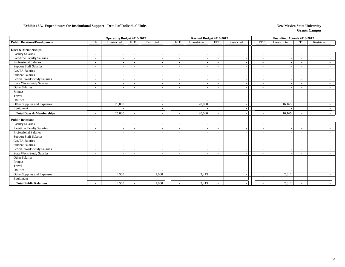|                                     |                          | <b>Operating Budget 2016-2017</b> |                          |            |                          | Revised Budget 2016-2017   |                          |                          | <b>Unaudited Actuals 2016-2017</b> |                          |            |
|-------------------------------------|--------------------------|-----------------------------------|--------------------------|------------|--------------------------|----------------------------|--------------------------|--------------------------|------------------------------------|--------------------------|------------|
| <b>Public Relations/Development</b> | <b>FTE</b>               | Unrestricted                      | <b>FTE</b>               | Restricted | <b>FTE</b>               | Unrestricted<br><b>FTE</b> | Restricted               | <b>FTE</b>               | Unrestricted                       | <b>FTE</b>               | Restricted |
| <b>Dues &amp; Memberships</b>       |                          |                                   |                          |            |                          |                            |                          |                          |                                    |                          |            |
| <b>Faculty Salaries</b>             | $\overline{\phantom{a}}$ | $\overline{\phantom{a}}$          | $\blacksquare$           |            | $\overline{\phantom{a}}$ |                            | $\overline{\phantom{a}}$ | $\sim$                   | $\blacksquare$                     | $\overline{\phantom{a}}$ |            |
| <b>Part-time Faculty Salaries</b>   | $\overline{\phantom{a}}$ | $\overline{\phantom{a}}$          | -                        |            | $\overline{\phantom{a}}$ |                            | $\sim$                   | ÷,                       |                                    |                          |            |
| <b>Professional Salaries</b>        |                          | $\sim$                            |                          |            |                          |                            | $\overline{\phantom{a}}$ |                          |                                    |                          |            |
| <b>Support Staff Salaries</b>       | $\overline{\phantom{a}}$ | $\overline{\phantom{a}}$          | $\overline{\phantom{a}}$ |            | $\overline{\phantom{a}}$ |                            | $\sim$                   | $\overline{\phantom{a}}$ |                                    | $\overline{\phantom{a}}$ |            |
| <b>GA/TA Salaries</b>               | $\overline{\phantom{a}}$ |                                   | ۰                        |            | $\overline{\phantom{a}}$ |                            | $\overline{\phantom{a}}$ | $\overline{\phantom{a}}$ |                                    | $\blacksquare$           |            |
| <b>Student Salaries</b>             | $\overline{\phantom{a}}$ |                                   | $\overline{\phantom{0}}$ |            | $\overline{\phantom{a}}$ |                            | $\sim$                   | $\overline{\phantom{a}}$ |                                    | $\overline{\phantom{a}}$ |            |
| Federal Work-Study Salaries         | $\overline{\phantom{a}}$ | $\overline{\phantom{a}}$          | $\overline{\phantom{a}}$ |            | $\overline{\phantom{a}}$ |                            | $\overline{\phantom{a}}$ | $\overline{\phantom{a}}$ |                                    | $\overline{\phantom{a}}$ |            |
| <b>State Work-Study Salaries</b>    | $\overline{\phantom{a}}$ | $\overline{\phantom{a}}$          | $\overline{\phantom{a}}$ |            | $\overline{\phantom{a}}$ |                            | $\blacksquare$           | $\blacksquare$           |                                    | $\overline{\phantom{a}}$ |            |
| Other Salaries                      |                          | $\overline{\phantom{a}}$          |                          |            |                          |                            | $\overline{\phantom{a}}$ |                          |                                    |                          |            |
| Fringes                             |                          |                                   |                          |            |                          |                            |                          |                          |                                    |                          |            |
| Travel                              |                          |                                   |                          |            |                          |                            |                          |                          |                                    |                          |            |
| Utilities                           |                          |                                   |                          |            |                          |                            |                          |                          |                                    |                          |            |
| Other Supplies and Expenses         |                          | 25,000                            |                          |            |                          | 20,000                     |                          |                          | 16,165                             |                          |            |
| Equipment                           |                          |                                   |                          |            |                          |                            |                          |                          |                                    |                          |            |
|                                     |                          |                                   |                          |            |                          |                            |                          |                          |                                    |                          |            |
| <b>Total Dues &amp; Memberships</b> | $\overline{\phantom{a}}$ | 25,000                            |                          |            | $\overline{\phantom{a}}$ | 20,000                     | $\blacksquare$           | $\sim$                   | 16,165                             | $\overline{\phantom{a}}$ |            |
| <b>Public Relations</b>             |                          |                                   |                          |            |                          |                            |                          |                          |                                    |                          |            |
| Faculty Salaries                    | $\sim$                   | $\overline{\phantom{a}}$          | $\overline{\phantom{a}}$ |            | $\sim$                   |                            | $\overline{\phantom{a}}$ | $\sim$                   |                                    | $\overline{\phantom{a}}$ |            |
| Part-time Faculty Salaries          | $\sim$                   | $\overline{\phantom{a}}$          | $\overline{\phantom{a}}$ |            | $\sim$                   |                            | $\overline{\phantom{a}}$ | $\overline{a}$           |                                    | $\overline{\phantom{a}}$ |            |
| <b>Professional Salaries</b>        | $\overline{\phantom{a}}$ | $\overline{\phantom{a}}$          | $\overline{\phantom{a}}$ |            | $\overline{\phantom{a}}$ |                            | $\sim$                   | $\overline{a}$           |                                    | $\overline{\phantom{a}}$ |            |
| <b>Support Staff Salaries</b>       | $\overline{\phantom{a}}$ | $\overline{\phantom{a}}$          | $\overline{\phantom{a}}$ |            | $\overline{\phantom{a}}$ |                            | $\sim$                   | $\blacksquare$           |                                    | $\overline{\phantom{a}}$ |            |
| <b>GA/TA Salaries</b>               | $\overline{\phantom{a}}$ | $\overline{\phantom{a}}$          | ۰                        |            | $\overline{\phantom{a}}$ |                            | $\sim$                   | $\sim$                   |                                    | $\blacksquare$           |            |
| <b>Student Salaries</b>             | $\overline{\phantom{a}}$ | $\overline{\phantom{a}}$          | $\overline{a}$           |            |                          |                            | $\overline{\phantom{a}}$ | $\overline{a}$           |                                    |                          |            |
| Federal Work-Study Salaries         | $\overline{\phantom{a}}$ | $\sim$                            | $\overline{a}$           |            | $\overline{\phantom{a}}$ |                            | $\overline{\phantom{a}}$ | $\sim$                   |                                    | $\sim$                   |            |
| <b>State Work-Study Salaries</b>    | $\overline{\phantom{a}}$ |                                   | ۰                        |            |                          |                            | $\overline{\phantom{a}}$ | $\tilde{\phantom{a}}$    |                                    | $\blacksquare$           |            |
| Other Salaries                      | $\overline{\phantom{a}}$ | $\overline{\phantom{a}}$          | ۰                        |            | $\overline{\phantom{a}}$ |                            | $\overline{\phantom{a}}$ | $\overline{\phantom{a}}$ |                                    | $\overline{\phantom{a}}$ |            |
| Fringes                             |                          | $\overline{\phantom{a}}$          |                          |            |                          |                            |                          |                          |                                    |                          |            |
| Travel                              |                          | $\overline{a}$                    |                          |            |                          |                            |                          |                          |                                    |                          |            |
| Utilities                           |                          | $\sim$                            |                          |            |                          |                            |                          |                          |                                    |                          |            |
| Other Supplies and Expenses         |                          | 4,500                             |                          | 1,000      |                          | 3,413                      |                          |                          | 2,612                              |                          |            |
| Equipment                           |                          |                                   |                          |            |                          |                            |                          |                          |                                    |                          |            |
| <b>Total Public Relations</b>       |                          | 4,500                             |                          | 1,000      |                          | 3,413                      | $\overline{\phantom{a}}$ |                          | 2,612                              |                          |            |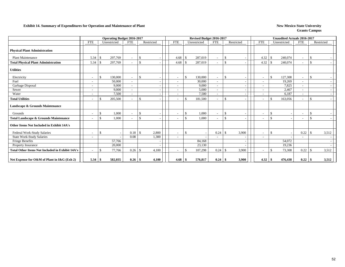### **Exhibit 14. Summary of Expenditures for Operation and Maintenance of Plant New Mexico State University New Mexico State University**

|                                                        |                          | <b>Operating Budget 2016-2017</b> |                          |               |                          |               | Revised Budget 2016-2017 |                          |               |            |                          |                    | <b>Unaudited Actuals 2016-2017</b> |                          |                    |            |
|--------------------------------------------------------|--------------------------|-----------------------------------|--------------------------|---------------|--------------------------|---------------|--------------------------|--------------------------|---------------|------------|--------------------------|--------------------|------------------------------------|--------------------------|--------------------|------------|
|                                                        | <b>FTE</b>               | Unrestricted                      | <b>FTE</b>               | Restricted    | <b>FTE</b>               |               | Unrestricted             | <b>FTE</b>               |               | Restricted | <b>FTE</b>               |                    | Unrestricted                       | <b>FTE</b>               |                    | Restricted |
| <b>Physical Plant Administration</b>                   |                          |                                   |                          |               |                          |               |                          |                          |               |            |                          |                    |                                    |                          |                    |            |
| <b>Plant Maintenance</b>                               | 5.34                     | 297,769<br>-8                     | $\sim$                   | -\$           | 4.68                     | -\$           | 287,019                  | $\overline{\phantom{0}}$ | <sup>\$</sup> |            | 4.32                     | $\mathcal{S}$      | 240,074                            | $\overline{\phantom{a}}$ | -S                 |            |
| <b>Total Physical Plant Administration</b>             | 5.34                     | 297,769<br>-8                     | $\sim$                   | $\mathbf{\$}$ | 4.68                     | -8            | 287,019                  |                          | \$            |            | 4.32                     | -\$                | 240,074                            | $\overline{\phantom{a}}$ | <sup>\$</sup>      |            |
| <b>Utilities</b>                                       |                          |                                   |                          |               |                          |               |                          |                          |               |            |                          |                    |                                    |                          |                    |            |
| Electricity                                            | $\overline{\phantom{a}}$ | \$<br>130,000                     | $\sim$                   | $\mathbf{\$}$ |                          | <sup>S</sup>  | 130,000                  | $\overline{\phantom{a}}$ | -\$           |            | $\overline{\phantom{a}}$ | $\mathbf{\$}$      | 127,308                            | $\overline{\phantom{a}}$ | $\mathbf{\hat{s}}$ |            |
| Fuel                                                   |                          | 50,000                            | $\overline{\phantom{a}}$ |               |                          |               | 30,000                   |                          |               |            |                          |                    | 19,269                             |                          |                    |            |
| Garbage Disposal                                       | $\overline{\phantom{a}}$ | 9.000                             | $\sim$                   |               |                          |               | 9,000                    | $\overline{\phantom{a}}$ |               |            | $\sim$                   |                    | 7.825                              | $\sim$                   |                    |            |
| Sewer                                                  |                          | 9.000                             | $\overline{\phantom{a}}$ |               |                          |               | 5,000                    | $\overline{\phantom{a}}$ |               |            | $\overline{\phantom{a}}$ |                    | 2,467                              | $\overline{\phantom{a}}$ |                    |            |
| Water                                                  |                          | 7,500                             | $\overline{\phantom{a}}$ |               |                          |               | 7,500                    |                          |               |            |                          |                    | 6,187                              |                          |                    |            |
| <b>Total Utilities</b>                                 | $\overline{\phantom{a}}$ | 205,500<br>$\mathcal{S}$          | $\sim$                   | \$            |                          | -\$           | 181,500                  | $\overline{\phantom{a}}$ | -\$           |            | $\overline{\phantom{a}}$ | £.                 | 163,056                            | $\sim$                   | -\$                |            |
| Landscape & Grounds Maintenance                        |                          |                                   |                          |               |                          |               |                          |                          |               |            |                          |                    |                                    |                          |                    |            |
| Grounds                                                | $\overline{\phantom{a}}$ | 1,000<br>-\$                      | $\sim$                   | $\mathbf{\$}$ |                          | <sup>S</sup>  | 1,000                    |                          | \$            |            | $\overline{\phantom{a}}$ | -\$                |                                    | $\overline{\phantom{a}}$ | -S                 |            |
| Total Landscape & Grounds Maintenance                  | $\overline{\phantom{a}}$ | $\mathbf{\$}$<br>1,000            | $\sim$                   | $\mathbf{s}$  |                          | $\mathcal{S}$ | 1,000                    |                          | <sup>\$</sup> |            | $\overline{\phantom{0}}$ | \$                 |                                    | $\sim$                   | <sup>\$</sup>      |            |
| Other Items Not Included in Exhibit 14A's              |                          |                                   |                          |               |                          |               |                          |                          |               |            |                          |                    |                                    |                          |                    |            |
| Federal Work-Study Salaries                            | $\overline{\phantom{a}}$ | <sup>\$</sup>                     | 0.18                     | 2,800<br>-S   | $\overline{\phantom{0}}$ | $\mathcal{S}$ |                          | 0.24                     |               | 3,900      | $\sim$                   | $\mathbf{\hat{S}}$ |                                    | 0.22                     |                    | 3,512      |
| State Work-Study Salaries                              |                          |                                   | 0.08                     | 1,300         |                          |               |                          |                          |               |            |                          |                    |                                    |                          |                    |            |
| Fringe Benefits                                        |                          | 57,766                            |                          |               |                          |               | 84,168                   |                          |               |            |                          |                    | 54,072                             |                          |                    |            |
| <b>Property Insurance</b>                              |                          | 20,000                            |                          |               |                          |               | 23,130                   |                          |               |            |                          |                    | 19,236                             |                          |                    |            |
| <b>Total Other Items Not Included in Exhibit 14A's</b> |                          | 77,766<br>£.                      |                          | 4,100         |                          | -\$           | 107,298                  | 0.24                     | -\$           | 3,900      | $\overline{\phantom{a}}$ | -S                 | 73,308                             | 0.22                     | -\$                | 3,512      |
| Net Expense for O&M of Plant in I&G (Exh 2)            | 5.34                     | 582,035<br>-\$                    | $0.26$ \ \\$             | 4,100         | 4.68                     | -\$           | 576,817                  | 0.24                     | - S           | 3,900      | 4.32                     | -\$                | 476,438                            | 0.22                     | - \$               | 3,512      |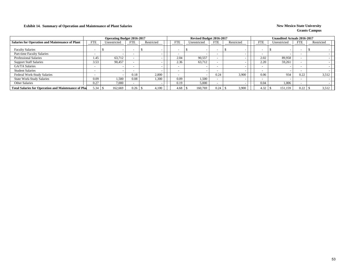### **Exhibit 14. Summary of Operation and Maintenance of Plant Salaries New Mexico State University New Mexico State University**

|                                                             |            | <b>Operating Budget 2016-2017</b> |                          |            |            | Revised Budget 2016-2017 |      |            |                          | Unaudited Actuals 2016-2017 |            |            |       |
|-------------------------------------------------------------|------------|-----------------------------------|--------------------------|------------|------------|--------------------------|------|------------|--------------------------|-----------------------------|------------|------------|-------|
| <b>Salaries for Operation and Maintenance of Plant</b>      | <b>FTE</b> | Unrestricted                      | <b>FTE</b>               | Restricted | <b>FTE</b> | Unrestricted             | FTE  | Restricted | <b>FTE</b>               | Unrestricted                | <b>FTE</b> | Restricted |       |
| <b>Faculty Salaries</b>                                     | -          |                                   | $\overline{\phantom{a}}$ |            |            |                          |      |            | $\overline{\phantom{0}}$ |                             |            |            |       |
| Part-time Faculty Salaries                                  |            |                                   | $\overline{\phantom{a}}$ |            |            |                          |      |            | $\overline{\phantom{0}}$ |                             |            |            |       |
| <b>Professional Salaries</b>                                | 1.45       | 63,712                            |                          |            | 2.04       | 90,557                   |      |            | 2.02                     | 89.958                      |            |            |       |
| <b>Support Staff Salaries</b>                               | 3.53       | 90,457                            |                          |            | 2.36       | 63,712                   |      |            | 2.20                     | 59,261                      |            |            |       |
| GA/TA Salaries                                              |            |                                   | $\overline{\phantom{a}}$ |            |            |                          |      |            | $\overline{\phantom{0}}$ |                             |            |            |       |
| <b>Student Salaries</b>                                     |            |                                   | $\overline{\phantom{0}}$ |            |            |                          |      |            | $\overline{\phantom{0}}$ |                             |            |            |       |
| <b>Federal Work-Study Salaries</b>                          |            |                                   | 0.18                     | 2,800      |            |                          | 0.24 | 3.900      | 0.06                     | 934                         | 0.22       |            | 3,512 |
| <b>State Work-Study Salaries</b>                            | 0.09       | 1.500                             | 0.08                     | 1,300      | 0.09       | 1.500                    |      |            | $-$                      |                             |            |            |       |
| <b>Other Salaries</b>                                       | 0.27       | 7.000                             |                          |            | 0.19       | 5,000                    |      |            | 0.04                     | 1,006                       |            |            |       |
| <b>Total Salaries for Operation and Maintenance of Plan</b> | 5.34       | 162,669                           | $0.26$ 1                 | 4,100      | 4.68       | 160,769                  | 0.24 | 3,900      | 4.32                     | 151,159                     | 0.22       |            | 3,512 |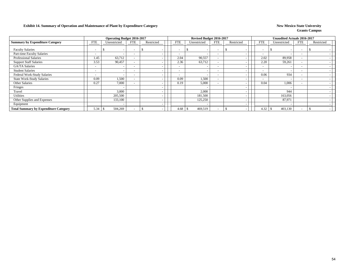### **Exhibit 14. Summary of Operation and Maintenance of Plant by Expenditure Category New Mexico State University New Mexico State University**

|                                              |                          | <b>Operating Budget 2016-2017</b> |                          |            |                          | Revised Budget 2016-2017 |                          |            |                          | <b>Unaudited Actuals 2016-2017</b> |                          |            |  |
|----------------------------------------------|--------------------------|-----------------------------------|--------------------------|------------|--------------------------|--------------------------|--------------------------|------------|--------------------------|------------------------------------|--------------------------|------------|--|
| <b>Summary by Expenditure Category</b>       | <b>FTE</b>               | Unrestricted                      | <b>FTE</b>               | Restricted | <b>FTE</b>               | Unrestricted             | <b>FTE</b>               | Restricted | <b>FTE</b>               | Unrestricted                       | <b>FTE</b>               | Restricted |  |
| <b>Faculty Salaries</b>                      | $\sim$                   | $\overline{\phantom{0}}$          | ٠                        |            | $\overline{\phantom{a}}$ |                          | $\overline{\phantom{a}}$ |            | $\overline{\phantom{a}}$ |                                    | $\overline{\phantom{0}}$ |            |  |
| Part-time Faculty Salaries                   | $\overline{\phantom{0}}$ | $\overline{\phantom{a}}$          | $\overline{\phantom{a}}$ |            | $\overline{\phantom{0}}$ |                          | $\overline{\phantom{a}}$ |            | $\overline{\phantom{a}}$ |                                    | $\overline{\phantom{0}}$ |            |  |
| <b>Professional Salaries</b>                 | 1.45                     | 63,712                            | $\overline{\phantom{a}}$ |            | 2.04                     | 90,557                   | $\overline{\phantom{a}}$ |            | 2.02                     | 89,958                             | $\overline{\phantom{0}}$ |            |  |
| <b>Support Staff Salaries</b>                | 3.53                     | 90,457                            |                          |            | 2.36                     | 63,712                   | $\overline{\phantom{a}}$ |            | 2.20                     | 59,261                             | $\overline{\phantom{0}}$ |            |  |
| <b>GA/TA Salaries</b>                        | $\overline{\phantom{0}}$ | $\overline{\phantom{0}}$          |                          |            | $\overline{\phantom{0}}$ |                          | $\overline{\phantom{a}}$ |            | $\overline{\phantom{a}}$ |                                    | $\sim$                   |            |  |
| <b>Student Salaries</b>                      | $\overline{\phantom{0}}$ | $\overline{\phantom{a}}$          | $\overline{\phantom{0}}$ |            | $\overline{\phantom{a}}$ |                          | $\overline{\phantom{a}}$ |            | $\overline{\phantom{a}}$ |                                    |                          |            |  |
| Federal Work-Study Salaries                  | $\overline{\phantom{0}}$ | $\overline{\phantom{0}}$          |                          |            | $\overline{\phantom{0}}$ |                          | $\overline{\phantom{a}}$ |            | 0.06                     | 934                                |                          |            |  |
| <b>State Work-Study Salaries</b>             | 0.09                     | 1,500                             |                          |            | 0.09                     | 1,500                    | $\overline{\phantom{a}}$ |            | ٠                        |                                    |                          |            |  |
| Other Salaries                               | 0.27                     | 7,000                             |                          |            | 0.19                     | 5,000                    | $\overline{\phantom{a}}$ |            | 0.04                     | 1,006                              |                          |            |  |
| Fringes                                      |                          |                                   |                          |            |                          |                          |                          |            |                          |                                    |                          |            |  |
| Travel                                       |                          | 3,000                             |                          |            |                          | 2,000                    |                          |            |                          | 944                                |                          |            |  |
| Utilities                                    |                          | 205,500                           |                          |            |                          | 181,500                  |                          |            |                          | 163,056                            |                          |            |  |
| Other Supplies and Expenses                  |                          | 133,100                           |                          |            |                          | 125,250                  |                          |            |                          | 87,971                             |                          |            |  |
| Equipment                                    |                          | $\overline{\phantom{a}}$          |                          |            |                          |                          |                          |            |                          |                                    |                          |            |  |
| <b>Total Summary by Expenditure Category</b> | 5.34                     | 504,269                           |                          |            | 4.68                     | 469,519                  | $\overline{\phantom{0}}$ |            | 4.32                     | 403,130                            | $\overline{\phantom{0}}$ |            |  |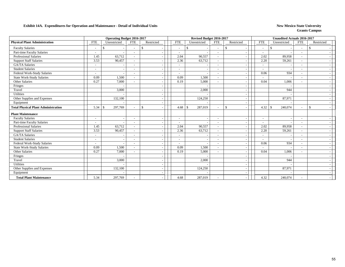|                                            |                          | <b>Operating Budget 2016-2017</b> |                          |               |                          | Revised Budget 2016-2017 |                          |                                          |                          | <b>Unaudited Actuals 2016-2017</b> |                          |              |
|--------------------------------------------|--------------------------|-----------------------------------|--------------------------|---------------|--------------------------|--------------------------|--------------------------|------------------------------------------|--------------------------|------------------------------------|--------------------------|--------------|
| <b>Physical Plant Administration</b>       | <b>FTE</b>               | Unrestricted                      | <b>FTE</b>               | Restricted    | <b>FTE</b>               | Unrestricted             | <b>FTE</b>               | Restricted                               | <b>FTE</b>               | Unrestricted                       | <b>FTE</b>               | Restricted   |
| <b>Faculty Salaries</b>                    |                          | <sup>\$</sup>                     |                          | $\mathcal{S}$ | $\overline{\phantom{0}}$ | \$                       |                          | \$                                       | $\overline{\phantom{a}}$ | <sup>\$</sup>                      | $\overline{\phantom{a}}$ |              |
| Part-time Faculty Salaries                 | $\overline{\phantom{a}}$ |                                   |                          |               | $\overline{\phantom{a}}$ |                          | $\overline{\phantom{a}}$ | $\overline{\phantom{a}}$                 | $\sim$                   |                                    | $\overline{\phantom{a}}$ |              |
| <b>Professional Salaries</b>               | 1.45                     | 63,712                            |                          |               | 2.04                     | 90,557                   | $\sim$                   | $\overline{\phantom{a}}$                 | 2.02                     | 89,958                             | $\overline{\phantom{a}}$ |              |
| <b>Support Staff Salaries</b>              | 3.53                     | 90,457                            |                          |               | 2.36                     | 63,712                   | $\overline{\phantom{a}}$ | $\overline{\phantom{a}}$                 | 2.20                     | 59,261                             | $\overline{\phantom{a}}$ |              |
| <b>GA/TA Salaries</b>                      | $\sim$                   |                                   | $\overline{\phantom{a}}$ |               | $\sim$                   |                          |                          | $\overline{\phantom{a}}$                 | $\overline{\phantom{a}}$ |                                    | $\overline{\phantom{a}}$ |              |
| <b>Student Salaries</b>                    | $\overline{\phantom{a}}$ | $\sim$                            |                          |               | ۰                        |                          |                          |                                          | $\sim$                   |                                    | $\overline{\phantom{a}}$ |              |
| Federal Work-Study Salaries                | $\overline{\phantom{a}}$ |                                   | $\overline{\phantom{a}}$ |               | ۰                        |                          | $\overline{\phantom{a}}$ | $\overline{\phantom{a}}$                 | 0.06                     | 934                                | $\sim$                   |              |
| <b>State Work-Study Salaries</b>           | 0.09                     | 1,500                             | $\sim$                   |               | 0.09                     | 1,500                    | $\sim$                   | $\overline{\phantom{a}}$                 |                          |                                    | $\overline{\phantom{a}}$ |              |
| Other Salaries                             | 0.27                     | 7,000                             |                          |               | 0.19                     | 5,000                    |                          |                                          | 0.04                     | 1,006                              |                          |              |
| Fringes                                    |                          |                                   |                          |               |                          |                          |                          | $\overline{\phantom{a}}$                 |                          |                                    |                          |              |
| Travel                                     |                          | 3,000                             |                          |               |                          | 2,000                    |                          | $\overline{\phantom{a}}$                 |                          | 944                                |                          |              |
| Utilities                                  |                          |                                   |                          |               |                          |                          |                          |                                          |                          |                                    |                          |              |
| Other Supplies and Expenses                |                          | 132,100                           |                          |               |                          | 124,250                  |                          | $\overline{\phantom{a}}$                 |                          | 87,971                             |                          |              |
| Equipment                                  |                          |                                   |                          |               |                          |                          |                          | $\overline{\phantom{a}}$                 |                          |                                    |                          |              |
| <b>Total Physical Plant Administration</b> | 5.34                     | 297,769<br>-S                     |                          | $\mathcal{S}$ | 4.68                     | $\mathbb{S}$<br>287,019  | $\sim$                   | $\mathbb{S}$<br>$\overline{\phantom{a}}$ | 4.32                     | 240,074<br>- \$                    | $\sim$                   | $\mathbf{s}$ |
| <b>Plant Maintenance</b>                   |                          |                                   |                          |               |                          |                          |                          |                                          |                          |                                    |                          |              |
| <b>Faculty Salaries</b>                    | $\sim$                   | $\overline{\phantom{a}}$          |                          |               | $\overline{\phantom{a}}$ |                          |                          |                                          | $\overline{\phantom{a}}$ |                                    | $\overline{\phantom{a}}$ |              |
| Part-time Faculty Salaries                 | $\overline{\phantom{a}}$ |                                   | $\overline{\phantom{a}}$ |               | $\overline{\phantom{0}}$ |                          | $\overline{\phantom{a}}$ |                                          | $\overline{\phantom{a}}$ |                                    | $\overline{\phantom{a}}$ |              |
| <b>Professional Salaries</b>               | 1.45                     | 63,712                            | $\overline{\phantom{a}}$ |               | 2.04                     | 90,557                   | $\overline{\phantom{a}}$ | $\overline{\phantom{a}}$                 | 2.02                     | 89,958                             | $\sim$                   |              |
| <b>Support Staff Salaries</b>              | 3.53                     | 90,457                            |                          |               | 2.36                     | 63,712                   | $\sim$                   | $\overline{\phantom{a}}$                 | 2.20                     | 59,261                             | $\sim$                   |              |
| <b>GA/TA Salaries</b>                      | $\overline{\phantom{a}}$ |                                   |                          |               |                          |                          |                          | $\overline{\phantom{a}}$                 |                          |                                    |                          |              |
| <b>Student Salaries</b>                    | $\overline{\phantom{a}}$ | $\sim$                            |                          |               | $\overline{\phantom{a}}$ |                          | $\overline{\phantom{a}}$ | $\overline{\phantom{a}}$                 | $\sim$                   |                                    | $\overline{\phantom{a}}$ |              |
| Federal Work-Study Salaries                | $\tilde{\phantom{a}}$    |                                   |                          |               | $\overline{\phantom{a}}$ |                          |                          | $\overline{\phantom{a}}$                 | 0.06                     | 934                                | $\overline{\phantom{a}}$ |              |
| <b>State Work-Study Salaries</b>           | 0.09                     | 1,500                             |                          |               | 0.09                     | 1,500                    | $\overline{\phantom{a}}$ |                                          |                          |                                    |                          |              |
| Other Salaries                             | 0.27                     | 7,000                             |                          |               | 0.19                     | 5,000                    | $\overline{\phantom{a}}$ | $\overline{\phantom{a}}$                 | 0.04                     | 1,006                              | $\sim$                   |              |
| Fringes                                    |                          |                                   |                          |               |                          |                          |                          |                                          |                          |                                    |                          |              |
| Travel                                     |                          | 3,000                             |                          |               |                          | 2,000                    |                          | $\overline{\phantom{a}}$                 |                          | 944                                |                          |              |
| Utilities                                  |                          |                                   |                          |               |                          |                          |                          | $\overline{\phantom{a}}$                 |                          |                                    |                          |              |
| Other Supplies and Expenses                |                          | 132,100                           |                          |               |                          | 124,250                  |                          | $\overline{\phantom{a}}$                 |                          | 87,971                             |                          |              |
| Equipment                                  |                          |                                   |                          |               |                          |                          |                          |                                          |                          |                                    |                          |              |
| <b>Total Plant Maintenance</b>             | 5.34                     | 297,769                           |                          |               | 4.68                     | 287,019                  |                          |                                          | 4.32                     | 240,074                            |                          |              |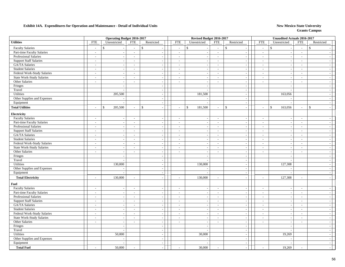|                                   |                             | <b>Operating Budget 2016-2017</b> |                          |                          |                          | Revised Budget 2016-2017 |                                |                             |                          | <b>Unaudited Actuals 2016-2017</b> |                          |                          |
|-----------------------------------|-----------------------------|-----------------------------------|--------------------------|--------------------------|--------------------------|--------------------------|--------------------------------|-----------------------------|--------------------------|------------------------------------|--------------------------|--------------------------|
| <b>Utilities</b>                  | ${\rm FTE}$                 | Unrestricted                      | <b>FTE</b>               | Restricted               | <b>FTE</b>               | Unrestricted             | <b>FTE</b><br>Restricted       |                             | <b>FTE</b>               | Unrestricted                       | <b>FTE</b>               | Restricted               |
| <b>Faculty Salaries</b>           | $\sim$                      | $\mathbf{s}$                      | $\overline{\phantom{a}}$ | \$                       | $\mathcal{L}$            | $\mathbb{S}$             | \$<br>$\overline{\phantom{a}}$ |                             | $\overline{a}$           | $\mathbb{S}$                       | $\sim$                   | $\mathbb{S}$             |
| <b>Part-time Faculty Salaries</b> | $\mathcal{L}$               | $\sim$                            | $\omega$                 | $\overline{\phantom{a}}$ | $\sim$                   | $\overline{a}$           | $\sim$                         | $\sim$                      | $\mathbf{r}$             | $\sim$                             | $\sim$                   | $\sim$                   |
| Professional Salaries             | $\sim$                      | $\overline{\phantom{a}}$          | $\sim$                   | $\sim$                   | $\mathbb{L}^+$           | $\overline{a}$           | $\sim$                         | $\sim$                      | $\overline{\phantom{a}}$ | $\sim$                             | $\sim$                   | $\sim$                   |
| <b>Support Staff Salaries</b>     | $\sim$                      | $\sim$                            | $\sim$                   | $\sim$                   | $\mathcal{L}$            | $\overline{\phantom{a}}$ | $\sim$                         | $\sim$                      | $\sim$                   | $\overline{a}$                     | $\sim$                   | $\sim$                   |
| GA/TA Salaries                    | $\sim$                      | $\overline{\phantom{a}}$          | $\sim$                   | $\sim$                   | $\sim$                   |                          | $\sim$                         | $\sim$                      | $\sim$                   | $\overline{\phantom{a}}$           | $\overline{\phantom{a}}$ | $\overline{\phantom{a}}$ |
| <b>Student Salaries</b>           | $\overline{\phantom{a}}$    | $\sim$                            | $\overline{\phantom{a}}$ | $\sim$                   | $\overline{\phantom{a}}$ | $\sim$                   | $\sim$                         | $\sim$                      | $\blacksquare$           | $\blacksquare$                     | $\sim$                   | $\sim$                   |
| Federal Work-Study Salaries       | $\sim$                      | $\sim$                            | $\sim$                   | $\sim$                   | $\overline{\phantom{a}}$ | $\overline{\phantom{a}}$ | $\sim$                         | $\sim$                      | $\sim$                   | $\overline{\phantom{a}}$           | $\overline{\phantom{a}}$ | $\sim$                   |
| <b>State Work-Study Salaries</b>  | $\mathcal{L}^{\pm}$         | $\mathcal{L}_{\mathcal{A}}$       | $\sim$                   | $\sim$                   | $\sim$                   | $\overline{\phantom{a}}$ | $\sim$                         | $\sim$                      | $\mathcal{L}$            | $\sim$                             | $\overline{a}$           | $\sim$                   |
| Other Salaries                    | $\overline{\phantom{a}}$    | $\overline{\phantom{a}}$          | $\sim$                   | $\sim$                   | $\sim$                   | $\overline{\phantom{a}}$ | $\overline{\phantom{a}}$       | $\sim$                      | $\overline{a}$           | $\sim$                             | $\overline{a}$           | $\overline{a}$           |
| Fringes                           |                             | $\overline{\phantom{a}}$          |                          | $\sim$                   |                          | $\overline{\phantom{a}}$ |                                | $\sim$                      |                          | $\sim$                             |                          | $\sim$                   |
| Travel                            |                             |                                   |                          |                          |                          |                          |                                | $\sim$                      |                          |                                    |                          | $\sim$                   |
| Utilities                         |                             | 205,500                           |                          |                          |                          | 181,500                  |                                | $\sim$                      |                          | 163,056                            |                          | $\sim$                   |
| Other Supplies and Expenses       |                             | $\overline{\phantom{a}}$          |                          | $\sim$                   |                          |                          |                                | $\sim$                      |                          |                                    |                          | $\sim$                   |
| Equipment                         |                             | $\sim$                            |                          | $\sim$                   |                          |                          |                                | $\sim$                      |                          | $\overline{\phantom{a}}$           |                          | $\sim$                   |
| <b>Total Utilities</b>            | $\overline{a}$              | 205,500<br>\$                     | $\overline{a}$           | \$                       | $\overline{a}$           | $\$$<br>181,500          | \$<br>$\sim$                   | $\overline{\phantom{a}}$    | $\overline{a}$           | $\mathbb{S}$<br>163,056            | $\overline{a}$           | $\mathbb{S}$<br>$\sim$   |
| Electricity                       |                             |                                   |                          |                          |                          |                          |                                |                             |                          |                                    |                          |                          |
| <b>Faculty Salaries</b>           | $\mathcal{L}_{\mathcal{A}}$ | $\sim$                            | $\sim$                   | $\sim$                   | $\sim$                   | $\overline{\phantom{a}}$ | $\sim$                         | $\sim$                      | $\overline{\phantom{a}}$ | $\overline{\phantom{a}}$           | $\sim$                   | $\overline{\phantom{a}}$ |
| Part-time Faculty Salaries        | $\sim$                      | $\sim$                            | $\sim$                   | $\sim$                   | $\sim$                   | $\overline{\phantom{a}}$ | $\sim$                         | $\sim$                      | $\overline{a}$           | $\sim$                             | $\sim$                   | $\sim$                   |
| Professional Salaries             | $\mathcal{L}_{\mathcal{A}}$ | $\overline{\phantom{a}}$          | $\sim$                   | $\sim$                   | $\overline{\phantom{a}}$ |                          | $\sim$                         | $\sim$                      | $\blacksquare$           | $\sim$                             | $\sim$                   | $\overline{a}$           |
| <b>Support Staff Salaries</b>     | $\sim$                      | $\sim$                            | $\sim$                   | $\sim$                   | $\sim$                   |                          | $\sim$                         | $\sim$                      | $\sim$                   | $\sim$                             | $\overline{\phantom{a}}$ | $\overline{a}$           |
| GA/TA Salaries                    | $\sim$                      | $\mathbb{Z}^2$                    | $\sim$                   | $\sim$                   | $\sim$                   | $\overline{\phantom{a}}$ | $\sim$                         | $\mathcal{L}_{\mathcal{A}}$ | $\mathcal{L}$            | $\mathcal{L}_{\mathcal{A}}$        | $\sim$                   | $\sim$                   |
| <b>Student Salaries</b>           | $\sim$                      | $\sim$                            | $\sim$                   | $\sim$                   | $\sim$                   | $\overline{\phantom{a}}$ | $\sim$                         | $\sim$                      | $\overline{\phantom{a}}$ | $\sim$                             | $\overline{\phantom{a}}$ | $\sim$                   |
| Federal Work-Study Salaries       | $\sim$                      | $\sim$                            | $\sim$                   | $\sim$                   | $\sim$                   | $\overline{\phantom{a}}$ | $\sim$                         | $\mathcal{L}_{\mathcal{A}}$ | $\sim$                   | $\sim$                             | $\overline{\phantom{a}}$ | $\sim$                   |
| <b>State Work-Study Salaries</b>  | $\overline{\phantom{a}}$    | $\sim$                            | $\overline{\phantom{a}}$ | $\sim$                   | $\sim$                   | $\overline{\phantom{a}}$ | $\sim$                         | $\sim$                      | $\overline{\phantom{a}}$ | $\overline{\phantom{a}}$           | $\overline{\phantom{a}}$ | $\sim$                   |
| Other Salaries                    | $\sim$                      | $\sim$                            | $\overline{\phantom{a}}$ | $\sim$                   | $\sim$                   | $\sim$                   | $\sim$                         | $\sim$                      | $\mathcal{L}$            | $\sim$                             | $\sim$                   | $\sim$                   |
| Fringes                           |                             |                                   |                          |                          |                          |                          |                                | $\sim$                      |                          |                                    |                          | $\sim$                   |
| Travel                            |                             | $\overline{\phantom{a}}$          |                          | $\overline{\phantom{a}}$ |                          |                          |                                | $\sim$                      |                          | $\overline{\phantom{a}}$           |                          | $\sim$                   |
| Utilities                         |                             | 130,000                           |                          | $\sim$                   |                          | 130,000                  |                                | $\sim$                      |                          | 127,308                            |                          | $\mathcal{L}$            |
| Other Supplies and Expenses       |                             |                                   |                          | $\sim$                   |                          |                          |                                | $\sim$                      |                          |                                    |                          | $\sim$                   |
| Equipment                         |                             | $\overline{a}$                    |                          | $\sim$                   |                          |                          |                                | $\sim$                      |                          | $\overline{a}$                     |                          | $\sim$                   |
| <b>Total Electricity</b>          | $\overline{a}$              | 130,000                           | $\sim$                   | $\overline{\phantom{a}}$ | $\sim$                   | 130,000                  | $\overline{\phantom{a}}$       | $\sim$                      | $\overline{a}$           | 127,308                            | $\overline{a}$           | $\sim$                   |
| Fuel                              |                             |                                   |                          |                          |                          |                          |                                |                             |                          |                                    |                          |                          |
| <b>Faculty Salaries</b>           | $\overline{\phantom{a}}$    | $\sim$                            | $\sim$                   | $\sim$                   | $\sim$                   |                          | $\sim$                         | $\sim$                      | $\overline{\phantom{a}}$ | $\overline{\phantom{a}}$           | $\sim$                   | $\sim$                   |
| Part-time Faculty Salaries        | $\sim$                      | $\overline{\phantom{a}}$          | $\sim$                   | $\sim$                   | $\mathcal{L}$            |                          | $\sim$                         | $\sim$                      | $\overline{\phantom{a}}$ | $\sim$                             | $\sim$                   | $\sim$                   |
| <b>Professional Salaries</b>      | $\overline{\phantom{a}}$    | $\sim$                            | $\overline{\phantom{a}}$ | $\sim$                   | $\sim$                   |                          | $\sim$                         | $\sim$                      | $\overline{\phantom{a}}$ | $\overline{\phantom{a}}$           | $\sim$                   | $\sim$                   |
| <b>Support Staff Salaries</b>     | $\overline{\phantom{a}}$    | $\sim$                            | $\mathcal{L}$            | $\sim$                   | $\mathcal{L}$            |                          | $\sim$                         | $\mathcal{L}_{\mathcal{A}}$ | $\overline{\phantom{a}}$ | $\overline{\phantom{a}}$           | $\sim$                   | $\sim$                   |
| GA/TA Salaries                    | $\sim$                      | $\overline{\phantom{a}}$          | $\overline{\phantom{a}}$ | $\sim$                   | $\sim$                   | $\overline{\phantom{a}}$ | $\sim$                         | $\sim$                      | $\overline{\phantom{a}}$ | $\sim$                             | $\overline{\phantom{a}}$ | $\sim$                   |
| <b>Student Salaries</b>           | $\sim$                      | $\sim$                            | $\sim$                   | $\sim$                   | $\sim$                   | $\sim$                   | $\sim$                         | $\sim$                      | $\sim$                   | $\sim$                             | $\sim$                   | $\sim$                   |
| Federal Work-Study Salaries       | $\sim$                      | $\overline{\phantom{a}}$          | $\overline{\phantom{a}}$ | $\overline{\phantom{a}}$ | $\sim$                   | $\overline{\phantom{a}}$ | $\sim$                         | $\sim$                      | $\overline{\phantom{a}}$ |                                    | $\sim$                   | $\sim$                   |
| <b>State Work-Study Salaries</b>  | $\sim$                      | $\sim$                            | $\mathcal{L}$            | $\sim$                   | $\mathbb{L}^+$           | $\overline{\phantom{a}}$ | $\sim$                         | $\sim$                      | $\mathcal{L}$            | $\sim$                             | $\sim$                   | $\sim$                   |
| Other Salaries                    | $\overline{\phantom{a}}$    | $\overline{\phantom{a}}$          | $\sim$                   |                          | $\sim$                   |                          | $\sim$                         | $\sim$                      | $\overline{\phantom{a}}$ |                                    | $\overline{\phantom{a}}$ | $\sim$                   |
| Fringes                           |                             | $\sim$                            |                          | $\overline{\phantom{a}}$ |                          | $\sim$                   |                                | $\sim$                      |                          | $\overline{\phantom{a}}$           |                          | $\sim$                   |
| Travel                            |                             | $\sim$                            |                          | $\sim$                   |                          | $\overline{\phantom{a}}$ |                                | $\sim$                      |                          |                                    |                          | $\sim$                   |
| Utilities                         |                             | 50,000                            |                          | $\sim$                   |                          | 30,000                   |                                | $\sim$                      |                          | 19,269                             |                          | $\sim$                   |
| Other Supplies and Expenses       |                             |                                   |                          | $\sim$                   |                          |                          |                                | $\sim$                      |                          |                                    |                          | $\sim$                   |
| Equipment                         |                             |                                   |                          | $\sim$                   |                          |                          |                                | $\sim$                      |                          |                                    |                          | $\sim$                   |
| <b>Total Fuel</b>                 |                             | 50,000                            |                          |                          |                          | 30,000                   |                                |                             |                          | 19,269                             |                          |                          |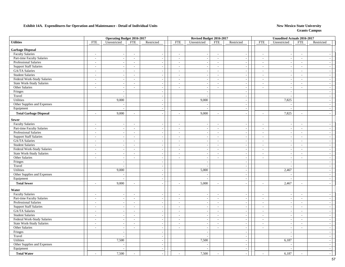|                               |                             | <b>Operating Budget 2016-2017</b> |                          |                          |                          | Revised Budget 2016-2017 |                          |                             |                          | Unaudited Actuals 2016-2017 |                          |                |
|-------------------------------|-----------------------------|-----------------------------------|--------------------------|--------------------------|--------------------------|--------------------------|--------------------------|-----------------------------|--------------------------|-----------------------------|--------------------------|----------------|
| <b>Utilities</b>              | <b>FTE</b>                  | Unrestricted                      | <b>FTE</b>               | Restricted               | <b>FTE</b>               | Unrestricted             | <b>FTE</b>               | Restricted                  | <b>FTE</b>               | Unrestricted                | <b>FTE</b>               | Restricted     |
| <b>Garbage Disposal</b>       |                             |                                   |                          |                          |                          |                          |                          |                             |                          |                             |                          |                |
| <b>Faculty Salaries</b>       | $\sim$                      | $\sim$                            | $\overline{\phantom{a}}$ | $\overline{\phantom{a}}$ | $\overline{\phantom{a}}$ | $\sim$                   | $\sim$                   | $\sim$                      | $\sim$                   | $\overline{\phantom{a}}$    | $\sim$                   | $\sim$         |
| Part-time Faculty Salaries    | $\sim$                      | $\sim$                            | $\sim$                   | $\overline{a}$           | $\sim$                   | $\overline{\phantom{a}}$ | $\sim$                   | $\sim$                      | $\sim$                   | $\overline{\phantom{a}}$    | $\sim$                   | $=$            |
| Professional Salaries         | $\sim$                      | $\overline{\phantom{a}}$          | $\overline{\phantom{a}}$ | $\overline{\phantom{a}}$ | $\overline{\phantom{a}}$ |                          | $\overline{\phantom{a}}$ | $\sim$                      | $\overline{\phantom{a}}$ |                             | $\sim$                   | $\sim$         |
| <b>Support Staff Salaries</b> | $\mathcal{L}_{\mathcal{A}}$ | $\overline{\phantom{a}}$          | $\overline{a}$           | $\overline{\phantom{a}}$ | $\blacksquare$           |                          | $\blacksquare$           | $\overline{\phantom{a}}$    | $\overline{a}$           | $\overline{a}$              | $\sim$                   | $\sim$         |
| <b>GA/TA Salaries</b>         | $\sim$                      | $\sim$                            | $\sim$                   | $\sim$                   | $\sim$                   |                          | $\sim$                   | $\sim$                      | $\overline{a}$           | $\overline{a}$              | $\sim$                   | $\sim$         |
| <b>Student Salaries</b>       | $\overline{\phantom{a}}$    | $\overline{a}$                    | $\sim$                   | $\sim$                   | $\sim$                   | $\overline{\phantom{a}}$ | $\sim$                   | $\sim$                      | $\sim$                   | $\overline{a}$              | $\sim$                   | $\sim$ 1       |
| Federal Work-Study Salaries   | $\sim$                      | $\overline{\phantom{a}}$          | $\sim$                   | $\overline{a}$           | $\sim$                   |                          | $\sim$                   | $\sim$                      | $\sim$                   |                             | $\overline{\phantom{a}}$ | $\sim$         |
| State Work-Study Salaries     | $\sim$                      | $\overline{\phantom{a}}$          | $\overline{\phantom{a}}$ | $\sim$                   | $\overline{\phantom{a}}$ | $\overline{\phantom{a}}$ | $\sim$                   | $\sim$                      | $\overline{\phantom{a}}$ | $\sim$                      | $\sim$                   | $\sim$         |
| Other Salaries                | $\omega$                    | $\mathcal{L}_{\mathcal{A}}$       | $\sim$                   | $\overline{\phantom{a}}$ | $\sim$                   | $\overline{\phantom{a}}$ | $\sim$                   | $\sim$                      | $\sim$                   | $\sim$                      | $\overline{\phantom{a}}$ | $\sim$         |
| Fringes                       |                             | $\overline{\phantom{a}}$          |                          | $\overline{a}$           |                          |                          |                          | $\sim$                      |                          |                             |                          | $\sim$         |
| Travel                        |                             | $\overline{a}$                    |                          | $\mathcal{L}$            |                          | $\sim$                   |                          | $\overline{\phantom{a}}$    |                          |                             |                          | $\sim$         |
| Utilities                     |                             | 9,000                             |                          | $\sim$                   |                          | 9,000                    |                          | $\sim$                      |                          | 7,825                       |                          | $\sim$         |
| Other Supplies and Expenses   |                             | $\sim$                            |                          | $\overline{\phantom{a}}$ |                          |                          |                          | $\sim$                      |                          |                             |                          | $\sim$         |
| Equipment                     |                             | $\sim$                            |                          | $\sim$                   |                          | $\overline{\phantom{a}}$ |                          | $\sim$                      |                          |                             |                          | $=$            |
| <b>Total Garbage Disposal</b> | $\overline{\phantom{a}}$    | 9,000                             | $\sim$                   |                          | $\sim$                   | 9,000                    | $\sim$                   | $\sim$                      | $\overline{a}$           | 7,825                       | $\sim$                   |                |
| <b>Sewer</b>                  |                             |                                   |                          |                          |                          |                          |                          |                             |                          |                             |                          |                |
| <b>Faculty Salaries</b>       | $\sim$                      | $\sim$                            | $\sim$                   | $\overline{\phantom{a}}$ | $\sim$                   |                          | $\sim$                   | $\sim$                      | $\sim$                   |                             | $\overline{\phantom{a}}$ | $\sim$         |
| Part-time Faculty Salaries    | $\mathcal{L}_{\mathcal{A}}$ | $\blacksquare$                    | $\blacksquare$           | $\sim$                   | $\overline{\phantom{a}}$ | $\overline{\phantom{a}}$ | $\sim$                   | $\overline{\phantom{a}}$    | $\blacksquare$           | $\overline{\phantom{a}}$    | $\overline{\phantom{a}}$ | $-1$           |
| Professional Salaries         | $\omega$                    | $\sim$                            | $\sim$                   | $\sim$                   | $\sim$                   |                          | $\sim$                   | $\sim$                      | $\sim$                   | $\overline{a}$              | $\sim$                   | $\sim$         |
| <b>Support Staff Salaries</b> | $\omega$                    | $\sim$                            | $\sim$                   | $\overline{\phantom{a}}$ | $\mathbf{r}$             | $\sim$                   | $\sim$                   | $\sim$                      | $\mathcal{L}$            | $\overline{\phantom{a}}$    | $\mathcal{L}$            | $\sim$         |
| GA/TA Salaries                | $\overline{\phantom{a}}$    | $\overline{\phantom{a}}$          | $\blacksquare$           | $\overline{\phantom{a}}$ | $\blacksquare$           |                          | $\sim$                   | $\sim$                      | $\overline{a}$           |                             | $\mathbb{L}$             | $-1$           |
| <b>Student Salaries</b>       | $\sim$                      | $\blacksquare$                    | $\sim$                   | $\sim$                   | $\sim$                   | $\overline{\phantom{a}}$ | $\sim$                   | $\mathcal{L}_{\mathcal{A}}$ | $\sim$                   | $\overline{\phantom{a}}$    | $\overline{\phantom{a}}$ | $-1$           |
| Federal Work-Study Salaries   | $\sim$                      | $\mathcal{L}_{\mathcal{A}}$       | $\sim$                   | $\sim$                   | $\sim$                   | $\overline{\phantom{a}}$ | $\sim$                   | $\mathbb{L}$                | $\overline{\phantom{a}}$ | $\sim$                      | $\sim$                   | $\overline{a}$ |
| State Work-Study Salaries     | $\overline{\phantom{a}}$    | $\overline{\phantom{a}}$          | $\sim$                   | $\sim$                   | $\sim$                   |                          | $\sim$                   | $\sim$                      | $\sim$                   |                             | $\sim$                   | $\sim$         |
| Other Salaries                | $\omega$                    | $\blacksquare$                    | $\blacksquare$           | $\overline{\phantom{a}}$ | $\overline{\phantom{a}}$ | $\overline{\phantom{a}}$ | $\overline{\phantom{a}}$ | $\overline{\phantom{a}}$    | $\blacksquare$           | $\overline{\phantom{a}}$    | $\blacksquare$           | $\sim$         |
| Fringes                       |                             | $\sim$                            |                          | $\sim$                   |                          | $\overline{\phantom{a}}$ |                          | $\sim$                      |                          | $\overline{a}$              |                          | $\sim$         |
| Travel                        |                             | $\overline{a}$                    |                          | $\sim$                   |                          |                          |                          | $\sim$                      |                          |                             |                          | $\sim$         |
| Utilities                     |                             | 9,000                             |                          | $\sim$                   |                          | 5,000                    |                          | $\sim$                      |                          | 2,467                       |                          | $=$            |
| Other Supplies and Expenses   |                             | $\sim$                            |                          | $\sim$                   |                          | $\overline{\phantom{a}}$ |                          | $\sim$                      |                          |                             |                          | $=$            |
| Equipment                     |                             | $\overline{a}$                    |                          | $\sim$                   |                          |                          |                          | $\sim$                      |                          |                             |                          | $=$            |
| <b>Total Sewer</b>            | $\overline{a}$              | 9,000                             | $\sim$                   | $\sim$                   | $\sim$                   | 5,000                    | $\overline{\phantom{a}}$ | $\sim$                      | L,                       | 2,467                       |                          | $\sim$         |
| Water                         |                             |                                   |                          |                          |                          |                          |                          |                             |                          |                             |                          |                |
| <b>Faculty Salaries</b>       | $\sim$                      | $\sim$                            | $\sim$                   | $\sim$                   | $\sim$                   | $\overline{\phantom{a}}$ | $\sim$                   | $\sim$                      | $\overline{a}$           |                             | $\sim$                   | $\sim$         |
| Part-time Faculty Salaries    | $\overline{\phantom{a}}$    | $\overline{a}$                    | $\sim$                   | $\sim$                   | $\sim$                   | $\overline{\phantom{a}}$ | $\sim$                   | $\sim$                      | $\sim$                   | $\overline{a}$              | $\sim$                   | $\sim$         |
| <b>Professional Salaries</b>  | $\sim$                      | $\overline{\phantom{a}}$          | $\sim$                   | $\overline{\phantom{a}}$ | $\overline{\phantom{a}}$ |                          | $\sim$                   | $\sim$                      | $\sim$                   |                             | $\overline{\phantom{a}}$ | $=$            |
| <b>Support Staff Salaries</b> | $\sim$                      | $\sim$                            | $\overline{\phantom{a}}$ | $\sim$                   | $\overline{\phantom{a}}$ | $\overline{\phantom{a}}$ | $\sim$                   | $\sim$                      | $\overline{\phantom{a}}$ | $\overline{\phantom{a}}$    | $\sim$                   | $=$            |
| GA/TA Salaries                | $\omega$                    | $\sim$                            | $\sim$                   | $\sim$                   | $\sim$                   | $\overline{a}$           | $\sim$                   | $\mathcal{L}_{\mathcal{A}}$ | $\sim$                   | $\sim$                      | $\sim$                   | $\sim$         |
| <b>Student Salaries</b>       | $\mathcal{L}$               | $\sim$                            | $\sim$                   | $\sim$                   | $\overline{\phantom{a}}$ |                          | $\overline{\phantom{a}}$ | $\mathcal{L}_{\mathcal{A}}$ | $\sim$                   |                             | $\overline{a}$           | $\sim$         |
| Federal Work-Study Salaries   | $\mathcal{L}_{\mathcal{A}}$ | $\overline{\phantom{a}}$          | $\sim$                   | $\sim$                   | $\sim$                   | $\sim$                   | $\sim$                   | $\mathcal{L}_{\mathcal{A}}$ | $\blacksquare$           | $\sim$                      | $\sim$                   | $\sim$         |
| State Work-Study Salaries     | $\sim$                      | $\overline{\phantom{a}}$          | $\sim$                   | $\sim$                   | $\sim$                   | $\overline{\phantom{a}}$ | $\sim$                   | $\sim$                      | $\sim$                   | $\overline{\phantom{a}}$    | $\sim$                   | $\sim$         |
| Other Salaries                | $\blacksquare$              | $\overline{\phantom{a}}$          | $\sim$                   | $\overline{\phantom{a}}$ | $\sim$                   | $\sim$                   | $\sim$                   | $\sim$                      | $\blacksquare$           | $\overline{\phantom{a}}$    | $\overline{\phantom{a}}$ | $-1$           |
| Fringes                       |                             | $\sim$                            |                          | $\sim$                   |                          | $\overline{a}$           |                          | $\sim$                      |                          | $\overline{\phantom{a}}$    |                          | $-1$           |
| Travel                        |                             | $\sim$                            |                          | $\sim$                   |                          |                          |                          | $\sim$                      |                          |                             |                          | $-1$           |
| Utilities                     |                             | 7,500                             |                          | $\sim$                   |                          | 7,500                    |                          | $\mathcal{L}_{\mathcal{A}}$ |                          | 6,187                       |                          | $\sim$         |
| Other Supplies and Expenses   |                             |                                   |                          | $\sim$                   |                          |                          |                          | $\sim$                      |                          |                             |                          | $\sim$         |
| Equipment                     |                             | $\overline{\phantom{a}}$          |                          | $\sim$                   |                          |                          |                          | $\sim$                      |                          |                             |                          | $\sim$ 1       |
| <b>Total Water</b>            |                             | 7,500                             | $\sim$                   | $\sim$                   | $\overline{\phantom{a}}$ | 7,500                    |                          | $\sim$                      |                          | 6,187                       |                          | $\sim$         |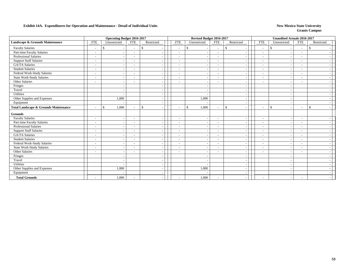|                                                  | <b>Operating Budget 2016-2017</b> |                                           |                          |            |                          | Revised Budget 2016-2017 |                          |                                |                          | <b>Unaudited Actuals 2016-2017</b> |                          |               |  |
|--------------------------------------------------|-----------------------------------|-------------------------------------------|--------------------------|------------|--------------------------|--------------------------|--------------------------|--------------------------------|--------------------------|------------------------------------|--------------------------|---------------|--|
| Landscape & Grounds Maintenance                  | <b>FTE</b>                        | Unrestricted                              | <b>FTE</b>               | Restricted | <b>FTE</b>               | Unrestricted             | <b>FTE</b>               | Restricted                     | <b>FTE</b>               | Unrestricted                       | <b>FTE</b>               | Restricted    |  |
| <b>Faculty Salaries</b>                          |                                   | <sup>\$</sup><br>$\overline{\phantom{a}}$ |                          | \$         | $\overline{\phantom{a}}$ | \$                       |                          | \$                             | $\overline{\phantom{a}}$ | $\mathbb{S}$                       | $\overline{\phantom{a}}$ | $\mathcal{S}$ |  |
| Part-time Faculty Salaries                       | $\overline{\phantom{a}}$          | $\overline{\phantom{a}}$                  |                          |            | $\overline{\phantom{a}}$ |                          | $\overline{\phantom{a}}$ | $\overline{\phantom{a}}$       | $\overline{\phantom{a}}$ |                                    | $\overline{\phantom{a}}$ |               |  |
| Professional Salaries                            | $\overline{\phantom{a}}$          | $\overline{\phantom{a}}$                  | $\overline{\phantom{0}}$ |            | $\overline{\phantom{a}}$ |                          | $\sim$                   | $\overline{\phantom{a}}$       | $\overline{\phantom{a}}$ |                                    | $\overline{\phantom{a}}$ |               |  |
| <b>Support Staff Salaries</b>                    | $\overline{\phantom{a}}$          | $\sim$                                    | $\overline{\phantom{a}}$ |            | $\sim$                   |                          | $\sim$                   | $\overline{\phantom{a}}$       | $\blacksquare$           |                                    |                          |               |  |
| <b>GA/TA Salaries</b>                            | $\overline{\phantom{a}}$          | $\overline{\phantom{a}}$                  | $\overline{\phantom{a}}$ |            | $\overline{\phantom{a}}$ | $\overline{\phantom{a}}$ | $\sim$                   | $\overline{\phantom{a}}$       | $\overline{\phantom{a}}$ |                                    | $\overline{\phantom{a}}$ |               |  |
| <b>Student Salaries</b>                          | $\overline{\phantom{a}}$          | $\sim$                                    | $\overline{\phantom{a}}$ |            | $\overline{\phantom{a}}$ | $\overline{\phantom{a}}$ | $\overline{\phantom{a}}$ | $\overline{\phantom{a}}$       | $\overline{\phantom{a}}$ |                                    | $\overline{\phantom{0}}$ |               |  |
| Federal Work-Study Salaries                      | $\overline{\phantom{a}}$          | $\sim$                                    | $\overline{\phantom{a}}$ |            | $\sim$                   |                          | $\sim$                   | $\overline{\phantom{a}}$       | $\overline{\phantom{a}}$ |                                    |                          |               |  |
| State Work-Study Salaries                        | $\overline{\phantom{a}}$          | $\overline{\phantom{a}}$                  | $\overline{\phantom{a}}$ |            | $\overline{\phantom{a}}$ |                          | $\sim$                   | $\overline{\phantom{a}}$       | $\overline{\phantom{a}}$ |                                    | $\overline{\phantom{a}}$ |               |  |
| Other Salaries                                   | $\overline{a}$                    | $\overline{\phantom{a}}$                  | $\overline{\phantom{0}}$ |            | $\overline{\phantom{a}}$ |                          | $\sim$                   | $\overline{\phantom{a}}$       | $\blacksquare$           |                                    | $\overline{\phantom{0}}$ |               |  |
| Fringes                                          |                                   | $\overline{\phantom{a}}$                  |                          |            |                          |                          |                          | $\overline{\phantom{a}}$       |                          |                                    |                          |               |  |
| Travel                                           |                                   | $\overline{\phantom{a}}$                  |                          |            |                          |                          |                          | $\overline{\phantom{a}}$       |                          |                                    |                          |               |  |
| Utilities                                        |                                   | $\blacksquare$                            |                          |            |                          |                          |                          | $\overline{\phantom{a}}$       |                          |                                    |                          |               |  |
| Other Supplies and Expenses                      |                                   | 1,000                                     |                          |            |                          | 1,000                    |                          | $\overline{\phantom{a}}$       |                          |                                    |                          |               |  |
| Equipment                                        |                                   |                                           |                          |            |                          |                          |                          | $\overline{\phantom{a}}$       |                          |                                    |                          |               |  |
| <b>Total Landscape &amp; Grounds Maintenance</b> | $\overline{\phantom{a}}$          | 1,000<br>\$                               | $\overline{\phantom{a}}$ | \$         | $\overline{\phantom{a}}$ | 1,000<br>\$              | $\sim$                   | \$<br>$\overline{\phantom{a}}$ | $\overline{\phantom{a}}$ | \$<br>$\overline{\phantom{a}}$     | $\overline{\phantom{a}}$ | $\mathbf{s}$  |  |
| <b>Grounds</b>                                   |                                   |                                           |                          |            |                          |                          |                          |                                |                          |                                    |                          |               |  |
| <b>Faculty Salaries</b>                          | $\overline{\phantom{a}}$          | $\sim$                                    | $\overline{\phantom{a}}$ |            | $\overline{\phantom{a}}$ |                          | $\overline{\phantom{a}}$ | $\overline{\phantom{a}}$       | $\overline{\phantom{a}}$ |                                    | $\overline{\phantom{a}}$ |               |  |
| Part-time Faculty Salaries                       | $\overline{\phantom{a}}$          | $\sim$                                    | $\overline{\phantom{a}}$ |            | $\tilde{\phantom{a}}$    |                          | $\overline{\phantom{a}}$ | $\overline{\phantom{a}}$       | $\blacksquare$           |                                    | $\overline{\phantom{a}}$ |               |  |
| Professional Salaries                            | $\overline{\phantom{a}}$          | $\overline{\phantom{a}}$                  | $\overline{\phantom{a}}$ |            | $\overline{\phantom{a}}$ | $\overline{\phantom{a}}$ | $\overline{\phantom{a}}$ | $\overline{\phantom{a}}$       | $\overline{\phantom{a}}$ |                                    | $\overline{\phantom{a}}$ |               |  |
| <b>Support Staff Salaries</b>                    | $\overline{\phantom{a}}$          | $\overline{\phantom{a}}$                  | $\overline{\phantom{0}}$ |            | $\overline{\phantom{a}}$ | $\overline{\phantom{a}}$ | $\overline{\phantom{a}}$ | $\overline{\phantom{a}}$       | $\overline{\phantom{a}}$ |                                    | $\overline{\phantom{a}}$ |               |  |
| <b>GA/TA Salaries</b>                            |                                   | $\overline{\phantom{a}}$                  |                          |            | $\sim$                   |                          |                          | $\overline{\phantom{a}}$       | $\overline{\phantom{a}}$ |                                    |                          |               |  |
| <b>Student Salaries</b>                          | $\overline{\phantom{a}}$          | $\overline{\phantom{a}}$                  |                          |            | $\overline{\phantom{a}}$ |                          | $\sim$                   | $\overline{\phantom{a}}$       | $\overline{\phantom{a}}$ |                                    |                          |               |  |
| Federal Work-Study Salaries                      | $\overline{\phantom{a}}$          | $\sim$                                    | $\overline{\phantom{0}}$ |            | $\blacksquare$           |                          | $\overline{\phantom{a}}$ | $\overline{\phantom{a}}$       | $\overline{\phantom{a}}$ |                                    | $\overline{\phantom{a}}$ |               |  |
| <b>State Work-Study Salaries</b>                 | $\overline{a}$                    | $\sim$                                    | $\overline{\phantom{a}}$ |            | $\overline{\phantom{a}}$ | $\overline{\phantom{a}}$ | $\overline{\phantom{a}}$ | $\sim$                         | $\overline{\phantom{a}}$ |                                    | $\overline{\phantom{0}}$ |               |  |
| Other Salaries                                   | $\overline{\phantom{a}}$          | $\overline{\phantom{a}}$                  | $\overline{\phantom{a}}$ |            | $\overline{\phantom{a}}$ | $\overline{\phantom{a}}$ | $\overline{\phantom{a}}$ | $\overline{\phantom{a}}$       | $\overline{\phantom{a}}$ |                                    | $\overline{\phantom{a}}$ |               |  |
| Fringes                                          |                                   | $\overline{\phantom{a}}$                  |                          |            |                          |                          |                          | $\overline{\phantom{a}}$       |                          |                                    |                          |               |  |
| Travel                                           |                                   | $\sim$                                    |                          |            |                          |                          |                          | $\overline{\phantom{a}}$       |                          |                                    |                          |               |  |
| Utilities                                        |                                   |                                           |                          |            |                          |                          |                          | $\overline{\phantom{a}}$       |                          |                                    |                          |               |  |
| Other Supplies and Expenses                      |                                   | 1,000                                     |                          |            |                          | 1,000                    |                          | $\overline{\phantom{a}}$       |                          |                                    |                          |               |  |
| Equipment                                        |                                   |                                           |                          |            |                          |                          |                          |                                |                          |                                    |                          |               |  |
| <b>Total Grounds</b>                             |                                   | 1,000                                     |                          |            | $\overline{\phantom{a}}$ | 1,000                    |                          |                                | $\blacksquare$           |                                    | $\overline{\phantom{a}}$ |               |  |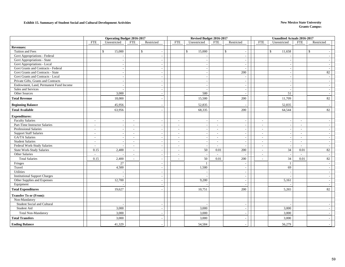#### **Exhibit 15. Summary of Student Social and Cultural Development Activities New Mexico State University New Mexico State University**

|                                        | <b>Operating Budget 2016-2017</b> |                          |                          |                          | Revised Budget 2016-2017 |                          |                          |                                          | <b>Unaudited Actuals 2016-2017</b> |                          |                          |                          |
|----------------------------------------|-----------------------------------|--------------------------|--------------------------|--------------------------|--------------------------|--------------------------|--------------------------|------------------------------------------|------------------------------------|--------------------------|--------------------------|--------------------------|
|                                        | <b>FTE</b>                        | Unrestricted             | <b>FTE</b>               | Restricted               | <b>FTE</b>               | Unrestricted             | <b>FTE</b>               | Restricted                               | <b>FTE</b>                         | Unrestricted             | <b>FTE</b>               | Restricted               |
| <b>Revenues:</b>                       |                                   |                          |                          |                          |                          |                          |                          |                                          |                                    |                          |                          |                          |
| Tuition and Fees                       |                                   | \$<br>15,000             |                          | $\mathbb{S}$             |                          | 15,000<br>$\mathbb{S}$   |                          | $\mathbb{S}$<br>$\overline{\phantom{a}}$ |                                    | \$<br>11,658             |                          | \$                       |
| Govt Appropriations - Federal          |                                   |                          |                          |                          |                          |                          |                          | $\sim$                                   |                                    |                          |                          |                          |
| Govt Appropriations - State            |                                   |                          |                          | $\overline{\phantom{a}}$ |                          |                          |                          | $\overline{\phantom{a}}$                 |                                    |                          |                          |                          |
| Govt Appropriations - Local            |                                   |                          |                          |                          |                          |                          |                          | $\overline{\phantom{a}}$                 |                                    |                          |                          |                          |
| Govt Grants and Contracts - Federal    |                                   | $\sim$                   |                          | $\overline{\phantom{a}}$ |                          |                          |                          | $\sim$                                   |                                    | $\sim$                   |                          |                          |
| Govt Grants and Contracts - State      |                                   |                          |                          | $\overline{\phantom{a}}$ |                          |                          |                          | 200                                      |                                    | $\overline{\phantom{a}}$ |                          | 82                       |
| Govt Grants and Contracts - Local      |                                   |                          |                          |                          |                          |                          |                          | $\overline{\phantom{a}}$                 |                                    |                          |                          |                          |
| Private Gifts, Grants and Contracts    |                                   | $\overline{\phantom{a}}$ |                          | $\overline{\phantom{a}}$ |                          | $\overline{\phantom{a}}$ |                          | $\sim$                                   |                                    | $\overline{\phantom{a}}$ |                          |                          |
| Endowment, Land, Permanent Fund Income |                                   |                          |                          |                          |                          |                          |                          | $\sim$                                   |                                    |                          |                          |                          |
| Sales and Services                     |                                   |                          |                          |                          |                          |                          |                          | $\sim$                                   |                                    |                          |                          |                          |
| Other Sources                          |                                   | 3,000                    |                          | $\overline{\phantom{a}}$ |                          | 500                      |                          | $\overline{\phantom{a}}$                 |                                    | 51                       |                          |                          |
| <b>Total Revenue</b>                   |                                   | 18,000                   |                          |                          |                          | 15,500                   |                          | 200                                      |                                    | 11,709                   |                          | 82                       |
| <b>Beginning Balance</b>               |                                   | 45,956                   |                          |                          |                          | 52,835                   |                          |                                          |                                    | 52,835                   |                          |                          |
| <b>Total Available</b>                 |                                   | 63,956                   |                          |                          |                          | 68,335                   |                          | 200                                      |                                    | 64,544                   |                          | 82                       |
| <b>Expenditures:</b>                   |                                   |                          |                          |                          |                          |                          |                          |                                          |                                    |                          |                          |                          |
| <b>Faculty Salaries</b>                | $\sim$                            | $\overline{\phantom{a}}$ | $\sim$                   |                          | $\sim$                   |                          | $\sim$                   | $\sim$                                   | $\sim$                             | $\overline{\phantom{a}}$ | $\sim$                   |                          |
| Part-Time Instructor Salaries          | $\sim$                            |                          | $\blacksquare$           |                          | $\sim$                   |                          | $\overline{\phantom{a}}$ | $\overline{\phantom{a}}$                 | $\overline{\phantom{a}}$           |                          | $\sim$                   |                          |
| Professional Salaries                  | $\overline{\phantom{a}}$          |                          | $\blacksquare$           | $\overline{\phantom{a}}$ | $\sim$                   | $\overline{\phantom{a}}$ | $\sim$                   | $\sim$                                   | $\sim$                             | $\sim$                   | $\overline{\phantom{a}}$ |                          |
| <b>Support Staff Salaries</b>          | $\sim$                            | $\overline{\phantom{a}}$ | $\overline{\phantom{a}}$ |                          | $\overline{\phantom{a}}$ |                          | $\sim$                   | $\sim$                                   | $\sim$                             | $\overline{\phantom{a}}$ | $\sim$                   |                          |
| GA/TA Salaries                         | $\overline{\phantom{a}}$          |                          | $\sim$                   |                          | $\sim$                   |                          | $\sim$                   | $\overline{\phantom{a}}$                 | $\sim$                             | $\overline{\phantom{a}}$ | $\sim$                   |                          |
| <b>Student Salaries</b>                | $\overline{\phantom{a}}$          |                          | $\overline{\phantom{a}}$ | $\sim$                   | $\sim$                   | $\sim$                   | $\sim$                   | $\sim$                                   | $\sim$                             | $\sim$                   | $\mathcal{L}$            | $\overline{\phantom{a}}$ |
| Federal Work-Study Salaries            | $\sim$                            |                          | $\overline{\phantom{a}}$ | $\overline{\phantom{a}}$ | $\overline{\phantom{a}}$ | $\overline{\phantom{a}}$ | $\sim$                   | $\overline{\phantom{a}}$                 | $\overline{\phantom{a}}$           | $\overline{\phantom{a}}$ | $\sim$                   |                          |
| <b>State Work-Study Salaries</b>       | 0.15                              | 2,400                    | $\sim$                   |                          | $\sim$                   | 50                       | 0.01                     | 200                                      | $\sim$                             | 34                       | 0.01                     | 82                       |
| Other Salaries                         | $\overline{a}$                    |                          | $\overline{\phantom{a}}$ | $\sim$                   | $\blacksquare$           | $\overline{\phantom{a}}$ | $\overline{a}$           |                                          | $\sim$                             | $\sim$                   | $\overline{a}$           |                          |
| <b>Total Salaries</b>                  | 0.15                              | 2,400                    | $\sim$                   |                          | $\sim$                   | 50                       | 0.01                     | 200                                      | $\sim$                             | 34                       | 0.01                     | 82                       |
| Fringes                                |                                   | 27                       |                          | $\overline{\phantom{a}}$ |                          | -1                       |                          | $\overline{\phantom{a}}$                 |                                    | -1                       |                          |                          |
| Travel                                 |                                   | 4,500                    |                          |                          |                          | 1,500                    |                          | $\overline{\phantom{a}}$                 |                                    | 69                       |                          |                          |
| Utilities                              |                                   |                          |                          | $\sim$                   |                          |                          |                          | $\overline{\phantom{a}}$                 |                                    |                          |                          |                          |
| <b>Institutional Support Charges</b>   |                                   |                          |                          |                          |                          |                          |                          | $\sim$                                   |                                    |                          |                          |                          |
| Other Supplies and Expenses            |                                   | 12,700                   |                          | $\overline{\phantom{a}}$ |                          | 9,200                    |                          | $\sim$                                   |                                    | 5,161                    |                          |                          |
| Equipment                              |                                   |                          |                          |                          |                          |                          |                          | $\sim$                                   |                                    |                          |                          |                          |
| <b>Total Expenditures</b>              |                                   | 19,627                   |                          |                          |                          | 10,751                   |                          | 200                                      |                                    | 5,265                    |                          | 82                       |
| <b>Transfer To or (From):</b>          |                                   |                          |                          |                          |                          |                          |                          |                                          |                                    |                          |                          |                          |
| Non-Mandatory                          |                                   |                          |                          |                          |                          |                          |                          |                                          |                                    |                          |                          |                          |
| Student Social and Cultural            |                                   |                          |                          |                          |                          |                          |                          | $\overline{\phantom{a}}$                 |                                    |                          |                          |                          |
| Student Aid                            |                                   | 3,000                    |                          | $\overline{\phantom{a}}$ |                          | 3,000                    |                          | $\overline{\phantom{a}}$                 |                                    | 3,000                    |                          |                          |
| Total Non-Mandatory                    |                                   | 3,000                    |                          |                          |                          | 3,000                    |                          | $\overline{\phantom{a}}$                 |                                    | 3,000                    |                          |                          |
| <b>Total Transfers</b>                 |                                   | 3,000                    |                          |                          |                          | 3,000                    |                          |                                          |                                    | 3,000                    |                          |                          |
| <b>Ending Balance</b>                  |                                   | 41,329                   |                          |                          |                          | 54,584                   |                          |                                          |                                    | 56,279                   |                          |                          |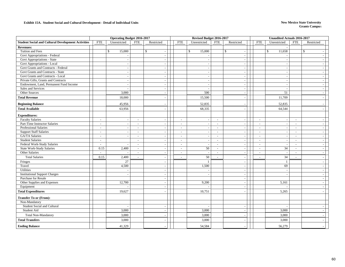#### **Exhibit 15A. Student Social and Cultural Development - Detail of Individual Units New Mexico State University**

|                                                               |                                  | <b>Operating Budget 2016-2017</b> |                  |                          |                                    | Revised Budget 2016-2017 |                          |                          |                          | <b>Unaudited Actuals 2016-2017</b> |                  |                          |  |
|---------------------------------------------------------------|----------------------------------|-----------------------------------|------------------|--------------------------|------------------------------------|--------------------------|--------------------------|--------------------------|--------------------------|------------------------------------|------------------|--------------------------|--|
| <b>Student Social and Cultural Development Activities</b>     | <b>FTE</b>                       | Unrestricted                      | <b>FTE</b>       | Restricted               | <b>FTE</b>                         | Unrestricted             | <b>FTE</b>               | Restricted               | <b>FTE</b>               | Unrestricted                       | <b>FTE</b>       | Restricted               |  |
| <b>Revenues:</b>                                              |                                  |                                   |                  |                          |                                    |                          |                          |                          |                          |                                    |                  |                          |  |
| Tuition and Fees                                              |                                  | \$<br>15,000                      |                  | $\mathbb{S}$             |                                    | \$<br>15,000             |                          | \$                       |                          | \$<br>11,658                       |                  | \$                       |  |
| Govt Appropriations - Federal                                 |                                  |                                   |                  | $\sim$                   |                                    |                          |                          |                          |                          |                                    |                  |                          |  |
| Govt Appropriations - State                                   |                                  |                                   |                  |                          |                                    |                          |                          |                          |                          |                                    |                  |                          |  |
| Govt Appropriations - Local                                   |                                  |                                   |                  |                          |                                    |                          |                          |                          |                          |                                    |                  |                          |  |
| Govt Grants and Contracts - Federal                           |                                  |                                   |                  | $\sim$                   |                                    | $\sim$                   |                          |                          |                          |                                    |                  |                          |  |
| Govt Grants and Contracts - State                             |                                  |                                   |                  | $\overline{\phantom{a}}$ |                                    | $\sim$                   |                          |                          |                          |                                    |                  |                          |  |
| Govt Grants and Contracts - Local                             |                                  | $\sim$                            |                  | $\sim$                   |                                    | $\sim$                   |                          |                          |                          | $\overline{\phantom{a}}$           |                  |                          |  |
| Private Gifts, Grants and Contracts                           |                                  |                                   |                  |                          |                                    |                          |                          |                          |                          |                                    |                  |                          |  |
| Endowment, Land, Permanent Fund Income                        |                                  |                                   |                  | $\sim$                   |                                    | $\sim$                   |                          |                          |                          |                                    |                  |                          |  |
| Sales and Services                                            |                                  |                                   |                  | $\sim$                   |                                    |                          |                          |                          |                          |                                    |                  |                          |  |
| Other Sources                                                 |                                  | 3,000                             |                  | $\sim$                   |                                    | 500                      |                          |                          |                          | 51                                 |                  |                          |  |
| <b>Total Revenue</b>                                          |                                  | 18,000                            |                  |                          |                                    | 15,500                   |                          |                          |                          | 11,709                             |                  |                          |  |
| <b>Beginning Balance</b>                                      |                                  | 45,956                            |                  |                          |                                    | 52,835                   |                          |                          |                          | 52,835                             |                  |                          |  |
| <b>Total Available</b>                                        |                                  | 63,956                            |                  |                          |                                    | 68,335                   |                          |                          |                          | 64,544                             |                  |                          |  |
|                                                               |                                  |                                   |                  |                          |                                    |                          |                          |                          |                          |                                    |                  |                          |  |
| <b>Expenditures:</b>                                          |                                  |                                   |                  |                          |                                    |                          |                          |                          |                          |                                    |                  |                          |  |
| <b>Faculty Salaries</b>                                       | $\sim$                           | $\sim$                            | $\sim$           | $\overline{\phantom{a}}$ | $\overline{\phantom{a}}$           | $\sim$                   | $\sim$                   |                          | $\overline{a}$           | $\sim$                             | $\sim$           | $\overline{\phantom{a}}$ |  |
| Part-Time Instructor Salaries<br><b>Professional Salaries</b> | $\sim$                           | $\overline{\phantom{a}}$          | $\sim$           | $\sim$                   | $\sim$                             | $\overline{\phantom{a}}$ | $\sim$                   |                          | $\sim$                   |                                    | $\sim$           |                          |  |
|                                                               | $\sim$                           | $\overline{\phantom{a}}$          | $\sim$           | $\sim$                   | $\overline{\phantom{a}}$           | $\overline{\phantom{a}}$ | $\sim$                   |                          | $\sim$                   | $\overline{\phantom{a}}$           | $\sim$           | $\overline{\phantom{a}}$ |  |
| <b>Support Staff Salaries</b><br>GA/TA Salaries               | $\sim$                           |                                   | $\sim$           | $\sim$                   | $\sim$                             |                          | $\sim$                   |                          | $\sim$                   |                                    | $\sim$           |                          |  |
| <b>Student Salaries</b>                                       | $\sim$<br>$\sim$                 |                                   | $\sim$<br>$\sim$ | $\sim$<br>$\sim$         | $\overline{\phantom{a}}$<br>$\sim$ | $\overline{\phantom{a}}$ | $\sim$<br>$\sim$         |                          | $\blacksquare$<br>$\sim$ | $\bar{a}$                          | $\sim$<br>$\sim$ |                          |  |
| Federal Work-Study Salaries                                   |                                  |                                   | $\sim$           | $\sim$                   |                                    |                          | $\overline{\phantom{a}}$ |                          |                          |                                    | $\sim$           |                          |  |
| <b>State Work-Study Salaries</b>                              | $\overline{\phantom{a}}$<br>0.15 | 2,400                             | $\sim$           | $\sim$                   | $\overline{\phantom{a}}$<br>$\sim$ | 50                       | $\sim$                   |                          | $\sim$<br>$\sim$         | 34                                 | $\sim$           |                          |  |
| Other Salaries                                                | $\sim$                           |                                   | $\sim$           | $\sim$                   | $\overline{\phantom{a}}$           | $\overline{\phantom{a}}$ | $\sim$                   | $\overline{\phantom{a}}$ | $\sim$                   | $\sim$                             | $\sim$           |                          |  |
| <b>Total Salaries</b>                                         | 0.15                             | 2,400                             | $\sim$           |                          | $\sim$                             | 50                       |                          |                          | ÷,                       | 34                                 | $\sim$           |                          |  |
|                                                               |                                  | 27                                |                  |                          |                                    |                          |                          |                          |                          |                                    |                  |                          |  |
| Fringes                                                       |                                  |                                   |                  |                          |                                    | $\overline{1}$           |                          |                          |                          | $\overline{1}$                     |                  |                          |  |
| Travel                                                        |                                  | 4,500                             |                  | $\sim$                   |                                    | 1,500                    |                          | $\overline{\phantom{a}}$ |                          | 69                                 |                  | $\overline{\phantom{a}}$ |  |
| Utilities                                                     |                                  |                                   |                  | $\sim$                   |                                    | $\overline{a}$           |                          |                          |                          |                                    |                  | $\overline{\phantom{a}}$ |  |
| <b>Institutional Support Charges</b><br>Purchase for Resale   |                                  |                                   |                  | $\sim$<br>$\sim$         |                                    |                          |                          | $\sim$                   |                          |                                    |                  |                          |  |
| Other Supplies and Expenses                                   |                                  | 12,700                            |                  |                          |                                    | 9,200                    |                          |                          |                          | 5,161                              |                  |                          |  |
| Equipment                                                     |                                  |                                   |                  | $\overline{\phantom{a}}$ |                                    |                          |                          |                          |                          |                                    |                  | $\overline{\phantom{a}}$ |  |
|                                                               |                                  |                                   |                  |                          |                                    |                          |                          |                          |                          |                                    |                  |                          |  |
| <b>Total Expenditures</b>                                     |                                  | 19,627                            |                  |                          |                                    | 10,751                   |                          |                          |                          | 5,265                              |                  |                          |  |
| <b>Transfer To or (From):</b>                                 |                                  |                                   |                  |                          |                                    |                          |                          |                          |                          |                                    |                  |                          |  |
| Non-Mandatory                                                 |                                  |                                   |                  |                          |                                    |                          |                          |                          |                          |                                    |                  |                          |  |
| Student Social and Cultural                                   |                                  |                                   |                  | $\sim$                   |                                    |                          |                          |                          |                          |                                    |                  |                          |  |
| Student Aid                                                   |                                  | 3,000                             |                  |                          |                                    | 3,000                    |                          |                          |                          | 3,000                              |                  |                          |  |
| <b>Total Non-Mandatory</b>                                    |                                  | 3,000                             |                  |                          |                                    | 3,000                    |                          |                          |                          | 3,000                              |                  |                          |  |
| <b>Total Transfers</b>                                        |                                  | 3,000                             |                  |                          |                                    | 3,000                    |                          |                          |                          | 3,000                              |                  |                          |  |
| <b>Ending Balance</b>                                         |                                  | 41,329                            |                  |                          |                                    | 54,584                   |                          |                          |                          | 56,279                             |                  |                          |  |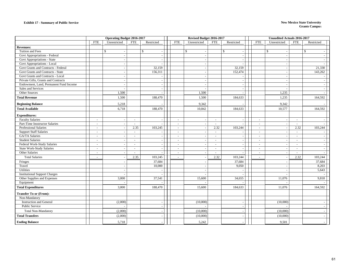|                                        |                          | <b>Operating Budget 2016-2017</b> |                          |              | Revised Budget 2016-2017 |              |            |                          | <b>Unaudited Actuals 2016-2017</b> |              |                |            |  |
|----------------------------------------|--------------------------|-----------------------------------|--------------------------|--------------|--------------------------|--------------|------------|--------------------------|------------------------------------|--------------|----------------|------------|--|
|                                        | <b>FTE</b>               | Unrestricted                      | <b>FTE</b>               | Restricted   | <b>FTE</b>               | Unrestricted | <b>FTE</b> | Restricted               | <b>FTE</b>                         | Unrestricted | <b>FTE</b>     | Restricted |  |
| <b>Revenues:</b>                       |                          |                                   |                          |              |                          |              |            |                          |                                    |              |                |            |  |
| Tuition and Fees                       |                          | \$                                |                          | $\mathbb{S}$ |                          | \$           |            | $\mathbb{S}$<br>$\sim$   |                                    | \$           |                | \$         |  |
| Govt Appropriations - Federal          |                          |                                   |                          |              |                          |              |            | $\sim$                   |                                    |              |                |            |  |
| Govt Appropriations - State            |                          |                                   |                          |              |                          |              |            | $\overline{\phantom{a}}$ |                                    |              |                |            |  |
| Govt Appropriations - Local            |                          |                                   |                          |              |                          |              |            | $\overline{\phantom{a}}$ |                                    |              |                |            |  |
| Govt Grants and Contracts - Federal    |                          | $\sim$                            |                          | 32,159       |                          |              |            | 32,159                   |                                    |              |                | 21,330     |  |
| Govt Grants and Contracts - State      |                          |                                   |                          | 156,311      |                          |              |            | 152,474                  |                                    |              |                | 143,262    |  |
| Govt Grants and Contracts - Local      |                          |                                   |                          |              |                          |              |            |                          |                                    |              |                |            |  |
| Private Gifts, Grants and Contracts    |                          | $\sim$                            |                          | $\sim$       |                          |              |            | $\sim$                   |                                    |              |                |            |  |
| Endowment, Land, Permanent Fund Income |                          |                                   |                          | $\sim$       |                          |              |            | $\sim$                   |                                    |              |                |            |  |
| Sales and Services                     |                          |                                   |                          |              |                          |              |            | $\sim$                   |                                    |              |                |            |  |
| Other Sources                          |                          | 1,500                             |                          |              |                          | 1,500        |            | $\overline{\phantom{a}}$ |                                    | 1,235        |                |            |  |
| <b>Total Revenue</b>                   |                          | 1,500                             |                          | 188,470      |                          | 1,500        |            | 184,633                  |                                    | 1,235        |                | 164,592    |  |
| <b>Beginning Balance</b>               |                          | 5,218                             |                          |              |                          | 9,342        |            |                          |                                    | 9,342        |                |            |  |
| <b>Total Available</b>                 |                          | 6,718                             |                          | 188,470      |                          | 10,842       |            | 184,633                  |                                    | 10,577       |                | 164,592    |  |
| <b>Expenditures:</b>                   |                          |                                   |                          |              |                          |              |            |                          |                                    |              |                |            |  |
| <b>Faculty Salaries</b>                | $\sim$                   |                                   | $\sim$                   |              | $\sim$                   |              | $\sim$     | $\sim$                   | $\sim$                             |              | $\sim$         |            |  |
| Part-Time Insstructor Salaries         | $\sim$                   |                                   | $\sim$                   |              | $\sim$                   |              | $\sim$     |                          | $\sim$                             |              | $\sim$         |            |  |
| <b>Professional Salaries</b>           | $\sim$                   |                                   | 2.35                     | 103,245      | $\sim$                   |              | 2.32       | 103,244                  | $\sim$                             | $\sim$       | 2.32           | 103,244    |  |
| <b>Support Staff Salaries</b>          |                          |                                   | $\overline{\phantom{a}}$ |              | $\sim$                   |              | $\sim$     | $\sim$                   | $\blacksquare$                     |              | $\sim$         |            |  |
| GA/TA Salaries                         | $\sim$                   |                                   | $\sim$                   |              | $\sim$                   |              | $\sim$     | $\overline{\phantom{a}}$ | $\sim$                             |              | $\sim$         |            |  |
| <b>Student Salaries</b>                | $\overline{\phantom{a}}$ |                                   | $\sim$                   | $\sim$       | $\sim$                   |              | $\sim$     | $\overline{\phantom{a}}$ | $\sim$                             |              | $\blacksquare$ |            |  |
| Federal Work-Study Salaries            | $\overline{\phantom{a}}$ |                                   |                          | $\sim$       | $\sim$                   |              | $\sim$     | $\overline{\phantom{a}}$ | $\sim$                             |              | $\sim$         |            |  |
| <b>State Work-Study Salaries</b>       | $\sim$                   |                                   | $\sim$                   |              | $\sim$                   |              | $\sim$     | $\sim$                   | $\sim$                             |              | $\bar{a}$      |            |  |
| Other Salaries                         | $\sim$                   |                                   |                          |              | $\sim$                   |              |            | $\overline{\phantom{a}}$ | $\sim$                             |              | $\sim$         |            |  |
| <b>Total Salaries</b>                  |                          |                                   | 2.35                     | 103,245      | $\sim$                   |              | 2.32       | 103,244                  | $\sim$                             |              | 2.32           | 103,244    |  |
| Fringes                                |                          |                                   |                          | 37,684       |                          |              |            | 37,684                   |                                    |              |                | 37,684     |  |
| Travel                                 |                          |                                   |                          | 10,000       |                          |              |            | 9,050                    |                                    |              |                | 8,203      |  |
| Utilities                              |                          |                                   |                          |              |                          |              |            |                          |                                    |              |                | 5,643      |  |
| <b>Institutional Support Charges</b>   |                          |                                   |                          |              |                          |              |            |                          |                                    |              |                |            |  |
| Other Supplies and Expenses            |                          | 3,000                             |                          | 37,541       |                          | 15,600       |            | 34,655                   |                                    | 11,076       |                | 9,818      |  |
| Equipment                              |                          |                                   |                          |              |                          |              |            | $\sim$                   |                                    |              |                |            |  |
| <b>Total Expenditures</b>              |                          | 3,000                             |                          | 188,470      |                          | 15,600       |            | 184,633                  |                                    | 11,076       |                | 164,592    |  |
| <b>Transfer To or (From):</b>          |                          |                                   |                          |              |                          |              |            |                          |                                    |              |                |            |  |
| Non-Mandatory                          |                          |                                   |                          |              |                          |              |            |                          |                                    |              |                |            |  |
| <b>Instruction and General</b>         |                          | (2,000)                           |                          | $\sim$       |                          | (10,000)     |            | $\overline{\phantom{a}}$ |                                    | (10,000)     |                |            |  |
| Public Service                         |                          |                                   |                          | $\sim$       |                          |              |            | $\sim$                   |                                    |              |                |            |  |
| <b>Total Non-Mandatory</b>             |                          | (2,000)                           |                          |              |                          | (10,000)     |            | $\overline{\phantom{a}}$ |                                    | (10,000)     |                |            |  |
| <b>Total Transfers</b>                 |                          | (2,000)                           |                          |              |                          | (10,000)     |            | $\overline{\phantom{a}}$ |                                    | (10,000)     |                |            |  |
| <b>Ending Balance</b>                  |                          | 5,718                             |                          |              |                          | 5,242        |            |                          |                                    | 9,501        |                |            |  |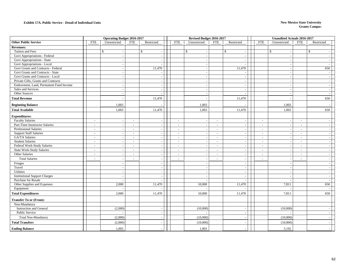#### **Exhibit 17A. Public Service - Detail of Individual Units**

#### **New Mexico State University Grants Campu**<sup>s</sup>

|                                                           |                          |                          | <b>Operating Budget 2016-2017</b> |                          |  |                          | Revised Budget 2016-2017 |                          |                              |                          | <b>Unaudited Actuals 2016-2017</b> |                          |                          |  |
|-----------------------------------------------------------|--------------------------|--------------------------|-----------------------------------|--------------------------|--|--------------------------|--------------------------|--------------------------|------------------------------|--------------------------|------------------------------------|--------------------------|--------------------------|--|
| <b>Other Public Service</b>                               | FTE                      | Unrestricted             | <b>FTE</b>                        | Restricted               |  | <b>FTE</b>               | Unrestricted             | <b>FTE</b>               | Restricted                   | <b>FTE</b>               | Unrestricted                       | <b>FTE</b>               | Restricted               |  |
| <b>Revenues:</b>                                          |                          |                          |                                   |                          |  |                          |                          |                          |                              |                          |                                    |                          |                          |  |
| Tuition and Fees                                          |                          | $\mathbb{S}$             | $\mathbb{S}$                      |                          |  |                          | $\mathbf{\hat{S}}$       |                          | $\mathbf{\hat{S}}$<br>$\sim$ |                          | $\mathbb{S}$                       |                          | $\mathbf S$              |  |
| Govt Appropriations - Federal                             |                          | $\sim$                   |                                   |                          |  |                          |                          |                          | $\sim$                       |                          |                                    |                          |                          |  |
| Govt Appropriations - State                               |                          | $\sim$                   |                                   |                          |  |                          |                          |                          | $\sim$                       |                          | $\overline{\phantom{a}}$           |                          |                          |  |
| Govt Appropriations - Local                               |                          | $\sim$                   |                                   |                          |  |                          |                          |                          |                              |                          | $\overline{\phantom{a}}$           |                          |                          |  |
| Govt Grants and Contracts - Federal                       |                          | $\overline{a}$           |                                   | 11,470                   |  |                          |                          |                          | 11,470                       |                          | $\overline{\phantom{a}}$           |                          | 650                      |  |
| Govt Grants and Contracts - State                         |                          | $\sim$                   |                                   |                          |  |                          |                          |                          | $\overline{\phantom{a}}$     |                          | $\overline{\phantom{a}}$           |                          |                          |  |
| Govt Grants and Contracts - Local                         |                          |                          |                                   |                          |  |                          |                          |                          | $\sim$                       |                          |                                    |                          |                          |  |
| Private Gifts, Grants and Contracts                       |                          | $\sim$                   |                                   | $\sim$                   |  |                          |                          |                          | $\sim$                       |                          | $\overline{\phantom{a}}$           |                          |                          |  |
| Endowment, Land, Permanent Fund Income                    |                          | $\overline{a}$           |                                   |                          |  |                          |                          |                          | $\sim$                       |                          | $\overline{\phantom{a}}$           |                          |                          |  |
| Sales and Services                                        |                          | $\overline{\phantom{a}}$ |                                   |                          |  |                          |                          |                          | $\sim$                       |                          | $\sim$                             |                          | $\overline{\phantom{a}}$ |  |
| Other Sources                                             |                          | $\overline{a}$           |                                   |                          |  |                          |                          |                          | $\overline{\phantom{a}}$     |                          | $\overline{\phantom{a}}$           |                          |                          |  |
| <b>Total Revenue</b>                                      |                          |                          |                                   | 11,470                   |  |                          |                          |                          | 11,470                       |                          |                                    |                          | 650                      |  |
| <b>Beginning Balance</b>                                  |                          | 1,003                    |                                   |                          |  |                          | 1,003                    |                          |                              |                          | 1,003                              |                          |                          |  |
| <b>Total Available</b>                                    |                          | 1,003                    |                                   | 11,470                   |  |                          | 1,003                    |                          | 11,470                       |                          | 1,003                              |                          | 650                      |  |
|                                                           |                          |                          |                                   |                          |  |                          |                          |                          |                              |                          |                                    |                          |                          |  |
| <b>Expenditures:</b>                                      |                          |                          |                                   |                          |  |                          |                          |                          |                              |                          |                                    |                          |                          |  |
| <b>Faculty Salaries</b><br>Part-Time Insstructor Salaries | $\overline{\phantom{a}}$ | $\sim$                   | $\overline{\phantom{a}}$          |                          |  | $\overline{\phantom{a}}$ | $\overline{\phantom{a}}$ | $\sim$                   | $\overline{\phantom{a}}$     | $\overline{\phantom{a}}$ | $\overline{\phantom{a}}$           | $\sim$                   |                          |  |
| Professional Salaries                                     | $\sim$                   | $\overline{\phantom{a}}$ | $\overline{\phantom{a}}$          |                          |  | $\overline{\phantom{a}}$ |                          | $\sim$                   | $\sim$                       | $\overline{\phantom{a}}$ |                                    | $\sim$                   |                          |  |
|                                                           | $\sim$<br>$\sim$         | $\sim$                   | $\sim$<br>$\sim$                  |                          |  | $\sim$<br>$\sim$         |                          | $\sim$<br>$\sim$         | $\sim$<br>$\blacksquare$     | $\sim$<br>$\sim$         |                                    | $\sim$                   |                          |  |
| <b>Support Staff Salaries</b><br>GA/TA Salaries           | $\overline{a}$           |                          |                                   |                          |  | $\sim$                   |                          | $\overline{\phantom{a}}$ | $\sim$                       | $\sim$                   | $\overline{\phantom{a}}$           | $\sim$<br>$\sim$         |                          |  |
| <b>Student Salaries</b>                                   | $\overline{\phantom{a}}$ | $\overline{\phantom{a}}$ | $\overline{\phantom{a}}$          |                          |  | $\sim$                   | $\overline{\phantom{a}}$ | $\sim$                   |                              | $\overline{\phantom{a}}$ | $\overline{\phantom{a}}$           | $\overline{\phantom{a}}$ | $\overline{\phantom{a}}$ |  |
| Federal Work-Study Salaries                               | $\sim$                   | $\sim$                   | $\overline{\phantom{a}}$          |                          |  | $\sim$                   |                          | $\sim$                   | $\sim$<br>$\sim$             | $\overline{\phantom{a}}$ |                                    | $\sim$                   |                          |  |
| <b>State Work-Study Salaries</b>                          | $\sim$                   |                          | $\overline{\phantom{a}}$          |                          |  | $\sim$                   |                          | $\sim$                   | $\overline{\phantom{a}}$     | $\sim$                   |                                    | $\sim$                   |                          |  |
| Other Salaries                                            | $\overline{a}$           | $\sim$                   | $\overline{\phantom{a}}$          |                          |  | $\overline{\phantom{a}}$ | $\overline{\phantom{a}}$ | $\sim$                   | $\sim$                       | $\sim$                   | $\overline{\phantom{a}}$           | $\sim$                   |                          |  |
| <b>Total Salaries</b>                                     | $\sim$                   | $\overline{\phantom{a}}$ |                                   |                          |  |                          | $\sim$                   | $\sim$                   | $\sim$                       |                          |                                    |                          |                          |  |
| Fringes                                                   |                          |                          |                                   |                          |  |                          |                          |                          | $\sim$                       |                          |                                    |                          |                          |  |
| Travel                                                    |                          | $\sim$                   |                                   | $\sim$                   |  |                          |                          |                          | $\sim$                       |                          | $\overline{\phantom{a}}$           |                          | $\sim$                   |  |
| Utilities                                                 |                          | $\overline{\phantom{a}}$ |                                   | $\overline{\phantom{a}}$ |  |                          | $\overline{\phantom{a}}$ |                          | $\sim$                       |                          |                                    |                          | $\sim$                   |  |
| <b>Institutional Support Charges</b>                      |                          | $\sim$                   |                                   | $\sim$                   |  |                          | $\overline{a}$           |                          | $\sim$                       |                          |                                    |                          | $\sim$                   |  |
| Purchase for Resale                                       |                          |                          |                                   |                          |  |                          |                          |                          | $\sim$                       |                          |                                    |                          |                          |  |
| Other Supplies and Expenses                               |                          | 2,000                    |                                   | 11,470                   |  |                          | 10,000                   |                          | 11,470                       |                          | 7,811                              |                          | 650                      |  |
| Equipment                                                 |                          |                          |                                   |                          |  |                          |                          |                          |                              |                          |                                    |                          |                          |  |
| <b>Total Expenditures</b>                                 |                          | 2,000                    |                                   | 11,470                   |  |                          | 10,000                   |                          | 11,470                       |                          | 7,811                              |                          | 650                      |  |
| <b>Transfer To or (From):</b>                             |                          |                          |                                   |                          |  |                          |                          |                          |                              |                          |                                    |                          |                          |  |
| Non-Mandatory                                             |                          |                          |                                   |                          |  |                          |                          |                          |                              |                          |                                    |                          |                          |  |
| <b>Instruction and General</b>                            |                          | (2,000)                  |                                   | $\overline{\phantom{a}}$ |  |                          | (10,000)                 |                          | $\overline{\phantom{a}}$     |                          | (10,000)                           |                          |                          |  |
| Public Service                                            |                          | $\sim$                   |                                   | $\sim$                   |  |                          |                          |                          | $\sim$                       |                          |                                    |                          |                          |  |
| Total Non-Mandatory                                       |                          | (2,000)                  |                                   |                          |  |                          | (10,000)                 |                          | $\overline{\phantom{a}}$     |                          | (10,000)                           |                          |                          |  |
| <b>Total Transfers</b>                                    |                          | (2,000)                  |                                   |                          |  |                          | (10,000)                 |                          |                              |                          | (10,000)                           |                          |                          |  |
| <b>Ending Balance</b>                                     |                          | 1,003                    |                                   |                          |  |                          | 1,003                    |                          |                              |                          | 3,192                              |                          |                          |  |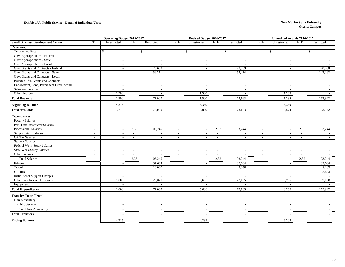#### **Exhibit 17A. Public Service - Detail of Individual Units**

#### **New Mexico State University Grants Campu**<sup>s</sup>

|                                          | <b>Operating Budget 2016-2017</b> |                          |                          |                          |  |                          | Revised Budget 2016-2017 |                             |                          |                          | <b>Unaudited Actuals 2016-2017</b> |                          |                    |  |
|------------------------------------------|-----------------------------------|--------------------------|--------------------------|--------------------------|--|--------------------------|--------------------------|-----------------------------|--------------------------|--------------------------|------------------------------------|--------------------------|--------------------|--|
| <b>Small Business Development Center</b> | <b>FTE</b>                        | Unrestricted             | <b>FTE</b>               | Restricted               |  | <b>FTE</b>               | Unrestricted             | <b>FTE</b>                  | Restricted               | <b>FTE</b>               | Unrestricted                       | <b>FTE</b>               | Restricted         |  |
| <b>Revenues:</b>                         |                                   |                          |                          |                          |  |                          |                          |                             |                          |                          |                                    |                          |                    |  |
| Tuition and Fees                         |                                   | \$                       |                          | \$                       |  |                          | \$                       |                             | \$                       |                          | \$                                 |                          | $\mathbf{\hat{S}}$ |  |
| Govt Appropriations - Federal            |                                   |                          |                          |                          |  |                          |                          |                             | $\overline{\phantom{a}}$ |                          |                                    |                          |                    |  |
| Govt Appropriations - State              |                                   |                          |                          |                          |  |                          |                          |                             |                          |                          |                                    |                          |                    |  |
| Govt Appropriations - Local              |                                   |                          |                          |                          |  |                          |                          |                             |                          |                          |                                    |                          |                    |  |
| Govt Grants and Contracts - Federal      |                                   | $\overline{\phantom{a}}$ |                          | 20,689                   |  |                          |                          |                             | 20,689                   |                          |                                    |                          | 20,680             |  |
| Govt Grants and Contracts - State        |                                   |                          |                          | 156,311                  |  |                          |                          |                             | 152,474                  |                          |                                    |                          | 143,262            |  |
| Govt Grants and Contracts - Local        |                                   |                          |                          |                          |  |                          |                          |                             |                          |                          |                                    |                          |                    |  |
| Private Gifts, Grants and Contracts      |                                   | $\overline{\phantom{a}}$ |                          |                          |  |                          |                          |                             | $\overline{\phantom{a}}$ |                          | $\overline{\phantom{a}}$           |                          |                    |  |
| Endowment, Land, Permanent Fund Income   |                                   |                          |                          |                          |  |                          |                          |                             |                          |                          |                                    |                          |                    |  |
| Sales and Services                       |                                   |                          |                          | $\overline{\phantom{a}}$ |  |                          |                          |                             | $\blacksquare$           |                          |                                    |                          |                    |  |
| Other Sources                            |                                   | 1,500                    |                          |                          |  |                          | 1,500                    |                             | $\overline{\phantom{a}}$ |                          | 1,235                              |                          |                    |  |
| <b>Total Revenue</b>                     |                                   | 1,500                    |                          | 177,000                  |  |                          | 1,500                    |                             | 173,163                  |                          | 1,235                              |                          | 163,942            |  |
| <b>Beginning Balance</b>                 |                                   | 4,215                    |                          |                          |  |                          | 8,339                    |                             |                          |                          | 8,339                              |                          |                    |  |
| <b>Total Available</b>                   |                                   | 5,715                    |                          | 177,000                  |  |                          | 9,839                    |                             | 173,163                  |                          | 9,574                              |                          | 163,942            |  |
| <b>Expenditures:</b>                     |                                   |                          |                          |                          |  |                          |                          |                             |                          |                          |                                    |                          |                    |  |
| <b>Faculty Salaries</b>                  | $\overline{\phantom{a}}$          |                          | $\overline{\phantom{a}}$ |                          |  | $\overline{\phantom{a}}$ |                          | $\overline{\phantom{a}}$    |                          | $\overline{\phantom{a}}$ |                                    | $\sim$                   |                    |  |
| Part-Time Insstructor Salaries           | $\overline{\phantom{a}}$          |                          | $\sim$                   |                          |  | $\sim$                   |                          | $\mathcal{L}_{\mathcal{A}}$ |                          | $\sim$                   |                                    | $\sim$                   |                    |  |
| <b>Professional Salaries</b>             | $\overline{a}$                    |                          | 2.35                     | 103,245                  |  | $\sim$                   |                          | 2.32                        | 103,244                  | $\sim$                   | $\overline{\phantom{a}}$           | 2.32                     | 103,244            |  |
| <b>Support Staff Salaries</b>            | $\blacksquare$                    |                          | $\overline{\phantom{a}}$ |                          |  | $\overline{\phantom{a}}$ |                          | $\sim$                      |                          | $\overline{\phantom{a}}$ |                                    | $\overline{\phantom{a}}$ |                    |  |
| GA/TA Salaries                           | $\overline{a}$                    |                          | $\blacksquare$           |                          |  | $\sim$                   |                          | $\overline{\phantom{a}}$    |                          | $\sim$                   |                                    | $\sim$                   |                    |  |
| <b>Student Salaries</b>                  | $\overline{a}$                    |                          | $\overline{a}$           |                          |  | $\overline{\phantom{a}}$ |                          | $\overline{\phantom{a}}$    |                          | $\sim$                   |                                    | $\sim$                   |                    |  |
| Federal Work-Study Salaries              | $\sim$                            |                          | $\overline{\phantom{a}}$ |                          |  | $\overline{\phantom{a}}$ |                          | $\overline{\phantom{a}}$    | $\overline{\phantom{a}}$ | $\overline{\phantom{a}}$ |                                    | $\overline{\phantom{a}}$ |                    |  |
| <b>State Work-Study Salaries</b>         | $\overline{a}$                    |                          | $\overline{\phantom{a}}$ |                          |  | $\sim$                   |                          | $\sim$                      | $\overline{\phantom{a}}$ | $\sim$                   | $\overline{\phantom{a}}$           | $\sim$                   |                    |  |
| Other Salaries                           | $\overline{\phantom{a}}$          |                          |                          |                          |  | $\overline{\phantom{a}}$ |                          | $\sim$                      |                          | $\overline{\phantom{a}}$ |                                    | $\sim$                   |                    |  |
| <b>Total Salaries</b>                    | $\overline{a}$                    |                          | 2.35                     | 103,245                  |  | $\overline{\phantom{a}}$ |                          | 2.32                        | 103,244                  | $\sim$                   |                                    | 2.32                     | 103,244            |  |
| Fringes                                  |                                   |                          |                          | 37,684                   |  |                          |                          |                             | 37,684                   |                          |                                    |                          | 37,684             |  |
| Travel                                   |                                   |                          |                          | 10,000                   |  |                          |                          |                             | 9,050                    |                          |                                    |                          | 8,203              |  |
| Utilities                                |                                   |                          |                          |                          |  |                          | $\overline{\phantom{a}}$ |                             |                          |                          | $\overline{\phantom{a}}$           |                          | 5,643              |  |
| <b>Institutional Support Charges</b>     |                                   |                          |                          |                          |  |                          |                          |                             | $\overline{a}$           |                          |                                    |                          |                    |  |
| Other Supplies and Expenses              |                                   | 1,000                    |                          | 26,071                   |  |                          | 5,600                    |                             | 23,185                   |                          | 3.265                              |                          | 9,168              |  |
| Equipment                                |                                   |                          |                          |                          |  |                          |                          |                             |                          |                          |                                    |                          |                    |  |
| <b>Total Expenditures</b>                |                                   | 1,000                    |                          | 177,000                  |  |                          | 5,600                    |                             | 173,163                  |                          | 3,265                              |                          | 163,942            |  |
| <b>Transfer To or (From):</b>            |                                   |                          |                          |                          |  |                          |                          |                             |                          |                          |                                    |                          |                    |  |
| Non-Mandatory                            |                                   |                          |                          |                          |  |                          |                          |                             |                          |                          |                                    |                          |                    |  |
| Public Service                           |                                   |                          |                          | $\overline{a}$           |  |                          |                          |                             | $\tilde{\phantom{a}}$    |                          |                                    |                          |                    |  |
| <b>Total Non-Mandatory</b>               |                                   |                          |                          |                          |  |                          |                          |                             |                          |                          |                                    |                          |                    |  |
| <b>Total Transfers</b>                   |                                   |                          |                          |                          |  |                          |                          |                             |                          |                          |                                    |                          |                    |  |
| <b>Ending Balance</b>                    |                                   | 4,715                    |                          |                          |  |                          | 4,239                    |                             |                          |                          | 6,309                              |                          |                    |  |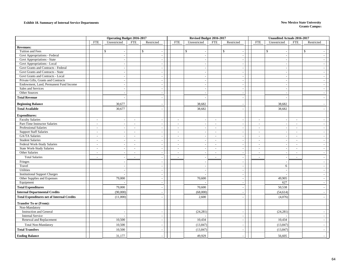#### **Exhibit 18. Summary of Internal Service Departments New Mexico State University**

|                                                   | <b>Operating Budget 2016-2017</b>  |                          |                             | Revised Budget 2016-2017 |              |            |                                | <b>Unaudited Actuals 2016-2017</b> |                                                      |                          |
|---------------------------------------------------|------------------------------------|--------------------------|-----------------------------|--------------------------|--------------|------------|--------------------------------|------------------------------------|------------------------------------------------------|--------------------------|
|                                                   | <b>FTE</b><br>Unrestricted         | <b>FTE</b>               | Restricted                  | <b>FTE</b>               | Unrestricted | <b>FTE</b> | Restricted                     | <b>FTE</b>                         | Unrestricted<br>FTE                                  | Restricted               |
| <b>Revenues:</b>                                  |                                    |                          |                             |                          |              |            |                                |                                    |                                                      |                          |
| Tuition and Fees                                  | \$                                 |                          | $\mathbb{S}$<br>$\sim$      |                          | \$           |            | \$<br>$\overline{\phantom{a}}$ |                                    | \$                                                   | \$                       |
| Govt Appropriations - Federal                     | $\sim$                             |                          | $\omega$                    |                          | $\bar{a}$    |            | $\sim$                         |                                    |                                                      |                          |
| Govt Appropriations - State                       |                                    |                          | $\sim$                      |                          |              |            | $\sim$                         |                                    |                                                      |                          |
| Govt Appropriations - Local                       |                                    |                          | $\sim$                      |                          |              |            | $\overline{\phantom{a}}$       |                                    |                                                      |                          |
| Govt Grants and Contracts - Federal               |                                    |                          | $\sim$                      |                          |              |            | $\sim$                         |                                    |                                                      |                          |
| Govt Grants and Contracts - State                 | $\sim$                             |                          | $\blacksquare$              |                          |              |            | $\sim$                         |                                    |                                                      |                          |
| Govt Grants and Contracts - Local                 |                                    |                          | $\sim$                      |                          |              |            | $\sim$                         |                                    |                                                      |                          |
| Private Gifts, Grants and Contracts               | $\sim$                             |                          | $\sim$                      |                          |              |            | $\sim$                         |                                    |                                                      |                          |
| Endowment, Land, Permanent Fund Income            | $\overline{a}$                     |                          | $\sim$                      |                          |              |            | $\sim$                         |                                    |                                                      |                          |
| Sales and Services                                | $\sim$                             |                          | $\blacksquare$              |                          | $\sim$       |            | $\sim$                         |                                    |                                                      | $\sim$                   |
| Other Sources                                     |                                    |                          | $\sim$                      |                          | $\sim$       |            | $\sim$                         |                                    |                                                      | $\sim$                   |
| <b>Total Revenue</b>                              |                                    |                          |                             |                          |              |            | $\sim$                         |                                    |                                                      |                          |
| <b>Beginning Balance</b>                          | 30,677                             |                          |                             |                          | 38,682       |            |                                |                                    | 38,682                                               |                          |
| <b>Total Available</b>                            | 30,677                             |                          |                             |                          | 38,682       |            |                                |                                    | 38,682                                               |                          |
| <b>Expenditures:</b>                              |                                    |                          |                             |                          |              |            |                                |                                    |                                                      |                          |
| <b>Faculty Salaries</b>                           | $\overline{\phantom{a}}$           |                          | $\overline{\phantom{a}}$    | $\overline{a}$           |              | $\sim$     | $\overline{\phantom{a}}$       | $\sim$                             | $\sim$<br>. —                                        |                          |
| Part-Time Instructor Salaries                     | $\sim$<br>$\overline{\phantom{a}}$ | $\overline{\phantom{a}}$ | $\blacksquare$              | $\sim$                   | $\sim$       | $\sim$     | $\sim$                         | $\sim$                             | $\overline{\phantom{a}}$<br>$\blacksquare$           | $\sim$                   |
| <b>Professional Salaries</b>                      | $\overline{\phantom{a}}$           | $\overline{\phantom{a}}$ | $\sim$                      | $\bar{a}$                |              | $\sim$     | $\sim$                         | $\sim$                             | $\blacksquare$<br>٠.                                 |                          |
| <b>Support Staff Salaries</b>                     | $\sim$<br>$\sim$                   | $\sim$                   | $\blacksquare$              | $\blacksquare$           | $\sim$       | $\sim$     | $\sim$                         | $\sim$                             | $\overline{\phantom{a}}$<br>$\overline{\phantom{a}}$ | $\sim$                   |
| GA/TA Salaries                                    | $\sim$<br>$\sim$                   | $\sim$                   | $\mathcal{L}_{\mathcal{A}}$ | $\sim$                   | $\sim$       | $\sim$     | $\sim$                         | $\sim$                             | $\sim$<br>$\blacksquare$                             | $\sim$                   |
| <b>Student Salaries</b>                           | $\sim$<br>$\sim$                   | $\sim$                   | $\omega$                    | $\blacksquare$           | $\sim$       | $\sim$     | $\sim$                         | $\sim$                             | $\sim$<br>$\sim$                                     | $\sim$                   |
| Federal Work-Study Salaries                       | $\sim$<br>$\sim$                   | $\sim$                   | $\omega$                    | $\sim$                   |              | $\sim$     | $\sim$                         | $\sim$                             | $\overline{\phantom{a}}$<br>$\sim$                   | $\overline{\phantom{a}}$ |
| <b>State Work-Study Salaries</b>                  | $\sim$                             | $\sim$                   | $\mathcal{L}$               | $\mathcal{L}$            |              | $\sim$     | $\sim$                         | $\sim$                             | $\overline{\phantom{a}}$<br>$\tilde{\phantom{a}}$    | $\sim$                   |
| Other Salaries                                    | $\sim$<br>$\sim$                   | $\overline{\phantom{a}}$ | $\sim$                      | $\bar{a}$                | $\sim$       | $\sim$     | $\sim$                         | $\sim$                             | $\sim$                                               | $\sim$                   |
| <b>Total Salaries</b>                             | $\sim$                             | $\sim$                   | $\overline{\phantom{a}}$    | $\sim$                   |              | $\sim$     | $\overline{\phantom{a}}$       | $\sim$                             | $\sim$                                               |                          |
| Fringes                                           | $\sim$                             |                          | $\blacksquare$              |                          | $\sim$       |            | $\sim$                         |                                    | $\overline{\phantom{a}}$                             | $\sim$                   |
| Travel                                            |                                    |                          | $\omega$                    |                          |              |            | $\sim$                         |                                    | 6                                                    |                          |
| Utilities                                         | $\overline{a}$                     |                          | $\omega$                    |                          | $\sim$       |            | $\sim$                         |                                    |                                                      | $\sim$                   |
| <b>Institutional Support Charges</b>              |                                    |                          | $\omega$                    |                          | $\sim$       |            | $\sim$                         |                                    |                                                      |                          |
| Other Supplies and Expenses                       | 79,000                             |                          | $\sim$                      |                          | 70,600       |            | $\sim$                         |                                    | 49,905                                               |                          |
| Equipment                                         |                                    |                          | $\omega$                    |                          |              |            | $\sim$                         |                                    | 627                                                  |                          |
| <b>Total Expenditures</b>                         | 79,000                             |                          | $\sim$                      |                          | 70,600       |            | $\overline{\phantom{a}}$       |                                    | 50,538                                               |                          |
| <b>Internal Departmental Credits</b>              | (90,000)                           |                          |                             |                          | (68,000)     |            | $\sim$                         |                                    | (54, 614)                                            |                          |
| <b>Total Expenditures net of Internal Credits</b> | (11,000)                           |                          |                             |                          | 2,600        |            |                                |                                    | (4,076)                                              |                          |
| <b>Transfer To or (From):</b>                     |                                    |                          |                             |                          |              |            |                                |                                    |                                                      |                          |
| Non-Mandatory                                     |                                    |                          |                             |                          |              |            |                                |                                    |                                                      |                          |
| <b>Instruction and General</b>                    |                                    |                          | $\sim$                      |                          | (24, 281)    |            | $\overline{\phantom{a}}$       |                                    | (24, 281)                                            |                          |
| <b>Internal Service</b>                           |                                    |                          | $\blacksquare$              |                          |              |            | $\overline{\phantom{a}}$       |                                    |                                                      | $\sim$                   |
| Renewal and Replacement                           | 10,500                             |                          | $\sim$                      |                          | 10,434       |            | $\sim$                         |                                    | 10,434                                               |                          |
| <b>Total Non-Mandatory</b>                        | 10,500                             |                          |                             |                          | (13, 847)    |            | $\sim$                         |                                    | (13, 847)                                            |                          |
| <b>Total Transfers</b>                            | 10,500                             |                          | $\sim$                      |                          | (13, 847)    |            | $\sim$                         |                                    | (13, 847)                                            | $\sim$                   |
| <b>Ending Balance</b>                             | 31,177                             |                          |                             |                          | 49,929       |            |                                |                                    | 56,605                                               |                          |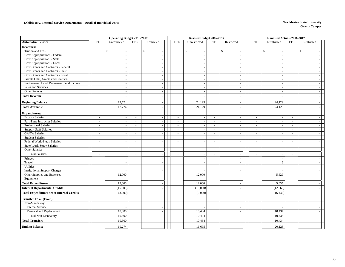#### **Exhibit 18A. Internal Service Departments - Detail of Individual Units New Mexico State University**

|                                                   | <b>Operating Budget 2016-2017</b>  |                                                      |  | Revised Budget 2016-2017 | <b>Unaudited Actuals 2016-2017</b> |                          |                                |                |                          |
|---------------------------------------------------|------------------------------------|------------------------------------------------------|--|--------------------------|------------------------------------|--------------------------|--------------------------------|----------------|--------------------------|
| <b>Automotive Service</b>                         | <b>FTE</b><br>Unrestricted         | <b>FTE</b><br>Restricted                             |  | <b>FTE</b>               | Unrestricted                       | <b>FTE</b><br>Restricted | <b>FTE</b><br>Unrestricted     | <b>FTE</b>     | Restricted               |
| <b>Revenues:</b>                                  |                                    |                                                      |  |                          |                                    |                          |                                |                |                          |
| Tuition and Fees                                  | \$                                 | $\mathbb{S}$                                         |  | $\mathbb{S}$             |                                    | $\mathbb{S}$<br>$\sim$   | \$<br>$\sim$                   |                | $\mathbb{S}$             |
| Govt Appropriations - Federal                     | $\sim$                             | $\overline{\phantom{a}}$                             |  |                          | $\overline{\phantom{a}}$           | $\sim$                   | $\sim$                         |                | $\overline{\phantom{a}}$ |
| Govt Appropriations - State                       | $\overline{a}$                     | in 1919.                                             |  |                          | $\overline{a}$                     | $\sim$                   | ÷.                             |                | $\sim$                   |
| Govt Appropriations - Local                       | $\sim$                             | $\sim$                                               |  |                          | $\sim$                             | $\sim$                   | ÷.                             |                | $\sim$                   |
| Govt Grants and Contracts - Federal               | $\sim$                             | $\sim$                                               |  |                          | ÷.                                 | $\sim$                   | $\sim$                         |                | $\sim$                   |
| Govt Grants and Contracts - State                 | ÷.                                 |                                                      |  |                          |                                    | $\sim$                   | $\sim$                         |                | $\overline{a}$           |
| Govt Grants and Contracts - Local                 | $\sim$                             | $\sim$                                               |  |                          | $\sim$                             | $\sim$                   | $\sim$                         |                | $\blacksquare$           |
| Private Gifts, Grants and Contracts               | $\sim$                             |                                                      |  |                          |                                    | $\sim$                   | ÷.                             |                | $\sim$                   |
| Endowment, Land, Permanent Fund Income            | $\sim$                             | $\sim$                                               |  |                          |                                    | $\overline{\phantom{a}}$ | $\sim$                         |                | $\blacksquare$           |
| Sales and Services                                | $\overline{a}$                     | $\sim$                                               |  |                          | $\overline{a}$                     | $\sim$                   | $\sim$                         |                | $\sim$                   |
| Other Sources                                     | $\sim$                             | $\sim$                                               |  |                          | $\sim$                             | $\sim$                   | $\sim$                         |                | $\sim$                   |
| <b>Total Revenue</b>                              |                                    |                                                      |  |                          |                                    | $\overline{\phantom{a}}$ | $\sim$                         |                | $\sim$                   |
| <b>Beginning Balance</b>                          | 17,774                             |                                                      |  |                          | 24,129                             |                          | 24,129                         |                |                          |
| <b>Total Available</b>                            | 17,774                             |                                                      |  |                          | 24,129                             | $\sim$                   | 24,129                         |                |                          |
| <b>Expenditures:</b>                              |                                    |                                                      |  |                          |                                    |                          |                                |                |                          |
| <b>Faculty Salaries</b>                           | $\sim$<br>÷.                       | $\sim$                                               |  | $\sim$                   | $\overline{a}$                     | $\sim$<br>$\sim$         | $\sim$<br>÷.                   | $\sim$         | $\overline{a}$           |
| Part-Time Instructor Salaries                     | $\sim$<br>$\sim$                   | $\overline{a}$<br>$\overline{\phantom{a}}$           |  | $\sim$                   | $\overline{\phantom{a}}$           | $\sim$<br>$\sim$         | $\sim$<br>$\overline{a}$       | $\sim$         | $\overline{\phantom{a}}$ |
| Professional Salaries                             | $\sim$<br>$\sim$                   | $\sim$<br>$\sim$                                     |  | $\sim$                   | $\sim$                             | $\sim$<br>$\sim$         | $\sim$<br>$\sim$               | $\sim$         | $\sim$                   |
| <b>Support Staff Salaries</b>                     | $\sim$<br>L,                       | $\sim$                                               |  | L,                       | $\sim$                             | $\blacksquare$<br>$\sim$ | $\blacksquare$<br>$\sim$       | $\blacksquare$ | $\sim$                   |
| GA/TA Salaries                                    | $\sim$<br>$\sim$                   | $\overline{\phantom{a}}$<br>$\overline{\phantom{a}}$ |  | $\overline{a}$           | $\overline{\phantom{a}}$           | $\sim$<br>$\sim$         | $\sim$<br>$\sim$               | $\sim$         | $\sim$                   |
| <b>Student Salaries</b>                           | $\overline{\phantom{a}}$<br>$\sim$ | $\sim$<br>$\sim$                                     |  | $\overline{\phantom{a}}$ | $\sim$                             | $\sim$<br>$\sim$         | $\blacksquare$<br>$\sim$       | $\sim$         | $\overline{\phantom{a}}$ |
| Federal Work-Study Salaries                       | $\sim$<br>$\sim$                   | $\sim$<br>$\sim$                                     |  | $\sim$                   | $\sim$                             | $\sim$<br>$\sim$         | $\sim$<br>$\sim$               | $\sim$         | $\sim$                   |
| State Work-Study Salaries                         | $\sim$<br>$\sim$                   | $\sim$<br>$\sim$                                     |  | $\omega$                 | $\sim$                             | $\sim$<br>$\sim$         | $\sim$<br>$\sim$               | $\sim$         | $\sim$                   |
| Other Salaries                                    | $\sim$<br>÷.                       | $\sim$<br>$\sim$                                     |  | $\sim$                   | $\sim$                             | $\sim$<br>$\sim$         | $\sim$<br>$\overline{a}$       | $\sim$         | $\sim$                   |
| <b>Total Salaries</b>                             | L,                                 |                                                      |  |                          |                                    | $\sim$                   | ä,<br>$\overline{\phantom{a}}$ |                | $\overline{\phantom{a}}$ |
| Fringes                                           |                                    | $\sim$                                               |  |                          |                                    | $\sim$                   | $\overline{a}$                 |                | $\sim$                   |
| Travel                                            | ÷.                                 | $\sim$                                               |  |                          | $\sim$                             | $\sim$                   | 6                              |                | $\sim$                   |
| <b>Utilities</b>                                  |                                    | $\overline{\phantom{a}}$                             |  |                          |                                    | $\sim$                   | $\sim$                         |                | $\sim$                   |
| <b>Institutional Support Charges</b>              |                                    | $\sim$                                               |  |                          |                                    | $\sim$                   |                                |                | $\sim$                   |
| Other Supplies and Expenses                       | 12,000                             | $\overline{\phantom{a}}$                             |  |                          | 12,000                             | $\sim$                   | 5,629                          |                | $\sim$                   |
| Equipment                                         |                                    | $\sim$                                               |  |                          | $\overline{a}$                     | $\sim$                   |                                |                | $\sim$                   |
| <b>Total Expenditures</b>                         | 12,000                             |                                                      |  |                          | 12,000                             | $\overline{\phantom{a}}$ | 5,635                          |                |                          |
| <b>Internal Departmental Credits</b>              | (15,000)                           |                                                      |  |                          | (15,000)                           | $\sim$                   | (12,068)                       |                |                          |
| <b>Total Expenditures net of Internal Credits</b> | (3,000)                            |                                                      |  |                          | (3,000)                            |                          | (6, 433)                       |                |                          |
| <b>Transfer To or (From):</b>                     |                                    |                                                      |  |                          |                                    |                          |                                |                |                          |
| Non-Mandatory                                     |                                    |                                                      |  |                          |                                    |                          |                                |                |                          |
| <b>Internal Service</b>                           |                                    | $\sim$                                               |  |                          | $\overline{a}$                     | $\overline{\phantom{a}}$ |                                |                | $\overline{\phantom{a}}$ |
| Renewal and Replacement                           | 10,500                             | $\omega$                                             |  |                          | 10,434                             | $\sim$                   | 10,434                         |                | $\sim$                   |
| Total Non-Mandatory                               | 10,500                             |                                                      |  |                          | 10,434                             |                          | 10,434                         |                |                          |
| <b>Total Transfers</b>                            | 10,500                             |                                                      |  |                          | 10,434                             | $\sim$                   | 10,434                         |                |                          |
| <b>Ending Balance</b>                             | 10,274                             |                                                      |  |                          | 16,695                             |                          | 20,128                         |                |                          |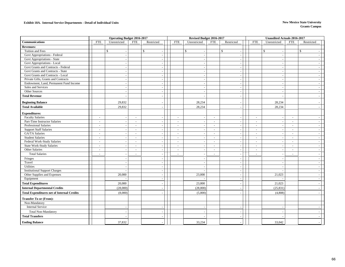#### **Exhibit 18A. Internal Service Departments - Detail of Individual Units New Mexico State University**

|                                                   | <b>Operating Budget 2016-2017</b>                                        |                                                                          |  |                                | Revised Budget 2016-2017                 |                  |                                          |                          | <b>Unaudited Actuals 2016-2017</b> |                  |                                    |
|---------------------------------------------------|--------------------------------------------------------------------------|--------------------------------------------------------------------------|--|--------------------------------|------------------------------------------|------------------|------------------------------------------|--------------------------|------------------------------------|------------------|------------------------------------|
| <b>Communications</b>                             | <b>FTE</b><br>Unrestricted                                               | <b>FTE</b><br>Restricted                                                 |  | <b>FTE</b>                     | Unrestricted                             | <b>FTE</b>       | Restricted                               | <b>FTE</b>               | Unrestricted                       | <b>FTE</b>       | Restricted                         |
| <b>Revenues:</b>                                  |                                                                          |                                                                          |  |                                |                                          |                  |                                          |                          |                                    |                  |                                    |
| Tuition and Fees                                  | $\mathbb{S}$<br>$\overline{\phantom{a}}$                                 | $\mathbb{S}$<br>$\overline{\phantom{a}}$                                 |  |                                | $\mathbb{S}$<br>$\overline{\phantom{a}}$ |                  | $\mathbb{S}$<br>$\overline{\phantom{a}}$ |                          | $\mathbb{S}$<br>$\sim$             |                  | $\mathbb{S}$                       |
| Govt Appropriations - Federal                     | $\sim$                                                                   |                                                                          |  |                                |                                          |                  | $\sim$                                   |                          | ÷.                                 |                  |                                    |
| Govt Appropriations - State                       | $\sim$                                                                   | $\sim$                                                                   |  |                                |                                          |                  | $\sim$                                   |                          | $\overline{\phantom{a}}$           |                  |                                    |
| Govt Appropriations - Local                       |                                                                          |                                                                          |  |                                |                                          |                  | $\sim$                                   |                          |                                    |                  |                                    |
| Govt Grants and Contracts - Federal               | $\sim$                                                                   | $\sim$                                                                   |  |                                | $\overline{\phantom{a}}$                 |                  | $\sim$                                   |                          | $\sim$                             |                  | $\sim$                             |
| Govt Grants and Contracts - State                 | $\sim$                                                                   | $\overline{\phantom{a}}$                                                 |  |                                |                                          |                  | $\overline{\phantom{a}}$                 |                          | $\sim$                             |                  |                                    |
| Govt Grants and Contracts - Local                 |                                                                          |                                                                          |  |                                |                                          |                  | $\sim$                                   |                          |                                    |                  |                                    |
| Private Gifts, Grants and Contracts               | $\sim$                                                                   | $\sim$                                                                   |  |                                | $\sim$                                   |                  | $\sim$                                   |                          | $\sim$                             |                  | $\overline{\phantom{a}}$           |
| Endowment, Land, Permanent Fund Income            |                                                                          |                                                                          |  |                                |                                          |                  | $\sim$                                   |                          | $\sim$                             |                  |                                    |
| Sales and Services                                | $\sim$                                                                   | $\overline{\phantom{a}}$                                                 |  |                                | $\overline{\phantom{a}}$                 |                  | $\sim$                                   |                          | $\sim$                             |                  | $\overline{\phantom{a}}$           |
| Other Sources                                     | $\sim$                                                                   | $\sim$                                                                   |  |                                | $\overline{\phantom{a}}$                 |                  | $\sim$                                   |                          | ÷.                                 |                  | $\sim$                             |
| <b>Total Revenue</b>                              |                                                                          |                                                                          |  |                                |                                          |                  | $\sim$                                   |                          |                                    |                  |                                    |
| <b>Beginning Balance</b>                          | 29,832                                                                   |                                                                          |  |                                | 28,234                                   |                  |                                          |                          | 28,234                             |                  |                                    |
| <b>Total Available</b>                            | 29,832                                                                   |                                                                          |  |                                | 28,234                                   |                  |                                          |                          | 28,234                             |                  |                                    |
|                                                   |                                                                          |                                                                          |  |                                |                                          |                  |                                          |                          |                                    |                  |                                    |
| <b>Expenditures:</b>                              |                                                                          |                                                                          |  |                                |                                          |                  |                                          |                          |                                    |                  |                                    |
| <b>Faculty Salaries</b>                           | $\sim$<br>$\overline{\phantom{a}}$                                       | $\sim$                                                                   |  | ÷.                             | $\overline{\phantom{a}}$                 | $\sim$           | $\overline{\phantom{a}}$                 | $\sim$                   | $\sim$                             | $\sim$           | $\overline{a}$                     |
| Part-Time Instructor Salaries                     | $\overline{a}$<br>$\overline{\phantom{a}}$                               | $\sim$<br>$\sim$                                                         |  | $\overline{\phantom{a}}$       | $\overline{\phantom{a}}$                 | $\sim$           | $\sim$                                   | $\overline{a}$           | $\sim$                             | $\sim$           | $\sim$                             |
| <b>Professional Salaries</b>                      | $\sim$<br>÷.                                                             | $\sim$<br>$\sim$                                                         |  | $\sim$                         |                                          | $\sim$           | $\sim$                                   | $\sim$                   | $\sim$                             | $\sim$           | $\sim$                             |
| <b>Support Staff Salaries</b>                     | $\sim$<br>$\overline{\phantom{a}}$                                       | $\sim$<br>$\overline{\phantom{a}}$                                       |  | $\sim$                         | $\overline{\phantom{a}}$                 | $\sim$           | $\sim$                                   | $\sim$                   | $\sim$                             | $\sim$           | $\overline{\phantom{a}}$           |
| <b>GA/TA Salaries</b><br><b>Student Salaries</b>  | $\overline{a}$<br>$\sim$                                                 | $\sim$                                                                   |  | ÷.                             |                                          | $\sim$           | $\sim$                                   | $\sim$                   | ÷.                                 | $\sim$           | $\sim$                             |
| Federal Work-Study Salaries                       | $\sim$<br>$\overline{\phantom{a}}$                                       | $\sim$<br>$\overline{\phantom{a}}$                                       |  | ÷.<br>$\overline{\phantom{a}}$ | $\overline{a}$                           | $\sim$<br>$\sim$ | $\sim$                                   | $\sim$                   | ÷.                                 | $\sim$<br>$\sim$ | $\sim$                             |
| <b>State Work-Study Salaries</b>                  | $\sim$<br>$\overline{\phantom{a}}$<br>$\sim$<br>$\overline{\phantom{a}}$ | $\overline{\phantom{a}}$<br>$\overline{\phantom{a}}$<br>$\sim$<br>$\sim$ |  | $\sim$                         | $\overline{\phantom{a}}$<br>$\sim$       | $\sim$           | $\sim$<br>$\sim$                         | $\blacksquare$<br>$\sim$ | $\overline{\phantom{a}}$<br>$\sim$ | $\sim$           | $\overline{\phantom{a}}$<br>$\sim$ |
| Other Salaries                                    | $\sim$<br>$\overline{\phantom{a}}$                                       | $\overline{\phantom{a}}$<br>$\overline{\phantom{a}}$                     |  | $\sim$                         | $\overline{\phantom{a}}$                 | $\sim$           | $\sim$                                   | $\blacksquare$           | $\sim$                             | $\sim$           | $\overline{\phantom{a}}$           |
| <b>Total Salaries</b>                             | $\overline{\phantom{a}}$<br>$\sim$                                       |                                                                          |  | L.                             | $\overline{a}$                           | $\sim$           | $\sim$                                   | ÷.                       | $\sim$                             |                  | $\sim$                             |
|                                                   |                                                                          |                                                                          |  |                                |                                          |                  |                                          |                          |                                    |                  |                                    |
| Fringes<br>Travel                                 |                                                                          |                                                                          |  |                                |                                          |                  | $\overline{\phantom{a}}$                 |                          | $\overline{\phantom{a}}$           |                  |                                    |
|                                                   |                                                                          | $\sim$                                                                   |  |                                |                                          |                  | $\sim$                                   |                          | $\sim$                             |                  | $\overline{\phantom{a}}$           |
| Utilities<br><b>Institutional Support Charges</b> | $\sim$                                                                   | $\sim$<br>$\sim$                                                         |  |                                | $\sim$<br>$\overline{a}$                 |                  | $\sim$<br>$\sim$                         |                          | $\sim$<br>$\sim$                   |                  | $\sim$<br>$\sim$                   |
| Other Supplies and Expenses                       | 20,000                                                                   | $\sim$                                                                   |  |                                | 23,000                                   |                  | $\sim$                                   |                          | 21,023                             |                  | $\overline{\phantom{a}}$           |
| Equipment                                         |                                                                          | $\sim$                                                                   |  |                                |                                          |                  | $\sim$                                   |                          |                                    |                  | $\overline{\phantom{a}}$           |
| <b>Total Expenditures</b>                         | 20,000                                                                   |                                                                          |  |                                | 23,000                                   |                  | $\sim$                                   |                          | 21,023                             |                  |                                    |
| <b>Internal Departmental Credits</b>              | (28,000)                                                                 |                                                                          |  |                                | (28,000)                                 |                  | $\sim$                                   |                          | (25, 831)                          |                  | $\sim$                             |
| <b>Total Expenditures net of Internal Credits</b> | (8,000)                                                                  |                                                                          |  |                                | (5,000)                                  |                  | $\sim$                                   |                          | (4,808)                            |                  | ÷.                                 |
|                                                   |                                                                          |                                                                          |  |                                |                                          |                  |                                          |                          |                                    |                  |                                    |
| <b>Transfer To or (From):</b>                     |                                                                          |                                                                          |  |                                |                                          |                  |                                          |                          |                                    |                  |                                    |
| Non-Mandatory                                     |                                                                          |                                                                          |  |                                |                                          |                  |                                          |                          |                                    |                  |                                    |
| <b>Internal Service</b>                           |                                                                          |                                                                          |  |                                |                                          |                  | $\overline{\phantom{a}}$                 |                          |                                    |                  |                                    |
| <b>Total Non-Mandatory</b>                        |                                                                          |                                                                          |  |                                |                                          |                  | $\overline{a}$                           |                          |                                    |                  |                                    |
| <b>Total Transfers</b>                            |                                                                          |                                                                          |  |                                |                                          |                  |                                          |                          |                                    |                  |                                    |
| <b>Ending Balance</b>                             | 37,832                                                                   |                                                                          |  |                                | 33,234                                   |                  |                                          |                          | 33,042                             |                  |                                    |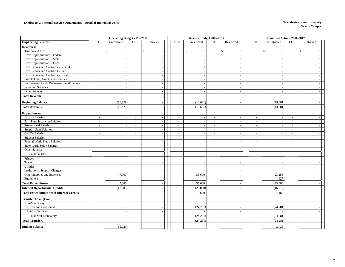#### **Exhibit 18A. Internal Service Departments - Detail of Individual Units New Mexico State University**

|                                                   |                                    | <b>Operating Budget 2016-2017</b>          | Revised Budget 2016-2017 |                                    |            | <b>Unaudited Actuals 2016-2017</b> |                                |                |                          |
|---------------------------------------------------|------------------------------------|--------------------------------------------|--------------------------|------------------------------------|------------|------------------------------------|--------------------------------|----------------|--------------------------|
| <b>Duplicating Services</b>                       | <b>FTE</b><br>Unrestricted         | <b>FTE</b><br>Restricted                   |                          | <b>FTE</b><br>Unrestricted         | <b>FTE</b> | Restricted                         | <b>FTE</b><br>Unrestricted     | <b>FTE</b>     | Restricted               |
| <b>Revenues:</b>                                  |                                    |                                            |                          |                                    |            |                                    |                                |                |                          |
| Tuition and Fees                                  | \$                                 | $\mathbb{S}$                               |                          | $\mathbb{S}$                       |            | $\mathbb{S}$<br>$\sim$             | \$<br>$\sim$                   |                | $\mathbb{S}$             |
| Govt Appropriations - Federal                     | $\sim$                             | $\overline{\phantom{a}}$                   |                          | $\overline{\phantom{a}}$           |            | $\sim$                             | $\sim$                         |                | $\overline{\phantom{a}}$ |
| Govt Appropriations - State                       | $\overline{a}$                     | in 1919.                                   |                          | $\overline{a}$                     |            | $\sim$                             | ÷.                             |                | $\sim$                   |
| Govt Appropriations - Local                       | $\sim$                             | $\sim$                                     |                          | $\sim$                             |            | $\sim$                             | ÷.                             |                | $\sim$                   |
| Govt Grants and Contracts - Federal               | $\sim$                             |                                            |                          |                                    |            | $\sim$                             | $\sim$                         |                | $\sim$                   |
| Govt Grants and Contracts - State                 | ÷.                                 |                                            |                          |                                    |            | $\sim$                             | $\sim$                         |                | $\overline{a}$           |
| Govt Grants and Contracts - Local                 | $\sim$                             | $\sim$                                     |                          | $\overline{\phantom{a}}$           |            | $\sim$                             | $\sim$                         |                | $\overline{\phantom{a}}$ |
| Private Gifts, Grants and Contracts               | $\sim$                             |                                            |                          |                                    |            | $\sim$                             | ÷.                             |                | $\sim$                   |
| Endowment, Land, Permanent Fund Income            | $\sim$                             | $\sim$                                     |                          |                                    |            | $\overline{\phantom{a}}$           | $\sim$                         |                | $\blacksquare$           |
| Sales and Services                                | $\overline{a}$                     | $\sim$                                     |                          | $\overline{a}$                     |            | $\sim$                             | $\sim$                         |                | $\sim$                   |
| Other Sources                                     | $\sim$                             | $\sim$                                     |                          | $\overline{a}$                     |            | $\sim$                             | $\sim$                         |                | $\sim$                   |
| <b>Total Revenue</b>                              |                                    |                                            |                          |                                    |            | $\overline{\phantom{a}}$           |                                |                | $\sim$                   |
| <b>Beginning Balance</b>                          | (16,929)                           |                                            |                          | (13,681)                           |            |                                    | (13,681)                       |                |                          |
| <b>Total Available</b>                            | (16,929)                           |                                            |                          | (13,681)                           |            | $\sim$                             | (13,681)                       |                |                          |
| <b>Expenditures:</b>                              |                                    |                                            |                          |                                    |            |                                    |                                |                |                          |
| <b>Faculty Salaries</b>                           | $\sim$<br>÷.                       | $\sim$                                     |                          | $\sim$<br>$\overline{a}$           | $\sim$     | $\sim$                             | $\sim$<br>÷.                   | $\sim$         | $\overline{a}$           |
| Part-Time Instructor Salaries                     | $\sim$<br>$\sim$                   | $\overline{a}$<br>$\overline{\phantom{a}}$ |                          | $\sim$<br>$\overline{\phantom{a}}$ | $\sim$     | $\sim$                             | $\sim$<br>$\sim$               | $\sim$         | $\overline{\phantom{a}}$ |
| Professional Salaries                             | $\sim$<br>$\sim$                   | $\sim$<br>$\sim$                           |                          | $\sim$<br>$\sim$                   | $\sim$     | $\sim$                             | $\omega$<br>$\sim$             | $\sim$         | $\sim$                   |
| <b>Support Staff Salaries</b>                     | $\sim$<br>L,                       | $\sim$                                     |                          | L,<br>$\sim$                       | $\sim$     | $\blacksquare$                     | $\blacksquare$<br>$\sim$       | $\blacksquare$ | $\sim$                   |
| GA/TA Salaries                                    | $\sim$<br>$\overline{\phantom{a}}$ | $\sim$<br>$\overline{\phantom{a}}$         |                          | $\overline{a}$                     | $\sim$     | $\sim$                             | $\sim$<br>$\sim$               | $\sim$         | $\sim$                   |
| <b>Student Salaries</b>                           | $\overline{\phantom{a}}$<br>$\sim$ | $\sim$<br>$\sim$                           |                          | $\overline{\phantom{a}}$<br>$\sim$ | $\sim$     | $\sim$                             | $\blacksquare$<br>$\sim$       | $\sim$         | $\overline{\phantom{a}}$ |
| Federal Work-Study Salaries                       | $\sim$<br>$\sim$                   | $\sim$<br>$\overline{\phantom{a}}$         |                          | $\sim$<br>$\sim$                   | $\sim$     | $\sim$                             | $\sim$<br>$\sim$               | $\sim$         | $\sim$                   |
| State Work-Study Salaries                         | $\sim$<br>$\sim$                   | $\sim$<br>$\sim$                           |                          | $\omega$<br>$\sim$                 | $\sim$     | $\sim$                             | $\sim$<br>$\sim$               | $\sim$         | $\sim$                   |
| Other Salaries                                    | $\sim$<br>÷.                       | $\sim$<br>$\sim$                           |                          | $\sim$<br>$\sim$                   | $\sim$     | $\sim$                             | $\sim$<br>$\overline{a}$       | $\sim$         | $\sim$                   |
| <b>Total Salaries</b>                             | L.                                 |                                            |                          |                                    |            | $\sim$                             | ä,<br>$\overline{\phantom{a}}$ |                | $\overline{\phantom{a}}$ |
| Fringes                                           |                                    | $\sim$                                     |                          |                                    |            | $\sim$                             | $\overline{a}$                 |                | $\sim$                   |
| Travel                                            | ÷.                                 | $\sim$                                     |                          | $\overline{a}$                     |            | $\sim$                             | $\sim$                         |                | $\sim$                   |
| <b>Utilities</b>                                  |                                    | $\overline{\phantom{a}}$                   |                          |                                    |            | $\sim$                             | $\sim$                         |                | $\sim$                   |
| <b>Institutional Support Charges</b>              |                                    | $\sim$                                     |                          |                                    |            | $\sim$                             |                                |                | $\sim$                   |
| Other Supplies and Expenses                       | 47,000                             | $\overline{\phantom{a}}$                   |                          | 35,600                             |            | $\sim$                             | 23,253                         |                | $\sim$                   |
| Equipment                                         |                                    | $\sim$                                     |                          | $\overline{a}$                     |            | $\sim$                             | 627                            |                | $\sim$                   |
| <b>Total Expenditures</b>                         | 47,000                             |                                            |                          | 35,600                             |            | $\overline{\phantom{a}}$           | 23,880                         |                |                          |
| <b>Internal Departmental Credits</b>              | (47,000)                           |                                            |                          | (25,000)                           |            | $\sim$                             | (16, 715)                      |                |                          |
| <b>Total Expenditures net of Internal Credits</b> |                                    |                                            |                          | 10,600                             |            |                                    | 7,165                          |                |                          |
| <b>Transfer To or (From):</b>                     |                                    |                                            |                          |                                    |            |                                    |                                |                |                          |
| Non-Mandatory                                     |                                    |                                            |                          |                                    |            |                                    |                                |                |                          |
| <b>Instruction and General</b>                    | $\sim$                             | $\sim$                                     |                          | (24, 281)                          |            | $\sim$                             | (24, 281)                      |                | $\overline{\phantom{a}}$ |
| <b>Internal Service</b>                           |                                    | $\sim$                                     |                          |                                    |            | $\sim$                             |                                |                | $\mathcal{L}$            |
| Total Non-Mandatory                               |                                    |                                            |                          | (24, 281)                          |            | $\overline{\phantom{a}}$           | (24, 281)                      |                |                          |
| <b>Total Transfers</b>                            |                                    |                                            |                          | (24, 281)                          |            | $\sim$                             | (24, 281)                      |                |                          |
| <b>Ending Balance</b>                             | (16,929)                           |                                            |                          |                                    |            |                                    | 3,435                          |                |                          |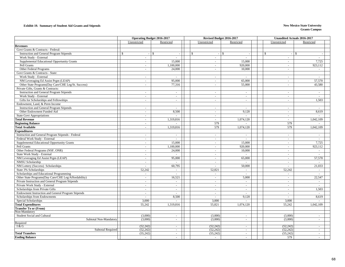#### **Exhibit 19. Summary of Student Aid Grants and Stipends New Mexico State University**

| Unrestricted<br>Restricted<br>Unrestricted<br>Restricted<br>Unrestricted<br>Restricted<br>Govt Grants & Contracts - Federal:<br>$\mathbb{S}$<br>$\mathbb{S}$<br>$\mathbb{S}$<br>$\mathbf{\hat{S}}$<br>$\$$<br><b>Instruction and General Program Stipends</b><br>\$<br>$\sim$<br>$\sim$<br>$\sim$<br>÷.<br>Work Study - External<br>$\mathbf{r}$<br>$\sim$<br>$\sim$<br>$\sim$<br>Supplemental Educational Opportunity Grants<br>7,725<br>15,000<br>15,000<br>$\omega$<br>$\sim$<br>$\sim$<br>Pell Grants<br>1,100,000<br>920,000<br>923,112<br>$\sim$<br>$\sim$<br>$\omega$<br>Other Federal Programs<br>24,000<br>10,000<br>$\omega$<br>$\sim$<br>$\blacksquare$<br>$\sim$<br>Govt Grants & Contracts - State:<br>Work Study - External<br>$\omega$<br>$\sim$<br>$\sim$<br>$\sim$<br>$\sim$<br>NM Leveraging Ed Assist Prgm (LEAP)<br>57,570<br>95,000<br>65,000<br>$\sim$<br>$\omega$<br>$\sim$<br>Other State Programs(Day Care/CHE Leg/St. Success)<br>55,000<br>43,580<br>77,316<br>$\omega$<br>$\omega$<br>$\sim$<br>Private Gifts, Grants & Contracts:<br><b>Instruction and General Program Stipends</b><br>$\sim$<br>$\blacksquare$<br>$\omega$<br>$\sim$<br>$\sim$<br>$\sim$<br>Work Study - External<br>$\sim$<br>$\sim$<br>$\sim$<br>$\sim$<br>$\sim$<br>$\sim$<br>Gifts for Scholarships and Fellowships<br>1,503<br>$\omega$<br>$\sim$<br>$\omega$<br>$\sim$<br>$\sim$<br>Endowment, Land, & Perm Income<br><b>Instruction and General Program Stipends</b><br>$\sim$<br>$\sim$<br>$\sim$<br>$\sim$<br>$\sim$<br>$\sim$<br>Other Endowment Funded Aid<br>8,500<br>9,120<br>8,619<br>$\omega$<br>÷.<br>$\omega$<br><b>State Govt Appropriations</b><br>$\sim$<br>$\sim$<br>$\sim$<br>$\sim$<br>$\sim$<br><b>Total Revenue</b><br>1,319,816<br>1,074,120<br>1,042,109<br>$\omega$ .<br>$\omega$ .<br>$\omega$<br><b>Beginning Balance</b><br>579<br>579<br>$\sim$<br>579<br><b>Total Available</b><br>1,319,816<br>1,074,120<br>579<br>1,042,109<br>÷.<br><b>Expenditures</b><br>Instruction and General Program Stipends - Federal<br>$\omega$<br>$\sim$<br>$\sim$<br>$\mathcal{L}$<br>$\omega$<br>$\sim$<br>Federal Work Study - External<br>$\omega$<br>$\sim$<br>$\omega$<br>$\omega$<br>$\sim$<br>$\sim$<br>Supplemental Educational Opportunity Grants<br>7,725<br>15,000<br>15,000<br>$\sim$<br>$\sim$<br>$\sim$<br>Pell Grants<br>923,112<br>1,100,000<br>920,000<br>$\omega$<br>$\omega$<br>$\sim$<br>Other Federal Programs (NSF, ONR)<br>24,000<br>10,000<br>$\sim$<br>÷.<br>$\mathcal{L}$<br>$\sim$<br>State Work Study - External<br>$\omega$<br>$\mathcal{L}^{\mathcal{A}}$<br>$\mathbf{r}$<br>$\omega$<br>$\mathcal{L}^{\mathcal{A}}$<br>NM Leveraging Ed Assist Prgm (LEAP)<br>95,000<br>57,570<br>65,000<br>$\omega$<br>$\omega$<br>$\omega$<br>NMSU Scholarship<br>$\sim$<br>$\sim$<br>$\sim$<br>$\sim$<br>$\sim$<br>$\sim$<br>NM Lottery (Success) Scholarships<br>21,033<br>60,795<br>50,000<br>$\omega$<br>$\mathbf{r}$<br>$\sim$<br>State 3% Scholarships<br>52,242<br>52,242<br>52,821<br>$\sim$<br>$\sim$<br>$\overline{\phantom{a}}$<br>Scholarships and Educational Programming<br>÷.<br>$\sim$<br>$\sim$<br>$\sim$<br>Other State Programs(Day Care/CHE Leg/Affordability)<br>22,547<br>16,521<br>5,000<br>$\sim$<br>$\sim$<br>$\sim$<br>Private Instruction and General Program Stipends<br>$\sim$<br>$\sim$<br>$\sim$<br>$\sim$<br>$\sim$<br>$\sim$<br>Private Work Study - External<br>$\sim$<br>$\sim$<br>$\sim$<br>$\sim$<br>$\sim$<br>$\sim$<br>Scholarships from Private Gifts<br>1,503<br>$\sim$<br>$\sim$<br>$\sim$<br>$\sim$<br>$\sim$<br>Endowment Instruction and General Program Stipends<br>$\sim$<br>$\sim$<br>$\sim$<br>$\sim$<br>$\sim$<br>$\sim$<br>Scholarships from Endowments<br>8.500<br>9,120<br>8.619<br>$\omega$<br>$\mathcal{L}$<br>$\sim$<br>Special Scholarships<br>3,000<br>3,000<br>3,000<br>$\mathbf{r}$<br>$\overline{a}$<br><b>Total Expenditures</b><br>55.821<br>1,074,120<br>1,042,109<br>55.242<br>1,319,816<br>55.242<br><b>Transfer To or (From)</b><br>Non-Mandatory<br>Student Social and Cultural<br>(3,000)<br>(3,000)<br>(3,000)<br>$\sim$<br>$\sim$<br>$\sim$<br>(3,000)<br>Subtotal Non-Mandatory<br>(3,000)<br>(3,000)<br>$\blacksquare$<br>$\sim$<br>$\overline{\phantom{a}}$<br>Required<br>I & G<br>(52, 242)<br>(52, 242)<br>(52, 242)<br>$\omega$<br>$\sim$<br>$\sim$<br><b>Subtotal Required</b><br>(52, 242)<br>(52, 242)<br>(52, 242)<br>$\overline{\phantom{a}}$<br>$\sim$<br>$\sim$<br>(55, 242)<br>(55, 242)<br>(55, 242)<br><b>Total Transfers</b><br>$\omega$<br>$\sim$<br>$\sim$<br>579<br>$\sim$<br>$\sim$<br>$\sim$<br>$\sim$<br>$\sim$ |                       | <b>Operating Budget 2016-2017</b> |  | Revised Budget 2016-2017 | <b>Unaudited Actuals 2016-2017</b> |  |
|------------------------------------------------------------------------------------------------------------------------------------------------------------------------------------------------------------------------------------------------------------------------------------------------------------------------------------------------------------------------------------------------------------------------------------------------------------------------------------------------------------------------------------------------------------------------------------------------------------------------------------------------------------------------------------------------------------------------------------------------------------------------------------------------------------------------------------------------------------------------------------------------------------------------------------------------------------------------------------------------------------------------------------------------------------------------------------------------------------------------------------------------------------------------------------------------------------------------------------------------------------------------------------------------------------------------------------------------------------------------------------------------------------------------------------------------------------------------------------------------------------------------------------------------------------------------------------------------------------------------------------------------------------------------------------------------------------------------------------------------------------------------------------------------------------------------------------------------------------------------------------------------------------------------------------------------------------------------------------------------------------------------------------------------------------------------------------------------------------------------------------------------------------------------------------------------------------------------------------------------------------------------------------------------------------------------------------------------------------------------------------------------------------------------------------------------------------------------------------------------------------------------------------------------------------------------------------------------------------------------------------------------------------------------------------------------------------------------------------------------------------------------------------------------------------------------------------------------------------------------------------------------------------------------------------------------------------------------------------------------------------------------------------------------------------------------------------------------------------------------------------------------------------------------------------------------------------------------------------------------------------------------------------------------------------------------------------------------------------------------------------------------------------------------------------------------------------------------------------------------------------------------------------------------------------------------------------------------------------------------------------------------------------------------------------------------------------------------------------------------------------------------------------------------------------------------------------------------------------------------------------------------------------------------------------------------------------------------------------------------------------------------------------------------------------------------------------------------------------------------------------------------------------------------------------------------------------------------------------------------------------------------------------------------------------------------------------------------------------------------------------------------------------------------------------------------------------------------------------------------------------------------------------------------------------------------------------------------------------------------------------------------|-----------------------|-----------------------------------|--|--------------------------|------------------------------------|--|
|                                                                                                                                                                                                                                                                                                                                                                                                                                                                                                                                                                                                                                                                                                                                                                                                                                                                                                                                                                                                                                                                                                                                                                                                                                                                                                                                                                                                                                                                                                                                                                                                                                                                                                                                                                                                                                                                                                                                                                                                                                                                                                                                                                                                                                                                                                                                                                                                                                                                                                                                                                                                                                                                                                                                                                                                                                                                                                                                                                                                                                                                                                                                                                                                                                                                                                                                                                                                                                                                                                                                                                                                                                                                                                                                                                                                                                                                                                                                                                                                                                                                                                                                                                                                                                                                                                                                                                                                                                                                                                                                                                                                                                                |                       |                                   |  |                          |                                    |  |
|                                                                                                                                                                                                                                                                                                                                                                                                                                                                                                                                                                                                                                                                                                                                                                                                                                                                                                                                                                                                                                                                                                                                                                                                                                                                                                                                                                                                                                                                                                                                                                                                                                                                                                                                                                                                                                                                                                                                                                                                                                                                                                                                                                                                                                                                                                                                                                                                                                                                                                                                                                                                                                                                                                                                                                                                                                                                                                                                                                                                                                                                                                                                                                                                                                                                                                                                                                                                                                                                                                                                                                                                                                                                                                                                                                                                                                                                                                                                                                                                                                                                                                                                                                                                                                                                                                                                                                                                                                                                                                                                                                                                                                                | <b>Revenues</b>       |                                   |  |                          |                                    |  |
|                                                                                                                                                                                                                                                                                                                                                                                                                                                                                                                                                                                                                                                                                                                                                                                                                                                                                                                                                                                                                                                                                                                                                                                                                                                                                                                                                                                                                                                                                                                                                                                                                                                                                                                                                                                                                                                                                                                                                                                                                                                                                                                                                                                                                                                                                                                                                                                                                                                                                                                                                                                                                                                                                                                                                                                                                                                                                                                                                                                                                                                                                                                                                                                                                                                                                                                                                                                                                                                                                                                                                                                                                                                                                                                                                                                                                                                                                                                                                                                                                                                                                                                                                                                                                                                                                                                                                                                                                                                                                                                                                                                                                                                |                       |                                   |  |                          |                                    |  |
|                                                                                                                                                                                                                                                                                                                                                                                                                                                                                                                                                                                                                                                                                                                                                                                                                                                                                                                                                                                                                                                                                                                                                                                                                                                                                                                                                                                                                                                                                                                                                                                                                                                                                                                                                                                                                                                                                                                                                                                                                                                                                                                                                                                                                                                                                                                                                                                                                                                                                                                                                                                                                                                                                                                                                                                                                                                                                                                                                                                                                                                                                                                                                                                                                                                                                                                                                                                                                                                                                                                                                                                                                                                                                                                                                                                                                                                                                                                                                                                                                                                                                                                                                                                                                                                                                                                                                                                                                                                                                                                                                                                                                                                |                       |                                   |  |                          |                                    |  |
|                                                                                                                                                                                                                                                                                                                                                                                                                                                                                                                                                                                                                                                                                                                                                                                                                                                                                                                                                                                                                                                                                                                                                                                                                                                                                                                                                                                                                                                                                                                                                                                                                                                                                                                                                                                                                                                                                                                                                                                                                                                                                                                                                                                                                                                                                                                                                                                                                                                                                                                                                                                                                                                                                                                                                                                                                                                                                                                                                                                                                                                                                                                                                                                                                                                                                                                                                                                                                                                                                                                                                                                                                                                                                                                                                                                                                                                                                                                                                                                                                                                                                                                                                                                                                                                                                                                                                                                                                                                                                                                                                                                                                                                |                       |                                   |  |                          |                                    |  |
|                                                                                                                                                                                                                                                                                                                                                                                                                                                                                                                                                                                                                                                                                                                                                                                                                                                                                                                                                                                                                                                                                                                                                                                                                                                                                                                                                                                                                                                                                                                                                                                                                                                                                                                                                                                                                                                                                                                                                                                                                                                                                                                                                                                                                                                                                                                                                                                                                                                                                                                                                                                                                                                                                                                                                                                                                                                                                                                                                                                                                                                                                                                                                                                                                                                                                                                                                                                                                                                                                                                                                                                                                                                                                                                                                                                                                                                                                                                                                                                                                                                                                                                                                                                                                                                                                                                                                                                                                                                                                                                                                                                                                                                |                       |                                   |  |                          |                                    |  |
|                                                                                                                                                                                                                                                                                                                                                                                                                                                                                                                                                                                                                                                                                                                                                                                                                                                                                                                                                                                                                                                                                                                                                                                                                                                                                                                                                                                                                                                                                                                                                                                                                                                                                                                                                                                                                                                                                                                                                                                                                                                                                                                                                                                                                                                                                                                                                                                                                                                                                                                                                                                                                                                                                                                                                                                                                                                                                                                                                                                                                                                                                                                                                                                                                                                                                                                                                                                                                                                                                                                                                                                                                                                                                                                                                                                                                                                                                                                                                                                                                                                                                                                                                                                                                                                                                                                                                                                                                                                                                                                                                                                                                                                |                       |                                   |  |                          |                                    |  |
|                                                                                                                                                                                                                                                                                                                                                                                                                                                                                                                                                                                                                                                                                                                                                                                                                                                                                                                                                                                                                                                                                                                                                                                                                                                                                                                                                                                                                                                                                                                                                                                                                                                                                                                                                                                                                                                                                                                                                                                                                                                                                                                                                                                                                                                                                                                                                                                                                                                                                                                                                                                                                                                                                                                                                                                                                                                                                                                                                                                                                                                                                                                                                                                                                                                                                                                                                                                                                                                                                                                                                                                                                                                                                                                                                                                                                                                                                                                                                                                                                                                                                                                                                                                                                                                                                                                                                                                                                                                                                                                                                                                                                                                |                       |                                   |  |                          |                                    |  |
|                                                                                                                                                                                                                                                                                                                                                                                                                                                                                                                                                                                                                                                                                                                                                                                                                                                                                                                                                                                                                                                                                                                                                                                                                                                                                                                                                                                                                                                                                                                                                                                                                                                                                                                                                                                                                                                                                                                                                                                                                                                                                                                                                                                                                                                                                                                                                                                                                                                                                                                                                                                                                                                                                                                                                                                                                                                                                                                                                                                                                                                                                                                                                                                                                                                                                                                                                                                                                                                                                                                                                                                                                                                                                                                                                                                                                                                                                                                                                                                                                                                                                                                                                                                                                                                                                                                                                                                                                                                                                                                                                                                                                                                |                       |                                   |  |                          |                                    |  |
|                                                                                                                                                                                                                                                                                                                                                                                                                                                                                                                                                                                                                                                                                                                                                                                                                                                                                                                                                                                                                                                                                                                                                                                                                                                                                                                                                                                                                                                                                                                                                                                                                                                                                                                                                                                                                                                                                                                                                                                                                                                                                                                                                                                                                                                                                                                                                                                                                                                                                                                                                                                                                                                                                                                                                                                                                                                                                                                                                                                                                                                                                                                                                                                                                                                                                                                                                                                                                                                                                                                                                                                                                                                                                                                                                                                                                                                                                                                                                                                                                                                                                                                                                                                                                                                                                                                                                                                                                                                                                                                                                                                                                                                |                       |                                   |  |                          |                                    |  |
|                                                                                                                                                                                                                                                                                                                                                                                                                                                                                                                                                                                                                                                                                                                                                                                                                                                                                                                                                                                                                                                                                                                                                                                                                                                                                                                                                                                                                                                                                                                                                                                                                                                                                                                                                                                                                                                                                                                                                                                                                                                                                                                                                                                                                                                                                                                                                                                                                                                                                                                                                                                                                                                                                                                                                                                                                                                                                                                                                                                                                                                                                                                                                                                                                                                                                                                                                                                                                                                                                                                                                                                                                                                                                                                                                                                                                                                                                                                                                                                                                                                                                                                                                                                                                                                                                                                                                                                                                                                                                                                                                                                                                                                |                       |                                   |  |                          |                                    |  |
|                                                                                                                                                                                                                                                                                                                                                                                                                                                                                                                                                                                                                                                                                                                                                                                                                                                                                                                                                                                                                                                                                                                                                                                                                                                                                                                                                                                                                                                                                                                                                                                                                                                                                                                                                                                                                                                                                                                                                                                                                                                                                                                                                                                                                                                                                                                                                                                                                                                                                                                                                                                                                                                                                                                                                                                                                                                                                                                                                                                                                                                                                                                                                                                                                                                                                                                                                                                                                                                                                                                                                                                                                                                                                                                                                                                                                                                                                                                                                                                                                                                                                                                                                                                                                                                                                                                                                                                                                                                                                                                                                                                                                                                |                       |                                   |  |                          |                                    |  |
|                                                                                                                                                                                                                                                                                                                                                                                                                                                                                                                                                                                                                                                                                                                                                                                                                                                                                                                                                                                                                                                                                                                                                                                                                                                                                                                                                                                                                                                                                                                                                                                                                                                                                                                                                                                                                                                                                                                                                                                                                                                                                                                                                                                                                                                                                                                                                                                                                                                                                                                                                                                                                                                                                                                                                                                                                                                                                                                                                                                                                                                                                                                                                                                                                                                                                                                                                                                                                                                                                                                                                                                                                                                                                                                                                                                                                                                                                                                                                                                                                                                                                                                                                                                                                                                                                                                                                                                                                                                                                                                                                                                                                                                |                       |                                   |  |                          |                                    |  |
|                                                                                                                                                                                                                                                                                                                                                                                                                                                                                                                                                                                                                                                                                                                                                                                                                                                                                                                                                                                                                                                                                                                                                                                                                                                                                                                                                                                                                                                                                                                                                                                                                                                                                                                                                                                                                                                                                                                                                                                                                                                                                                                                                                                                                                                                                                                                                                                                                                                                                                                                                                                                                                                                                                                                                                                                                                                                                                                                                                                                                                                                                                                                                                                                                                                                                                                                                                                                                                                                                                                                                                                                                                                                                                                                                                                                                                                                                                                                                                                                                                                                                                                                                                                                                                                                                                                                                                                                                                                                                                                                                                                                                                                |                       |                                   |  |                          |                                    |  |
|                                                                                                                                                                                                                                                                                                                                                                                                                                                                                                                                                                                                                                                                                                                                                                                                                                                                                                                                                                                                                                                                                                                                                                                                                                                                                                                                                                                                                                                                                                                                                                                                                                                                                                                                                                                                                                                                                                                                                                                                                                                                                                                                                                                                                                                                                                                                                                                                                                                                                                                                                                                                                                                                                                                                                                                                                                                                                                                                                                                                                                                                                                                                                                                                                                                                                                                                                                                                                                                                                                                                                                                                                                                                                                                                                                                                                                                                                                                                                                                                                                                                                                                                                                                                                                                                                                                                                                                                                                                                                                                                                                                                                                                |                       |                                   |  |                          |                                    |  |
|                                                                                                                                                                                                                                                                                                                                                                                                                                                                                                                                                                                                                                                                                                                                                                                                                                                                                                                                                                                                                                                                                                                                                                                                                                                                                                                                                                                                                                                                                                                                                                                                                                                                                                                                                                                                                                                                                                                                                                                                                                                                                                                                                                                                                                                                                                                                                                                                                                                                                                                                                                                                                                                                                                                                                                                                                                                                                                                                                                                                                                                                                                                                                                                                                                                                                                                                                                                                                                                                                                                                                                                                                                                                                                                                                                                                                                                                                                                                                                                                                                                                                                                                                                                                                                                                                                                                                                                                                                                                                                                                                                                                                                                |                       |                                   |  |                          |                                    |  |
|                                                                                                                                                                                                                                                                                                                                                                                                                                                                                                                                                                                                                                                                                                                                                                                                                                                                                                                                                                                                                                                                                                                                                                                                                                                                                                                                                                                                                                                                                                                                                                                                                                                                                                                                                                                                                                                                                                                                                                                                                                                                                                                                                                                                                                                                                                                                                                                                                                                                                                                                                                                                                                                                                                                                                                                                                                                                                                                                                                                                                                                                                                                                                                                                                                                                                                                                                                                                                                                                                                                                                                                                                                                                                                                                                                                                                                                                                                                                                                                                                                                                                                                                                                                                                                                                                                                                                                                                                                                                                                                                                                                                                                                |                       |                                   |  |                          |                                    |  |
|                                                                                                                                                                                                                                                                                                                                                                                                                                                                                                                                                                                                                                                                                                                                                                                                                                                                                                                                                                                                                                                                                                                                                                                                                                                                                                                                                                                                                                                                                                                                                                                                                                                                                                                                                                                                                                                                                                                                                                                                                                                                                                                                                                                                                                                                                                                                                                                                                                                                                                                                                                                                                                                                                                                                                                                                                                                                                                                                                                                                                                                                                                                                                                                                                                                                                                                                                                                                                                                                                                                                                                                                                                                                                                                                                                                                                                                                                                                                                                                                                                                                                                                                                                                                                                                                                                                                                                                                                                                                                                                                                                                                                                                |                       |                                   |  |                          |                                    |  |
|                                                                                                                                                                                                                                                                                                                                                                                                                                                                                                                                                                                                                                                                                                                                                                                                                                                                                                                                                                                                                                                                                                                                                                                                                                                                                                                                                                                                                                                                                                                                                                                                                                                                                                                                                                                                                                                                                                                                                                                                                                                                                                                                                                                                                                                                                                                                                                                                                                                                                                                                                                                                                                                                                                                                                                                                                                                                                                                                                                                                                                                                                                                                                                                                                                                                                                                                                                                                                                                                                                                                                                                                                                                                                                                                                                                                                                                                                                                                                                                                                                                                                                                                                                                                                                                                                                                                                                                                                                                                                                                                                                                                                                                |                       |                                   |  |                          |                                    |  |
|                                                                                                                                                                                                                                                                                                                                                                                                                                                                                                                                                                                                                                                                                                                                                                                                                                                                                                                                                                                                                                                                                                                                                                                                                                                                                                                                                                                                                                                                                                                                                                                                                                                                                                                                                                                                                                                                                                                                                                                                                                                                                                                                                                                                                                                                                                                                                                                                                                                                                                                                                                                                                                                                                                                                                                                                                                                                                                                                                                                                                                                                                                                                                                                                                                                                                                                                                                                                                                                                                                                                                                                                                                                                                                                                                                                                                                                                                                                                                                                                                                                                                                                                                                                                                                                                                                                                                                                                                                                                                                                                                                                                                                                |                       |                                   |  |                          |                                    |  |
|                                                                                                                                                                                                                                                                                                                                                                                                                                                                                                                                                                                                                                                                                                                                                                                                                                                                                                                                                                                                                                                                                                                                                                                                                                                                                                                                                                                                                                                                                                                                                                                                                                                                                                                                                                                                                                                                                                                                                                                                                                                                                                                                                                                                                                                                                                                                                                                                                                                                                                                                                                                                                                                                                                                                                                                                                                                                                                                                                                                                                                                                                                                                                                                                                                                                                                                                                                                                                                                                                                                                                                                                                                                                                                                                                                                                                                                                                                                                                                                                                                                                                                                                                                                                                                                                                                                                                                                                                                                                                                                                                                                                                                                |                       |                                   |  |                          |                                    |  |
|                                                                                                                                                                                                                                                                                                                                                                                                                                                                                                                                                                                                                                                                                                                                                                                                                                                                                                                                                                                                                                                                                                                                                                                                                                                                                                                                                                                                                                                                                                                                                                                                                                                                                                                                                                                                                                                                                                                                                                                                                                                                                                                                                                                                                                                                                                                                                                                                                                                                                                                                                                                                                                                                                                                                                                                                                                                                                                                                                                                                                                                                                                                                                                                                                                                                                                                                                                                                                                                                                                                                                                                                                                                                                                                                                                                                                                                                                                                                                                                                                                                                                                                                                                                                                                                                                                                                                                                                                                                                                                                                                                                                                                                |                       |                                   |  |                          |                                    |  |
|                                                                                                                                                                                                                                                                                                                                                                                                                                                                                                                                                                                                                                                                                                                                                                                                                                                                                                                                                                                                                                                                                                                                                                                                                                                                                                                                                                                                                                                                                                                                                                                                                                                                                                                                                                                                                                                                                                                                                                                                                                                                                                                                                                                                                                                                                                                                                                                                                                                                                                                                                                                                                                                                                                                                                                                                                                                                                                                                                                                                                                                                                                                                                                                                                                                                                                                                                                                                                                                                                                                                                                                                                                                                                                                                                                                                                                                                                                                                                                                                                                                                                                                                                                                                                                                                                                                                                                                                                                                                                                                                                                                                                                                |                       |                                   |  |                          |                                    |  |
|                                                                                                                                                                                                                                                                                                                                                                                                                                                                                                                                                                                                                                                                                                                                                                                                                                                                                                                                                                                                                                                                                                                                                                                                                                                                                                                                                                                                                                                                                                                                                                                                                                                                                                                                                                                                                                                                                                                                                                                                                                                                                                                                                                                                                                                                                                                                                                                                                                                                                                                                                                                                                                                                                                                                                                                                                                                                                                                                                                                                                                                                                                                                                                                                                                                                                                                                                                                                                                                                                                                                                                                                                                                                                                                                                                                                                                                                                                                                                                                                                                                                                                                                                                                                                                                                                                                                                                                                                                                                                                                                                                                                                                                |                       |                                   |  |                          |                                    |  |
|                                                                                                                                                                                                                                                                                                                                                                                                                                                                                                                                                                                                                                                                                                                                                                                                                                                                                                                                                                                                                                                                                                                                                                                                                                                                                                                                                                                                                                                                                                                                                                                                                                                                                                                                                                                                                                                                                                                                                                                                                                                                                                                                                                                                                                                                                                                                                                                                                                                                                                                                                                                                                                                                                                                                                                                                                                                                                                                                                                                                                                                                                                                                                                                                                                                                                                                                                                                                                                                                                                                                                                                                                                                                                                                                                                                                                                                                                                                                                                                                                                                                                                                                                                                                                                                                                                                                                                                                                                                                                                                                                                                                                                                |                       |                                   |  |                          |                                    |  |
|                                                                                                                                                                                                                                                                                                                                                                                                                                                                                                                                                                                                                                                                                                                                                                                                                                                                                                                                                                                                                                                                                                                                                                                                                                                                                                                                                                                                                                                                                                                                                                                                                                                                                                                                                                                                                                                                                                                                                                                                                                                                                                                                                                                                                                                                                                                                                                                                                                                                                                                                                                                                                                                                                                                                                                                                                                                                                                                                                                                                                                                                                                                                                                                                                                                                                                                                                                                                                                                                                                                                                                                                                                                                                                                                                                                                                                                                                                                                                                                                                                                                                                                                                                                                                                                                                                                                                                                                                                                                                                                                                                                                                                                |                       |                                   |  |                          |                                    |  |
|                                                                                                                                                                                                                                                                                                                                                                                                                                                                                                                                                                                                                                                                                                                                                                                                                                                                                                                                                                                                                                                                                                                                                                                                                                                                                                                                                                                                                                                                                                                                                                                                                                                                                                                                                                                                                                                                                                                                                                                                                                                                                                                                                                                                                                                                                                                                                                                                                                                                                                                                                                                                                                                                                                                                                                                                                                                                                                                                                                                                                                                                                                                                                                                                                                                                                                                                                                                                                                                                                                                                                                                                                                                                                                                                                                                                                                                                                                                                                                                                                                                                                                                                                                                                                                                                                                                                                                                                                                                                                                                                                                                                                                                |                       |                                   |  |                          |                                    |  |
|                                                                                                                                                                                                                                                                                                                                                                                                                                                                                                                                                                                                                                                                                                                                                                                                                                                                                                                                                                                                                                                                                                                                                                                                                                                                                                                                                                                                                                                                                                                                                                                                                                                                                                                                                                                                                                                                                                                                                                                                                                                                                                                                                                                                                                                                                                                                                                                                                                                                                                                                                                                                                                                                                                                                                                                                                                                                                                                                                                                                                                                                                                                                                                                                                                                                                                                                                                                                                                                                                                                                                                                                                                                                                                                                                                                                                                                                                                                                                                                                                                                                                                                                                                                                                                                                                                                                                                                                                                                                                                                                                                                                                                                |                       |                                   |  |                          |                                    |  |
|                                                                                                                                                                                                                                                                                                                                                                                                                                                                                                                                                                                                                                                                                                                                                                                                                                                                                                                                                                                                                                                                                                                                                                                                                                                                                                                                                                                                                                                                                                                                                                                                                                                                                                                                                                                                                                                                                                                                                                                                                                                                                                                                                                                                                                                                                                                                                                                                                                                                                                                                                                                                                                                                                                                                                                                                                                                                                                                                                                                                                                                                                                                                                                                                                                                                                                                                                                                                                                                                                                                                                                                                                                                                                                                                                                                                                                                                                                                                                                                                                                                                                                                                                                                                                                                                                                                                                                                                                                                                                                                                                                                                                                                |                       |                                   |  |                          |                                    |  |
|                                                                                                                                                                                                                                                                                                                                                                                                                                                                                                                                                                                                                                                                                                                                                                                                                                                                                                                                                                                                                                                                                                                                                                                                                                                                                                                                                                                                                                                                                                                                                                                                                                                                                                                                                                                                                                                                                                                                                                                                                                                                                                                                                                                                                                                                                                                                                                                                                                                                                                                                                                                                                                                                                                                                                                                                                                                                                                                                                                                                                                                                                                                                                                                                                                                                                                                                                                                                                                                                                                                                                                                                                                                                                                                                                                                                                                                                                                                                                                                                                                                                                                                                                                                                                                                                                                                                                                                                                                                                                                                                                                                                                                                |                       |                                   |  |                          |                                    |  |
|                                                                                                                                                                                                                                                                                                                                                                                                                                                                                                                                                                                                                                                                                                                                                                                                                                                                                                                                                                                                                                                                                                                                                                                                                                                                                                                                                                                                                                                                                                                                                                                                                                                                                                                                                                                                                                                                                                                                                                                                                                                                                                                                                                                                                                                                                                                                                                                                                                                                                                                                                                                                                                                                                                                                                                                                                                                                                                                                                                                                                                                                                                                                                                                                                                                                                                                                                                                                                                                                                                                                                                                                                                                                                                                                                                                                                                                                                                                                                                                                                                                                                                                                                                                                                                                                                                                                                                                                                                                                                                                                                                                                                                                |                       |                                   |  |                          |                                    |  |
|                                                                                                                                                                                                                                                                                                                                                                                                                                                                                                                                                                                                                                                                                                                                                                                                                                                                                                                                                                                                                                                                                                                                                                                                                                                                                                                                                                                                                                                                                                                                                                                                                                                                                                                                                                                                                                                                                                                                                                                                                                                                                                                                                                                                                                                                                                                                                                                                                                                                                                                                                                                                                                                                                                                                                                                                                                                                                                                                                                                                                                                                                                                                                                                                                                                                                                                                                                                                                                                                                                                                                                                                                                                                                                                                                                                                                                                                                                                                                                                                                                                                                                                                                                                                                                                                                                                                                                                                                                                                                                                                                                                                                                                |                       |                                   |  |                          |                                    |  |
|                                                                                                                                                                                                                                                                                                                                                                                                                                                                                                                                                                                                                                                                                                                                                                                                                                                                                                                                                                                                                                                                                                                                                                                                                                                                                                                                                                                                                                                                                                                                                                                                                                                                                                                                                                                                                                                                                                                                                                                                                                                                                                                                                                                                                                                                                                                                                                                                                                                                                                                                                                                                                                                                                                                                                                                                                                                                                                                                                                                                                                                                                                                                                                                                                                                                                                                                                                                                                                                                                                                                                                                                                                                                                                                                                                                                                                                                                                                                                                                                                                                                                                                                                                                                                                                                                                                                                                                                                                                                                                                                                                                                                                                |                       |                                   |  |                          |                                    |  |
|                                                                                                                                                                                                                                                                                                                                                                                                                                                                                                                                                                                                                                                                                                                                                                                                                                                                                                                                                                                                                                                                                                                                                                                                                                                                                                                                                                                                                                                                                                                                                                                                                                                                                                                                                                                                                                                                                                                                                                                                                                                                                                                                                                                                                                                                                                                                                                                                                                                                                                                                                                                                                                                                                                                                                                                                                                                                                                                                                                                                                                                                                                                                                                                                                                                                                                                                                                                                                                                                                                                                                                                                                                                                                                                                                                                                                                                                                                                                                                                                                                                                                                                                                                                                                                                                                                                                                                                                                                                                                                                                                                                                                                                |                       |                                   |  |                          |                                    |  |
|                                                                                                                                                                                                                                                                                                                                                                                                                                                                                                                                                                                                                                                                                                                                                                                                                                                                                                                                                                                                                                                                                                                                                                                                                                                                                                                                                                                                                                                                                                                                                                                                                                                                                                                                                                                                                                                                                                                                                                                                                                                                                                                                                                                                                                                                                                                                                                                                                                                                                                                                                                                                                                                                                                                                                                                                                                                                                                                                                                                                                                                                                                                                                                                                                                                                                                                                                                                                                                                                                                                                                                                                                                                                                                                                                                                                                                                                                                                                                                                                                                                                                                                                                                                                                                                                                                                                                                                                                                                                                                                                                                                                                                                |                       |                                   |  |                          |                                    |  |
|                                                                                                                                                                                                                                                                                                                                                                                                                                                                                                                                                                                                                                                                                                                                                                                                                                                                                                                                                                                                                                                                                                                                                                                                                                                                                                                                                                                                                                                                                                                                                                                                                                                                                                                                                                                                                                                                                                                                                                                                                                                                                                                                                                                                                                                                                                                                                                                                                                                                                                                                                                                                                                                                                                                                                                                                                                                                                                                                                                                                                                                                                                                                                                                                                                                                                                                                                                                                                                                                                                                                                                                                                                                                                                                                                                                                                                                                                                                                                                                                                                                                                                                                                                                                                                                                                                                                                                                                                                                                                                                                                                                                                                                |                       |                                   |  |                          |                                    |  |
|                                                                                                                                                                                                                                                                                                                                                                                                                                                                                                                                                                                                                                                                                                                                                                                                                                                                                                                                                                                                                                                                                                                                                                                                                                                                                                                                                                                                                                                                                                                                                                                                                                                                                                                                                                                                                                                                                                                                                                                                                                                                                                                                                                                                                                                                                                                                                                                                                                                                                                                                                                                                                                                                                                                                                                                                                                                                                                                                                                                                                                                                                                                                                                                                                                                                                                                                                                                                                                                                                                                                                                                                                                                                                                                                                                                                                                                                                                                                                                                                                                                                                                                                                                                                                                                                                                                                                                                                                                                                                                                                                                                                                                                |                       |                                   |  |                          |                                    |  |
|                                                                                                                                                                                                                                                                                                                                                                                                                                                                                                                                                                                                                                                                                                                                                                                                                                                                                                                                                                                                                                                                                                                                                                                                                                                                                                                                                                                                                                                                                                                                                                                                                                                                                                                                                                                                                                                                                                                                                                                                                                                                                                                                                                                                                                                                                                                                                                                                                                                                                                                                                                                                                                                                                                                                                                                                                                                                                                                                                                                                                                                                                                                                                                                                                                                                                                                                                                                                                                                                                                                                                                                                                                                                                                                                                                                                                                                                                                                                                                                                                                                                                                                                                                                                                                                                                                                                                                                                                                                                                                                                                                                                                                                |                       |                                   |  |                          |                                    |  |
|                                                                                                                                                                                                                                                                                                                                                                                                                                                                                                                                                                                                                                                                                                                                                                                                                                                                                                                                                                                                                                                                                                                                                                                                                                                                                                                                                                                                                                                                                                                                                                                                                                                                                                                                                                                                                                                                                                                                                                                                                                                                                                                                                                                                                                                                                                                                                                                                                                                                                                                                                                                                                                                                                                                                                                                                                                                                                                                                                                                                                                                                                                                                                                                                                                                                                                                                                                                                                                                                                                                                                                                                                                                                                                                                                                                                                                                                                                                                                                                                                                                                                                                                                                                                                                                                                                                                                                                                                                                                                                                                                                                                                                                |                       |                                   |  |                          |                                    |  |
|                                                                                                                                                                                                                                                                                                                                                                                                                                                                                                                                                                                                                                                                                                                                                                                                                                                                                                                                                                                                                                                                                                                                                                                                                                                                                                                                                                                                                                                                                                                                                                                                                                                                                                                                                                                                                                                                                                                                                                                                                                                                                                                                                                                                                                                                                                                                                                                                                                                                                                                                                                                                                                                                                                                                                                                                                                                                                                                                                                                                                                                                                                                                                                                                                                                                                                                                                                                                                                                                                                                                                                                                                                                                                                                                                                                                                                                                                                                                                                                                                                                                                                                                                                                                                                                                                                                                                                                                                                                                                                                                                                                                                                                |                       |                                   |  |                          |                                    |  |
|                                                                                                                                                                                                                                                                                                                                                                                                                                                                                                                                                                                                                                                                                                                                                                                                                                                                                                                                                                                                                                                                                                                                                                                                                                                                                                                                                                                                                                                                                                                                                                                                                                                                                                                                                                                                                                                                                                                                                                                                                                                                                                                                                                                                                                                                                                                                                                                                                                                                                                                                                                                                                                                                                                                                                                                                                                                                                                                                                                                                                                                                                                                                                                                                                                                                                                                                                                                                                                                                                                                                                                                                                                                                                                                                                                                                                                                                                                                                                                                                                                                                                                                                                                                                                                                                                                                                                                                                                                                                                                                                                                                                                                                |                       |                                   |  |                          |                                    |  |
|                                                                                                                                                                                                                                                                                                                                                                                                                                                                                                                                                                                                                                                                                                                                                                                                                                                                                                                                                                                                                                                                                                                                                                                                                                                                                                                                                                                                                                                                                                                                                                                                                                                                                                                                                                                                                                                                                                                                                                                                                                                                                                                                                                                                                                                                                                                                                                                                                                                                                                                                                                                                                                                                                                                                                                                                                                                                                                                                                                                                                                                                                                                                                                                                                                                                                                                                                                                                                                                                                                                                                                                                                                                                                                                                                                                                                                                                                                                                                                                                                                                                                                                                                                                                                                                                                                                                                                                                                                                                                                                                                                                                                                                |                       |                                   |  |                          |                                    |  |
|                                                                                                                                                                                                                                                                                                                                                                                                                                                                                                                                                                                                                                                                                                                                                                                                                                                                                                                                                                                                                                                                                                                                                                                                                                                                                                                                                                                                                                                                                                                                                                                                                                                                                                                                                                                                                                                                                                                                                                                                                                                                                                                                                                                                                                                                                                                                                                                                                                                                                                                                                                                                                                                                                                                                                                                                                                                                                                                                                                                                                                                                                                                                                                                                                                                                                                                                                                                                                                                                                                                                                                                                                                                                                                                                                                                                                                                                                                                                                                                                                                                                                                                                                                                                                                                                                                                                                                                                                                                                                                                                                                                                                                                |                       |                                   |  |                          |                                    |  |
|                                                                                                                                                                                                                                                                                                                                                                                                                                                                                                                                                                                                                                                                                                                                                                                                                                                                                                                                                                                                                                                                                                                                                                                                                                                                                                                                                                                                                                                                                                                                                                                                                                                                                                                                                                                                                                                                                                                                                                                                                                                                                                                                                                                                                                                                                                                                                                                                                                                                                                                                                                                                                                                                                                                                                                                                                                                                                                                                                                                                                                                                                                                                                                                                                                                                                                                                                                                                                                                                                                                                                                                                                                                                                                                                                                                                                                                                                                                                                                                                                                                                                                                                                                                                                                                                                                                                                                                                                                                                                                                                                                                                                                                |                       |                                   |  |                          |                                    |  |
|                                                                                                                                                                                                                                                                                                                                                                                                                                                                                                                                                                                                                                                                                                                                                                                                                                                                                                                                                                                                                                                                                                                                                                                                                                                                                                                                                                                                                                                                                                                                                                                                                                                                                                                                                                                                                                                                                                                                                                                                                                                                                                                                                                                                                                                                                                                                                                                                                                                                                                                                                                                                                                                                                                                                                                                                                                                                                                                                                                                                                                                                                                                                                                                                                                                                                                                                                                                                                                                                                                                                                                                                                                                                                                                                                                                                                                                                                                                                                                                                                                                                                                                                                                                                                                                                                                                                                                                                                                                                                                                                                                                                                                                |                       |                                   |  |                          |                                    |  |
|                                                                                                                                                                                                                                                                                                                                                                                                                                                                                                                                                                                                                                                                                                                                                                                                                                                                                                                                                                                                                                                                                                                                                                                                                                                                                                                                                                                                                                                                                                                                                                                                                                                                                                                                                                                                                                                                                                                                                                                                                                                                                                                                                                                                                                                                                                                                                                                                                                                                                                                                                                                                                                                                                                                                                                                                                                                                                                                                                                                                                                                                                                                                                                                                                                                                                                                                                                                                                                                                                                                                                                                                                                                                                                                                                                                                                                                                                                                                                                                                                                                                                                                                                                                                                                                                                                                                                                                                                                                                                                                                                                                                                                                |                       |                                   |  |                          |                                    |  |
|                                                                                                                                                                                                                                                                                                                                                                                                                                                                                                                                                                                                                                                                                                                                                                                                                                                                                                                                                                                                                                                                                                                                                                                                                                                                                                                                                                                                                                                                                                                                                                                                                                                                                                                                                                                                                                                                                                                                                                                                                                                                                                                                                                                                                                                                                                                                                                                                                                                                                                                                                                                                                                                                                                                                                                                                                                                                                                                                                                                                                                                                                                                                                                                                                                                                                                                                                                                                                                                                                                                                                                                                                                                                                                                                                                                                                                                                                                                                                                                                                                                                                                                                                                                                                                                                                                                                                                                                                                                                                                                                                                                                                                                |                       |                                   |  |                          |                                    |  |
|                                                                                                                                                                                                                                                                                                                                                                                                                                                                                                                                                                                                                                                                                                                                                                                                                                                                                                                                                                                                                                                                                                                                                                                                                                                                                                                                                                                                                                                                                                                                                                                                                                                                                                                                                                                                                                                                                                                                                                                                                                                                                                                                                                                                                                                                                                                                                                                                                                                                                                                                                                                                                                                                                                                                                                                                                                                                                                                                                                                                                                                                                                                                                                                                                                                                                                                                                                                                                                                                                                                                                                                                                                                                                                                                                                                                                                                                                                                                                                                                                                                                                                                                                                                                                                                                                                                                                                                                                                                                                                                                                                                                                                                |                       |                                   |  |                          |                                    |  |
|                                                                                                                                                                                                                                                                                                                                                                                                                                                                                                                                                                                                                                                                                                                                                                                                                                                                                                                                                                                                                                                                                                                                                                                                                                                                                                                                                                                                                                                                                                                                                                                                                                                                                                                                                                                                                                                                                                                                                                                                                                                                                                                                                                                                                                                                                                                                                                                                                                                                                                                                                                                                                                                                                                                                                                                                                                                                                                                                                                                                                                                                                                                                                                                                                                                                                                                                                                                                                                                                                                                                                                                                                                                                                                                                                                                                                                                                                                                                                                                                                                                                                                                                                                                                                                                                                                                                                                                                                                                                                                                                                                                                                                                |                       |                                   |  |                          |                                    |  |
|                                                                                                                                                                                                                                                                                                                                                                                                                                                                                                                                                                                                                                                                                                                                                                                                                                                                                                                                                                                                                                                                                                                                                                                                                                                                                                                                                                                                                                                                                                                                                                                                                                                                                                                                                                                                                                                                                                                                                                                                                                                                                                                                                                                                                                                                                                                                                                                                                                                                                                                                                                                                                                                                                                                                                                                                                                                                                                                                                                                                                                                                                                                                                                                                                                                                                                                                                                                                                                                                                                                                                                                                                                                                                                                                                                                                                                                                                                                                                                                                                                                                                                                                                                                                                                                                                                                                                                                                                                                                                                                                                                                                                                                |                       |                                   |  |                          |                                    |  |
|                                                                                                                                                                                                                                                                                                                                                                                                                                                                                                                                                                                                                                                                                                                                                                                                                                                                                                                                                                                                                                                                                                                                                                                                                                                                                                                                                                                                                                                                                                                                                                                                                                                                                                                                                                                                                                                                                                                                                                                                                                                                                                                                                                                                                                                                                                                                                                                                                                                                                                                                                                                                                                                                                                                                                                                                                                                                                                                                                                                                                                                                                                                                                                                                                                                                                                                                                                                                                                                                                                                                                                                                                                                                                                                                                                                                                                                                                                                                                                                                                                                                                                                                                                                                                                                                                                                                                                                                                                                                                                                                                                                                                                                |                       |                                   |  |                          |                                    |  |
|                                                                                                                                                                                                                                                                                                                                                                                                                                                                                                                                                                                                                                                                                                                                                                                                                                                                                                                                                                                                                                                                                                                                                                                                                                                                                                                                                                                                                                                                                                                                                                                                                                                                                                                                                                                                                                                                                                                                                                                                                                                                                                                                                                                                                                                                                                                                                                                                                                                                                                                                                                                                                                                                                                                                                                                                                                                                                                                                                                                                                                                                                                                                                                                                                                                                                                                                                                                                                                                                                                                                                                                                                                                                                                                                                                                                                                                                                                                                                                                                                                                                                                                                                                                                                                                                                                                                                                                                                                                                                                                                                                                                                                                | <b>Ending Balance</b> |                                   |  |                          |                                    |  |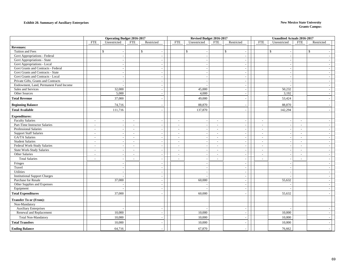### **Exhibit 20. Summary of Auxiliary Enterprises** New Mexico State University

|                                                    | <b>Operating Budget 2016-2017</b> |                          |                | Revised Budget 2016-2017 |                          |                          |                          | <b>Unaudited Actuals 2016-2017</b> |                          |                          |                          |                          |  |
|----------------------------------------------------|-----------------------------------|--------------------------|----------------|--------------------------|--------------------------|--------------------------|--------------------------|------------------------------------|--------------------------|--------------------------|--------------------------|--------------------------|--|
|                                                    | <b>FTE</b>                        | Unrestricted             | <b>FTE</b>     | Restricted               | <b>FTE</b>               | Unrestricted             | <b>FTE</b>               | Restricted                         | <b>FTE</b>               | Unrestricted             | <b>FTE</b>               | Restricted               |  |
| <b>Revenues:</b>                                   |                                   |                          |                |                          |                          |                          |                          |                                    |                          |                          |                          |                          |  |
| Tuition and Fees                                   |                                   | \$                       |                | $\mathbb{S}$             |                          | $\mathbb{S}$             |                          | $\mathbf{s}$<br>$\blacksquare$     |                          | $\mathbb{S}$             |                          | $\mathbb{S}$             |  |
| Govt Appropriations - Federal                      |                                   |                          |                |                          |                          |                          |                          | $\sim$                             |                          |                          |                          |                          |  |
| Govt Appropriations - State                        |                                   |                          |                | $\overline{\phantom{a}}$ |                          | $\overline{\phantom{a}}$ |                          | $\overline{\phantom{a}}$           |                          |                          |                          |                          |  |
| Govt Appropriations - Local                        |                                   |                          |                |                          |                          |                          |                          | $\sim$                             |                          |                          |                          |                          |  |
| Govt Grants and Contracts - Federal                |                                   |                          |                | $\overline{\phantom{a}}$ |                          | $\overline{\phantom{a}}$ |                          | $\sim$                             |                          |                          |                          |                          |  |
| Govt Grants and Contracts - State                  |                                   | $\overline{\phantom{a}}$ |                | $\overline{\phantom{a}}$ |                          |                          |                          | $\blacksquare$                     |                          |                          |                          |                          |  |
| Govt Grants and Contracts - Local                  |                                   |                          |                |                          |                          |                          |                          | $\sim$                             |                          |                          |                          |                          |  |
| Private Gifts, Grants and Contracts                |                                   | $\overline{\phantom{a}}$ |                | $\overline{\phantom{a}}$ |                          | $\overline{a}$           |                          | $\overline{\phantom{a}}$           |                          | $\overline{\phantom{a}}$ |                          |                          |  |
| Endowment, Land, Permanent Fund Income             |                                   |                          |                |                          |                          |                          |                          | $\blacksquare$                     |                          |                          |                          |                          |  |
| Sales and Services                                 |                                   | 32,000                   |                | $\overline{\phantom{a}}$ |                          | 45,000                   |                          | $\sim$                             |                          | 50,232                   |                          | $\overline{\phantom{0}}$ |  |
| Other Sources                                      |                                   | 5,000                    |                | $\overline{a}$           |                          | 4,000                    |                          | $\sim$                             |                          | 3,192                    |                          |                          |  |
| <b>Total Revenue</b>                               |                                   | 37,000                   |                |                          |                          | 49,000                   |                          | $\sim$                             |                          | 53,424                   |                          |                          |  |
| <b>Beginning Balance</b>                           |                                   | 74,716                   |                |                          |                          | 88,870                   |                          |                                    |                          | 88,870                   |                          |                          |  |
| <b>Total Available</b>                             |                                   | 111,716                  |                |                          |                          | 137,870                  |                          | $\overline{\phantom{a}}$           |                          | 142,294                  |                          |                          |  |
|                                                    |                                   |                          |                |                          |                          |                          |                          |                                    |                          |                          |                          |                          |  |
| <b>Expenditures:</b>                               |                                   |                          |                |                          |                          |                          |                          |                                    |                          |                          |                          |                          |  |
| <b>Faculty Salaries</b>                            | $\overline{\phantom{a}}$          | $\overline{\phantom{a}}$ | $\sim$         | $\overline{\phantom{a}}$ | $\sim$                   | $\sim$                   | $\sim$                   | $\overline{\phantom{a}}$           | $\sim$                   | $\sim$                   | $\sim$                   |                          |  |
| Part-Time Instructor Salaries                      | $\blacksquare$                    |                          | $\blacksquare$ |                          | $\sim$                   |                          | $\overline{\phantom{a}}$ | $\overline{\phantom{a}}$           | $\overline{\phantom{a}}$ |                          | $\sim$                   |                          |  |
| Professional Salaries                              | $\overline{\phantom{a}}$          |                          | $\blacksquare$ |                          | $\overline{\phantom{a}}$ |                          | $\sim$                   | $\overline{\phantom{a}}$           | $\overline{\phantom{a}}$ | $\overline{\phantom{a}}$ | $\overline{\phantom{a}}$ |                          |  |
| <b>Support Staff Salaries</b>                      | $\blacksquare$                    | $\sim$                   | $\blacksquare$ | $\sim$                   | $\sim$                   | $\sim$                   | $\overline{\phantom{a}}$ | $\overline{\phantom{a}}$           | $\overline{\phantom{a}}$ | $\overline{\phantom{a}}$ | $\overline{\phantom{a}}$ | $\sim$                   |  |
| GA/TA Salaries                                     | $\overline{\phantom{a}}$          |                          | $\blacksquare$ | $\overline{\phantom{a}}$ | $\sim$                   |                          | $\sim$                   | $\sim$                             | $\sim$                   |                          | $\overline{\phantom{a}}$ | $\overline{\phantom{a}}$ |  |
| <b>Student Salaries</b>                            | $\sim$                            | $\sim$                   | $\sim$         | $\sim$                   | $\sim$                   | $\sim$                   | $\sim$                   | $\sim$                             | $\sim$                   | $\sim$                   | $\sim$                   | $\sim$                   |  |
| Federal Work-Study Salaries                        | $\sim$                            |                          | $\sim$         |                          | $\overline{\phantom{a}}$ |                          | $\sim$                   | $\sim$                             | $\sim$                   |                          | $\sim$                   |                          |  |
| <b>State Work-Study Salaries</b><br>Other Salaries | $\overline{a}$                    |                          | $\overline{a}$ |                          | $\sim$                   |                          | $\sim$                   | $\sim$                             | $\sim$                   | $\overline{a}$           | $\sim$                   |                          |  |
|                                                    | $\overline{a}$                    | $\sim$                   | $\overline{a}$ | $\sim$                   |                          | $\sim$                   | $\sim$                   | $\overline{\phantom{a}}$           | $\overline{\phantom{a}}$ | $\sim$                   | $\sim$                   | $\overline{\phantom{a}}$ |  |
| <b>Total Salaries</b>                              | $\sim$                            |                          | $\sim$         |                          |                          |                          | $\sim$                   | $\overline{a}$                     | $\sim$                   |                          |                          |                          |  |
| Fringes                                            |                                   |                          |                |                          |                          |                          |                          | $\sim$                             |                          |                          |                          |                          |  |
| Travel                                             |                                   |                          |                | $\overline{\phantom{a}}$ |                          | $\sim$                   |                          | $\overline{\phantom{a}}$           |                          | $\overline{\phantom{a}}$ |                          | $\sim$                   |  |
| Utilities                                          |                                   |                          |                |                          |                          | $\overline{\phantom{a}}$ |                          | $\blacksquare$                     |                          |                          |                          |                          |  |
| <b>Institutional Support Charges</b>               |                                   |                          |                | $\overline{\phantom{a}}$ |                          | $\overline{\phantom{a}}$ |                          | $\overline{\phantom{a}}$           |                          |                          |                          |                          |  |
| Purchase for Resale                                |                                   | 37,000                   |                | $\overline{\phantom{a}}$ |                          | 60,000                   |                          | $\overline{\phantom{a}}$           |                          | 55,632                   |                          | $\sim$                   |  |
| Other Supplies and Expenses                        |                                   |                          |                | $\overline{\phantom{a}}$ |                          | $\overline{\phantom{a}}$ |                          | $\sim$                             |                          |                          |                          | $\sim$                   |  |
| Equipment                                          |                                   |                          |                | $\sim$                   |                          | $\overline{\phantom{a}}$ |                          | $\sim$                             |                          |                          |                          | $\sim$                   |  |
| <b>Total Expenditures</b>                          |                                   | 37,000                   |                |                          |                          | 60,000                   |                          | $\overline{\phantom{a}}$           |                          | 55,632                   |                          |                          |  |
| <b>Transfer To or (From):</b>                      |                                   |                          |                |                          |                          |                          |                          |                                    |                          |                          |                          |                          |  |
| Non-Mandatory                                      |                                   |                          |                |                          |                          |                          |                          |                                    |                          |                          |                          |                          |  |
| <b>Auxiliary Enterprises</b>                       |                                   |                          |                |                          |                          |                          |                          | $\overline{\phantom{a}}$           |                          |                          |                          |                          |  |
| Renewal and Replacement                            |                                   | 10,000                   |                |                          |                          | 10,000                   |                          | $\sim$                             |                          | 10,000                   |                          |                          |  |
| <b>Total Non-Mandatory</b>                         |                                   | 10,000                   |                |                          |                          | 10,000                   |                          |                                    |                          | 10,000                   |                          |                          |  |
| <b>Total Transfers</b>                             |                                   | 10,000                   |                |                          |                          | 10,000                   |                          |                                    |                          | 10,000                   |                          |                          |  |
| <b>Ending Balance</b>                              |                                   | 64,716                   |                |                          |                          | 67,870                   |                          |                                    |                          | 76,662                   |                          |                          |  |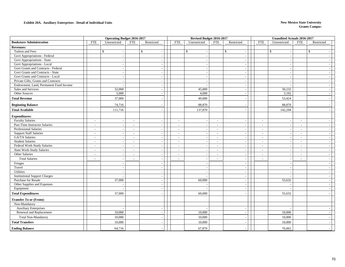#### **Exhibit 20A. Auxiliary Enterprises - Detail of Individual Units New Mexico State University**

|                                        |                                                      | <b>Operating Budget 2016-2017</b>                    | Revised Budget 2016-2017                             |            |                                          |                          | <b>Unaudited Actuals 2016-2017</b> |                          |                          |
|----------------------------------------|------------------------------------------------------|------------------------------------------------------|------------------------------------------------------|------------|------------------------------------------|--------------------------|------------------------------------|--------------------------|--------------------------|
| <b>Bookstore Administration</b>        | FTE<br>Unrestricted                                  | <b>FTE</b><br>Restricted                             | <b>FTE</b><br>Unrestricted                           | <b>FTE</b> | Restricted                               | <b>FTE</b>               | Unrestricted                       | <b>FTE</b>               | Restricted               |
| <b>Revenues:</b>                       |                                                      |                                                      |                                                      |            |                                          |                          |                                    |                          |                          |
| Tuition and Fees                       | \$                                                   | $\mathbb{S}$                                         | $\mathbb{S}$<br>$\overline{\phantom{a}}$             |            | $\mathbb{S}$<br>$\overline{\phantom{a}}$ |                          | $\mathbb{S}$                       |                          | $\mathbb{S}$             |
| <b>Govt Appropriations - Federal</b>   | $\overline{\phantom{a}}$                             |                                                      | $\sim$                                               |            | $\sim$                                   |                          |                                    |                          |                          |
| Govt Appropriations - State            |                                                      |                                                      | $\sim$                                               |            | $\sim$                                   |                          |                                    |                          |                          |
| Govt Appropriations - Local            |                                                      |                                                      |                                                      |            | $\sim$                                   |                          |                                    |                          |                          |
| Govt Grants and Contracts - Federal    |                                                      |                                                      | $\overline{\phantom{a}}$                             |            | $\overline{\phantom{a}}$                 |                          |                                    |                          | $\sim$                   |
| Govt Grants and Contracts - State      |                                                      |                                                      | $\overline{\phantom{a}}$                             |            | $\overline{\phantom{a}}$                 |                          |                                    |                          | $\overline{\phantom{a}}$ |
| Govt Grants and Contracts - Local      | ÷                                                    | $\overline{a}$                                       | $\sim$                                               |            | $\sim$                                   |                          |                                    |                          | $\sim$                   |
| Private Gifts, Grants and Contracts    |                                                      |                                                      | $\overline{\phantom{a}}$                             |            | $\sim$                                   |                          |                                    |                          |                          |
| Endowment, Land, Permanent Fund Income |                                                      |                                                      |                                                      |            | $\sim$                                   |                          |                                    |                          |                          |
| Sales and Services                     | 32,000                                               |                                                      | 45,000                                               |            | $\overline{\phantom{a}}$                 |                          | 50,232                             |                          | $\sim$                   |
| Other Sources                          | 5,000                                                |                                                      | 4,000                                                |            | $\overline{\phantom{a}}$                 |                          | 3,192                              |                          | $\overline{\phantom{a}}$ |
| <b>Total Revenue</b>                   | 37,000                                               |                                                      | 49,000                                               |            | $\overline{\phantom{a}}$                 |                          | 53,424                             |                          |                          |
| <b>Beginning Balance</b>               | 74,716                                               |                                                      | 88,870                                               |            |                                          |                          | 88,870                             |                          |                          |
| <b>Total Available</b>                 | 111,716                                              |                                                      | 137,870                                              |            |                                          |                          | 142,294                            |                          |                          |
|                                        |                                                      |                                                      |                                                      |            |                                          |                          |                                    |                          |                          |
| <b>Expenditures:</b>                   |                                                      |                                                      |                                                      |            |                                          |                          |                                    |                          |                          |
| <b>Faculty Salaries</b>                | $\overline{\phantom{a}}$<br>$\overline{\phantom{a}}$ | $\blacksquare$<br>$\overline{\phantom{a}}$           | $\overline{\phantom{a}}$<br>$\sim$                   | $\sim$     | $\overline{\phantom{a}}$                 | $\sim$                   | $\overline{\phantom{a}}$           | $\sim$                   | $\sim$                   |
| Part-Time Instructor Salaries          | $\overline{\phantom{a}}$<br>$\overline{\phantom{a}}$ | $\overline{\phantom{a}}$<br>$\overline{\phantom{a}}$ | $\overline{\phantom{a}}$<br>$\overline{\phantom{a}}$ | $\sim$     | $\overline{\phantom{a}}$                 | $\sim$                   |                                    | $\overline{\phantom{a}}$ | $\overline{\phantom{a}}$ |
| Professional Salaries                  | $\overline{\phantom{a}}$                             | $\overline{a}$                                       | $\overline{\phantom{a}}$<br>$\overline{\phantom{a}}$ | $\sim$     | $\overline{\phantom{a}}$                 | $\overline{\phantom{a}}$ |                                    | $\overline{\phantom{a}}$ | $\sim$                   |
| <b>Support Staff Salaries</b>          | $\overline{\phantom{a}}$                             | $\blacksquare$                                       | $\overline{\phantom{a}}$<br>$\overline{\phantom{a}}$ | $\sim$     | $\overline{\phantom{a}}$                 | $\sim$                   | $\overline{\phantom{a}}$           | $\overline{\phantom{a}}$ | $\overline{\phantom{a}}$ |
| <b>GA/TA Salaries</b>                  | $\sim$                                               | $\overline{a}$                                       | $\sim$                                               | $\sim$     | $\overline{a}$                           | $\sim$                   |                                    | $\sim$                   | $\sim$                   |
| <b>Student Salaries</b>                | $\sim$<br>$\overline{\phantom{a}}$                   | $\overline{\phantom{a}}$                             | $\sim$<br>$\sim$                                     | $\sim$     | $\sim$                                   | $\overline{a}$           | $\overline{\phantom{a}}$           | $\sim$                   | $\sim$                   |
| Federal Work-Study Salaries            | $\sim$                                               | $\overline{\phantom{a}}$<br>$\sim$                   | $\overline{\phantom{a}}$<br>$\overline{a}$           | $\sim$     | $\blacksquare$                           | $\sim$                   |                                    | $\overline{\phantom{a}}$ | $\sim$                   |
| <b>State Work-Study Salaries</b>       | $\sim$                                               | $\overline{a}$                                       | $\sim$<br>$\overline{a}$                             | $\sim$     | $\sim$                                   | $\overline{a}$           |                                    | $\sim$                   | $\sim$                   |
| Other Salaries                         | $\overline{\phantom{a}}$                             | $\overline{\phantom{a}}$                             | $\sim$<br>$\overline{\phantom{a}}$                   | $\sim$     | $\overline{\phantom{a}}$                 | $\sim$                   | $\overline{\phantom{a}}$           | $\sim$                   | $\overline{\phantom{a}}$ |
| <b>Total Salaries</b>                  | $\overline{a}$                                       | $\overline{a}$                                       | $\overline{\phantom{a}}$<br>$\sim$                   | $\sim$     | $\sim$                                   | $\sim$                   |                                    | $\overline{\phantom{a}}$ | $\sim$                   |
| Fringes                                |                                                      |                                                      |                                                      |            | $\overline{a}$                           |                          |                                    |                          |                          |
| Travel                                 |                                                      | $\overline{a}$                                       | $\sim$                                               |            | $\overline{\phantom{a}}$                 |                          |                                    |                          | $\sim$                   |
| Utilities                              |                                                      | $\overline{\phantom{a}}$                             | $\overline{\phantom{a}}$                             |            | $\blacksquare$                           |                          |                                    |                          | $\sim$                   |
| <b>Institutional Support Charges</b>   |                                                      | $\overline{a}$                                       | $\sim$                                               |            | $\sim$                                   |                          |                                    |                          | $\sim$                   |
| Purchase for Resale                    | 37,000                                               |                                                      | 60,000                                               |            | $\sim$                                   |                          | 55,632                             |                          | $\overline{\phantom{a}}$ |
| Other Supplies and Expenses            |                                                      |                                                      |                                                      |            | $\sim$                                   |                          |                                    |                          | $\overline{\phantom{a}}$ |
| Equipment                              |                                                      |                                                      |                                                      |            | $\overline{\phantom{a}}$                 |                          |                                    |                          | $\sim$                   |
| <b>Total Expenditures</b>              | 37,000                                               |                                                      | 60,000                                               |            |                                          |                          | 55,632                             |                          |                          |
| <b>Transfer To or (From):</b>          |                                                      |                                                      |                                                      |            |                                          |                          |                                    |                          |                          |
| Non-Mandatory                          |                                                      |                                                      |                                                      |            |                                          |                          |                                    |                          |                          |
| <b>Auxiliary Enterprises</b>           |                                                      |                                                      |                                                      |            | $\overline{\phantom{a}}$                 |                          |                                    |                          |                          |
| Renewal and Replacement                | 10,000                                               | $\overline{\phantom{a}}$                             | 10,000                                               |            | $\sim$                                   |                          | 10,000                             |                          | $\sim$                   |
| <b>Total Non-Mandatory</b>             | 10,000                                               |                                                      | 10,000                                               |            |                                          |                          | 10,000                             |                          |                          |
| <b>Total Transfers</b>                 | 10,000                                               |                                                      | 10,000                                               |            |                                          |                          | 10,000                             |                          |                          |
| <b>Ending Balance</b>                  | 64,716                                               |                                                      | 67,870                                               |            |                                          |                          | 76,662                             |                          |                          |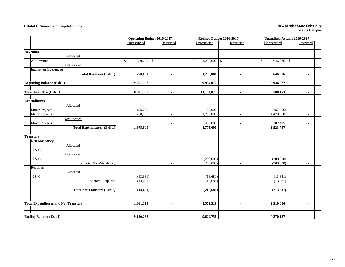#### **Exhibit I. Summary of Capital Outlay New Mexico State University**

|                                             |                                | <b>Operating Budget 2016-2017</b> | Revised Budget 2016-2017 |                          |                          | <b>Unaudited Actuals 2016-2017</b> |  |  |  |
|---------------------------------------------|--------------------------------|-----------------------------------|--------------------------|--------------------------|--------------------------|------------------------------------|--|--|--|
|                                             | Unrestricted                   | Restricted                        | Unrestricted             | Restricted               | Unrestricted             | Restricted                         |  |  |  |
|                                             |                                |                                   |                          |                          |                          |                                    |  |  |  |
| <b>Revenues</b>                             |                                |                                   |                          |                          |                          |                                    |  |  |  |
| Allocated                                   |                                |                                   |                          |                          |                          |                                    |  |  |  |
| All Revenue                                 | $\mathbb{S}$<br>$1,250,000$ \$ |                                   | $1,250,000$ \$<br>\$     |                          | 646,076<br>\$            | -\$<br>÷,                          |  |  |  |
| Unallocated                                 |                                |                                   |                          |                          |                          |                                    |  |  |  |
| Interest on Investments                     |                                | $\overline{\phantom{a}}$          |                          | $\overline{\phantom{a}}$ |                          | $\overline{\phantom{a}}$           |  |  |  |
| <b>Total Revenues (Exh 1)</b>               | 1,250,000                      | $\blacksquare$                    | 1,250,000                | $\blacksquare$           | 646,076                  | $\blacksquare$                     |  |  |  |
|                                             |                                |                                   |                          |                          |                          |                                    |  |  |  |
| <b>Beginning Balance (Exh 1)</b>            | 9,251,557                      | $\blacksquare$                    | 9,934,077                | $\blacksquare$           | 9,934,077                | $\blacksquare$                     |  |  |  |
|                                             |                                |                                   |                          |                          |                          |                                    |  |  |  |
| Total Available (Exh 1)                     | 10,501,557                     | $\blacksquare$                    | 11,184,077               | $\blacksquare$           | 10,580,153               | $\blacksquare$                     |  |  |  |
|                                             |                                |                                   |                          |                          |                          |                                    |  |  |  |
| <b>Expenditures</b>                         |                                |                                   |                          |                          |                          |                                    |  |  |  |
| Allocated                                   |                                |                                   |                          |                          |                          |                                    |  |  |  |
| <b>Minor Projects</b>                       | 125,000                        | $\overline{\phantom{a}}$          | 125,000                  | $\sim$                   | (57, 456)                | $\sim$                             |  |  |  |
| Major Projects                              | 1,250,000                      | $\blacksquare$                    | 1,250,000                | $\sim$                   | 1,478,668                | $\overline{\phantom{a}}$           |  |  |  |
| Unallocated                                 |                                |                                   |                          |                          |                          |                                    |  |  |  |
| <b>Minor Projects</b>                       |                                | $\sim$                            | 400,000                  | $\overline{\phantom{a}}$ | 102,495                  | $\overline{a}$                     |  |  |  |
| <b>Total Expenditures (Exh 1)</b>           | 1,375,000                      | $\blacksquare$                    | 1,775,000                | $\blacksquare$           | 1,523,707                | $\blacksquare$                     |  |  |  |
|                                             |                                |                                   |                          |                          |                          |                                    |  |  |  |
| <b>Transfers</b>                            |                                |                                   |                          |                          |                          |                                    |  |  |  |
| Non-Mandatory                               |                                |                                   |                          |                          |                          |                                    |  |  |  |
| Allocated                                   |                                |                                   |                          |                          |                          |                                    |  |  |  |
| I & G                                       | $\overline{\phantom{a}}$       | $\sim$                            | $\overline{\phantom{a}}$ | $\sim$                   | $\overline{\phantom{a}}$ | $\sim$                             |  |  |  |
| Unallocated                                 |                                |                                   |                          |                          |                          |                                    |  |  |  |
| I & G                                       | $\overline{\phantom{a}}$       | $\overline{\phantom{a}}$          | (200,000)                | $\overline{\phantom{a}}$ | (200,000)                | $\overline{\phantom{a}}$           |  |  |  |
| Subtotal Non-Mandatory                      | $\overline{\phantom{a}}$       | $\sim$                            | (200,000)                | $\sim$                   | (200,000)                | $\sim$                             |  |  |  |
| Required                                    |                                |                                   |                          |                          |                          |                                    |  |  |  |
| Allocated                                   |                                |                                   |                          |                          |                          |                                    |  |  |  |
| I & G                                       | (13,681)                       | $\sim$                            | (13,681)                 | $\sim$                   | (13,681)                 | $\overline{\phantom{a}}$           |  |  |  |
| <b>Subtotal Required</b>                    | (13, 681)                      | $\overline{\phantom{a}}$          | (13,681)                 | $\sim$                   | (13,681)                 | $\overline{\phantom{a}}$           |  |  |  |
|                                             |                                |                                   |                          |                          |                          |                                    |  |  |  |
| <b>Total Net Transfers (Exh 1)</b>          | (13,681)                       | $\blacksquare$                    | (213, 681)               | $\blacksquare$           | (213, 681)               | $\blacksquare$                     |  |  |  |
|                                             |                                |                                   |                          |                          |                          |                                    |  |  |  |
|                                             |                                |                                   |                          |                          |                          |                                    |  |  |  |
| <b>Total Expenditures and Net Transfers</b> | 1,361,319                      | $\blacksquare$                    | 1,561,319                | $\blacksquare$           | 1,310,026                | $\blacksquare$                     |  |  |  |
|                                             |                                |                                   |                          |                          |                          |                                    |  |  |  |
|                                             |                                |                                   |                          |                          |                          |                                    |  |  |  |
| <b>Ending Balance (Exh 1)</b>               | 9,140,238                      | $\blacksquare$                    | 9,622,758                | $\blacksquare$           | 9,270,127                | $\blacksquare$                     |  |  |  |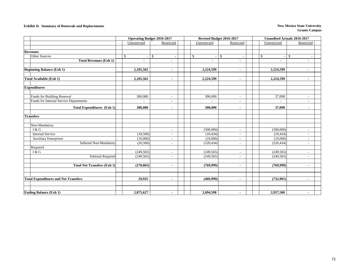### **Exhibit II. Summary of Renewals and Replacements New Mexico State University**

|                                             |                | <b>Operating Budget 2016-2017</b> |                | Revised Budget 2016-2017 | <b>Unaudited Actuals 2016-2017</b> |                          |  |  |
|---------------------------------------------|----------------|-----------------------------------|----------------|--------------------------|------------------------------------|--------------------------|--|--|
|                                             | Unrestricted   | Restricted                        | Unrestricted   | Restricted               | Unrestricted                       | Restricted               |  |  |
|                                             |                |                                   |                |                          |                                    |                          |  |  |
| <b>Revenues</b>                             |                |                                   |                |                          |                                    |                          |  |  |
| Other Sources                               | $\mathcal{S}$  | \$                                | \$             | $\mathcal{S}$            | \$<br>$\sim$                       | \$                       |  |  |
| <b>Total Revenues (Exh 1)</b>               | $\blacksquare$ | $\blacksquare$                    | $\blacksquare$ | $\overline{a}$           | $\blacksquare$                     | $\blacksquare$           |  |  |
|                                             |                |                                   |                |                          |                                    |                          |  |  |
| <b>Beginning Balance (Exh 1)</b>            | 2,105,562      | $\blacksquare$                    | 2,224,599      | $\blacksquare$           | 2,224,599                          |                          |  |  |
|                                             |                |                                   |                |                          |                                    |                          |  |  |
| <b>Total Available (Exh 1)</b>              | 2,105,562      | $\blacksquare$                    | 2,224,599      | $\blacksquare$           | 2,224,599                          | $\blacksquare$           |  |  |
|                                             |                |                                   |                |                          |                                    |                          |  |  |
| <b>Expenditures</b>                         |                |                                   |                |                          |                                    |                          |  |  |
|                                             |                |                                   |                |                          |                                    |                          |  |  |
| <b>Funds for Building Renewal</b>           | 300,000        | $\sim$                            | 300,000        | $\overline{\phantom{a}}$ | 37,098                             | ٠                        |  |  |
| Funds for Internal Service Departments      |                | ÷                                 |                | ÷,                       |                                    |                          |  |  |
| <b>Total Expenditures (Exh 1)</b>           | 300,000        | $\blacksquare$                    | 300,000        | $\blacksquare$           | 37,098                             | $\blacksquare$           |  |  |
|                                             |                |                                   |                |                          |                                    |                          |  |  |
| <b>Transfers</b>                            |                |                                   |                |                          |                                    |                          |  |  |
|                                             |                |                                   |                |                          |                                    |                          |  |  |
| Non-Mandatory                               |                |                                   |                |                          |                                    |                          |  |  |
| I & G                                       |                | $\sim$                            | (500,000)      | $\overline{\phantom{a}}$ | (500,000)                          | $\overline{\phantom{a}}$ |  |  |
| <b>Internal Service</b>                     | (10,500)       | $\overline{\phantom{a}}$          | (10, 434)      | $\overline{\phantom{a}}$ | (10, 434)                          | $\overline{\phantom{a}}$ |  |  |
| <b>Auxiliary Enterprises</b>                | (10,000)       | $\overline{\phantom{a}}$          | (10,000)       | $\overline{\phantom{a}}$ | (10,000)                           | $\overline{\phantom{a}}$ |  |  |
| Subtotal Non-Mandatory                      | (20, 500)      | $\overline{\phantom{a}}$          | (520, 434)     | $\overline{\phantom{a}}$ | (520, 434)                         | $\overline{\phantom{a}}$ |  |  |
| Required                                    |                |                                   |                |                          |                                    |                          |  |  |
| I & G                                       | (249, 565)     | $\overline{\phantom{a}}$          | (249, 565)     | $\overline{\phantom{a}}$ | (249, 565)                         | $\overline{\phantom{a}}$ |  |  |
| <b>Subtotal Required</b>                    | (249, 565)     | $\sim$                            | (249, 565)     | ÷.                       | (249, 565)                         | $\overline{a}$           |  |  |
|                                             |                |                                   |                |                          |                                    |                          |  |  |
| <b>Total Net Transfers (Exh 1)</b>          | (270,065)      | $\blacksquare$                    | (769,999)      | $\blacksquare$           | (769,999)                          | $\blacksquare$           |  |  |
|                                             |                |                                   |                |                          |                                    |                          |  |  |
|                                             |                |                                   |                |                          |                                    |                          |  |  |
| <b>Total Expenditures and Net Transfers</b> | 29,935         | $\blacksquare$                    | (469,999)      | $\blacksquare$           | (732,901)                          | $\blacksquare$           |  |  |
|                                             |                |                                   |                |                          |                                    |                          |  |  |
|                                             |                |                                   |                |                          |                                    |                          |  |  |
| <b>Ending Balance (Exh 1)</b>               | 2,075,627      | $\blacksquare$                    | 2,694,598      | $\blacksquare$           | 2,957,500                          | $\blacksquare$           |  |  |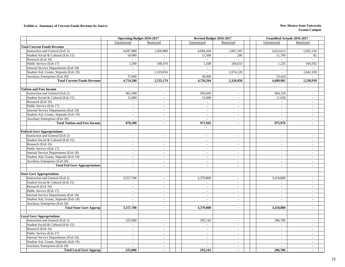#### **Exhibit a. Summary of Current Funds Revenue by Source New Mexico State University New Mexico State University**

|                                        | <b>Operating Budget 2016-2017</b> |                          | Revised Budget 2016-2017    |                          | <b>Unaudited Actuals 2016-2017</b> |                             |  |
|----------------------------------------|-----------------------------------|--------------------------|-----------------------------|--------------------------|------------------------------------|-----------------------------|--|
|                                        | Unrestricted                      | Restricted               | Unrestricted                | Restricted               | Unrestricted                       | Restricted                  |  |
| <b>Total Current Funds Revenue</b>     |                                   |                          |                             |                          |                                    |                             |  |
| Instruction and General (Exh 2)        | 4,697,880                         | 1,026,888                | 4,684,264                   | 1,067,105                | 4,623,613                          | 1,032,156                   |  |
| Student Social & Cultural (Exh 15)     | 18,000                            | $\sim$                   | 15,500                      | 200                      | 11,709                             | 82                          |  |
| Research (Exh 16)                      | $\overline{\phantom{a}}$          |                          | $\sim$                      |                          | $\sim$                             |                             |  |
| Public Service (Exh 17)                | 1,500                             | 188,470                  | 1,500                       | 184,633                  | 1,235                              | 164,592                     |  |
| Internal Service Departments (Exh 18)  | $\sim$                            |                          | $\sim$                      |                          | $\mathcal{L}_{\mathcal{A}}$        |                             |  |
| Student Aid, Grants, Stipends (Exh 19) | $\overline{a}$                    | 1,319,816                | $\overline{a}$              | 1,074,120                | $\overline{a}$                     | 1,042,109                   |  |
| Auxiliary Enterprises (Exh 20)         | 37,000                            |                          | 49,000                      |                          | 53,424                             |                             |  |
| <b>Total Current Funds Revenue</b>     | 4,754,380                         | 2,535,174                | 4,750,264                   | 2,326,058                | 4.689.981                          | 2,238,939                   |  |
|                                        |                                   |                          |                             |                          |                                    |                             |  |
| <b>Tuition and Fees Income</b>         |                                   |                          |                             |                          |                                    |                             |  |
| Instruction and General (Exh 2)        | 863,300                           | $\sim$                   | 956,945                     | $\sim$                   | 864,318                            | $\blacksquare$              |  |
| Student Social & Cultural (Exh 15)     | 15,000                            | $\sim$                   | 15,000                      | $\sim$                   | 11,658                             | $\overline{a}$              |  |
| Research (Exh 16)                      | $\mathbb{L}$                      | $\sim$                   | $\mathcal{L}^{\pm}$         | $\sim$                   | $\mathcal{L}_{\mathcal{A}}$        | $\overline{a}$              |  |
| Public Service (Exh 17)                | $\overline{\phantom{a}}$          | $\sim$                   | $\sim$                      | $\overline{\phantom{a}}$ | $\sim$                             | $\sim$                      |  |
| Internal Service Departments (Exh 18)  | $\sim$                            | $\sim$                   | $\sim$                      | $\overline{\phantom{a}}$ | $\sim$                             | $\overline{a}$              |  |
| Student Aid, Grants, Stipends (Exh 19) | $\overline{\phantom{a}}$          | $\overline{\phantom{a}}$ | $\overline{a}$              | $\overline{\phantom{a}}$ | $\overline{\phantom{a}}$           | $\sim$                      |  |
| Auxiliary Enterprises (Exh 20)         | $\sim$                            | $\sim$                   | $\overline{a}$              | $\overline{\phantom{a}}$ | $\sim$                             | $\sim$                      |  |
| <b>Total Tuition and Fees Income</b>   | 878,300                           | $\sim$                   | 971.945                     | $\overline{\phantom{a}}$ | 875,976                            | $\blacksquare$              |  |
|                                        |                                   |                          |                             |                          |                                    |                             |  |
| <b>Federal Govt Appropriations</b>     |                                   |                          |                             |                          |                                    |                             |  |
| Instruction and General (Exh 2)        | $\sim$                            | $\sim$                   | $\overline{\phantom{a}}$    | $\overline{\phantom{a}}$ | $\overline{\phantom{a}}$           | $\overline{a}$              |  |
| Student Social & Cultural (Exh 15)     | $\mathcal{L}$                     | $\mathcal{L}$            | $\overline{a}$              | $\sim$                   | $\overline{a}$                     | $\overline{a}$              |  |
| Research (Exh 16)                      | $\sim$                            | $\sim$                   | $\sim$                      | $\overline{a}$           | $\blacksquare$                     | $\sim$                      |  |
| Public Service (Exh 17)                | $\overline{a}$                    | $\sim$                   | $\sim$                      | $\sim$                   | $\sim$                             | $\sim$                      |  |
| Internal Service Departments (Exh 18)  | $\sim$                            | $\sim$                   | $\sim$                      | $\overline{\phantom{a}}$ | $\sim$                             | $\sim$                      |  |
| Student Aid, Grants, Stipends (Exh 19) | $\overline{\phantom{a}}$          | $\overline{\phantom{a}}$ | $\overline{\phantom{a}}$    | $\overline{\phantom{a}}$ | $\overline{\phantom{a}}$           | $\overline{\phantom{a}}$    |  |
| Auxiliary Enterprises (Exh 20)         | $\sim$                            | $\sim$                   | $\sim$                      | $\overline{\phantom{a}}$ | $\sim$                             | $\sim$                      |  |
| <b>Total Fed Govt Appropriations</b>   | $\omega$                          | $\blacksquare$           | $\sim$                      | $\mathbf{r}$             | $\mathbf{r}$                       | $\sim$                      |  |
|                                        |                                   |                          |                             |                          |                                    |                             |  |
| <b>State Govt Appropriations</b>       |                                   |                          |                             |                          |                                    |                             |  |
| Instruction and General (Exh 2)        | 3,557,700                         | $\overline{\phantom{a}}$ | 3,379,800                   | $\overline{a}$           | 3,418,800                          | $\overline{a}$              |  |
| Student Social & Cultural (Exh 15)     | $\sim$                            | $\sim$                   | L.                          | $\overline{\phantom{a}}$ | $\sim$                             | $\overline{a}$              |  |
| Research (Exh 16)                      | $\sim$                            | $\overline{\phantom{a}}$ | $\overline{a}$              | $\overline{a}$           | $\overline{a}$                     | $\overline{a}$              |  |
| Public Service (Exh 17)                | $\overline{a}$                    | $\sim$                   | $\sim$                      | $\sim$                   | $\blacksquare$                     | $\overline{\phantom{a}}$    |  |
| Internal Service Departments (Exh 18)  | $\overline{a}$                    | $\overline{a}$           | $\mathcal{L}_{\mathcal{A}}$ | $\sim$                   | $\mathcal{L}^{\mathcal{A}}$        | $\overline{a}$              |  |
| Student Aid, Grants, Stipends (Exh 19) | $\overline{a}$                    | $\sim$                   | $\overline{\phantom{a}}$    | $\sim$                   | $\blacksquare$                     | $\blacksquare$              |  |
| <b>Auxiliary Enterprises (Exh 20)</b>  | $\sim$                            | $\sim$                   | $\mathcal{L}_{\mathcal{A}}$ | $\sim$                   | $\mathcal{L}^{\mathcal{A}}$        | $\mathcal{L}_{\mathcal{A}}$ |  |
| <b>Total State Govt Approp</b>         | 3,557,700                         | $\blacksquare$           | 3,379,800                   | $\sim$                   | 3,418,800                          | $\blacksquare$              |  |
|                                        |                                   |                          |                             |                          |                                    |                             |  |
| <b>Local Govt Appropriations</b>       |                                   |                          |                             |                          |                                    |                             |  |
| Instruction and General (Exh 2)        | 225,000                           | $\sim$                   | 293,142                     | $\sim$                   | 286,706                            | $\sim$                      |  |
| Student Social & Cultural (Exh 15)     | $\overline{\phantom{a}}$          | $\sim$                   | $\sim$                      | $\overline{a}$           | $\overline{a}$                     | $\overline{\phantom{a}}$    |  |
| Research (Exh 16)                      | $\sim$                            | $\sim$                   | $\overline{\phantom{a}}$    | $\overline{\phantom{a}}$ | $\blacksquare$                     | $\blacksquare$              |  |
| Public Service (Exh 17)                | $\sim$                            | $\sim$                   | $\overline{\phantom{a}}$    | $\overline{\phantom{a}}$ | $\sim$                             | $\overline{a}$              |  |
| Internal Service Departments (Exh 18)  | $\sim$                            | $\sim$                   | ÷.                          | $\overline{\phantom{a}}$ | $\sim$                             | $\overline{a}$              |  |
| Student Aid, Grants, Stipends (Exh 19) | $\sim$                            | $\sim$                   | $\sim$                      | $\overline{\phantom{a}}$ | $\overline{\phantom{a}}$           | $\overline{a}$              |  |
| Auxiliary Enterprises (Exh 20)         | $\mathcal{L}$                     | $\sim$                   | $\overline{a}$              | $\overline{a}$           | $\overline{a}$                     | $\mathbb{Z}^{\mathbb{Z}}$   |  |
| <b>Total Local Govt Approp</b>         | 225,000                           | $\mathbf{r}$             | 293.142                     | $\mathbf{r}$             | 286,706                            | $\sim$                      |  |
|                                        |                                   |                          |                             |                          |                                    |                             |  |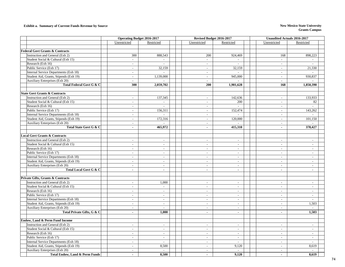#### **Exhibit a. Summary of Current Funds Revenue by Source New Mexico State University New Mexico State University**

|                                            | <b>Operating Budget 2016-2017</b> |                             | Revised Budget 2016-2017 |                             |                             | <b>Unaudited Actuals 2016-2017</b> |  |  |
|--------------------------------------------|-----------------------------------|-----------------------------|--------------------------|-----------------------------|-----------------------------|------------------------------------|--|--|
|                                            | Unrestricted                      | Restricted                  | Unrestricted             | Restricted                  | Unrestricted                | Restricted                         |  |  |
|                                            |                                   |                             |                          |                             |                             |                                    |  |  |
| <b>Federal Govt Grants &amp; Contracts</b> |                                   |                             |                          |                             |                             |                                    |  |  |
| Instruction and General (Exh 2)            | 300                               | 888,543                     | 200                      | 924,469                     | 168                         | 898,223                            |  |  |
| Student Social & Cultural (Exh 15)         | $\overline{a}$                    | $\overline{a}$              | $\overline{\phantom{a}}$ |                             | $\mathbb{Z}^{\mathbb{Z}}$   |                                    |  |  |
| Research (Exh 16)                          | $\overline{\phantom{a}}$          | $\mathbb{Z}^2$              | $\sim$                   | $\overline{a}$              | $\sim$                      | $\sim$                             |  |  |
| Public Service (Exh 17)                    | $\mathcal{L}$                     | 32,159                      | $\sim$                   | 32,159                      | $\mathcal{L}$               | 21,330                             |  |  |
| Internal Service Departments (Exh 18)      | $\overline{\phantom{a}}$          | $\sim$                      | $\sim$                   | $\sim$                      | $\sim$                      |                                    |  |  |
| Student Aid, Grants, Stipends (Exh 19)     | $\blacksquare$                    | 1,139,000                   | $\sim$                   | 945,000                     | $\sim$                      | 930,837                            |  |  |
| Auxiliary Enterprises (Exh 20)             | $\overline{\phantom{a}}$          |                             | $\sim$                   |                             | $\sim$                      |                                    |  |  |
| Total Federal Govt G & C                   | 300                               | 2,059,702                   | 200                      | 1,901,628                   | 168                         | 1,850,390                          |  |  |
|                                            |                                   |                             |                          |                             |                             |                                    |  |  |
| <b>State Govt Grants &amp; Contracts</b>   |                                   |                             |                          |                             |                             |                                    |  |  |
| Instruction and General (Exh 2)            | $\overline{a}$                    | 137,345                     | $\mathbb{L}$             | 142,636                     | $\overline{\phantom{a}}$    | 133,933                            |  |  |
| Student Social & Cultural (Exh 15)         | $\sim$                            | $\overline{a}$              | $\sim$                   | 200                         | $\blacksquare$              | 82                                 |  |  |
| Research (Exh 16)                          | $\mathbb{L}$                      | $\mathbb{L}$                | $\mathbb{L}$             | $\mathbb{Z}^2$              | $\mathcal{L}_{\mathcal{A}}$ | $\sim$                             |  |  |
| Public Service (Exh 17)                    | $\sim$                            | 156,311                     | $\sim$                   | 152,474                     | $\blacksquare$              | 143,262                            |  |  |
| Internal Service Departments (Exh 18)      | $\sim$                            | $\mathbb{Z}^2$              | $\sim$                   | $\mathcal{L}$               | $\sim$                      |                                    |  |  |
| Student Aid, Grants, Stipends (Exh 19)     | $\overline{\phantom{a}}$          | 172,316                     | $\sim$                   | 120,000                     | $\mathcal{L}$               | 101,150                            |  |  |
| Auxiliary Enterprises (Exh 20)             | $\overline{\phantom{a}}$          |                             | $\blacksquare$           |                             | $\overline{\phantom{a}}$    |                                    |  |  |
| Total State Govt G & C                     | $\mathbf{r}$                      | 465,972                     | $\omega$                 | 415,310                     | $\blacksquare$              | 378,427                            |  |  |
|                                            |                                   |                             |                          |                             |                             |                                    |  |  |
| <b>Local Govt Grants &amp; Contracts</b>   |                                   |                             |                          |                             |                             |                                    |  |  |
| Instruction and General (Exh 2)            | $\sim$                            | $\overline{\phantom{a}}$    | $\sim$                   | $\sim$                      | $\sim$                      | $\overline{\phantom{a}}$           |  |  |
| Student Social & Cultural (Exh 15)         | $\blacksquare$                    | $\overline{\phantom{a}}$    | $\sim$                   | $\blacksquare$              | $\blacksquare$              | $\sim$                             |  |  |
| Research (Exh 16)                          | $\overline{\phantom{a}}$          | $\sim$                      | $\sim$                   | $\overline{\phantom{a}}$    | $\sim$                      | $\sim$                             |  |  |
| Public Service (Exh 17)                    | $\sim$                            | $\overline{\phantom{a}}$    | $\sim$                   | $\sim$                      | $\overline{a}$              | $\sim$                             |  |  |
| Internal Service Departments (Exh 18)      | $\sim$                            | $\overline{\phantom{a}}$    | $\sim$                   | $\sim$                      | $\sim$                      | $\sim$                             |  |  |
| Student Aid, Grants, Stipends (Exh 19)     | $\overline{a}$                    | $\sim$                      | $\sim$                   | $\overline{\phantom{a}}$    | $\blacksquare$              | $\overline{a}$                     |  |  |
| Auxiliary Enterprises (Exh 20)             | $\overline{a}$                    | $\mathcal{L}^{\mathcal{A}}$ | $\sim$                   | $\sim$                      | $\mathcal{L}^{\pm}$         | $\sim$                             |  |  |
| Total Local Govt G & C                     | $\mathbf{r}$                      | $\blacksquare$              | $\sim$                   | $\sim$                      | $\blacksquare$              | $\sim$                             |  |  |
|                                            |                                   |                             |                          |                             |                             |                                    |  |  |
| Private Gifts, Grants & Contracts          |                                   |                             |                          |                             |                             |                                    |  |  |
| Instruction and General (Exh 2)            | $\overline{\phantom{a}}$          | 1,000                       | $\sim$                   | $\overline{\phantom{a}}$    | $\sim$                      | $\sim$                             |  |  |
| Student Social & Cultural (Exh 15)         | $\overline{\phantom{a}}$          | $\sim$                      | $\sim$                   | $\overline{\phantom{a}}$    | $\sim$                      | $\sim$                             |  |  |
| Research (Exh 16)                          | $\overline{\phantom{a}}$          | $\overline{\phantom{a}}$    | $\sim$                   | $\overline{\phantom{a}}$    | $\Box$                      | $\mathbb{Z}^2$                     |  |  |
| Public Service (Exh 17)                    | $\sim$                            | $\mathcal{L}_{\mathcal{A}}$ | $\sim$                   | $\overline{\phantom{a}}$    | $\sim$                      | $\mathbf{r}$                       |  |  |
| Internal Service Departments (Exh 18)      | $\overline{\phantom{a}}$          | $\mathcal{L}^{\pm}$         | $\mathbb{L}$             | $\sim$                      | $\mathcal{L}^{\mathcal{A}}$ | $\overline{a}$                     |  |  |
| Student Aid, Grants, Stipends (Exh 19)     | $\sim$                            | $\mathcal{L}_{\mathcal{A}}$ | $\mathbb{L}$             | $\sim$                      | $\mathcal{L}_{\mathcal{A}}$ | 1,503                              |  |  |
| Auxiliary Enterprises (Exh 20)             | $\overline{\phantom{a}}$          | $\overline{\phantom{a}}$    | $\overline{\phantom{a}}$ | $\overline{\phantom{a}}$    | $\overline{\phantom{a}}$    | $\overline{a}$                     |  |  |
| Total Private Gifts, G & C                 | $\blacksquare$                    | 1,000                       | $\sim$                   | $\blacksquare$              | $\blacksquare$              | 1,503                              |  |  |
|                                            |                                   |                             |                          |                             |                             |                                    |  |  |
| Endow, Land & Perm Fund Income             |                                   |                             |                          |                             |                             |                                    |  |  |
| Instruction and General (Exh 2)            | $\sim$                            | $\overline{a}$              | $\sim$                   | $\sim$                      | $\sim$                      | $\sim$                             |  |  |
| Student Social & Cultural (Exh 15)         | $\overline{a}$                    | $\mathcal{L}$               | $\mathcal{L}$            | $\overline{\phantom{a}}$    | $\mathcal{L}^{\mathcal{A}}$ | $\overline{a}$                     |  |  |
| Research (Exh 16)                          | $\overline{a}$                    | $\mathcal{L}$               | $\sim$                   | $\overline{a}$              | $\mathcal{L}^{\mathcal{A}}$ | $\sim$                             |  |  |
| Public Service (Exh 17)                    | $\sim$                            | $\blacksquare$              | $\overline{a}$           | $\sim$                      | $\blacksquare$              | $\overline{a}$                     |  |  |
| Internal Service Departments (Exh 18)      | $\overline{\phantom{a}}$          | $\overline{\phantom{a}}$    | $\sim$                   | $\mathcal{L}_{\mathcal{A}}$ | $\sim$                      | $\sim$                             |  |  |
| Student Aid, Grants, Stipends (Exh 19)     | $\sim$                            | 8,500                       | $\sim$                   | 9,120                       | $\sim$                      | 8,619                              |  |  |
| Auxiliary Enterprises (Exh 20)             | $\sim$                            | $\mathbb{L}$                | $\sim$                   | $\mathbb{L}$                | $\blacksquare$              |                                    |  |  |
| <b>Total Endow, Land &amp; Perm Funds</b>  |                                   | 8,500                       |                          | 9,120                       | $\blacksquare$              | 8,619                              |  |  |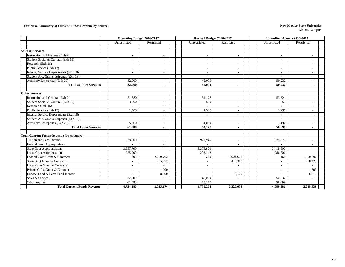#### **Exhibit a. Summary of Current Funds Revenue by Source New Mexico State University New Mexico State University**

|                                                  | <b>Operating Budget 2016-2017</b> |                          | Revised Budget 2016-2017 |                          |                          | <b>Unaudited Actuals 2016-2017</b> |  |  |  |
|--------------------------------------------------|-----------------------------------|--------------------------|--------------------------|--------------------------|--------------------------|------------------------------------|--|--|--|
|                                                  | Unrestricted                      | Restricted               | Unrestricted             | Restricted               | Unrestricted             | Restricted                         |  |  |  |
|                                                  |                                   |                          |                          |                          |                          |                                    |  |  |  |
| <b>Sales &amp; Services</b>                      |                                   |                          |                          |                          |                          |                                    |  |  |  |
| Instruction and General (Exh 2)                  |                                   |                          | $\overline{\phantom{a}}$ |                          | $\overline{\phantom{a}}$ |                                    |  |  |  |
| Student Social & Cultural (Exh 15)               | $\overline{\phantom{a}}$          | $\overline{\phantom{a}}$ | $\overline{\phantom{a}}$ | $\overline{\phantom{a}}$ | $\sim$                   | $\overline{\phantom{a}}$           |  |  |  |
| Research (Exh 16)                                | $\overline{\phantom{a}}$          | $\overline{\phantom{a}}$ | $\overline{\phantom{a}}$ |                          | $\sim$                   | $\overline{\phantom{a}}$           |  |  |  |
| Public Service (Exh 17)                          | $\overline{\phantom{a}}$          | $\overline{\phantom{a}}$ | $\overline{\phantom{a}}$ |                          | $\sim$                   | $\overline{\phantom{0}}$           |  |  |  |
| Internal Service Departments (Exh 18)            | ۰                                 | $\overline{\phantom{a}}$ | $\overline{a}$           |                          | $\overline{\phantom{a}}$ | $\overline{\phantom{0}}$           |  |  |  |
| Student Aid, Grants, Stipends (Exh 19)           |                                   | $\overline{\phantom{a}}$ |                          |                          | $\overline{\phantom{a}}$ | $\overline{a}$                     |  |  |  |
| Auxiliary Enterprises (Exh 20)                   | 32,000                            |                          | 45,000                   |                          | 50,232                   | $\overline{\phantom{a}}$           |  |  |  |
| <b>Total Sales &amp; Services</b>                | 32,000                            | $\blacksquare$           | 45,000                   |                          | 50,232                   | $\blacksquare$                     |  |  |  |
|                                                  |                                   |                          |                          |                          |                          |                                    |  |  |  |
| <b>Other Sources</b>                             |                                   |                          |                          |                          |                          |                                    |  |  |  |
| Instruction and General (Exh 2)                  | 51,580                            | $\overline{\phantom{a}}$ | 54,177                   | $\overline{\phantom{a}}$ | 53,621                   | $\overline{\phantom{a}}$           |  |  |  |
| Student Social & Cultural (Exh 15)               | 3,000                             | $\overline{\phantom{a}}$ | 500                      | $\overline{\phantom{0}}$ | 51                       | $\overline{\phantom{a}}$           |  |  |  |
| Research (Exh 16)                                | $\sim$                            | $\overline{\phantom{a}}$ | ٠                        | $\overline{\phantom{a}}$ | $\overline{\phantom{a}}$ | $\overline{\phantom{a}}$           |  |  |  |
| Public Service (Exh 17)                          | 1,500                             | $\overline{\phantom{a}}$ | 1,500                    |                          | 1,235                    | $\overline{\phantom{a}}$           |  |  |  |
| Internal Service Departments (Exh 18)            | $\overline{a}$                    | $\overline{\phantom{a}}$ | $\sim$                   |                          | $\sim$                   | $\sim$                             |  |  |  |
| Student Aid, Grants, Stipends (Exh 19)           |                                   | $\overline{\phantom{a}}$ | ÷                        |                          | $\overline{\phantom{a}}$ | $\overline{\phantom{a}}$           |  |  |  |
| Auxiliary Enterprises (Exh 20)                   | 5,000                             |                          | 4.000                    |                          | 3.192                    | $\overline{\phantom{0}}$           |  |  |  |
| <b>Total Other Sources</b>                       | 61,080                            | $\blacksquare$           | 60.177                   |                          | 58,099                   | $\sim$                             |  |  |  |
|                                                  |                                   |                          |                          |                          |                          |                                    |  |  |  |
| <b>Total Current Funds Revenue (by category)</b> |                                   |                          |                          |                          |                          |                                    |  |  |  |
| Tuition and Fees Income                          | 878,300                           | $\overline{\phantom{a}}$ | 971,945                  |                          | 875,976                  | $\overline{\phantom{a}}$           |  |  |  |
| Federal Govt Appropriations                      |                                   | $\overline{\phantom{0}}$ |                          |                          |                          | $\overline{\phantom{0}}$           |  |  |  |
| <b>State Govt Appropriations</b>                 | 3,557,700                         | $\sim$                   | 3,379,800                |                          | 3,418,800                |                                    |  |  |  |
| <b>Local Govt Appropriations</b>                 | 225,000                           |                          | 293,142                  |                          | 286,706                  |                                    |  |  |  |
| Federal Govt Grant & Contracts                   | 300                               | 2,059,702                | 200                      | 1,901,628                | 168                      | 1,850,390                          |  |  |  |
| <b>State Govt Grant &amp; Contracts</b>          |                                   | 465,972                  | $\sim$                   | 415,310                  | $\overline{a}$           | 378,427                            |  |  |  |
| Local Govt Grant & Contracts                     | $\overline{\phantom{a}}$          |                          | $\overline{\phantom{a}}$ |                          | $\sim$                   |                                    |  |  |  |
| Private Gifts, Grant & Contracts                 | $\overline{\phantom{a}}$          | 1,000                    | $\overline{\phantom{a}}$ |                          | $\sim$                   | 1.503                              |  |  |  |
| Endow, Land & Perm Fund Income                   |                                   | 8,500                    | $\overline{\phantom{a}}$ | 9,120                    | $\overline{\phantom{a}}$ | 8,619                              |  |  |  |
| Sales & Services                                 | 32,000                            | $\sim$                   | 45,000                   | $\overline{\phantom{a}}$ | 50,232                   | $\overline{a}$                     |  |  |  |
| <b>Other Sources</b>                             | 61,080                            | $\overline{\phantom{a}}$ | 60,177                   |                          | 58,099                   |                                    |  |  |  |
| <b>Total Current Funds Revenue</b>               | 4,754,380                         | 2,535,174                | 4,750,264                | 2,326,058                | 4,689,981                | 2,238,939                          |  |  |  |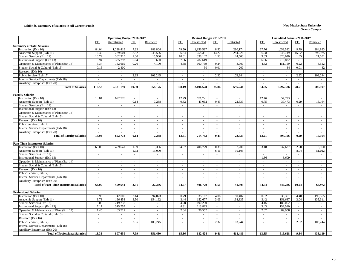#### **Exhibit b. Summary of Salaries in All Current Funds New Mexico State University**

|                                                |                | <b>Operating Budget 2016-2017</b> |                          |            |            | Revised Budget 2016-2017 |                |            | <b>Unaudited Actuals 2016-2017</b> |              |                  |            |  |
|------------------------------------------------|----------------|-----------------------------------|--------------------------|------------|------------|--------------------------|----------------|------------|------------------------------------|--------------|------------------|------------|--|
|                                                | <b>FTE</b>     | Unrestricted                      | <b>FTE</b>               | Restricted | <b>FTE</b> | Unrestricted             | <b>FTE</b>     | Restricted | <b>FTE</b>                         | Unrestricted | <b>FTE</b>       | Restricted |  |
| <b>Summary of Total Salaries</b>               |                |                                   |                          |            |            |                          |                |            |                                    |              |                  |            |  |
| Instruction (Exh 10)                           | 84.04          | 1,238,419                         | 7.33                     | 188,804    | 79.50      | 1,156,597                | 8.52           | 280,174    | 67.76                              | 1,059,522    | 9.79             | 284.883    |  |
| Academic Support (Exh 11)                      | 6.32           | 229,604                           | 8.52                     | 245,526    | 6.64       | 258,351                  | 13.22          | 284,226    | 6.28                               | 246,749      | 15.02            | 292,925    |  |
| Student Services (Exh 12)                      | 10.79          | 362,315                           | 1.00                     | 15,900     | 10.01      | 338,142                  | 1.53           | 24,500     | 9.33                               | 320,040      | 1.35             | 21,551     |  |
| Institutional Support (Exh 13)                 | 9.94           | 385,792                           | 0.04                     | 600        | 7.36       | 282,619                  | $\sim$         | $\sim$     | 6.96                               | 219,822      | $\sim$           | $\sim$     |  |
| Operation & Maintenance of Plant (Exh 14)      | 5.34           | 162,669                           | 0.26                     | 4,100      | 4.68       | 160,769                  | 0.24           | 3,900      | 4.32                               | 151,159      | 0.22             | 3,512      |  |
| Student Social & Cultural (Exh 15)             | 0.15           | 2,400                             | $\sim$                   | $\sim$     | $\sim$     | 50                       | 0.01           | 200        | $\mathcal{L}$                      | 34           | 0.01             | 82         |  |
| Research (Exh 16)                              | $\mathbf{r}$   | $\sim$                            | $\sim$                   | $\omega$   | $\sim$     | $\sim$                   | u.             | $\sim$     | $\sim$                             | $\sim$       | ÷.               | $\omega$   |  |
| Public Service (Exh 17)                        | $\sim$         | $\sim$                            | 2.35                     | 103,245    | $\sim$     | $\sim$                   | 2.32           | 103,244    | $\mathcal{L}$                      | $\sim$       | 2.32             | 103,244    |  |
| Internal Service Departments (Exh 18)          | $\sim$         | $\sim$                            | $\omega$                 | $\omega$   | $\sim$     | $\sim$                   | $\omega$ .     | $\sim$     | $\sim$                             | $\sim$       | ÷.               | $\sim$     |  |
| Auxiliary Enterprises (Exh 20)                 | $\sim$         | $\sim$                            | $\sim$                   | $\sim$     | $\sim$     | $\sim$                   | $\sim$         | $\sim$     | $\sim$                             | $\sim$       | $\sim$           | $\sim$     |  |
| <b>Total of Salaries</b>                       | 116.58         | 2,381,199                         | 19.50                    | 558,175    | 108.19     | 2,196,528                | 25.84          | 696,244    | 94.65                              | 1,997,326    | 28.71            | 706,197    |  |
|                                                |                |                                   |                          |            |            |                          |                |            |                                    |              |                  |            |  |
| <b>Faculty Salaries</b>                        |                |                                   |                          |            |            |                          |                |            |                                    |              |                  |            |  |
| Instruction (Exh 10)                           | 13.04          | 692,778                           | $\sim$                   |            | 12.79      | 671,721                  | $\blacksquare$ |            | 12.46                              | 654,723      |                  |            |  |
| Academic Support (Exh 11)                      | $\sim$         | $\sim$                            | 0.14                     | 7,288      | 0.82       | 43,062                   | 0.43           | 22,539     | 0.75                               | 39,473       | 0.29             | 15,164     |  |
| Student Services (Exh 12)                      | $\mathcal{L}$  | $\omega$                          | $\sim$                   | $\omega$   | $\sim$     | $\omega$                 | $\sim$         | $\sim$     | $\omega$                           | $\sim$       | ÷.               | $\sim$     |  |
| <b>Institutional Support (Exh 13)</b>          | $\overline{a}$ | $\sim$                            | $\sim$                   | $\sim$     | $\sim$     | $\sim$                   | $\sim$         | $\sim$     | $\sim$                             | $\sim$       | $\sim$           | $\sim$     |  |
| Operation & Maintenance of Plant (Exh 14)      | $\sim$         | $\sim$                            | $\sim$                   | $\sim$     | $\sim$     | $\sim$                   | $\sim$         | $\sim$     | $\sim$                             | $\sim$       | $\sim$           | $\sim$     |  |
| Student Social & Cultural (Exh 15)             | $\omega$       | $\omega$                          | $\omega$                 | $\omega$   | $\sim$     | $\sim$                   | $\omega$       | $\sim$     | $\omega$                           | $\sim$       | $\omega$         | $\sim$     |  |
| Research (Exh 16)                              | $\sim$         | $\sim$                            | $\sim$                   | $\sim$     | $\sim$     | $\sim$                   | $\sim$         | $\sim$     | $\sim$                             | $\sim$       | $\omega$ .       | $\sim$     |  |
| Public Service (Exh 17)                        | $\sim$         | $\sim$                            | $\overline{\phantom{a}}$ | $\sim$     | $\sim$     | $\sim$                   | $\sim$         | $\sim$     | $\sim$                             | $\sim$       | $\sim$           | $\sim$     |  |
| Internal Service Departments (Exh 18)          | $\sim$         | $\blacksquare$                    | $\overline{\phantom{a}}$ | $\sim$     | $\sim$     | $\sim$                   | $\sim$         | $\sim$     | $\sim$                             | $\sim$       | ÷.               | $\sim$     |  |
| Auxiliary Enterprises (Exh 20)                 |                |                                   |                          |            |            |                          |                |            |                                    |              |                  |            |  |
| <b>Total of Faculty Salaries</b>               | 13.04          | 692,778                           | 0.14                     | 7,288      | 13.61      | 714,783                  | 0.43           | 22,539     | 13.21                              | 694,196      | 0.29             | 15,164     |  |
|                                                |                |                                   |                          |            |            |                          |                |            |                                    |              |                  |            |  |
| <b>Part-Time Instructors Salaries</b>          |                |                                   |                          |            |            |                          |                |            |                                    |              |                  |            |  |
| Instruction (Exh 10)                           | 68.00          | 459,641                           | 1.39                     | 9.366      | 64.07      | 406,729                  | 0.35           | 2,200      | 53.18                              | 337,627      | 2.20             | 13,950     |  |
| Academic Support (Exh 11)                      | $\sim$         |                                   | 1.92                     | 13,000     | $\sim$     |                          | 6.16           | 39,105     | $\sim$                             | $\sim$       | 8.04             | 51,022     |  |
| Student Services (Exh 12)                      | $\sim$         | $\sim$                            | $\sim$                   | $\sim$     | $\sim$     | $\sim$                   | $\sim$         | $\sim$     | $\sim$                             | $\sim$       | $\sim$           | $\sim$     |  |
| <b>Institutional Support (Exh 13)</b>          | $\sim$         | $\sim$                            | $\sim$                   | $\sim$     | $\sim$     | $\sim$                   | $\sim$         | $\sim$     | 1.36                               | 8,609        | $\sim$           | $\sim$     |  |
| Operation & Maintenance of Plant (Exh 14)      | $\sim$         | $\blacksquare$                    | $\omega$                 | $\sim$     | $\sim$     | $\sim$                   | $\mathbf{r}$   | $\sim$     | $\mathcal{L}$                      | $\sim$       | ÷.               | $\sim$     |  |
| Student Social & Cultural (Exh 15)             | $\sim$         | $\blacksquare$                    | $\overline{\phantom{a}}$ | $\sim$     | $\sim$     | $\sim$                   | $\sim$         | $\omega$   | $\sim$                             | $\sim$       | $\omega$         | $\sim$     |  |
| Research (Exh 16)                              | $\sim$         | $\sim$                            | $\sim$                   | $\sim$     | $\sim$     | $\sim$                   | $\sim$         | $\sim$     | $\sim$                             | $\sim$       | $\omega$         | $\sim$     |  |
| Public Service (Exh 17)                        | $\sim$         | $\sim$                            | $\sim$                   | $\sim$     | $\sim$     | $\sim$                   | $\sim$         | $\sim$     | $\sim$                             | $\sim$       | $\omega$         | $\sim$     |  |
| Internal Service Departments (Exh 18)          | $\sim$         | $\sim$                            | $\sim$                   | $\sim$     | $\sim$     | $\sim$                   | $\sim$         | $\sim$     | $\sim$                             | $\sim$       | $\sim$           | $\sim$     |  |
| Auxiliary Enterprises (Exh 20)                 | $\sim$         | $\omega$                          | $\sim$                   | $\sim$     | $\sim$     | $\sim$                   | $\omega$       | $\sim$     | $\sim$                             | $\omega$     | $\omega$         | $\omega$   |  |
| <b>Total of Part-Time Instructors Salaries</b> | 68.00          | 459,641                           | 3.31                     | 22.366     | 64.07      | 406.729                  | 6.51           | 41.305     | 54.54                              | 346.236      | 10.24            | 64.972     |  |
|                                                |                |                                   |                          |            |            |                          |                |            |                                    |              |                  |            |  |
| <b>Professional Salaries</b>                   |                |                                   |                          |            |            |                          |                |            |                                    |              |                  |            |  |
| Instruction (Exh 10)                           | 0.95           | 42,000                            | 2.14                     | 94.073     | 0.79       | 35,167                   | 4.06           | 180,407    | 0.82                               | 36,391       | 4.48             | 199,555    |  |
| Academic Support (Exh 11)                      | 3.78           | 166,458                           | 3.50                     | 154,162    | 3.44       | 152,677                  | 3.03           | 134,835    | 3.42                               | 151,687      | 3.04             | 135,311    |  |
| Student Services (Exh 12)                      | 5.00           | 219,732                           | $\sim$                   | $\omega$   | 4.28       | 190,200                  | $\omega$       | $\omega$   | 4.16                               | 185,052      | $\omega_{\rm c}$ | $\sim$     |  |
| <b>Institutional Support (Exh 13)</b>          | 7.17           | 315,757                           | $\sim$                   | $\sim$     | 4.81       | 213,823                  | $\sim$         | $\sim$     | 3.43                               | 152,540      | $\sim$           | $\sim$     |  |
| Operation & Maintenance of Plant (Exh 14)      | 1.45           | 63,712                            | $\sim$                   | $\sim$     | 2.04       | 90,557                   | $\sim$         | $\sim$     | 2.02                               | 89,958       | $\omega$ .       | $\sim$     |  |
| Student Social & Cultural (Exh 15)             | $\sim$         | $\sim$                            | $\sim$                   | $\sim$     | $\sim$     | $\sim$                   | $\sim$         | $\sim$     | $\sim$                             | $\sim$       | $\sim$           | $\sim$     |  |
| Research (Exh 16)                              | $\sim$         | $\sim$                            | $\sim$                   | $\sim$     | $\sim$     | $\sim$                   | $\mathbf{r}$   | $\sim$     | $\mathcal{L}$                      | $\sim$       | $\omega$         | $\sim$     |  |
| Public Service (Exh 17)                        | $\sim$         | $\blacksquare$                    | 2.35                     | 103,245    | $\sim$     | $\omega$                 | 2.32           | 103,244    | $\sim$                             | $\sim$       | 2.32             | 103,244    |  |
| Internal Service Departments (Exh 18)          | $\mathcal{L}$  | $\blacksquare$                    | $\omega$                 | $\omega$   | $\sim$     | $\sim$                   | $\omega$ .     | $\sim$     | $\omega$                           | $\sim$       | $\omega_{\rm c}$ | $\omega$   |  |
| Auxiliary Enterprises (Exh 20)                 | $\sim$         | $\sim$                            | $\sim$                   |            |            | $\sim$                   | $\sim$         | $\sim$     |                                    | $\sim$       | $\omega$ .       |            |  |
| <b>Total of Professional Salaries</b>          | 18.35          | 807,659                           | 7.99                     | 351.480    | 15.36      | 682.424                  | 9.41           | 418,486    | 13.85                              | 615,628      | 9.84             | 438,110    |  |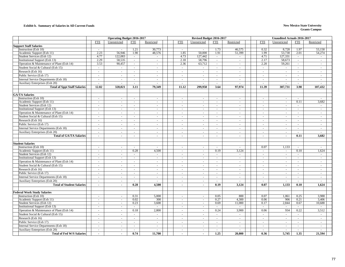#### **Exhibit b. Summary of Salaries in All Current Funds New Mexico State University**

|                                                        |                  | <b>Operating Budget 2016-2017</b> |                |                |                  | Revised Budget 2016-2017 |                             |            |            | <b>Unaudited Actuals 2016-2017</b> |                     |            |
|--------------------------------------------------------|------------------|-----------------------------------|----------------|----------------|------------------|--------------------------|-----------------------------|------------|------------|------------------------------------|---------------------|------------|
|                                                        | <b>FTE</b>       | Unrestricted                      | <b>FTE</b>     | Restricted     | <b>FTE</b>       | Unrestricted             | <b>FTE</b>                  | Restricted | <b>FTE</b> | Unrestricted                       | <b>FTE</b>          | Restricted |
| <b>Support Staff Salaries</b>                          |                  |                                   |                |                |                  |                          |                             |            |            |                                    |                     |            |
| Instruction (Exh 10)                                   | $\sim$           | $\sim$                            | 1.21           | 30,773         | $\sim$           | $\sim$                   | 1.73                        | 46,575     | 0.32       | 8,728                              | 1.97                | 53,158     |
| Academic Support (Exh 11)                              | 2.23             | 56,946                            | 1.90           | 48,576         | 1.85             | 50,000                   | 1.91                        | 51,399     | 1.99       | 53,738                             | 2.01                | 54,274     |
| Student Services (Exh 12)                              | 4.77             | 122,083                           | $\omega$       | $\omega$       | 4.73             | 127,442                  | $\omega_{\rm c}$            | $\omega$   | 4.71       | 127,331                            | $\sim$              | $\omega$   |
| Institutional Support (Exh 13)                         | 2.29             | 58,535                            | $\sim$         | $\sim$         | 2.18             | 58,796                   | $\sim$                      | $\sim$     | 2.17       | 58,673                             | $\sim$              | $\sim$     |
| Operation & Maintenance of Plant (Exh 14)              | 3.53             | 90,457                            | $\omega$       | $\sim$         | 2.36             | 63,712                   | $\mathcal{L}_{\mathcal{A}}$ | $\sim$     | 2.20       | 59,261                             | $\omega$ .          | $\sim$     |
| Student Social & Cultural (Exh 15)                     | $\sim$           | $\sim$                            | $\sim$         | $\sim$         | $\sim$           | $\sim$                   | $\sim$                      | $\sim$     | $\sim$     | $\sim$                             | $\sim$              | $\sim$     |
| Research (Exh 16)                                      | $\sim$           | $\sim$                            | $\sim$         | $\blacksquare$ | $\omega$         | $\sim$                   | $\omega$                    | $\sim$     | $\sim$     | $\sim$                             | ÷.                  | $\sim$     |
| Public Service (Exh 17)                                | $\sim$           | $\omega$                          | $\omega$       | $\omega$       | $\omega$         | $\sim$                   | $\sim$                      | $\omega$   | $\sim$     | $\sim$                             | $\omega$            | $\omega$   |
| Internal Service Departments (Exh 18)                  | $\sim$           | $\sim$                            | $\sim$         | $\sim$         | $\sim$           | $\sim$                   | $\sim$                      | $\sim$     | $\sim$     | $\sim$                             | $\sim$              | $\sim$     |
| <b>Auxiliary Enterprises (Exh 20)</b>                  | $\sim$           | $\sim$                            | $\sim$         | $\sim$         | $\sim$           | $\sim$                   | $\omega$                    | $\sim$     | $\sim$     | $\sim$                             | $\sim$              | $\sim$     |
| <b>Total of Sppt Staff Salaries</b>                    | 12.82            | 328.021                           | 3.11           | 79.349         | 11.12            | 299,950                  | 3.64                        | 97.974     | 11.39      | 307.731                            | 3.98                | 107,432    |
|                                                        |                  |                                   |                |                |                  |                          |                             |            |            |                                    |                     |            |
| <b>GA/TA Salaries</b>                                  |                  |                                   |                |                |                  |                          |                             |            |            |                                    |                     |            |
| Instruction (Exh 10)                                   | $\sim$           | $\sim$                            | $\omega$       | $\blacksquare$ | $\sim$           | $\sim$                   | $\omega$                    | $\sim$     | $\sim$     | $\sim$                             | $\equiv$            | $\sim$     |
| Academic Support (Exh 11)                              | $\sim$           | $\sim$                            | $\sim$         | $\sim$         | $\sim$           | $\sim$                   | $\omega$                    | $\sim$     | $\sim$     | $\sim$                             | 0.11                | 3,682      |
| Student Services (Exh 12)                              | $\sim$           | $\sim$                            | $\blacksquare$ | $\sim$         | $\sim$           | $\sim$                   | $\sim$                      | $\sim$     | $\sim$     | $\sim$                             | $\sim$              | $\sim$     |
| Institutional Support (Exh 13)                         | $\sim$           | $\omega$                          | $\omega$       | $\sim$         | $\sim$           | $\sim$                   | $\omega$                    | $\omega$   | $\omega$   | $\sim$                             | $\omega_{\rm c}$    | $\omega$   |
| Operation & Maintenance of Plant (Exh 14)              | $\sim$           | $\sim$                            | $\sim$         | $\sim$         | $\sim$           | $\sim$                   | $\sim$                      | $\sim$     | $\sim$     | $\sim$                             | ÷.                  | $\sim$     |
| Student Social & Cultural (Exh 15)                     | $\sim$           | $\sim$                            | $\sim$         | $\omega$       | $\sim$           | $\sim$                   | $\sim$                      | $\sim$     | $\sim$     | $\sim$                             | $\sim$              | $\sim$     |
| Research (Exh 16)                                      | $\sim$           | $\sim$                            | $\sim$         | $\sim$         | $\sim$           | $\sim$                   | $\sim$                      | $\sim$     | $\sim$     | $\sim$                             | $\sim$              | $\sim$     |
| Public Service (Exh 17)                                | $\sim$           | $\sim$                            | $\sim$         | $\sim$         | $\sim$           | $\sim$                   | $\sim$                      | $\sim$     | $\sim$     | $\sim$                             | $\sim$              | $\sim$     |
| Internal Service Departments (Exh 18)                  | $\sim$           | $\sim$                            | $\sim$         | $\sim$         | $\sim$           | $\sim$                   | $\sim$                      | $\sim$     | $\sim$     | $\sim$                             | $\sim$              | $\sim$     |
|                                                        |                  |                                   |                |                |                  |                          |                             |            |            |                                    | $\equiv$            |            |
| Auxiliary Enterprises (Exh 20)                         | $\sim$           | $\sim$                            | $\sim$         | $\sim$         | $\sim$           | $\sim$                   | $\sim$                      | $\sim$     | $\sim$     | $\sim$                             |                     | $\sim$     |
| <b>Total of GA/TA Salaries</b>                         | $\blacksquare$   | $\blacksquare$                    | $\blacksquare$ | $\blacksquare$ |                  | $\blacksquare$           | $\blacksquare$              | $\sim$     | $\sim$     | $\blacksquare$                     | 0.11                | 3,682      |
| <b>Student Salaries</b>                                |                  |                                   |                |                |                  |                          |                             |            |            |                                    |                     |            |
| Instruction (Exh 10)                                   | $\sim$           | $\sim$                            | $\sim$         | $\blacksquare$ | $\sim$           | $\sim$                   | $\sim$                      | $\sim$     | 0.07       | 1,133                              | $\sim$              | $\sim$     |
| Academic Support (Exh 11)                              | $\sim$           | $\blacksquare$                    | 0.28           | 4,500          | $\sim$           | $\sim$                   | 0.19                        | 3,124      | $\sim$     | $\sim$                             | 0.10                | 1,624      |
| Student Services (Exh 12)                              | $\sim$           | $\sim$                            | $\sim$         | $\sim$         | $\sim$           | $\sim$                   | $\sim$                      | $\sim$     | $\sim$     | $\sim$                             | $\omega$ .          | $\sim$     |
| <b>Institutional Support (Exh 13)</b>                  | $\sim$           | $\sim$                            | $\sim$         | $\sim$         | $\sim$           | $\sim$                   | $\sim$                      | $\sim$     | $\sim$     | $\sim$                             | $\omega$            | $\sim$     |
| Operation & Maintenance of Plant (Exh 14)              | $\sim$           | $\sim$                            | $\sim$         | $\sim$         | $\sim$           | $\sim$                   | $\sim$                      | $\sim$     | $\sim$     | $\sim$                             | $\sim$              | $\sim$     |
| Student Social & Cultural (Exh 15)                     | $\sim$           | $\sim$                            | ä,             | $\sim$         |                  | $\sim$                   | $\sim$                      | $\sim$     | $\sim$     | $\sim$                             | $\mathbf{r}$        | $\sim$     |
| Research (Exh 16)                                      | $\sim$           | $\equiv$                          | $\omega$       | $\omega$       | $\mathcal{L}$    | $\sim$                   | $\omega$                    | $\omega$   | $\omega$   | $\sim$                             | $\omega_{\rm c}$    | $\omega$   |
| Public Service (Exh 17)                                | $\sim$           | $\sim$                            | ÷.             | $\sim$         | $\mathbf{r}$     | $\sim$                   | $\sim$                      | $\sim$     | $\sim$     | $\sim$                             | $\omega$ .          | $\sim$     |
| Internal Service Departments (Exh 18)                  | $\sim$           | $\omega$                          | $\omega$       | $\omega$       | $\sim$           | $\sim$                   | $\omega$                    | $\sim$     | $\omega$   | $\sim$                             | ÷.                  | $\sim$     |
|                                                        |                  | $\sim$                            | $\sim$         |                |                  | $\sim$                   | $\sim$                      | $\sim$     | $\sim$     | $\sim$                             | $\sim$              | $\sim$     |
| Auxiliary Enterprises (Exh 20)                         | $\sim$           |                                   |                | $\sim$         | $\sim$           |                          |                             |            |            |                                    |                     |            |
| <b>Total of Student Salaries</b>                       | $\blacksquare$   | $\sim$                            | 0.28           | 4,500          | $\sim$           | $\sim$                   | 0.19                        | 3,124      | 0.07       | 1,133                              | 0.10                | 1,624      |
| <b>Federal Work Study Salaries</b>                     |                  |                                   |                |                |                  |                          |                             |            |            |                                    |                     |            |
| Instruction (Exh 10)                                   |                  |                                   | 0.31           | 5,000          | $\sim$           |                          | 0.05                        | 800        | 0.07       | 1,061                              | 0.25                | 3,988      |
|                                                        | $\sim$           | $\sim$                            | 0.02           | 300            |                  | $\sim$                   | 0.27                        | 4,300      | 0.06       | 906                                | 0.21                | 3,406      |
| Academic Support (Exh 11)<br>Student Services (Exh 12) | $\sim$<br>$\sim$ | $\sim$<br>$\sim$                  | 0.23           | 3,600          | $\sim$<br>$\sim$ | $\sim$<br>$\sim$         | 0.69                        | 11,000     | 0.17       | 2,844                              | 0.67                | 10,688     |
| <b>Institutional Support (Exh 13)</b>                  | $\sim$           | $\sim$                            | $\sim$         | $\sim$         | $\sim$           | $\sim$                   | $\sim$                      | $\sim$     | $\sim$     | $\sim$                             | $\sim$              | $\sim$     |
| Operation & Maintenance of Plant (Exh 14)              | $\sim$           | $\omega$                          | 0.18           | 2,800          | $\mathcal{L}$    | $\sim$                   | 0.24                        | 3,900      | 0.06       | 934                                | 0.22                | 3,512      |
| Student Social & Cultural (Exh 15)                     | $\sim$           | $\sim$                            | $\sim$         | $\sim$         | $\sim$           | $\sim$                   | $\sim$                      | $\sim$     | $\sim$     | $\sim$                             | $\sim$              | $\sim$     |
|                                                        |                  |                                   |                |                |                  |                          |                             |            |            |                                    |                     |            |
| Research (Exh 16)                                      | $\sim$           | $\sim$                            | $\sim$         | $\sim$         | $\sim$           | $\sim$                   | $\sim$                      | $\sim$     | $\sim$     | $\sim$                             | $\sim$              | $\sim$     |
| Public Service (Exh 17)                                | $\sim$           | $\sim$                            | $\sim$         | $\sim$         | $\sim$           | $\sim$                   | $\sim$                      | $\sim$     | $\sim$     | $\sim$                             | $\mathcal{L}^{\pm}$ | $\sim$     |
| Internal Service Departments (Exh 18)                  | $\sim$           | $\sim$                            | $\sim$         | $\sim$         | $\sim$           | $\sim$                   | $\sim$                      | $\sim$     | $\sim$     | $\sim$                             | $\sim$              | $\sim$     |
| Auxiliary Enterprises (Exh 20)                         | $\sim$           | $\omega$                          | $\omega$       | $\sim$         | $\sim$           | $\sim$                   | $\omega$                    | $\sim$     | $\sim$     | $\sim$                             | $\omega$            | $\sim$     |
| <b>Total of Fed W/S Salaries</b>                       | $\blacksquare$   | $\blacksquare$                    | 0.74           | 11,700         | $\sim$           | $\blacksquare$           | 1.25                        | 20,000     | 0.36       | 5,745                              | 1.35                | 21,594     |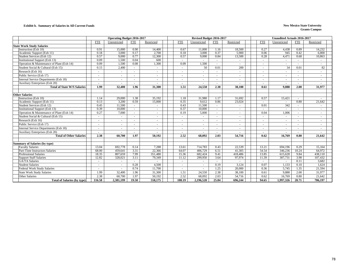#### **Exhibit b. Summary of Salaries in All Current Funds New Mexico State University**

|                                                  |                          | <b>Operating Budget 2016-2017</b> |                |                          |              | Revised Budget 2016-2017 |                          |                          | <b>Unaudited Actuals 2016-2017</b> |                          |                 |                          |                  |
|--------------------------------------------------|--------------------------|-----------------------------------|----------------|--------------------------|--------------|--------------------------|--------------------------|--------------------------|------------------------------------|--------------------------|-----------------|--------------------------|------------------|
|                                                  | <b>FTE</b>               | Unrestricted                      | <b>FTE</b>     | Restricted               | <b>FTE</b>   | Unrestricted             | <b>FTE</b>               | Restricted               |                                    | <b>FTE</b>               | Unrestricted    | <b>FTE</b>               | Restricted       |
| <b>State Work Study Salaries</b>                 |                          |                                   |                |                          |              |                          |                          |                          |                                    |                          |                 |                          |                  |
| Instruction (Exh 10)                             | 0.91                     | 15,000                            | 0.90           | 14,400                   | 0.67         | 11,000                   | 1.16                     | 18,500                   |                                    | 0.27                     | 4,438           | 0.89                     | 14,232           |
| Academic Support (Exh 11)                        | 0.18                     | 3,000                             | 0.17           | 2,700                    | 0.18         | 3,000                    | 0.37                     | 5,900                    |                                    | 0.06                     | 945             | 0.42                     | 6,800            |
| Student Services (Exh 12)                        | 0.57                     | 9,000                             | 0.77           | 12,300                   | 0.57         | 9.000                    | 0.84                     | 13.500                   |                                    | 0.28                     | 4,471           | 0.68                     | 10.863           |
| Institutional Support (Exh 13)                   | 0.09                     | 1,500                             | 0.04           | 600                      | $\sim$       | $\sim$                   | $\sim$                   | $\sim$                   |                                    |                          | $\sim$          |                          | $\sim$           |
| Operation & Maintenance of Plant (Exh 14)        | 0.09                     | 1,500                             | 0.08           | 1,300                    | 0.09         | 1,500                    | $\sim$                   | $\sim$                   |                                    |                          | $\sim$          |                          | $\sim$           |
| Student Social & Cultural (Exh 15)               | 0.15                     | 2,400                             |                | $\sim$                   |              | 50                       | 0.01                     | 200                      |                                    |                          | 34              | 0.01                     | 82               |
| Research (Exh 16)                                | $\sim$                   |                                   |                | $\sim$                   |              |                          | $\sim$                   | $\sim$                   |                                    |                          | $\sim$          | $\sim$                   | $\sim$           |
| Public Service (Exh 17)                          | $\sim$                   | $\sim$                            | ÷,             | $\sim$                   |              | $\sim$                   | $\sim$                   | $\sim$                   |                                    |                          | $\sim$          | $\sim$                   | $\sim$           |
| Internal Service Departments (Exh 18)            |                          | $\sim$                            | ٠              | $\sim$                   |              | $\sim$                   | $\sim$                   | $\sim$                   |                                    |                          | $\sim$          | $\sim$                   | $\sim$           |
| Auxiliary Enterprises (Exh 20)                   |                          | ٠                                 | ٠              | $\overline{\phantom{a}}$ |              |                          | $\sim$                   | $\overline{\phantom{a}}$ |                                    |                          | $\sim$          | $\overline{\phantom{a}}$ | $\sim$           |
| <b>Total of State W/S Salaries</b>               | 1.99                     | 32,400                            | 1.96           | 31.300                   | 1.51         | 24.550                   | 2.38                     | 38.100                   |                                    | 0.61                     | 9.888           | 2.00                     | 31.977           |
| <b>Other Salaries</b>                            |                          |                                   |                |                          |              |                          |                          |                          |                                    |                          |                 |                          |                  |
| Instruction (Exh 10)                             | 1.14                     | 29,000                            | 1.38           | 35.192                   | 1.18         | 31,980                   | 1.17                     | 31.692                   |                                    | 0.57                     | 15,421          |                          |                  |
| Academic Support (Exh 11)                        | 0.13                     | 3.200                             | 0.59           | 15,000                   | 0.35         | 9.612                    | 0.86                     | 23,024                   |                                    | $\sim$                   | $\sim$          | 0.80                     | 21.642           |
| Student Services (Exh 12)                        | 0.45                     | 11,500                            | $\sim$         |                          | 0.43         | 11.500                   | $\sim$                   |                          |                                    | 0.01                     | 342             | $\sim$                   | $\sim$           |
| <b>Institutional Support (Exh 13)</b>            | 0.39                     | 10,000                            | $\sim$         | $\sim$                   | 0.37         | 10,000                   | $\sim$                   | $\sim$                   |                                    | $\sim$                   | $\sim$          | $\sim$                   | $\sim$           |
| Operation & Maintenance of Plant (Exh 14)        | 0.27                     | 7.000                             | ÷.             | $\sim$                   | 0.19         | 5.000                    | $\sim$                   | $\sim$                   |                                    | 0.04                     | 1.006           | $\sim$                   | $\sim$           |
| Student Social & Cultural (Exh 15)               | $\sim$                   | $\sim$                            | $\sim$         | $\sim$                   |              |                          | $\sim$                   | $\sim$                   |                                    |                          | $\sim$          | $\overline{a}$           | $\sim$           |
| Research (Exh 16)                                |                          | $\blacksquare$                    | ٠              | $\sim$                   |              | $\overline{\phantom{0}}$ | $\overline{\phantom{a}}$ | $\sim$                   |                                    | $\overline{a}$           | $\sim$          | $\sim$                   | $\sim$           |
| Public Service (Exh 17)                          | $\overline{a}$           | $\overline{a}$                    | $\sim$         | $\sim$                   |              | $\overline{a}$           |                          | $\sim$                   |                                    | $\overline{\phantom{a}}$ | $\sim$          | $\sim$                   | $\sim$           |
| Internal Service Departments (Exh 18)            | $\overline{\phantom{a}}$ | $\sim$                            | $\sim$         | $\overline{\phantom{a}}$ |              | $\overline{a}$           |                          | $\overline{\phantom{a}}$ |                                    | $\overline{\phantom{a}}$ | $\sim$          | $\overline{\phantom{a}}$ | $\sim$           |
| <b>Auxiliary Enterprises (Exh 20)</b>            |                          |                                   |                |                          |              |                          |                          |                          |                                    |                          | $\sim$          |                          |                  |
| <b>Total of Other Salaries</b>                   | 2.38                     | 60,700                            | 1.97           | 50,192                   | 2.52         | 68.092                   | 2.03                     | 54,716                   |                                    | 0.62                     | 16,769          | 0.80                     | 21,642           |
|                                                  |                          |                                   |                |                          |              |                          |                          |                          |                                    |                          |                 |                          |                  |
| <b>Summary of Salaries (by type)</b>             |                          |                                   |                |                          |              |                          |                          |                          |                                    |                          |                 |                          |                  |
| <b>Faculty Salaries</b>                          | 13.04                    | 692,778                           | 0.14           | 7,288                    | 13.61        | 714,783                  | 0.43                     | 22,539                   |                                    | 13.21                    | 694,196         | 0.29                     | 15,164           |
| Part-Time Instructors Salaries                   | 68.00                    | 459,641                           | 3.31           | 22,366                   | 64.07        | 406,729                  | 6.51                     | 41,305                   |                                    | 54.54                    | 346,236         | 10.24                    | 64,972           |
| <b>Professional Salaries</b>                     | 18.35                    | 807,659                           | 7.99           | 351,480                  | 15.36        | 682,424                  | 9.41                     | 418,486                  |                                    | 13.85                    | 615,628         | 9.84                     | 438,110          |
| <b>Support Staff Salaries</b>                    | 12.82                    | 328,021                           | 3.11           | 79,349                   | 11.12        | 299,950                  | 3.64                     | 97,974                   |                                    | 11.39                    | 307,731         | 3.98                     | 107,432          |
| <b>GA/TA Salaries</b><br><b>Student Salaries</b> | $\sim$                   | $\overline{a}$                    | $\sim$<br>0.28 | $\sim$<br>4,500          | $\sim$       | $\sim$                   | $\sim$<br>0.19           | $\sim$<br>3,124          |                                    | $\sim$<br>0.07           | $\sim$<br>1,133 | 0.11<br>0.10             | 3,682<br>1,624   |
| <b>Federal Work Study Salaries</b>               | $\overline{\phantom{a}}$ |                                   | 0.74           | 11,700                   |              |                          | 1.25                     | 20,000                   |                                    | 0.36                     | 5,745           | 1.35                     | 21,594           |
|                                                  | $\sim$                   |                                   |                |                          |              |                          |                          |                          |                                    |                          |                 | 2.00                     |                  |
| <b>State Work Study Salaries</b>                 | 1.99<br>2.38             | 32,400                            | 1.96<br>1.97   | 31,300                   | 1.51<br>2.52 | 24,550                   | 2.38<br>2.03             | 38,100                   |                                    | 0.61<br>0.62             | 9,888           | 0.80                     | 31,977<br>21.642 |
| <b>Other Salaries</b>                            | 116.58                   | 60,700                            | 19.50          | 50,192                   | 108.19       | 68,092                   | 25.84                    | 54,716                   |                                    | 94.65                    | 16,769          | 28.71                    |                  |
| <b>Total of Salaries (by type)</b>               |                          | 2,381,199                         |                | 558,175                  |              | 2,196,528                |                          | 696,244                  |                                    |                          | 1,997,326       |                          | 706,197          |